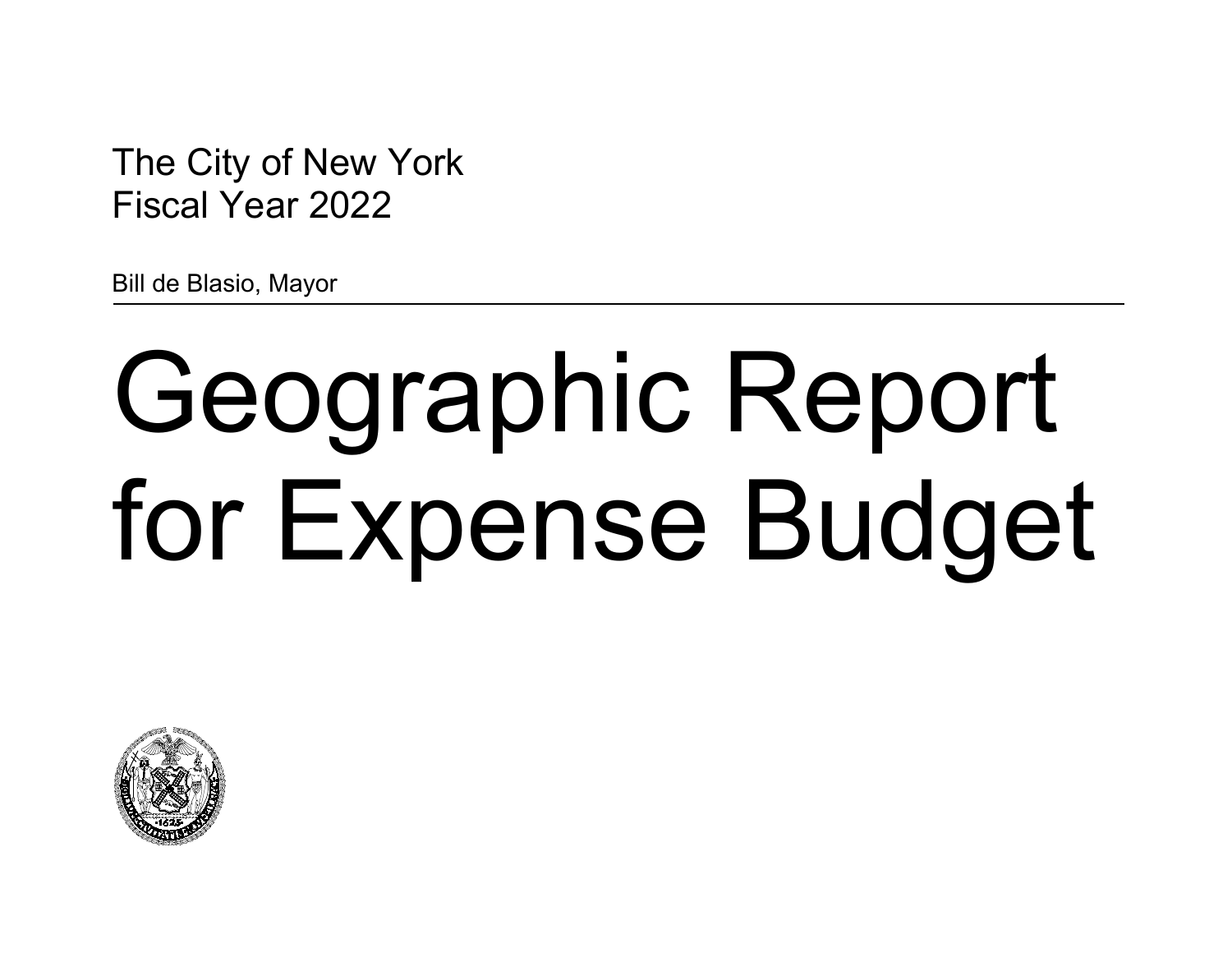The City of New York Fiscal Year 2022

Bill de Blasio, Mayor

# Geographic Report for Expense Budget

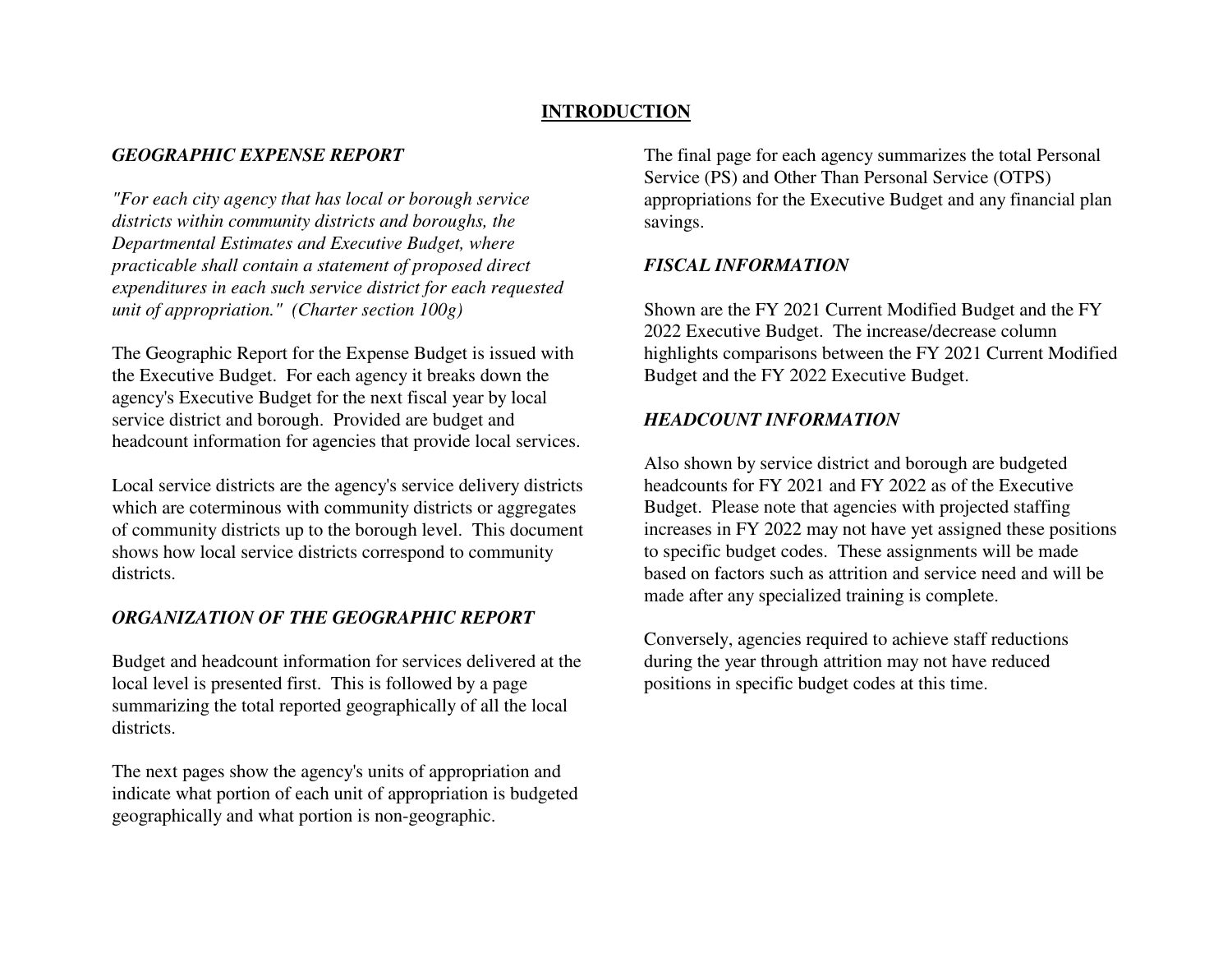# **INTRODUCTION**

# *GEOGRAPHIC EXPENSE REPORT*

*"For each city agency that has local or borough service districts within community districts and boroughs, the Departmental Estimates and Executive Budget, where practicable shall contain a statement of proposed direct expenditures in each such service district for each requested unit of appropriation." (Charter section 100g)*

The Geographic Report for the Expense Budget is issued with the Executive Budget. For each agency it breaks down the agency's Executive Budget for the next fiscal year by local service district and borough. Provided are budget and headcount information for agencies that provide local services.

Local service districts are the agency's service delivery districts which are coterminous with community districts or aggregates of community districts up to the borough level. This document shows how local service districts correspond to community districts.

# *ORGANIZATION OF THE GEOGRAPHIC REPORT*

Budget and headcount information for services delivered at the local level is presented first. This is followed by a page summarizing the total reported geographically of all the local districts.

The next pages show the agency's units of appropriation and indicate what portion of each unit of appropriation is budgeted geographically and what portion is non-geographic.

The final page for each agency summarizes the total Personal Service (PS) and Other Than Personal Service (OTPS) appropriations for the Executive Budget and any financial plan savings.

# *FISCAL INFORMATION*

Shown are the FY 2021 Current Modified Budget and the FY 2022 Executive Budget. The increase/decrease column highlights comparisons between the FY 2021 Current Modified Budget and the FY 2022 Executive Budget.

# *HEADCOUNT INFORMATION*

Also shown by service district and borough are budgeted headcounts for FY 2021 and FY 2022 as of the Executive Budget. Please note that agencies with projected staffing increases in FY 2022 may not have yet assigned these positions to specific budget codes. These assignments will be made based on factors such as attrition and service need and will be made after any specialized training is complete.

Conversely, agencies required to achieve staff reductions during the year through attrition may not have reduced positions in specific budget codes at this time.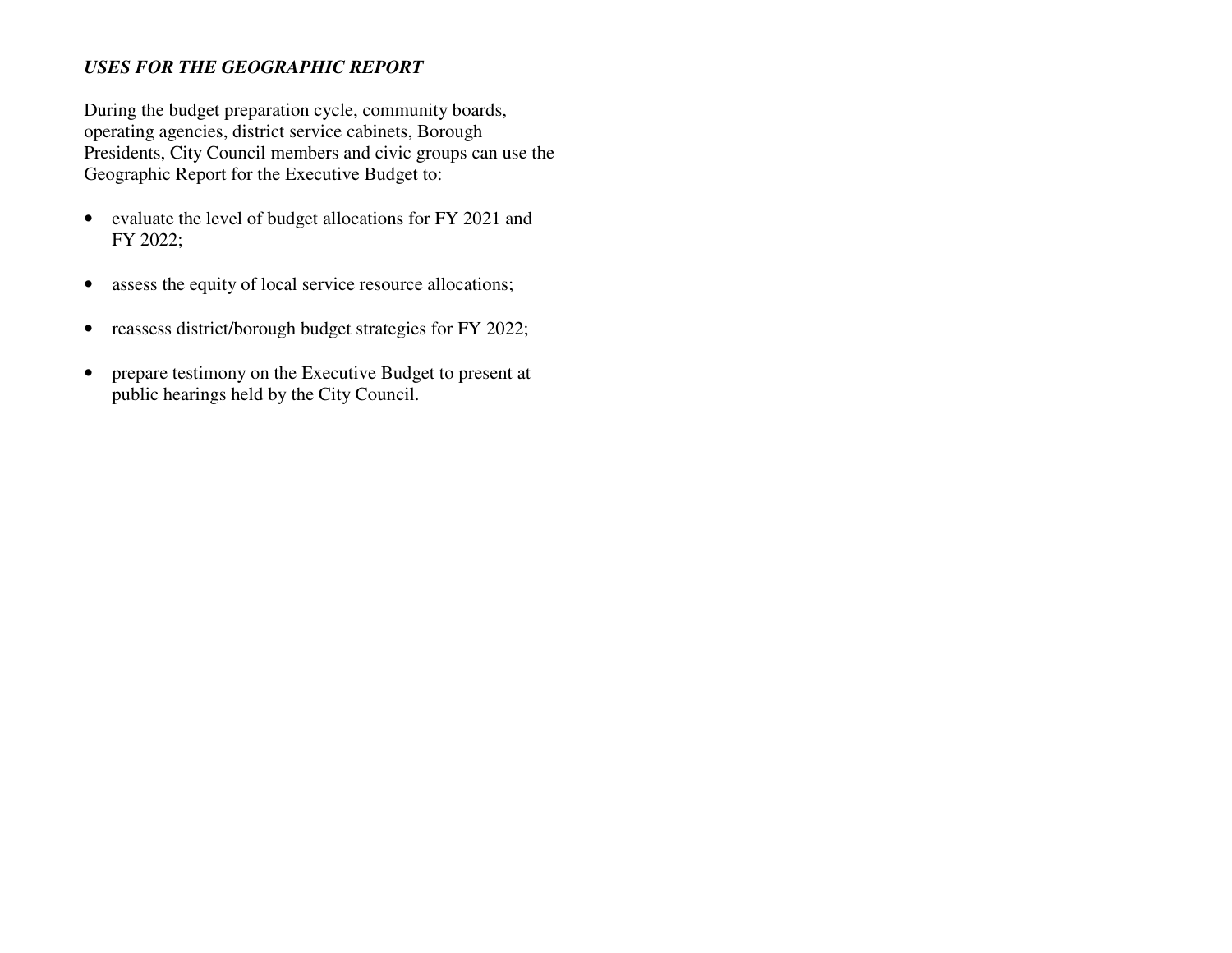# *USES FOR THE GEOGRAPHIC REPORT*

During the budget preparation cycle, community boards, operating agencies, district service cabinets, Borough Presidents, City Council members and civic groups can use the Geographic Report for the Executive Budget to:

- evaluate the level of budget allocations for FY 2021 and FY 2022;
- $\bullet$ assess the equity of local service resource allocations;
- •reassess district/borough budget strategies for FY 2022;
- $\bullet$  prepare testimony on the Executive Budget to present at public hearings held by the City Council.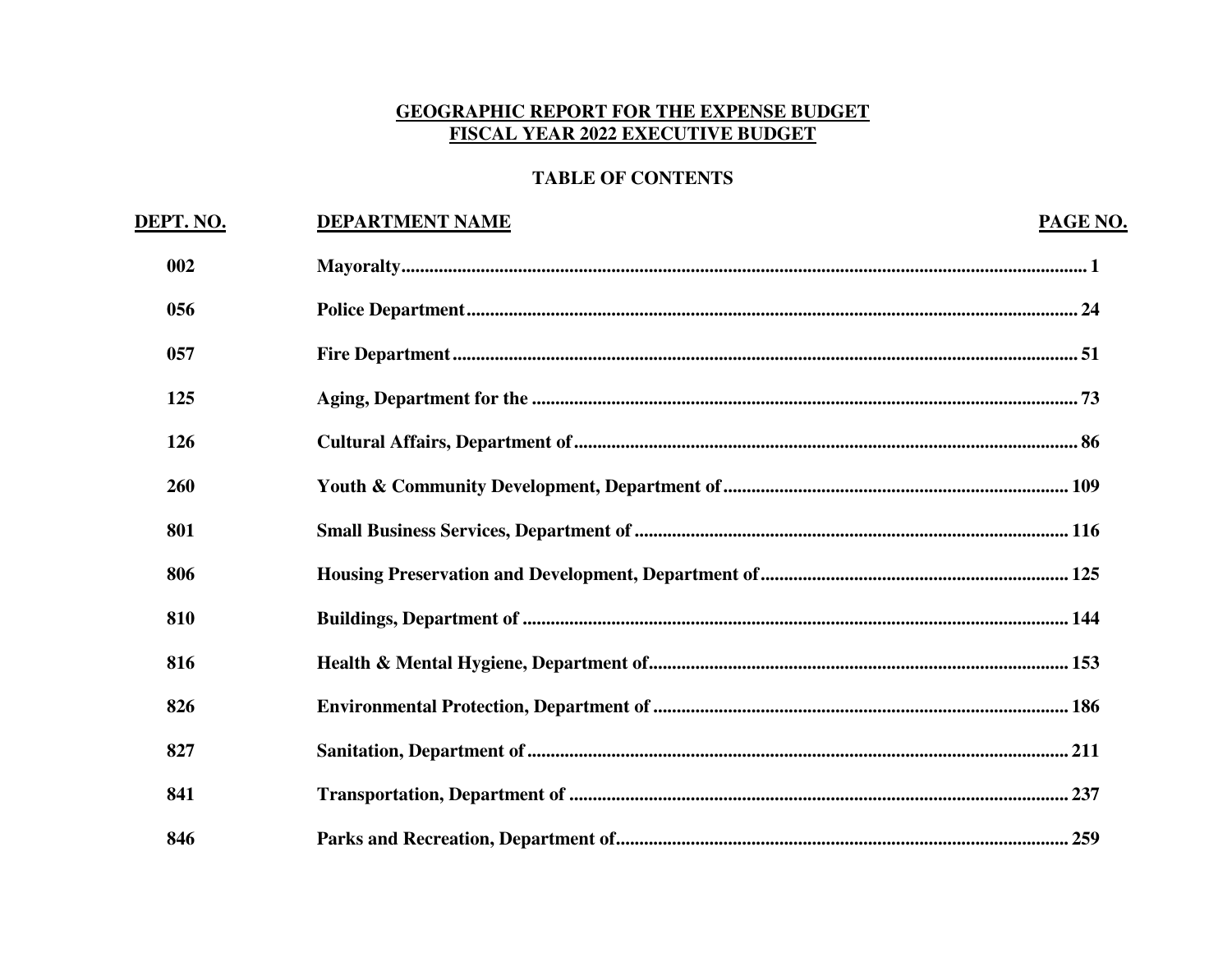# **GEOGRAPHIC REPORT FOR THE EXPENSE BUDGET** FISCAL YEAR 2022 EXECUTIVE BUDGET

# **TABLE OF CONTENTS**

| DEPT. NO. | <b>DEPARTMENT NAME</b> | PAGE NO. |
|-----------|------------------------|----------|
| 002       |                        |          |
| 056       |                        |          |
| 057       |                        |          |
| 125       |                        |          |
| 126       |                        |          |
| 260       |                        |          |
| 801       |                        |          |
| 806       |                        |          |
| 810       |                        |          |
| 816       |                        |          |
| 826       |                        |          |
| 827       |                        |          |
| 841       |                        |          |
| 846       |                        |          |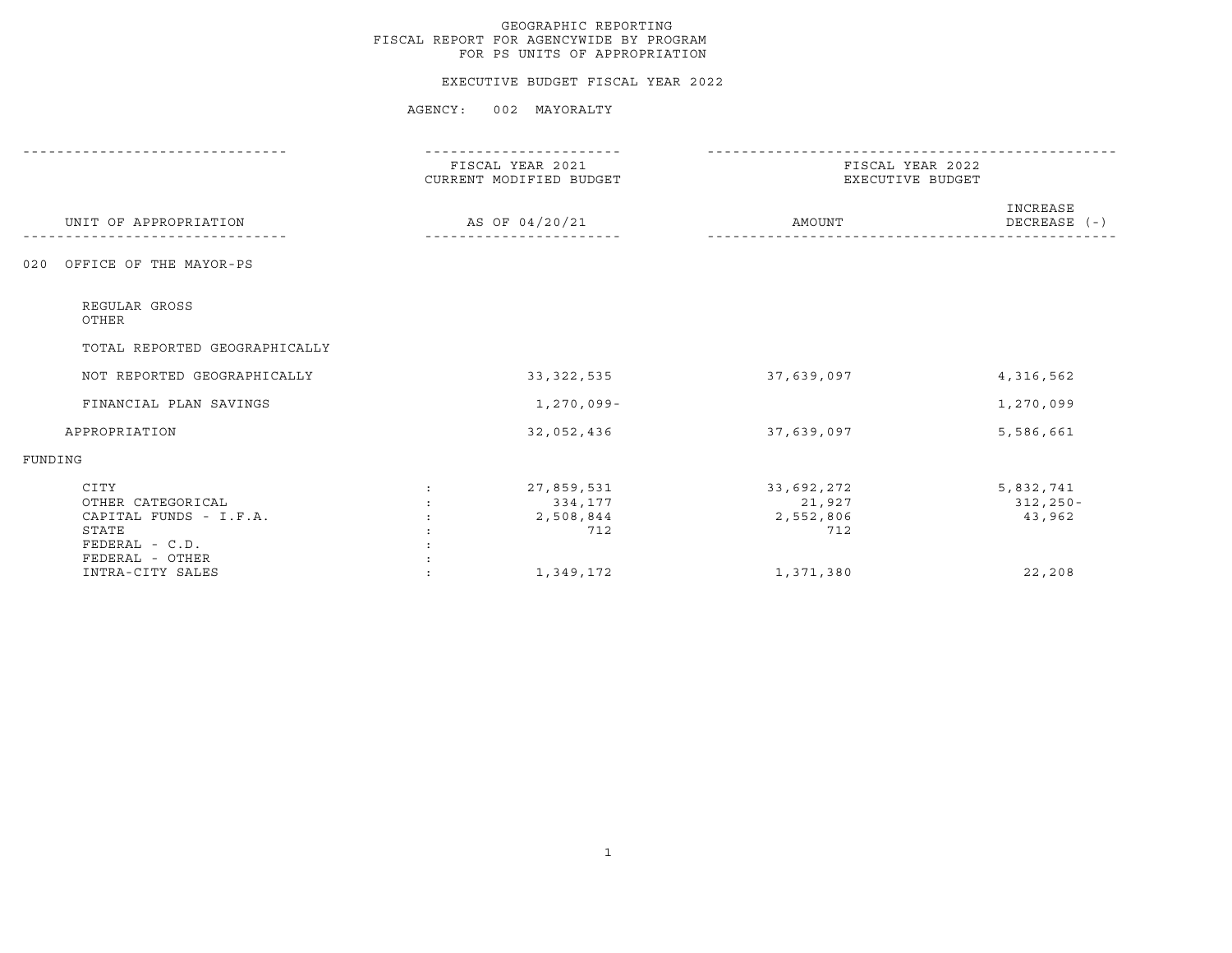#### EXECUTIVE BUDGET FISCAL YEAR 2022

|                                                                                                   | FISCAL YEAR 2021<br>CURRENT MODIFIED BUDGET                                  | FISCAL YEAR 2022<br>EXECUTIVE BUDGET     |                                     |
|---------------------------------------------------------------------------------------------------|------------------------------------------------------------------------------|------------------------------------------|-------------------------------------|
| UNIT OF APPROPRIATION                                                                             | AS OF 04/20/21                                                               | AMOUNT                                   | INCREASE<br>$DECREASE$ (-)          |
| OFFICE OF THE MAYOR-PS<br>020                                                                     |                                                                              |                                          |                                     |
| REGULAR GROSS<br>OTHER                                                                            |                                                                              |                                          |                                     |
| TOTAL REPORTED GEOGRAPHICALLY                                                                     |                                                                              |                                          |                                     |
| NOT REPORTED GEOGRAPHICALLY                                                                       | 33, 322, 535                                                                 | 37,639,097                               | 4,316,562                           |
| FINANCIAL PLAN SAVINGS                                                                            | 1,270,099-                                                                   |                                          | 1,270,099                           |
| APPROPRIATION                                                                                     | 32,052,436                                                                   | 37,639,097                               | 5,586,661                           |
| FUNDING                                                                                           |                                                                              |                                          |                                     |
| CITY<br>OTHER CATEGORICAL<br>CAPITAL FUNDS - I.F.A.<br>STATE<br>FEDERAL - C.D.<br>FEDERAL - OTHER | 27,859,531<br>$\mathcal{L}$<br>334,177<br>2,508,844<br>$\ddot{\cdot}$<br>712 | 33,692,272<br>21,927<br>2,552,806<br>712 | 5,832,741<br>$312, 250 -$<br>43,962 |
| INTRA-CITY SALES                                                                                  | 1,349,172                                                                    | 1,371,380                                | 22,208                              |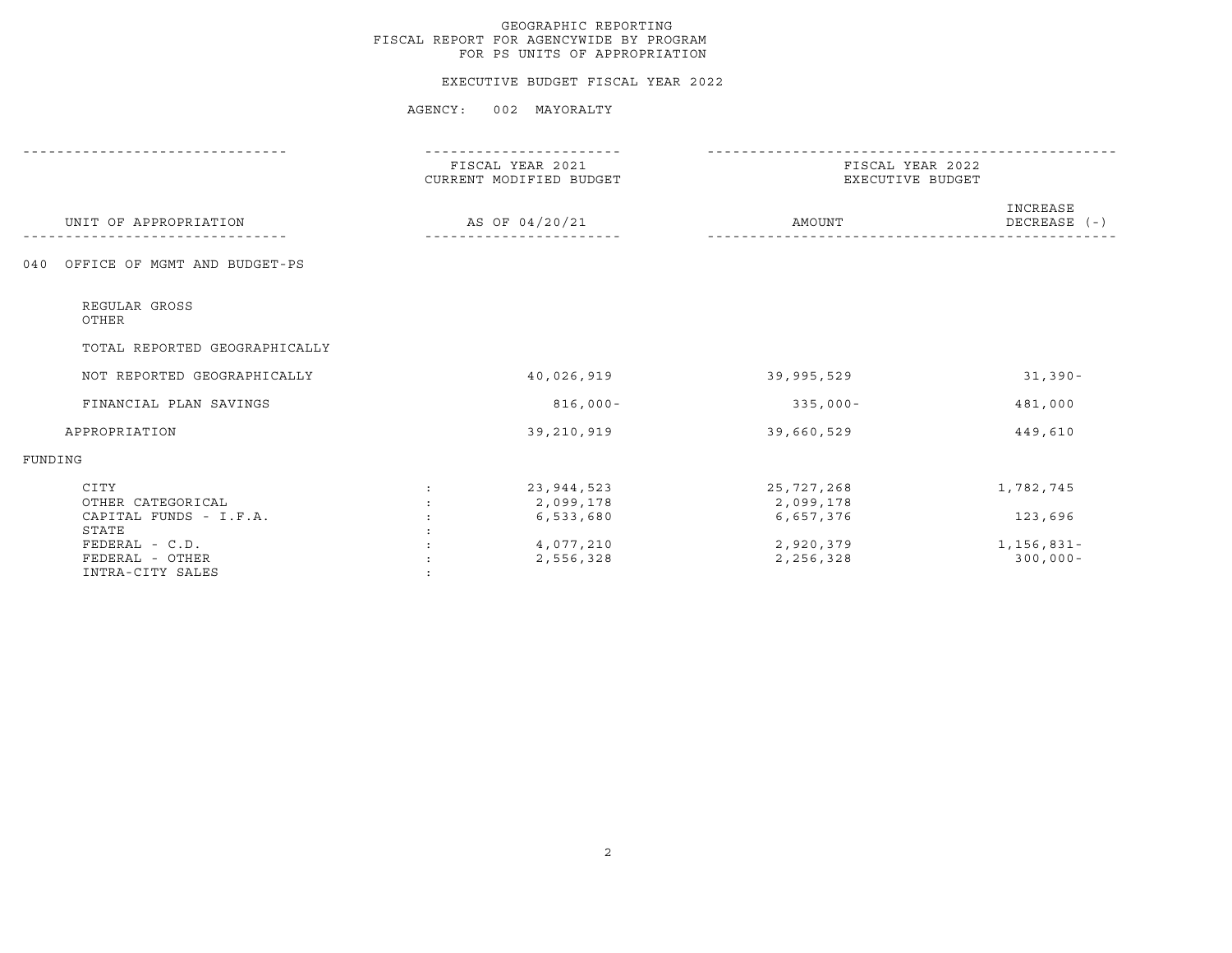#### EXECUTIVE BUDGET FISCAL YEAR 2022

|                                     | FISCAL YEAR 2021<br>CURRENT MODIFIED BUDGET | FISCAL YEAR 2022<br>EXECUTIVE BUDGET |                            |
|-------------------------------------|---------------------------------------------|--------------------------------------|----------------------------|
| UNIT OF APPROPRIATION               | AS OF 04/20/21                              | AMOUNT                               | INCREASE<br>DECREASE $(-)$ |
| OFFICE OF MGMT AND BUDGET-PS<br>040 |                                             |                                      |                            |
| REGULAR GROSS<br>OTHER              |                                             |                                      |                            |
| TOTAL REPORTED GEOGRAPHICALLY       |                                             |                                      |                            |
| NOT REPORTED GEOGRAPHICALLY         | 40,026,919                                  | 39,995,529                           | $31,390-$                  |
| FINANCIAL PLAN SAVINGS              | $816,000 -$                                 | $335,000 -$                          | 481,000                    |
| APPROPRIATION                       | 39,210,919                                  | 39,660,529                           | 449,610                    |
| FUNDING                             |                                             |                                      |                            |
| CITY<br>OTHER CATEGORICAL           | 23,944,523<br>$\ddot{\cdot}$<br>2,099,178   | 25,727,268<br>2,099,178              | 1,782,745                  |
| CAPITAL FUNDS - I.F.A.              | 6,533,680                                   | 6,657,376                            | 123,696                    |
| STATE                               |                                             |                                      |                            |
| FEDERAL - C.D.<br>FEDERAL - OTHER   | 4,077,210<br>2,556,328                      | 2,920,379<br>2,256,328               | 1,156,831-<br>$300,000 -$  |
| INTRA-CITY SALES                    |                                             |                                      |                            |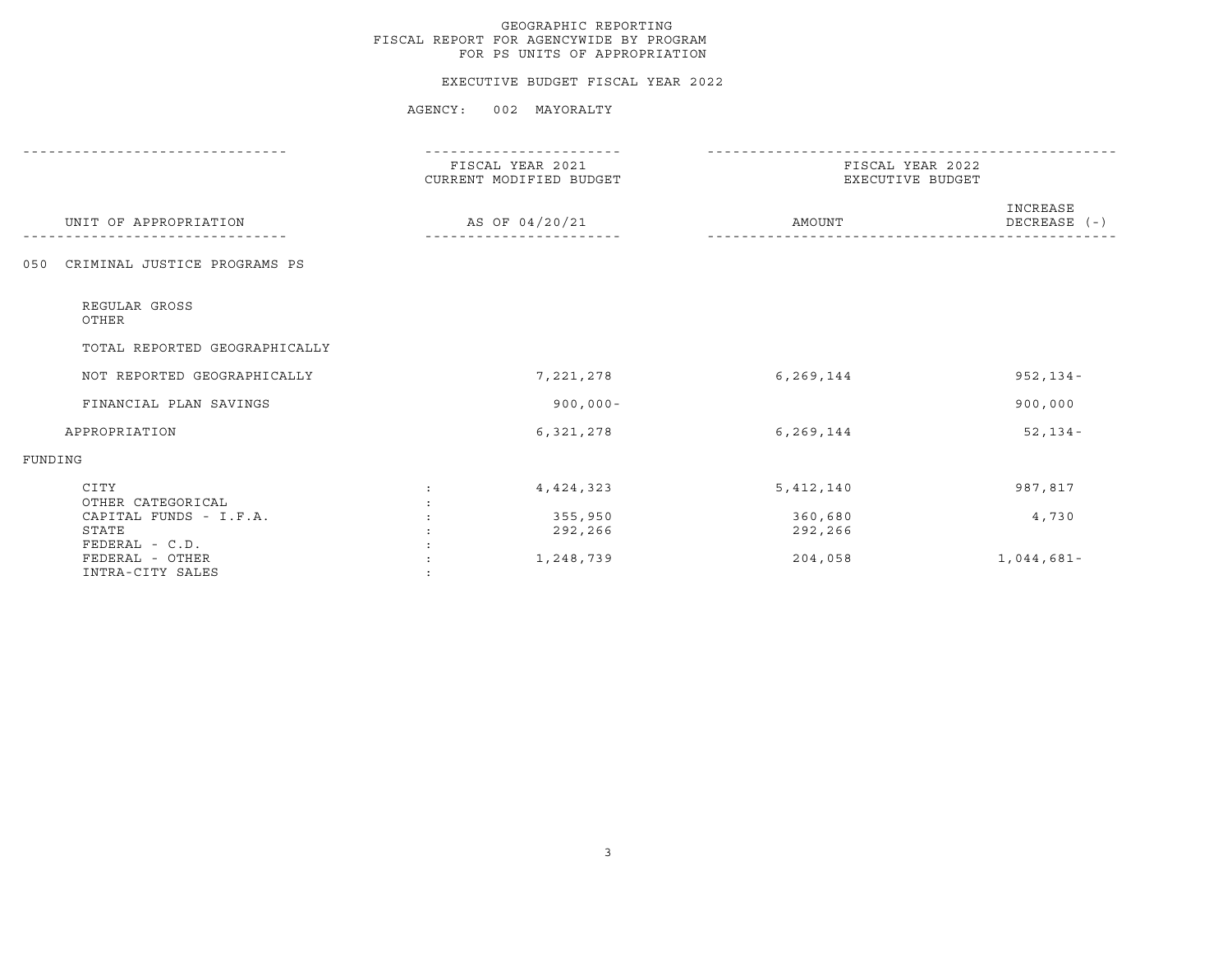#### EXECUTIVE BUDGET FISCAL YEAR 2022

|                                                       | FISCAL YEAR 2021<br>CURRENT MODIFIED BUDGET | FISCAL YEAR 2022<br>EXECUTIVE BUDGET |                            |
|-------------------------------------------------------|---------------------------------------------|--------------------------------------|----------------------------|
| UNIT OF APPROPRIATION                                 | AS OF 04/20/21                              | AMOUNT                               | INCREASE<br>$DECREASE$ (-) |
| CRIMINAL JUSTICE PROGRAMS PS<br>0.50                  |                                             |                                      |                            |
| REGULAR GROSS<br>OTHER                                |                                             |                                      |                            |
| TOTAL REPORTED GEOGRAPHICALLY                         |                                             |                                      |                            |
| NOT REPORTED GEOGRAPHICALLY                           | 7,221,278                                   | 6,269,144                            | $952, 134 -$               |
| FINANCIAL PLAN SAVINGS                                | $900,000 -$                                 |                                      | 900,000                    |
| APPROPRIATION                                         | 6,321,278                                   | 6,269,144                            | $52, 134 -$                |
| FUNDING                                               |                                             |                                      |                            |
| CITY<br>OTHER CATEGORICAL                             | 4, 424, 323<br>$\ddot{\cdot}$               | 5,412,140                            | 987,817                    |
| CAPITAL FUNDS - I.F.A.<br>STATE                       | 355,950<br>292,266                          | 360,680<br>292,266                   | 4,730                      |
| FEDERAL - C.D.<br>FEDERAL - OTHER<br>INTRA-CITY SALES | 1,248,739                                   | 204,058                              | $1,044,681-$               |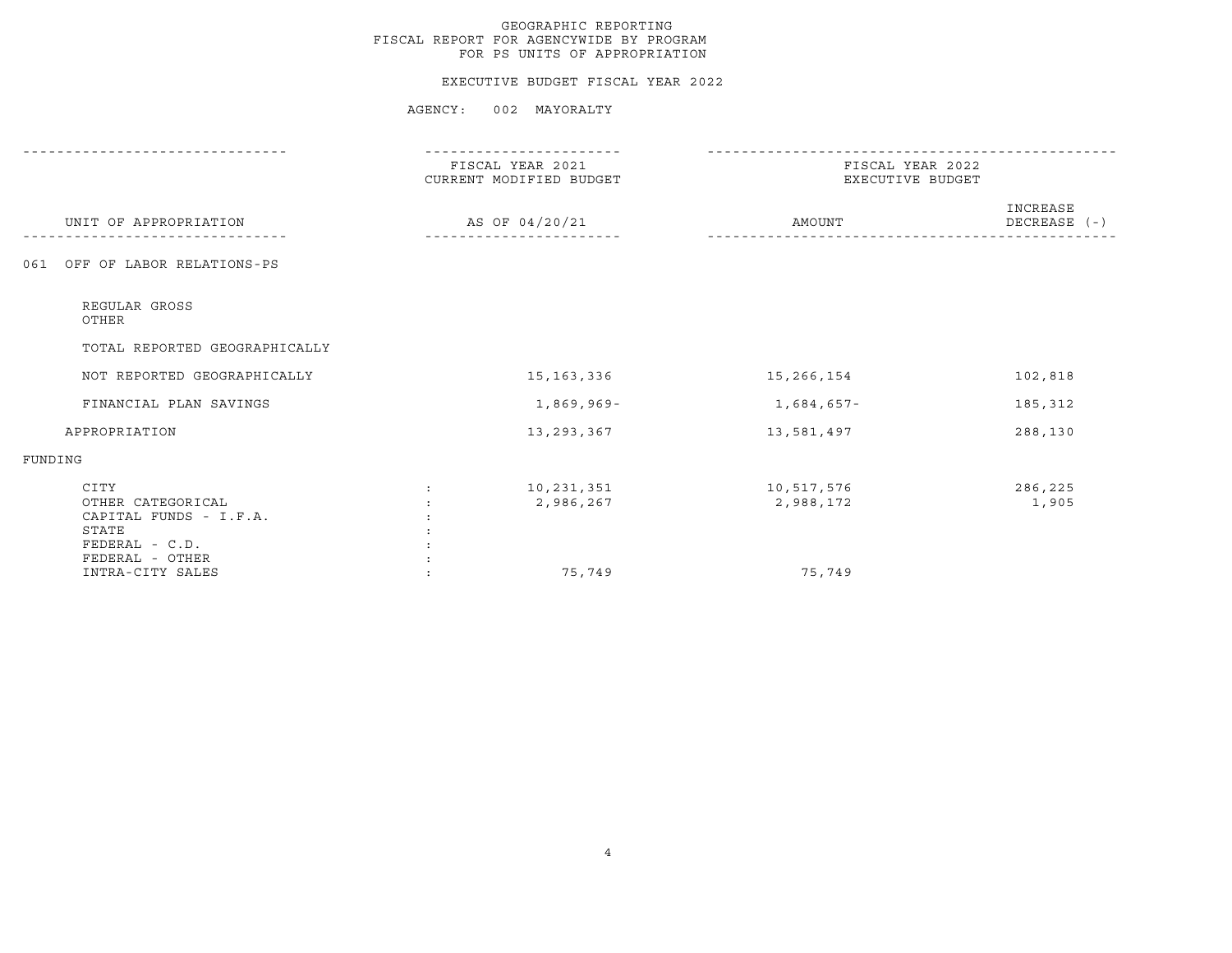#### EXECUTIVE BUDGET FISCAL YEAR 2022

|                                                                                                   | FISCAL YEAR 2021<br>CURRENT MODIFIED BUDGET |                         | FISCAL YEAR 2022<br>EXECUTIVE BUDGET |                          |
|---------------------------------------------------------------------------------------------------|---------------------------------------------|-------------------------|--------------------------------------|--------------------------|
| UNIT OF APPROPRIATION                                                                             |                                             | AS OF 04/20/21          | AMOUNT                               | INCREASE<br>DECREASE (-) |
| 061 OFF OF LABOR RELATIONS-PS                                                                     |                                             |                         |                                      |                          |
| REGULAR GROSS<br>OTHER                                                                            |                                             |                         |                                      |                          |
| TOTAL REPORTED GEOGRAPHICALLY                                                                     |                                             |                         |                                      |                          |
| NOT REPORTED GEOGRAPHICALLY                                                                       |                                             | 15, 163, 336            | 15,266,154                           | 102,818                  |
| FINANCIAL PLAN SAVINGS                                                                            |                                             | 1,869,969-              | $1,684,657-$                         | 185,312                  |
| APPROPRIATION                                                                                     |                                             | 13,293,367              | 13,581,497                           | 288,130                  |
| FUNDING                                                                                           |                                             |                         |                                      |                          |
| CITY<br>OTHER CATEGORICAL<br>CAPITAL FUNDS - I.F.A.<br>STATE<br>FEDERAL - C.D.<br>FEDERAL - OTHER | $\mathcal{L}$                               | 10,231,351<br>2,986,267 | 10,517,576<br>2,988,172              | 286,225<br>1,905         |
| INTRA-CITY SALES                                                                                  |                                             | 75,749                  | 75,749                               |                          |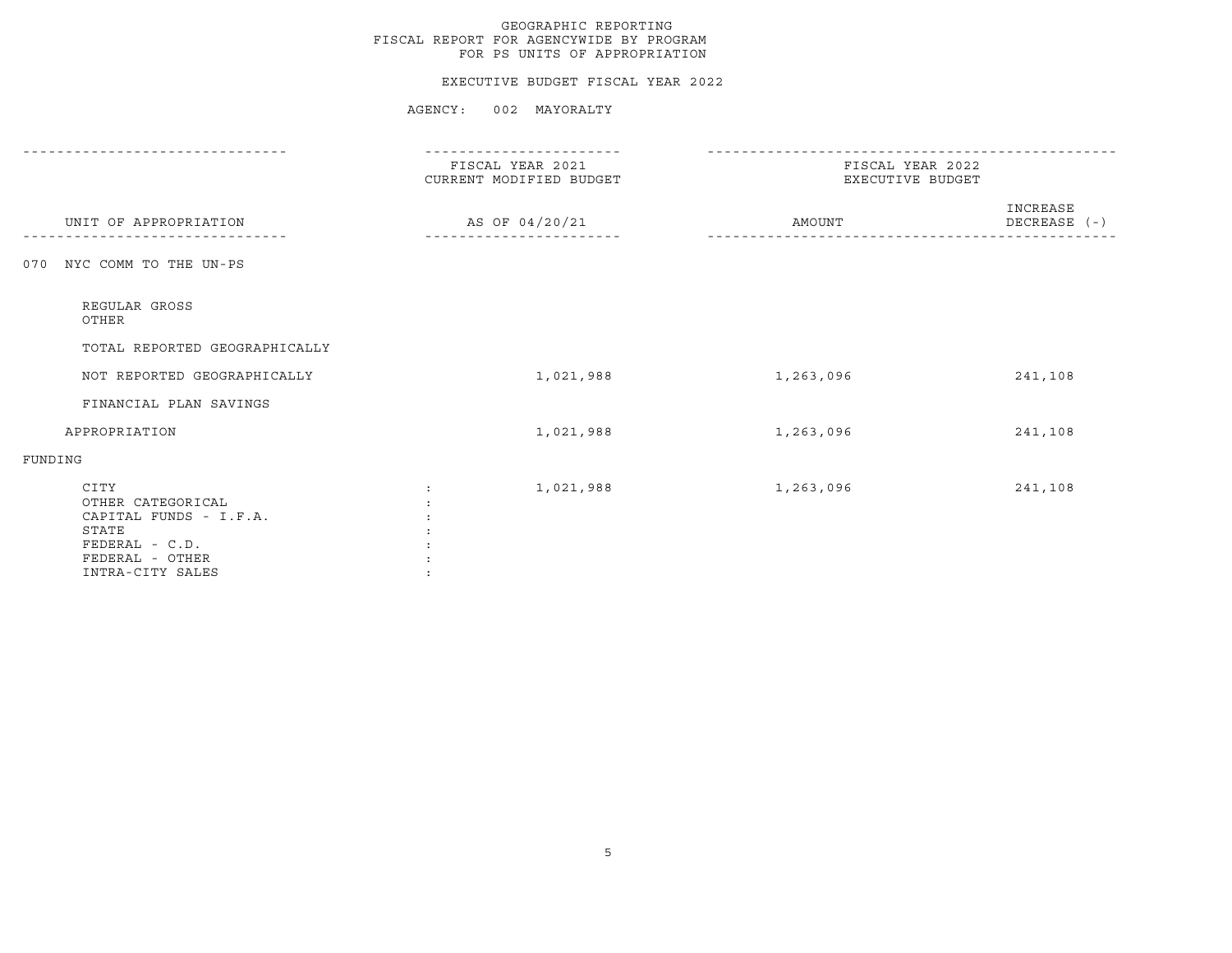#### EXECUTIVE BUDGET FISCAL YEAR 2022

|                                                                                                                       | FISCAL YEAR 2021<br>CURRENT MODIFIED BUDGET | FISCAL YEAR 2022<br>EXECUTIVE BUDGET |                          |
|-----------------------------------------------------------------------------------------------------------------------|---------------------------------------------|--------------------------------------|--------------------------|
| UNIT OF APPROPRIATION                                                                                                 | AS OF 04/20/21                              | AMOUNT                               | INCREASE<br>DECREASE (-) |
| NYC COMM TO THE UN-PS<br>070                                                                                          |                                             |                                      |                          |
| REGULAR GROSS<br>OTHER                                                                                                |                                             |                                      |                          |
| TOTAL REPORTED GEOGRAPHICALLY                                                                                         |                                             |                                      |                          |
| NOT REPORTED GEOGRAPHICALLY                                                                                           | 1,021,988                                   | 1,263,096                            | 241,108                  |
| FINANCIAL PLAN SAVINGS                                                                                                |                                             |                                      |                          |
| APPROPRIATION                                                                                                         | 1,021,988                                   | 1,263,096                            | 241,108                  |
| FUNDING                                                                                                               |                                             |                                      |                          |
| CITY<br>OTHER CATEGORICAL<br>CAPITAL FUNDS - I.F.A.<br>STATE<br>FEDERAL - C.D.<br>FEDERAL - OTHER<br>INTRA-CITY SALES | 1,021,988                                   | 1,263,096                            | 241,108                  |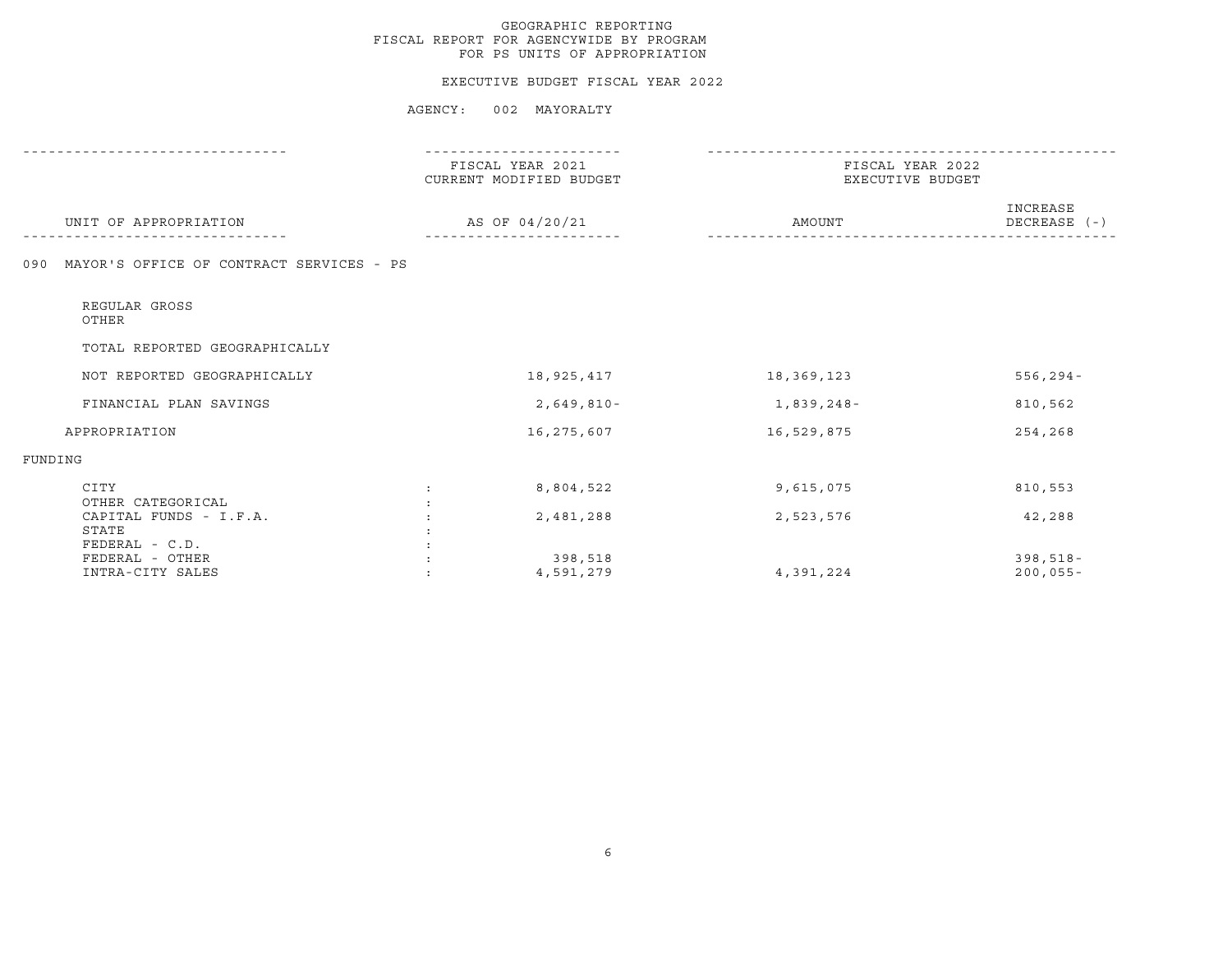#### EXECUTIVE BUDGET FISCAL YEAR 2022

|                                                 |               | FISCAL YEAR 2021<br>CURRENT MODIFIED BUDGET | FISCAL YEAR 2022<br>EXECUTIVE BUDGET |                          |
|-------------------------------------------------|---------------|---------------------------------------------|--------------------------------------|--------------------------|
| UNIT OF APPROPRIATION                           |               | AS OF 04/20/21                              | AMOUNT                               | INCREASE<br>DECREASE (-) |
| MAYOR'S OFFICE OF CONTRACT SERVICES - PS<br>090 |               |                                             |                                      |                          |
| REGULAR GROSS<br>OTHER                          |               |                                             |                                      |                          |
| TOTAL REPORTED GEOGRAPHICALLY                   |               |                                             |                                      |                          |
| NOT REPORTED GEOGRAPHICALLY                     |               | 18,925,417                                  | 18,369,123                           | $556, 294 -$             |
| FINANCIAL PLAN SAVINGS                          |               | $2,649,810-$                                | 1,839,248-                           | 810,562                  |
| APPROPRIATION                                   |               | 16,275,607                                  | 16,529,875                           | 254,268                  |
| FUNDING                                         |               |                                             |                                      |                          |
| CITY<br>OTHER CATEGORICAL                       | $\mathcal{L}$ | 8,804,522                                   | 9,615,075                            | 810,553                  |
| CAPITAL FUNDS - I.F.A.                          |               | 2,481,288                                   | 2,523,576                            | 42,288                   |
| STATE<br>FEDERAL - C.D.                         |               |                                             |                                      |                          |
| FEDERAL - OTHER                                 |               | 398,518                                     |                                      | $398,518-$               |
| INTRA-CITY SALES                                |               | 4,591,279                                   | 4,391,224                            | $200,055 -$              |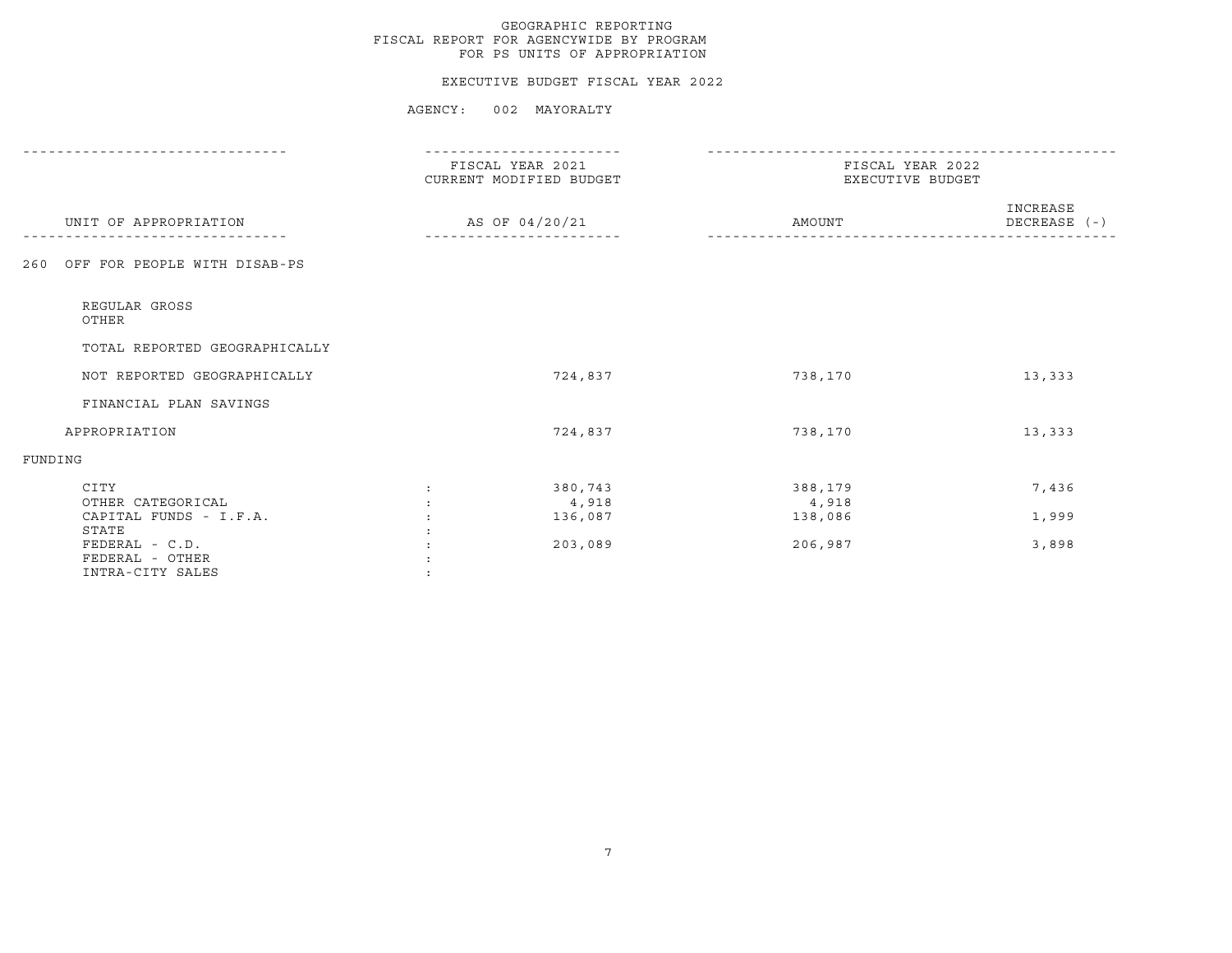#### EXECUTIVE BUDGET FISCAL YEAR 2022

|                                                                | FISCAL YEAR 2021<br>CURRENT MODIFIED BUDGET | FISCAL YEAR 2022<br>EXECUTIVE BUDGET |                          |
|----------------------------------------------------------------|---------------------------------------------|--------------------------------------|--------------------------|
| UNIT OF APPROPRIATION                                          | AS OF 04/20/21                              | AMOUNT                               | INCREASE<br>DECREASE (-) |
| OFF FOR PEOPLE WITH DISAB-PS<br>260                            |                                             |                                      |                          |
| REGULAR GROSS<br>OTHER                                         |                                             |                                      |                          |
| TOTAL REPORTED GEOGRAPHICALLY                                  |                                             |                                      |                          |
| NOT REPORTED GEOGRAPHICALLY                                    | 724,837                                     | 738,170                              | 13,333                   |
| FINANCIAL PLAN SAVINGS                                         |                                             |                                      |                          |
| APPROPRIATION                                                  | 724,837                                     | 738,170                              | 13,333                   |
| FUNDING                                                        |                                             |                                      |                          |
| CITY<br>OTHER CATEGORICAL                                      | 380,743<br>$\ddot{\cdot}$<br>4,918          | 388,179<br>4,918                     | 7,436                    |
| CAPITAL FUNDS - I.F.A.                                         | 136,087                                     | 138,086                              | 1,999                    |
| STATE<br>FEDERAL - C.D.<br>FEDERAL - OTHER<br>INTRA-CITY SALES | 203,089                                     | 206,987                              | 3,898                    |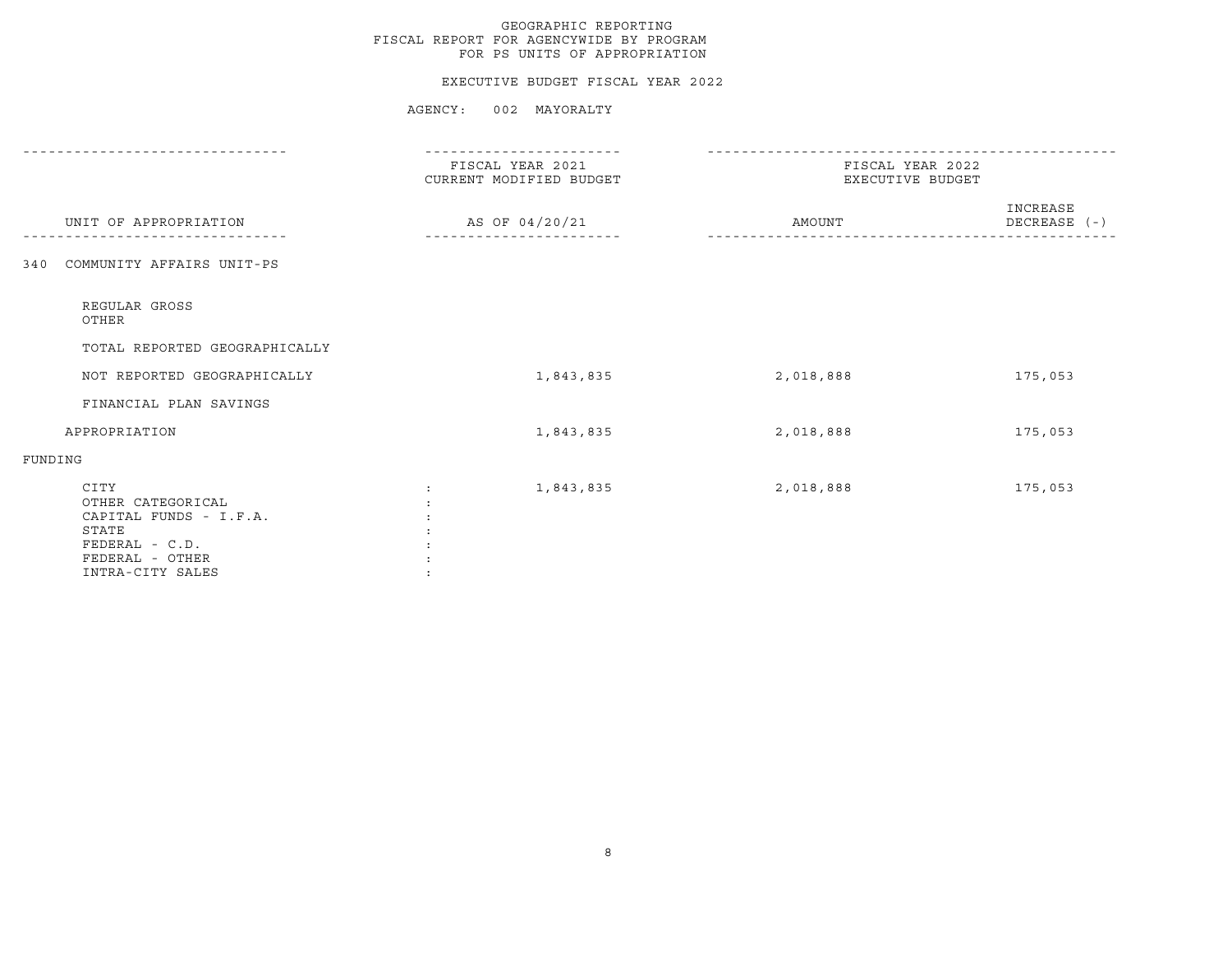#### EXECUTIVE BUDGET FISCAL YEAR 2022

|                                                                                                                         | FISCAL YEAR 2021<br>CURRENT MODIFIED BUDGET | FISCAL YEAR 2022<br>EXECUTIVE BUDGET |                          |
|-------------------------------------------------------------------------------------------------------------------------|---------------------------------------------|--------------------------------------|--------------------------|
| UNIT OF APPROPRIATION                                                                                                   | AS OF 04/20/21                              | AMOUNT                               | INCREASE<br>DECREASE (-) |
| COMMUNITY AFFAIRS UNIT-PS<br>340                                                                                        |                                             |                                      |                          |
| REGULAR GROSS<br>OTHER                                                                                                  |                                             |                                      |                          |
| TOTAL REPORTED GEOGRAPHICALLY                                                                                           |                                             |                                      |                          |
| NOT REPORTED GEOGRAPHICALLY                                                                                             | 1,843,835                                   | 2,018,888                            | 175,053                  |
| FINANCIAL PLAN SAVINGS                                                                                                  |                                             |                                      |                          |
| APPROPRIATION                                                                                                           | 1,843,835                                   | 2,018,888                            | 175,053                  |
| FUNDING                                                                                                                 |                                             |                                      |                          |
| CITY<br>OTHER CATEGORICAL<br>CAPITAL FUNDS - I.F.A.<br>STATE<br>$FEDERAL - C.D.$<br>FEDERAL - OTHER<br>INTRA-CITY SALES | 1,843,835                                   | 2,018,888                            | 175,053                  |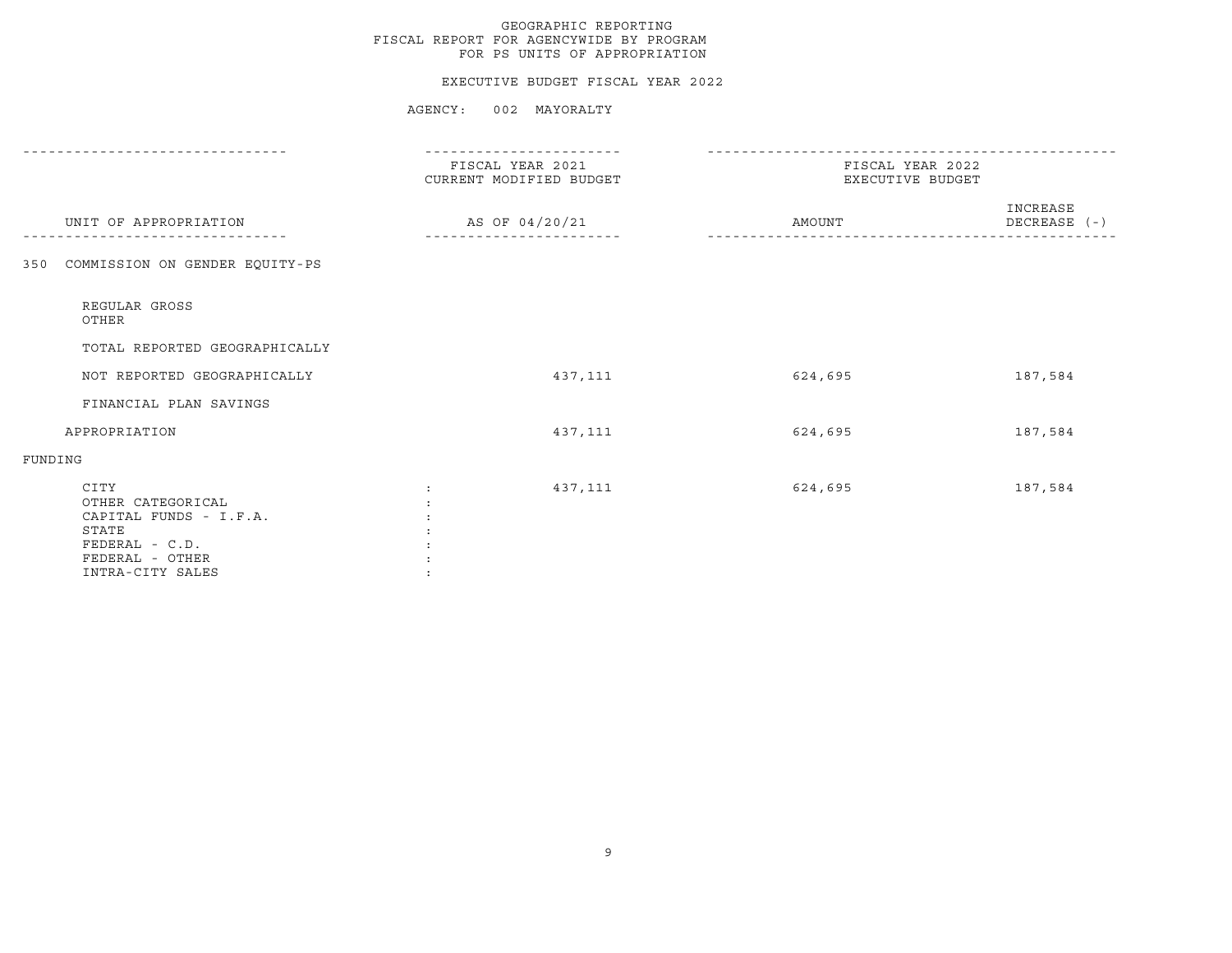#### EXECUTIVE BUDGET FISCAL YEAR 2022

|                                                                                                                       | FISCAL YEAR 2021<br>CURRENT MODIFIED BUDGET | FISCAL YEAR 2022<br>EXECUTIVE BUDGET |                          |
|-----------------------------------------------------------------------------------------------------------------------|---------------------------------------------|--------------------------------------|--------------------------|
| UNIT OF APPROPRIATION                                                                                                 | AS OF 04/20/21                              | AMOUNT                               | INCREASE<br>DECREASE (-) |
| 350 COMMISSION ON GENDER EQUITY-PS                                                                                    |                                             |                                      |                          |
| REGULAR GROSS<br>OTHER                                                                                                |                                             |                                      |                          |
| TOTAL REPORTED GEOGRAPHICALLY                                                                                         |                                             |                                      |                          |
| NOT REPORTED GEOGRAPHICALLY                                                                                           | 437,111                                     | 624,695                              | 187,584                  |
| FINANCIAL PLAN SAVINGS                                                                                                |                                             |                                      |                          |
| APPROPRIATION                                                                                                         | 437,111                                     | 624,695                              | 187,584                  |
| FUNDING                                                                                                               |                                             |                                      |                          |
| CITY<br>OTHER CATEGORICAL<br>CAPITAL FUNDS - I.F.A.<br>STATE<br>FEDERAL - C.D.<br>FEDERAL - OTHER<br>INTRA-CITY SALES | 437,111<br>$\ddot{\cdot}$                   | 624,695                              | 187,584                  |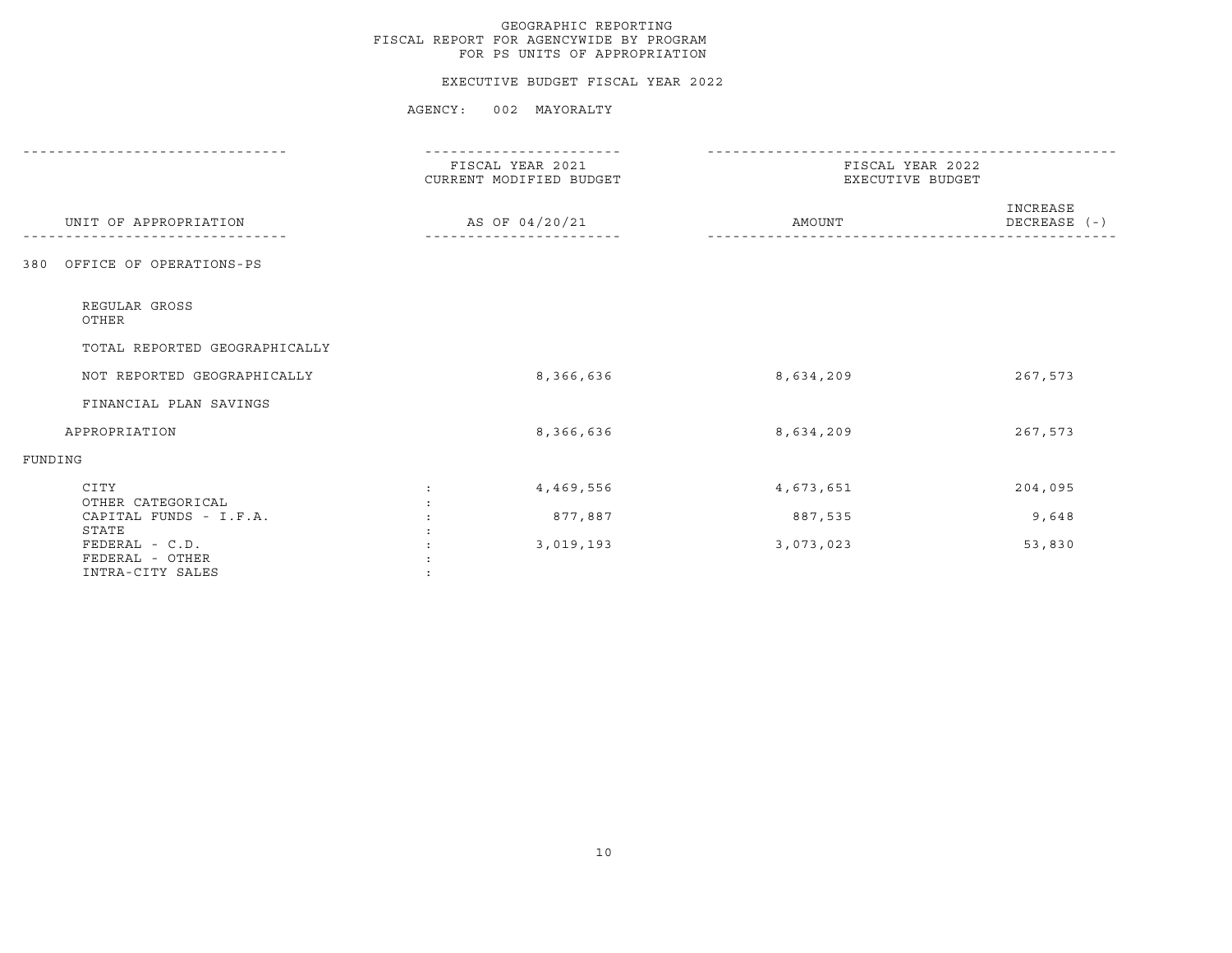#### EXECUTIVE BUDGET FISCAL YEAR 2022

|                                                                | FISCAL YEAR 2021<br>CURRENT MODIFIED BUDGET | FISCAL YEAR 2022<br>EXECUTIVE BUDGET |                          |
|----------------------------------------------------------------|---------------------------------------------|--------------------------------------|--------------------------|
| UNIT OF APPROPRIATION                                          | AS OF 04/20/21                              | AMOUNT                               | INCREASE<br>DECREASE (-) |
| OFFICE OF OPERATIONS-PS<br>380                                 |                                             |                                      |                          |
| REGULAR GROSS<br>OTHER                                         |                                             |                                      |                          |
| TOTAL REPORTED GEOGRAPHICALLY                                  |                                             |                                      |                          |
| NOT REPORTED GEOGRAPHICALLY                                    | 8,366,636                                   | 8,634,209                            | 267,573                  |
| FINANCIAL PLAN SAVINGS                                         |                                             |                                      |                          |
| APPROPRIATION                                                  | 8,366,636                                   | 8,634,209                            | 267,573                  |
| FUNDING                                                        |                                             |                                      |                          |
| CITY<br>OTHER CATEGORICAL                                      | 4,469,556<br>$\ddot{\phantom{a}}$           | 4,673,651                            | 204,095                  |
| CAPITAL FUNDS - I.F.A.                                         | 877,887                                     | 887,535                              | 9,648                    |
| STATE<br>FEDERAL - C.D.<br>FEDERAL - OTHER<br>INTRA-CITY SALES | 3,019,193                                   | 3,073,023                            | 53,830                   |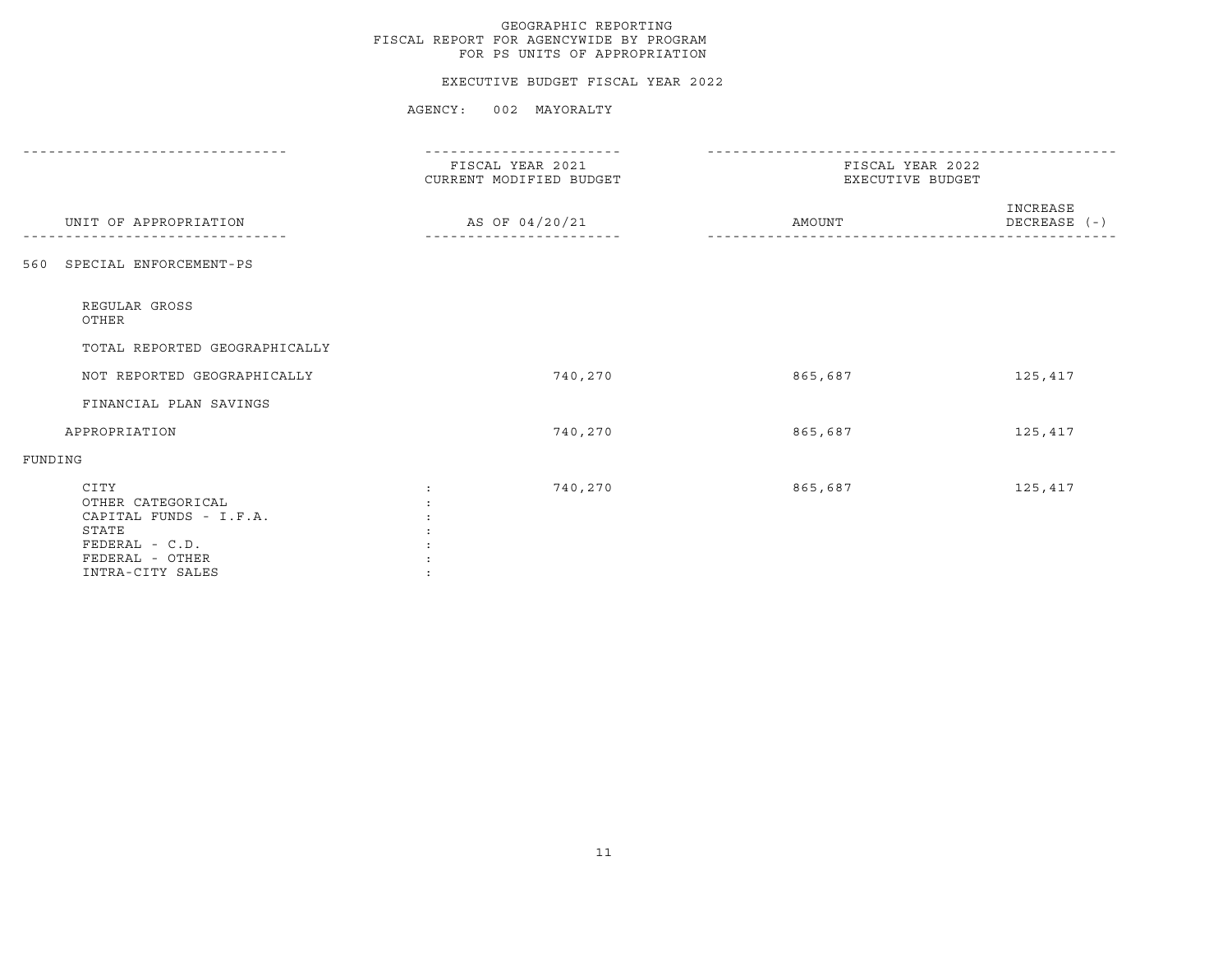#### EXECUTIVE BUDGET FISCAL YEAR 2022

|                                                                                                                         | FISCAL YEAR 2021<br>CURRENT MODIFIED BUDGET | FISCAL YEAR 2022<br>EXECUTIVE BUDGET |                          |
|-------------------------------------------------------------------------------------------------------------------------|---------------------------------------------|--------------------------------------|--------------------------|
| UNIT OF APPROPRIATION                                                                                                   | AS OF 04/20/21                              | AMOUNT                               | INCREASE<br>DECREASE (-) |
| SPECIAL ENFORCEMENT-PS<br>560                                                                                           |                                             |                                      |                          |
| REGULAR GROSS<br>OTHER                                                                                                  |                                             |                                      |                          |
| TOTAL REPORTED GEOGRAPHICALLY                                                                                           |                                             |                                      |                          |
| NOT REPORTED GEOGRAPHICALLY                                                                                             | 740,270                                     | 865,687                              | 125,417                  |
| FINANCIAL PLAN SAVINGS                                                                                                  |                                             |                                      |                          |
| APPROPRIATION                                                                                                           | 740,270                                     | 865,687                              | 125,417                  |
| FUNDING                                                                                                                 |                                             |                                      |                          |
| CITY<br>OTHER CATEGORICAL<br>CAPITAL FUNDS - I.F.A.<br>STATE<br>$FEDERAL - C.D.$<br>FEDERAL - OTHER<br>INTRA-CITY SALES | 740,270<br>$\ddot{\cdot}$                   | 865,687                              | 125,417                  |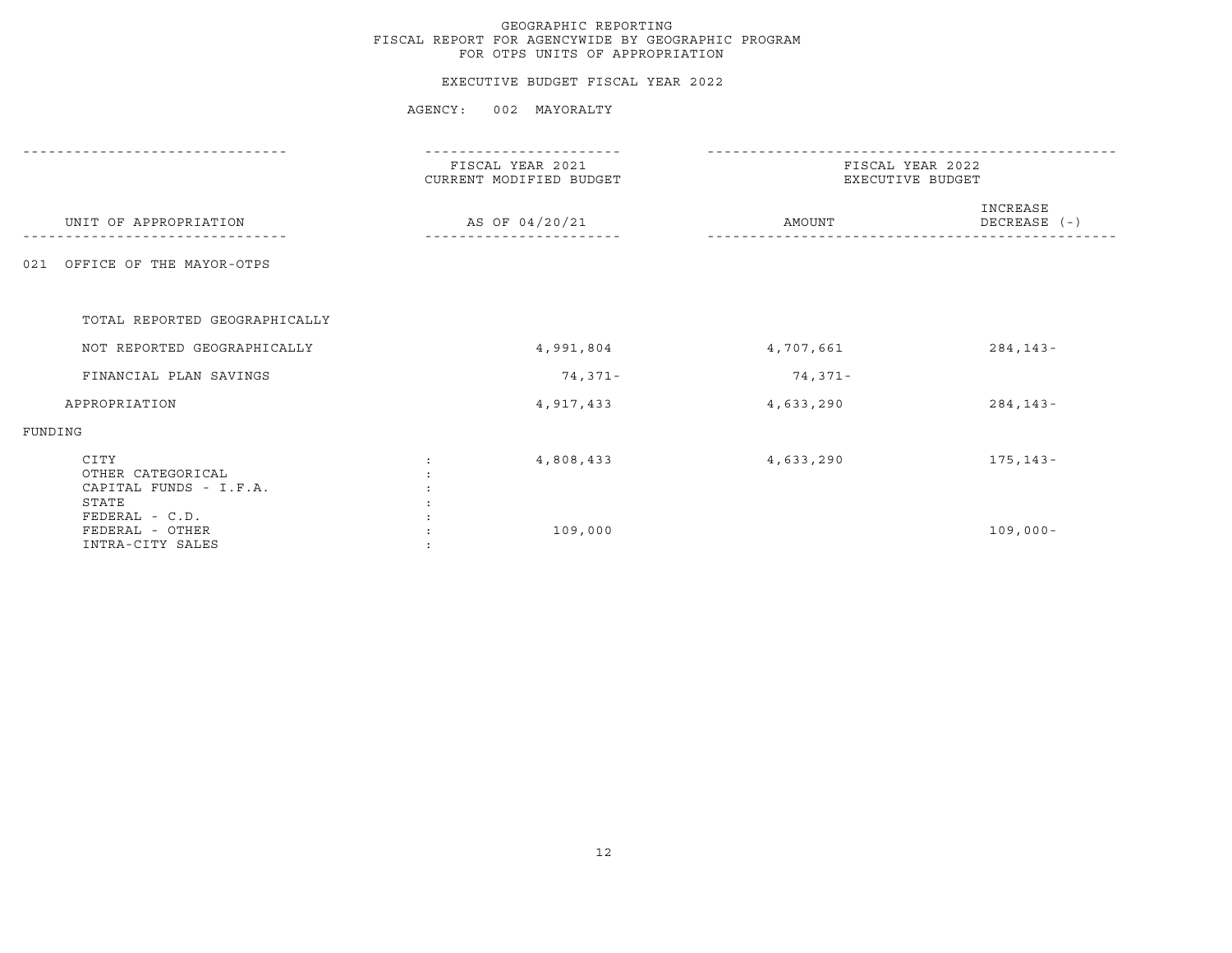#### EXECUTIVE BUDGET FISCAL YEAR 2022

|                                                              | FISCAL YEAR 2021<br>CURRENT MODIFIED BUDGET | FISCAL YEAR 2022<br>EXECUTIVE BUDGET |                          |  |
|--------------------------------------------------------------|---------------------------------------------|--------------------------------------|--------------------------|--|
| UNIT OF APPROPRIATION                                        | AS OF 04/20/21                              | AMOUNT                               | INCREASE<br>DECREASE (-) |  |
| OFFICE OF THE MAYOR-OTPS<br>021                              |                                             |                                      |                          |  |
| TOTAL REPORTED GEOGRAPHICALLY                                |                                             |                                      |                          |  |
| NOT REPORTED GEOGRAPHICALLY                                  | 4,991,804                                   | 4,707,661                            | $284, 143 -$             |  |
| FINANCIAL PLAN SAVINGS                                       | 74,371-                                     | 74,371-                              |                          |  |
| APPROPRIATION                                                | 4,917,433                                   | 4,633,290                            | $284, 143 -$             |  |
| FUNDING                                                      |                                             |                                      |                          |  |
| CITY<br>OTHER CATEGORICAL<br>CAPITAL FUNDS - I.F.A.<br>STATE | 4,808,433                                   | 4,633,290                            | $175, 143 -$             |  |
| FEDERAL - C.D.<br>FEDERAL - OTHER<br>INTRA-CITY SALES        | 109,000                                     |                                      | $109,000 -$              |  |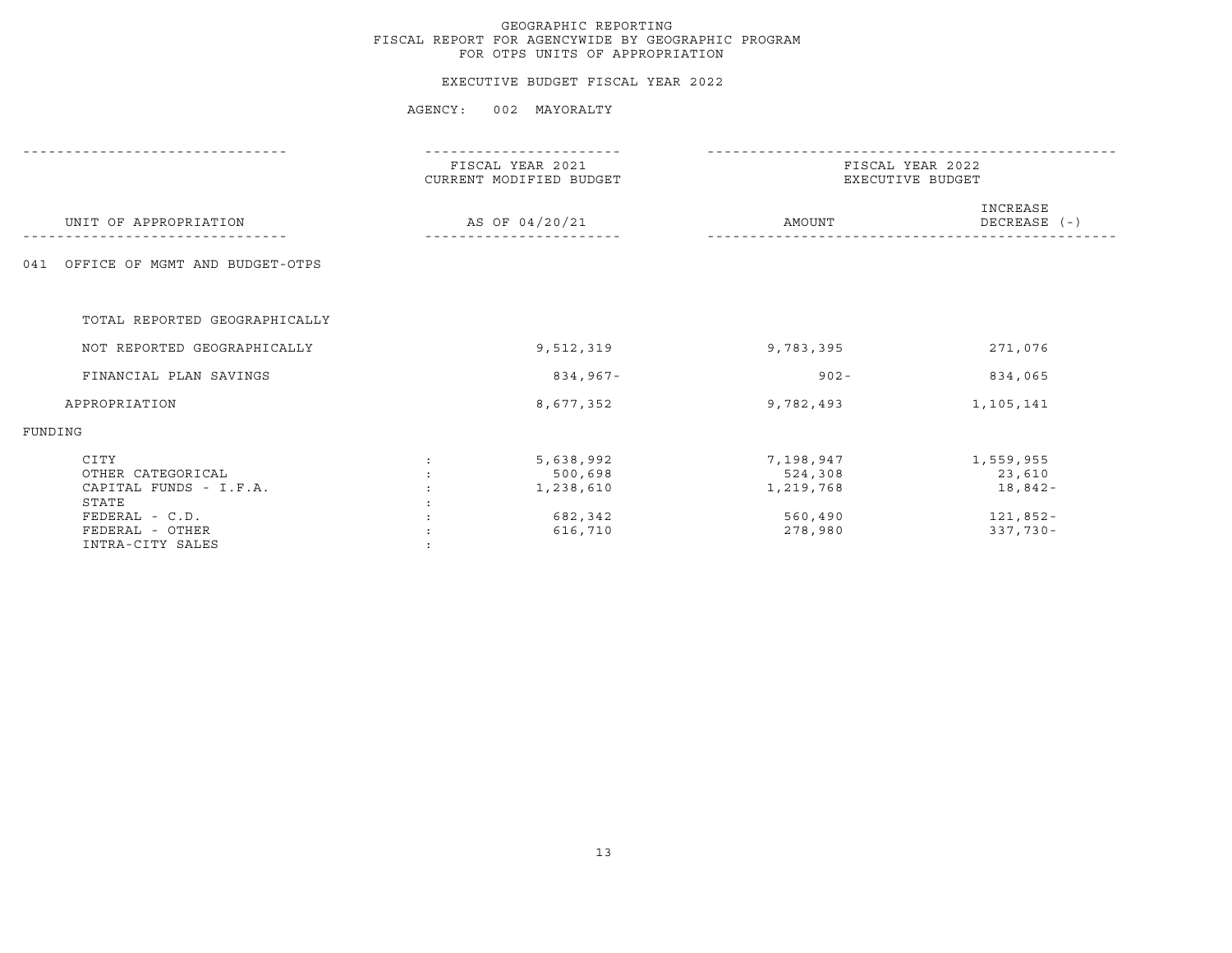#### EXECUTIVE BUDGET FISCAL YEAR 2022

|                                                                                |                | FISCAL YEAR 2021<br>CURRENT MODIFIED BUDGET  | FISCAL YEAR 2022<br>EXECUTIVE BUDGET         |                                            |  |
|--------------------------------------------------------------------------------|----------------|----------------------------------------------|----------------------------------------------|--------------------------------------------|--|
| UNIT OF APPROPRIATION                                                          | AS OF 04/20/21 |                                              | AMOUNT                                       | INCREASE<br>DECREASE (-)                   |  |
| OFFICE OF MGMT AND BUDGET-OTPS<br>041                                          |                |                                              |                                              |                                            |  |
| TOTAL REPORTED GEOGRAPHICALLY                                                  |                |                                              |                                              |                                            |  |
| NOT REPORTED GEOGRAPHICALLY                                                    |                | 9,512,319                                    | 9,783,395                                    | 271,076                                    |  |
| FINANCIAL PLAN SAVINGS                                                         |                | 834,967-                                     | $902 -$                                      | 834,065                                    |  |
| APPROPRIATION                                                                  |                | 8,677,352                                    | 9,782,493                                    | 1,105,141                                  |  |
| FUNDING                                                                        |                |                                              |                                              |                                            |  |
| CITY<br>OTHER CATEGORICAL<br>CAPITAL FUNDS - I.F.A.<br>STATE<br>FEDERAL - C.D. |                | 5,638,992<br>500,698<br>1,238,610<br>682,342 | 7,198,947<br>524,308<br>1,219,768<br>560,490 | 1,559,955<br>23,610<br>18,842-<br>121,852- |  |
| FEDERAL - OTHER<br>INTRA-CITY SALES                                            |                | 616,710                                      | 278,980                                      | $337,730 -$                                |  |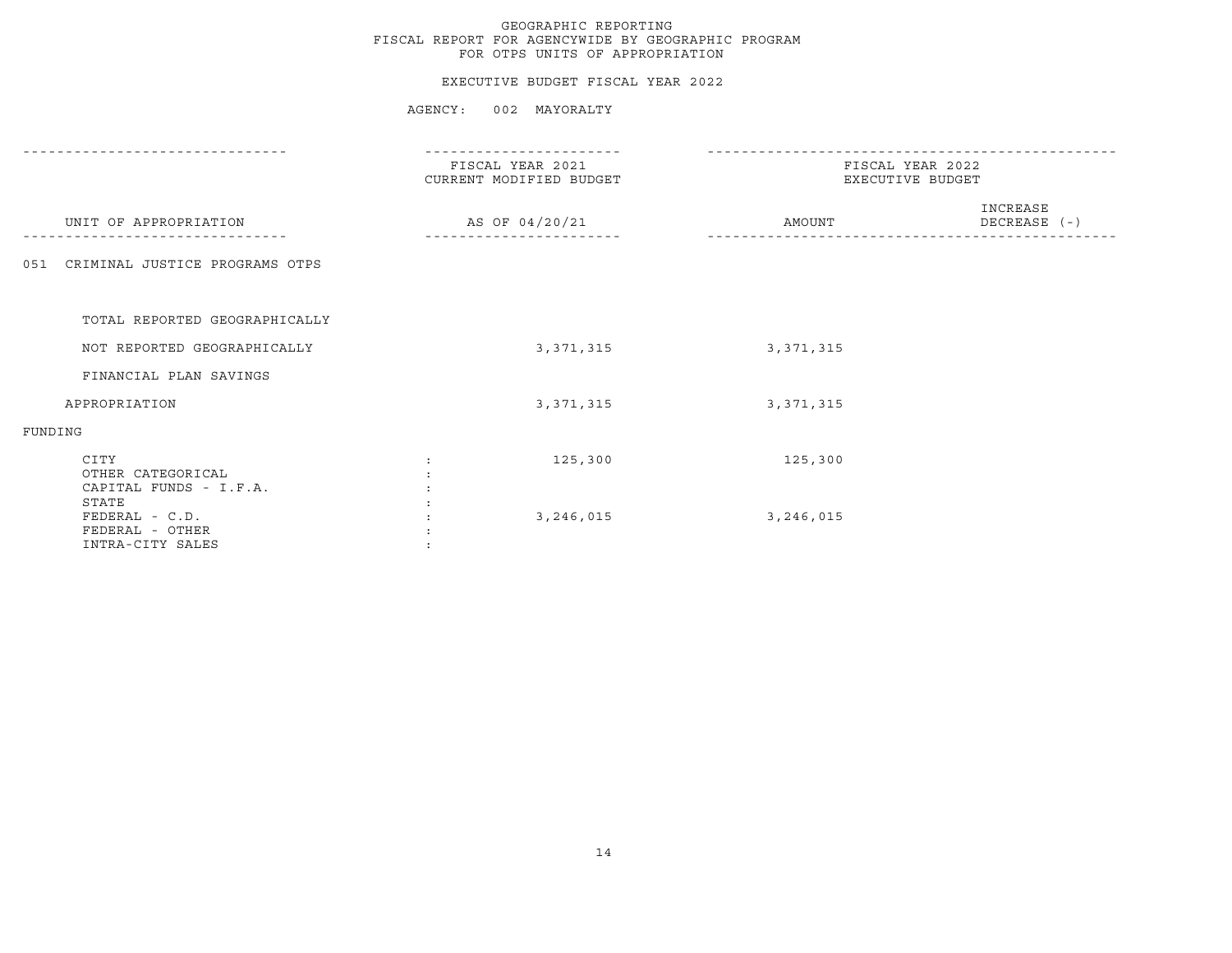#### EXECUTIVE BUDGET FISCAL YEAR 2022

|                                                              | FISCAL YEAR 2021<br>CURRENT MODIFIED BUDGET | FISCAL YEAR 2022<br>EXECUTIVE BUDGET |                          |  |
|--------------------------------------------------------------|---------------------------------------------|--------------------------------------|--------------------------|--|
| UNIT OF APPROPRIATION                                        | AS OF 04/20/21                              | AMOUNT                               | INCREASE<br>DECREASE (-) |  |
| CRIMINAL JUSTICE PROGRAMS OTPS<br>051                        |                                             |                                      |                          |  |
| TOTAL REPORTED GEOGRAPHICALLY                                |                                             |                                      |                          |  |
| NOT REPORTED GEOGRAPHICALLY                                  | 3, 371, 315                                 | 3, 371, 315                          |                          |  |
| FINANCIAL PLAN SAVINGS                                       |                                             |                                      |                          |  |
| APPROPRIATION                                                | 3, 371, 315                                 | 3, 371, 315                          |                          |  |
| FUNDING                                                      |                                             |                                      |                          |  |
| CITY<br>OTHER CATEGORICAL<br>CAPITAL FUNDS - I.F.A.<br>STATE | 125,300                                     | 125,300                              |                          |  |
| FEDERAL - C.D.<br>FEDERAL - OTHER<br>INTRA-CITY SALES        | 3,246,015                                   | 3,246,015                            |                          |  |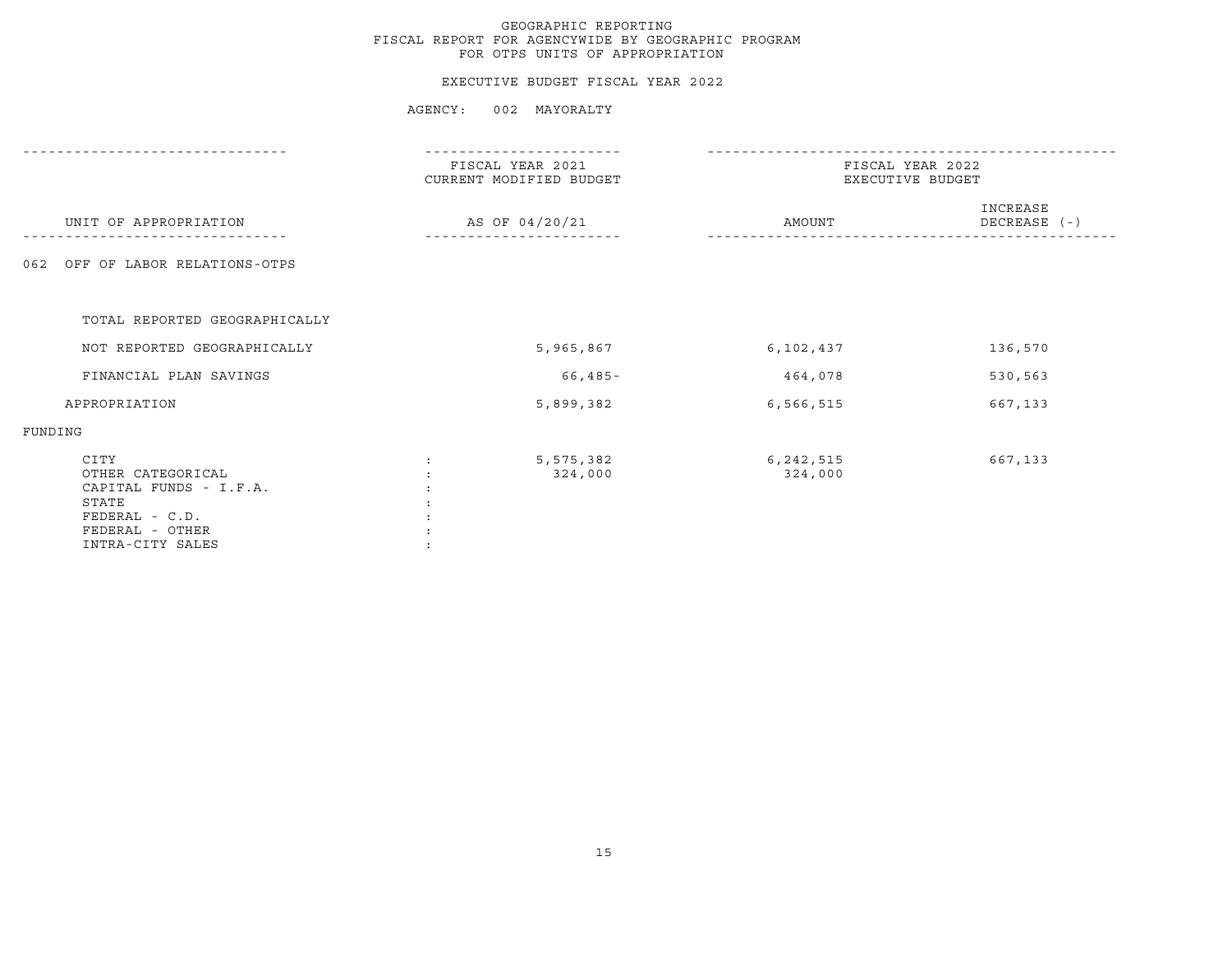#### EXECUTIVE BUDGET FISCAL YEAR 2022

|                                                                                                                         | FISCAL YEAR 2021<br>CURRENT MODIFIED BUDGET<br>AS OF 04/20/21 |                      | FISCAL YEAR 2022<br>EXECUTIVE BUDGET |  |                          |
|-------------------------------------------------------------------------------------------------------------------------|---------------------------------------------------------------|----------------------|--------------------------------------|--|--------------------------|
| UNIT OF APPROPRIATION                                                                                                   |                                                               |                      | AMOUNT                               |  | INCREASE<br>DECREASE (-) |
| OFF OF LABOR RELATIONS-OTPS<br>062                                                                                      |                                                               |                      |                                      |  |                          |
| TOTAL REPORTED GEOGRAPHICALLY                                                                                           |                                                               |                      |                                      |  |                          |
| NOT REPORTED GEOGRAPHICALLY                                                                                             |                                                               | 5,965,867            | 6,102,437                            |  | 136,570                  |
| FINANCIAL PLAN SAVINGS                                                                                                  |                                                               | 66,485-              | 464,078                              |  | 530,563                  |
| APPROPRIATION                                                                                                           |                                                               | 5,899,382            | 6,566,515                            |  | 667,133                  |
| FUNDING                                                                                                                 |                                                               |                      |                                      |  |                          |
| CITY<br>OTHER CATEGORICAL<br>CAPITAL FUNDS - I.F.A.<br>STATE<br>$FEDERAL - C.D.$<br>FEDERAL - OTHER<br>INTRA-CITY SALES |                                                               | 5,575,382<br>324,000 | 6, 242, 515<br>324,000               |  | 667,133                  |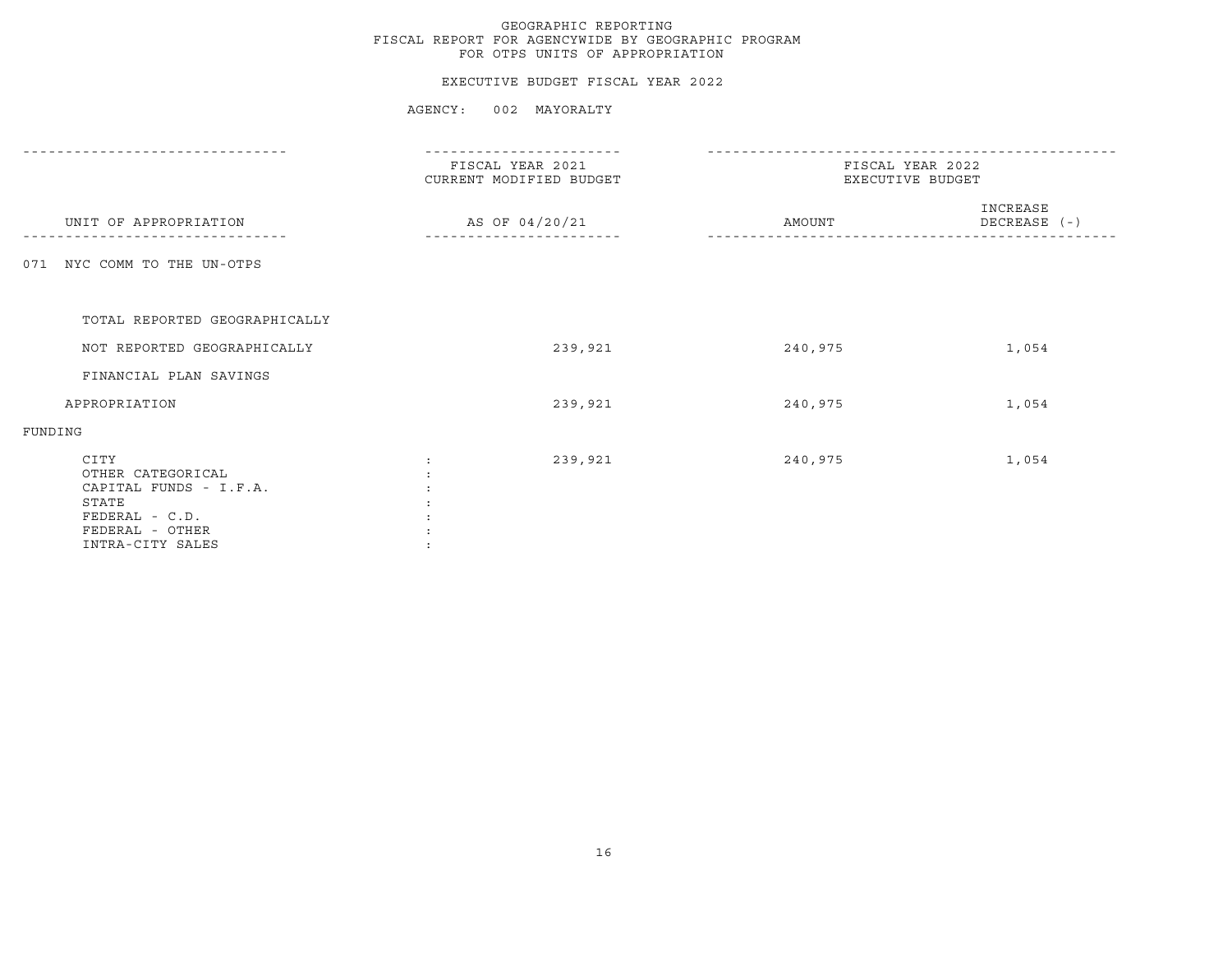#### EXECUTIVE BUDGET FISCAL YEAR 2022

|                                                                                                                         | FISCAL YEAR 2021<br>CURRENT MODIFIED BUDGET |                | FISCAL YEAR 2022<br>EXECUTIVE BUDGET |                          |  |
|-------------------------------------------------------------------------------------------------------------------------|---------------------------------------------|----------------|--------------------------------------|--------------------------|--|
| UNIT OF APPROPRIATION                                                                                                   |                                             | AS OF 04/20/21 | AMOUNT                               | INCREASE<br>DECREASE (-) |  |
| 071 NYC COMM TO THE UN-OTPS                                                                                             |                                             |                |                                      |                          |  |
| TOTAL REPORTED GEOGRAPHICALLY                                                                                           |                                             |                |                                      |                          |  |
| NOT REPORTED GEOGRAPHICALLY                                                                                             |                                             | 239,921        | 240,975                              | 1,054                    |  |
| FINANCIAL PLAN SAVINGS                                                                                                  |                                             |                |                                      |                          |  |
| APPROPRIATION                                                                                                           |                                             | 239,921        | 240,975                              | 1,054                    |  |
| FUNDING                                                                                                                 |                                             |                |                                      |                          |  |
| CITY<br>OTHER CATEGORICAL<br>CAPITAL FUNDS - I.F.A.<br>STATE<br>$FEDERAL - C.D.$<br>FEDERAL - OTHER<br>INTRA-CITY SALES |                                             | 239,921        | 240,975                              | 1,054                    |  |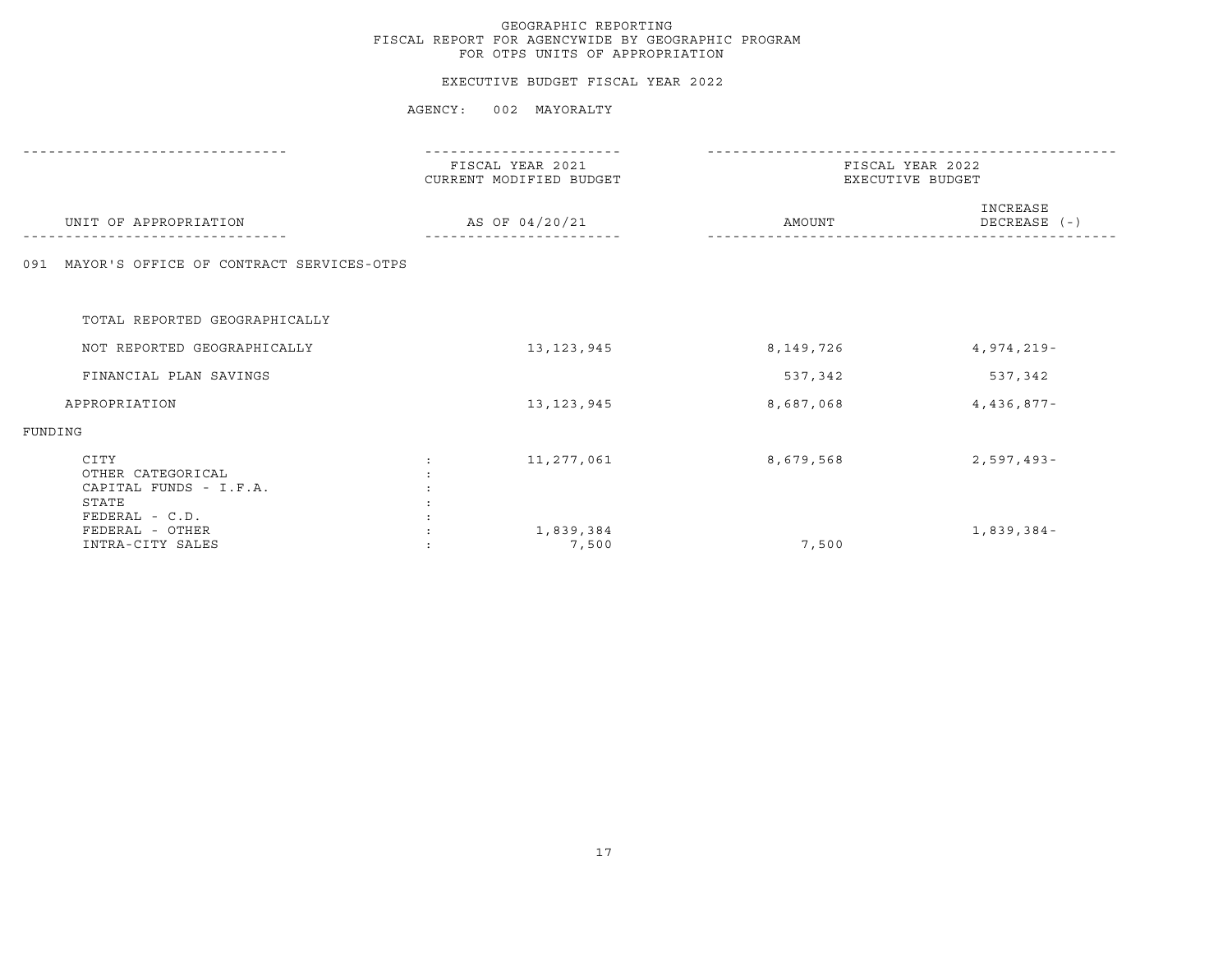#### EXECUTIVE BUDGET FISCAL YEAR 2022

|                                                              | FISCAL YEAR 2021<br>CURRENT MODIFIED BUDGET | FISCAL YEAR 2022<br>EXECUTIVE BUDGET |                          |  |
|--------------------------------------------------------------|---------------------------------------------|--------------------------------------|--------------------------|--|
| UNIT OF APPROPRIATION                                        | AS OF 04/20/21                              | AMOUNT                               | INCREASE<br>DECREASE (-) |  |
| MAYOR'S OFFICE OF CONTRACT SERVICES-OTPS<br>091              |                                             |                                      |                          |  |
| TOTAL REPORTED GEOGRAPHICALLY                                |                                             |                                      |                          |  |
| NOT REPORTED GEOGRAPHICALLY                                  | 13, 123, 945                                | 8,149,726                            | $4,974,219-$             |  |
| FINANCIAL PLAN SAVINGS                                       |                                             | 537,342                              | 537,342                  |  |
| APPROPRIATION                                                | 13, 123, 945                                | 8,687,068                            | $4,436,877-$             |  |
| FUNDING                                                      |                                             |                                      |                          |  |
| CITY<br>OTHER CATEGORICAL<br>CAPITAL FUNDS - I.F.A.<br>STATE | 11,277,061                                  | 8,679,568                            | $2,597,493-$             |  |
| $FEDERAL - C.D.$<br>FEDERAL - OTHER<br>INTRA-CITY SALES      | 1,839,384<br>7,500                          | 7,500                                | $1,839,384-$             |  |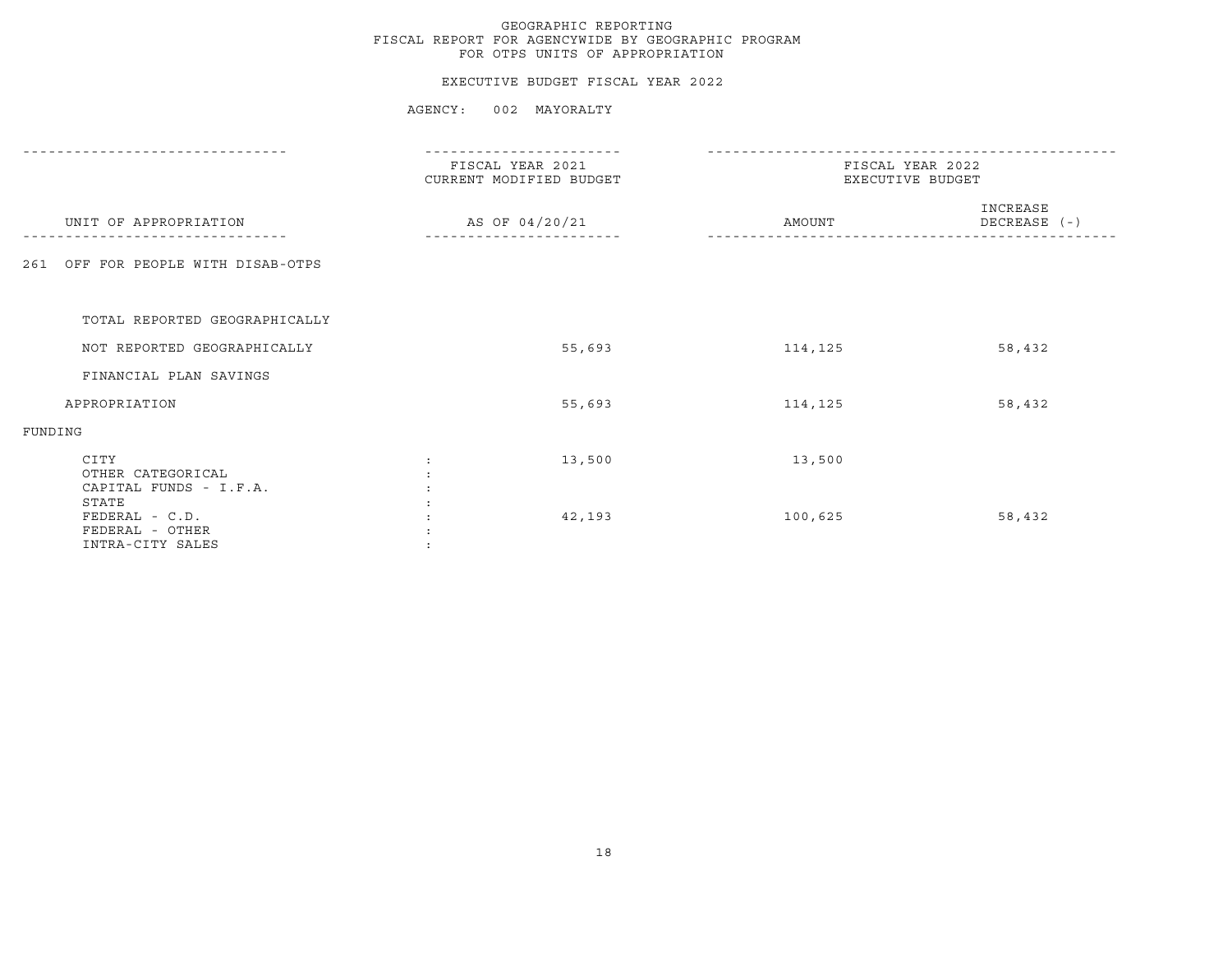#### EXECUTIVE BUDGET FISCAL YEAR 2022

|                                                              | FISCAL YEAR 2021<br>CURRENT MODIFIED BUDGET<br>AS OF 04/20/21 |        | FISCAL YEAR 2022<br>EXECUTIVE BUDGET |                          |  |
|--------------------------------------------------------------|---------------------------------------------------------------|--------|--------------------------------------|--------------------------|--|
| UNIT OF APPROPRIATION                                        |                                                               |        | AMOUNT                               | INCREASE<br>DECREASE (-) |  |
| OFF FOR PEOPLE WITH DISAB-OTPS<br>261                        |                                                               |        |                                      |                          |  |
| TOTAL REPORTED GEOGRAPHICALLY                                |                                                               |        |                                      |                          |  |
| NOT REPORTED GEOGRAPHICALLY                                  |                                                               | 55,693 | 114,125                              | 58,432                   |  |
| FINANCIAL PLAN SAVINGS                                       |                                                               |        |                                      |                          |  |
| APPROPRIATION                                                |                                                               | 55,693 | 114,125                              | 58,432                   |  |
| FUNDING                                                      |                                                               |        |                                      |                          |  |
| CITY<br>OTHER CATEGORICAL<br>CAPITAL FUNDS - I.F.A.<br>STATE |                                                               | 13,500 | 13,500                               |                          |  |
| FEDERAL - C.D.<br>FEDERAL - OTHER<br>INTRA-CITY SALES        |                                                               | 42,193 | 100,625                              | 58,432                   |  |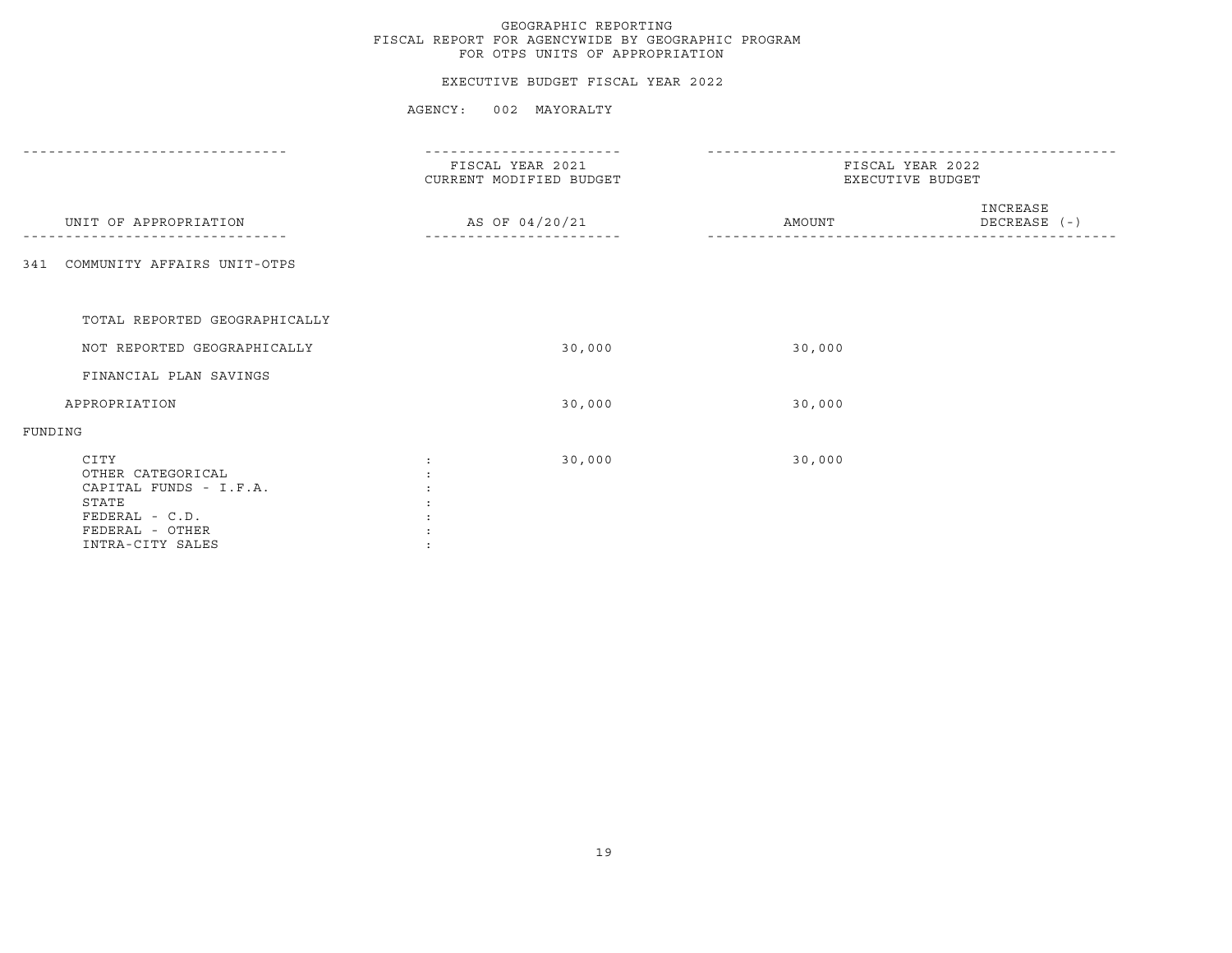#### EXECUTIVE BUDGET FISCAL YEAR 2022

|                                    | FISCAL YEAR 2021<br>CURRENT MODIFIED BUDGET | FISCAL YEAR 2022<br>EXECUTIVE BUDGET |  |  |
|------------------------------------|---------------------------------------------|--------------------------------------|--|--|
| UNIT OF APPROPRIATION              | AS OF 04/20/21                              | INCREASE<br>DECREASE (-)<br>AMOUNT   |  |  |
| COMMUNITY AFFAIRS UNIT-OTPS<br>341 |                                             |                                      |  |  |
|                                    |                                             |                                      |  |  |
| TOTAL REPORTED GEOGRAPHICALLY      |                                             |                                      |  |  |
| NOT REPORTED GEOGRAPHICALLY        | 30,000                                      | 30,000                               |  |  |
| FINANCIAL PLAN SAVINGS             |                                             |                                      |  |  |
| APPROPRIATION                      | 30,000                                      | 30,000                               |  |  |
| FUNDING                            |                                             |                                      |  |  |
| CITY                               | 30,000<br>$\ddot{\cdot}$                    | 30,000                               |  |  |
| OTHER CATEGORICAL                  |                                             |                                      |  |  |
| CAPITAL FUNDS - I.F.A.             |                                             |                                      |  |  |
| STATE                              |                                             |                                      |  |  |
| FEDERAL - C.D.<br>FEDERAL - OTHER  |                                             |                                      |  |  |
| INTRA-CITY SALES                   |                                             |                                      |  |  |
|                                    |                                             |                                      |  |  |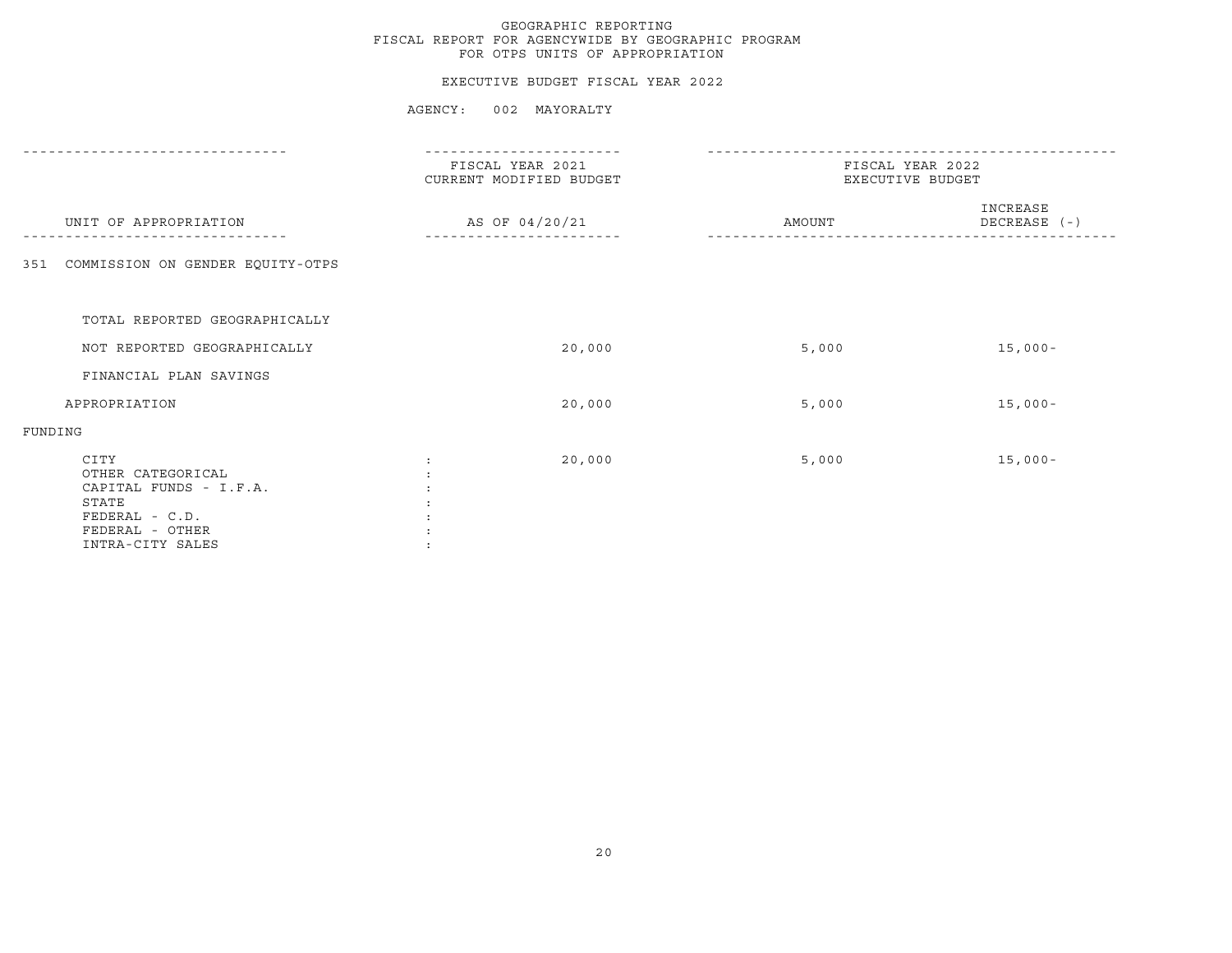#### EXECUTIVE BUDGET FISCAL YEAR 2022

|                                                                                                                       | FISCAL YEAR 2021<br>CURRENT MODIFIED BUDGET |                | FISCAL YEAR 2022<br>EXECUTIVE BUDGET |                          |  |
|-----------------------------------------------------------------------------------------------------------------------|---------------------------------------------|----------------|--------------------------------------|--------------------------|--|
| UNIT OF APPROPRIATION                                                                                                 |                                             | AS OF 04/20/21 | AMOUNT                               | INCREASE<br>DECREASE (-) |  |
| COMMISSION ON GENDER EQUITY-OTPS<br>351                                                                               |                                             |                |                                      |                          |  |
| TOTAL REPORTED GEOGRAPHICALLY                                                                                         |                                             |                |                                      |                          |  |
| NOT REPORTED GEOGRAPHICALLY                                                                                           |                                             | 20,000         | 5,000                                | $15,000-$                |  |
| FINANCIAL PLAN SAVINGS                                                                                                |                                             |                |                                      |                          |  |
| APPROPRIATION                                                                                                         |                                             | 20,000         | 5,000                                | $15,000-$                |  |
| FUNDING                                                                                                               |                                             |                |                                      |                          |  |
| CITY<br>OTHER CATEGORICAL<br>CAPITAL FUNDS - I.F.A.<br>STATE<br>FEDERAL - C.D.<br>FEDERAL - OTHER<br>INTRA-CITY SALES |                                             | 20,000         | 5,000                                | $15,000-$                |  |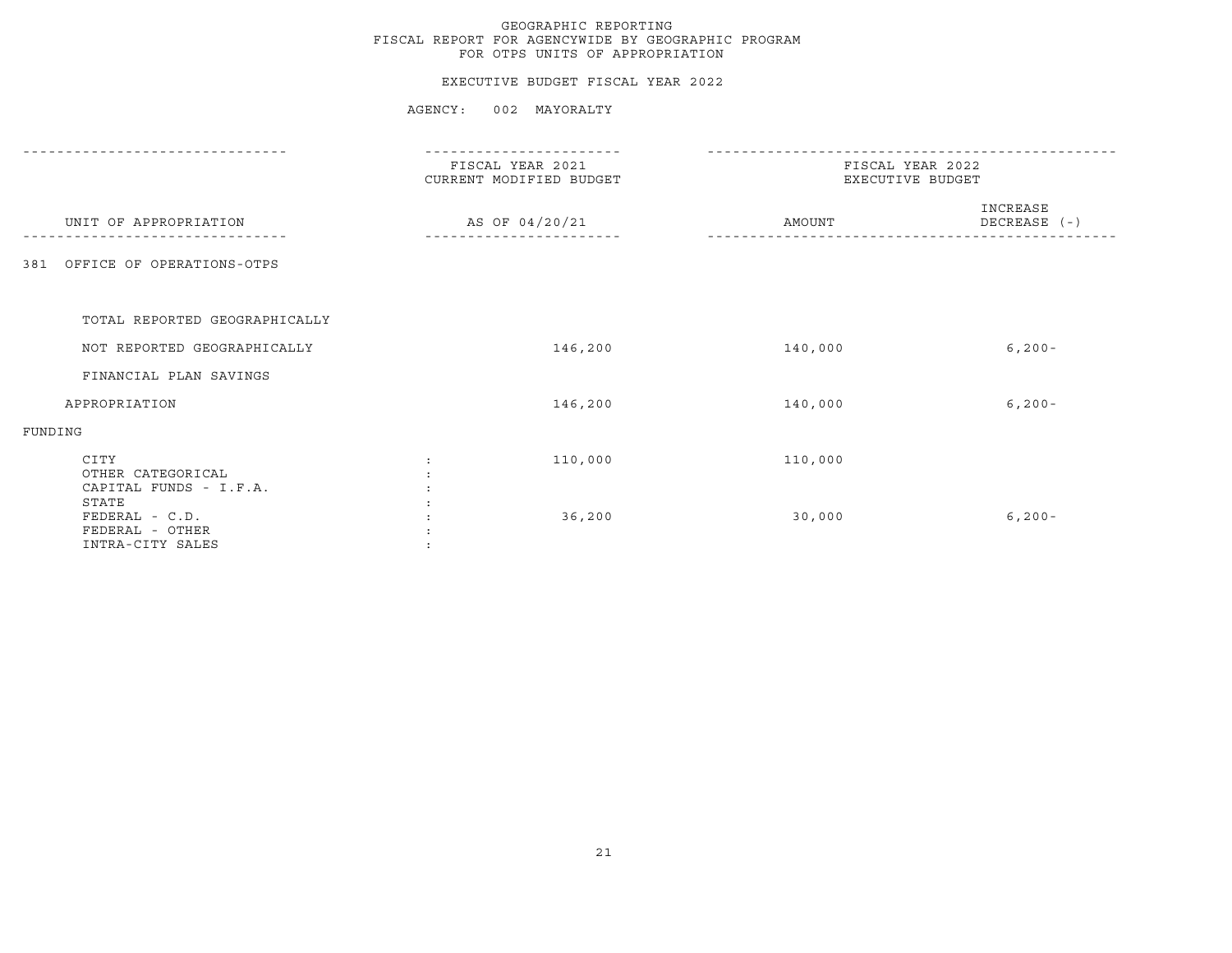#### EXECUTIVE BUDGET FISCAL YEAR 2022

|                                                                | FISCAL YEAR 2021<br>CURRENT MODIFIED BUDGET | FISCAL YEAR 2022<br>EXECUTIVE BUDGET |                          |  |
|----------------------------------------------------------------|---------------------------------------------|--------------------------------------|--------------------------|--|
| UNIT OF APPROPRIATION                                          | AS OF 04/20/21                              | AMOUNT                               | INCREASE<br>DECREASE (-) |  |
| OFFICE OF OPERATIONS-OTPS<br>381                               |                                             |                                      |                          |  |
| TOTAL REPORTED GEOGRAPHICALLY                                  |                                             |                                      |                          |  |
| NOT REPORTED GEOGRAPHICALLY                                    | 146,200                                     | 140,000                              | $6, 200 -$               |  |
| FINANCIAL PLAN SAVINGS                                         |                                             |                                      |                          |  |
| APPROPRIATION                                                  | 146,200                                     | 140,000                              | $6, 200 -$               |  |
| FUNDING                                                        |                                             |                                      |                          |  |
| CITY<br>OTHER CATEGORICAL<br>CAPITAL FUNDS - I.F.A.            | 110,000                                     | 110,000                              |                          |  |
| STATE<br>FEDERAL - C.D.<br>FEDERAL - OTHER<br>INTRA-CITY SALES | 36,200                                      | 30,000                               | $6, 200 -$               |  |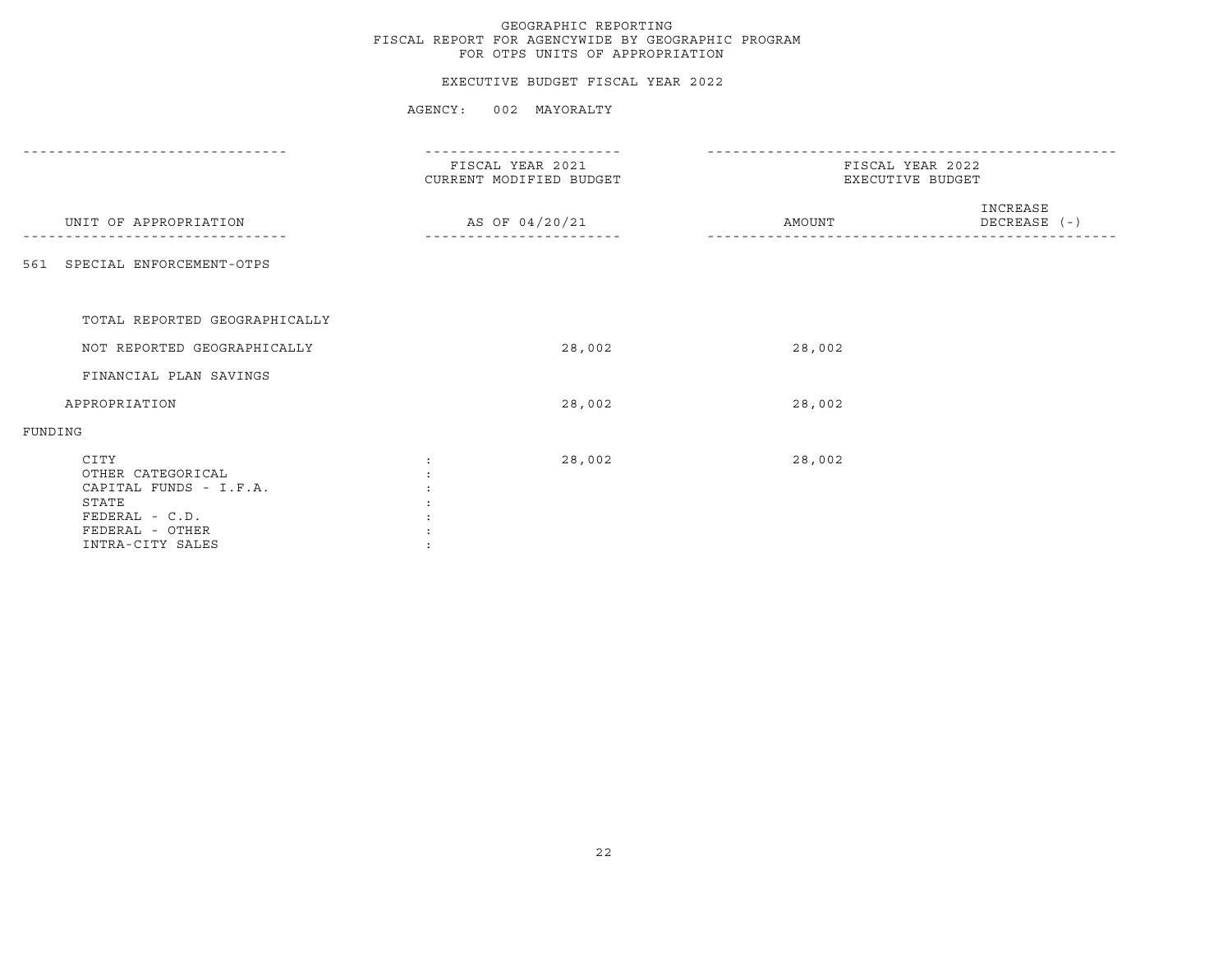#### EXECUTIVE BUDGET FISCAL YEAR 2022

| FISCAL YEAR 2021<br>CURRENT MODIFIED BUDGET | FISCAL YEAR 2022<br>EXECUTIVE BUDGET |                          |  |
|---------------------------------------------|--------------------------------------|--------------------------|--|
| AS OF 04/20/21                              | AMOUNT                               | INCREASE<br>DECREASE (-) |  |
|                                             |                                      |                          |  |
|                                             |                                      |                          |  |
|                                             |                                      |                          |  |
| 28,002                                      | 28,002                               |                          |  |
|                                             |                                      |                          |  |
| 28,002                                      | 28,002                               |                          |  |
|                                             |                                      |                          |  |
| 28,002<br>:                                 | 28,002                               |                          |  |
|                                             |                                      |                          |  |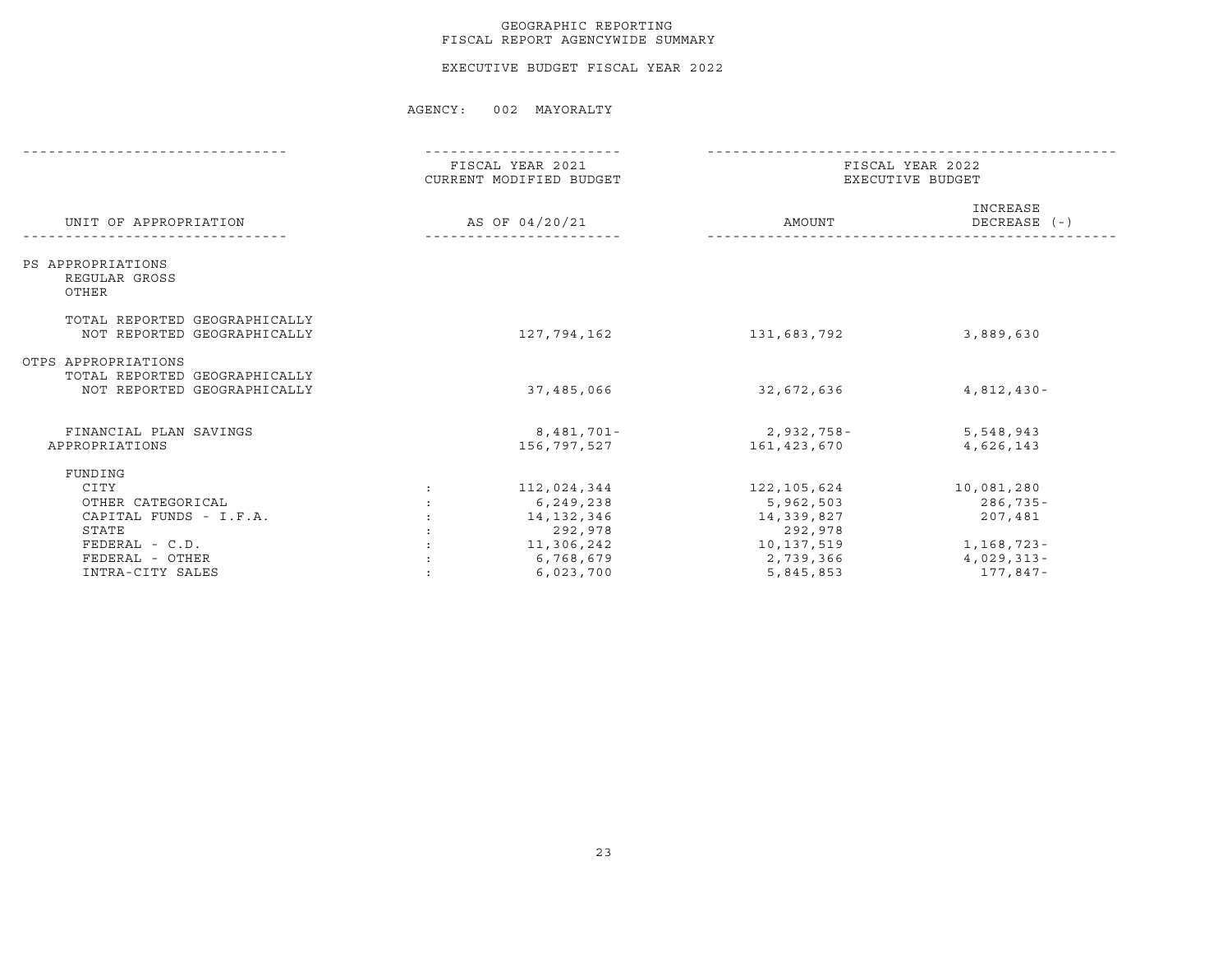#### GEOGRAPHIC REPORTING FISCAL REPORT AGENCYWIDE SUMMARY

EXECUTIVE BUDGET FISCAL YEAR 2022

|                                                                              | FISCAL YEAR 2022<br>EXECUTIVE BUDGET                                         |                                                                                |  |
|------------------------------------------------------------------------------|------------------------------------------------------------------------------|--------------------------------------------------------------------------------|--|
|                                                                              | AMOUNT                                                                       | INCREASE<br>DECREASE (-)                                                       |  |
|                                                                              |                                                                              |                                                                                |  |
| 127,794,162                                                                  | 131,683,792                                                                  | 3,889,630                                                                      |  |
| 37,485,066                                                                   | 32,672,636                                                                   | $4,812,430-$                                                                   |  |
| 8,481,701-<br>156,797,527                                                    | 161,423,670                                                                  | 5,548,943<br>4,626,143                                                         |  |
| 112,024,344<br>6,249,238<br>14,132,346<br>292,978<br>11,306,242<br>6,768,679 | 122,105,624<br>5,962,503<br>14,339,827<br>292,978<br>10,137,519<br>2,739,366 | 10,081,280<br>$286,735 -$<br>207,481<br>1,168,723-<br>$4,029,313-$<br>177,847- |  |
|                                                                              | FISCAL YEAR 2021<br>CURRENT MODIFIED BUDGET<br>AS OF 04/20/21<br>6,023,700   | 2,932,758-<br>5,845,853                                                        |  |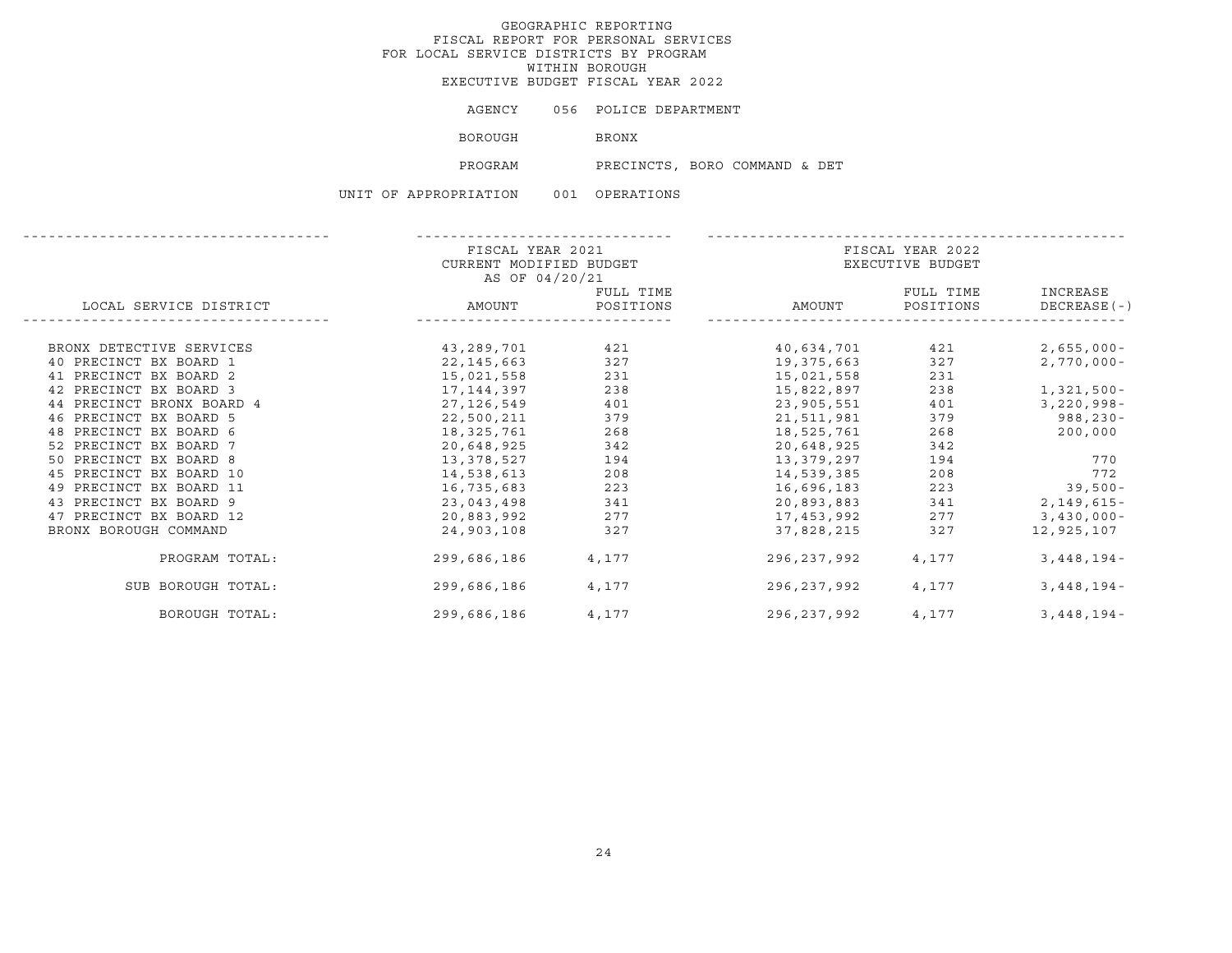AGENCY 056 POLICE DEPARTMENT

BOROUGH BRONX

PROGRAM PRECINCTS, BORO COMMAND & DET

|                           | FISCAL YEAR 2021<br>CURRENT MODIFIED BUDGET |       |             | FISCAL YEAR 2022<br>EXECUTIVE BUDGET |                         |  |  |
|---------------------------|---------------------------------------------|-------|-------------|--------------------------------------|-------------------------|--|--|
|                           | AS OF 04/20/21                              |       |             |                                      |                         |  |  |
| LOCAL SERVICE DISTRICT    | FULL TIME<br>AMOUNT POSITIONS               |       | AMOUNT      | FULL TIME<br>POSITIONS               | INCREASE<br>DECREASE(-) |  |  |
|                           |                                             |       |             |                                      |                         |  |  |
| BRONX DETECTIVE SERVICES  | 43,289,701                                  | 421   | 40,634,701  | 421                                  | 2,655,000-              |  |  |
| 40 PRECINCT BX BOARD 1    | 22,145,663                                  | 327   | 19,375,663  | 327                                  | $2,770,000 -$           |  |  |
| 41 PRECINCT BX BOARD 2    | 15,021,558                                  | 231   | 15,021,558  | 231                                  |                         |  |  |
| 42 PRECINCT BX BOARD 3    | 17,144,397                                  | 238   | 15,822,897  | 238                                  | 1,321,500-              |  |  |
| 44 PRECINCT BRONX BOARD 4 | 27, 126, 549                                | 401   | 23,905,551  | 401                                  | $3,220,998 -$           |  |  |
| 46 PRECINCT BX BOARD 5    | 22,500,211                                  | 379   | 21,511,981  | 379                                  | 988,230-                |  |  |
| 48 PRECINCT BX BOARD 6    | 18,325,761                                  | 268   | 18,525,761  | 268                                  | 200,000                 |  |  |
| 52 PRECINCT BX BOARD 7    | 20,648,925                                  | 342   | 20,648,925  | 342                                  |                         |  |  |
| 50 PRECINCT BX BOARD 8    | 13,378,527                                  | 194   | 13,379,297  | 194                                  | 770                     |  |  |
| 45 PRECINCT BX BOARD 10   | 14,538,613                                  | 208   | 14,539,385  | 208                                  | 772                     |  |  |
| 49 PRECINCT BX BOARD 11   | 16,735,683                                  | 223   | 16,696,183  | 223                                  | $39,500-$               |  |  |
| 43 PRECINCT BX BOARD 9    | 23,043,498                                  | 341   | 20,893,883  | 341                                  | 2,149,615-              |  |  |
| 47 PRECINCT BX BOARD 12   | 20,883,992                                  | 277   | 17,453,992  | 277                                  | $3,430,000 -$           |  |  |
| BRONX BOROUGH COMMAND     | 24,903,108                                  | 327   | 37,828,215  | 327                                  | 12,925,107              |  |  |
| PROGRAM TOTAL:            | 299,686,186                                 | 4,177 | 296,237,992 | 4,177                                | $3,448,194-$            |  |  |
| SUB BOROUGH TOTAL:        | 299,686,186                                 | 4,177 | 296,237,992 | 4,177                                | $3,448,194-$            |  |  |
| BOROUGH TOTAL:            | 299,686,186                                 | 4,177 | 296,237,992 | 4,177                                | $3,448,194-$            |  |  |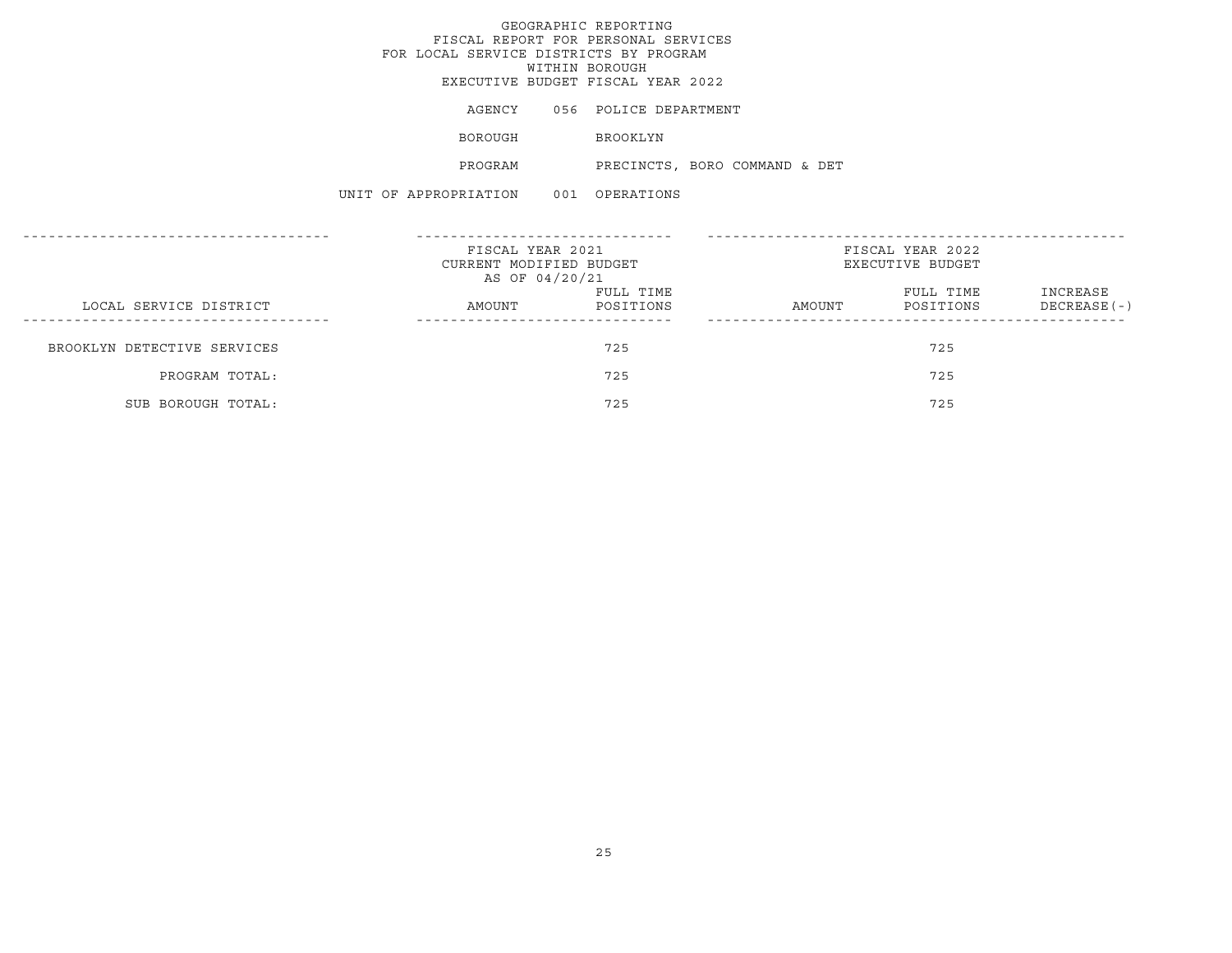AGENCY 056 POLICE DEPARTMENT

BOROUGH BROOKLYN

PROGRAM PRECINCTS, BORO COMMAND & DET

|                             | FISCAL YEAR 2021<br>CURRENT MODIFIED BUDGET<br>AS OF 04/20/21 |                        | FISCAL YEAR 2022<br>EXECUTIVE BUDGET |                        |                           |
|-----------------------------|---------------------------------------------------------------|------------------------|--------------------------------------|------------------------|---------------------------|
| LOCAL SERVICE DISTRICT      | AMOUNT                                                        | FULL TIME<br>POSITIONS | AMOUNT                               | FULL TIME<br>POSITIONS | INCREASE<br>$DECREASE(-)$ |
| BROOKLYN DETECTIVE SERVICES |                                                               | 725                    |                                      | 725                    |                           |
| PROGRAM TOTAL:              |                                                               | 725                    |                                      | 725                    |                           |
| SUB BOROUGH TOTAL:          |                                                               | 725                    |                                      | 725                    |                           |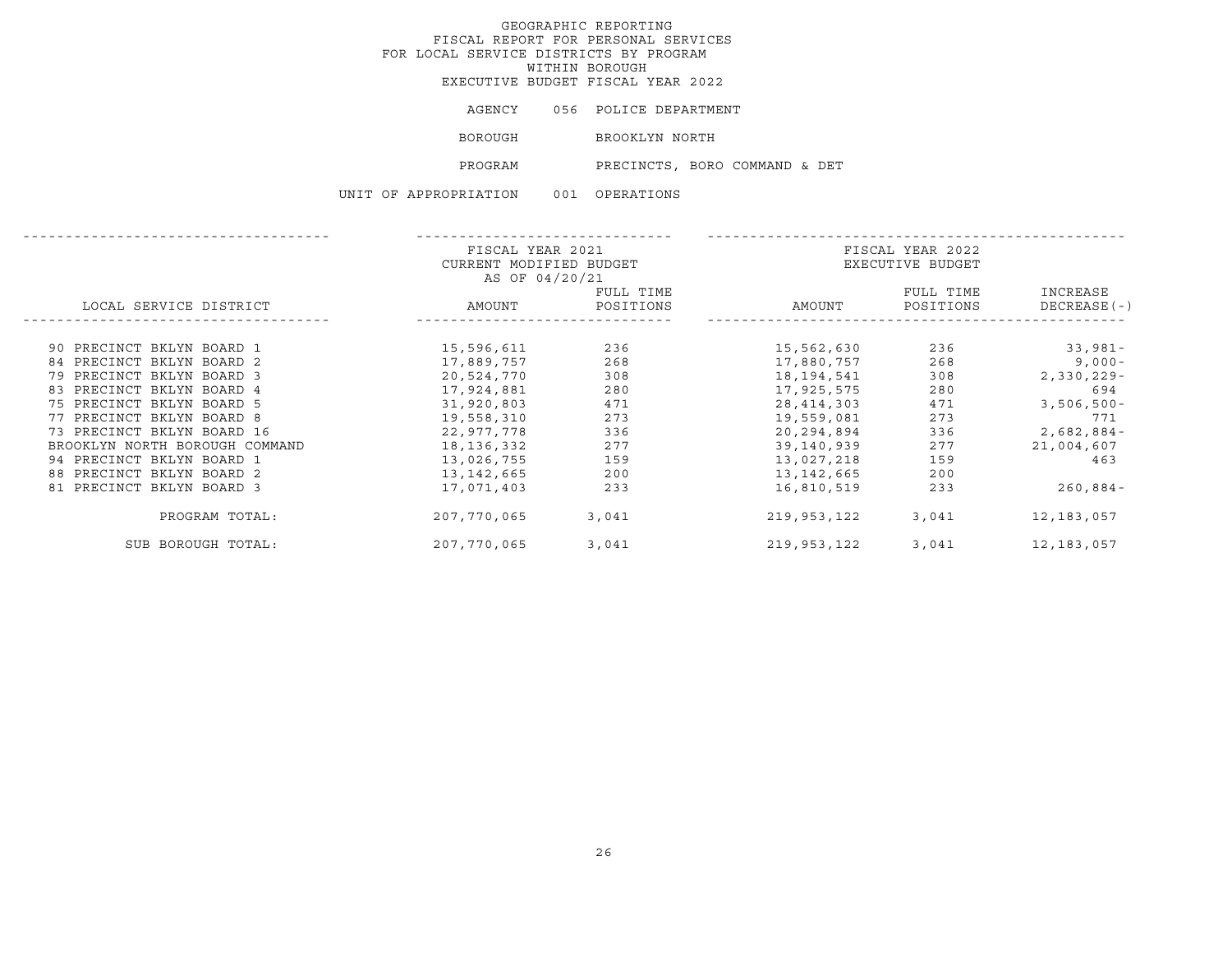| AGENCY         | 056 POLICE DEPARTMENT         |  |  |
|----------------|-------------------------------|--|--|
| <b>BOROUGH</b> | BROOKLYN NORTH                |  |  |
| PROGRAM        | PRECINCTS, BORO COMMAND & DET |  |  |

|                                | FISCAL YEAR 2021        |           |             | FISCAL YEAR 2022 |               |
|--------------------------------|-------------------------|-----------|-------------|------------------|---------------|
|                                | CURRENT MODIFIED BUDGET |           |             | EXECUTIVE BUDGET |               |
|                                | AS OF 04/20/21          |           |             |                  |               |
|                                |                         | FULL TIME |             | FULL TIME        | INCREASE      |
| LOCAL SERVICE DISTRICT         | AMOUNT                  | POSITIONS | AMOUNT      | POSITIONS        | DECREASE (-)  |
|                                |                         |           |             |                  |               |
| 90 PRECINCT BKLYN BOARD 1      | 15,596,611              | 236       | 15,562,630  | 236              | 33,981-       |
| 84 PRECINCT BKLYN BOARD 2      | 17,889,757              | 268       | 17,880,757  | 268              | $9,000-$      |
| 79 PRECINCT BKLYN BOARD 3      | 20,524,770              | 308       | 18,194,541  | 308              | $2,330,229 -$ |
| 83 PRECINCT BKLYN BOARD 4      | 17,924,881              | 280       | 17,925,575  | 280              | 694           |
| 75 PRECINCT BKLYN BOARD 5      | 31,920,803              | 471       | 28,414,303  | 471              | $3,506,500 -$ |
| 77 PRECINCT BKLYN BOARD 8      | 19,558,310              | 273       | 19,559,081  | 273              | 771           |
| 73 PRECINCT BKLYN BOARD 16     | 22,977,778              | 336       | 20,294,894  | 336              | $2,682,884-$  |
| BROOKLYN NORTH BOROUGH COMMAND | 18,136,332              | 277       | 39,140,939  | 277              | 21,004,607    |
| 94 PRECINCT BKLYN BOARD 1      | 13,026,755              | 159       | 13,027,218  | 159              | 463           |
| 88 PRECINCT BKLYN BOARD 2      | 13,142,665              | 200       | 13,142,665  | 200              |               |
| 81 PRECINCT BKLYN BOARD 3      | 17,071,403              | 233       | 16,810,519  | 233              | $260,884-$    |
| PROGRAM TOTAL:                 | 207,770,065             | 3,041     | 219,953,122 | 3,041            | 12, 183, 057  |
| SUB BOROUGH TOTAL:             | 207,770,065             | 3,041     | 219,953,122 | 3,041            | 12,183,057    |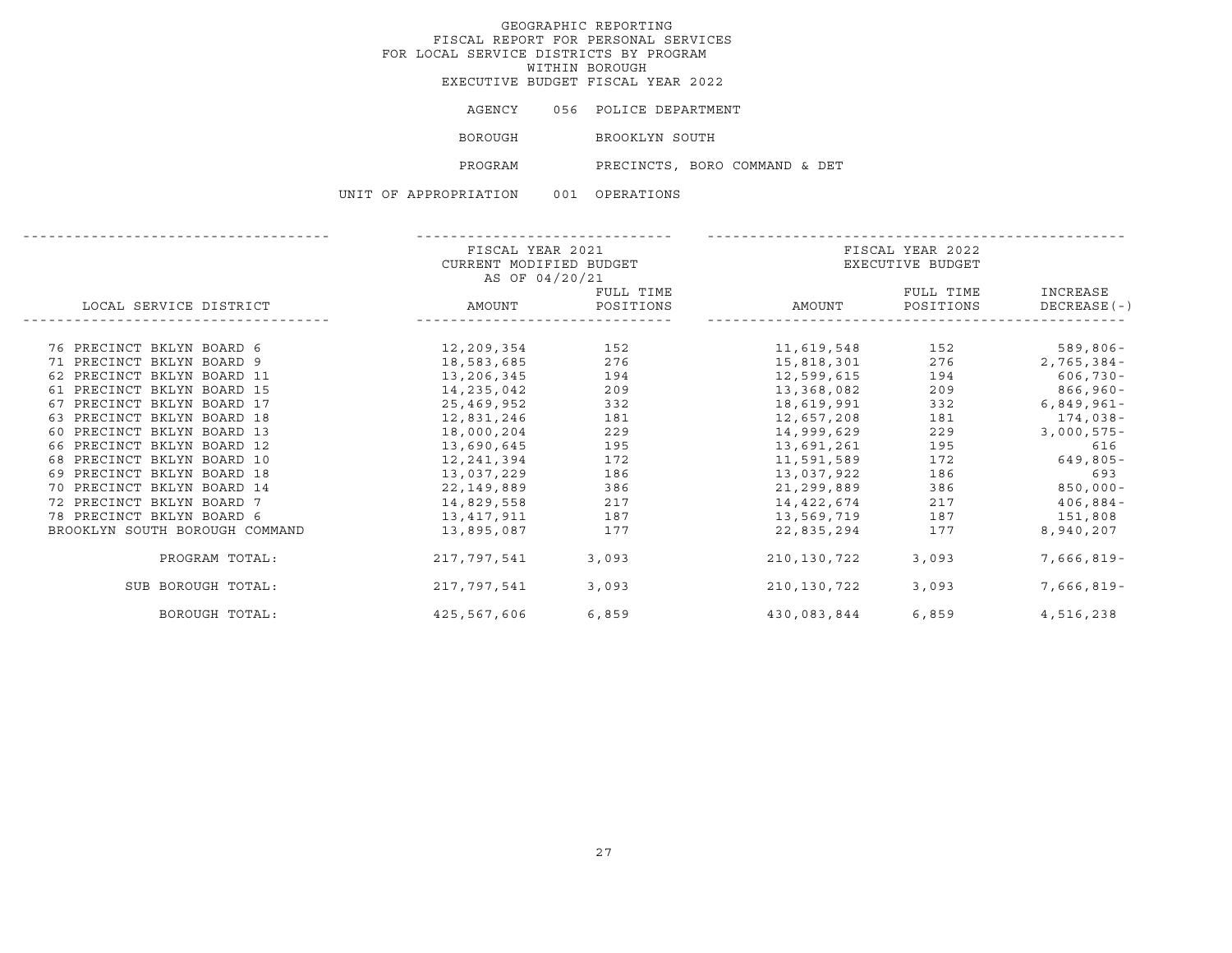| AGENCY         | 056 POLICE DEPARTMENT         |
|----------------|-------------------------------|
| <b>BOROUGH</b> | BROOKLYN SOUTH                |
| PROGRAM        | PRECINCTS, BORO COMMAND & DET |

|                                | FISCAL YEAR 2021        |           |             | FISCAL YEAR 2022 |              |  |  |
|--------------------------------|-------------------------|-----------|-------------|------------------|--------------|--|--|
|                                | CURRENT MODIFIED BUDGET |           |             | EXECUTIVE BUDGET |              |  |  |
|                                | AS OF 04/20/21          |           |             |                  |              |  |  |
|                                |                         | FULL TIME |             | FULL TIME        | INCREASE     |  |  |
| LOCAL SERVICE DISTRICT         | AMOUNT                  | POSITIONS | AMOUNT      | POSITIONS        | DECREASE (-) |  |  |
|                                |                         |           |             |                  |              |  |  |
| 76 PRECINCT BKLYN BOARD 6      | 12,209,354              | 152       | 11,619,548  | 152              | 589,806-     |  |  |
| 71 PRECINCT BKLYN BOARD 9      | 18,583,685              | 276       | 15,818,301  | 276              | $2,765,384-$ |  |  |
| 62 PRECINCT BKLYN BOARD 11     | 13,206,345              | 194       | 12,599,615  | 194              | $606,730 -$  |  |  |
| 61 PRECINCT BKLYN BOARD 15     | 14, 235, 042            | 209       | 13,368,082  | 209              | $866,960 -$  |  |  |
| 67 PRECINCT BKLYN BOARD 17     | 25,469,952              | 332       | 18,619,991  | 332              | $6,849,961-$ |  |  |
| 63 PRECINCT BKLYN BOARD 18     | 12,831,246              | 181       | 12,657,208  | 181              | 174,038-     |  |  |
| 60 PRECINCT BKLYN BOARD 13     | 18,000,204              | 229       | 14,999,629  | 229              | $3,000,575-$ |  |  |
| 66 PRECINCT BKLYN BOARD 12     | 13,690,645              | 195       | 13,691,261  | 195              | 616          |  |  |
| 68 PRECINCT BKLYN BOARD 10     | 12, 241, 394            | 172       | 11,591,589  | 172              | $649,805 -$  |  |  |
| 69 PRECINCT BKLYN BOARD 18     | 13,037,229              | 186       | 13,037,922  | 186              | 693          |  |  |
| 70 PRECINCT BKLYN BOARD 14     | 22,149,889              | 386       | 21,299,889  | 386              | $850,000 -$  |  |  |
| 72 PRECINCT BKLYN BOARD 7      | 14,829,558              | 217       | 14,422,674  | 217              | $406,884-$   |  |  |
| 78 PRECINCT BKLYN BOARD 6      | 13,417,911              | 187       | 13,569,719  | 187              | 151,808      |  |  |
| BROOKLYN SOUTH BOROUGH COMMAND | 13,895,087              | 177       | 22,835,294  | 177              | 8,940,207    |  |  |
| PROGRAM TOTAL:                 | 217,797,541             | 3,093     | 210,130,722 | 3,093            | 7,666,819-   |  |  |
| SUB BOROUGH TOTAL:             | 217,797,541             | 3,093     | 210,130,722 | 3,093            | 7,666,819-   |  |  |
| BOROUGH TOTAL:                 | 425,567,606             | 6,859     | 430,083,844 | 6,859            | 4,516,238    |  |  |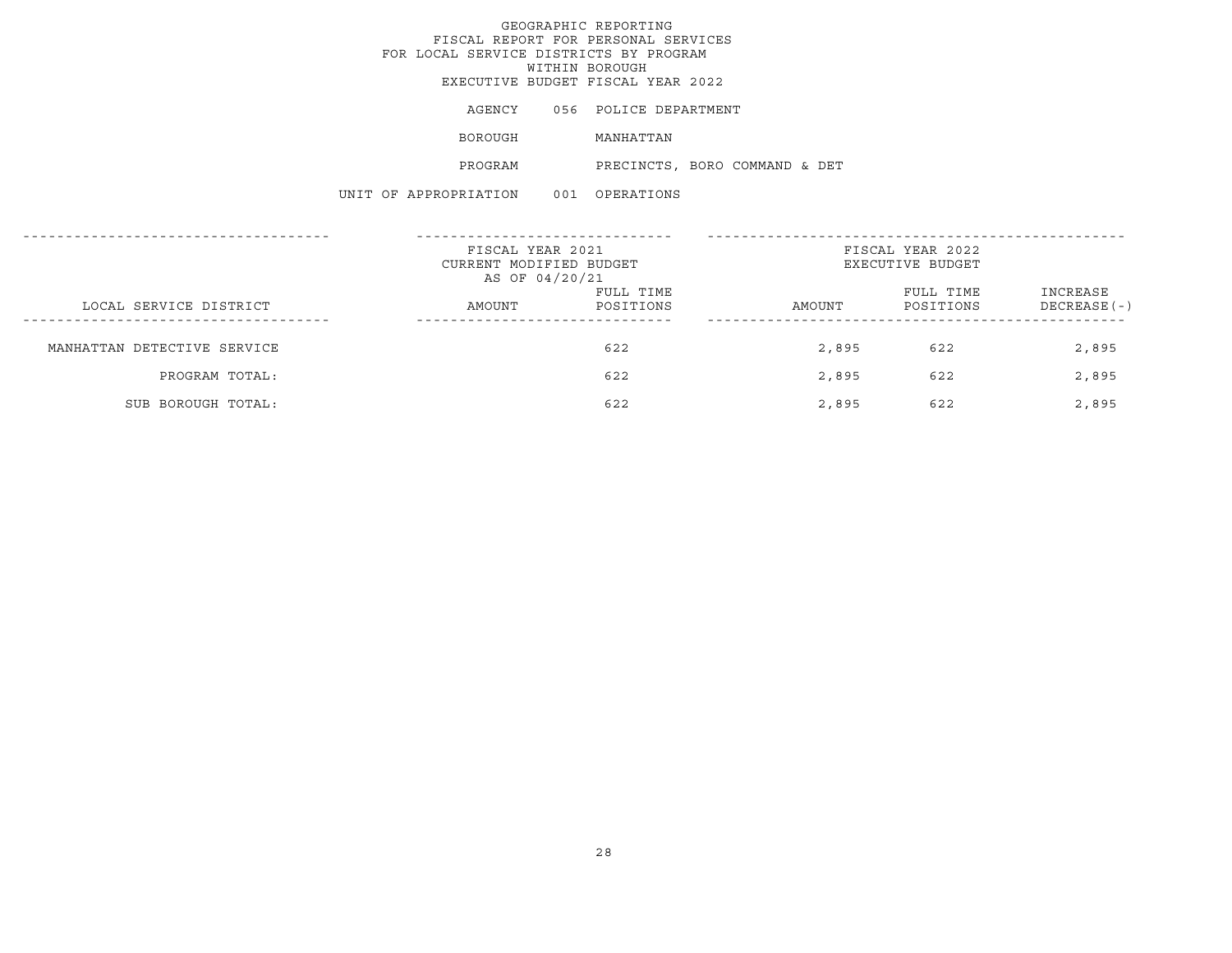AGENCY 056 POLICE DEPARTMENT

BOROUGH MANHATTAN

PROGRAM PRECINCTS, BORO COMMAND & DET

|                             | FISCAL YEAR 2021<br>CURRENT MODIFIED BUDGET<br>AS OF 04/20/21 |                        | FISCAL YEAR 2022<br>EXECUTIVE BUDGET |                        |                           |
|-----------------------------|---------------------------------------------------------------|------------------------|--------------------------------------|------------------------|---------------------------|
| LOCAL SERVICE DISTRICT      | AMOUNT                                                        | FULL TIME<br>POSITIONS | AMOUNT                               | FULL TIME<br>POSITIONS | INCREASE<br>$DECREASE(-)$ |
| MANHATTAN DETECTIVE SERVICE |                                                               | 622                    | 2,895                                | 622                    | 2,895                     |
| PROGRAM TOTAL:              |                                                               | 622                    | 2,895                                | 622                    | 2,895                     |
| SUB BOROUGH TOTAL:          |                                                               | 622                    | 2,895                                | 622                    | 2,895                     |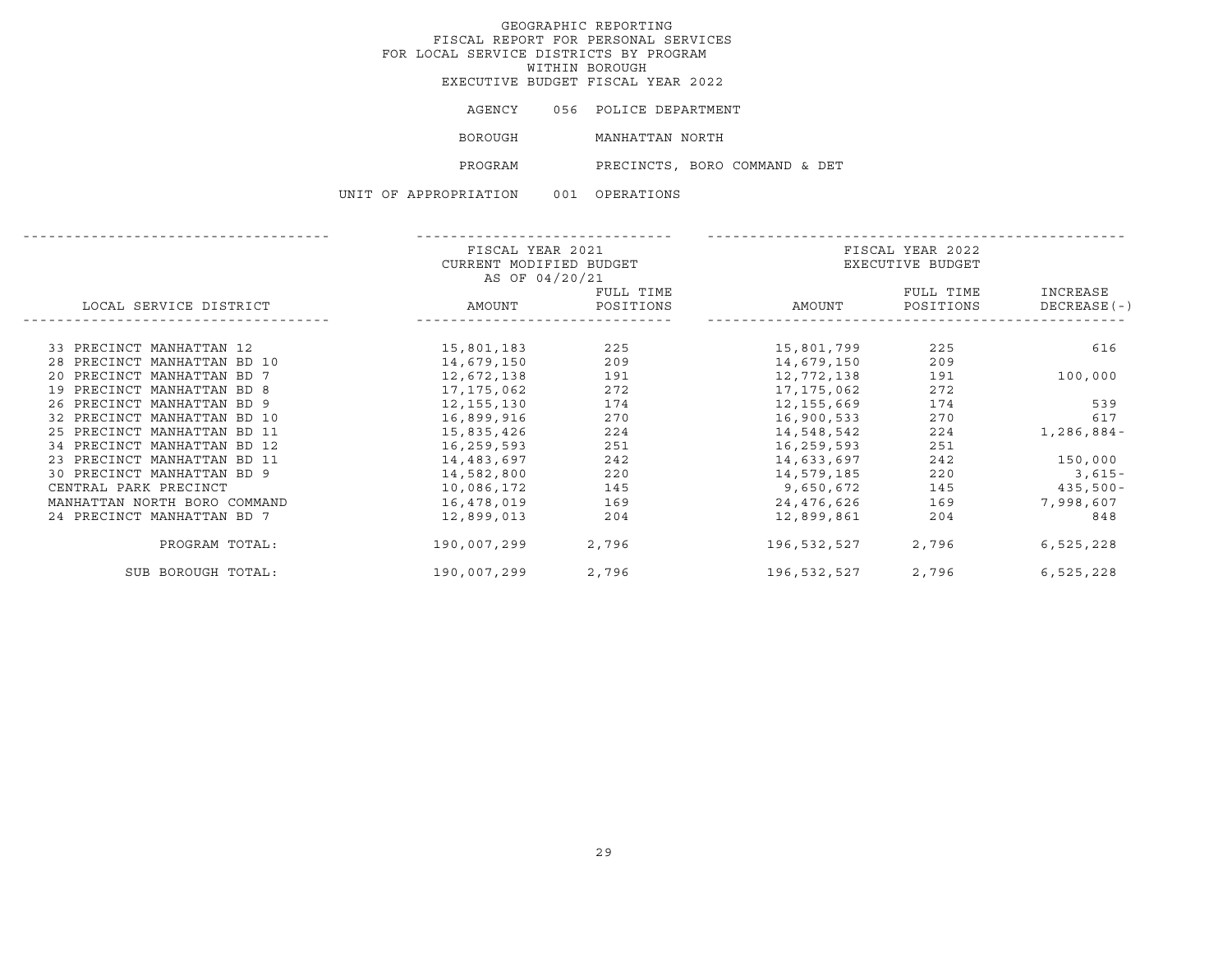AGENCY 056 POLICE DEPARTMENT BOROUGH MANHATTAN NORTH

PROGRAM PRECINCTS, BORO COMMAND & DET

|                              | FISCAL YEAR 2021        |           |             | FISCAL YEAR 2022 |             |  |  |
|------------------------------|-------------------------|-----------|-------------|------------------|-------------|--|--|
|                              | CURRENT MODIFIED BUDGET |           |             | EXECUTIVE BUDGET |             |  |  |
|                              | AS OF 04/20/21          |           |             |                  |             |  |  |
|                              |                         | FULL TIME |             | FULL TIME        | INCREASE    |  |  |
| LOCAL SERVICE DISTRICT       | AMOUNT                  | POSITIONS | AMOUNT      | POSITIONS        | DECREASE(-) |  |  |
|                              |                         |           |             |                  |             |  |  |
| 33 PRECINCT MANHATTAN 12     | 15,801,183              | 225       | 15,801,799  | 225              | 616         |  |  |
| 28 PRECINCT MANHATTAN BD 10  | 14,679,150              | 209       | 14,679,150  | 209              |             |  |  |
| 20 PRECINCT MANHATTAN BD 7   | 12,672,138              | 191       | 12,772,138  | 191              | 100,000     |  |  |
| 19 PRECINCT MANHATTAN BD 8   | 17,175,062              | 272       | 17,175,062  | 272              |             |  |  |
| 26 PRECINCT MANHATTAN BD 9   | 12,155,130              | 174       | 12,155,669  | 174              | 539         |  |  |
| 32 PRECINCT MANHATTAN BD 10  | 16,899,916              | 270       | 16,900,533  | 270              | 617         |  |  |
| 25 PRECINCT MANHATTAN BD 11  | 15,835,426              | 224       | 14,548,542  | 224              | 1,286,884-  |  |  |
| 34 PRECINCT MANHATTAN BD 12  | 16,259,593              | 251       | 16,259,593  | 251              |             |  |  |
| 23 PRECINCT MANHATTAN BD 11  | 14,483,697              | 242       | 14,633,697  | 242              | 150,000     |  |  |
| 30 PRECINCT MANHATTAN BD 9   | 14,582,800              | 220       | 14,579,185  | 220              | $3,615-$    |  |  |
| CENTRAL PARK PRECINCT        | 10,086,172              | 145       | 9,650,672   | 145              | 435,500-    |  |  |
| MANHATTAN NORTH BORO COMMAND | 16,478,019              | 169       | 24,476,626  | 169              | 7,998,607   |  |  |
| 24 PRECINCT MANHATTAN BD 7   | 12,899,013              | 204       | 12,899,861  | 204              | 848         |  |  |
| PROGRAM TOTAL:               | 190,007,299             | 2,796     | 196,532,527 | 2,796            | 6,525,228   |  |  |
| SUB BOROUGH TOTAL:           | 190,007,299             | 2,796     | 196,532,527 | 2,796            | 6,525,228   |  |  |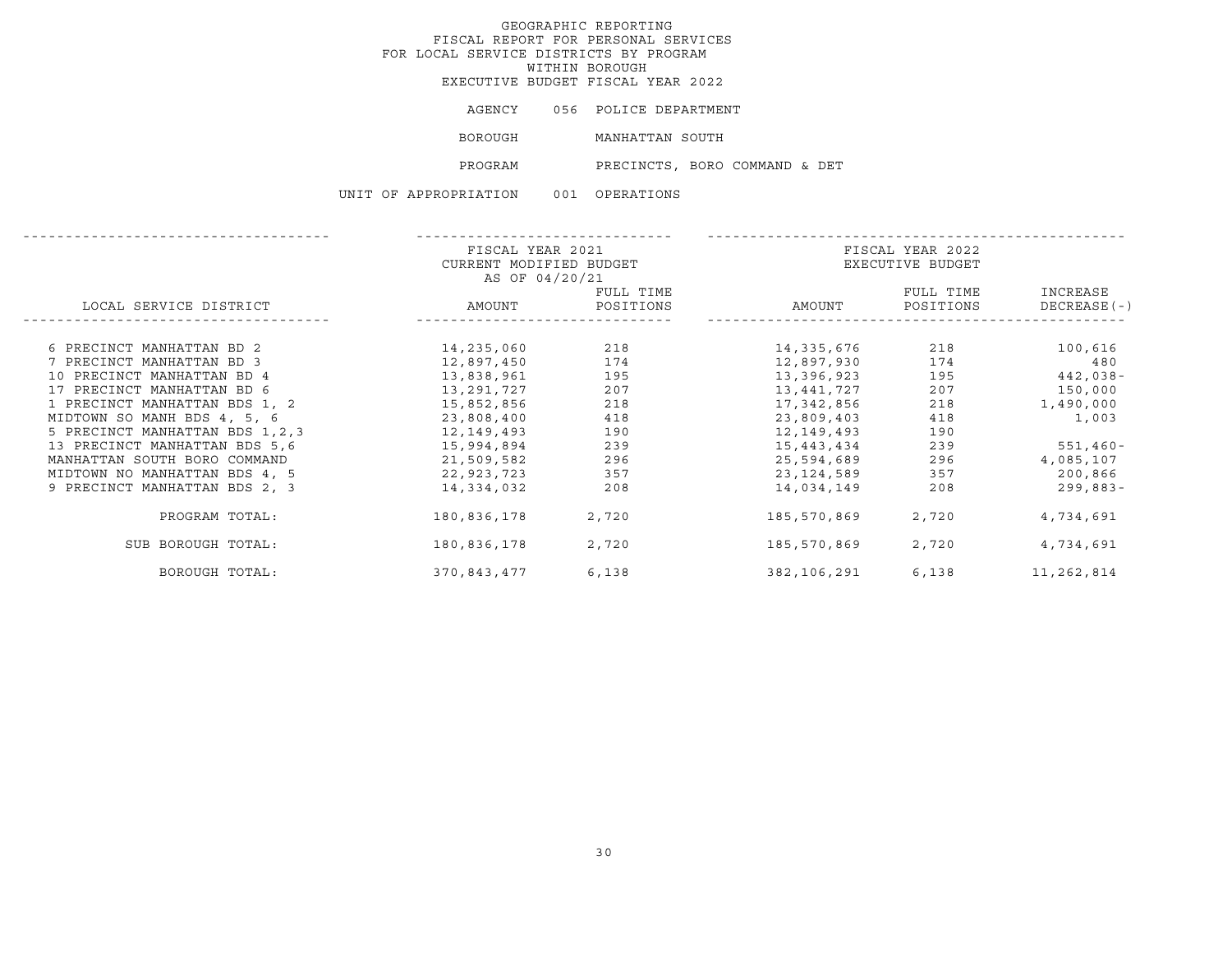AGENCY 056 POLICE DEPARTMENT BOROUGH MANHATTAN SOUTH PROGRAM PRECINCTS, BORO COMMAND & DET

|                                  | FISCAL YEAR 2021        |           |             | FISCAL YEAR 2022 |               |
|----------------------------------|-------------------------|-----------|-------------|------------------|---------------|
|                                  | CURRENT MODIFIED BUDGET |           |             | EXECUTIVE BUDGET |               |
|                                  | AS OF 04/20/21          |           |             |                  |               |
|                                  |                         | FULL TIME |             | FULL TIME        | INCREASE      |
| LOCAL SERVICE DISTRICT           | AMOUNT                  | POSITIONS | AMOUNT      | POSITIONS        | $DECREASE(-)$ |
|                                  |                         |           |             |                  |               |
| 6 PRECINCT MANHATTAN BD 2        | 14,235,060              | 218       | 14,335,676  | 218              | 100,616       |
| 7 PRECINCT MANHATTAN BD 3        | 12,897,450              | 174       | 12,897,930  | 174              | 480           |
| 10 PRECINCT MANHATTAN BD 4       |                         | 195       |             | 195              |               |
|                                  | 13,838,961              |           | 13,396,923  |                  | 442,038-      |
| 17 PRECINCT MANHATTAN BD 6       | 13,291,727              | 207       | 13,441,727  | 207              | 150,000       |
| 1 PRECINCT MANHATTAN BDS 1, 2    | 15,852,856              | 218       | 17,342,856  | 218              | 1,490,000     |
| MIDTOWN SO MANH BDS 4, 5, 6      | 23,808,400              | 418       | 23,809,403  | 418              | 1,003         |
| 5 PRECINCT MANHATTAN BDS 1, 2, 3 | 12,149,493              | 190       | 12,149,493  | 190              |               |
| 13 PRECINCT MANHATTAN BDS 5,6    | 15,994,894              | 239       | 15,443,434  | 239              | $551,460 -$   |
| MANHATTAN SOUTH BORO COMMAND     | 21,509,582              | 296       | 25,594,689  | 296              | 4,085,107     |
| MIDTOWN NO MANHATTAN BDS 4, 5    | 22,923,723              | 357       | 23,124,589  | 357              | 200,866       |
| 9 PRECINCT MANHATTAN BDS 2, 3    | 14,334,032              | 208       | 14,034,149  | 208              | 299,883-      |
| PROGRAM TOTAL:                   | 180,836,178             | 2,720     | 185,570,869 | 2,720            | 4,734,691     |
| SUB BOROUGH TOTAL:               | 180,836,178             | 2,720     | 185,570,869 | 2,720            | 4,734,691     |
| BOROUGH TOTAL:                   | 370,843,477             | 6,138     | 382,106,291 | 6,138            | 11,262,814    |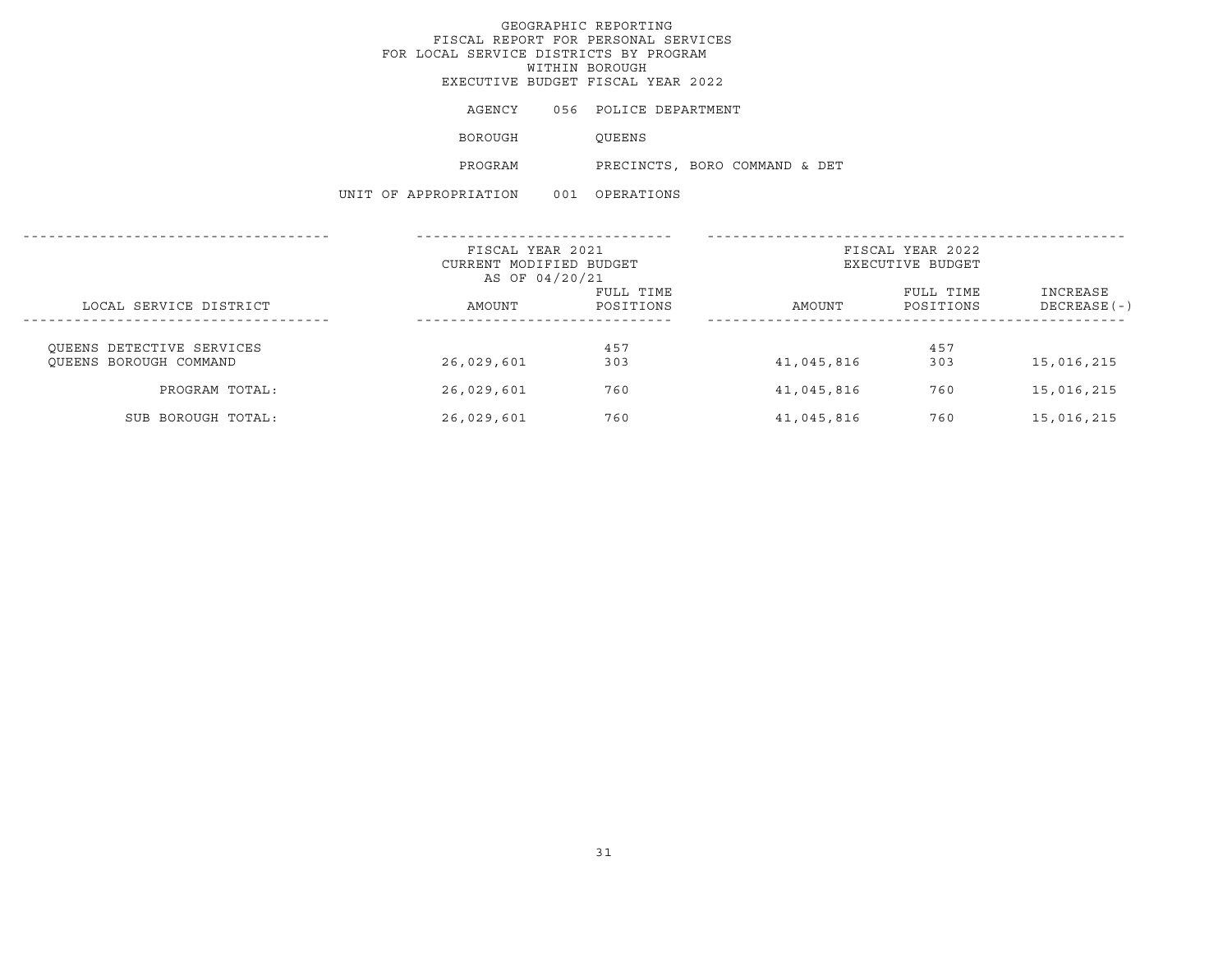AGENCY 056 POLICE DEPARTMENT

BOROUGH QUEENS

PROGRAM PRECINCTS, BORO COMMAND & DET

|                           | FISCAL YEAR 2021<br>CURRENT MODIFIED BUDGET<br>AS OF 04/20/21 |           | FISCAL YEAR 2022<br>EXECUTIVE BUDGET |           |               |  |
|---------------------------|---------------------------------------------------------------|-----------|--------------------------------------|-----------|---------------|--|
|                           |                                                               | FULL TIME |                                      | FULL TIME | INCREASE      |  |
| LOCAL SERVICE DISTRICT    | AMOUNT                                                        | POSITIONS | AMOUNT                               | POSITIONS | $DECREASE(-)$ |  |
| OUEENS DETECTIVE SERVICES |                                                               | 457       |                                      | 457       |               |  |
| OUEENS BOROUGH COMMAND    | 26,029,601                                                    | 303       | 41,045,816                           | 303       | 15,016,215    |  |
| PROGRAM TOTAL:            | 26,029,601                                                    | 760       | 41,045,816                           | 760       | 15,016,215    |  |
| SUB BOROUGH TOTAL:        | 26,029,601                                                    | 760       | 41,045,816                           | 760       | 15,016,215    |  |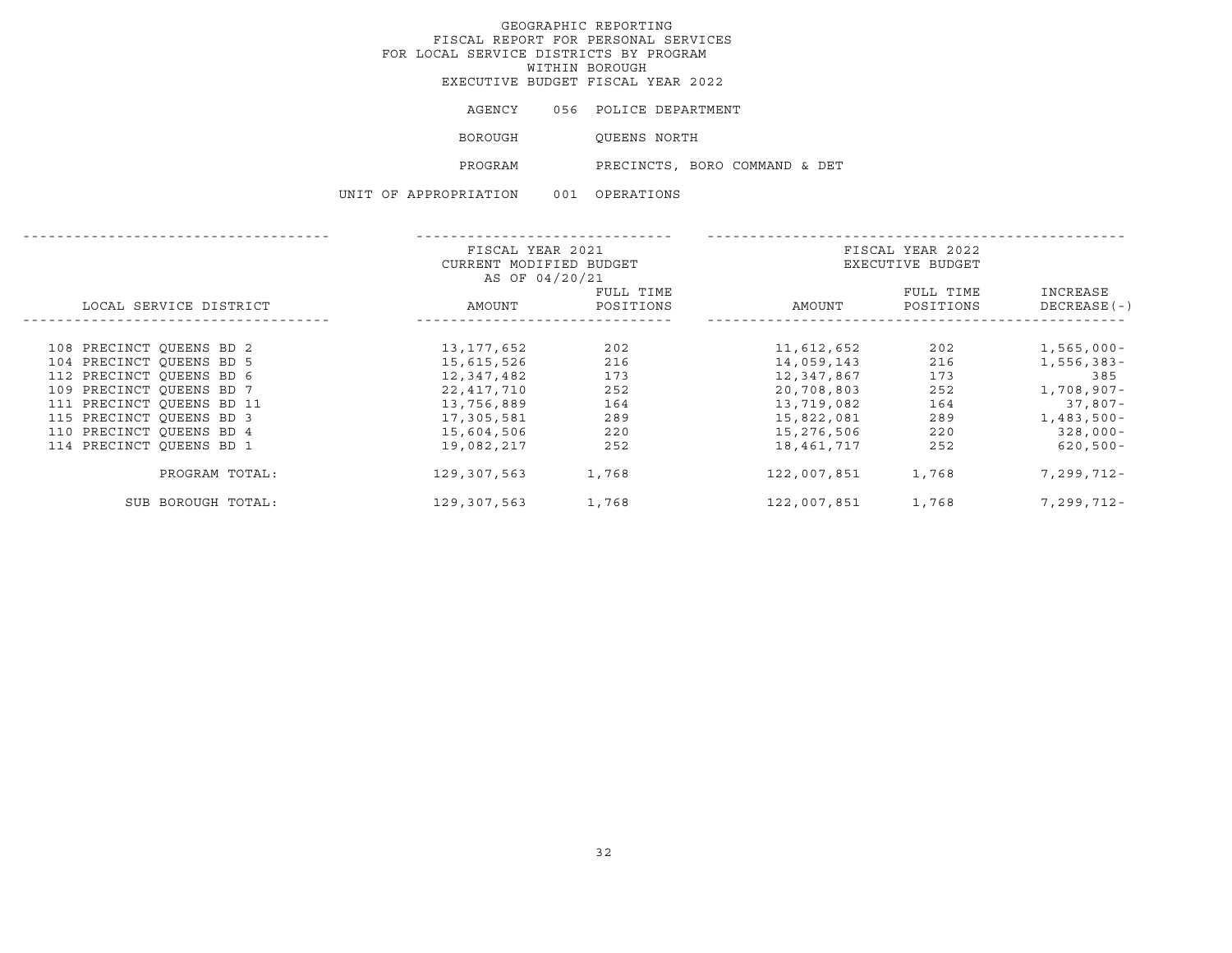AGENCY 056 POLICE DEPARTMENT

BOROUGH QUEENS NORTH

PROGRAM PRECINCTS, BORO COMMAND & DET

|                           |                        |  | FISCAL YEAR 2021        |           |  | FISCAL YEAR 2022 |                  |               |  |
|---------------------------|------------------------|--|-------------------------|-----------|--|------------------|------------------|---------------|--|
|                           |                        |  | CURRENT MODIFIED BUDGET |           |  |                  | EXECUTIVE BUDGET |               |  |
|                           |                        |  | AS OF 04/20/21          |           |  |                  |                  |               |  |
|                           |                        |  |                         | FULL TIME |  |                  | FULL TIME        | INCREASE      |  |
|                           | LOCAL SERVICE DISTRICT |  | AMOUNT                  | POSITIONS |  | AMOUNT           | POSITIONS        | $DECREASE(-)$ |  |
|                           |                        |  |                         |           |  |                  |                  |               |  |
| 108 PRECINCT OUEENS BD 2  |                        |  | 13,177,652              | 202       |  | 11,612,652       | 202              | $1,565,000 -$ |  |
| 104 PRECINCT OUEENS BD 5  |                        |  | 15,615,526              | 216       |  | 14,059,143       | 216              | 1,556,383-    |  |
| 112 PRECINCT OUEENS BD 6  |                        |  | 12,347,482              | 173       |  | 12,347,867       | 173              | 385           |  |
| 109 PRECINCT QUEENS BD 7  |                        |  | 22,417,710              | 252       |  | 20,708,803       | 252              | 1,708,907-    |  |
| 111 PRECINCT OUEENS BD 11 |                        |  | 13,756,889              | 164       |  | 13,719,082       | 164              | $37,807-$     |  |
| 115 PRECINCT OUEENS BD 3  |                        |  | 17,305,581              | 289       |  | 15,822,081       | 289              | $1,483,500-$  |  |
| 110 PRECINCT QUEENS BD 4  |                        |  | 15,604,506              | 220       |  | 15,276,506       | 220              | $328,000 -$   |  |
| 114 PRECINCT OUEENS BD 1  |                        |  | 19,082,217              | 252       |  | 18,461,717       | 252              | $620,500 -$   |  |
|                           | PROGRAM TOTAL:         |  | 129,307,563             | 1,768     |  | 122,007,851      | 1,768            | 7,299,712-    |  |
|                           | SUB BOROUGH TOTAL:     |  | 129,307,563             | 1,768     |  | 122,007,851      | 1,768            | 7,299,712-    |  |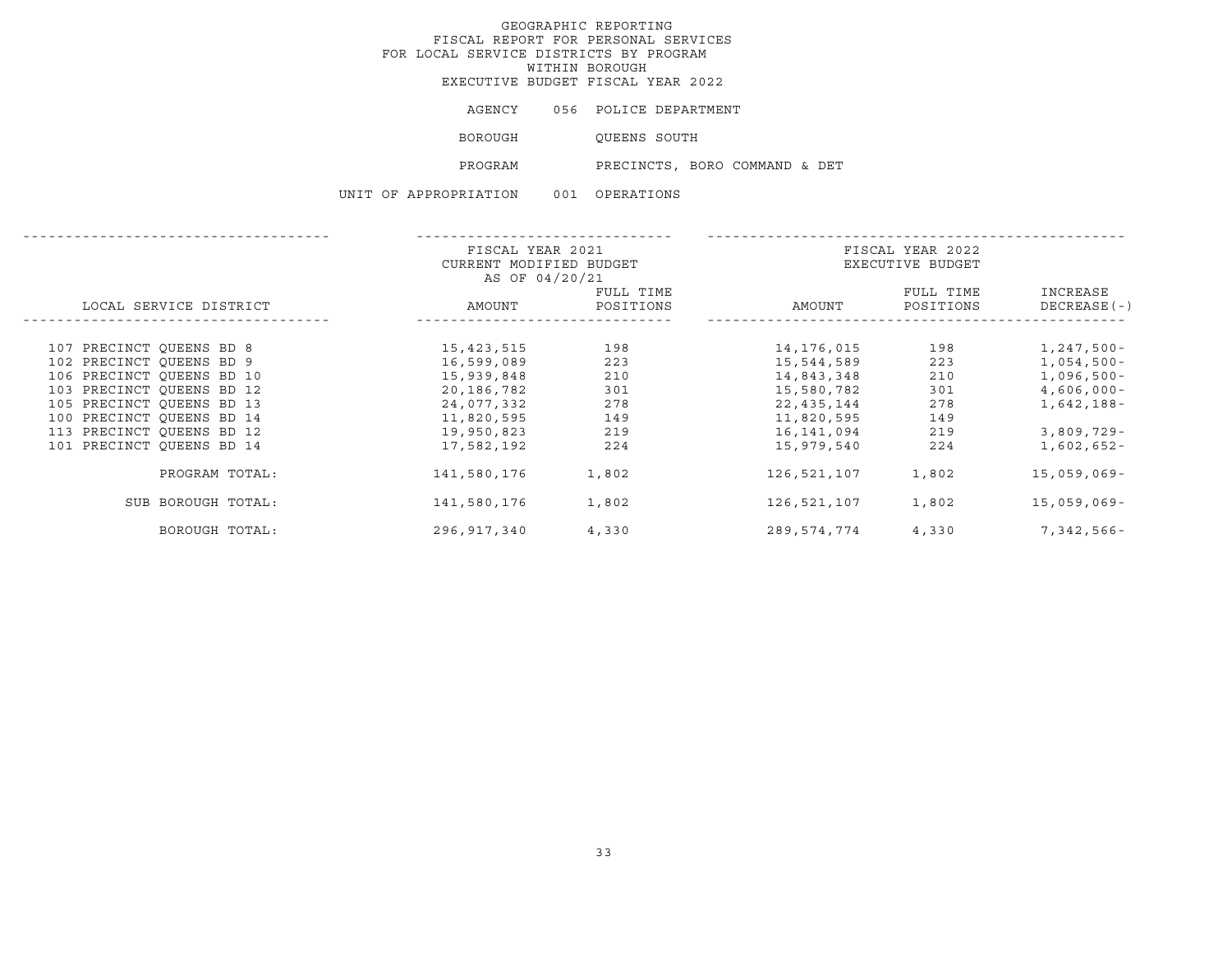# GEOGRAPHIC REPORTING FISCAL REPORT FOR PERSONAL SERVICES FOR LOCAL SERVICE DISTRICTS BY PROGRAM WITHIN BOROUGHEXECUTIVE BUDGET FISCAL YEAR 2022

AGENCY 056 POLICE DEPARTMENT

BOROUGH QUEENS SOUTH

PROGRAM PRECINCTS, BORO COMMAND & DET

UNIT OF APPROPRIATION 001 OPERATIONS

|                           | FISCAL YEAR 2021<br>CURRENT MODIFIED BUDGET<br>AS OF 04/20/21 |                        |             | FISCAL YEAR 2022<br>EXECUTIVE BUDGET |                           |
|---------------------------|---------------------------------------------------------------|------------------------|-------------|--------------------------------------|---------------------------|
| LOCAL SERVICE DISTRICT    | AMOUNT                                                        | FULL TIME<br>POSITIONS | AMOUNT      | FULL TIME<br>POSITIONS               | INCREASE<br>$DECREASE(-)$ |
| 107 PRECINCT OUEENS BD 8  | 15,423,515                                                    | 198                    | 14,176,015  | 198                                  | 1,247,500-                |
| 102 PRECINCT OUEENS BD 9  | 16,599,089                                                    | 223                    | 15,544,589  | 223                                  | 1,054,500-                |
| 106 PRECINCT OUEENS BD 10 | 15,939,848                                                    | 210                    | 14,843,348  | 210                                  | 1,096,500-                |
| 103 PRECINCT OUEENS BD 12 | 20,186,782                                                    | 301                    | 15,580,782  | 301                                  | $4,606,000 -$             |
| 105 PRECINCT OUEENS BD 13 | 24,077,332                                                    | 278                    | 22,435,144  | 278                                  | 1,642,188-                |
| 100 PRECINCT OUEENS BD 14 | 11,820,595                                                    | 149                    | 11,820,595  | 149                                  |                           |
| 113 PRECINCT OUEENS BD 12 | 19,950,823                                                    | 219                    | 16,141,094  | 219                                  | 3,809,729-                |
| 101 PRECINCT QUEENS BD 14 | 17,582,192                                                    | 224                    | 15,979,540  | 224                                  | 1,602,652-                |
| PROGRAM TOTAL:            | 141,580,176                                                   | 1,802                  | 126,521,107 | 1,802                                | $15,059,069-$             |
| SUB BOROUGH TOTAL:        | 141,580,176                                                   | 1,802                  | 126,521,107 | 1,802                                | $15,059,069-$             |
| BOROUGH TOTAL:            | 296,917,340                                                   | 4,330                  | 289,574,774 | 4,330                                | 7,342,566-                |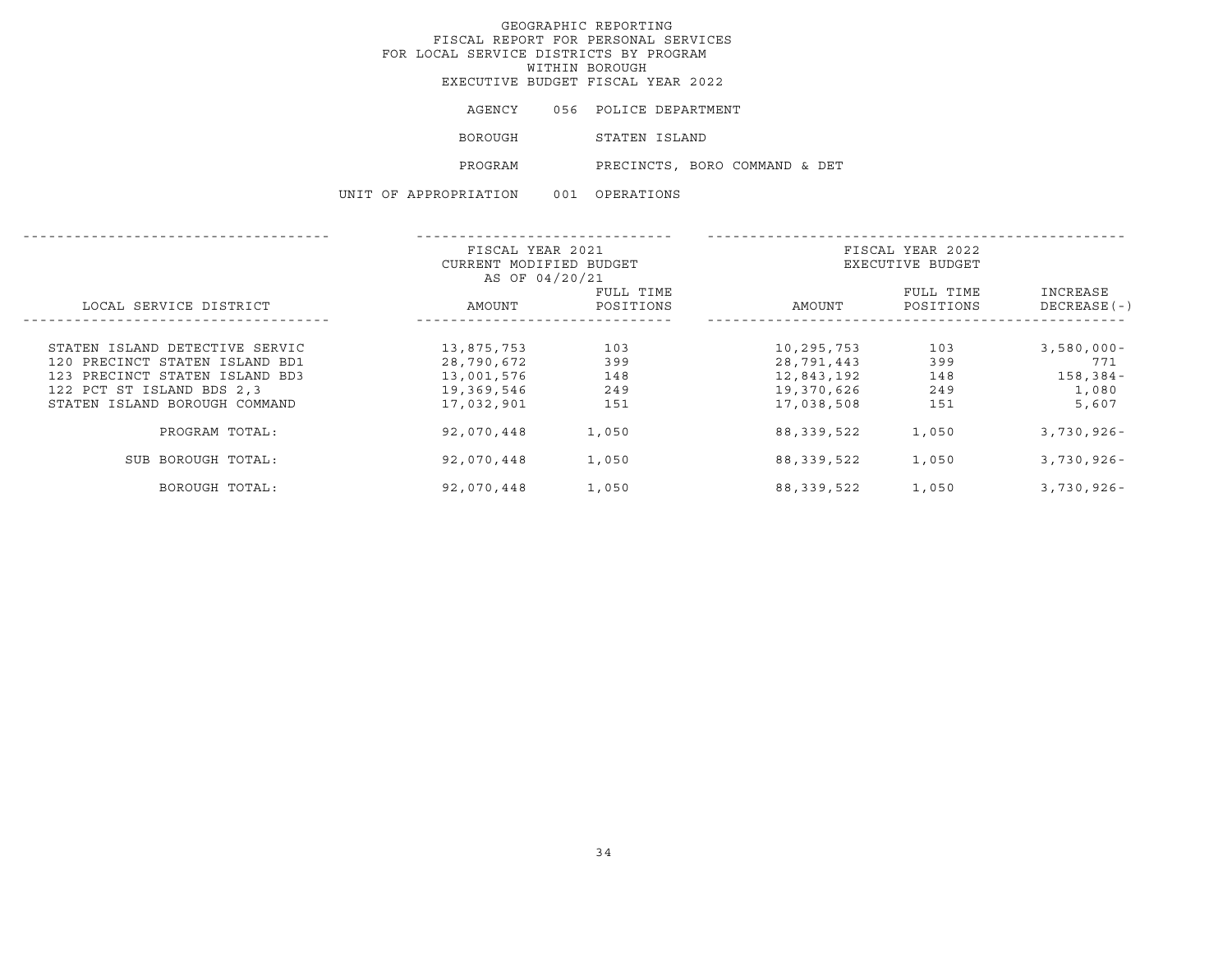# GEOGRAPHIC REPORTING FISCAL REPORT FOR PERSONAL SERVICES FOR LOCAL SERVICE DISTRICTS BY PROGRAM WITHIN BOROUGHEXECUTIVE BUDGET FISCAL YEAR 2022

|  |                       | AGENCY 056 POLICE DEPARTMENT  |
|--|-----------------------|-------------------------------|
|  | BOROUGH               | STATEN ISLAND                 |
|  | PROGRAM               | PRECINCTS, BORO COMMAND & DET |
|  | UNIT OF APPROPRIATION | 001 OPERATIONS                |

|                                | FISCAL YEAR 2021<br>CURRENT MODIFIED BUDGET<br>AS OF 04/20/21 |           | FISCAL YEAR 2022<br>EXECUTIVE BUDGET |           |               |
|--------------------------------|---------------------------------------------------------------|-----------|--------------------------------------|-----------|---------------|
|                                |                                                               | FULL TIME |                                      | FULL TIME | INCREASE      |
| LOCAL SERVICE DISTRICT         | AMOUNT                                                        | POSITIONS | AMOUNT                               | POSITIONS | $DECREASE(-)$ |
|                                |                                                               |           |                                      |           |               |
| STATEN ISLAND DETECTIVE SERVIC | 13,875,753                                                    | 103       | 10,295,753                           | 103       | $3,580,000 -$ |
| 120 PRECINCT STATEN ISLAND BD1 | 28,790,672                                                    | 399       | 28,791,443                           | 399       | 771           |
| 123 PRECINCT STATEN ISLAND BD3 | 13,001,576                                                    | 148       | 12,843,192                           | 148       | $158, 384 -$  |
| 122 PCT ST ISLAND BDS 2,3      | 19,369,546                                                    | 249       | 19,370,626                           | 249       | 1,080         |
| STATEN ISLAND BOROUGH COMMAND  | 17,032,901                                                    | 151       | 17,038,508                           | 151       | 5,607         |
| PROGRAM TOTAL:                 | 92,070,448                                                    | 1,050     | 88, 339, 522                         | 1,050     | $3,730,926 -$ |
| SUB BOROUGH TOTAL:             | 92,070,448                                                    | 1,050     | 88, 339, 522                         | 1,050     | $3,730,926 -$ |
| BOROUGH TOTAL:                 | 92,070,448                                                    | 1,050     | 88,339,522                           | 1,050     | $3,730,926 -$ |
|                                |                                                               |           |                                      |           |               |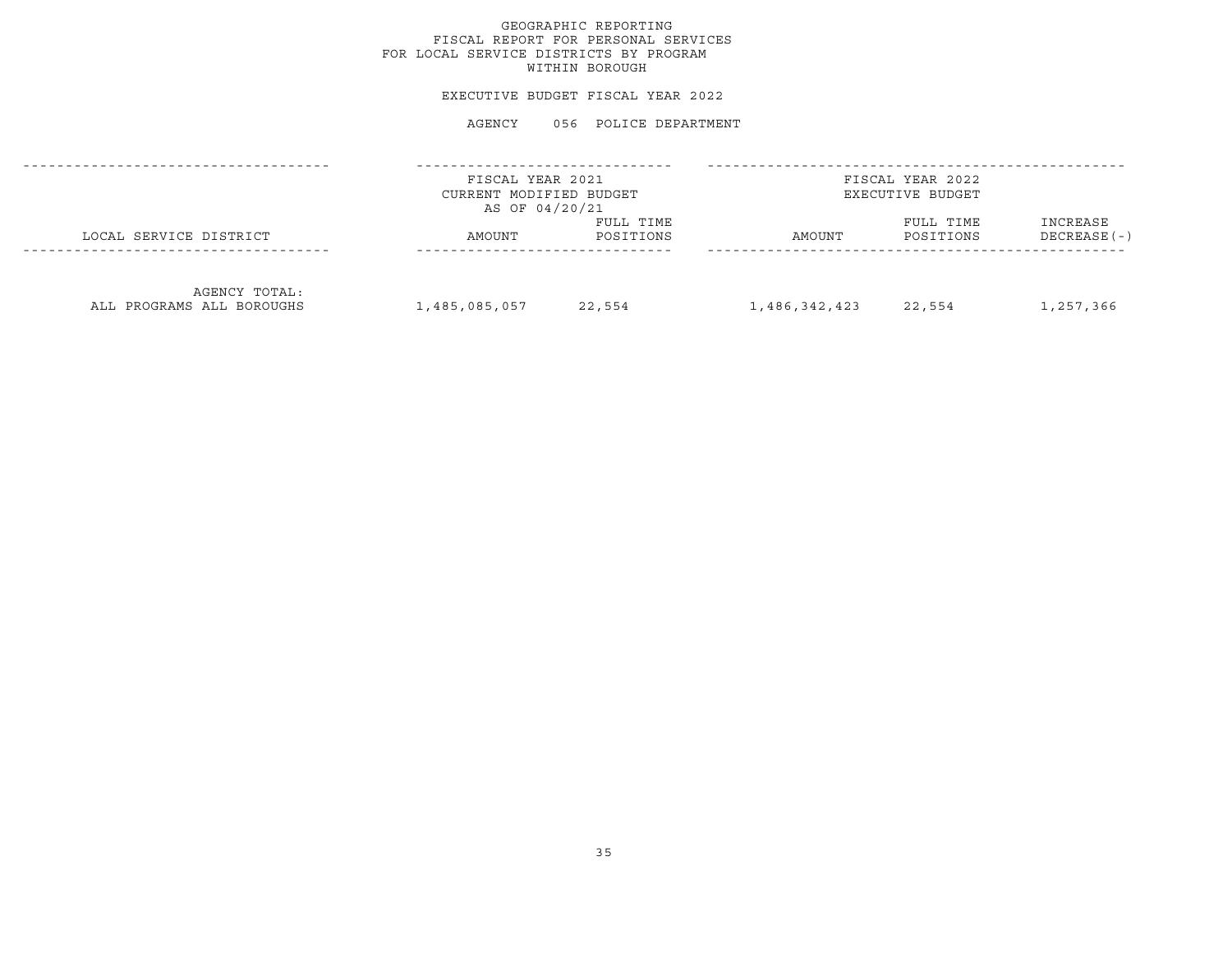# GEOGRAPHIC REPORTING FISCAL REPORT FOR PERSONAL SERVICES FOR LOCAL SERVICE DISTRICTS BY PROGRAM WITHIN BOROUGH

## EXECUTIVE BUDGET FISCAL YEAR 2022

|                                            | FISCAL YEAR 2021<br>CURRENT MODIFIED BUDGET<br>AS OF 04/20/21 |                        |               | FISCAL YEAR 2022<br>EXECUTIVE BUDGET |                           |
|--------------------------------------------|---------------------------------------------------------------|------------------------|---------------|--------------------------------------|---------------------------|
| LOCAL SERVICE DISTRICT                     | AMOUNT                                                        | FULL TIME<br>POSITIONS | AMOUNT        | FULL TIME<br>POSITIONS               | INCREASE<br>$DECREASE(-)$ |
| AGENCY TOTAL:<br>ALL PROGRAMS ALL BOROUGHS | 1,485,085,057                                                 | 22,554                 | 1,486,342,423 | 22,554                               | 1,257,366                 |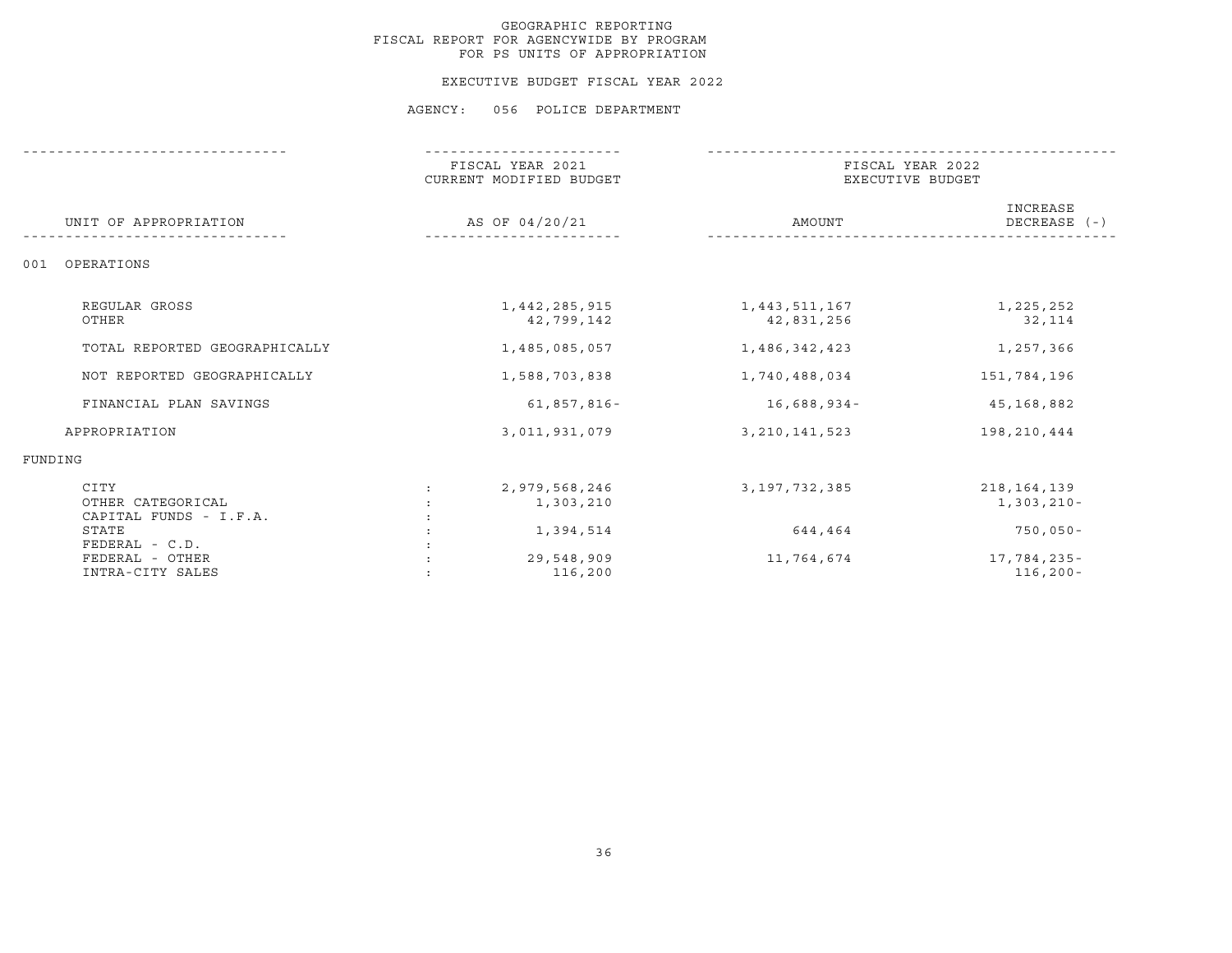#### EXECUTIVE BUDGET FISCAL YEAR 2022

|                                                     | FISCAL YEAR 2021<br>CURRENT MODIFIED BUDGET | FISCAL YEAR 2022<br>EXECUTIVE BUDGET |                               |
|-----------------------------------------------------|---------------------------------------------|--------------------------------------|-------------------------------|
| UNIT OF APPROPRIATION                               | AS OF 04/20/21                              | AMOUNT                               | INCREASE<br>DECREASE $(-)$    |
| OPERATIONS<br>001                                   |                                             |                                      |                               |
| REGULAR GROSS<br>OTHER                              | 1,442,285,915<br>42,799,142                 | 1,443,511,167<br>42,831,256          | 1,225,252<br>32,114           |
| TOTAL REPORTED GEOGRAPHICALLY                       | 1,485,085,057                               | 1,486,342,423                        | 1,257,366                     |
| NOT REPORTED GEOGRAPHICALLY                         | 1,588,703,838                               | 1,740,488,034                        | 151,784,196                   |
| FINANCIAL PLAN SAVINGS                              | 61,857,816-                                 | $16,688,934-$                        | 45,168,882                    |
| APPROPRIATION                                       | 3,011,931,079                               | 3, 210, 141, 523                     | 198,210,444                   |
| FUNDING                                             |                                             |                                      |                               |
| CITY<br>OTHER CATEGORICAL<br>CAPITAL FUNDS - I.F.A. | 2,979,568,246<br>1,303,210                  | 3, 197, 732, 385                     | 218, 164, 139<br>$1,303,210-$ |
| STATE<br>FEDERAL - C.D.                             | 1,394,514                                   | 644,464                              | $750,050-$                    |
| FEDERAL - OTHER<br>INTRA-CITY SALES                 | 29,548,909<br>116,200                       | 11,764,674                           | 17,784,235-<br>$116, 200 -$   |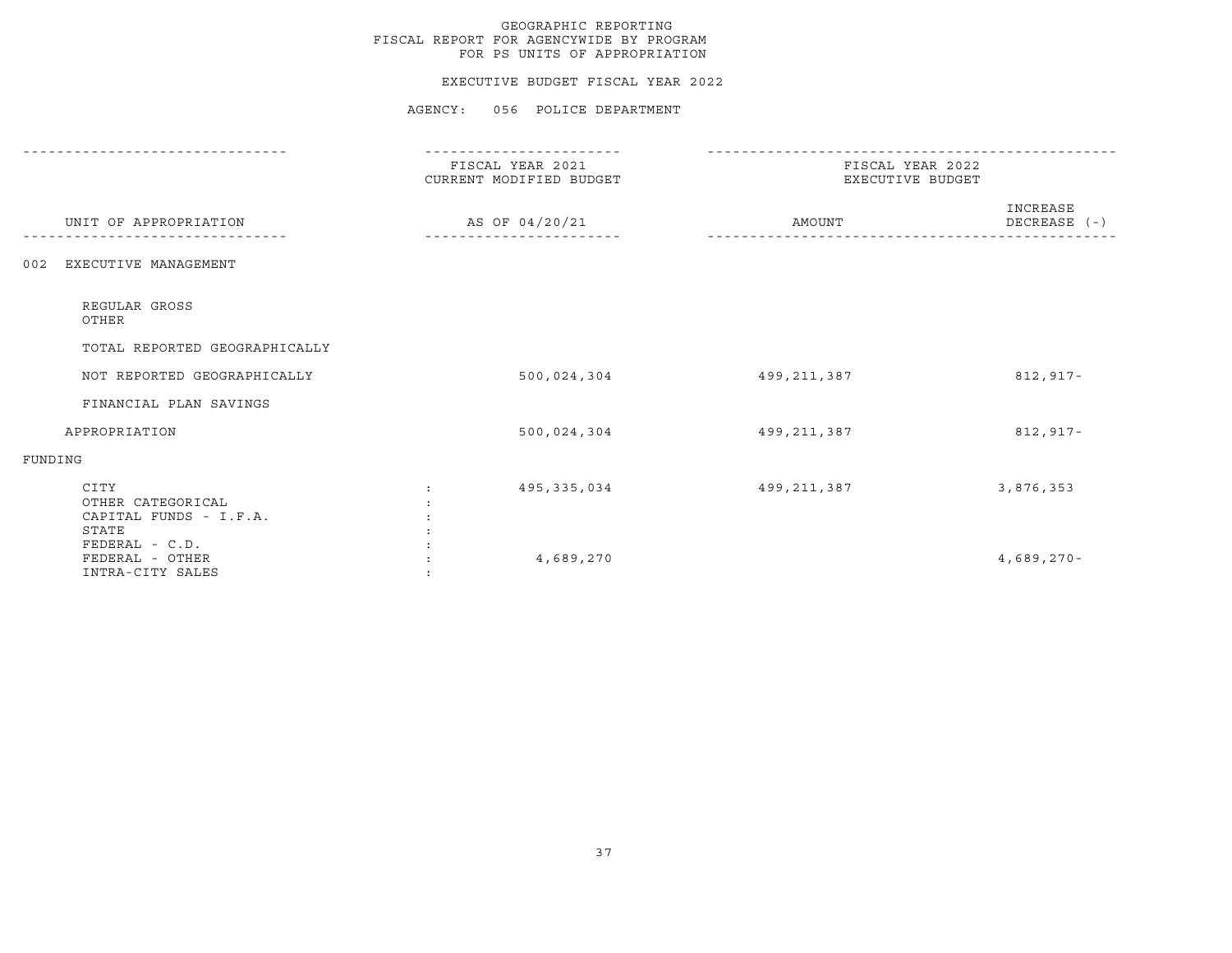## EXECUTIVE BUDGET FISCAL YEAR 2022

|                                                              | - - - - - - - - - - - - - - - -             |                                      |                          |
|--------------------------------------------------------------|---------------------------------------------|--------------------------------------|--------------------------|
|                                                              | FISCAL YEAR 2021<br>CURRENT MODIFIED BUDGET | FISCAL YEAR 2022<br>EXECUTIVE BUDGET |                          |
| UNIT OF APPROPRIATION                                        | AS OF 04/20/21                              | AMOUNT                               | INCREASE<br>DECREASE (-) |
| EXECUTIVE MANAGEMENT<br>002                                  |                                             |                                      |                          |
| REGULAR GROSS<br>OTHER                                       |                                             |                                      |                          |
| TOTAL REPORTED GEOGRAPHICALLY                                |                                             |                                      |                          |
| NOT REPORTED GEOGRAPHICALLY                                  | 500,024,304                                 | 499,211,387                          | 812,917-                 |
| FINANCIAL PLAN SAVINGS                                       |                                             |                                      |                          |
| APPROPRIATION                                                | 500,024,304                                 | 499,211,387                          | 812,917-                 |
| FUNDING                                                      |                                             |                                      |                          |
| CITY<br>OTHER CATEGORICAL<br>CAPITAL FUNDS - I.F.A.<br>STATE | 495,335,034                                 | 499,211,387                          | 3,876,353                |
| FEDERAL - C.D.<br>FEDERAL - OTHER<br>INTRA-CITY SALES        | 4,689,270                                   |                                      | $4,689,270-$             |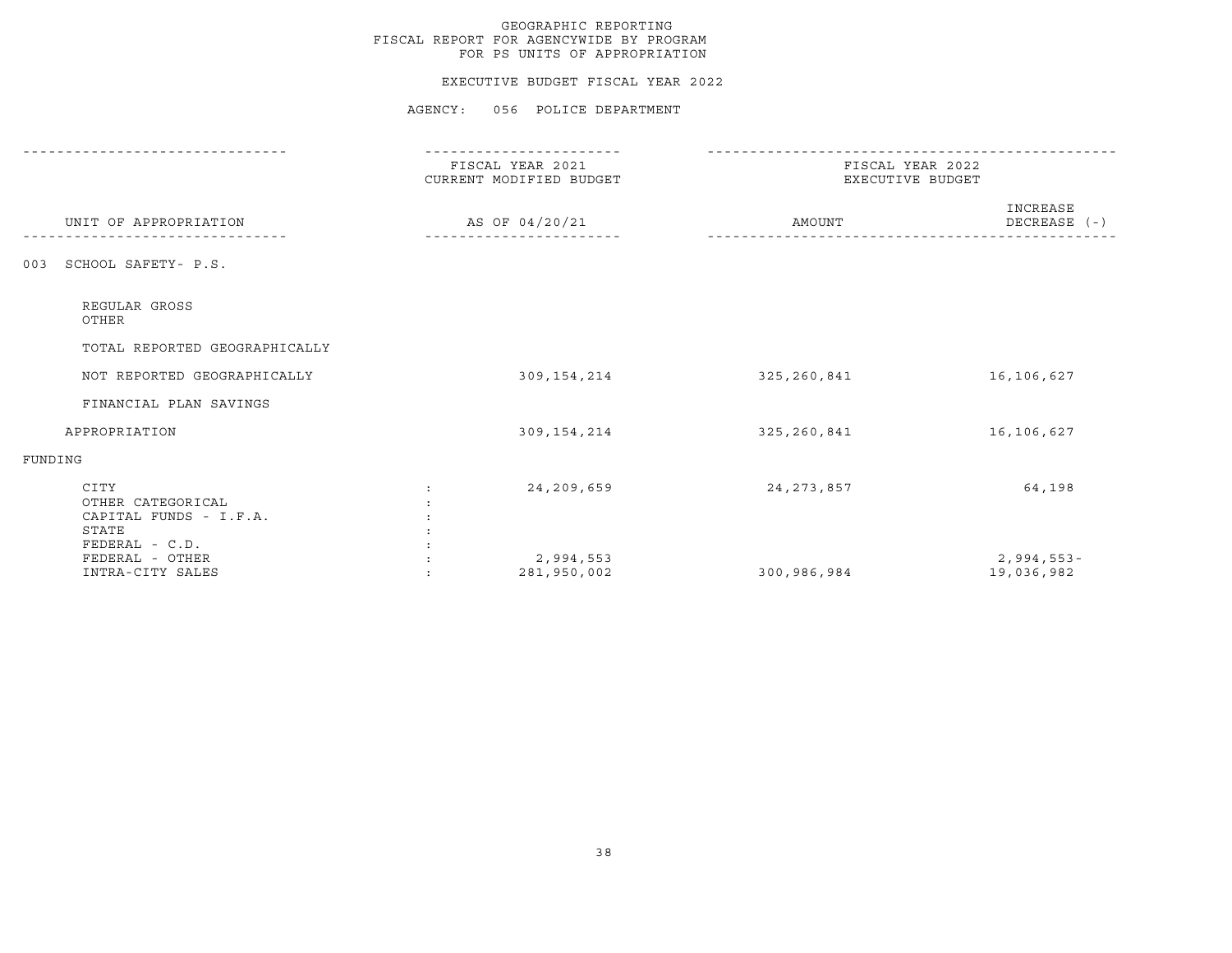#### EXECUTIVE BUDGET FISCAL YEAR 2022

|                                                                                | FISCAL YEAR 2021<br>CURRENT MODIFIED BUDGET |              | FISCAL YEAR 2022<br>EXECUTIVE BUDGET |
|--------------------------------------------------------------------------------|---------------------------------------------|--------------|--------------------------------------|
| UNIT OF APPROPRIATION                                                          | AS OF 04/20/21                              | AMOUNT       | INCREASE<br>DECREASE (-)             |
| SCHOOL SAFETY- P.S.<br>003                                                     |                                             |              |                                      |
| REGULAR GROSS<br>OTHER                                                         |                                             |              |                                      |
| TOTAL REPORTED GEOGRAPHICALLY                                                  |                                             |              |                                      |
| NOT REPORTED GEOGRAPHICALLY                                                    | 309, 154, 214                               | 325,260,841  | 16,106,627                           |
| FINANCIAL PLAN SAVINGS                                                         |                                             |              |                                      |
| APPROPRIATION                                                                  | 309, 154, 214                               | 325,260,841  | 16,106,627                           |
| FUNDING                                                                        |                                             |              |                                      |
| CITY<br>OTHER CATEGORICAL<br>CAPITAL FUNDS - I.F.A.<br>STATE<br>FEDERAL - C.D. | 24,209,659                                  | 24, 273, 857 | 64,198                               |
| FEDERAL - OTHER<br>INTRA-CITY SALES                                            | 2,994,553<br>281,950,002                    | 300,986,984  | $2,994,553-$<br>19,036,982           |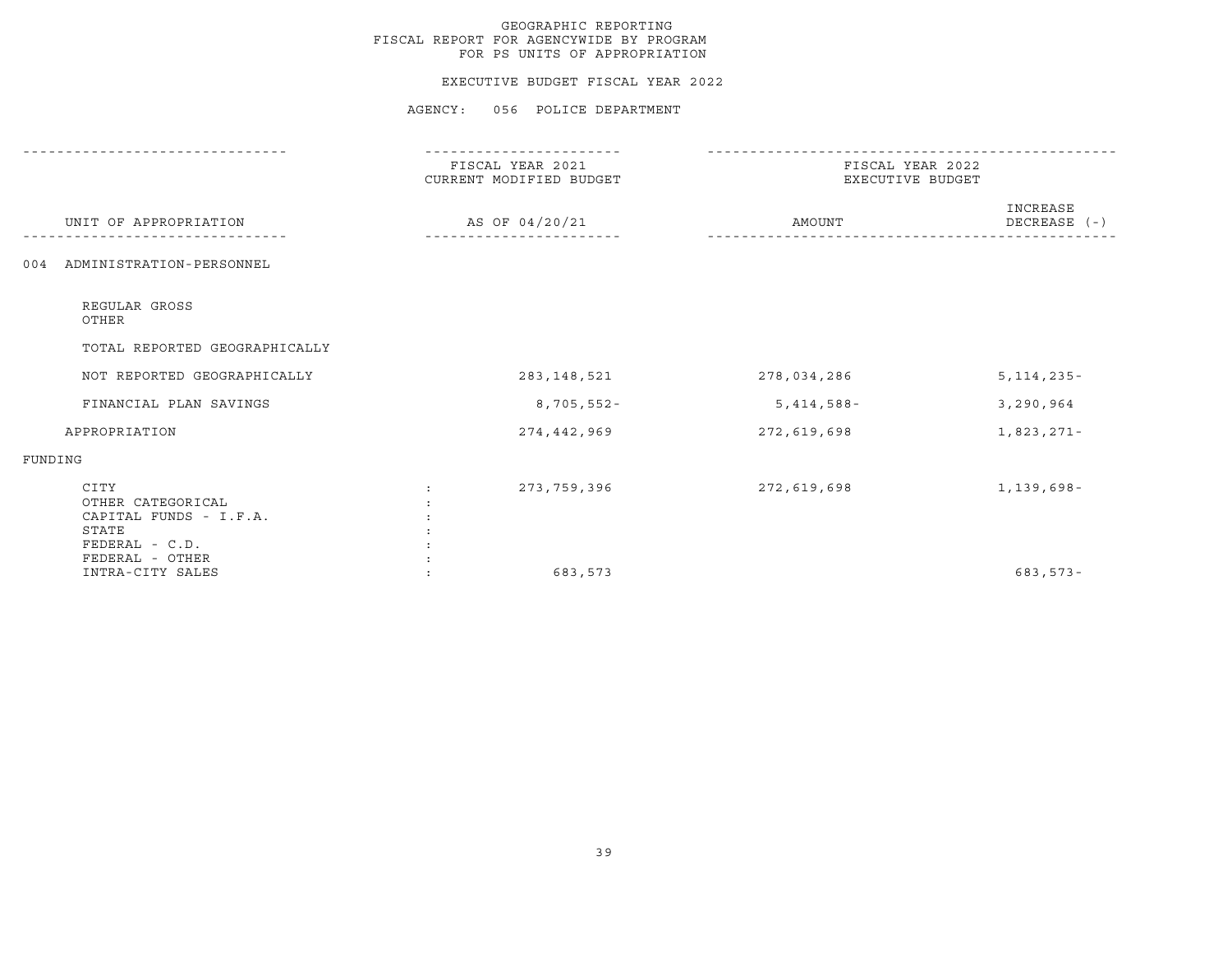## EXECUTIVE BUDGET FISCAL YEAR 2022

|                                                                                  | FISCAL YEAR 2021<br>CURRENT MODIFIED BUDGET | FISCAL YEAR 2022<br>EXECUTIVE BUDGET |                          |
|----------------------------------------------------------------------------------|---------------------------------------------|--------------------------------------|--------------------------|
| UNIT OF APPROPRIATION                                                            | AS OF 04/20/21                              | AMOUNT                               | INCREASE<br>DECREASE (-) |
| 004 ADMINISTRATION-PERSONNEL                                                     |                                             |                                      |                          |
| REGULAR GROSS<br>OTHER                                                           |                                             |                                      |                          |
| TOTAL REPORTED GEOGRAPHICALLY                                                    |                                             |                                      |                          |
| NOT REPORTED GEOGRAPHICALLY                                                      | 283,148,521                                 | 278,034,286                          | $5,114,235-$             |
| FINANCIAL PLAN SAVINGS                                                           | 8,705,552-                                  | $5,414,588-$                         | 3,290,964                |
| APPROPRIATION                                                                    | 274,442,969                                 | 272,619,698                          | 1,823,271-               |
| FUNDING                                                                          |                                             |                                      |                          |
| CITY<br>OTHER CATEGORICAL<br>CAPITAL FUNDS - I.F.A.<br>STATE<br>$FEDERAL - C.D.$ | 273,759,396                                 | 272,619,698                          | 1,139,698-               |
| FEDERAL - OTHER<br>INTRA-CITY SALES                                              | 683,573                                     |                                      | $683, 573 -$             |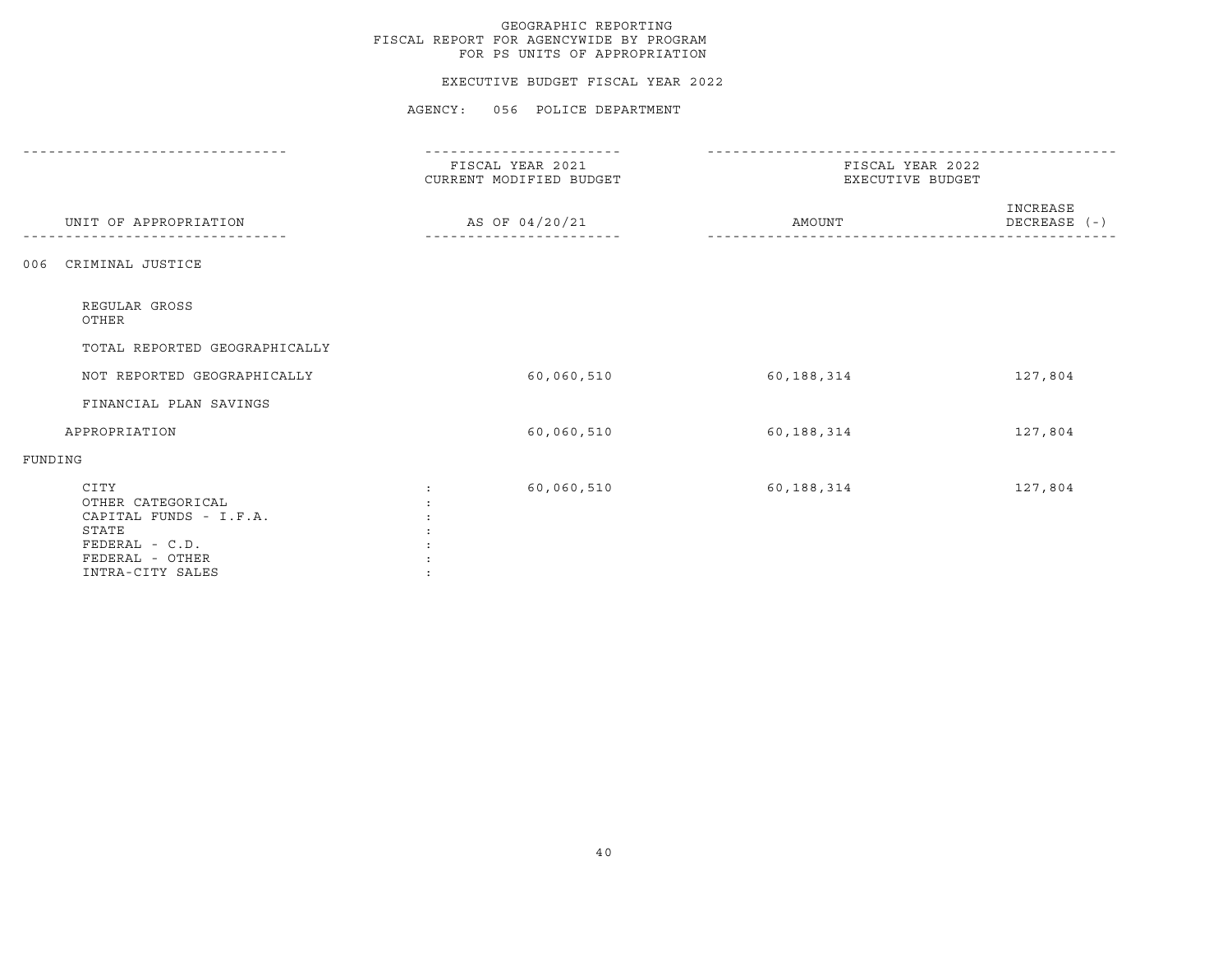## EXECUTIVE BUDGET FISCAL YEAR 2022

|                                                                                                                       | FISCAL YEAR 2021<br>CURRENT MODIFIED BUDGET | FISCAL YEAR 2022<br>EXECUTIVE BUDGET |                          |
|-----------------------------------------------------------------------------------------------------------------------|---------------------------------------------|--------------------------------------|--------------------------|
| UNIT OF APPROPRIATION                                                                                                 | AS OF 04/20/21                              | AMOUNT                               | INCREASE<br>DECREASE (-) |
| CRIMINAL JUSTICE<br>006                                                                                               |                                             |                                      |                          |
| REGULAR GROSS<br>OTHER                                                                                                |                                             |                                      |                          |
| TOTAL REPORTED GEOGRAPHICALLY                                                                                         |                                             |                                      |                          |
| NOT REPORTED GEOGRAPHICALLY                                                                                           | 60,060,510                                  | 60,188,314                           | 127,804                  |
| FINANCIAL PLAN SAVINGS                                                                                                |                                             |                                      |                          |
| APPROPRIATION                                                                                                         | 60,060,510                                  | 60,188,314                           | 127,804                  |
| FUNDING                                                                                                               |                                             |                                      |                          |
| CITY<br>OTHER CATEGORICAL<br>CAPITAL FUNDS - I.F.A.<br>STATE<br>FEDERAL - C.D.<br>FEDERAL - OTHER<br>INTRA-CITY SALES | 60,060,510<br>$\ddot{\phantom{a}}$          | 60,188,314                           | 127,804                  |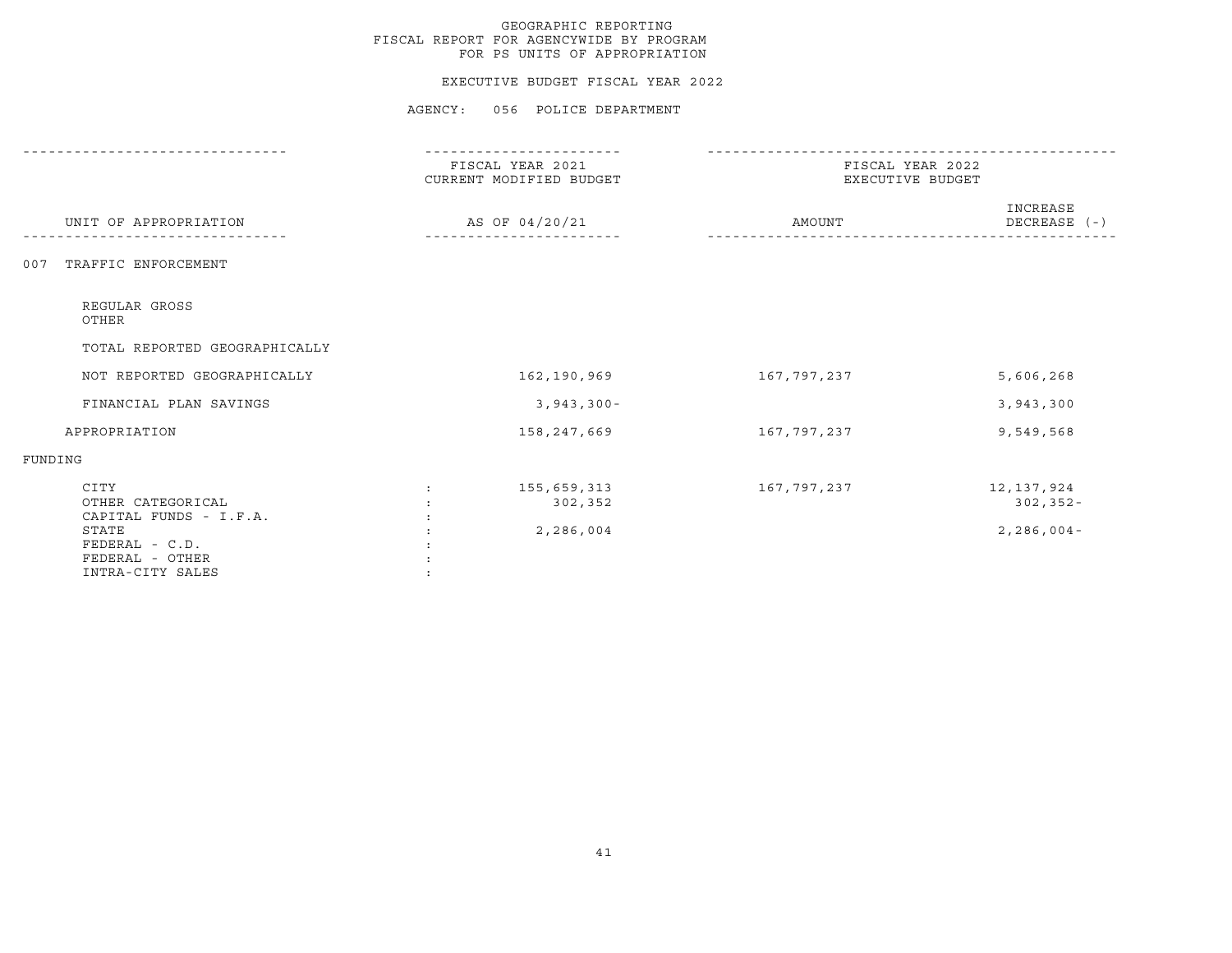## EXECUTIVE BUDGET FISCAL YEAR 2022

|                                                                                                                       | FISCAL YEAR 2021<br>CURRENT MODIFIED BUDGET | FISCAL YEAR 2022<br>EXECUTIVE BUDGET |                                              |  |
|-----------------------------------------------------------------------------------------------------------------------|---------------------------------------------|--------------------------------------|----------------------------------------------|--|
| UNIT OF APPROPRIATION                                                                                                 | AS OF 04/20/21                              | AMOUNT                               | INCREASE<br>DECREASE (-)                     |  |
| TRAFFIC ENFORCEMENT<br>007                                                                                            |                                             |                                      |                                              |  |
| REGULAR GROSS<br>OTHER                                                                                                |                                             |                                      |                                              |  |
| TOTAL REPORTED GEOGRAPHICALLY                                                                                         |                                             |                                      |                                              |  |
| NOT REPORTED GEOGRAPHICALLY                                                                                           | 162,190,969                                 | 167,797,237                          | 5,606,268                                    |  |
| FINANCIAL PLAN SAVINGS                                                                                                | $3,943,300 -$                               |                                      | 3,943,300                                    |  |
| APPROPRIATION                                                                                                         | 158,247,669                                 | 167,797,237                          | 9,549,568                                    |  |
| FUNDING                                                                                                               |                                             |                                      |                                              |  |
| CITY<br>OTHER CATEGORICAL<br>CAPITAL FUNDS - I.F.A.<br>STATE<br>FEDERAL - C.D.<br>FEDERAL - OTHER<br>INTRA-CITY SALES | 155,659,313<br>302,352<br>2,286,004         | 167,797,237                          | 12, 137, 924<br>$302, 352 -$<br>$2,286,004-$ |  |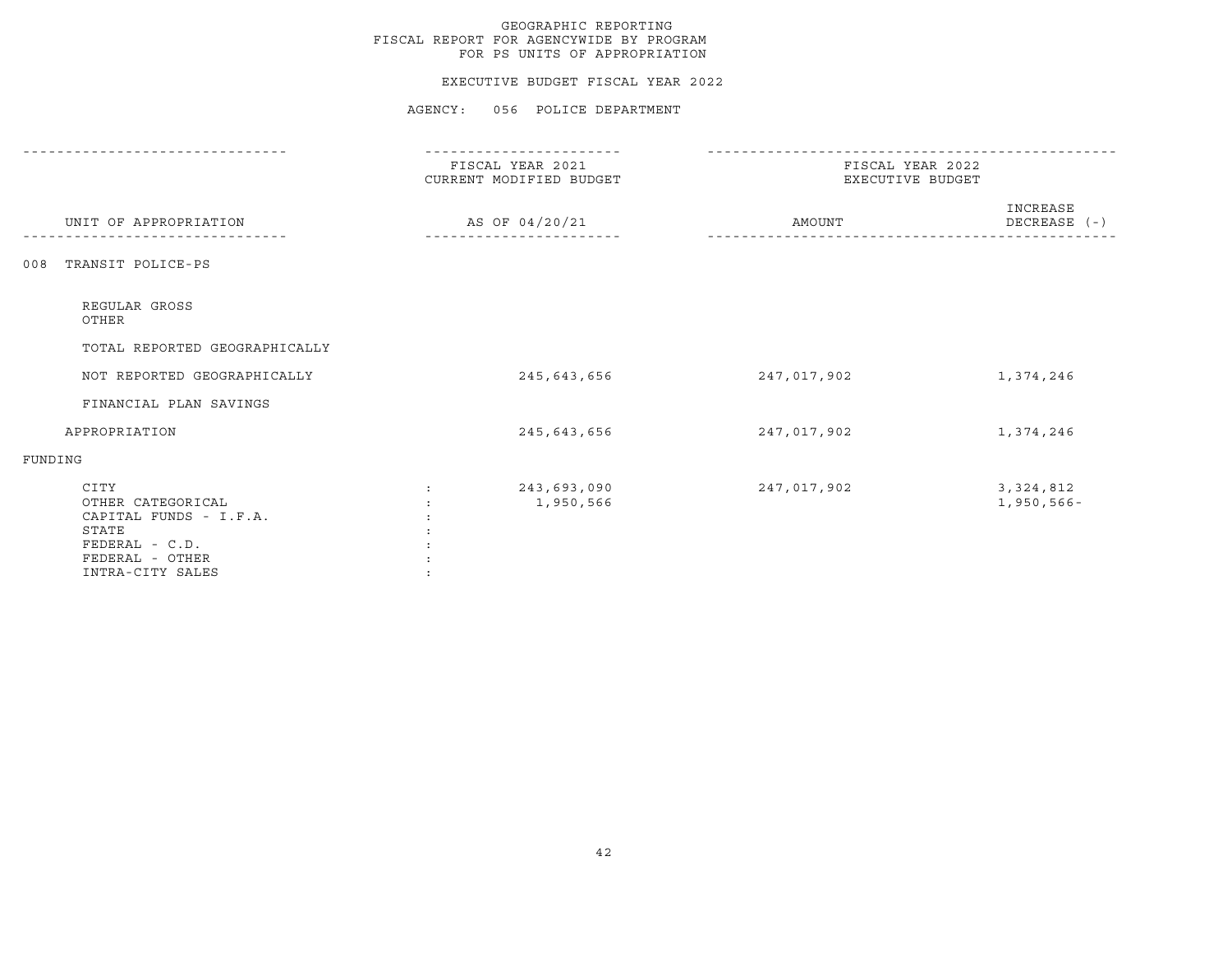## EXECUTIVE BUDGET FISCAL YEAR 2022

|                                                                                                                       | FISCAL YEAR 2021<br>CURRENT MODIFIED BUDGET      | FISCAL YEAR 2022<br>EXECUTIVE BUDGET |                              |  |
|-----------------------------------------------------------------------------------------------------------------------|--------------------------------------------------|--------------------------------------|------------------------------|--|
| UNIT OF APPROPRIATION                                                                                                 | AS OF 04/20/21                                   | AMOUNT                               | INCREASE<br>DECREASE (-)     |  |
| TRANSIT POLICE-PS<br>008                                                                                              |                                                  |                                      |                              |  |
| REGULAR GROSS<br>OTHER                                                                                                |                                                  |                                      |                              |  |
| TOTAL REPORTED GEOGRAPHICALLY                                                                                         |                                                  |                                      |                              |  |
| NOT REPORTED GEOGRAPHICALLY                                                                                           | 245,643,656                                      | 247,017,902                          | 1,374,246                    |  |
| FINANCIAL PLAN SAVINGS                                                                                                |                                                  |                                      |                              |  |
| APPROPRIATION                                                                                                         | 245,643,656                                      | 247,017,902                          | 1,374,246                    |  |
| FUNDING                                                                                                               |                                                  |                                      |                              |  |
| CITY<br>OTHER CATEGORICAL<br>CAPITAL FUNDS - I.F.A.<br>STATE<br>FEDERAL - C.D.<br>FEDERAL - OTHER<br>INTRA-CITY SALES | 243,693,090<br>$\ddot{\phantom{a}}$<br>1,950,566 | 247,017,902                          | 3, 324, 812<br>$1,950,566 -$ |  |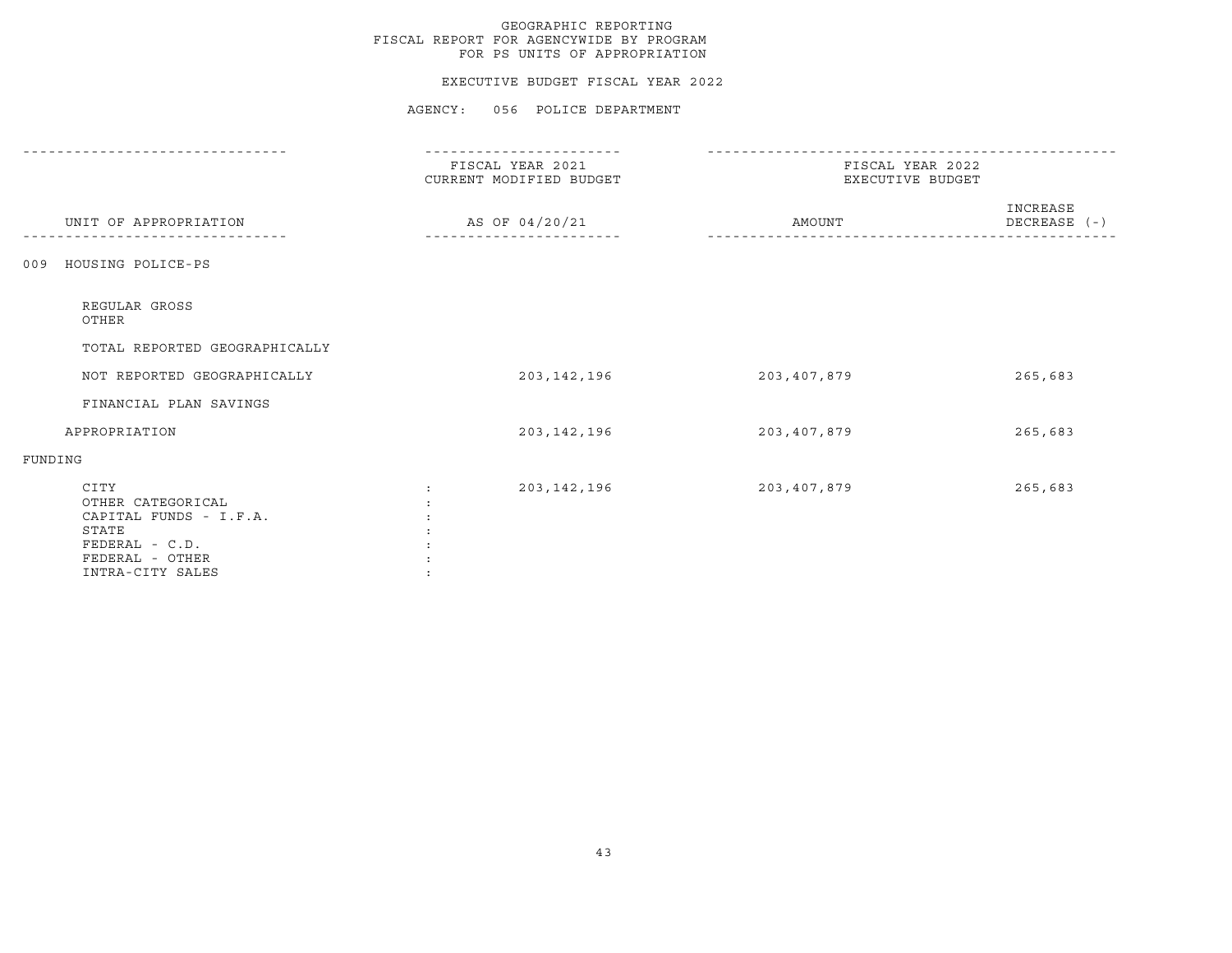## EXECUTIVE BUDGET FISCAL YEAR 2022

|                                                                                                                       | FISCAL YEAR 2021<br>CURRENT MODIFIED BUDGET | FISCAL YEAR 2022<br>EXECUTIVE BUDGET |                          |
|-----------------------------------------------------------------------------------------------------------------------|---------------------------------------------|--------------------------------------|--------------------------|
| UNIT OF APPROPRIATION                                                                                                 | AS OF 04/20/21                              | AMOUNT                               | INCREASE<br>DECREASE (-) |
| HOUSING POLICE-PS<br>009                                                                                              |                                             |                                      |                          |
| REGULAR GROSS<br>OTHER                                                                                                |                                             |                                      |                          |
| TOTAL REPORTED GEOGRAPHICALLY                                                                                         |                                             |                                      |                          |
| NOT REPORTED GEOGRAPHICALLY                                                                                           | 203,142,196                                 | 203,407,879                          | 265,683                  |
| FINANCIAL PLAN SAVINGS                                                                                                |                                             |                                      |                          |
| APPROPRIATION                                                                                                         | 203, 142, 196                               | 203,407,879                          | 265,683                  |
| FUNDING                                                                                                               |                                             |                                      |                          |
| CITY<br>OTHER CATEGORICAL<br>CAPITAL FUNDS - I.F.A.<br>STATE<br>FEDERAL - C.D.<br>FEDERAL - OTHER<br>INTRA-CITY SALES | 203, 142, 196<br>$\ddot{\cdot}$             | 203,407,879                          | 265,683                  |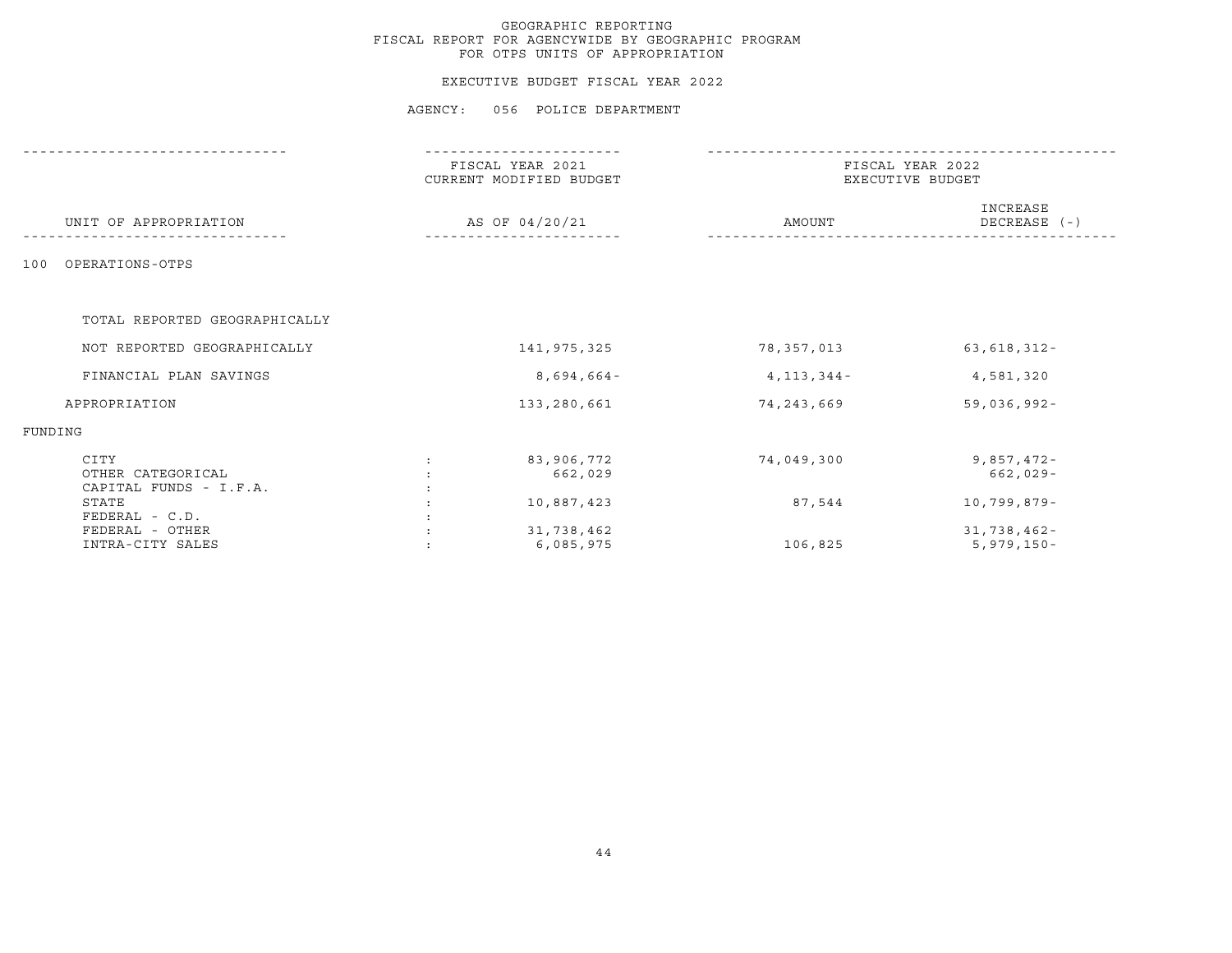## EXECUTIVE BUDGET FISCAL YEAR 2022

|                                                     | FISCAL YEAR 2021<br>CURRENT MODIFIED BUDGET |                         | FISCAL YEAR 2022<br>EXECUTIVE BUDGET |                             |  |
|-----------------------------------------------------|---------------------------------------------|-------------------------|--------------------------------------|-----------------------------|--|
| UNIT OF APPROPRIATION                               | AS OF 04/20/21                              |                         | AMOUNT                               | INCREASE<br>DECREASE (-)    |  |
| OPERATIONS-OTPS<br>100                              |                                             |                         |                                      |                             |  |
| TOTAL REPORTED GEOGRAPHICALLY                       |                                             |                         |                                      |                             |  |
| NOT REPORTED GEOGRAPHICALLY                         |                                             | 141,975,325             | 78,357,013                           | $63,618,312 -$              |  |
| FINANCIAL PLAN SAVINGS                              |                                             | $8,694,664-$            | $4, 113, 344 -$                      | 4,581,320                   |  |
| APPROPRIATION                                       |                                             | 133,280,661             | 74,243,669                           | $59,036,992 -$              |  |
| FUNDING                                             |                                             |                         |                                      |                             |  |
| CITY<br>OTHER CATEGORICAL<br>CAPITAL FUNDS - I.F.A. |                                             | 83,906,772<br>662,029   | 74,049,300                           | $9,857,472-$<br>$662,029-$  |  |
| STATE<br>FEDERAL - C.D.                             |                                             | 10,887,423              | 87,544                               | 10,799,879-                 |  |
| FEDERAL - OTHER<br>INTRA-CITY SALES                 |                                             | 31,738,462<br>6,085,975 | 106,825                              | 31,738,462-<br>$5,979,150-$ |  |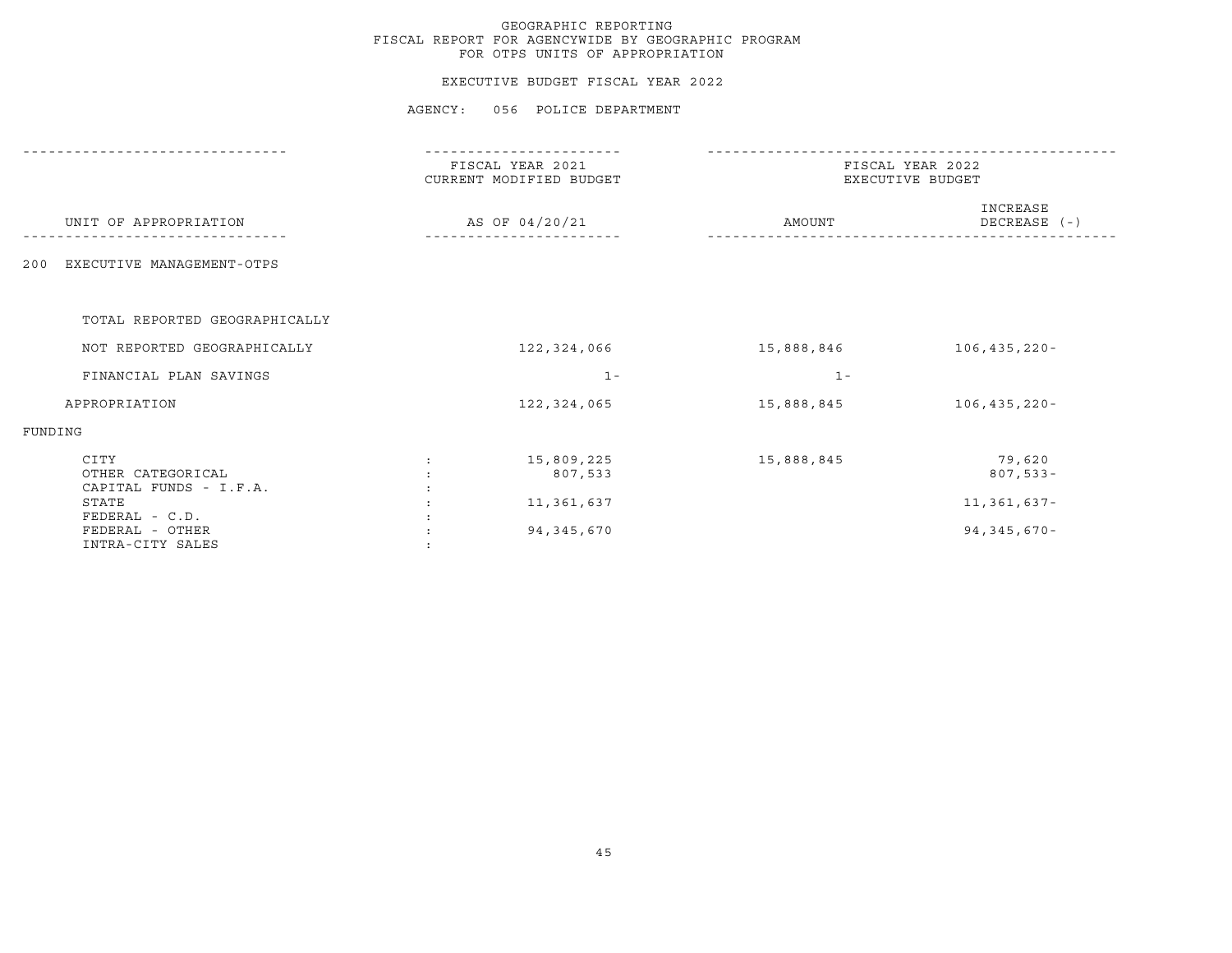## EXECUTIVE BUDGET FISCAL YEAR 2022

|                                                     | FISCAL YEAR 2021<br>CURRENT MODIFIED BUDGET | FISCAL YEAR 2022<br>EXECUTIVE BUDGET |                          |  |
|-----------------------------------------------------|---------------------------------------------|--------------------------------------|--------------------------|--|
| UNIT OF APPROPRIATION                               | AS OF 04/20/21                              | AMOUNT                               | INCREASE<br>DECREASE (-) |  |
| EXECUTIVE MANAGEMENT-OTPS<br>200                    |                                             |                                      |                          |  |
| TOTAL REPORTED GEOGRAPHICALLY                       |                                             |                                      |                          |  |
| NOT REPORTED GEOGRAPHICALLY                         | 122,324,066                                 | 15,888,846                           | $106, 435, 220 -$        |  |
| FINANCIAL PLAN SAVINGS                              | $1 -$                                       | $1 -$                                |                          |  |
| APPROPRIATION                                       | 122,324,065                                 | 15,888,845                           | $106, 435, 220 -$        |  |
| FUNDING                                             |                                             |                                      |                          |  |
| CITY<br>OTHER CATEGORICAL<br>CAPITAL FUNDS - I.F.A. | 15,809,225<br>807,533                       | 15,888,845                           | 79,620<br>$807,533 -$    |  |
| STATE<br>FEDERAL - C.D.                             | 11,361,637                                  |                                      | 11,361,637-              |  |
| FEDERAL - OTHER<br>INTRA-CITY SALES                 | 94, 345, 670                                |                                      | 94, 345, 670-            |  |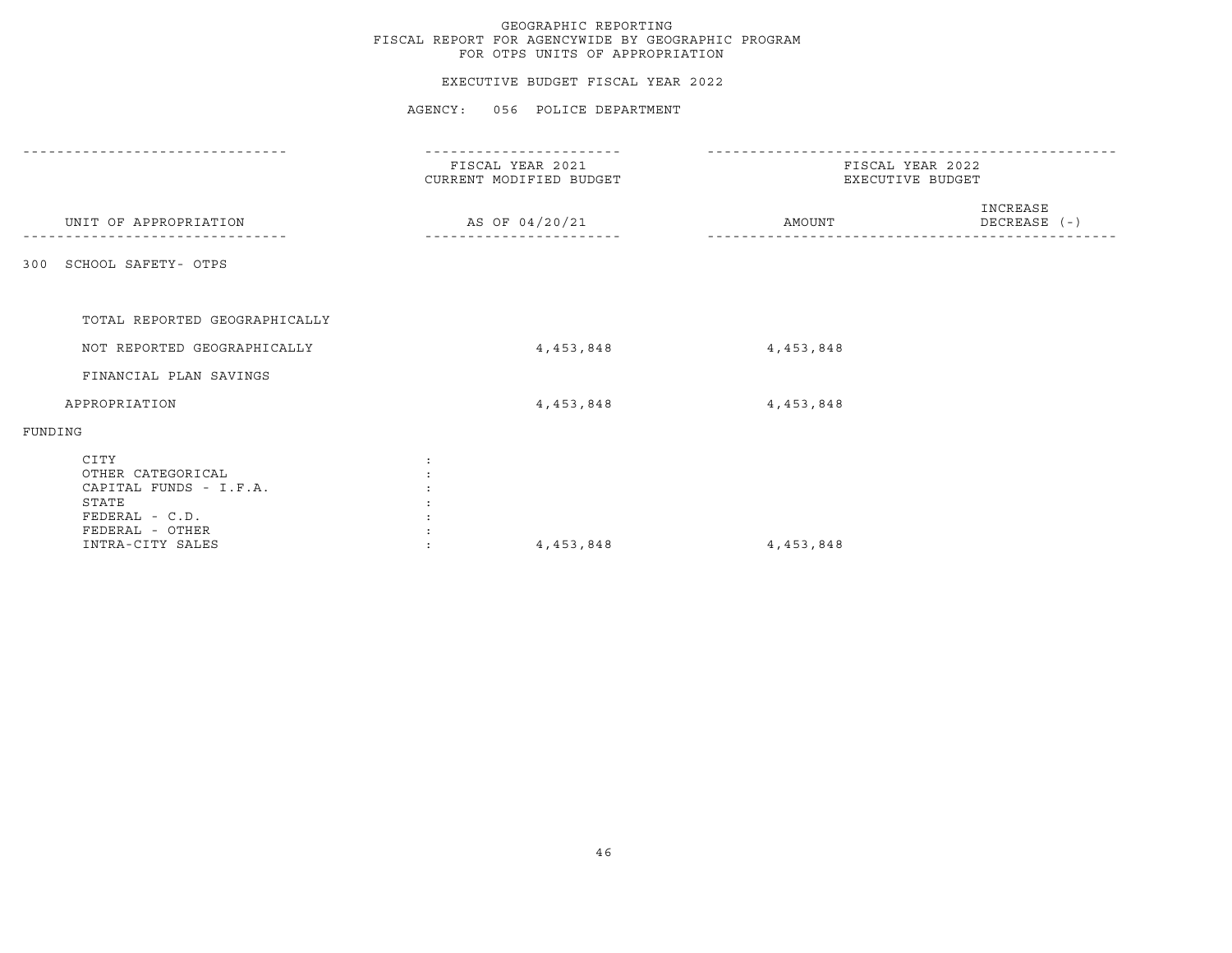|                                                                                                                       |              | GEOGRAPHIC REPORTING<br>FISCAL REPORT FOR AGENCYWIDE BY GEOGRAPHIC PROGRAM<br>FOR OTPS UNITS OF APPROPRIATION |                                      |                          |
|-----------------------------------------------------------------------------------------------------------------------|--------------|---------------------------------------------------------------------------------------------------------------|--------------------------------------|--------------------------|
|                                                                                                                       |              | EXECUTIVE BUDGET FISCAL YEAR 2022                                                                             |                                      |                          |
|                                                                                                                       |              | AGENCY: 056 POLICE DEPARTMENT                                                                                 |                                      |                          |
|                                                                                                                       |              | FISCAL YEAR 2021<br>CURRENT MODIFIED BUDGET                                                                   | FISCAL YEAR 2022<br>EXECUTIVE BUDGET |                          |
| UNIT OF APPROPRIATION                                                                                                 |              | AS OF 04/20/21                                                                                                | AMOUNT                               | INCREASE<br>DECREASE (-) |
| 300 SCHOOL SAFETY- OTPS                                                                                               |              |                                                                                                               |                                      |                          |
| TOTAL REPORTED GEOGRAPHICALLY                                                                                         |              |                                                                                                               |                                      |                          |
| NOT REPORTED GEOGRAPHICALLY                                                                                           |              | 4,453,848                                                                                                     | 4,453,848                            |                          |
| FINANCIAL PLAN SAVINGS                                                                                                |              |                                                                                                               |                                      |                          |
| APPROPRIATION                                                                                                         |              | 4,453,848                                                                                                     | 4,453,848                            |                          |
| FUNDING                                                                                                               |              |                                                                                                               |                                      |                          |
| CITY<br>OTHER CATEGORICAL<br>CAPITAL FUNDS - I.F.A.<br>STATE<br>FEDERAL - C.D.<br>FEDERAL - OTHER<br>INTRA-CITY SALES | $\mathbf{r}$ | 4,453,848                                                                                                     | 4,453,848                            |                          |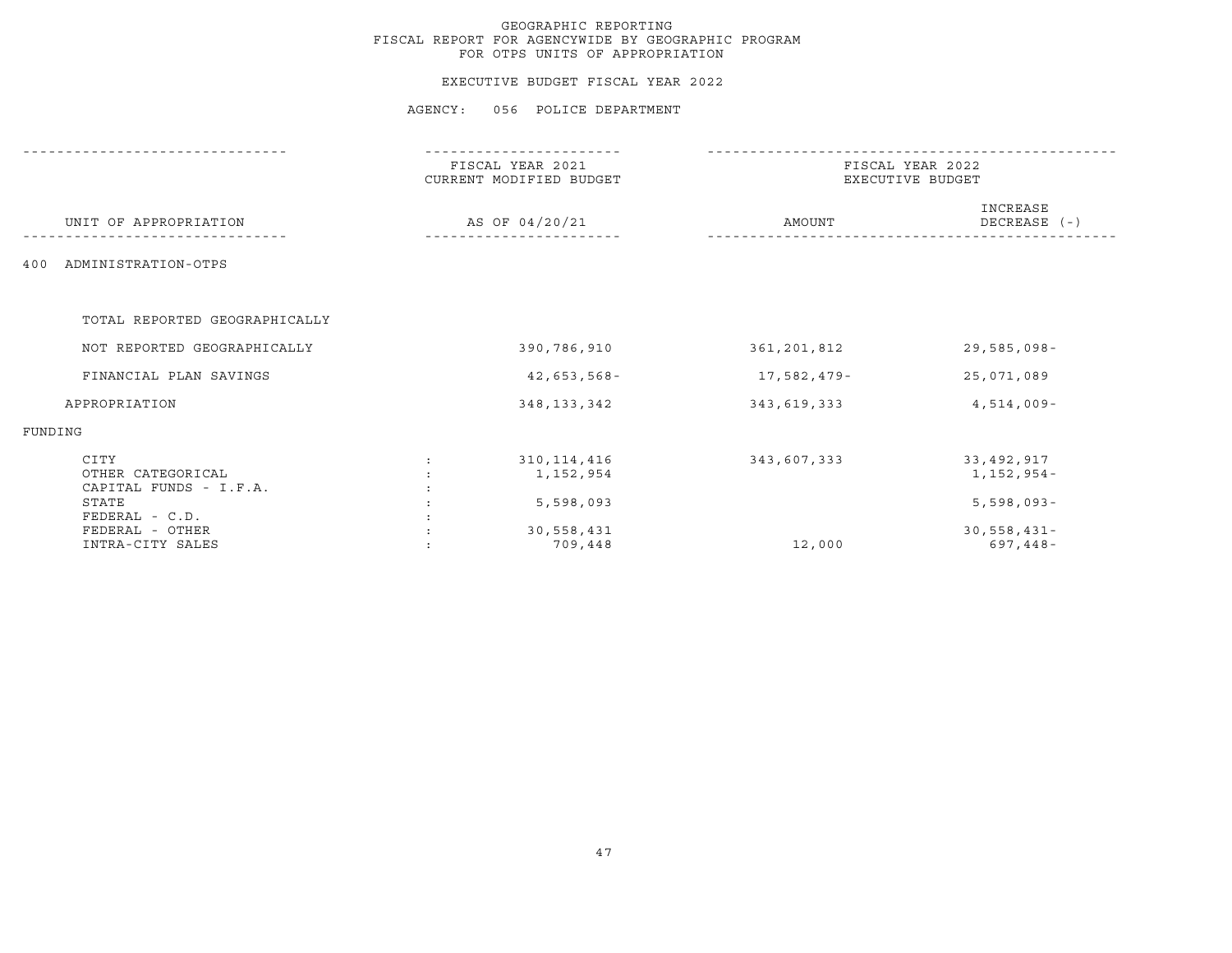## EXECUTIVE BUDGET FISCAL YEAR 2022

|                                                     | FISCAL YEAR 2021<br>CURRENT MODIFIED BUDGET | FISCAL YEAR 2022<br>EXECUTIVE BUDGET |                            |  |
|-----------------------------------------------------|---------------------------------------------|--------------------------------------|----------------------------|--|
| UNIT OF APPROPRIATION                               | AS OF 04/20/21                              | AMOUNT                               | INCREASE<br>DECREASE (-)   |  |
| ADMINISTRATION-OTPS<br>400                          |                                             |                                      |                            |  |
| TOTAL REPORTED GEOGRAPHICALLY                       |                                             |                                      |                            |  |
| NOT REPORTED GEOGRAPHICALLY                         | 390,786,910                                 | 361,201,812                          | $29,585,098 -$             |  |
| FINANCIAL PLAN SAVINGS                              | $42,653,568-$                               | 17,582,479-                          | 25,071,089                 |  |
| APPROPRIATION                                       | 348, 133, 342                               | 343,619,333                          | $4,514,009-$               |  |
| FUNDING                                             |                                             |                                      |                            |  |
| CITY<br>OTHER CATEGORICAL<br>CAPITAL FUNDS - I.F.A. | 310, 114, 416<br>1,152,954                  | 343,607,333                          | 33,492,917<br>$1,152,954-$ |  |
| STATE<br>FEDERAL - C.D.                             | 5,598,093                                   |                                      | $5,598,093 -$              |  |
| FEDERAL - OTHER<br>INTRA-CITY SALES                 | 30,558,431<br>709,448                       | 12,000                               | $30,558,431 -$<br>697,448- |  |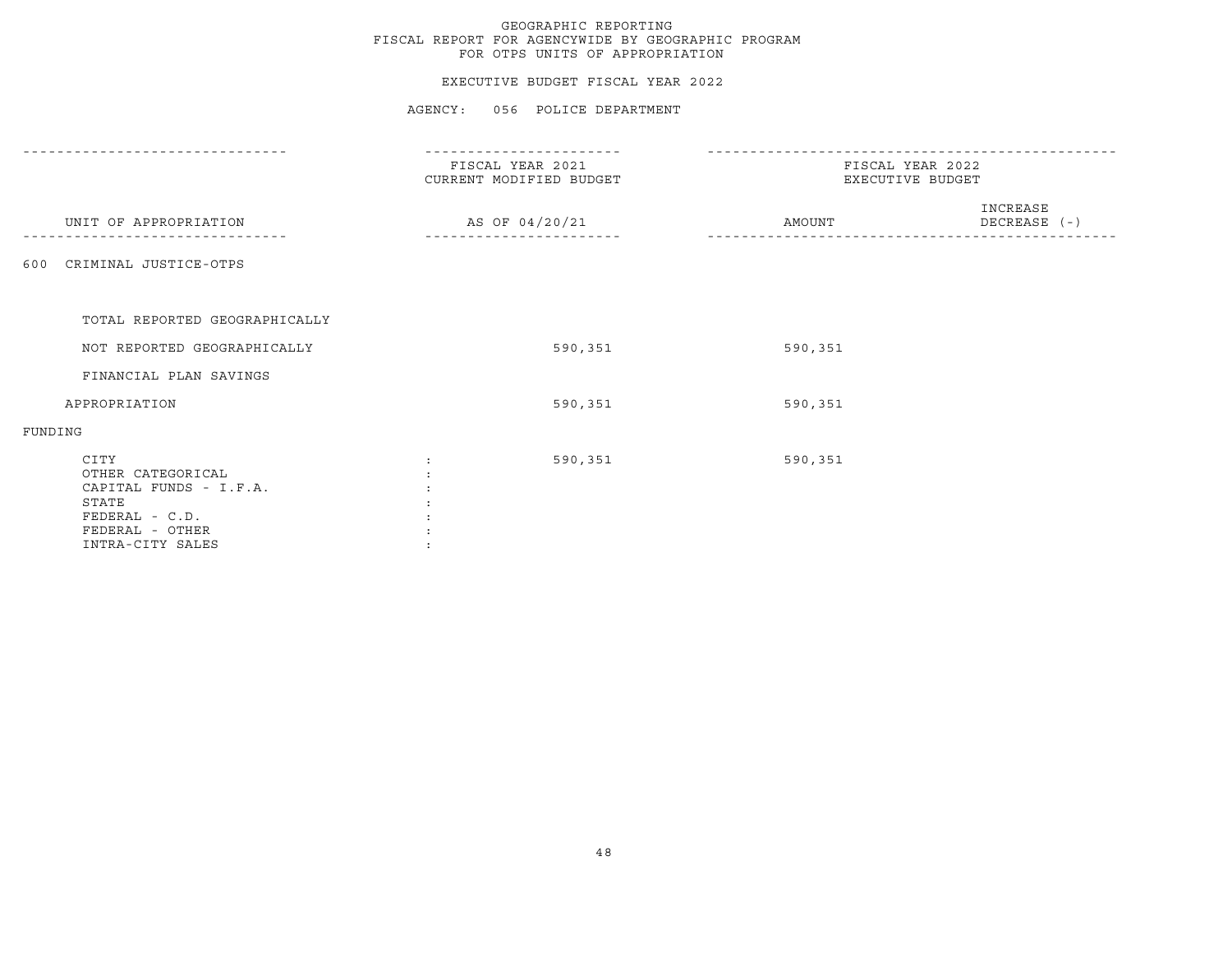## EXECUTIVE BUDGET FISCAL YEAR 2022

|                                                                                                                       | FISCAL YEAR 2021<br>CURRENT MODIFIED BUDGET | FISCAL YEAR 2022<br>EXECUTIVE BUDGET |
|-----------------------------------------------------------------------------------------------------------------------|---------------------------------------------|--------------------------------------|
| UNIT OF APPROPRIATION                                                                                                 | AS OF 04/20/21                              | INCREASE<br>DECREASE (-)<br>AMOUNT   |
| CRIMINAL JUSTICE-OTPS<br>600                                                                                          |                                             |                                      |
| TOTAL REPORTED GEOGRAPHICALLY                                                                                         |                                             |                                      |
| NOT REPORTED GEOGRAPHICALLY                                                                                           | 590,351                                     | 590,351                              |
| FINANCIAL PLAN SAVINGS                                                                                                |                                             |                                      |
| APPROPRIATION                                                                                                         | 590,351                                     | 590,351                              |
| FUNDING                                                                                                               |                                             |                                      |
| CITY<br>OTHER CATEGORICAL<br>CAPITAL FUNDS - I.F.A.<br>STATE<br>FEDERAL - C.D.<br>FEDERAL - OTHER<br>INTRA-CITY SALES | 590,351                                     | 590,351                              |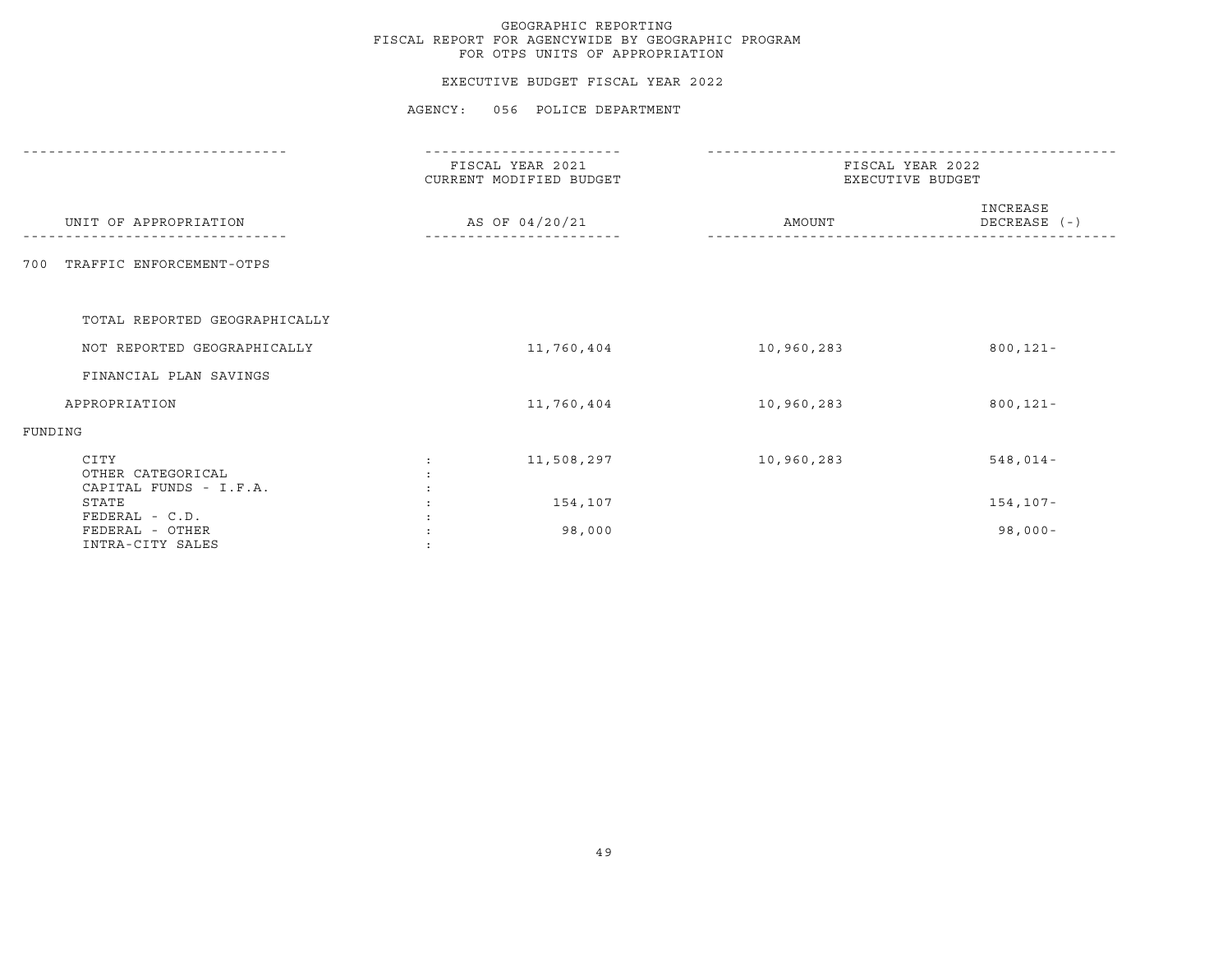## EXECUTIVE BUDGET FISCAL YEAR 2022

|                                                       | --------------                              |                                      |                          |  |
|-------------------------------------------------------|---------------------------------------------|--------------------------------------|--------------------------|--|
|                                                       | FISCAL YEAR 2021<br>CURRENT MODIFIED BUDGET | FISCAL YEAR 2022<br>EXECUTIVE BUDGET |                          |  |
| UNIT OF APPROPRIATION                                 | AS OF 04/20/21                              | AMOUNT                               | INCREASE<br>DECREASE (-) |  |
| TRAFFIC ENFORCEMENT-OTPS<br>700                       |                                             |                                      |                          |  |
| TOTAL REPORTED GEOGRAPHICALLY                         |                                             |                                      |                          |  |
| NOT REPORTED GEOGRAPHICALLY                           | 11,760,404                                  | 10,960,283                           | $800, 121 -$             |  |
| FINANCIAL PLAN SAVINGS                                |                                             |                                      |                          |  |
| APPROPRIATION                                         | 11,760,404                                  | 10,960,283                           | $800, 121 -$             |  |
| FUNDING                                               |                                             |                                      |                          |  |
| CITY<br>OTHER CATEGORICAL<br>CAPITAL FUNDS - I.F.A.   | 11,508,297<br>$\ddot{\phantom{a}}$          | 10,960,283                           | $548,014-$               |  |
| STATE                                                 | 154,107                                     |                                      | $154, 107 -$             |  |
| FEDERAL - C.D.<br>FEDERAL - OTHER<br>INTRA-CITY SALES | 98,000                                      |                                      | $98,000 -$               |  |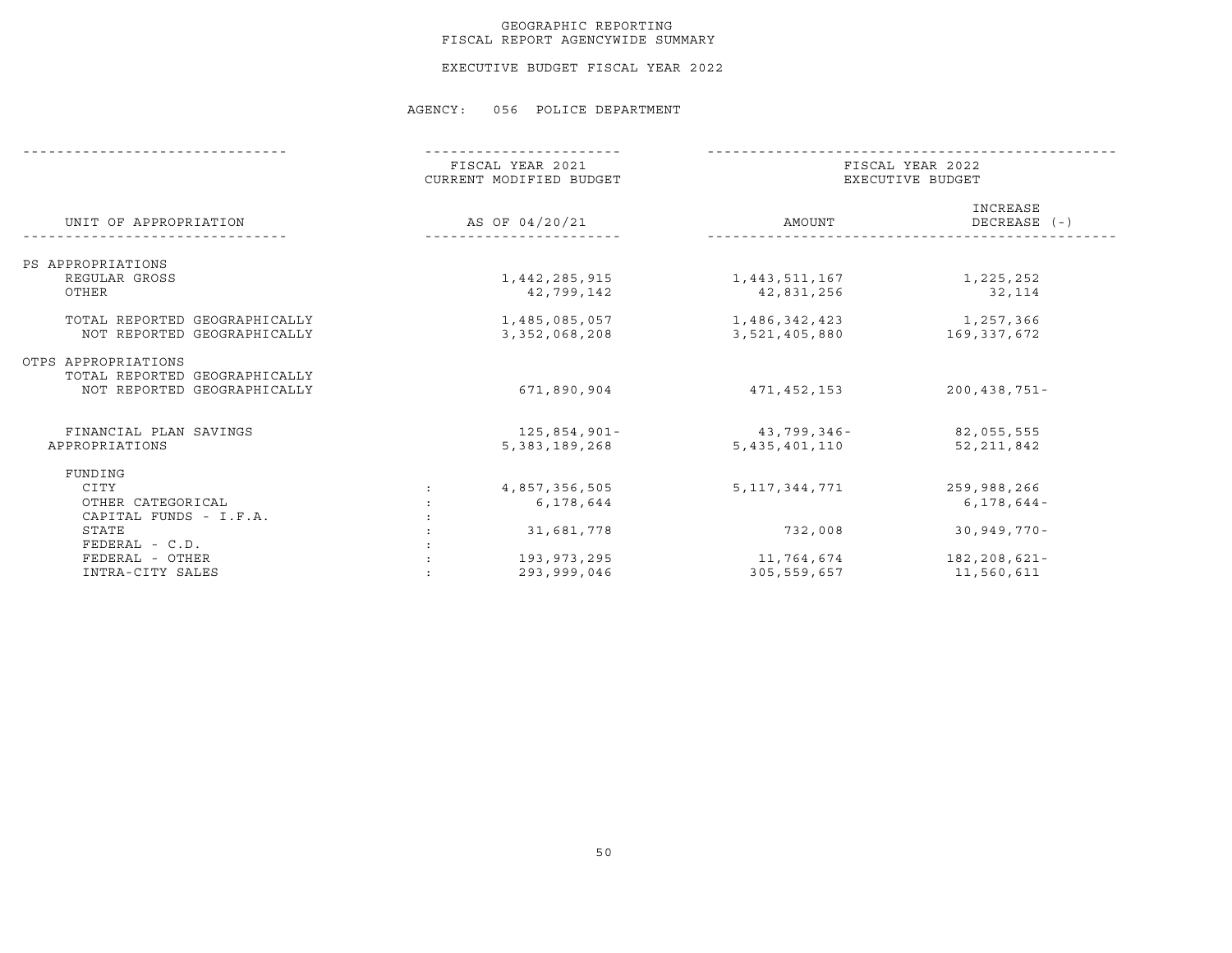## GEOGRAPHIC REPORTING FISCAL REPORT AGENCYWIDE SUMMARY

EXECUTIVE BUDGET FISCAL YEAR 2022

|                               | FISCAL YEAR 2021<br>CURRENT MODIFIED BUDGET |                  | FISCAL YEAR 2022<br>EXECUTIVE BUDGET |  |  |
|-------------------------------|---------------------------------------------|------------------|--------------------------------------|--|--|
| UNIT OF APPROPRIATION         | AS OF 04/20/21                              | AMOUNT           | INCREASE<br>DECREASE (-)             |  |  |
| PS APPROPRIATIONS             |                                             |                  |                                      |  |  |
| REGULAR GROSS                 | 1,442,285,915                               | 1,443,511,167    | 1,225,252                            |  |  |
| OTHER                         | 42,799,142                                  | 42,831,256       | 32,114                               |  |  |
| TOTAL REPORTED GEOGRAPHICALLY | 1,485,085,057                               | 1,486,342,423    | 1,257,366                            |  |  |
| NOT REPORTED GEOGRAPHICALLY   | 3, 352, 068, 208                            | 3,521,405,880    | 169,337,672                          |  |  |
| OTPS APPROPRIATIONS           |                                             |                  |                                      |  |  |
| TOTAL REPORTED GEOGRAPHICALLY |                                             |                  |                                      |  |  |
| NOT REPORTED GEOGRAPHICALLY   | 671,890,904                                 | 471,452,153      | $200, 438, 751 -$                    |  |  |
| FINANCIAL PLAN SAVINGS        | 125,854,901-                                | 43,799,346-      | 82,055,555                           |  |  |
| APPROPRIATIONS                | 5, 383, 189, 268                            | 5, 435, 401, 110 | 52, 211, 842                         |  |  |
| FUNDING                       |                                             |                  |                                      |  |  |
| CITY                          | 4,857,356,505                               | 5, 117, 344, 771 | 259,988,266                          |  |  |
| OTHER CATEGORICAL             | 6,178,644                                   |                  | $6, 178, 644 -$                      |  |  |
| CAPITAL FUNDS - I.F.A.        |                                             |                  |                                      |  |  |
| STATE                         | 31,681,778                                  | 732,008          | $30,949,770 -$                       |  |  |
| $FEDERAL - C.D.$              |                                             |                  |                                      |  |  |
| FEDERAL - OTHER               | 193, 973, 295                               | 11,764,674       | 182,208,621-                         |  |  |
| INTRA-CITY SALES              | 293,999,046                                 | 305,559,657      | 11,560,611                           |  |  |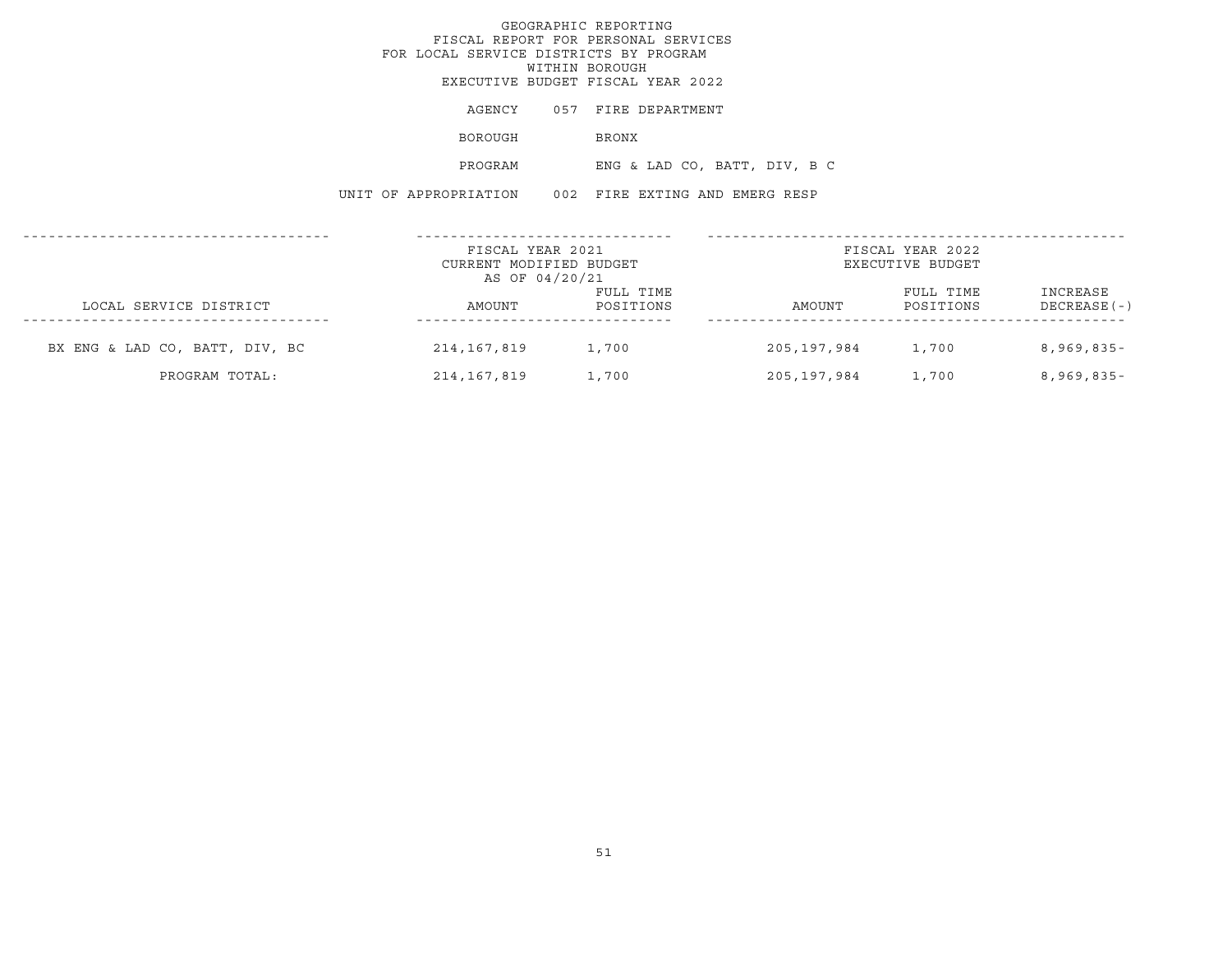|                                | FOR LOCAL SERVICE DISTRICTS BY PROGRAM                        | GEOGRAPHIC REPORTING<br>FISCAL REPORT FOR PERSONAL SERVICES<br>WITHIN BOROUGH<br>EXECUTIVE BUDGET FISCAL YEAR 2022 |                   |                                      |                            |
|--------------------------------|---------------------------------------------------------------|--------------------------------------------------------------------------------------------------------------------|-------------------|--------------------------------------|----------------------------|
|                                | AGENCY                                                        | 057 FIRE DEPARTMENT                                                                                                |                   |                                      |                            |
|                                | BOROUGH                                                       | BRONX                                                                                                              |                   |                                      |                            |
|                                | PROGRAM                                                       | ENG & LAD CO, BATT, DIV, B C                                                                                       |                   |                                      |                            |
|                                | UNIT OF APPROPRIATION 002 FIRE EXTING AND EMERG RESP          |                                                                                                                    |                   |                                      |                            |
|                                | FISCAL YEAR 2021<br>CURRENT MODIFIED BUDGET<br>AS OF 04/20/21 |                                                                                                                    | -------------     | FISCAL YEAR 2022<br>EXECUTIVE BUDGET |                            |
| LOCAL SERVICE DISTRICT         | AMOUNT                                                        | FULL TIME<br>POSITIONS                                                                                             | AMOUNT            | FULL TIME<br>POSITIONS               | INCREASE<br>DECREASE ( - ) |
| BX ENG & LAD CO, BATT, DIV, BC | 214,167,819 1,700                                             |                                                                                                                    | 205,197,984 1,700 |                                      | 8,969,835-                 |

PROGRAM TOTAL: 214,167,819 1,700 205,197,984 1,700 8,969,835-

51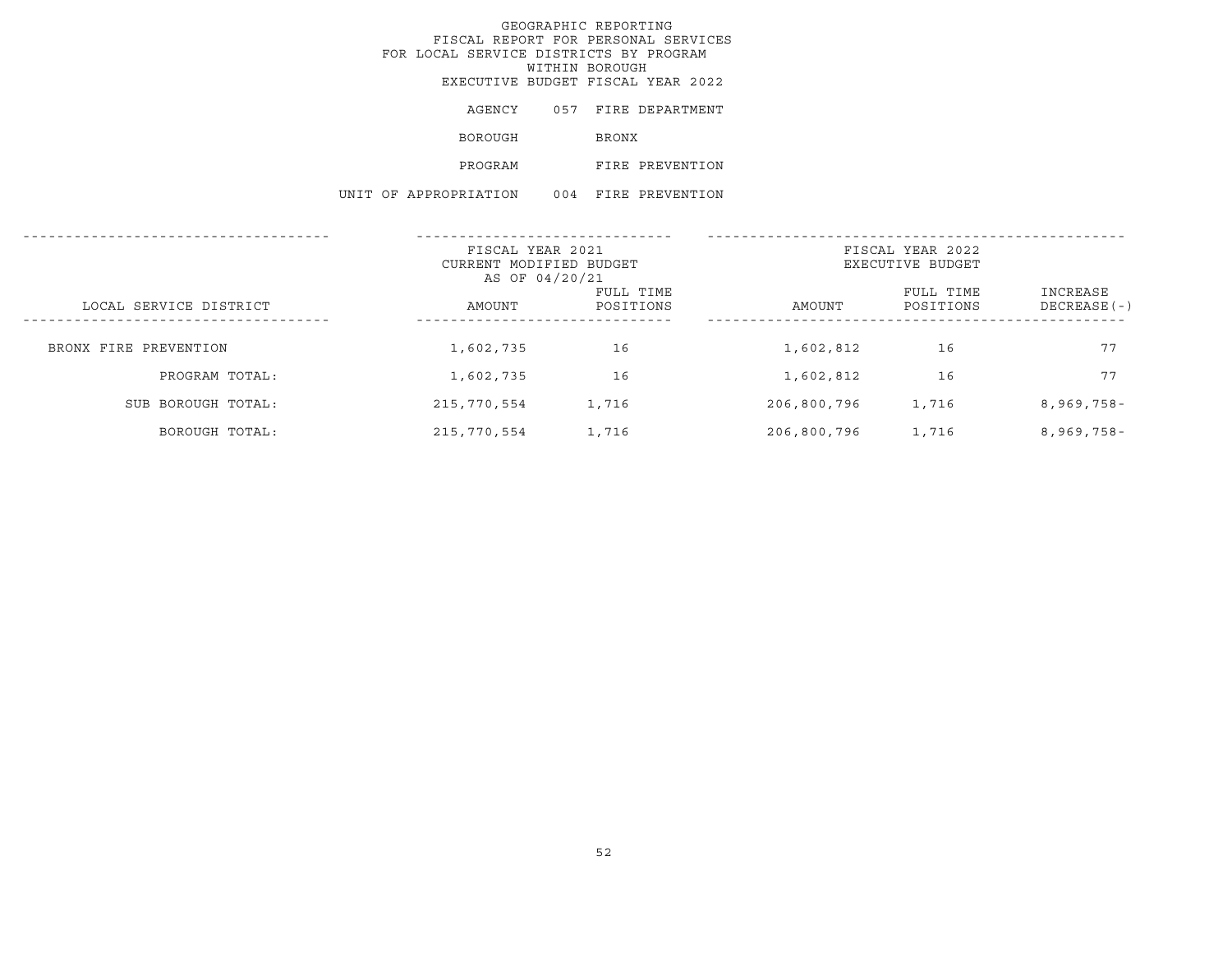# GEOGRAPHIC REPORTING FISCAL REPORT FOR PERSONAL SERVICES FOR LOCAL SERVICE DISTRICTS BY PROGRAM WITHIN BOROUGHEXECUTIVE BUDGET FISCAL YEAR 2022

| AGENCY        | 057 | FIRE DEPARTMENT |
|---------------|-----|-----------------|
| BOROUGH       |     | <b>BRONX</b>    |
| PROGRAM       |     | FIRE PREVENTION |
| APPROPRIATION | 004 | FIRE PREVENTION |

UNIT OF

|                        | FISCAL YEAR 2021<br>CURRENT MODIFIED BUDGET<br>AS OF 04/20/21 |                        |             | FISCAL YEAR 2022<br>EXECUTIVE BUDGET |                          |
|------------------------|---------------------------------------------------------------|------------------------|-------------|--------------------------------------|--------------------------|
| LOCAL SERVICE DISTRICT | AMOUNT                                                        | FULL TIME<br>POSITIONS | AMOUNT      | FULL TIME<br>POSITIONS               | INCREASE<br>DECREASE (-) |
| BRONX FIRE PREVENTION  | 1,602,735                                                     | 16                     | 1,602,812   | 16                                   | 77                       |
| PROGRAM TOTAL:         | 1,602,735                                                     | 16                     | 1,602,812   | 16                                   | 77                       |
| SUB BOROUGH TOTAL:     | 215,770,554                                                   | 1,716                  | 206,800,796 | 1,716                                | $8,969,758-$             |
| BOROUGH TOTAL:         | 215,770,554                                                   | 1,716                  | 206,800,796 | 1,716                                | $8,969,758-$             |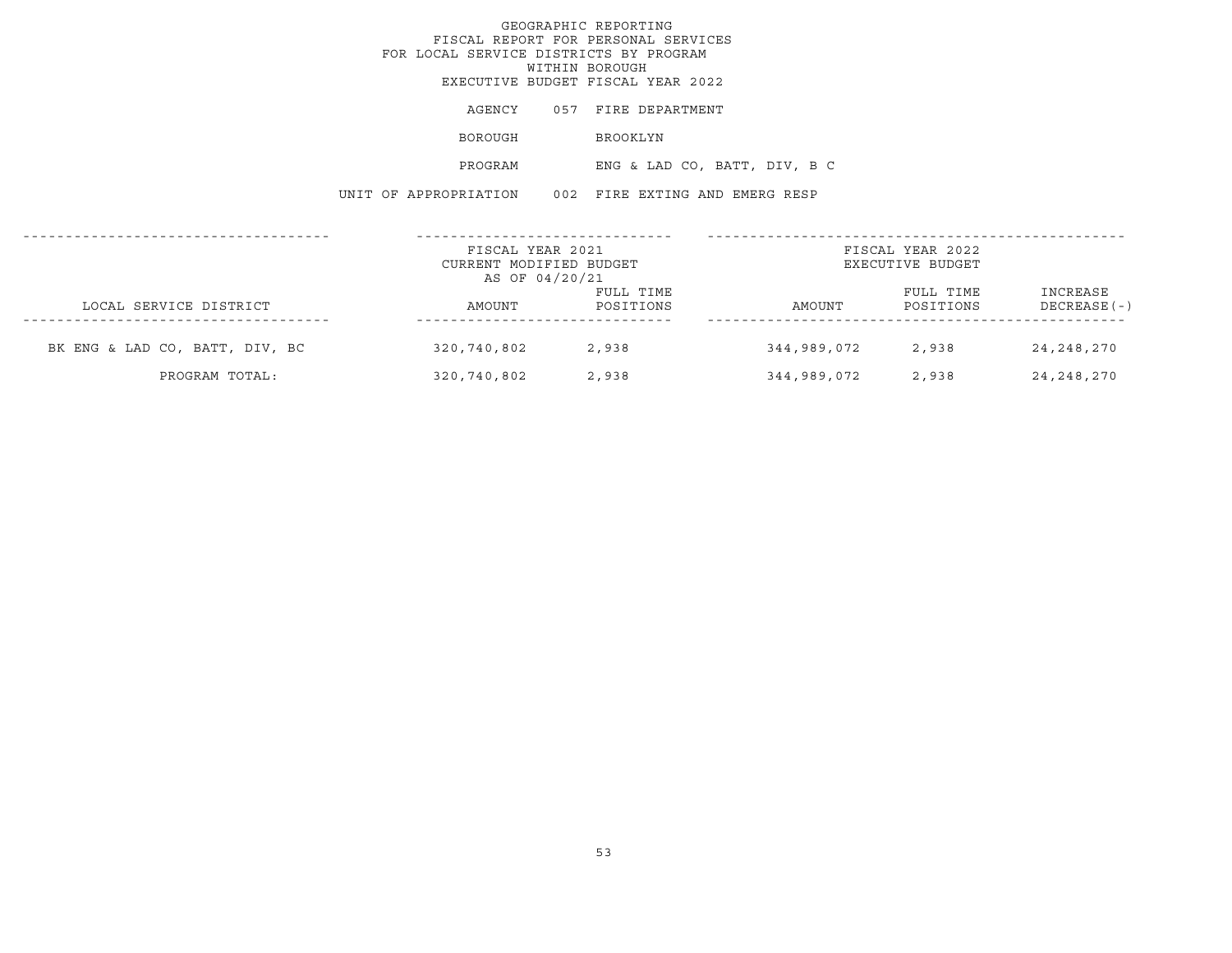|                                | FOR LOCAL SERVICE DISTRICTS BY PROGRAM               | GEOGRAPHIC REPORTING<br>FISCAL REPORT FOR PERSONAL SERVICES<br>WITHIN BOROUGH<br>EXECUTIVE BUDGET FISCAL YEAR 2022 |                              |                              |                         |
|--------------------------------|------------------------------------------------------|--------------------------------------------------------------------------------------------------------------------|------------------------------|------------------------------|-------------------------|
|                                | AGENCY                                               | 057 FIRE DEPARTMENT                                                                                                |                              |                              |                         |
|                                | BOROUGH                                              | BROOKLYN                                                                                                           |                              |                              |                         |
|                                | PROGRAM                                              |                                                                                                                    | ENG & LAD CO, BATT, DIV, B C |                              |                         |
|                                | UNIT OF APPROPRIATION 002 FIRE EXTING AND EMERG RESP |                                                                                                                    |                              |                              |                         |
|                                | FISCAL YEAR 2021                                     |                                                                                                                    |                              | FISCAL YEAR 2022             |                         |
|                                | CURRENT MODIFIED BUDGET<br>AS OF 04/20/21            |                                                                                                                    |                              | EXECUTIVE BUDGET             |                         |
| LOCAL SERVICE DISTRICT         | AMOUNT                                               | FULL TIME<br>POSITIONS                                                                                             | AMOUNT                       | FULL TIME<br>POSITIONS       | INCREASE<br>DECREASE(-) |
| BK ENG & LAD CO, BATT, DIV, BC | 320,740,802                                          | 2,938                                                                                                              |                              | 344,989,072 2,938 24,248,270 |                         |

PROGRAM TOTAL: 320,740,802 2,938 344,989,072 2,938 24,248,270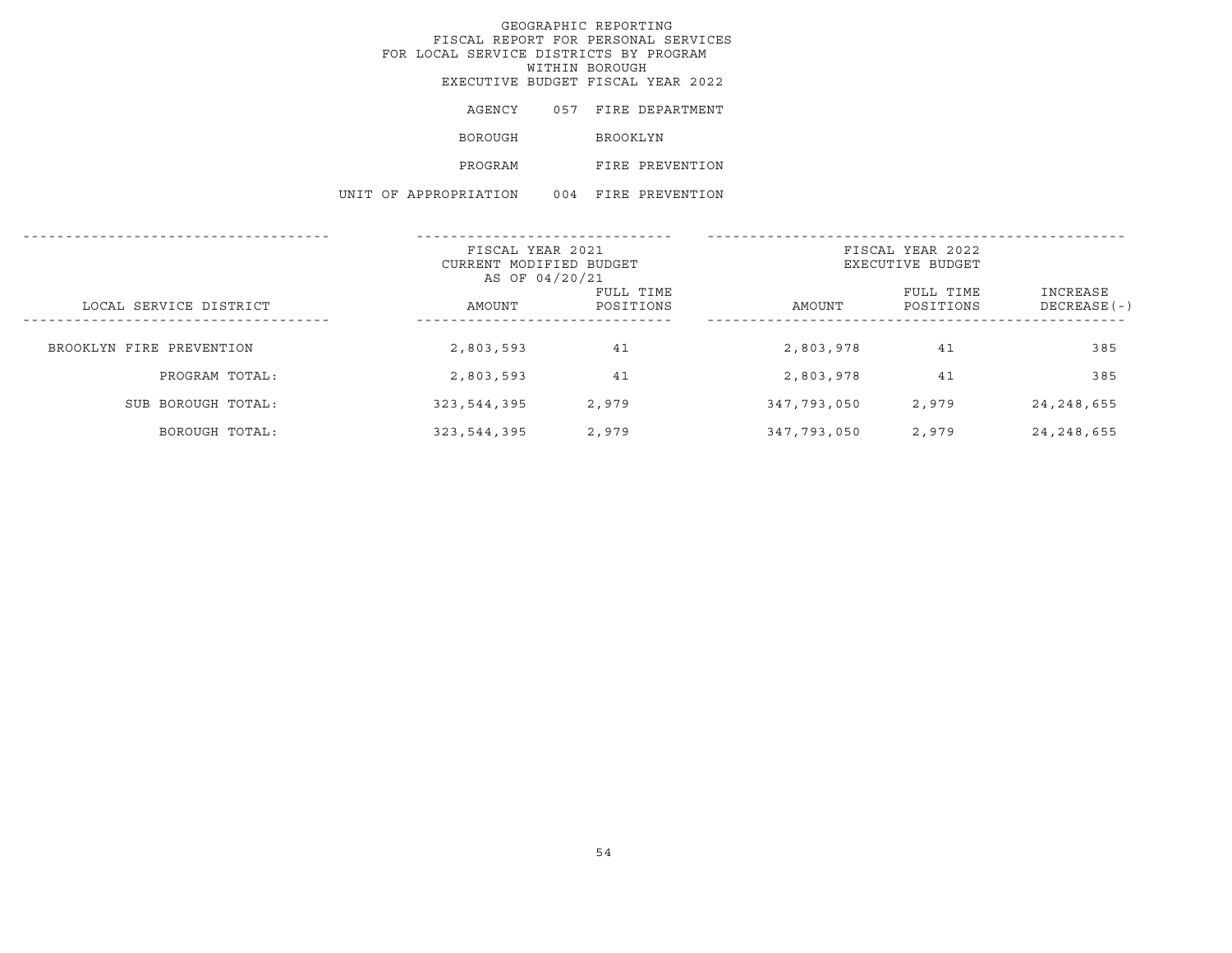# GEOGRAPHIC REPORTING FISCAL REPORT FOR PERSONAL SERVICES FOR LOCAL SERVICE DISTRICTS BY PROGRAM WITHIN BOROUGHEXECUTIVE BUDGET FISCAL YEAR 2022

|  | AGENCY                |     |                 | 057 FIRE DEPARTMENT |
|--|-----------------------|-----|-----------------|---------------------|
|  | <b>BOROUGH</b>        |     | <b>BROOKLYN</b> |                     |
|  | PROGRAM               |     |                 | FIRE PREVENTION     |
|  | UNIT OF APPROPRIATION | 004 |                 | FIRE PREVENTION     |

|                          | FISCAL YEAR 2021<br>CURRENT MODIFIED BUDGET<br>AS OF 04/20/21 |                        | FISCAL YEAR 2022<br>EXECUTIVE BUDGET |                        |                          |  |
|--------------------------|---------------------------------------------------------------|------------------------|--------------------------------------|------------------------|--------------------------|--|
| LOCAL SERVICE DISTRICT   | AMOUNT                                                        | FULL TIME<br>POSITIONS | AMOUNT                               | FULL TIME<br>POSITIONS | INCREASE<br>DECREASE (-) |  |
| BROOKLYN FIRE PREVENTION | 2,803,593                                                     | 41                     | 2,803,978                            | 41                     | 385                      |  |
| PROGRAM TOTAL:           | 2,803,593                                                     | 41                     | 2,803,978                            | 41                     | 385                      |  |
| SUB BOROUGH TOTAL:       | 323,544,395                                                   | 2,979                  | 347,793,050                          | 2,979                  | 24, 248, 655             |  |
| BOROUGH TOTAL:           | 323,544,395                                                   | 2,979                  | 347,793,050                          | 2,979                  | 24, 248, 655             |  |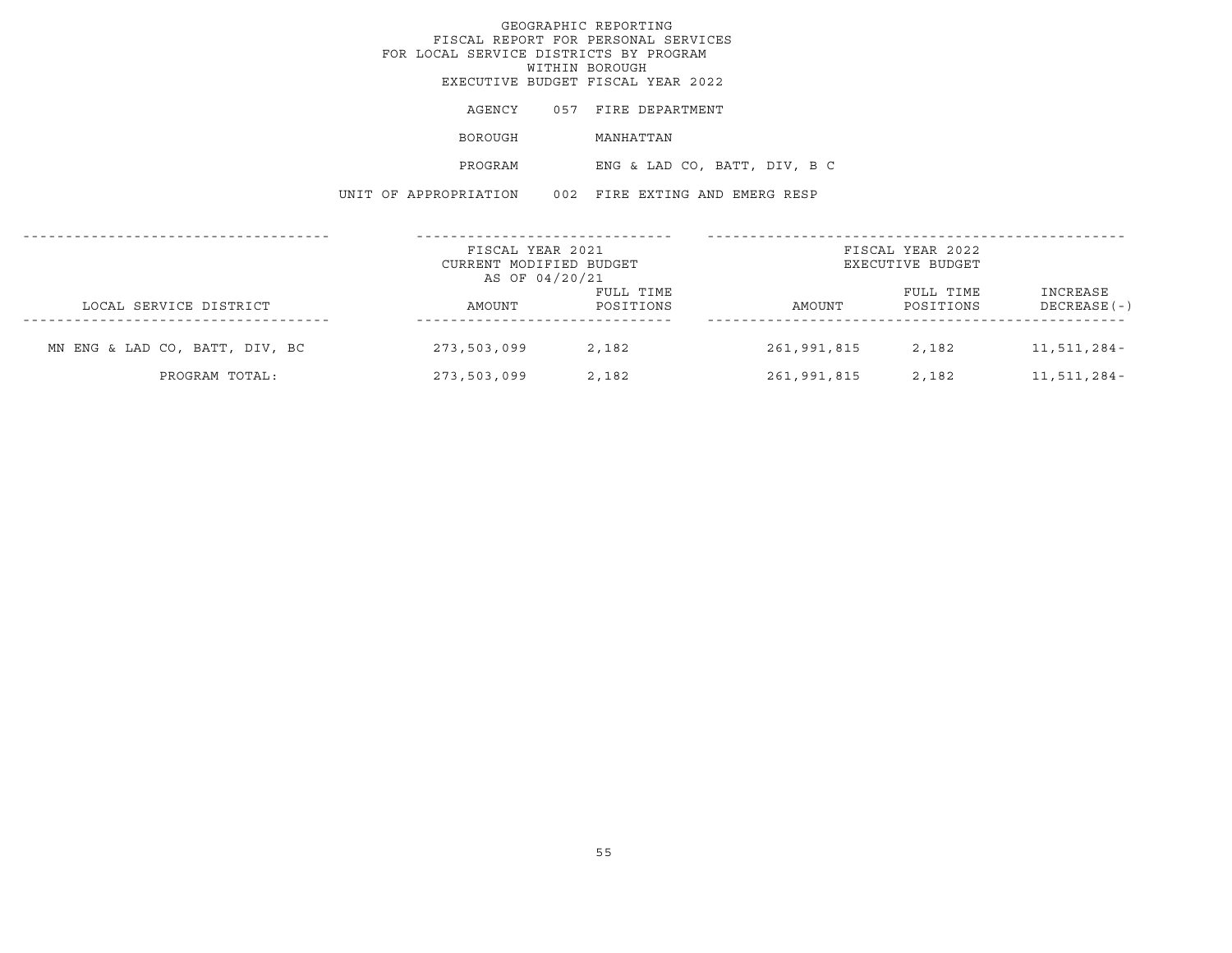|                                | FOR LOCAL SERVICE DISTRICTS BY PROGRAM                        | GEOGRAPHIC REPORTING<br>FISCAL REPORT FOR PERSONAL SERVICES<br>WITHIN BOROUGH<br>EXECUTIVE BUDGET FISCAL YEAR 2022 |             |                                      |                          |
|--------------------------------|---------------------------------------------------------------|--------------------------------------------------------------------------------------------------------------------|-------------|--------------------------------------|--------------------------|
|                                | AGENCY                                                        | 057 FIRE DEPARTMENT                                                                                                |             |                                      |                          |
|                                | BOROUGH                                                       | MANHATTAN                                                                                                          |             |                                      |                          |
|                                | PROGRAM                                                       | ENG & LAD CO, BATT, DIV, B C                                                                                       |             |                                      |                          |
|                                | UNIT OF APPROPRIATION                                         | 002 FIRE EXTING AND EMERG RESP                                                                                     |             |                                      |                          |
|                                | FISCAL YEAR 2021<br>CURRENT MODIFIED BUDGET<br>AS OF 04/20/21 |                                                                                                                    |             | FISCAL YEAR 2022<br>EXECUTIVE BUDGET |                          |
| LOCAL SERVICE DISTRICT         | AMOUNT                                                        | FULL TIME<br>POSITIONS                                                                                             | AMOUNT      | FULL TIME<br>POSITIONS               | INCREASE<br>DECREASE (-) |
| MN ENG & LAD CO, BATT, DIV, BC | 273,503,099                                                   | 2,182                                                                                                              | 261,991,815 | 2,182                                | 11,511,284-              |

PROGRAM TOTAL: 273,503,099 2,182 261,991,815 2,182 11,511,284-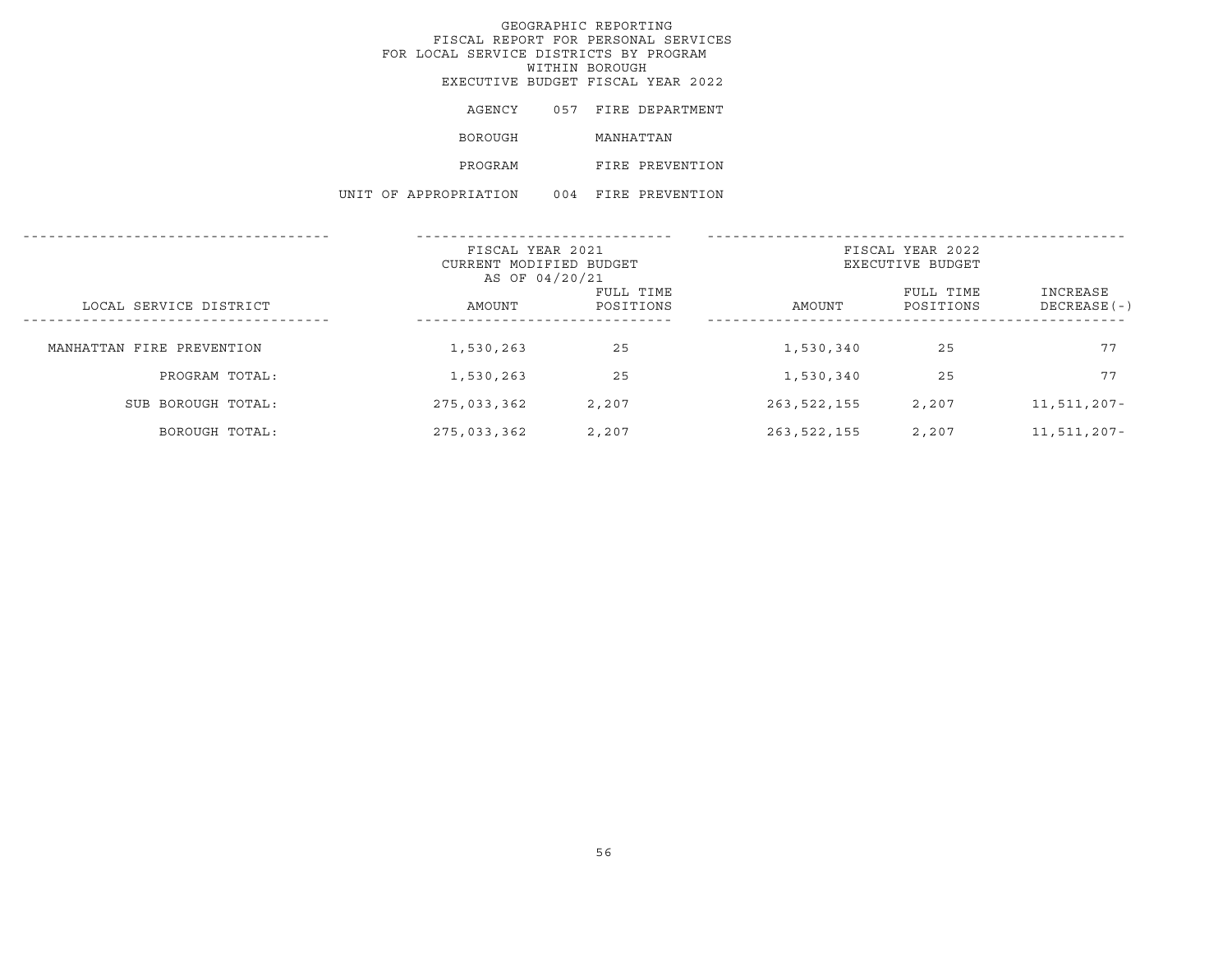# GEOGRAPHIC REPORTING FISCAL REPORT FOR PERSONAL SERVICES FOR LOCAL SERVICE DISTRICTS BY PROGRAM WITHIN BOROUGHEXECUTIVE BUDGET FISCAL YEAR 2022

| AGENCY                |     |           | 057 FIRE DEPARTMENT |
|-----------------------|-----|-----------|---------------------|
| <b>BOROUGH</b>        |     | MANHATTAN |                     |
| PROGRAM               |     |           | FIRE PREVENTION     |
| UNIT OF APPROPRIATION | 004 |           | FIRE PREVENTION     |

| FISCAL YEAR 2021<br>CURRENT MODIFIED BUDGET<br>AS OF 04/20/21 |             |                        |               | FISCAL YEAR 2022<br>EXECUTIVE BUDGET |                           |
|---------------------------------------------------------------|-------------|------------------------|---------------|--------------------------------------|---------------------------|
| LOCAL SERVICE DISTRICT                                        | AMOUNT      | FULL TIME<br>POSITIONS | AMOUNT        | FULL TIME<br>POSITIONS               | INCREASE<br>$DECREASE(-)$ |
| MANHATTAN FIRE PREVENTION                                     | 1,530,263   | 25                     | 1,530,340     | 25                                   | 77                        |
| PROGRAM TOTAL:                                                | 1,530,263   | 25                     | 1,530,340     | 25                                   | 77                        |
| SUB BOROUGH TOTAL:                                            | 275,033,362 | 2,207                  | 263, 522, 155 | 2,207                                | 11,511,207-               |
| BOROUGH TOTAL:                                                | 275,033,362 | 2,207                  | 263,522,155   | 2,207                                | 11,511,207-               |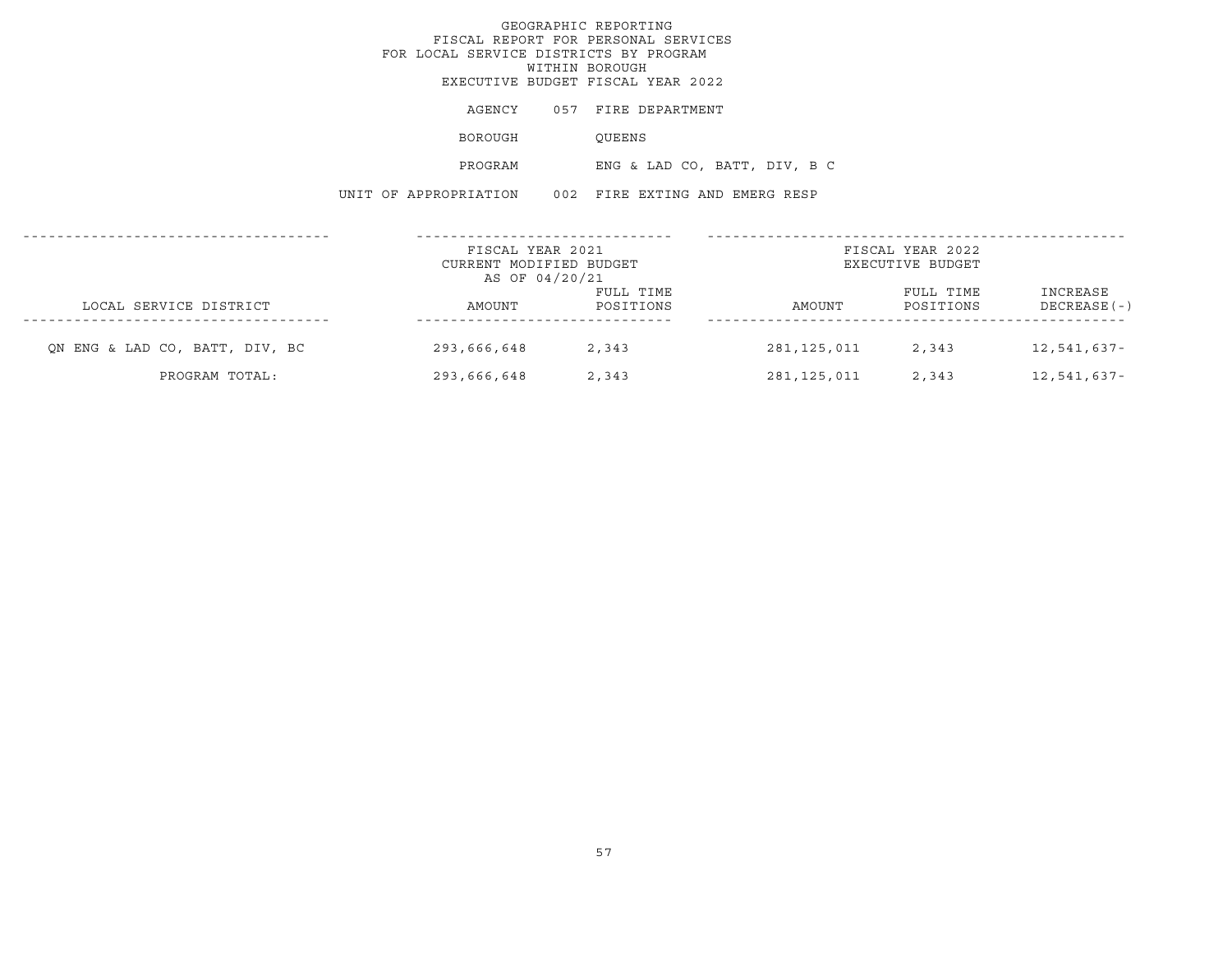|                                | FOR LOCAL SERVICE DISTRICTS BY PROGRAM               | GEOGRAPHIC REPORTING<br>FISCAL REPORT FOR PERSONAL SERVICES<br>WITHIN BOROUGH<br>EXECUTIVE BUDGET FISCAL YEAR 2022 |                              |                                      |                            |
|--------------------------------|------------------------------------------------------|--------------------------------------------------------------------------------------------------------------------|------------------------------|--------------------------------------|----------------------------|
|                                | AGENCY                                               | 057 FIRE DEPARTMENT                                                                                                |                              |                                      |                            |
|                                | BOROUGH                                              | QUEENS                                                                                                             |                              |                                      |                            |
|                                | PROGRAM                                              |                                                                                                                    | ENG & LAD CO, BATT, DIV, B C |                                      |                            |
|                                | UNIT OF APPROPRIATION 002 FIRE EXTING AND EMERG RESP |                                                                                                                    |                              |                                      |                            |
|                                | FISCAL YEAR 2021<br>CURRENT MODIFIED BUDGET          |                                                                                                                    |                              | FISCAL YEAR 2022<br>EXECUTIVE BUDGET |                            |
| LOCAL SERVICE DISTRICT         | AS OF 04/20/21<br>AMOUNT                             | FULL TIME<br>POSITIONS                                                                                             | AMOUNT                       | FULL TIME<br>POSITIONS               | INCREASE<br>DECREASE ( - ) |
| QN ENG & LAD CO, BATT, DIV, BC | 293,666,648 2,343                                    |                                                                                                                    |                              | 281, 125, 011 2, 343 12, 541, 637-   |                            |

PROGRAM TOTAL: 293,666,648 2,343 281,125,011 2,343 12,541,637-

57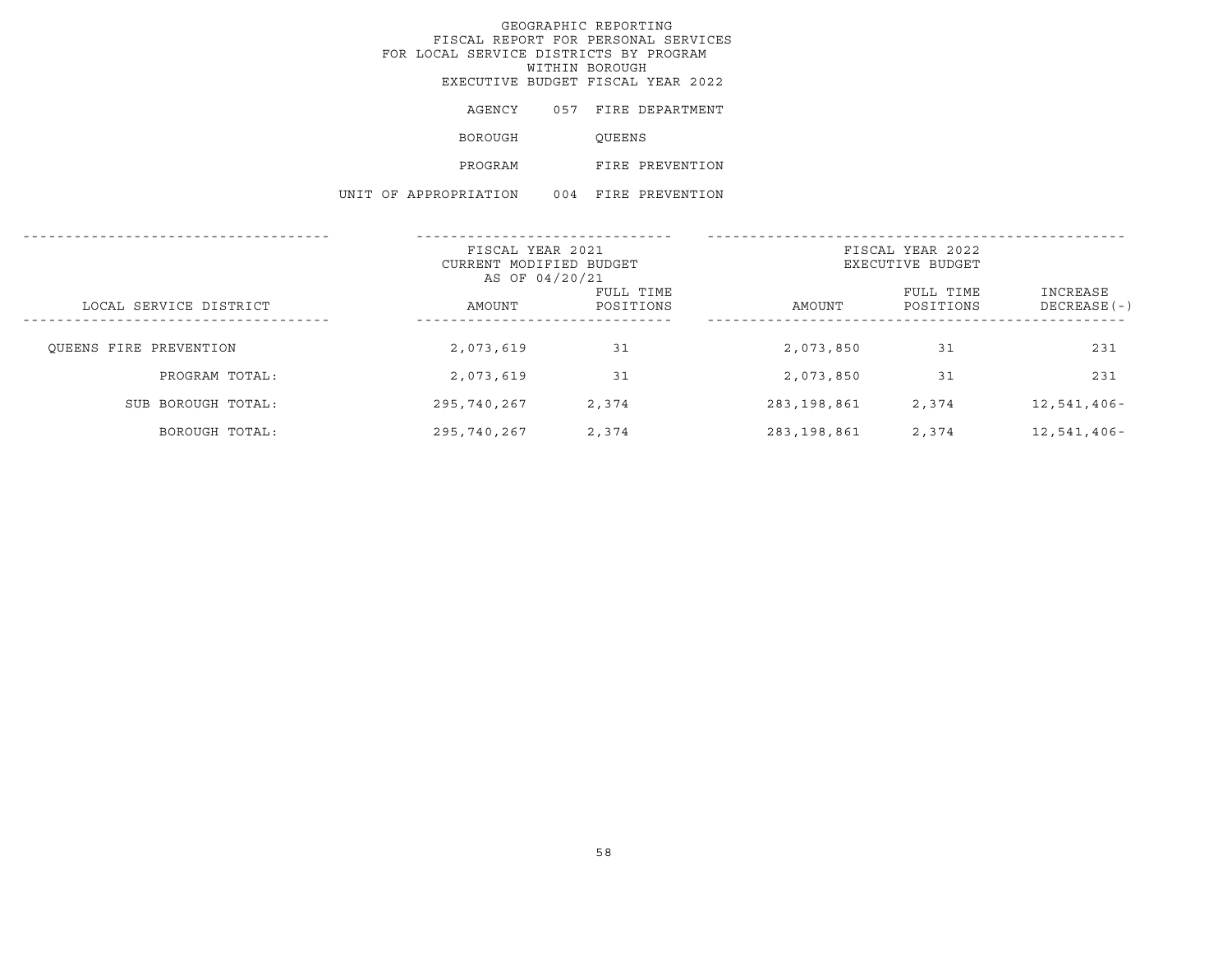# GEOGRAPHIC REPORTING FISCAL REPORT FOR PERSONAL SERVICES FOR LOCAL SERVICE DISTRICTS BY PROGRAM WITHIN BOROUGHEXECUTIVE BUDGET FISCAL YEAR 2022

| AGENCY                |     |        | 057 FIRE DEPARTMENT |
|-----------------------|-----|--------|---------------------|
| BOROUGH               |     | OUEENS |                     |
| PROGRAM               |     |        | FIRE PREVENTION     |
| UNIT OF APPROPRIATION | 004 |        | FIRE PREVENTION     |

|                        | FISCAL YEAR 2021<br>CURRENT MODIFIED BUDGET<br>AS OF 04/20/21 |                        | FISCAL YEAR 2022<br>EXECUTIVE BUDGET |                        |                          |
|------------------------|---------------------------------------------------------------|------------------------|--------------------------------------|------------------------|--------------------------|
| LOCAL SERVICE DISTRICT | AMOUNT                                                        | FULL TIME<br>POSITIONS | AMOUNT                               | FULL TIME<br>POSITIONS | INCREASE<br>DECREASE (-) |
| OUEENS FIRE PREVENTION | 2,073,619                                                     | 31                     | 2,073,850                            | 31                     | 231                      |
| PROGRAM TOTAL:         | 2,073,619                                                     | 31                     | 2,073,850                            | 31                     | 231                      |
| SUB BOROUGH TOTAL:     | 295,740,267                                                   | 2,374                  | 283,198,861                          | 2,374                  | $12,541,406 -$           |
| BOROUGH TOTAL:         | 295,740,267                                                   | 2,374                  | 283,198,861                          | 2,374                  | $12,541,406 -$           |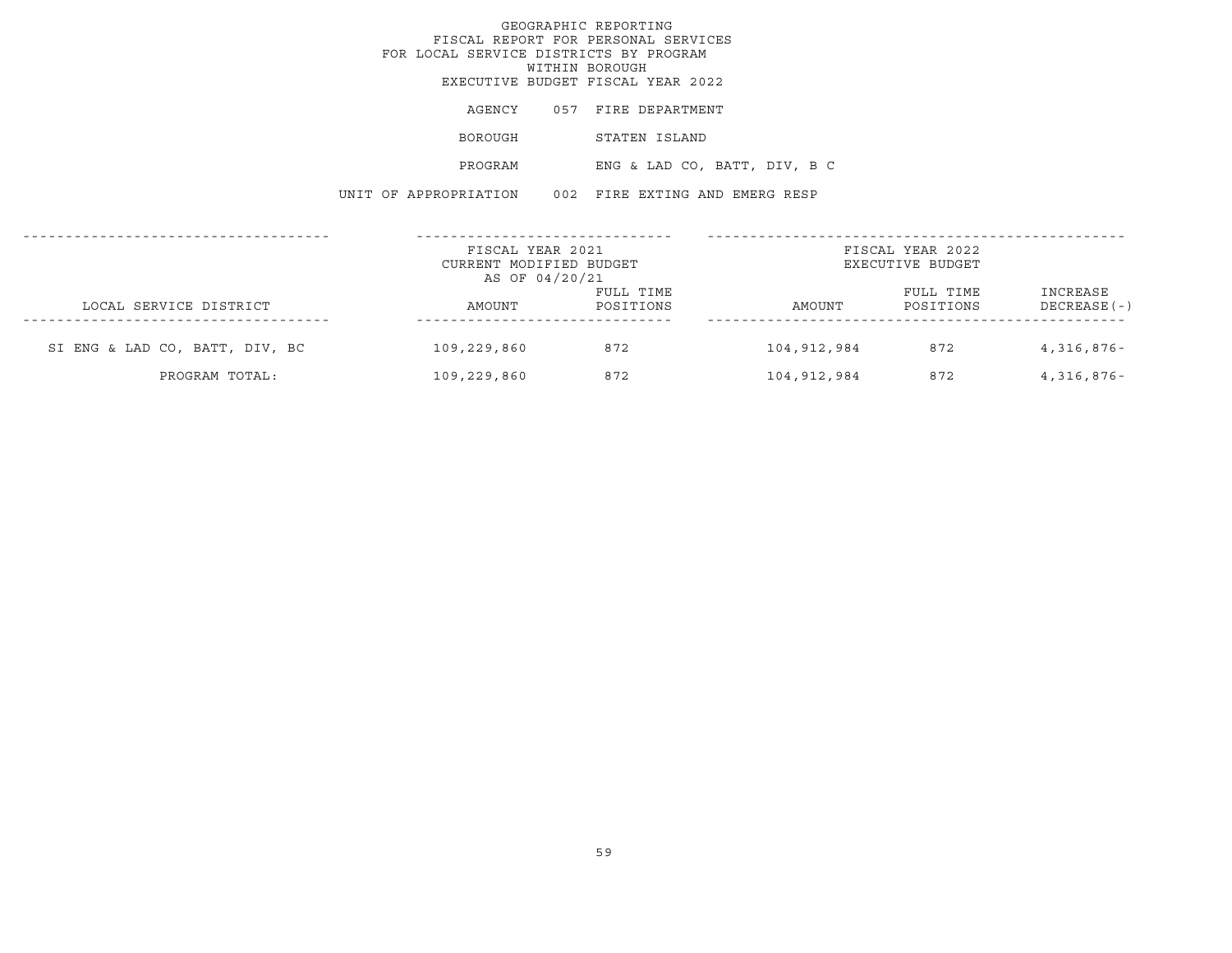|                                | FISCAL REPORT FOR PERSONAL SERVICES<br>FOR LOCAL SERVICE DISTRICTS BY PROGRAM<br>EXECUTIVE BUDGET FISCAL YEAR 2022 | GEOGRAPHIC REPORTING<br>WITHIN BOROUGH |                              |                                      |                            |
|--------------------------------|--------------------------------------------------------------------------------------------------------------------|----------------------------------------|------------------------------|--------------------------------------|----------------------------|
|                                | AGENCY                                                                                                             | 057 FIRE DEPARTMENT                    |                              |                                      |                            |
|                                | BOROUGH                                                                                                            | STATEN ISLAND                          |                              |                                      |                            |
|                                | PROGRAM                                                                                                            |                                        | ENG & LAD CO, BATT, DIV, B C |                                      |                            |
|                                | UNIT OF APPROPRIATION 002 FIRE EXTING AND EMERG RESP                                                               |                                        |                              |                                      |                            |
|                                | FISCAL YEAR 2021<br>CURRENT MODIFIED BUDGET                                                                        |                                        |                              | FISCAL YEAR 2022<br>EXECUTIVE BUDGET |                            |
| LOCAL SERVICE DISTRICT         | AS OF 04/20/21<br>AMOUNT                                                                                           | FULL TIME<br>POSITIONS                 | AMOUNT                       | FULL TIME<br>POSITIONS               | INCREASE<br>DECREASE ( - ) |
| SI ENG & LAD CO, BATT, DIV, BC | 109,229,860 872                                                                                                    |                                        |                              | 104,912,984 872 4,316,876-           |                            |

PROGRAM TOTAL: 109,229,860 872 104,912,984 872 4,316,876-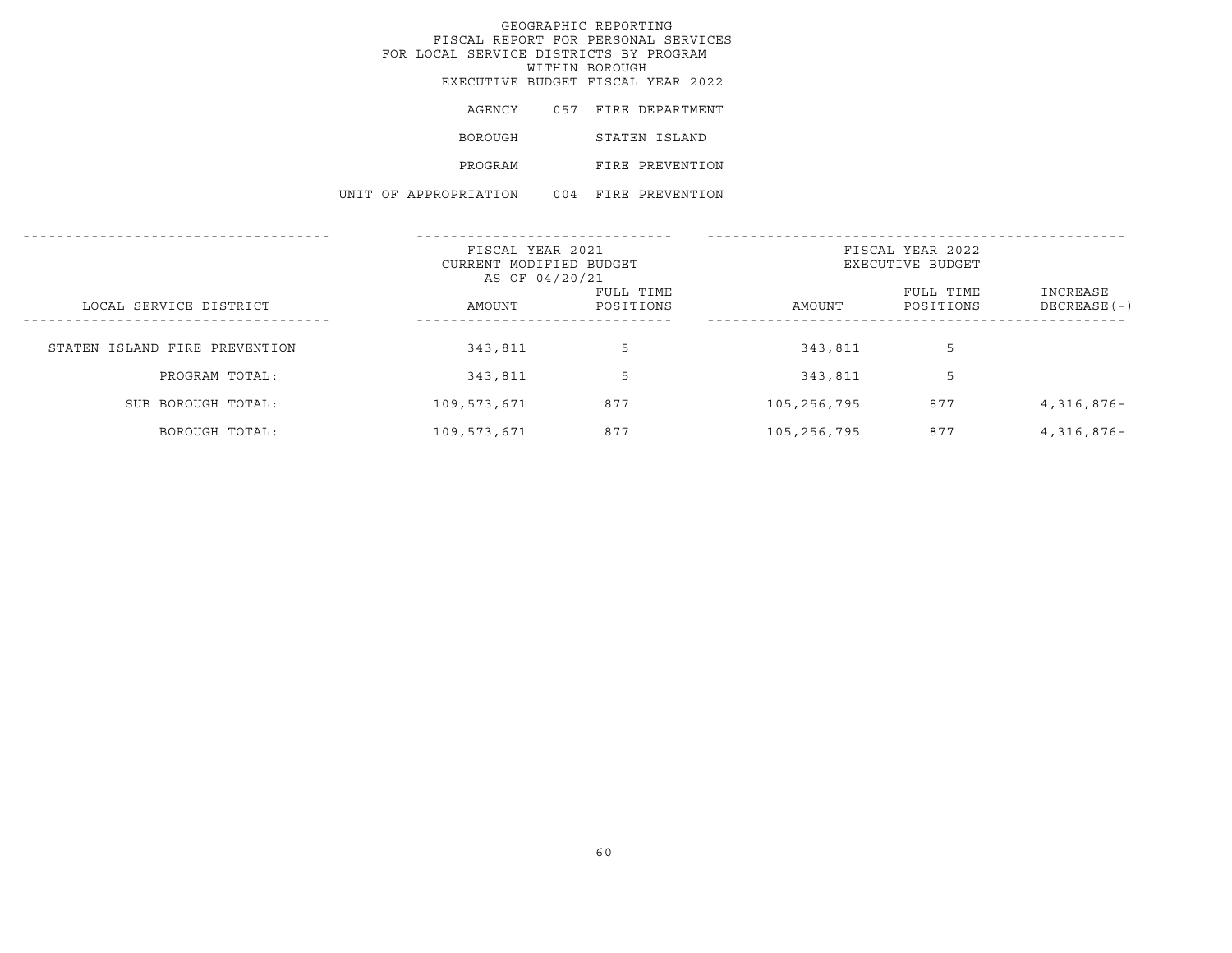# GEOGRAPHIC REPORTING FISCAL REPORT FOR PERSONAL SERVICES FOR LOCAL SERVICE DISTRICTS BY PROGRAM WITHIN BOROUGH EXECUTIVE BUDGET FISCAL YEAR 2022 AGENCY 057 FIRE DEPARTMENT

| BOROUGH | STATEN ISLAND   |
|---------|-----------------|
| PROGRAM | FIRE PREVENTION |
|         |                 |

UNIT OF APPROPRIATION 004 FIRE PREVENTION

|                               | FISCAL YEAR 2021<br>CURRENT MODIFIED BUDGET<br>AS OF 04/20/21 |                        | FISCAL YEAR 2022<br>EXECUTIVE BUDGET |                        |                           |  |
|-------------------------------|---------------------------------------------------------------|------------------------|--------------------------------------|------------------------|---------------------------|--|
| LOCAL SERVICE DISTRICT        | AMOUNT                                                        | FULL TIME<br>POSITIONS | AMOUNT                               | FULL TIME<br>POSITIONS | INCREASE<br>$DECREASE(-)$ |  |
| STATEN ISLAND FIRE PREVENTION | 343,811                                                       | 5                      | 343,811                              | 5                      |                           |  |
| PROGRAM TOTAL:                | 343,811                                                       | 5                      | 343,811                              | 5                      |                           |  |
| SUB BOROUGH TOTAL:            | 109,573,671                                                   | 877                    | 105,256,795                          | 877                    | $4,316,876-$              |  |
| BOROUGH TOTAL:                | 109,573,671                                                   | 877                    | 105,256,795                          | 877                    | 4,316,876-                |  |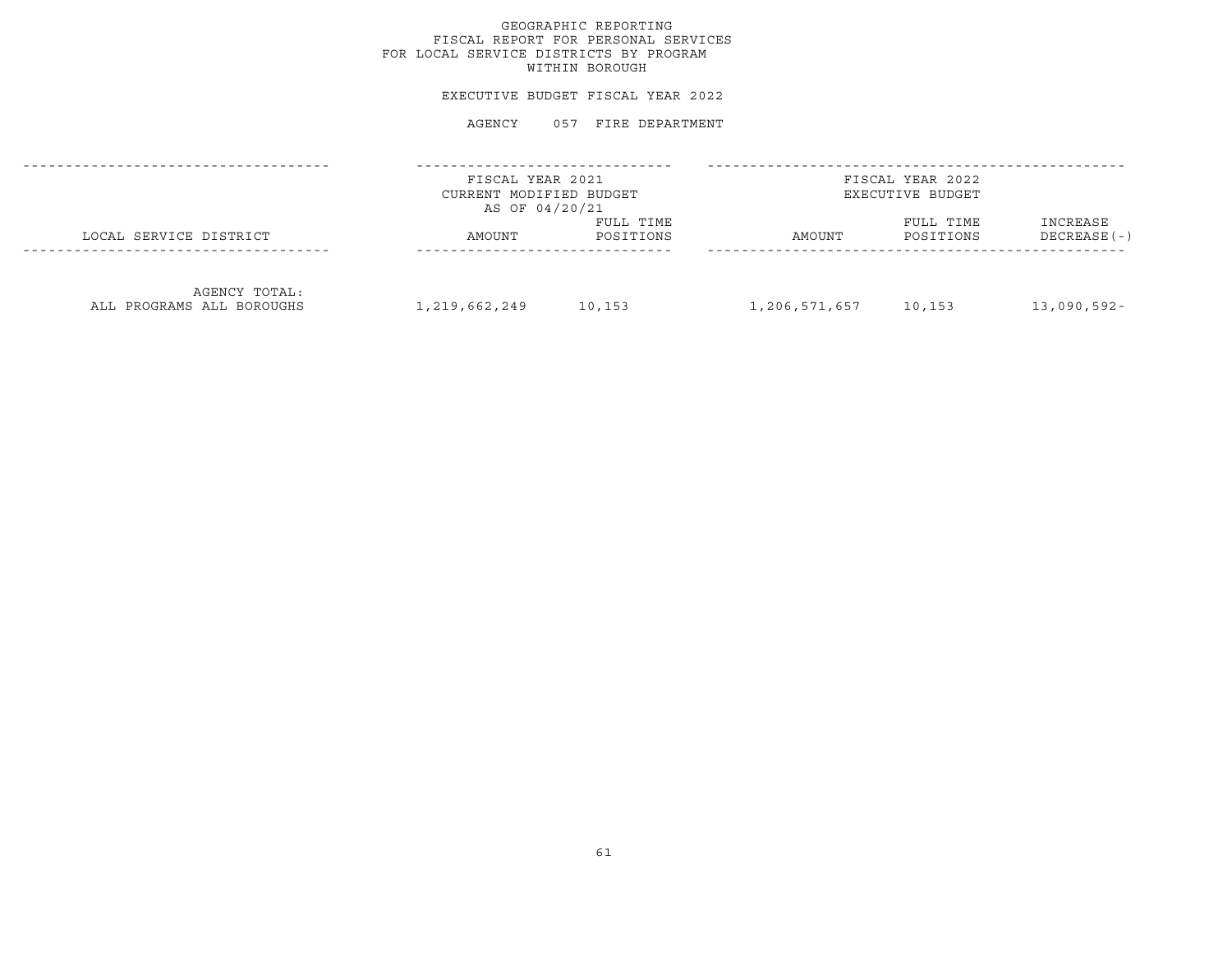# GEOGRAPHIC REPORTING FISCAL REPORT FOR PERSONAL SERVICES FOR LOCAL SERVICE DISTRICTS BY PROGRAM WITHIN BOROUGH

## EXECUTIVE BUDGET FISCAL YEAR 2022

|                                            | FISCAL YEAR 2021<br>CURRENT MODIFIED BUDGET<br>AS OF 04/20/21 |                        | FISCAL YEAR 2022<br>EXECUTIVE BUDGET |                        |                           |  |
|--------------------------------------------|---------------------------------------------------------------|------------------------|--------------------------------------|------------------------|---------------------------|--|
| LOCAL SERVICE DISTRICT                     | AMOUNT                                                        | FULL TIME<br>POSITIONS | AMOUNT                               | FULL TIME<br>POSITIONS | INCREASE<br>$DECREASE(-)$ |  |
| AGENCY TOTAL:<br>ALL PROGRAMS ALL BOROUGHS | 1,219,662,249                                                 | 10,153                 | 1,206,571,657                        | 10,153                 | $13,090,592 -$            |  |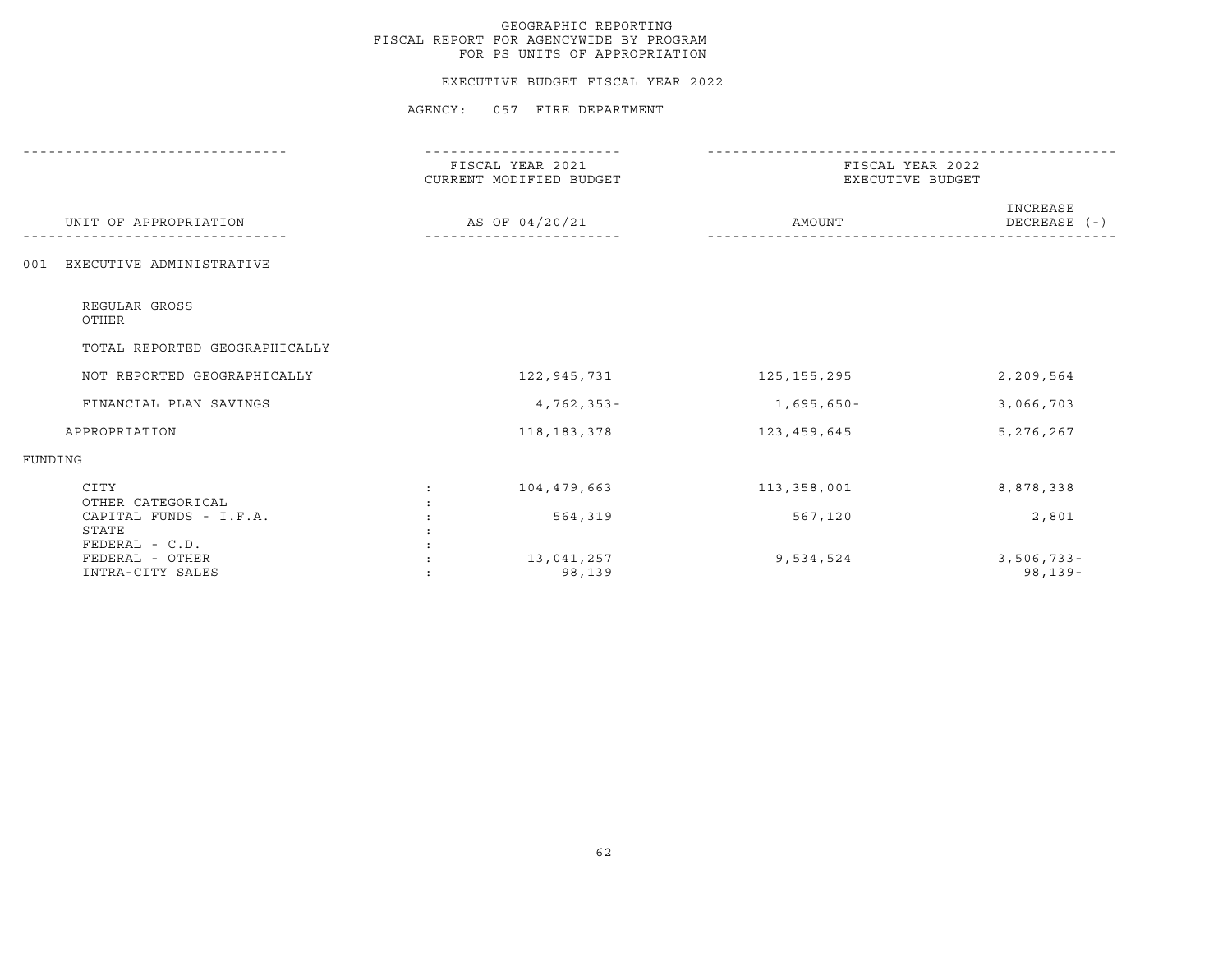#### EXECUTIVE BUDGET FISCAL YEAR 2022

|                                                       | FISCAL YEAR 2021<br>CURRENT MODIFIED BUDGET |                      | FISCAL YEAR 2022<br>EXECUTIVE BUDGET |                              |
|-------------------------------------------------------|---------------------------------------------|----------------------|--------------------------------------|------------------------------|
| UNIT OF APPROPRIATION                                 |                                             | AS OF 04/20/21       | AMOUNT                               | INCREASE<br>DECREASE (-)     |
| EXECUTIVE ADMINISTRATIVE<br>001                       |                                             |                      |                                      |                              |
| REGULAR GROSS<br>OTHER                                |                                             |                      |                                      |                              |
| TOTAL REPORTED GEOGRAPHICALLY                         |                                             |                      |                                      |                              |
| NOT REPORTED GEOGRAPHICALLY                           |                                             | 122,945,731          | 125,155,295                          | 2,209,564                    |
| FINANCIAL PLAN SAVINGS                                |                                             | $4,762,353 -$        | 1,695,650-                           | 3,066,703                    |
| APPROPRIATION                                         |                                             | 118,183,378          | 123,459,645                          | 5,276,267                    |
| FUNDING                                               |                                             |                      |                                      |                              |
| CITY<br>OTHER CATEGORICAL                             | $\mathbf{r}$                                | 104,479,663          | 113,358,001                          | 8,878,338                    |
| CAPITAL FUNDS - I.F.A.<br>STATE                       |                                             | 564,319              | 567,120                              | 2,801                        |
| FEDERAL - C.D.<br>FEDERAL - OTHER<br>INTRA-CITY SALES |                                             | 13,041,257<br>98,139 | 9,534,524                            | $3,506,733 -$<br>$98, 139 -$ |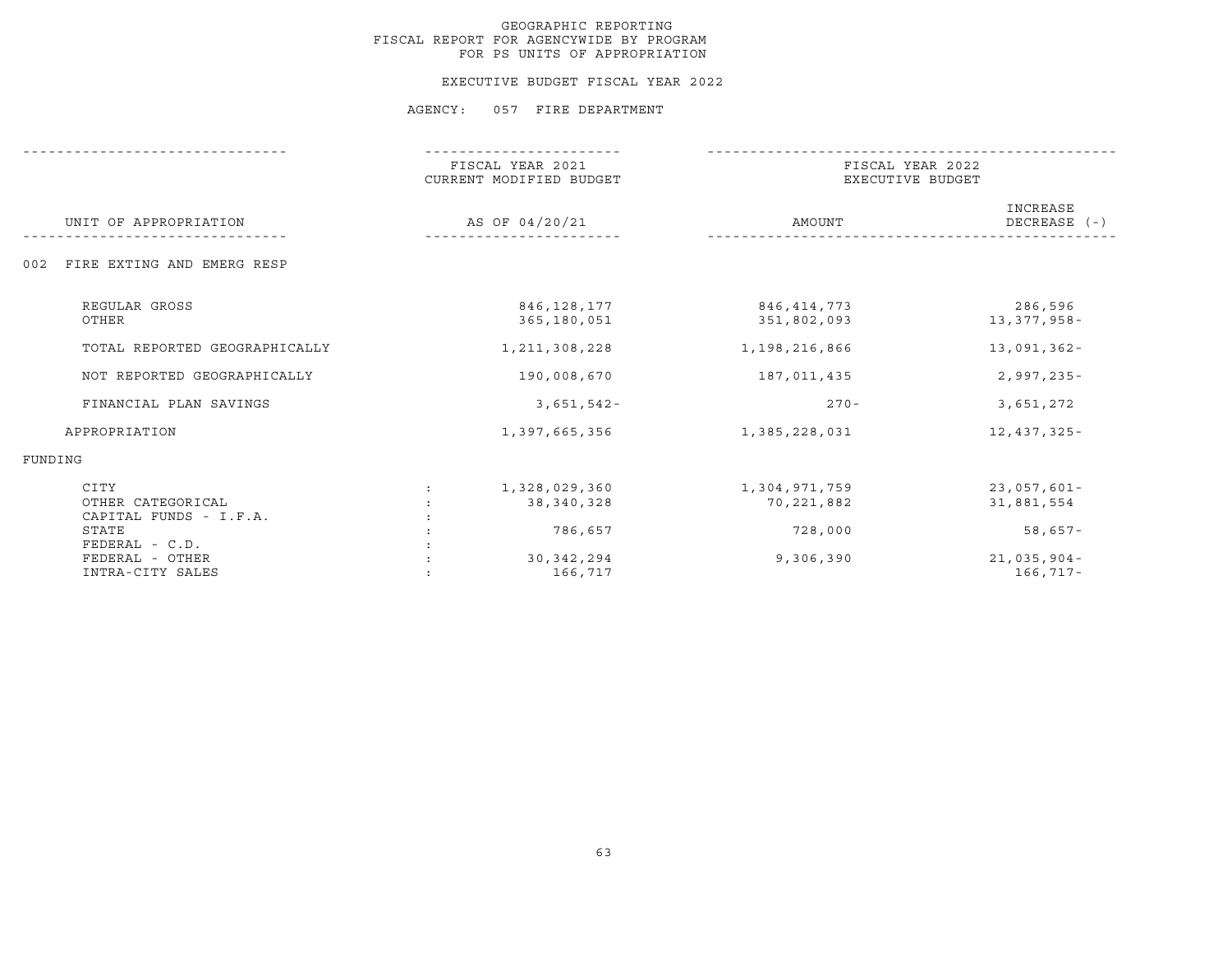#### EXECUTIVE BUDGET FISCAL YEAR 2022

|                                                     | FISCAL YEAR 2021<br>CURRENT MODIFIED BUDGET | FISCAL YEAR 2022<br>EXECUTIVE BUDGET |                              |
|-----------------------------------------------------|---------------------------------------------|--------------------------------------|------------------------------|
| UNIT OF APPROPRIATION                               | AS OF 04/20/21                              | AMOUNT                               | INCREASE<br>DECREASE $(-)$   |
| FIRE EXTING AND EMERG RESP<br>002                   |                                             |                                      |                              |
| REGULAR GROSS<br>OTHER                              | 846,128,177<br>365,180,051                  | 846,414,773<br>351,802,093           | 286,596<br>13,377,958-       |
| TOTAL REPORTED GEOGRAPHICALLY                       | 1, 211, 308, 228                            | 1,198,216,866                        | $13,091,362 -$               |
| NOT REPORTED GEOGRAPHICALLY                         | 190,008,670                                 | 187,011,435                          | $2,997,235 -$                |
| FINANCIAL PLAN SAVINGS                              | $3,651,542-$                                | $270 -$                              | 3,651,272                    |
| APPROPRIATION                                       | 1,397,665,356                               | 1,385,228,031                        | 12,437,325-                  |
| FUNDING                                             |                                             |                                      |                              |
| CITY<br>OTHER CATEGORICAL<br>CAPITAL FUNDS - I.F.A. | 1,328,029,360<br>38,340,328                 | 1,304,971,759<br>70,221,882          | $23,057,601 -$<br>31,881,554 |
| STATE<br>FEDERAL - C.D.                             | 786,657                                     | 728,000                              | 58,657-                      |
| FEDERAL - OTHER<br>INTRA-CITY SALES                 | 30, 342, 294<br>166,717                     | 9,306,390                            | $21,035,904-$<br>166,717-    |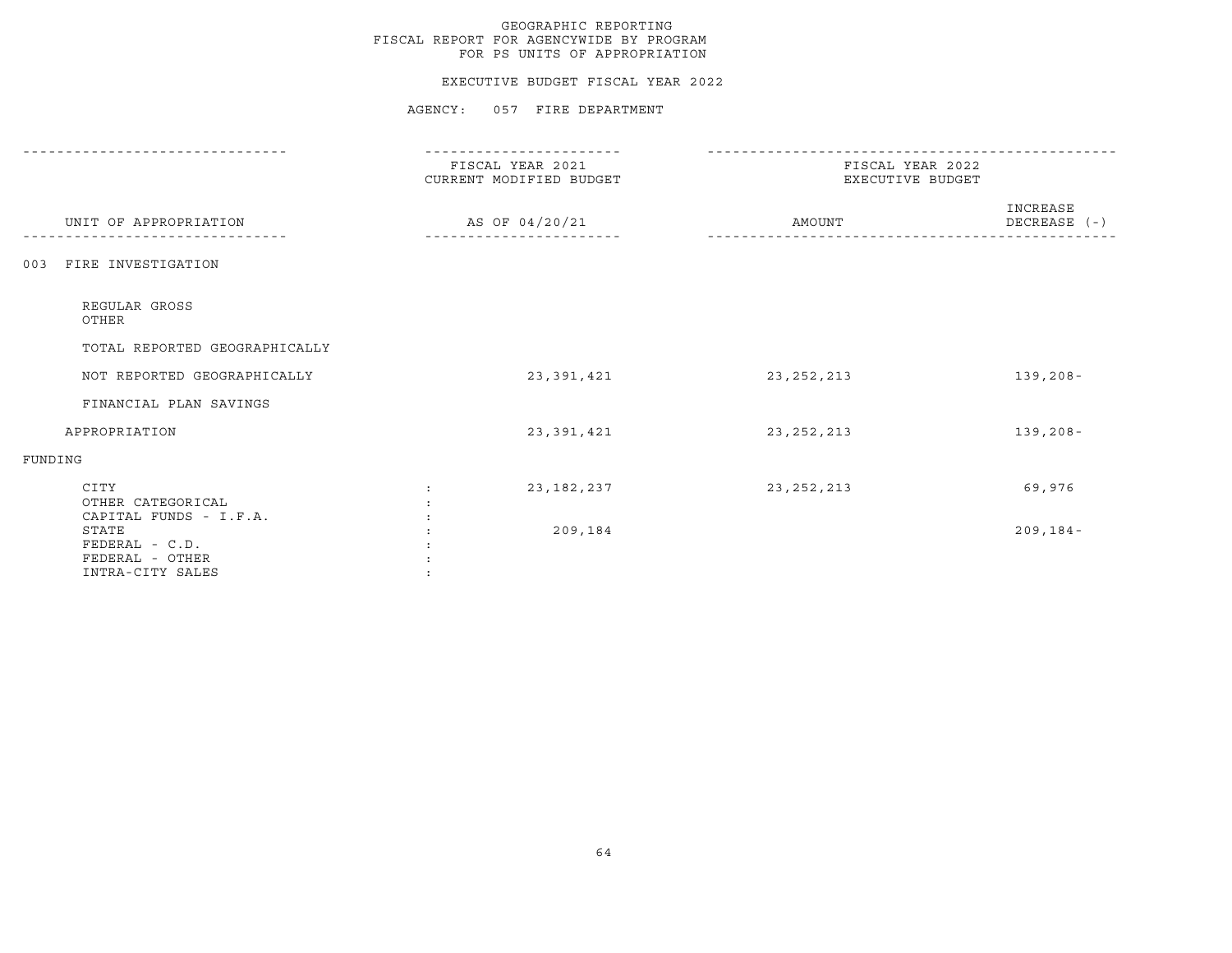#### EXECUTIVE BUDGET FISCAL YEAR 2022

|                                                                | --------------                              |                                      |                          |  |
|----------------------------------------------------------------|---------------------------------------------|--------------------------------------|--------------------------|--|
|                                                                | FISCAL YEAR 2021<br>CURRENT MODIFIED BUDGET | FISCAL YEAR 2022<br>EXECUTIVE BUDGET |                          |  |
| UNIT OF APPROPRIATION                                          | AS OF 04/20/21                              | AMOUNT                               | INCREASE<br>DECREASE (-) |  |
| FIRE INVESTIGATION<br>003                                      |                                             |                                      |                          |  |
| REGULAR GROSS<br>OTHER                                         |                                             |                                      |                          |  |
| TOTAL REPORTED GEOGRAPHICALLY                                  |                                             |                                      |                          |  |
| NOT REPORTED GEOGRAPHICALLY                                    | 23,391,421                                  | 23, 252, 213                         | $139, 208 -$             |  |
| FINANCIAL PLAN SAVINGS                                         |                                             |                                      |                          |  |
| APPROPRIATION                                                  | 23,391,421                                  | 23, 252, 213                         | $139, 208 -$             |  |
| FUNDING                                                        |                                             |                                      |                          |  |
| CITY<br>OTHER CATEGORICAL<br>CAPITAL FUNDS - I.F.A.            | 23,182,237                                  | 23, 252, 213                         | 69,976                   |  |
| STATE<br>FEDERAL - C.D.<br>FEDERAL - OTHER<br>INTRA-CITY SALES | 209,184                                     |                                      | $209, 184 -$             |  |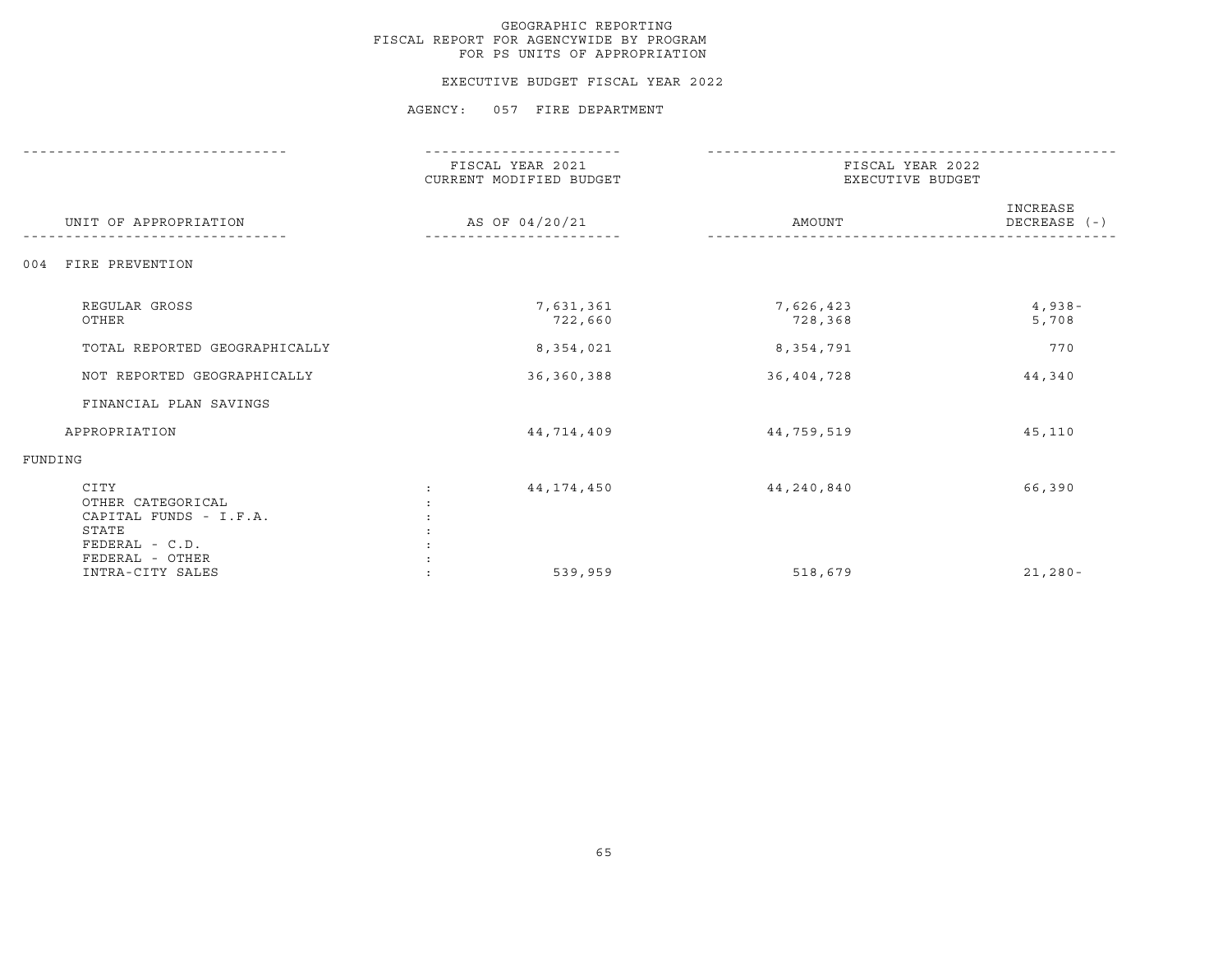#### EXECUTIVE BUDGET FISCAL YEAR 2022

|                                                                                                   | FISCAL YEAR 2021<br>CURRENT MODIFIED BUDGET | FISCAL YEAR 2022<br>EXECUTIVE BUDGET |                          |
|---------------------------------------------------------------------------------------------------|---------------------------------------------|--------------------------------------|--------------------------|
| UNIT OF APPROPRIATION                                                                             | AS OF 04/20/21                              | AMOUNT                               | INCREASE<br>DECREASE (-) |
| FIRE PREVENTION<br>004                                                                            |                                             |                                      |                          |
| REGULAR GROSS<br>OTHER                                                                            | 7,631,361<br>722,660                        | 7,626,423<br>728,368                 | $4,938-$<br>5,708        |
| TOTAL REPORTED GEOGRAPHICALLY                                                                     | 8,354,021                                   | 8,354,791                            | 770                      |
| NOT REPORTED GEOGRAPHICALLY                                                                       | 36, 360, 388                                | 36,404,728                           | 44,340                   |
| FINANCIAL PLAN SAVINGS                                                                            |                                             |                                      |                          |
| APPROPRIATION                                                                                     | 44,714,409                                  | 44,759,519                           | 45,110                   |
| FUNDING                                                                                           |                                             |                                      |                          |
| CITY<br>OTHER CATEGORICAL<br>CAPITAL FUNDS - I.F.A.<br>STATE<br>FEDERAL - C.D.<br>FEDERAL - OTHER | 44,174,450                                  | 44,240,840                           | 66,390                   |
| INTRA-CITY SALES                                                                                  | 539,959                                     | 518,679                              | $21,280-$                |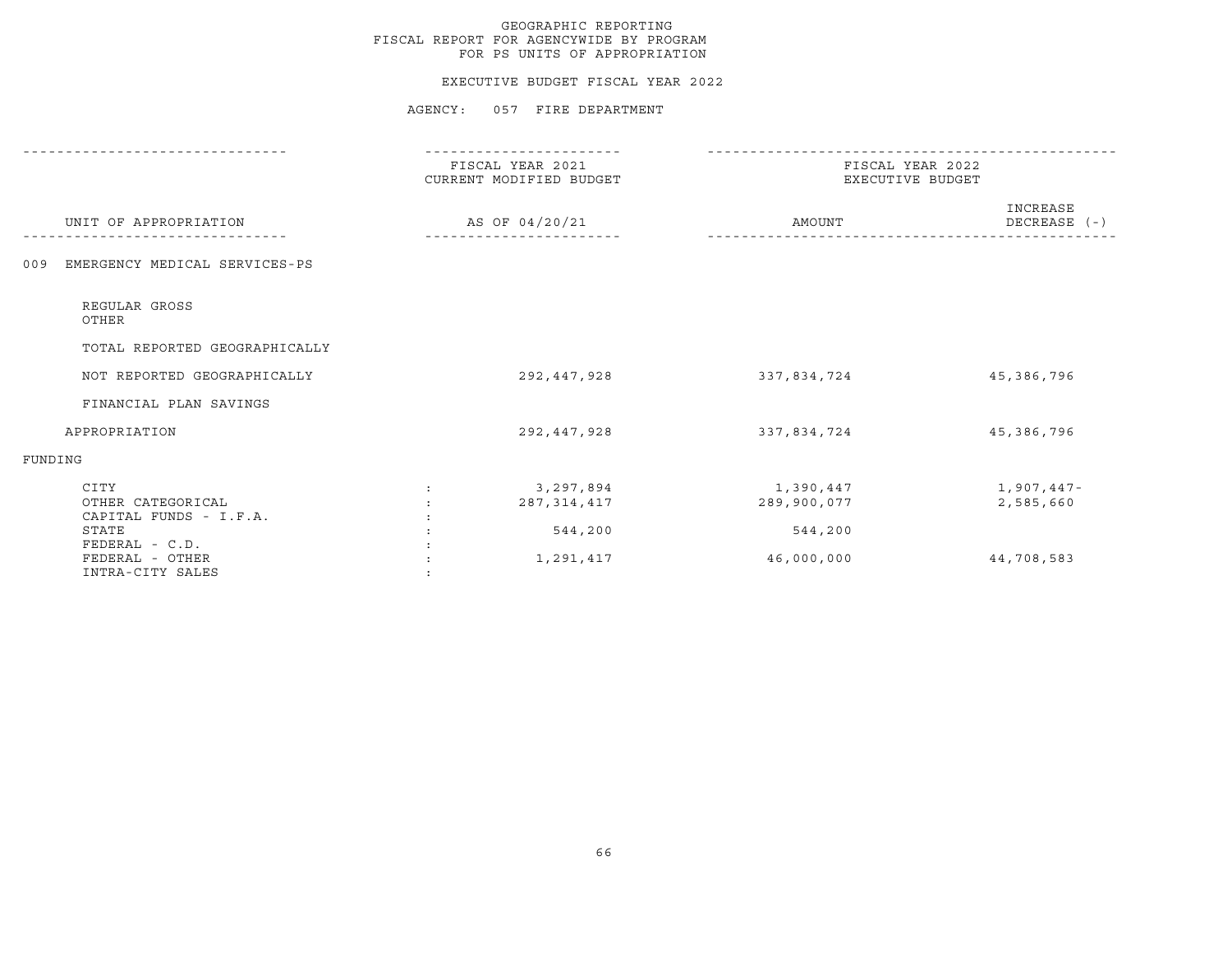#### EXECUTIVE BUDGET FISCAL YEAR 2022

| FISCAL YEAR 2021<br>CURRENT MODIFIED BUDGET        | FISCAL YEAR 2022<br>EXECUTIVE BUDGET              |                                       |  |
|----------------------------------------------------|---------------------------------------------------|---------------------------------------|--|
| AS OF 04/20/21                                     | AMOUNT                                            | INCREASE<br>DECREASE (-)              |  |
|                                                    |                                                   |                                       |  |
|                                                    |                                                   |                                       |  |
|                                                    |                                                   |                                       |  |
| 292,447,928                                        | 337,834,724                                       | 45,386,796                            |  |
|                                                    |                                                   |                                       |  |
| 292,447,928                                        | 337,834,724                                       | 45,386,796                            |  |
|                                                    |                                                   |                                       |  |
| 3,297,894<br>287, 314, 417<br>544,200<br>1,291,417 | 1,390,447<br>289,900,077<br>544,200<br>46,000,000 | 1,907,447-<br>2,585,660<br>44,708,583 |  |
|                                                    |                                                   |                                       |  |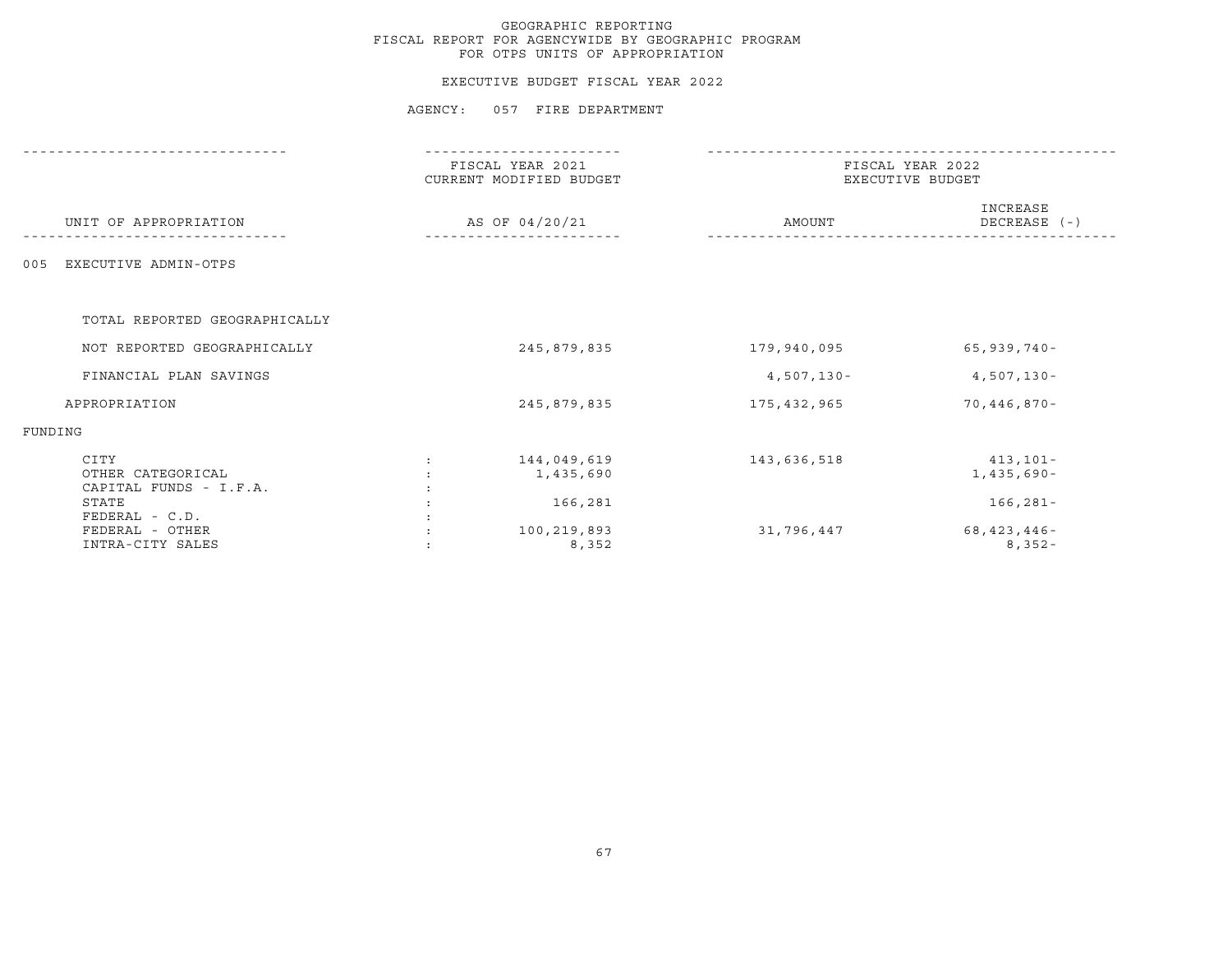#### EXECUTIVE BUDGET FISCAL YEAR 2022

|                                                     | FISCAL YEAR 2021<br>CURRENT MODIFIED BUDGET<br>AS OF 04/20/21 |                          | FISCAL YEAR 2022<br>EXECUTIVE BUDGET |                              |
|-----------------------------------------------------|---------------------------------------------------------------|--------------------------|--------------------------------------|------------------------------|
| UNIT OF APPROPRIATION                               |                                                               |                          | AMOUNT                               | INCREASE<br>DECREASE (-)     |
| EXECUTIVE ADMIN-OTPS<br>005                         |                                                               |                          |                                      |                              |
| TOTAL REPORTED GEOGRAPHICALLY                       |                                                               |                          |                                      |                              |
| NOT REPORTED GEOGRAPHICALLY                         |                                                               | 245,879,835              | 179,940,095                          | $65,939,740-$                |
| FINANCIAL PLAN SAVINGS                              |                                                               |                          | $4,507,130-$                         | $4,507,130 -$                |
| APPROPRIATION                                       |                                                               | 245,879,835              | 175,432,965                          | $70,446,870 -$               |
| FUNDING                                             |                                                               |                          |                                      |                              |
| CITY<br>OTHER CATEGORICAL<br>CAPITAL FUNDS - I.F.A. |                                                               | 144,049,619<br>1,435,690 | 143,636,518                          | 413,101-<br>$1,435,690-$     |
| STATE<br>FEDERAL - C.D.                             |                                                               | 166,281                  |                                      | $166, 281 -$                 |
| FEDERAL - OTHER<br>INTRA-CITY SALES                 |                                                               | 100,219,893<br>8,352     | 31,796,447                           | $68, 423, 446 -$<br>$8,352-$ |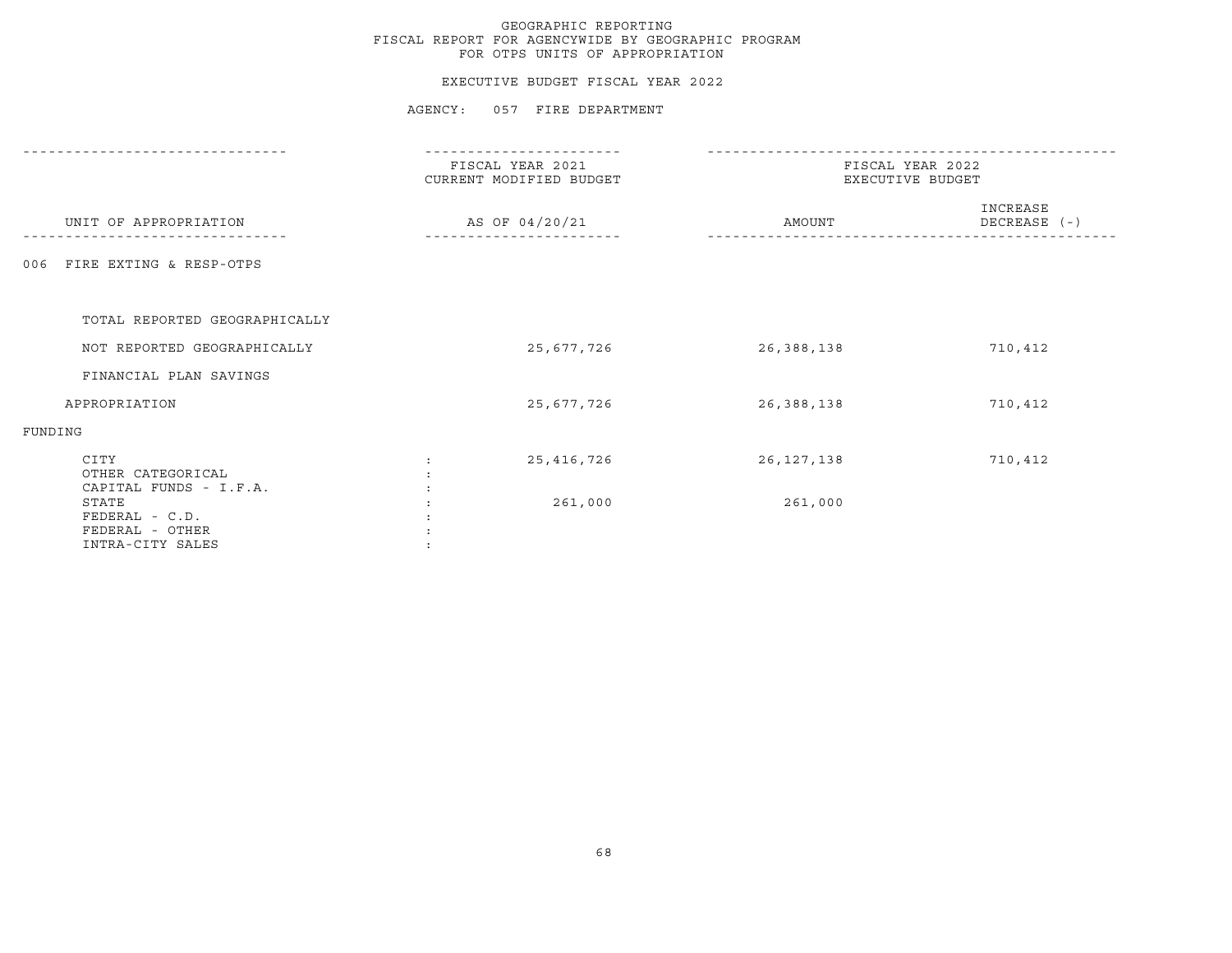## EXECUTIVE BUDGET FISCAL YEAR 2022

|                                                                  | -------------                               |                                      |                          |  |
|------------------------------------------------------------------|---------------------------------------------|--------------------------------------|--------------------------|--|
|                                                                  | FISCAL YEAR 2021<br>CURRENT MODIFIED BUDGET | FISCAL YEAR 2022<br>EXECUTIVE BUDGET |                          |  |
| UNIT OF APPROPRIATION                                            | AS OF 04/20/21                              | AMOUNT                               | INCREASE<br>DECREASE (-) |  |
| 006 FIRE EXTING & RESP-OTPS                                      |                                             |                                      |                          |  |
| TOTAL REPORTED GEOGRAPHICALLY                                    |                                             |                                      |                          |  |
| NOT REPORTED GEOGRAPHICALLY                                      | 25,677,726                                  | 26,388,138                           | 710,412                  |  |
| FINANCIAL PLAN SAVINGS                                           |                                             |                                      |                          |  |
| APPROPRIATION                                                    | 25,677,726                                  | 26,388,138                           | 710,412                  |  |
| FUNDING                                                          |                                             |                                      |                          |  |
| CITY<br>OTHER CATEGORICAL<br>CAPITAL FUNDS - I.F.A.              | 25,416,726                                  | 26, 127, 138                         | 710,412                  |  |
| STATE<br>$FEDERAL - C.D.$<br>FEDERAL - OTHER<br>INTRA-CITY SALES | 261,000                                     | 261,000                              |                          |  |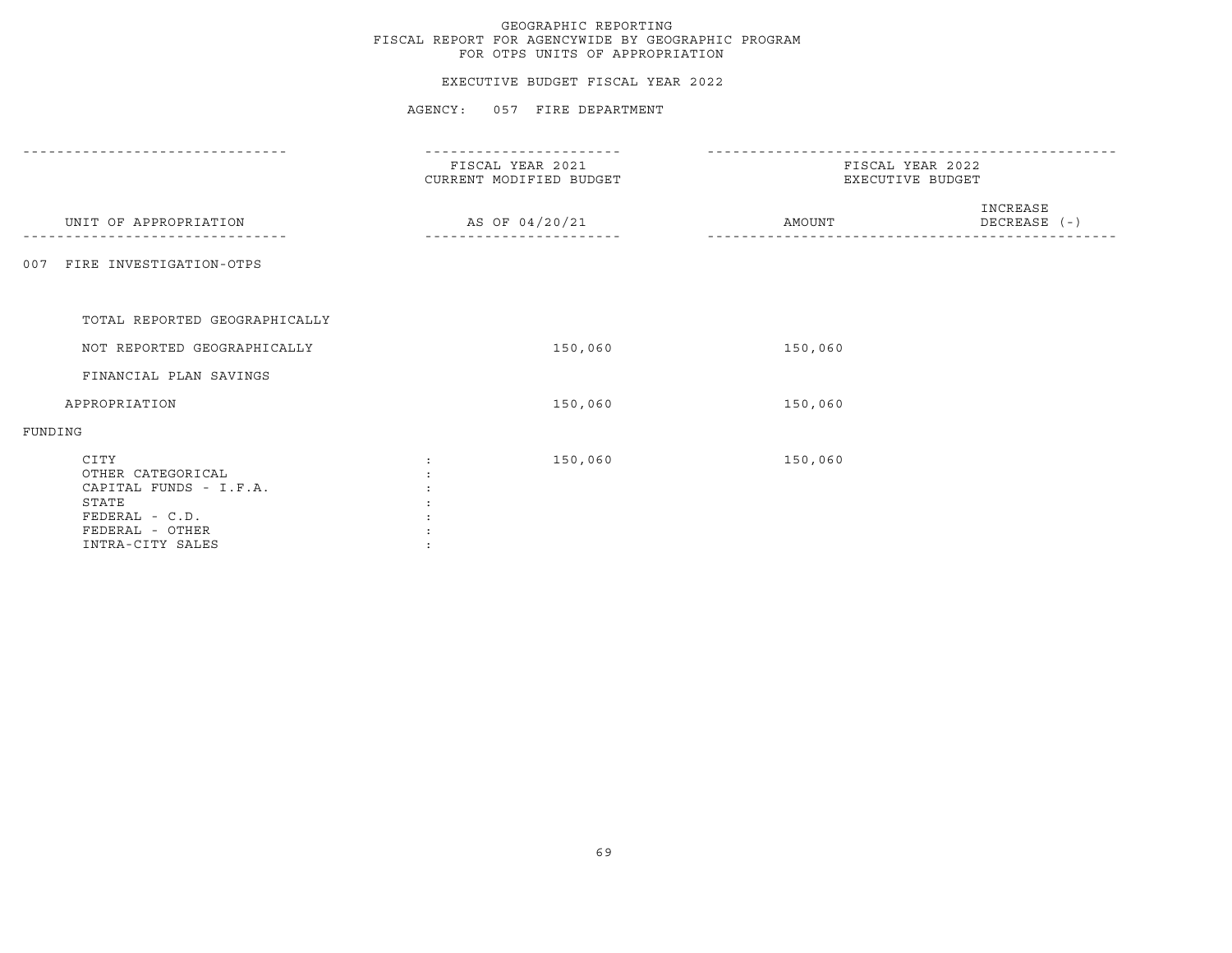#### EXECUTIVE BUDGET FISCAL YEAR 2022

|                                                                                                   | FISCAL YEAR 2021<br>CURRENT MODIFIED BUDGET | FISCAL YEAR 2022<br>EXECUTIVE BUDGET |                          |  |
|---------------------------------------------------------------------------------------------------|---------------------------------------------|--------------------------------------|--------------------------|--|
| UNIT OF APPROPRIATION                                                                             | AS OF 04/20/21                              | AMOUNT                               | INCREASE<br>DECREASE (-) |  |
| FIRE INVESTIGATION-OTPS<br>007                                                                    |                                             |                                      |                          |  |
|                                                                                                   |                                             |                                      |                          |  |
| TOTAL REPORTED GEOGRAPHICALLY                                                                     |                                             |                                      |                          |  |
| NOT REPORTED GEOGRAPHICALLY                                                                       | 150,060                                     | 150,060                              |                          |  |
| FINANCIAL PLAN SAVINGS                                                                            |                                             |                                      |                          |  |
| APPROPRIATION                                                                                     | 150,060                                     | 150,060                              |                          |  |
| FUNDING                                                                                           |                                             |                                      |                          |  |
| CITY<br>OTHER CATEGORICAL<br>CAPITAL FUNDS - I.F.A.<br>STATE<br>FEDERAL - C.D.<br>FEDERAL - OTHER | 150,060<br>$\ddot{\phantom{a}}$             | 150,060                              |                          |  |
| INTRA-CITY SALES                                                                                  |                                             |                                      |                          |  |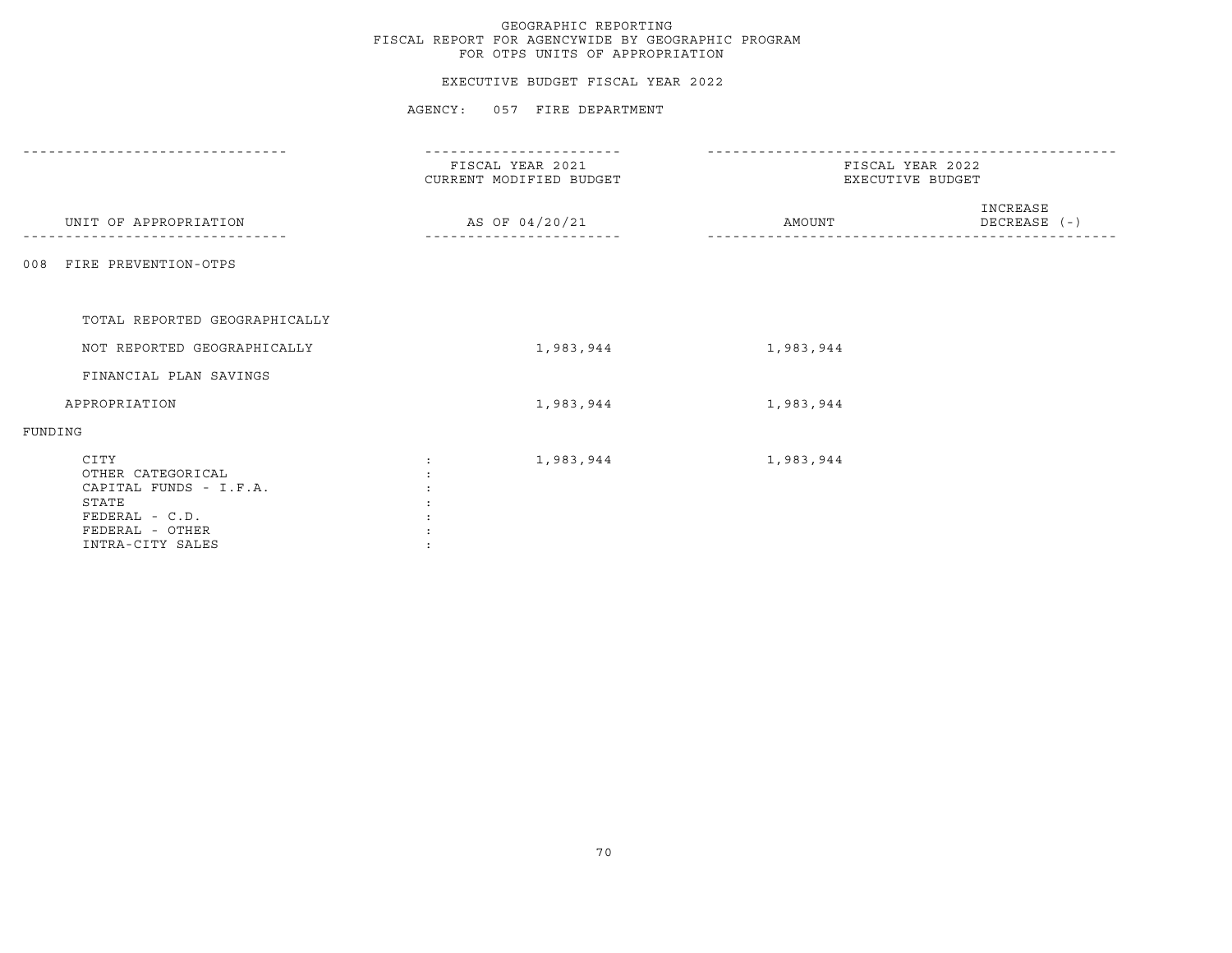#### EXECUTIVE BUDGET FISCAL YEAR 2022

|                               | FISCAL YEAR 2021<br>CURRENT MODIFIED BUDGET | FISCAL YEAR 2022<br>EXECUTIVE BUDGET |                          |  |
|-------------------------------|---------------------------------------------|--------------------------------------|--------------------------|--|
| UNIT OF APPROPRIATION         | AS OF 04/20/21                              | AMOUNT                               | INCREASE<br>DECREASE (-) |  |
| 008 FIRE PREVENTION-OTPS      |                                             |                                      |                          |  |
| TOTAL REPORTED GEOGRAPHICALLY |                                             |                                      |                          |  |
|                               |                                             |                                      |                          |  |
| NOT REPORTED GEOGRAPHICALLY   | 1,983,944                                   | 1,983,944                            |                          |  |
| FINANCIAL PLAN SAVINGS        |                                             |                                      |                          |  |
| APPROPRIATION                 | 1,983,944                                   | 1,983,944                            |                          |  |
| FUNDING                       |                                             |                                      |                          |  |
| CITY                          | 1,983,944                                   | 1,983,944                            |                          |  |
| OTHER CATEGORICAL             |                                             |                                      |                          |  |
| CAPITAL FUNDS - I.F.A.        |                                             |                                      |                          |  |
| STATE                         |                                             |                                      |                          |  |
| FEDERAL - C.D.                |                                             |                                      |                          |  |
| FEDERAL - OTHER               |                                             |                                      |                          |  |
| INTRA-CITY SALES              |                                             |                                      |                          |  |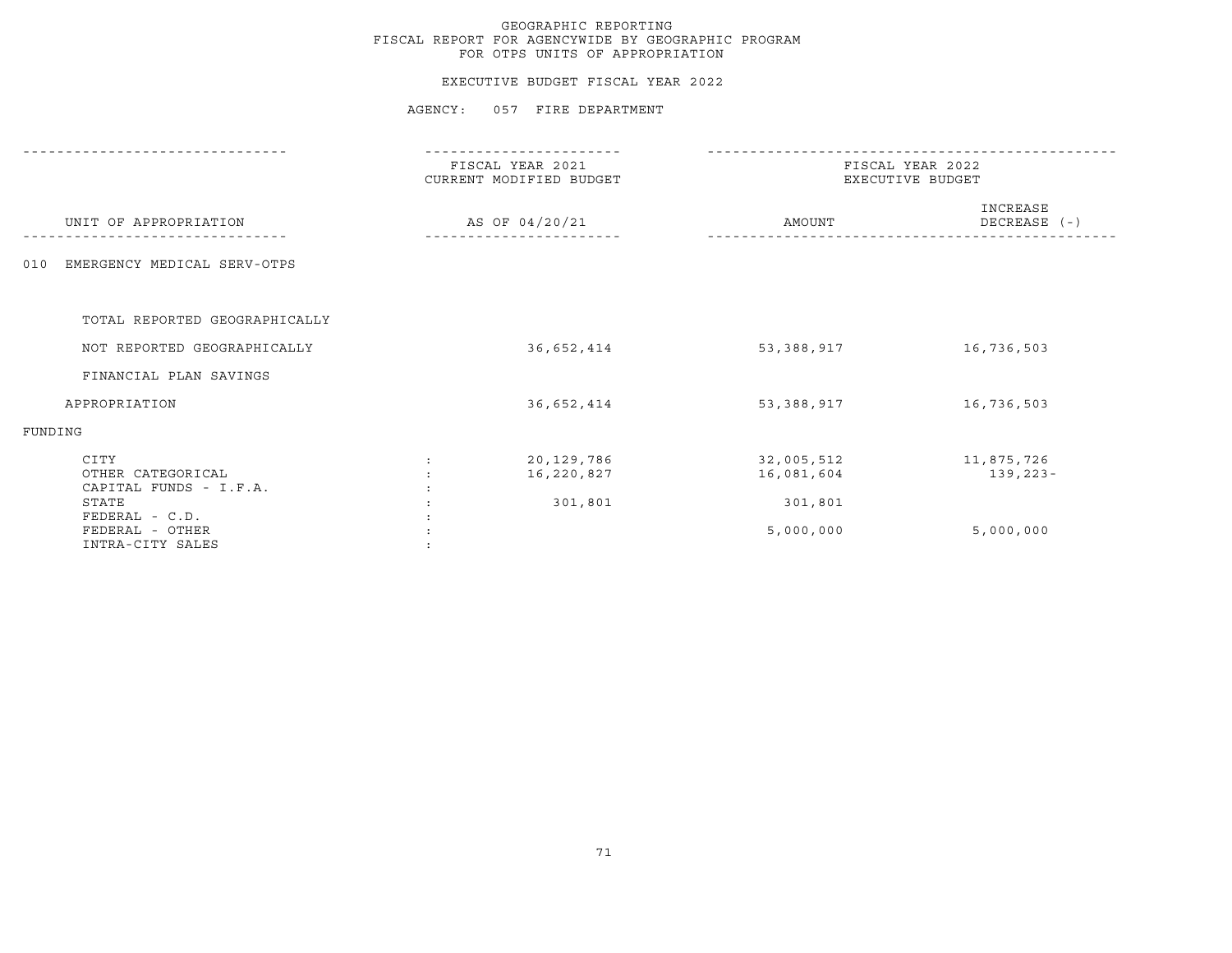#### EXECUTIVE BUDGET FISCAL YEAR 2022

|                                                                |                      | FISCAL YEAR 2021<br>CURRENT MODIFIED BUDGET | FISCAL YEAR 2022<br>EXECUTIVE BUDGET |                            |  |
|----------------------------------------------------------------|----------------------|---------------------------------------------|--------------------------------------|----------------------------|--|
| UNIT OF APPROPRIATION                                          |                      | AS OF 04/20/21                              | AMOUNT                               | INCREASE<br>DECREASE (-)   |  |
| EMERGENCY MEDICAL SERV-OTPS<br>010                             |                      |                                             |                                      |                            |  |
| TOTAL REPORTED GEOGRAPHICALLY                                  |                      |                                             |                                      |                            |  |
| NOT REPORTED GEOGRAPHICALLY                                    |                      | 36,652,414                                  | 53,388,917                           | 16,736,503                 |  |
| FINANCIAL PLAN SAVINGS                                         |                      |                                             |                                      |                            |  |
| APPROPRIATION                                                  |                      | 36,652,414                                  | 53,388,917                           | 16,736,503                 |  |
| FUNDING                                                        |                      |                                             |                                      |                            |  |
| CITY<br>OTHER CATEGORICAL<br>CAPITAL FUNDS - I.F.A.            | $\ddot{\phantom{a}}$ | 20,129,786<br>16,220,827                    | 32,005,512<br>16,081,604             | 11,875,726<br>$139, 223 -$ |  |
| STATE<br>FEDERAL - C.D.<br>FEDERAL - OTHER<br>INTRA-CITY SALES |                      | 301,801                                     | 301,801<br>5,000,000                 | 5,000,000                  |  |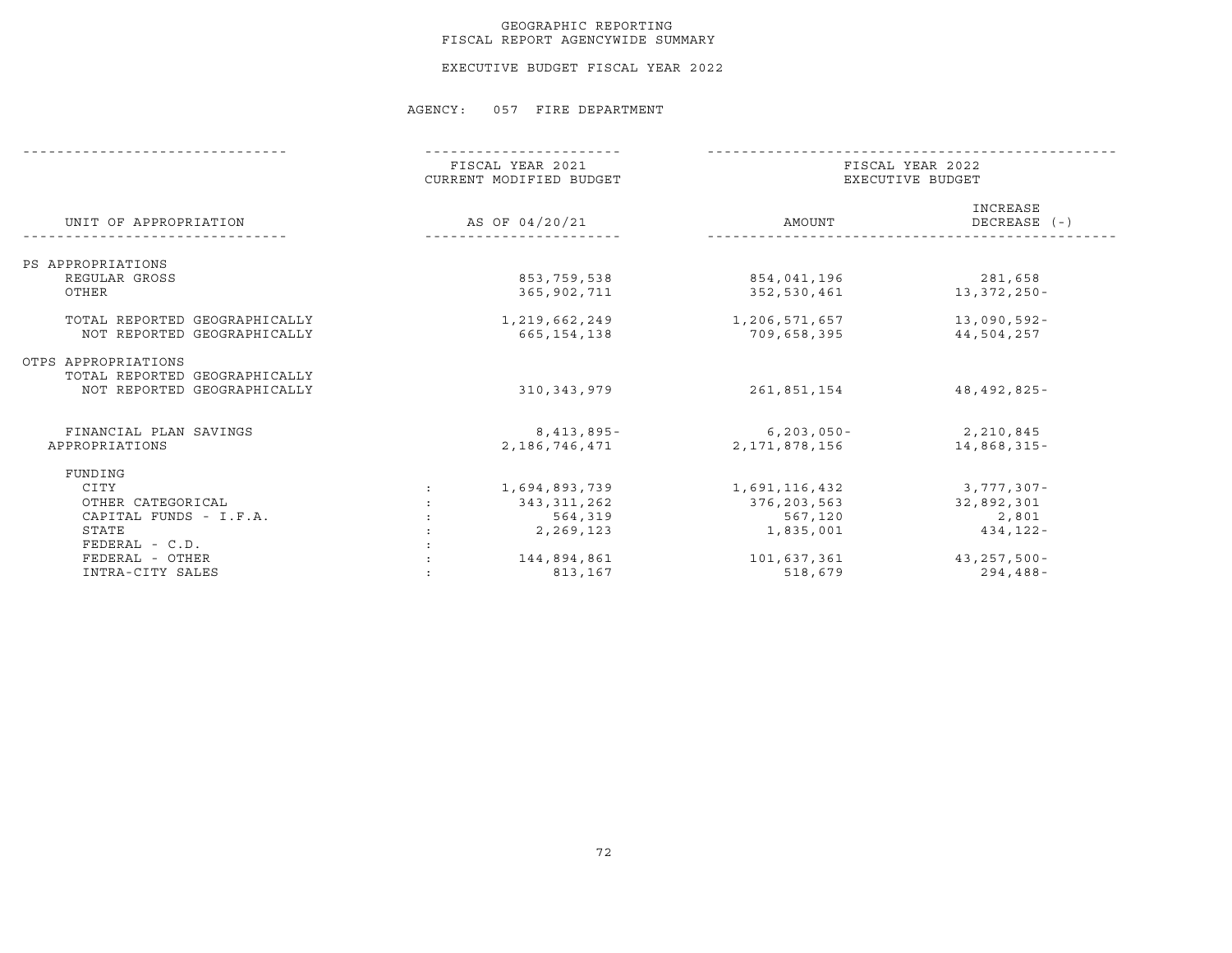### GEOGRAPHIC REPORTING FISCAL REPORT AGENCYWIDE SUMMARY

EXECUTIVE BUDGET FISCAL YEAR 2022

|                               | FISCAL YEAR 2021<br>CURRENT MODIFIED BUDGET | FISCAL YEAR 2022<br>EXECUTIVE BUDGET |                          |  |
|-------------------------------|---------------------------------------------|--------------------------------------|--------------------------|--|
| UNIT OF APPROPRIATION         | AS OF 04/20/21                              | AMOUNT                               | INCREASE<br>DECREASE (-) |  |
| PS APPROPRIATIONS             |                                             |                                      |                          |  |
| REGULAR GROSS                 | 853,759,538                                 | 854,041,196                          | 281,658                  |  |
| OTHER                         | 365,902,711                                 | 352,530,461                          | 13,372,250-              |  |
| TOTAL REPORTED GEOGRAPHICALLY | 1,219,662,249                               | 1,206,571,657                        | $13,090,592 -$           |  |
| NOT REPORTED GEOGRAPHICALLY   | 665,154,138                                 | 709,658,395                          | 44,504,257               |  |
| OTPS APPROPRIATIONS           |                                             |                                      |                          |  |
| TOTAL REPORTED GEOGRAPHICALLY |                                             |                                      |                          |  |
| NOT REPORTED GEOGRAPHICALLY   | 310, 343, 979                               | 261,851,154                          | 48,492,825-              |  |
| FINANCIAL PLAN SAVINGS        | 8,413,895-                                  | $6, 203, 050 -$                      | 2,210,845                |  |
| APPROPRIATIONS                | 2,186,746,471                               | 2,171,878,156                        | 14,868,315-              |  |
| FUNDING                       |                                             |                                      |                          |  |
| CITY                          | 1,694,893,739                               | 1,691,116,432                        | 3,777,307-               |  |
| OTHER CATEGORICAL             | 343,311,262                                 | 376,203,563                          | 32,892,301               |  |
| CAPITAL FUNDS - I.F.A.        | 564,319                                     | 567,120                              | 2,801                    |  |
| STATE                         | 2,269,123                                   | 1,835,001                            | $434, 122 -$             |  |
| FEDERAL - C.D.                |                                             |                                      |                          |  |
| FEDERAL - OTHER               | 144,894,861                                 | 101,637,361                          | $43, 257, 500 -$         |  |
| INTRA-CITY SALES              | 813,167                                     | 518,679                              | $294, 488 -$             |  |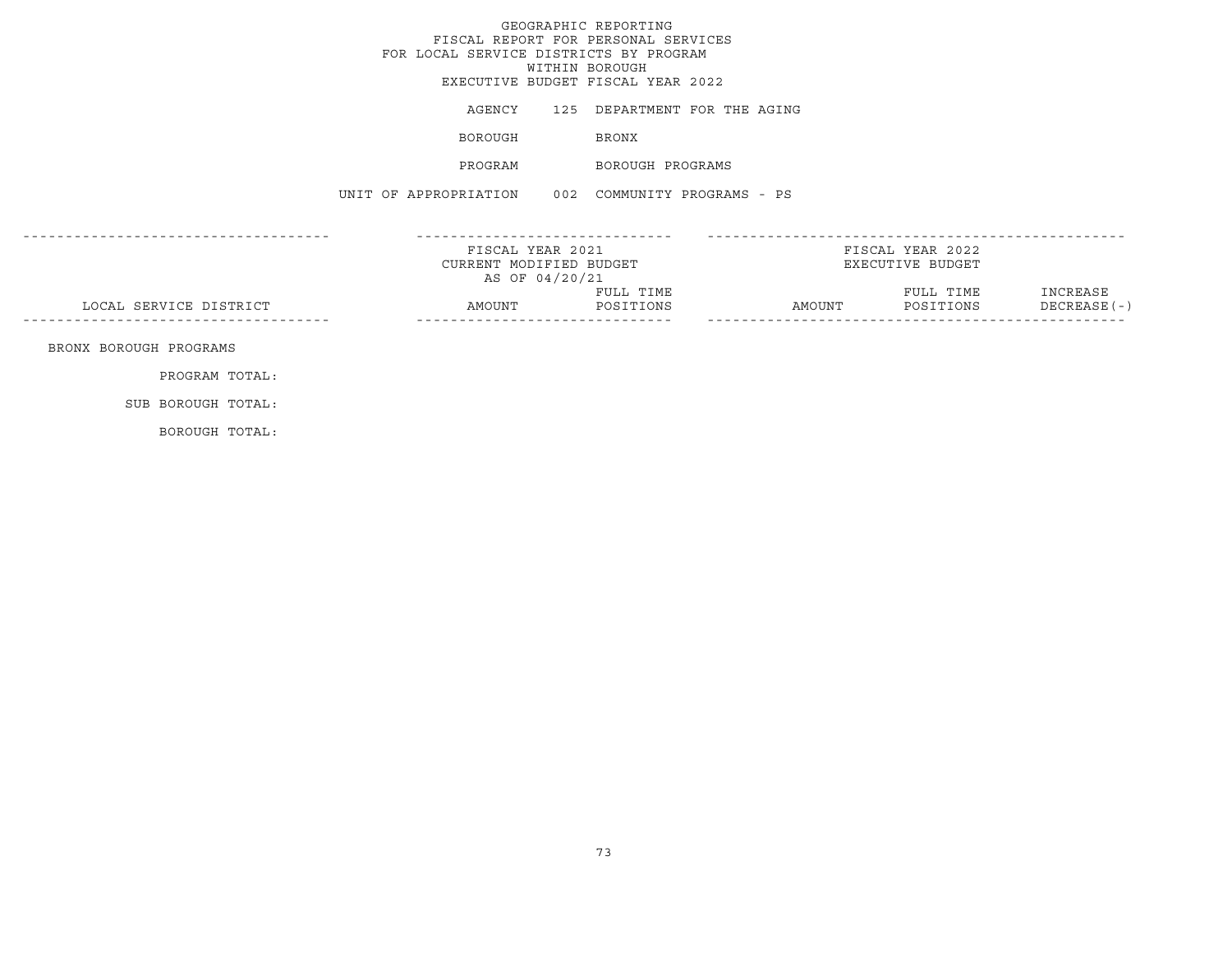|                        | FOR LOCAL SERVICE DISTRICTS BY PROGRAM            |                | GEOGRAPHIC REPORTING<br>FISCAL REPORT FOR PERSONAL SERVICES<br>WITHIN BOROUGH<br>EXECUTIVE BUDGET FISCAL YEAR 2022 |        |                                      |                          |
|------------------------|---------------------------------------------------|----------------|--------------------------------------------------------------------------------------------------------------------|--------|--------------------------------------|--------------------------|
|                        |                                                   |                | AGENCY 125 DEPARTMENT FOR THE AGING                                                                                |        |                                      |                          |
|                        | BOROUGH                                           |                | <b>BRONX</b>                                                                                                       |        |                                      |                          |
|                        | PROGRAM                                           |                | BOROUGH PROGRAMS                                                                                                   |        |                                      |                          |
|                        | UNIT OF APPROPRIATION 002 COMMUNITY PROGRAMS - PS |                |                                                                                                                    |        |                                      |                          |
|                        | FISCAL YEAR 2021<br>CURRENT MODIFIED BUDGET       |                |                                                                                                                    |        | FISCAL YEAR 2022<br>EXECUTIVE BUDGET |                          |
|                        |                                                   | AS OF 04/20/21 |                                                                                                                    |        |                                      |                          |
| LOCAL SERVICE DISTRICT | AMOUNT                                            |                | FULL TIME<br>POSITIONS                                                                                             | AMOUNT | FULL TIME<br>POSITIONS               | INCREASE<br>DECREASE (-) |
| BRONX BOROUGH PROGRAMS |                                                   |                |                                                                                                                    |        |                                      |                          |
| PROGRAM TOTAL:         |                                                   |                |                                                                                                                    |        |                                      |                          |
| SUB BOROUGH TOTAL:     |                                                   |                |                                                                                                                    |        |                                      |                          |

BOROUGH TOTAL: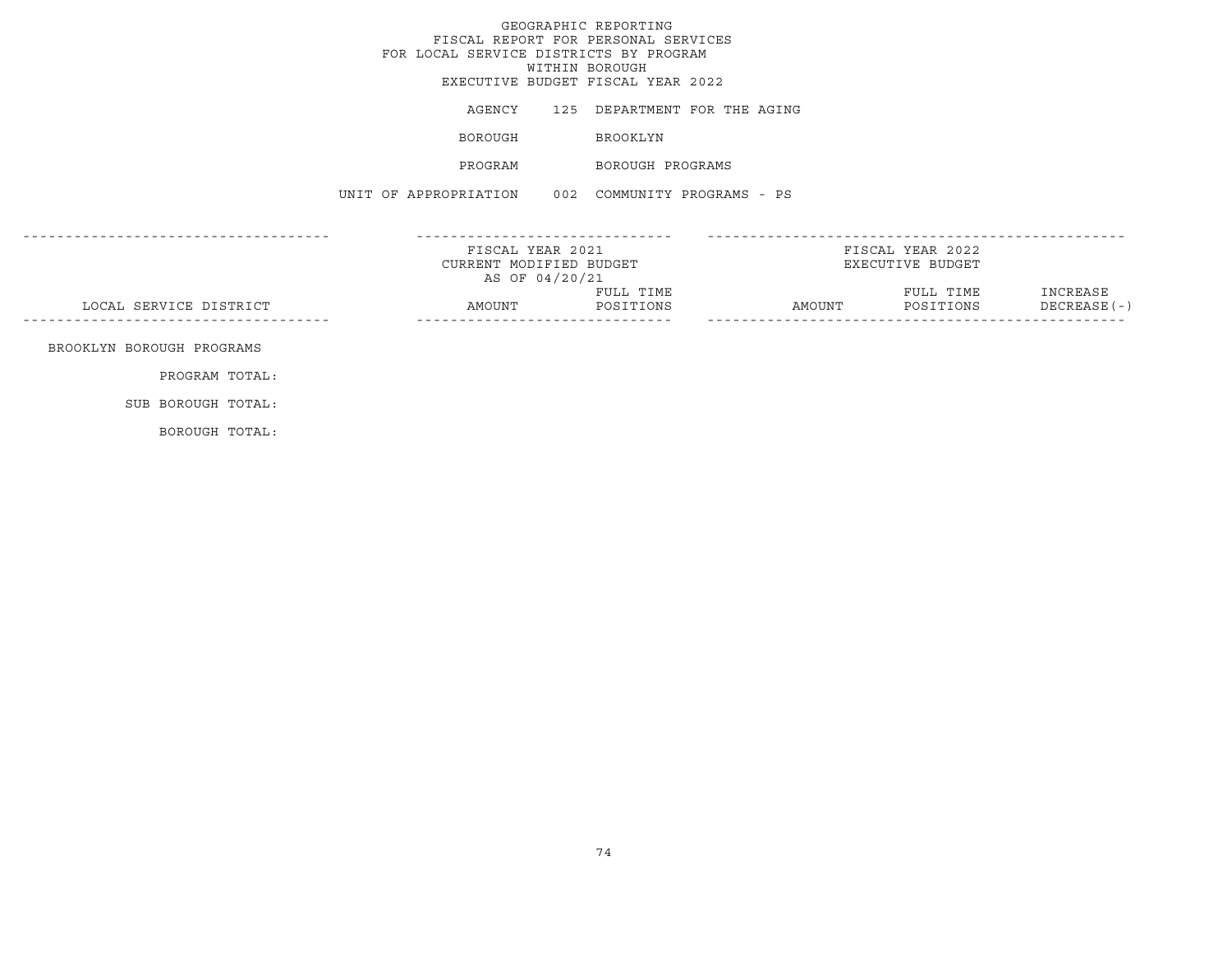|                                             | FOR LOCAL SERVICE DISTRICTS BY PROGRAM                        |  | GEOGRAPHIC REPORTING<br>FISCAL REPORT FOR PERSONAL SERVICES<br>WITHIN BOROUGH<br>EXECUTIVE BUDGET FISCAL YEAR 2022 |                                      |           |                          |
|---------------------------------------------|---------------------------------------------------------------|--|--------------------------------------------------------------------------------------------------------------------|--------------------------------------|-----------|--------------------------|
|                                             |                                                               |  | AGENCY 125 DEPARTMENT FOR THE AGING                                                                                |                                      |           |                          |
|                                             | BOROUGH                                                       |  | BROOKLYN                                                                                                           |                                      |           |                          |
|                                             | PROGRAM                                                       |  | BOROUGH PROGRAMS                                                                                                   |                                      |           |                          |
|                                             | UNIT OF APPROPRIATION 002 COMMUNITY PROGRAMS - PS             |  |                                                                                                                    |                                      |           |                          |
|                                             | FISCAL YEAR 2021<br>CURRENT MODIFIED BUDGET<br>AS OF 04/20/21 |  |                                                                                                                    | FISCAL YEAR 2022<br>EXECUTIVE BUDGET |           |                          |
| LOCAL SERVICE DISTRICT                      | AMOUNT POSITIONS                                              |  | FULL TIME                                                                                                          | AMOUNT POSITIONS                     | FULL TIME | INCREASE<br>DECREASE (-) |
| BROOKLYN BOROUGH PROGRAMS<br>PROGRAM TOTAL: |                                                               |  |                                                                                                                    |                                      |           |                          |
| SUB BOROUGH TOTAL:                          |                                                               |  |                                                                                                                    |                                      |           |                          |
|                                             |                                                               |  |                                                                                                                    |                                      |           |                          |

BOROUGH TOTAL: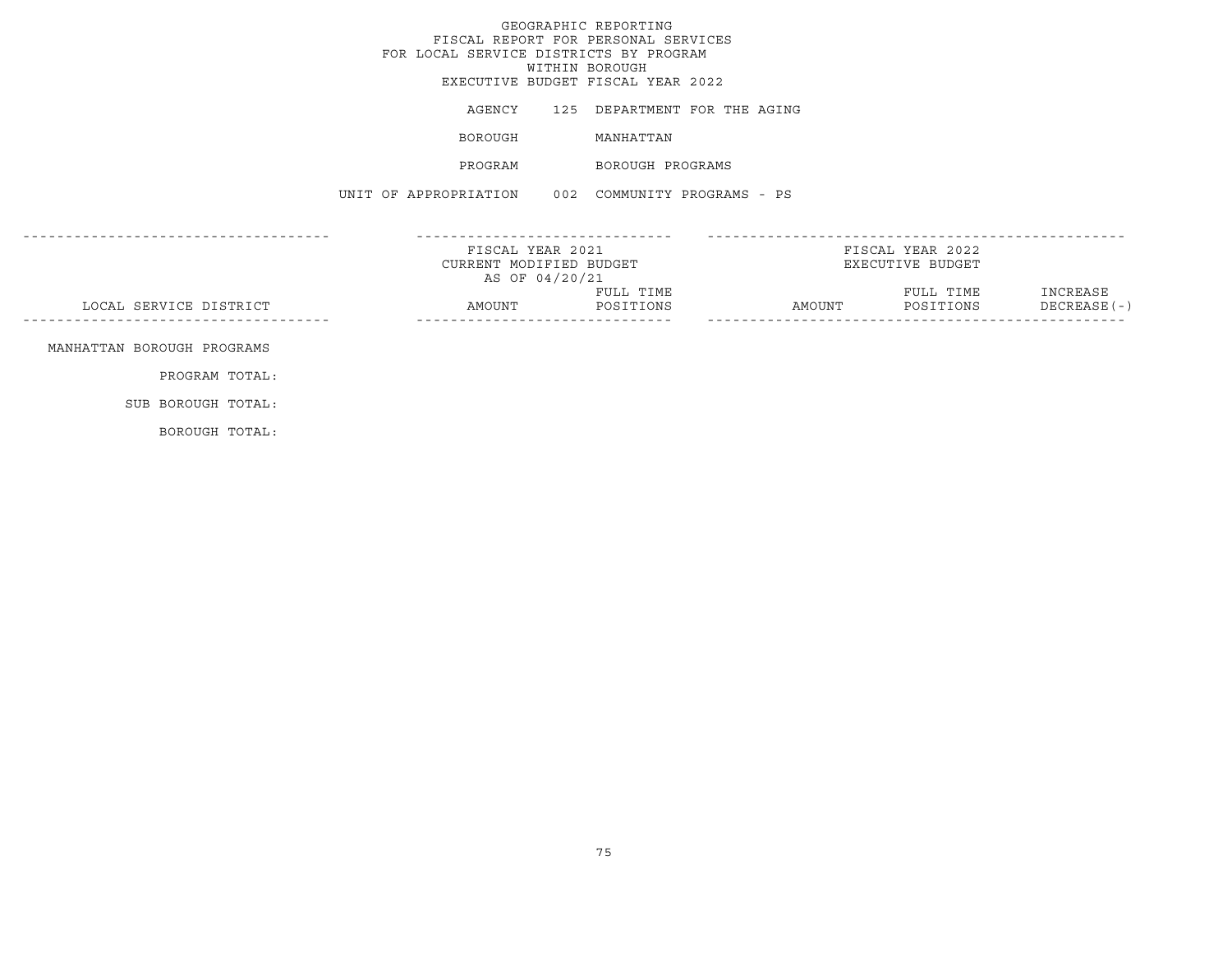|                            | FOR LOCAL SERVICE DISTRICTS BY PROGRAM                        | GEOGRAPHIC REPORTING<br>FISCAL REPORT FOR PERSONAL SERVICES<br>WITHIN BOROUGH<br>EXECUTIVE BUDGET FISCAL YEAR 2022 |                                      |                          |
|----------------------------|---------------------------------------------------------------|--------------------------------------------------------------------------------------------------------------------|--------------------------------------|--------------------------|
|                            |                                                               | AGENCY 125 DEPARTMENT FOR THE AGING                                                                                |                                      |                          |
|                            | BOROUGH                                                       | MANHATTAN                                                                                                          |                                      |                          |
|                            | PROGRAM                                                       | BOROUGH PROGRAMS                                                                                                   |                                      |                          |
|                            | UNIT OF APPROPRIATION 002 COMMUNITY PROGRAMS - PS             |                                                                                                                    |                                      |                          |
|                            | FISCAL YEAR 2021<br>CURRENT MODIFIED BUDGET<br>AS OF 04/20/21 |                                                                                                                    | FISCAL YEAR 2022<br>EXECUTIVE BUDGET |                          |
| LOCAL SERVICE DISTRICT     | AMOUNT                                                        | FULL TIME<br>POSITIONS                                                                                             | FULL TIME<br>AMOUNT POSITIONS        | INCREASE<br>DECREASE (-) |
| MANHATTAN BOROUGH PROGRAMS |                                                               |                                                                                                                    |                                      |                          |
| PROGRAM TOTAL:             |                                                               |                                                                                                                    |                                      |                          |
| SUB BOROUGH TOTAL:         |                                                               |                                                                                                                    |                                      |                          |
| BOROUGH TOTAL:             |                                                               |                                                                                                                    |                                      |                          |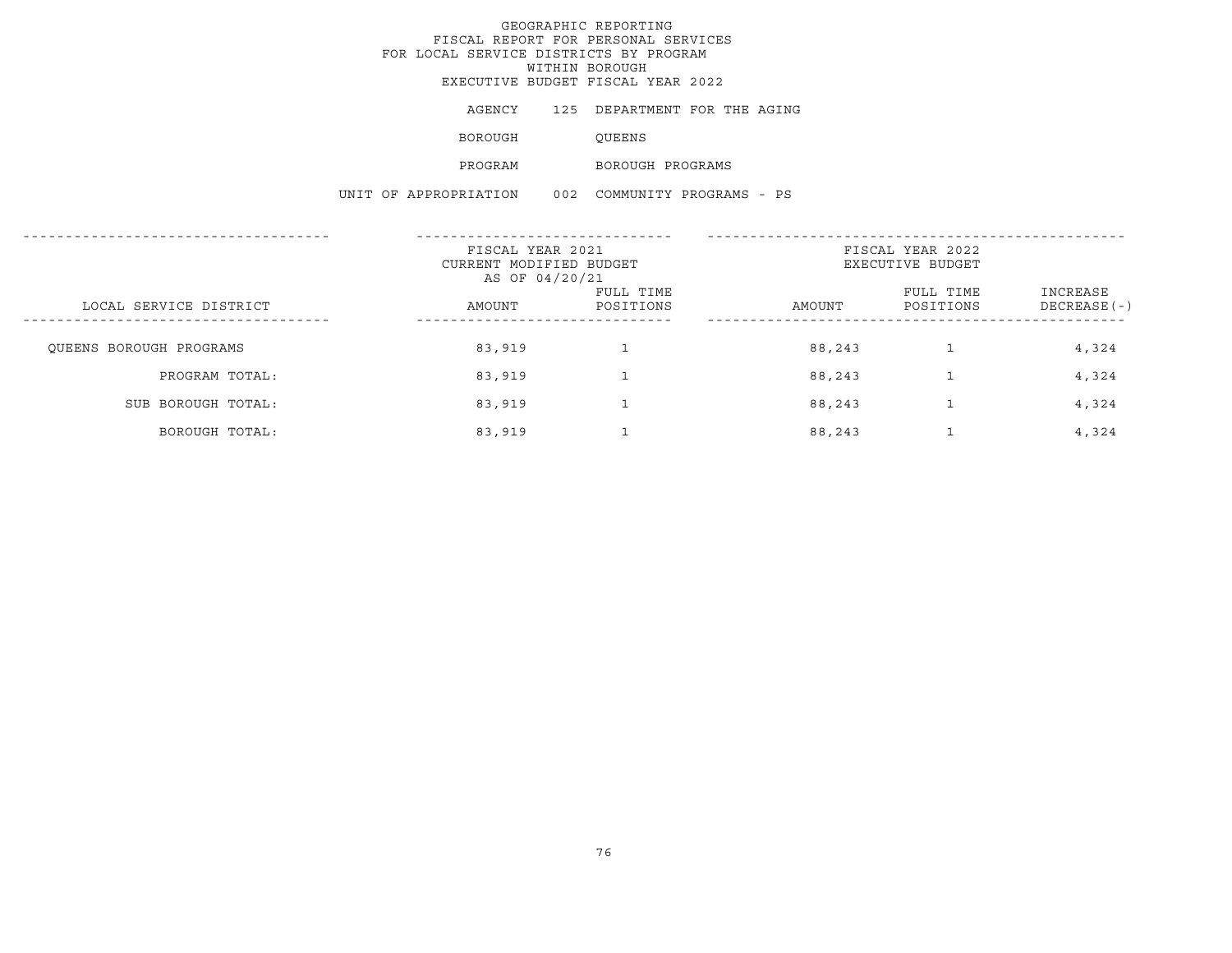# GEOGRAPHIC REPORTING FISCAL REPORT FOR PERSONAL SERVICES FOR LOCAL SERVICE DISTRICTS BY PROGRAM WITHIN BOROUGHEXECUTIVE BUDGET FISCAL YEAR 2022

|                       | AGENCY         | 125 DEPARTMENT FOR THE AGING |  |  |
|-----------------------|----------------|------------------------------|--|--|
|                       | <b>BOROUGH</b> | OUEENS                       |  |  |
|                       | PROGRAM        | BOROUGH PROGRAMS             |  |  |
| UNIT OF APPROPRIATION |                | 002 COMMUNITY PROGRAMS - PS  |  |  |
|                       |                |                              |  |  |

|                         | FISCAL YEAR 2021<br>CURRENT MODIFIED BUDGET<br>AS OF 04/20/21 |                        | FISCAL YEAR 2022<br>EXECUTIVE BUDGET |                        |                           |
|-------------------------|---------------------------------------------------------------|------------------------|--------------------------------------|------------------------|---------------------------|
| LOCAL SERVICE DISTRICT  | AMOUNT                                                        | FULL TIME<br>POSITIONS | AMOUNT                               | FULL TIME<br>POSITIONS | INCREASE<br>$DECREASE(-)$ |
| OUEENS BOROUGH PROGRAMS | 83,919                                                        |                        | 88,243                               |                        | 4,324                     |
| PROGRAM TOTAL:          | 83,919                                                        |                        | 88,243                               |                        | 4,324                     |
| SUB BOROUGH TOTAL:      | 83,919                                                        |                        | 88,243                               |                        | 4,324                     |
| BOROUGH TOTAL:          | 83,919                                                        |                        | 88,243                               |                        | 4,324                     |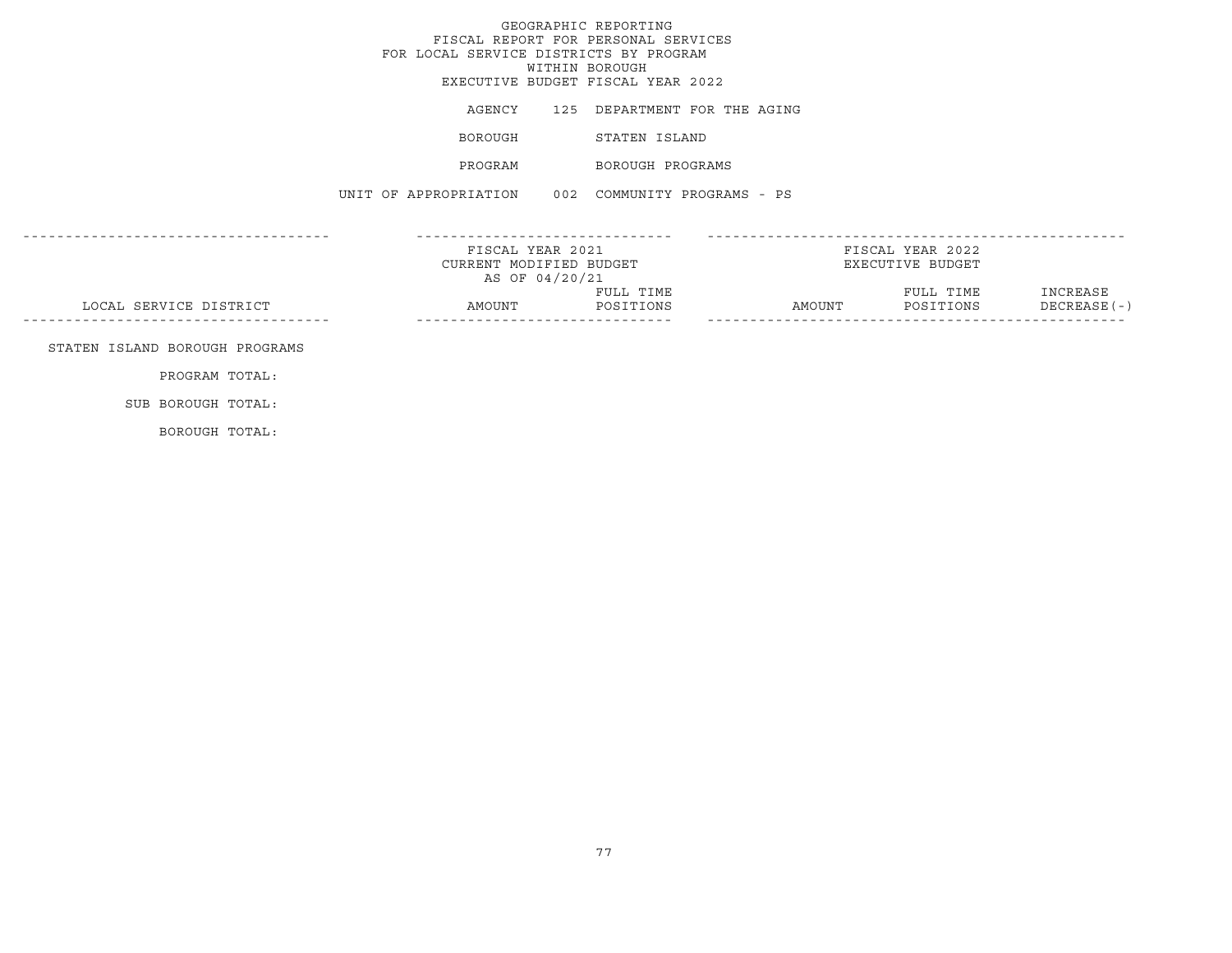|                                | FOR LOCAL SERVICE DISTRICTS BY PROGRAM            | GEOGRAPHIC REPORTING<br>FISCAL REPORT FOR PERSONAL SERVICES<br>WITHIN BOROUGH<br>EXECUTIVE BUDGET FISCAL YEAR 2022 |                  |                                      |                           |
|--------------------------------|---------------------------------------------------|--------------------------------------------------------------------------------------------------------------------|------------------|--------------------------------------|---------------------------|
|                                | AGENCY                                            | 125 DEPARTMENT FOR THE AGING                                                                                       |                  |                                      |                           |
|                                | BOROUGH                                           | STATEN ISLAND                                                                                                      |                  |                                      |                           |
|                                |                                                   | PROGRAM BOROUGH PROGRAMS                                                                                           |                  |                                      |                           |
|                                | UNIT OF APPROPRIATION 002 COMMUNITY PROGRAMS - PS |                                                                                                                    |                  |                                      |                           |
|                                | CURRENT MODIFIED BUDGET<br>AS OF 04/20/21         | FISCAL YEAR 2021                                                                                                   |                  | FISCAL YEAR 2022<br>EXECUTIVE BUDGET |                           |
| LOCAL SERVICE DISTRICT         | AMOUNT POSITIONS                                  | FULL TIME                                                                                                          | AMOUNT POSITIONS | FULL TIME                            | INCREASE<br>$DECREASE(-)$ |
| STATEN ISLAND BOROUGH PROGRAMS |                                                   |                                                                                                                    |                  |                                      |                           |
| PROGRAM TOTAL:                 |                                                   |                                                                                                                    |                  |                                      |                           |
| SUB BOROUGH TOTAL:             |                                                   |                                                                                                                    |                  |                                      |                           |

BOROUGH TOTAL: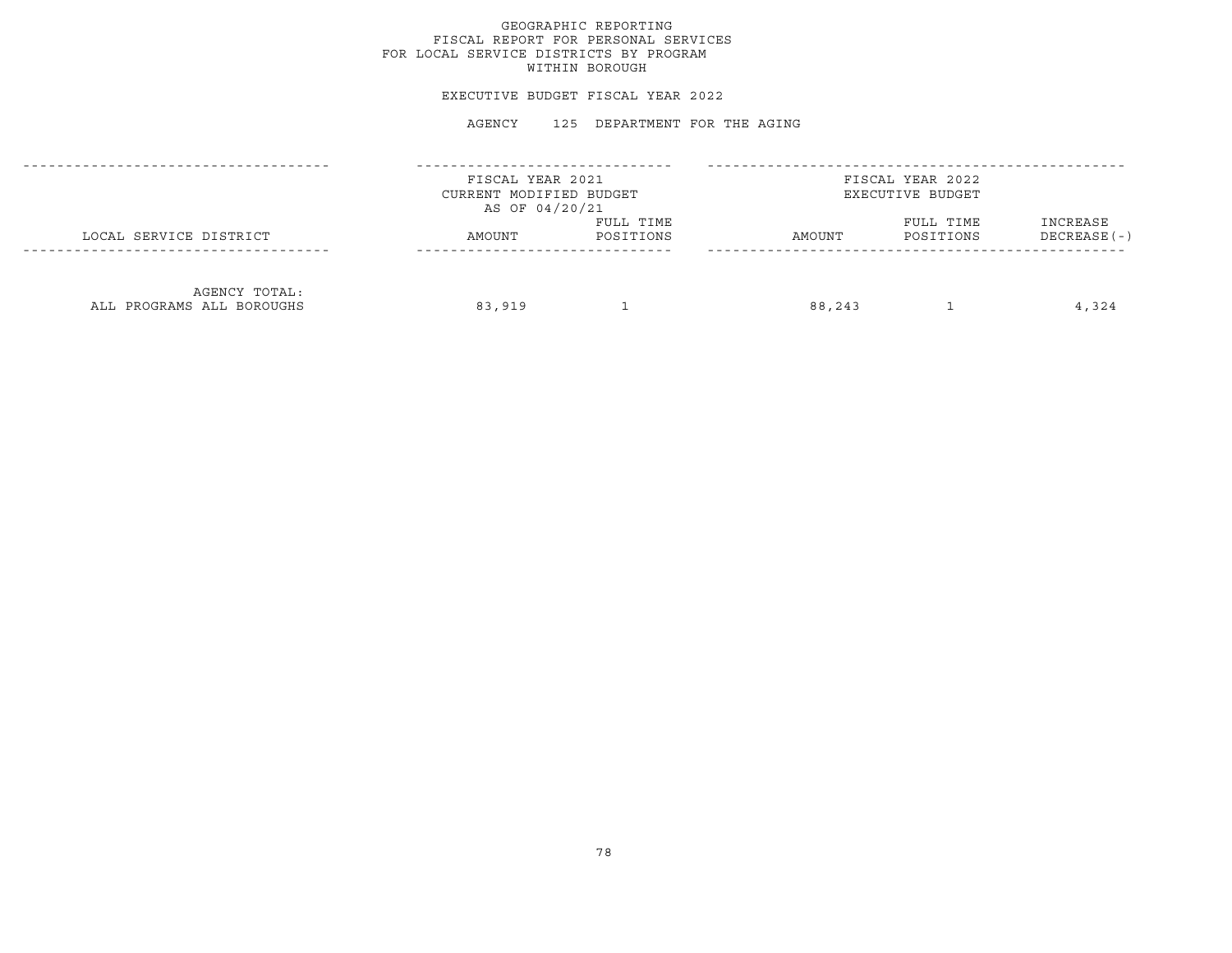# GEOGRAPHIC REPORTING FISCAL REPORT FOR PERSONAL SERVICES FOR LOCAL SERVICE DISTRICTS BY PROGRAM WITHIN BOROUGH

#### EXECUTIVE BUDGET FISCAL YEAR 2022

|                                            | FISCAL YEAR 2021<br>CURRENT MODIFIED BUDGET<br>AS OF 04/20/21 |                        | FISCAL YEAR 2022<br>EXECUTIVE BUDGET |                        |                           |  |
|--------------------------------------------|---------------------------------------------------------------|------------------------|--------------------------------------|------------------------|---------------------------|--|
| LOCAL SERVICE DISTRICT                     | AMOUNT                                                        | FULL TIME<br>POSITIONS | AMOUNT                               | FULL TIME<br>POSITIONS | INCREASE<br>$DECREASE(-)$ |  |
| AGENCY TOTAL:<br>ALL PROGRAMS ALL BOROUGHS | 83,919                                                        |                        | 88,243                               |                        | 4,324                     |  |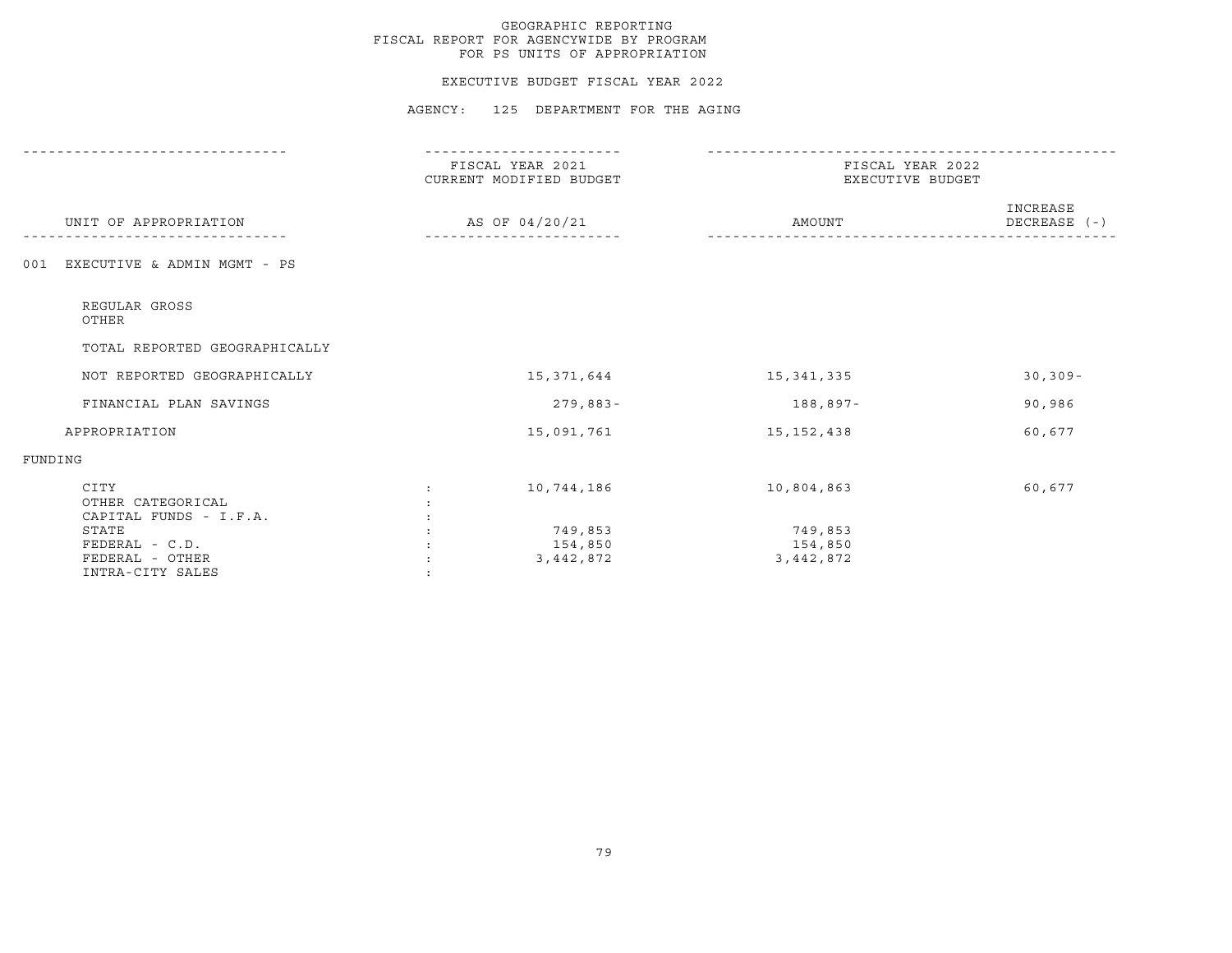#### EXECUTIVE BUDGET FISCAL YEAR 2022

|                                                                | FISCAL YEAR 2021<br>CURRENT MODIFIED BUDGET | FISCAL YEAR 2022<br>EXECUTIVE BUDGET |                          |  |
|----------------------------------------------------------------|---------------------------------------------|--------------------------------------|--------------------------|--|
| UNIT OF APPROPRIATION                                          | AS OF 04/20/21                              | AMOUNT                               | INCREASE<br>DECREASE (-) |  |
| EXECUTIVE & ADMIN MGMT - PS<br>001                             |                                             |                                      |                          |  |
| REGULAR GROSS<br>OTHER                                         |                                             |                                      |                          |  |
| TOTAL REPORTED GEOGRAPHICALLY                                  |                                             |                                      |                          |  |
| NOT REPORTED GEOGRAPHICALLY                                    | 15,371,644                                  | 15,341,335                           | $30, 309 -$              |  |
| FINANCIAL PLAN SAVINGS                                         | $279,883-$                                  | 188,897-                             | 90,986                   |  |
| APPROPRIATION                                                  | 15,091,761                                  | 15, 152, 438                         | 60,677                   |  |
| FUNDING                                                        |                                             |                                      |                          |  |
| CITY<br>OTHER CATEGORICAL<br>CAPITAL FUNDS - I.F.A.            | 10,744,186                                  | 10,804,863                           | 60,677                   |  |
| STATE<br>FEDERAL - C.D.<br>FEDERAL - OTHER<br>INTRA-CITY SALES | 749,853<br>154,850<br>3,442,872             | 749,853<br>154,850<br>3, 442, 872    |                          |  |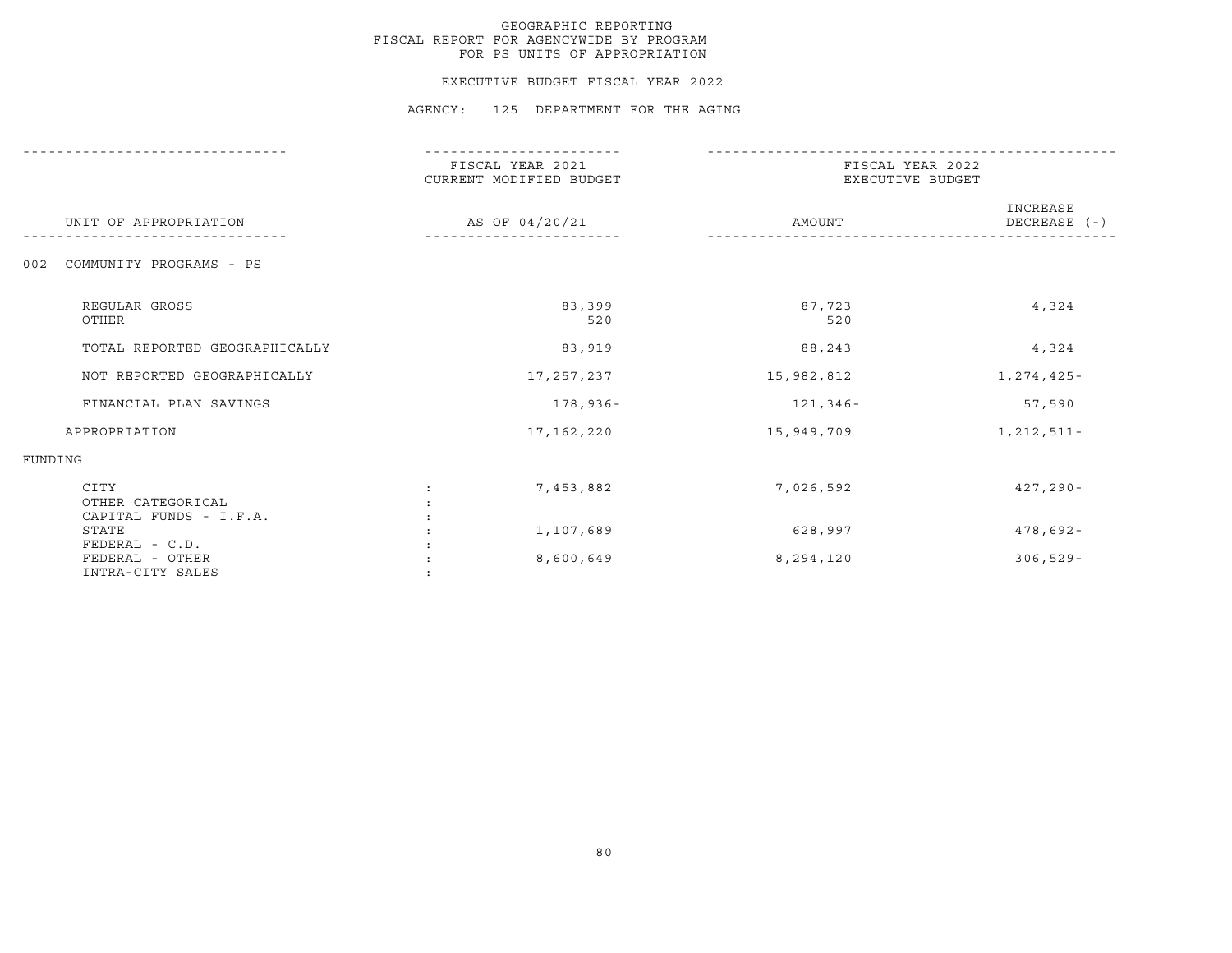#### EXECUTIVE BUDGET FISCAL YEAR 2022

|                                                   | FISCAL YEAR 2021<br>CURRENT MODIFIED BUDGET | FISCAL YEAR 2022<br>EXECUTIVE BUDGET |                            |
|---------------------------------------------------|---------------------------------------------|--------------------------------------|----------------------------|
| UNIT OF APPROPRIATION                             | AS OF 04/20/21                              | AMOUNT                               | INCREASE<br>DECREASE $(-)$ |
| 002<br>COMMUNITY PROGRAMS - PS                    |                                             |                                      |                            |
| REGULAR GROSS<br>OTHER                            | 83,399<br>520                               | 87,723<br>520                        | 4,324                      |
| TOTAL REPORTED GEOGRAPHICALLY                     | 83,919                                      | 88,243                               | 4,324                      |
| NOT REPORTED GEOGRAPHICALLY                       | 17,257,237                                  | 15,982,812                           | 1,274,425-                 |
| FINANCIAL PLAN SAVINGS                            | 178,936-                                    | 121,346-                             | 57,590                     |
| APPROPRIATION                                     | 17, 162, 220                                | 15,949,709                           | 1, 212, 511-               |
| FUNDING                                           |                                             |                                      |                            |
| CITY<br>OTHER CATEGORICAL                         | 7,453,882                                   | 7,026,592                            | $427, 290 -$               |
| CAPITAL FUNDS - I.F.A.<br>STATE<br>FEDERAL - C.D. | 1,107,689                                   | 628,997                              | $478,692 -$                |
| FEDERAL - OTHER<br>INTRA-CITY SALES               | 8,600,649                                   | 8,294,120                            | $306, 529 -$               |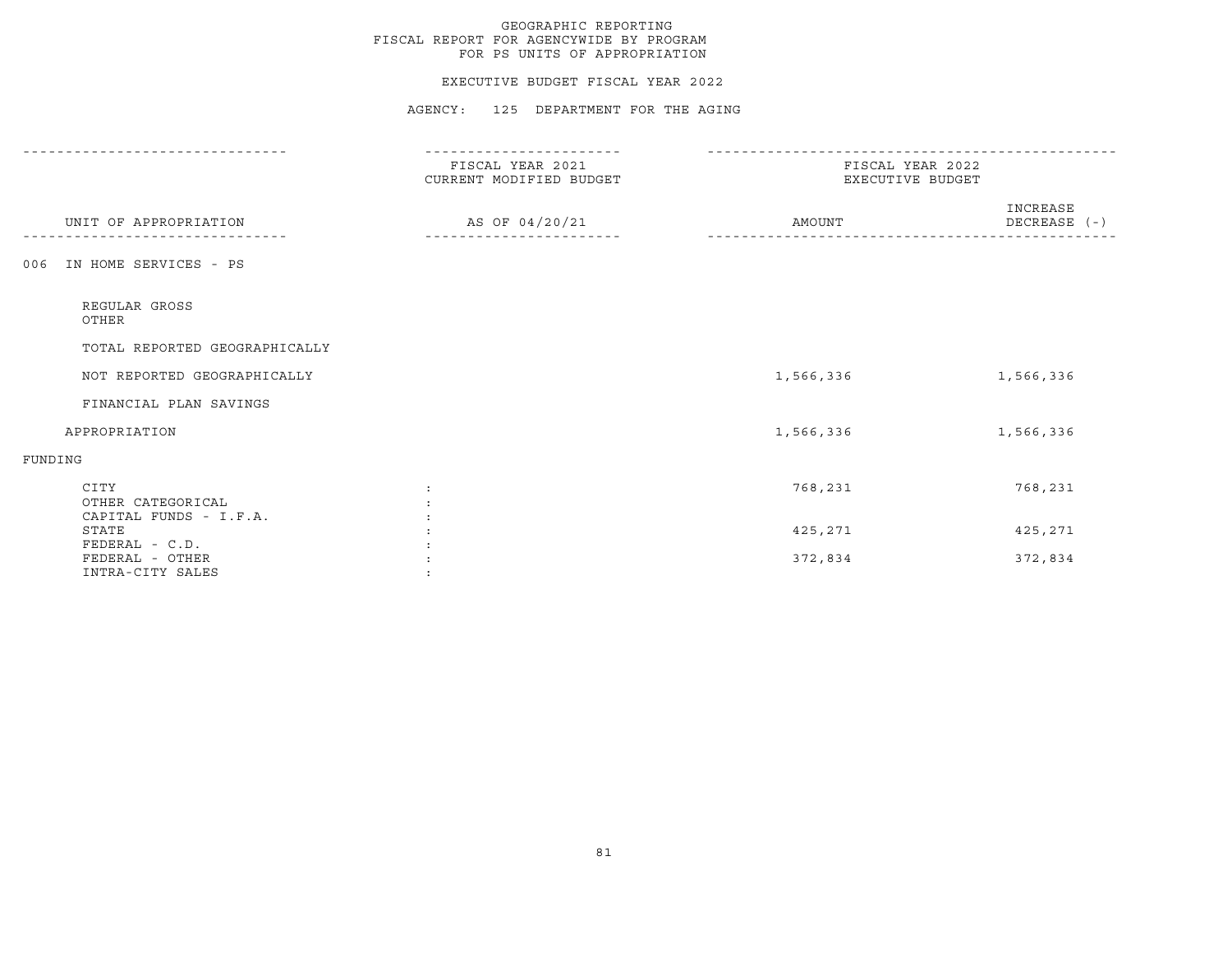#### EXECUTIVE BUDGET FISCAL YEAR 2022

|                                                   | FISCAL YEAR 2021<br>CURRENT MODIFIED BUDGET | FISCAL YEAR 2022<br>EXECUTIVE BUDGET |                          |
|---------------------------------------------------|---------------------------------------------|--------------------------------------|--------------------------|
| UNIT OF APPROPRIATION                             | AS OF 04/20/21                              | AMOUNT                               | INCREASE<br>DECREASE (-) |
| IN HOME SERVICES - PS<br>006                      |                                             |                                      |                          |
| REGULAR GROSS<br>OTHER                            |                                             |                                      |                          |
| TOTAL REPORTED GEOGRAPHICALLY                     |                                             |                                      |                          |
| NOT REPORTED GEOGRAPHICALLY                       |                                             | 1,566,336                            | 1,566,336                |
| FINANCIAL PLAN SAVINGS                            |                                             |                                      |                          |
| APPROPRIATION                                     |                                             | 1,566,336                            | 1,566,336                |
| FUNDING                                           |                                             |                                      |                          |
| CITY<br>OTHER CATEGORICAL                         |                                             | 768,231                              | 768,231                  |
| CAPITAL FUNDS - I.F.A.<br>STATE<br>FEDERAL - C.D. |                                             | 425,271                              | 425,271                  |
| FEDERAL - OTHER<br>INTRA-CITY SALES               |                                             | 372,834                              | 372,834                  |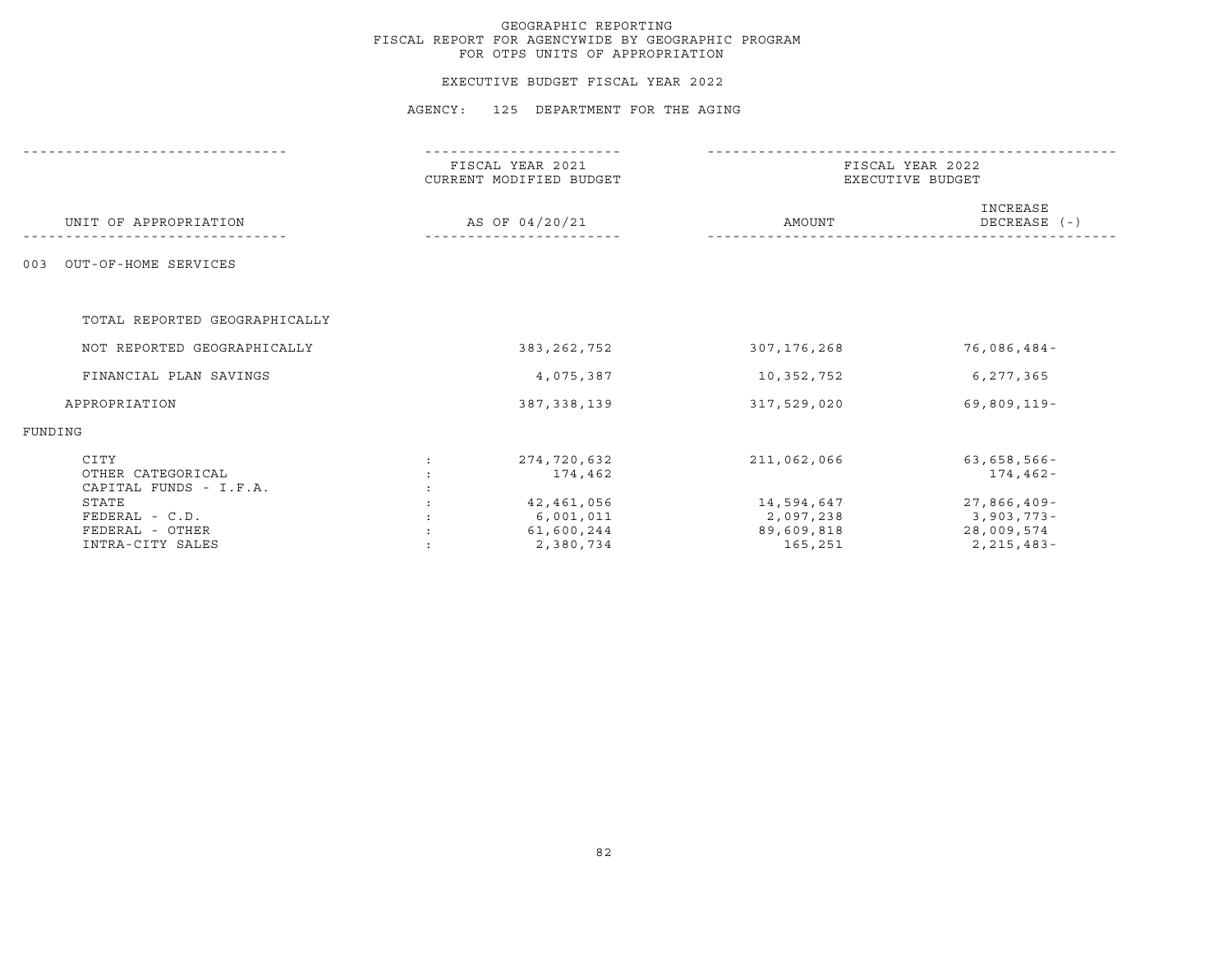#### EXECUTIVE BUDGET FISCAL YEAR 2022

|                                                     | FISCAL YEAR 2021<br>CURRENT MODIFIED BUDGET |           | FISCAL YEAR 2022<br>EXECUTIVE BUDGET  |                                           |
|-----------------------------------------------------|---------------------------------------------|-----------|---------------------------------------|-------------------------------------------|
| UNIT OF APPROPRIATION                               | AS OF 04/20/21                              |           | AMOUNT                                | INCREASE<br>DECREASE $(-)$                |
| OUT-OF-HOME SERVICES<br>003                         |                                             |           |                                       |                                           |
| TOTAL REPORTED GEOGRAPHICALLY                       |                                             |           |                                       |                                           |
| NOT REPORTED GEOGRAPHICALLY                         | 383, 262, 752                               |           | 307,176,268                           | 76,086,484-                               |
| FINANCIAL PLAN SAVINGS                              |                                             | 4,075,387 | 10,352,752                            | 6,277,365                                 |
| APPROPRIATION                                       | 387, 338, 139                               |           | 317,529,020                           | 69,809,119-                               |
| FUNDING                                             |                                             |           |                                       |                                           |
| CITY<br>OTHER CATEGORICAL<br>CAPITAL FUNDS - I.F.A. | 274,720,632<br>$\ddot{\cdot}$               | 174,462   | 211,062,066                           | $63,658,566 -$<br>174,462-                |
| STATE<br>FEDERAL - C.D.<br>FEDERAL - OTHER          | 42,461,056<br>6,001,011<br>61,600,244       |           | 14,594,647<br>2,097,238<br>89,609,818 | 27,866,409-<br>$3,903,773-$<br>28,009,574 |
| INTRA-CITY SALES                                    |                                             | 2,380,734 | 165,251                               | 2,215,483-                                |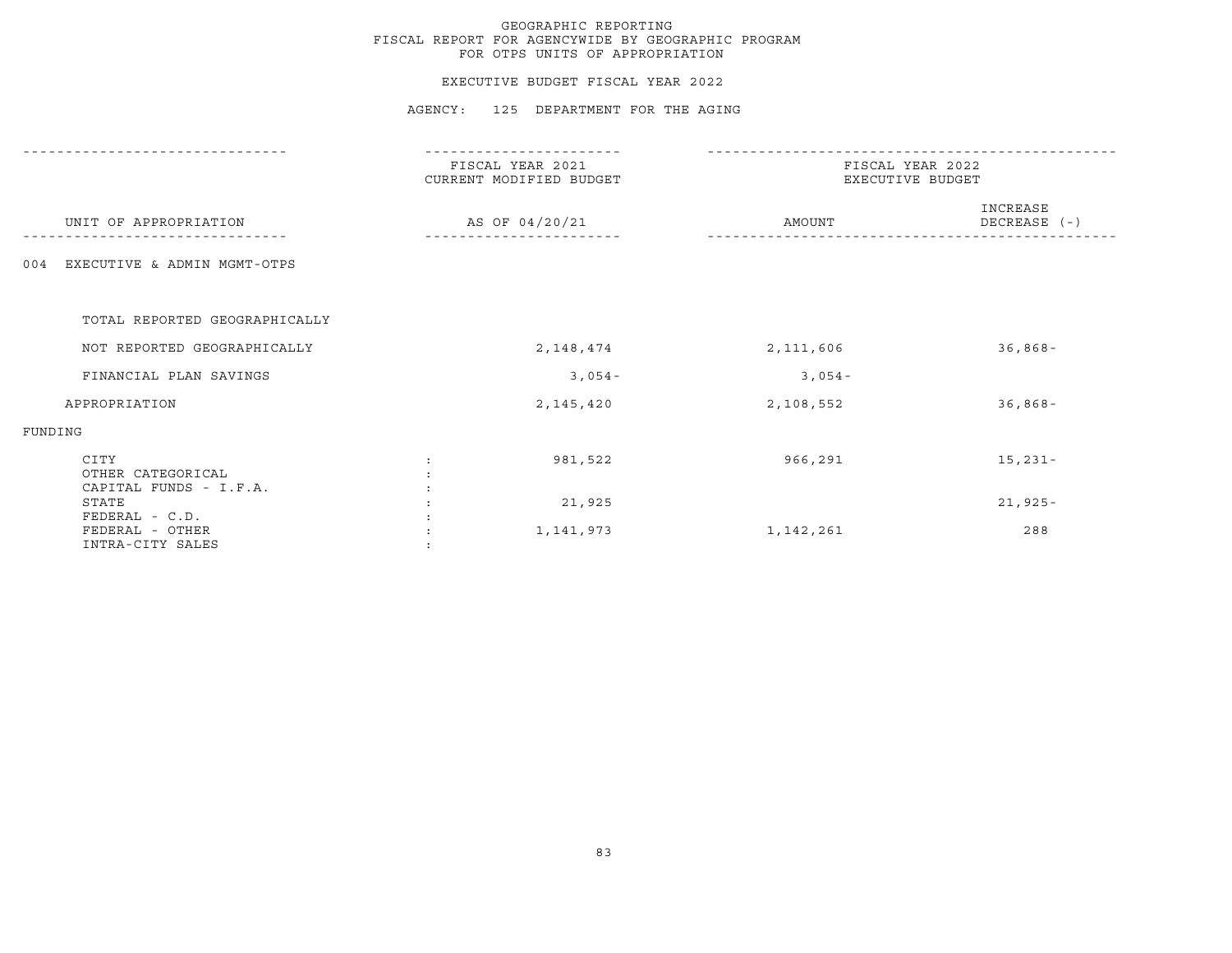#### EXECUTIVE BUDGET FISCAL YEAR 2022

|                                                   | FISCAL YEAR 2021<br>CURRENT MODIFIED BUDGET |           | FISCAL YEAR 2022<br>EXECUTIVE BUDGET |  |  |
|---------------------------------------------------|---------------------------------------------|-----------|--------------------------------------|--|--|
| UNIT OF APPROPRIATION                             | AS OF 04/20/21                              | AMOUNT    | INCREASE<br>DECREASE (-)             |  |  |
| EXECUTIVE & ADMIN MGMT-OTPS<br>004                |                                             |           |                                      |  |  |
| TOTAL REPORTED GEOGRAPHICALLY                     |                                             |           |                                      |  |  |
| NOT REPORTED GEOGRAPHICALLY                       | 2,148,474                                   | 2,111,606 | $36,868-$                            |  |  |
| FINANCIAL PLAN SAVINGS                            | $3,054-$                                    | $3,054-$  |                                      |  |  |
| APPROPRIATION                                     | 2,145,420                                   | 2,108,552 | $36,868-$                            |  |  |
| FUNDING                                           |                                             |           |                                      |  |  |
| CITY<br>OTHER CATEGORICAL                         | 981,522                                     | 966,291   | $15,231-$                            |  |  |
| CAPITAL FUNDS - I.F.A.<br>STATE<br>FEDERAL - C.D. | 21,925                                      |           | $21,925 -$                           |  |  |
| FEDERAL - OTHER<br>INTRA-CITY SALES               | 1,141,973                                   | 1,142,261 | 288                                  |  |  |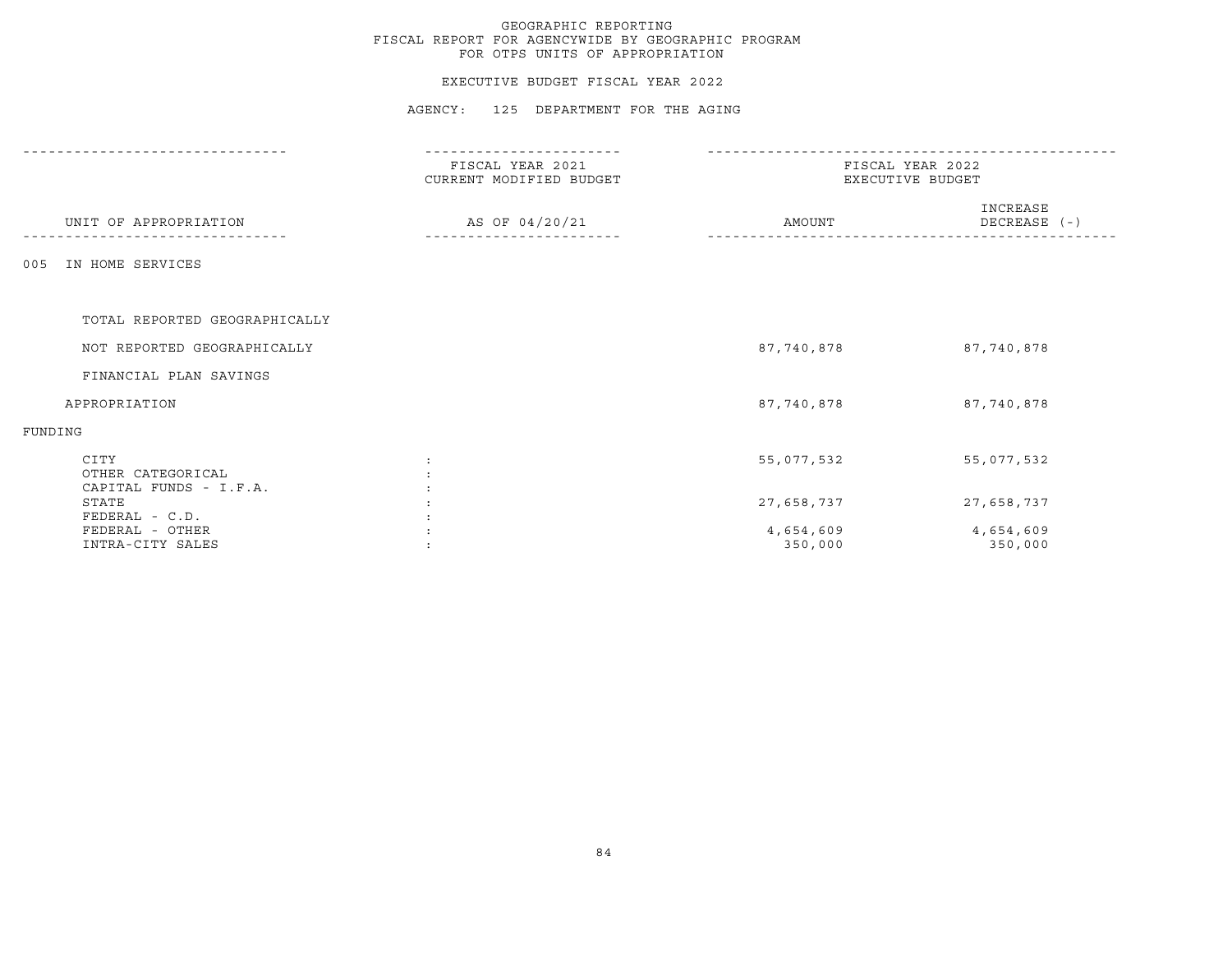### EXECUTIVE BUDGET FISCAL YEAR 2022

|                                                     | FISCAL YEAR 2021<br>CURRENT MODIFIED BUDGET |                      | FISCAL YEAR 2022<br>EXECUTIVE BUDGET |  |
|-----------------------------------------------------|---------------------------------------------|----------------------|--------------------------------------|--|
| UNIT OF APPROPRIATION                               | AS OF 04/20/21                              | AMOUNT               | INCREASE<br>DECREASE (-)             |  |
| IN HOME SERVICES<br>005                             |                                             |                      |                                      |  |
| TOTAL REPORTED GEOGRAPHICALLY                       |                                             |                      |                                      |  |
| NOT REPORTED GEOGRAPHICALLY                         |                                             | 87,740,878           | 87,740,878                           |  |
| FINANCIAL PLAN SAVINGS                              |                                             |                      |                                      |  |
| APPROPRIATION                                       |                                             | 87,740,878           | 87,740,878                           |  |
| FUNDING                                             |                                             |                      |                                      |  |
| CITY<br>OTHER CATEGORICAL<br>CAPITAL FUNDS - I.F.A. |                                             | 55,077,532           | 55,077,532                           |  |
| STATE<br>FEDERAL - C.D.                             |                                             | 27,658,737           | 27,658,737                           |  |
| FEDERAL - OTHER<br>INTRA-CITY SALES                 |                                             | 4,654,609<br>350,000 | 4,654,609<br>350,000                 |  |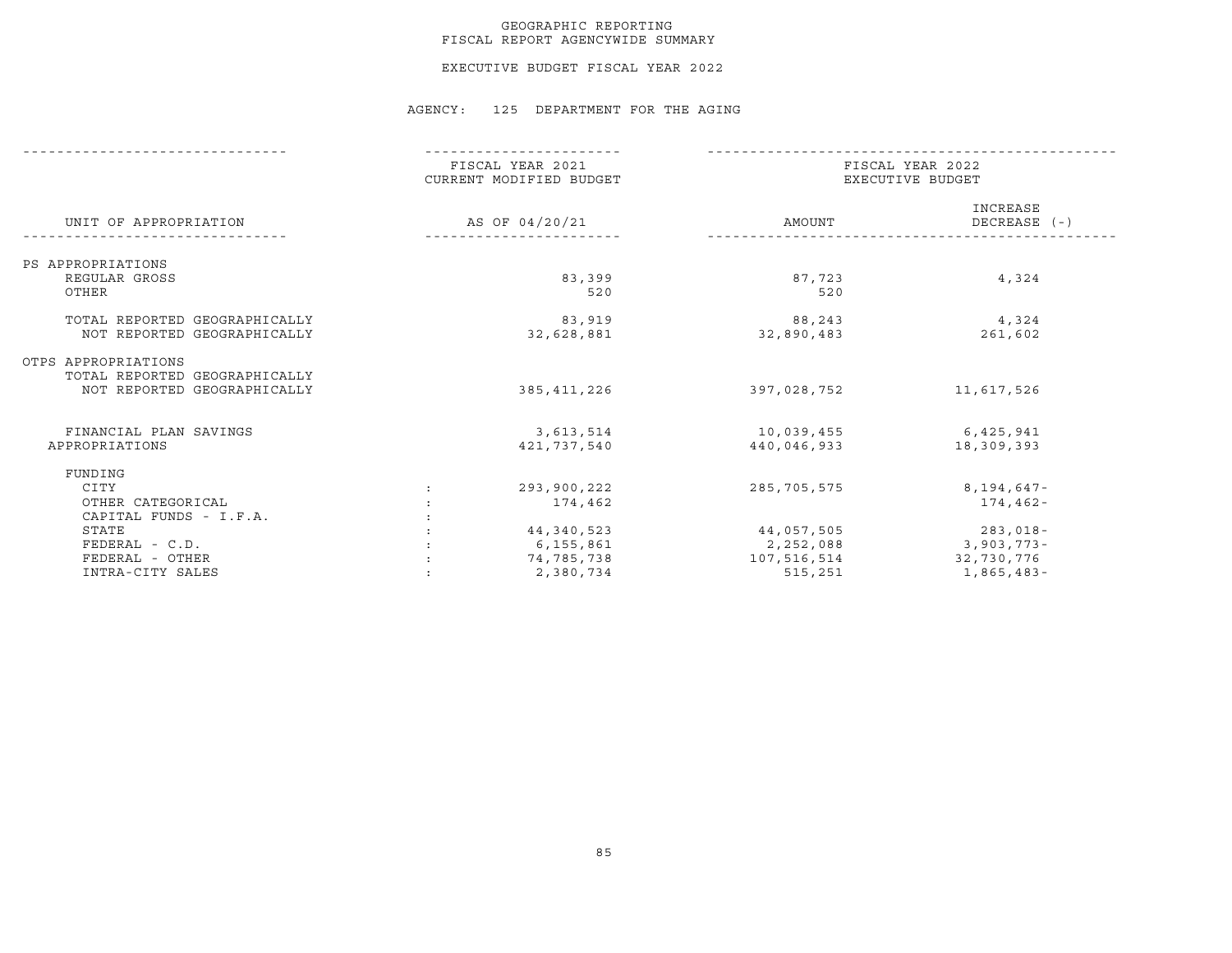### GEOGRAPHIC REPORTING FISCAL REPORT AGENCYWIDE SUMMARY

EXECUTIVE BUDGET FISCAL YEAR 2022

|                               | FISCAL YEAR 2021<br>CURRENT MODIFIED BUDGET |             | FISCAL YEAR 2022<br>EXECUTIVE BUDGET |  |  |
|-------------------------------|---------------------------------------------|-------------|--------------------------------------|--|--|
| UNIT OF APPROPRIATION         | AS OF 04/20/21                              | AMOUNT      | INCREASE<br>DECREASE (-)             |  |  |
| PS APPROPRIATIONS             |                                             |             |                                      |  |  |
| REGULAR GROSS                 | 83,399                                      | 87,723      | 4,324                                |  |  |
| OTHER                         | 520                                         | 520         |                                      |  |  |
| TOTAL REPORTED GEOGRAPHICALLY | 83,919                                      | 88,243      | 4,324                                |  |  |
| NOT REPORTED GEOGRAPHICALLY   | 32,628,881                                  | 32,890,483  | 261,602                              |  |  |
| OTPS APPROPRIATIONS           |                                             |             |                                      |  |  |
| TOTAL REPORTED GEOGRAPHICALLY |                                             |             |                                      |  |  |
| NOT REPORTED GEOGRAPHICALLY   | 385,411,226                                 | 397,028,752 | 11,617,526                           |  |  |
| FINANCIAL PLAN SAVINGS        | 3,613,514                                   | 10,039,455  | 6,425,941                            |  |  |
| APPROPRIATIONS                | 421,737,540                                 | 440,046,933 | 18,309,393                           |  |  |
| FUNDING                       |                                             |             |                                      |  |  |
| CITY                          | 293,900,222                                 | 285,705,575 | 8,194,647-                           |  |  |
| OTHER CATEGORICAL             | 174,462                                     |             | 174,462-                             |  |  |
| CAPITAL FUNDS - I.F.A.        |                                             |             |                                      |  |  |
| STATE                         | 44,340,523                                  | 44,057,505  | $283,018-$                           |  |  |
| FEDERAL - C.D.                | 6,155,861                                   | 2,252,088   | $3,903,773-$                         |  |  |
| FEDERAL - OTHER               | 74,785,738                                  | 107,516,514 | 32,730,776                           |  |  |
| INTRA-CITY SALES              | 2,380,734                                   | 515,251     | 1,865,483-                           |  |  |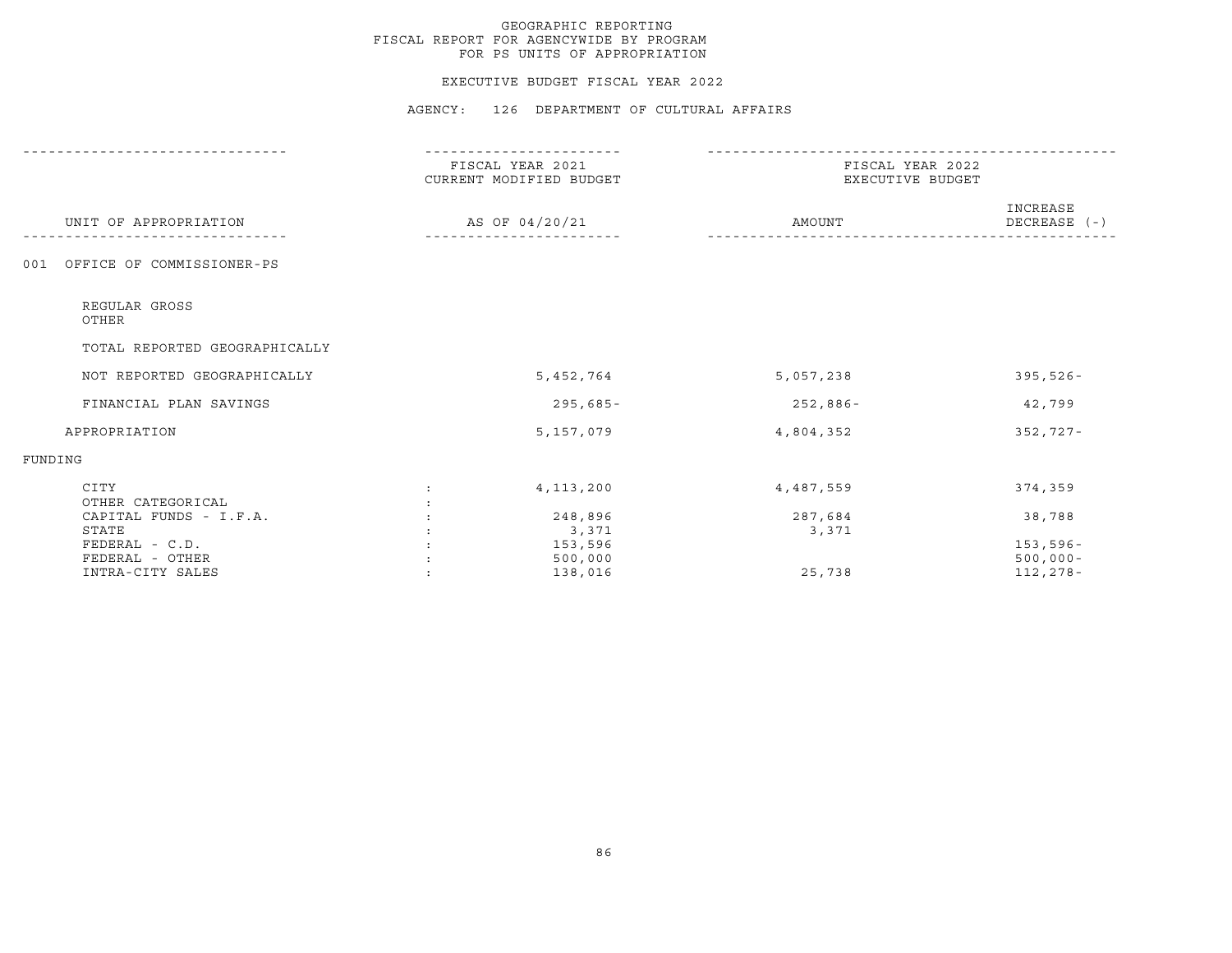#### EXECUTIVE BUDGET FISCAL YEAR 2022

|                                  | FISCAL YEAR 2021<br>CURRENT MODIFIED BUDGET |                | FISCAL YEAR 2022<br>EXECUTIVE BUDGET |                          |
|----------------------------------|---------------------------------------------|----------------|--------------------------------------|--------------------------|
| UNIT OF APPROPRIATION            |                                             | AS OF 04/20/21 | AMOUNT                               | INCREASE<br>DECREASE (-) |
| OFFICE OF COMMISSIONER-PS<br>001 |                                             |                |                                      |                          |
| REGULAR GROSS<br>OTHER           |                                             |                |                                      |                          |
| TOTAL REPORTED GEOGRAPHICALLY    |                                             |                |                                      |                          |
| NOT REPORTED GEOGRAPHICALLY      |                                             | 5,452,764      | 5,057,238                            | $395,526 -$              |
| FINANCIAL PLAN SAVINGS           |                                             | $295,685-$     | $252,886-$                           | 42,799                   |
| APPROPRIATION                    |                                             | 5,157,079      | 4,804,352                            | $352,727-$               |
| FUNDING                          |                                             |                |                                      |                          |
| CITY<br>OTHER CATEGORICAL        | $\mathbf{r}$                                | 4, 113, 200    | 4,487,559                            | 374,359                  |
| CAPITAL FUNDS - I.F.A.           |                                             | 248,896        | 287,684                              | 38,788                   |
| STATE                            |                                             | 3,371          | 3,371                                |                          |
| FEDERAL - C.D.                   |                                             | 153,596        |                                      | $153, 596 -$             |
| FEDERAL - OTHER                  |                                             | 500,000        |                                      | $500,000 -$              |
| INTRA-CITY SALES                 |                                             | 138,016        | 25,738                               | 112,278-                 |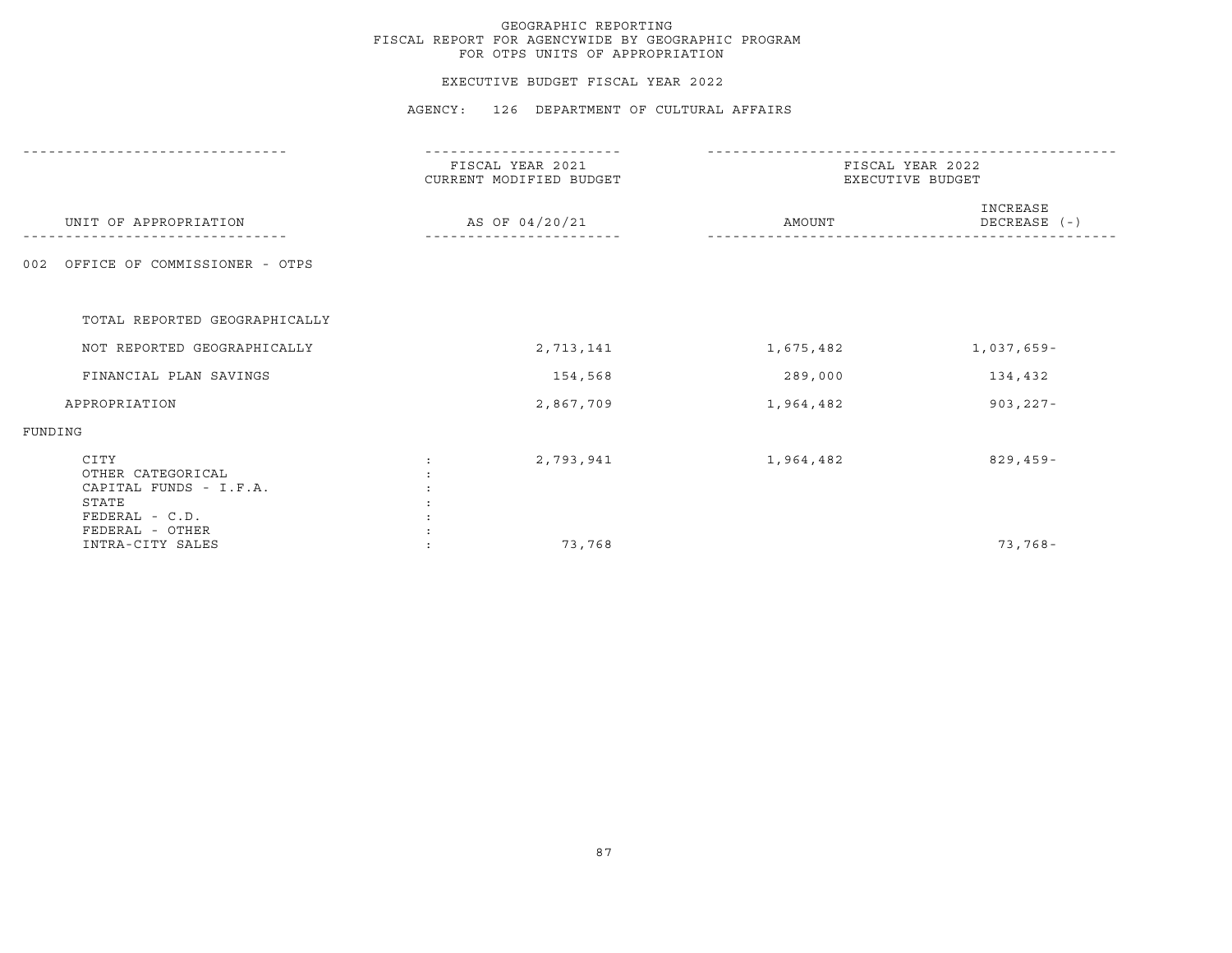#### EXECUTIVE BUDGET FISCAL YEAR 2022

|                                                                                | FISCAL YEAR 2021<br>CURRENT MODIFIED BUDGET | FISCAL YEAR 2022<br>EXECUTIVE BUDGET |                          |
|--------------------------------------------------------------------------------|---------------------------------------------|--------------------------------------|--------------------------|
| UNIT OF APPROPRIATION                                                          | AS OF 04/20/21                              | AMOUNT                               | INCREASE<br>DECREASE (-) |
| OFFICE OF COMMISSIONER - OTPS<br>002                                           |                                             |                                      |                          |
| TOTAL REPORTED GEOGRAPHICALLY                                                  |                                             |                                      |                          |
| NOT REPORTED GEOGRAPHICALLY                                                    | 2,713,141                                   | 1,675,482                            | $1,037,659-$             |
| FINANCIAL PLAN SAVINGS                                                         | 154,568                                     | 289,000                              | 134,432                  |
| APPROPRIATION                                                                  | 2,867,709                                   | 1,964,482                            | $903, 227 -$             |
| FUNDING                                                                        |                                             |                                      |                          |
| CITY<br>OTHER CATEGORICAL<br>CAPITAL FUNDS - I.F.A.<br>STATE<br>FEDERAL - C.D. | 2,793,941                                   | 1,964,482                            | $829, 459 -$             |
| FEDERAL - OTHER<br>INTRA-CITY SALES                                            | 73,768                                      |                                      | $73,768-$                |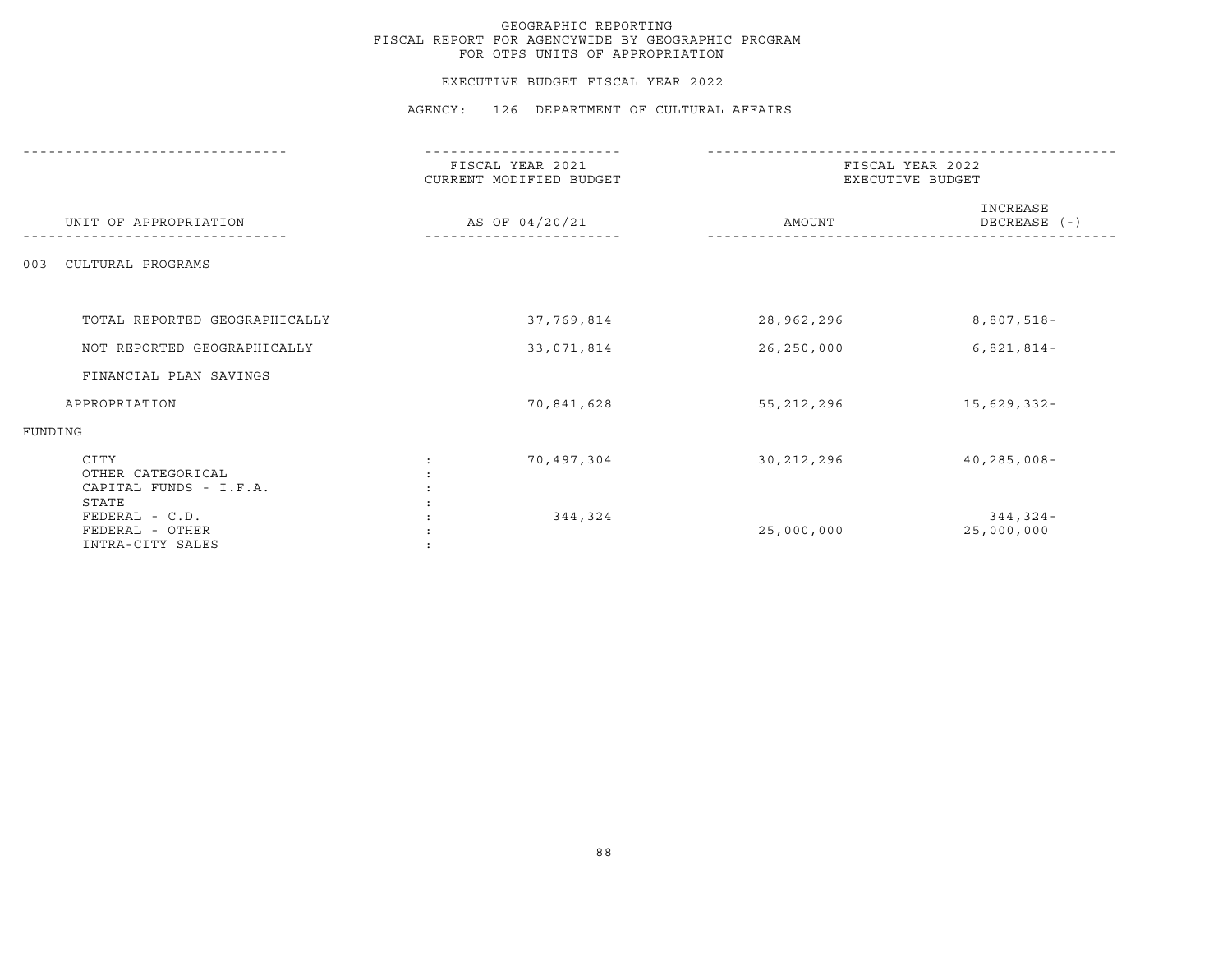#### EXECUTIVE BUDGET FISCAL YEAR 2022

|                                                                | ------------                                |                                      |                            |  |
|----------------------------------------------------------------|---------------------------------------------|--------------------------------------|----------------------------|--|
|                                                                | FISCAL YEAR 2021<br>CURRENT MODIFIED BUDGET | FISCAL YEAR 2022<br>EXECUTIVE BUDGET |                            |  |
| UNIT OF APPROPRIATION                                          | AS OF 04/20/21                              | AMOUNT                               | INCREASE<br>DECREASE (-)   |  |
| CULTURAL PROGRAMS<br>003                                       |                                             |                                      |                            |  |
| TOTAL REPORTED GEOGRAPHICALLY                                  | 37,769,814                                  | 28,962,296                           | 8,807,518-                 |  |
| NOT REPORTED GEOGRAPHICALLY                                    | 33,071,814                                  | 26,250,000                           | $6,821,814-$               |  |
| FINANCIAL PLAN SAVINGS                                         |                                             |                                      |                            |  |
| APPROPRIATION                                                  | 70,841,628                                  | 55,212,296                           | 15,629,332-                |  |
| FUNDING                                                        |                                             |                                      |                            |  |
| CITY<br>OTHER CATEGORICAL<br>CAPITAL FUNDS - I.F.A.            | 70,497,304<br>$\ddot{\phantom{0}}$          | 30,212,296                           | $40, 285, 008 -$           |  |
| STATE<br>FEDERAL - C.D.<br>FEDERAL - OTHER<br>INTRA-CITY SALES | 344,324                                     | 25,000,000                           | $344, 324 -$<br>25,000,000 |  |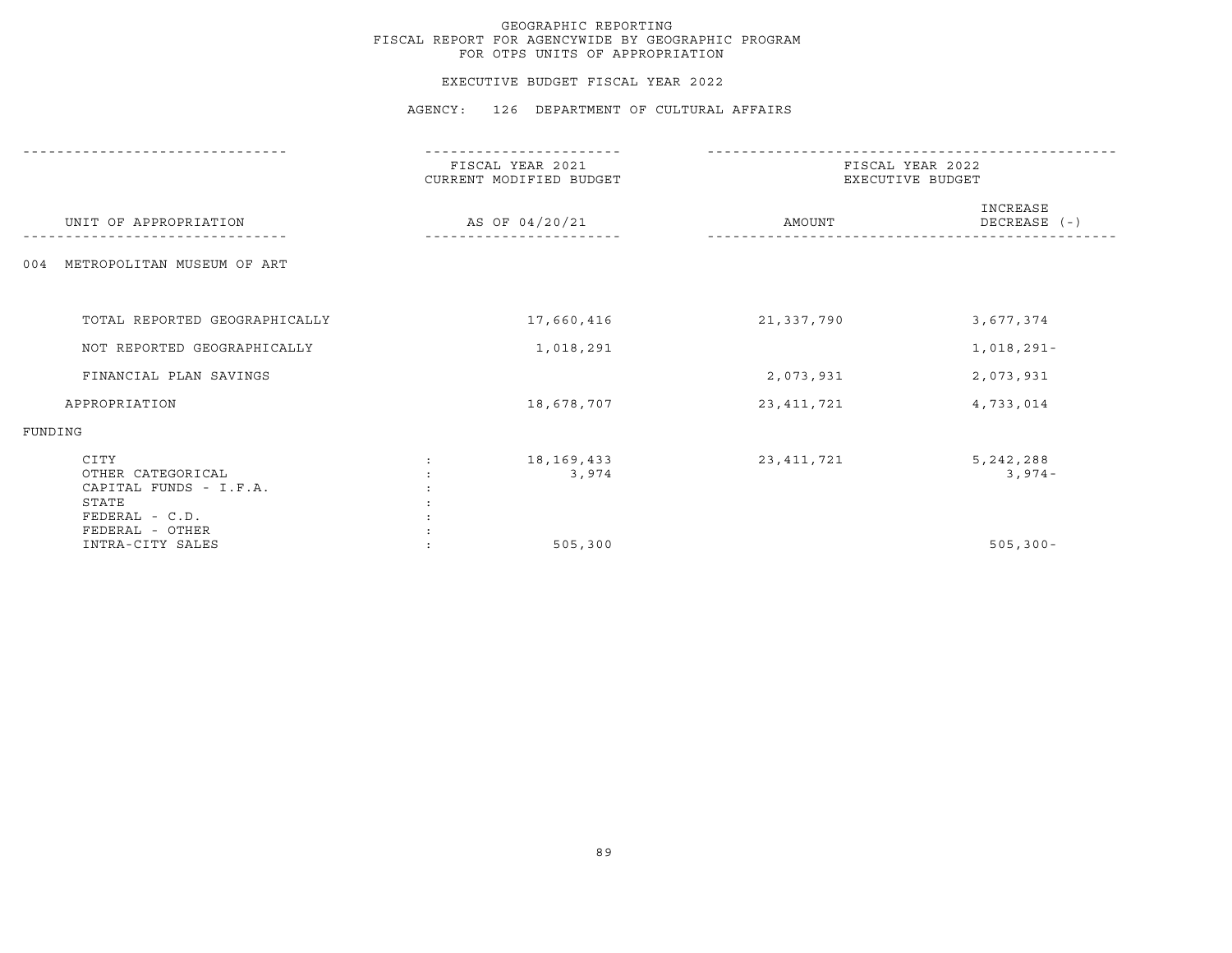#### EXECUTIVE BUDGET FISCAL YEAR 2022

|                                                                                | FISCAL YEAR 2021<br>CURRENT MODIFIED BUDGET | FISCAL YEAR 2022<br>EXECUTIVE BUDGET |                          |
|--------------------------------------------------------------------------------|---------------------------------------------|--------------------------------------|--------------------------|
| UNIT OF APPROPRIATION                                                          | AS OF 04/20/21                              | AMOUNT                               | INCREASE<br>DECREASE (-) |
| METROPOLITAN MUSEUM OF ART<br>004                                              |                                             |                                      |                          |
| TOTAL REPORTED GEOGRAPHICALLY                                                  | 17,660,416                                  | 21,337,790                           | 3,677,374                |
| NOT REPORTED GEOGRAPHICALLY                                                    | 1,018,291                                   |                                      | $1,018,291-$             |
| FINANCIAL PLAN SAVINGS                                                         |                                             | 2,073,931                            | 2,073,931                |
| APPROPRIATION                                                                  | 18,678,707                                  | 23, 411, 721                         | 4,733,014                |
| FUNDING                                                                        |                                             |                                      |                          |
| CITY<br>OTHER CATEGORICAL<br>CAPITAL FUNDS - I.F.A.<br>STATE<br>FEDERAL - C.D. | 18, 169, 433<br>3,974                       | 23, 411, 721                         | 5, 242, 288<br>$3,974-$  |
| FEDERAL - OTHER<br>INTRA-CITY SALES                                            | 505,300                                     |                                      | $505, 300 -$             |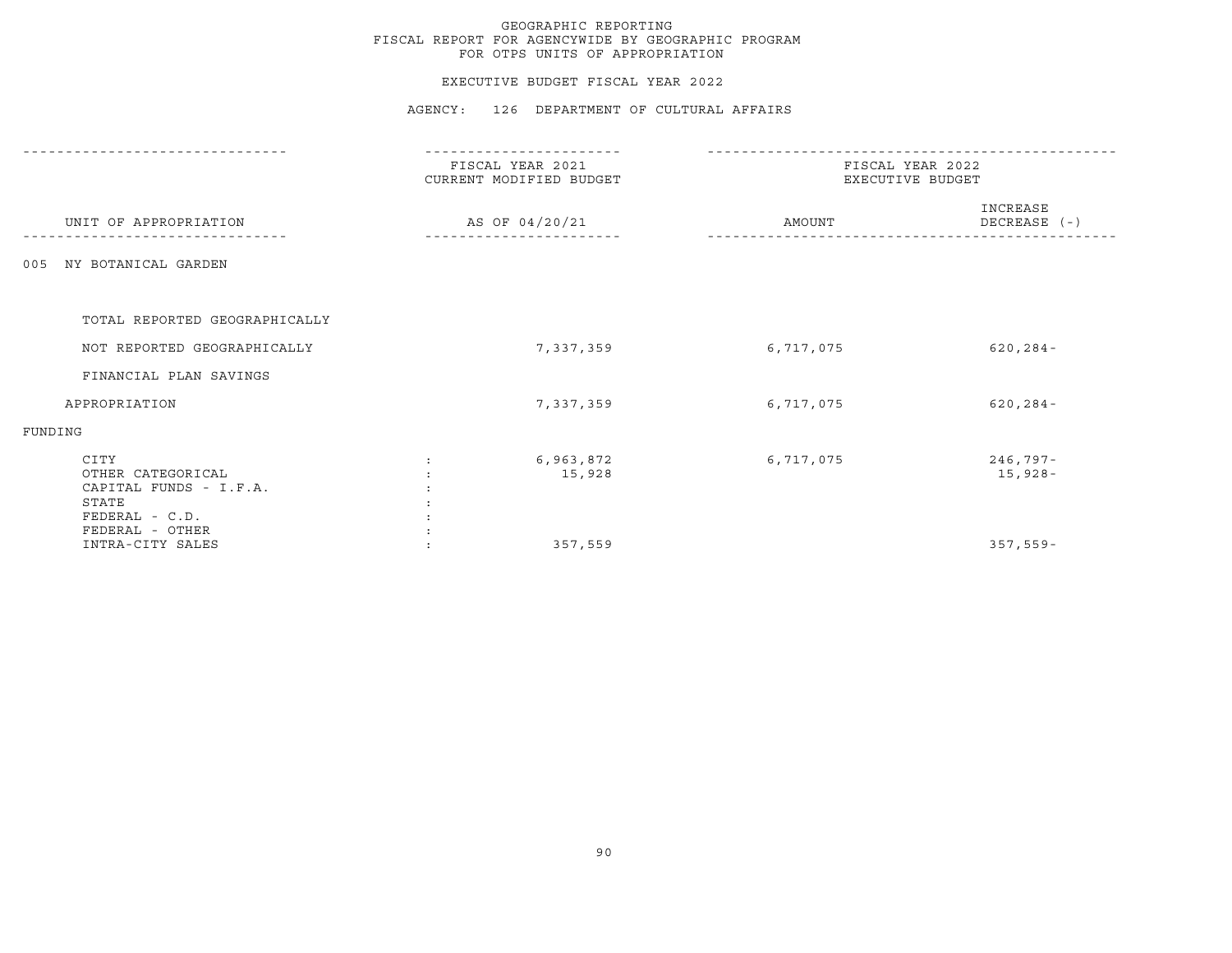#### EXECUTIVE BUDGET FISCAL YEAR 2022

|                                                                                                   | FISCAL YEAR 2021<br>CURRENT MODIFIED BUDGET<br>AS OF 04/20/21 |                     | FISCAL YEAR 2022<br>EXECUTIVE BUDGET |                          |  |
|---------------------------------------------------------------------------------------------------|---------------------------------------------------------------|---------------------|--------------------------------------|--------------------------|--|
| UNIT OF APPROPRIATION                                                                             |                                                               |                     | AMOUNT                               | INCREASE<br>DECREASE (-) |  |
| NY BOTANICAL GARDEN<br>005                                                                        |                                                               |                     |                                      |                          |  |
| TOTAL REPORTED GEOGRAPHICALLY                                                                     |                                                               |                     |                                      |                          |  |
| NOT REPORTED GEOGRAPHICALLY                                                                       |                                                               | 7,337,359           | 6,717,075                            | $620, 284 -$             |  |
| FINANCIAL PLAN SAVINGS                                                                            |                                                               |                     |                                      |                          |  |
| APPROPRIATION                                                                                     |                                                               | 7,337,359           | 6,717,075                            | $620, 284 -$             |  |
| FUNDING                                                                                           |                                                               |                     |                                      |                          |  |
| CITY<br>OTHER CATEGORICAL<br>CAPITAL FUNDS - I.F.A.<br>STATE<br>FEDERAL - C.D.<br>FEDERAL - OTHER |                                                               | 6,963,872<br>15,928 | 6,717,075                            | $246,797-$<br>$15,928-$  |  |
| INTRA-CITY SALES                                                                                  |                                                               | 357,559             |                                      | $357,559-$               |  |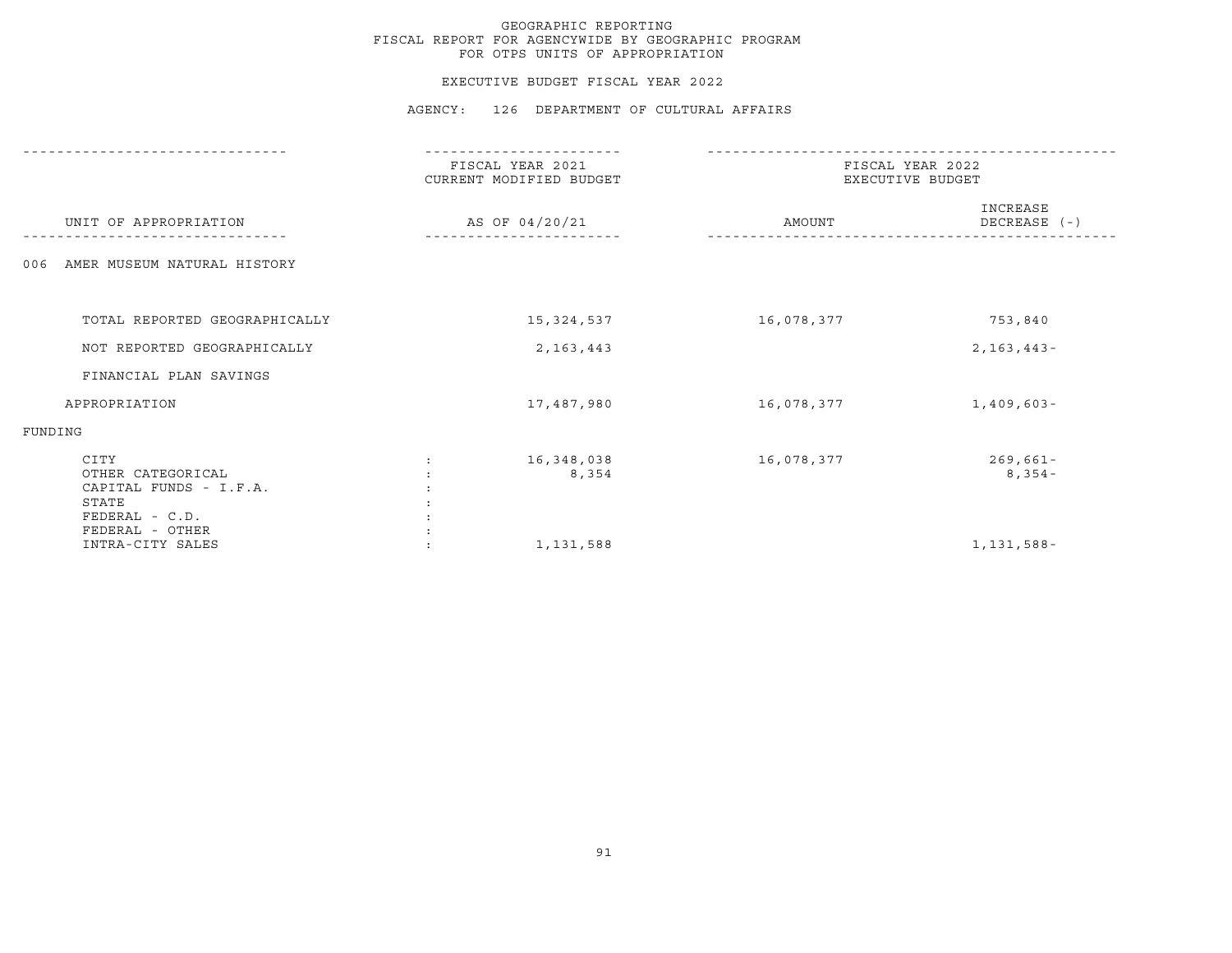#### EXECUTIVE BUDGET FISCAL YEAR 2022

|                                                                                | FISCAL YEAR 2021<br>CURRENT MODIFIED BUDGET | FISCAL YEAR 2022<br>EXECUTIVE BUDGET |                          |
|--------------------------------------------------------------------------------|---------------------------------------------|--------------------------------------|--------------------------|
| UNIT OF APPROPRIATION                                                          | AS OF 04/20/21                              | AMOUNT                               | INCREASE<br>DECREASE (-) |
| AMER MUSEUM NATURAL HISTORY<br>006                                             |                                             |                                      |                          |
| TOTAL REPORTED GEOGRAPHICALLY                                                  | 15,324,537                                  | 16,078,377                           | 753,840                  |
|                                                                                |                                             |                                      |                          |
| NOT REPORTED GEOGRAPHICALLY                                                    | 2, 163, 443                                 |                                      | $2, 163, 443 -$          |
| FINANCIAL PLAN SAVINGS                                                         |                                             |                                      |                          |
| APPROPRIATION                                                                  | 17,487,980                                  | 16,078,377                           | $1,409,603-$             |
| FUNDING                                                                        |                                             |                                      |                          |
| CITY<br>OTHER CATEGORICAL<br>CAPITAL FUNDS - I.F.A.<br>STATE<br>FEDERAL - C.D. | 16,348,038<br>8,354                         | 16,078,377                           | $269,661 -$<br>$8,354-$  |
| FEDERAL - OTHER<br>INTRA-CITY SALES                                            | 1,131,588                                   |                                      | 1, 131, 588-             |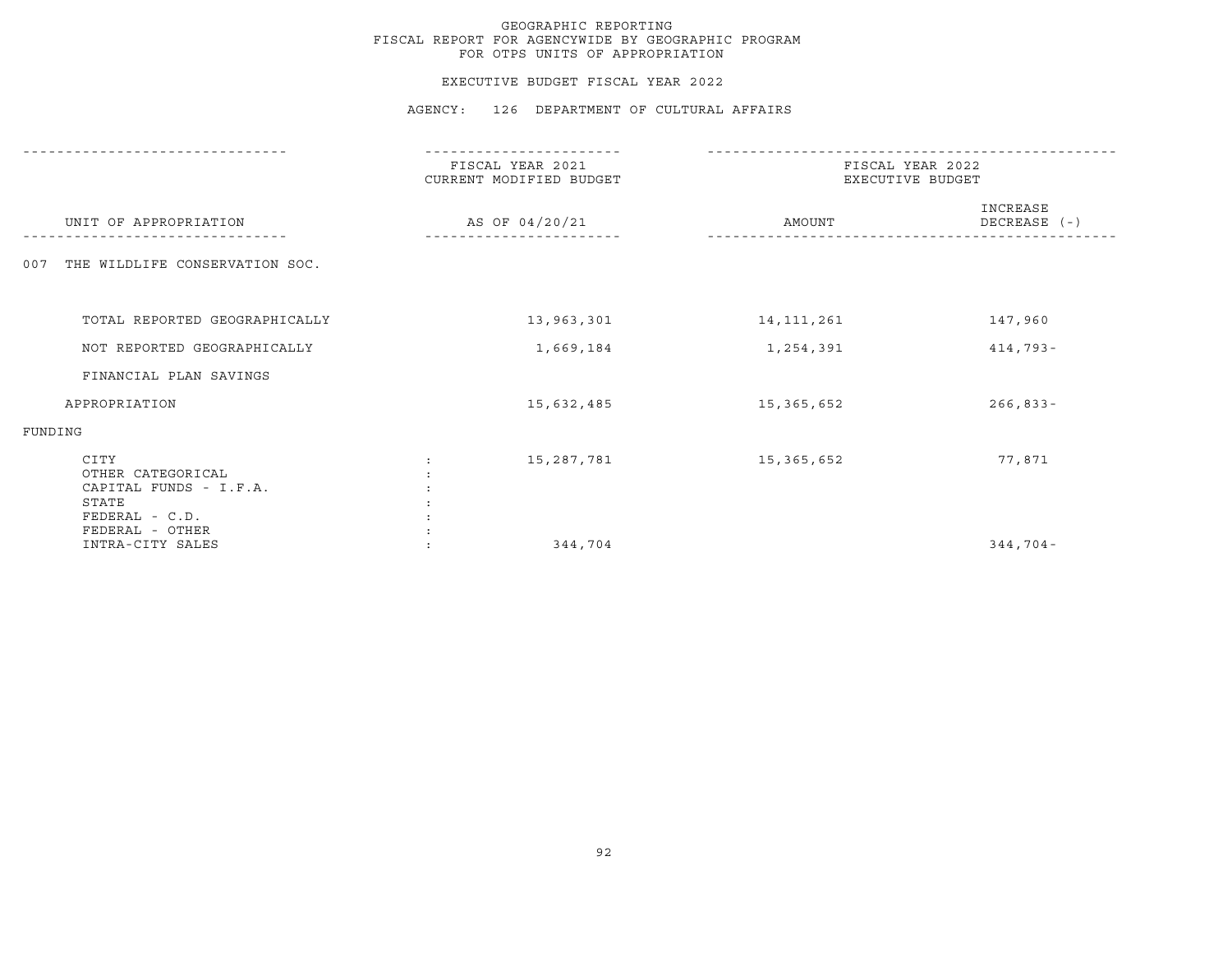#### EXECUTIVE BUDGET FISCAL YEAR 2022

|                                                                                                   | FISCAL YEAR 2021<br>CURRENT MODIFIED BUDGET | FISCAL YEAR 2022<br>EXECUTIVE BUDGET |                          |
|---------------------------------------------------------------------------------------------------|---------------------------------------------|--------------------------------------|--------------------------|
| UNIT OF APPROPRIATION                                                                             | AS OF 04/20/21                              | AMOUNT                               | INCREASE<br>DECREASE (-) |
| THE WILDLIFE CONSERVATION SOC.<br>007                                                             |                                             |                                      |                          |
| TOTAL REPORTED GEOGRAPHICALLY                                                                     | 13,963,301                                  | 14, 111, 261                         | 147,960                  |
| NOT REPORTED GEOGRAPHICALLY                                                                       | 1,669,184                                   | 1,254,391                            | $414,793-$               |
| FINANCIAL PLAN SAVINGS                                                                            |                                             |                                      |                          |
| APPROPRIATION                                                                                     | 15,632,485                                  | 15,365,652                           | $266, 833 -$             |
| FUNDING                                                                                           |                                             |                                      |                          |
| CITY<br>OTHER CATEGORICAL<br>CAPITAL FUNDS - I.F.A.<br>STATE<br>FEDERAL - C.D.<br>FEDERAL - OTHER | 15,287,781                                  | 15,365,652                           | 77,871                   |
| INTRA-CITY SALES                                                                                  | 344,704                                     |                                      | $344,704-$               |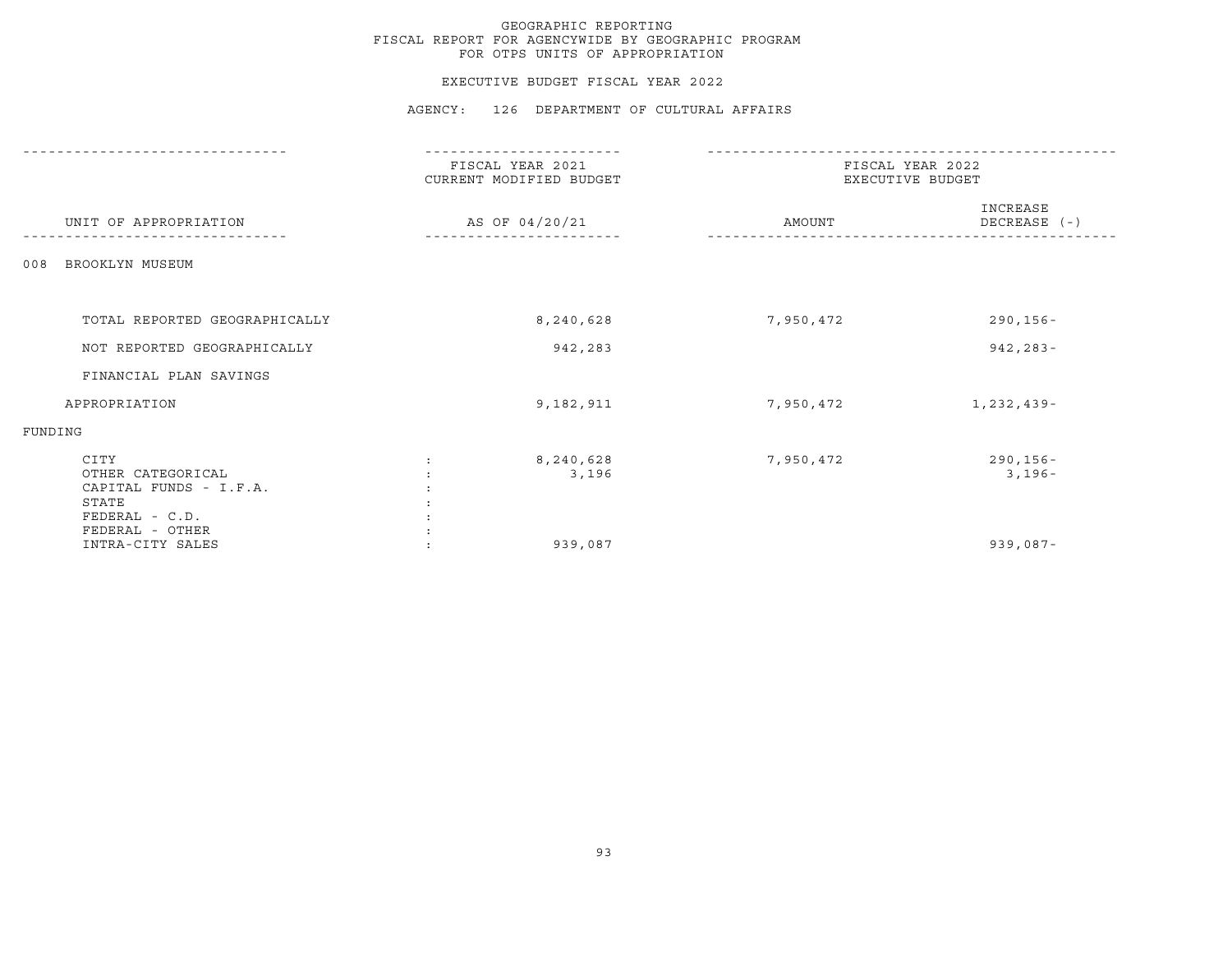#### EXECUTIVE BUDGET FISCAL YEAR 2022

|                                                                                  | --------------                              |                                      |                          |
|----------------------------------------------------------------------------------|---------------------------------------------|--------------------------------------|--------------------------|
|                                                                                  | FISCAL YEAR 2021<br>CURRENT MODIFIED BUDGET | FISCAL YEAR 2022<br>EXECUTIVE BUDGET |                          |
| UNIT OF APPROPRIATION                                                            | AS OF 04/20/21                              | AMOUNT                               | INCREASE<br>DECREASE (-) |
| BROOKLYN MUSEUM<br>008                                                           |                                             |                                      |                          |
| TOTAL REPORTED GEOGRAPHICALLY                                                    | 8,240,628                                   | 7,950,472                            | $290, 156 -$             |
| NOT REPORTED GEOGRAPHICALLY                                                      | 942,283                                     |                                      | $942, 283 -$             |
| FINANCIAL PLAN SAVINGS                                                           |                                             |                                      |                          |
| APPROPRIATION                                                                    | 9,182,911                                   | 7,950,472                            | 1,232,439-               |
| FUNDING                                                                          |                                             |                                      |                          |
| CITY<br>OTHER CATEGORICAL<br>CAPITAL FUNDS - I.F.A.<br>STATE<br>$FEDERAL - C.D.$ | 8,240,628<br>3,196                          | 7,950,472                            | $290, 156 -$<br>$3,196-$ |
| FEDERAL - OTHER<br>INTRA-CITY SALES                                              | 939,087                                     |                                      | $939,087 -$              |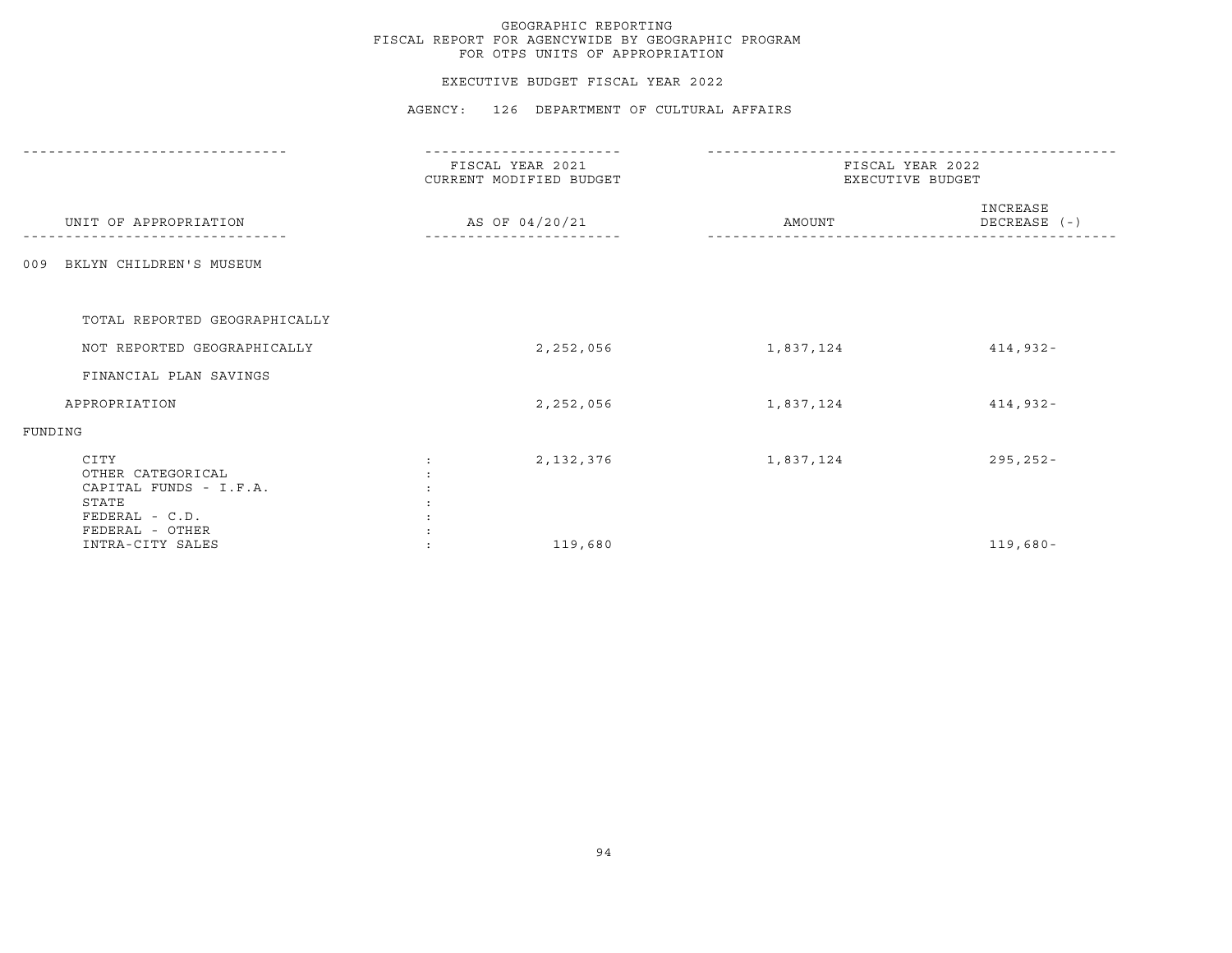#### EXECUTIVE BUDGET FISCAL YEAR 2022

|                                                                                                   | FISCAL YEAR 2021<br>CURRENT MODIFIED BUDGET | FISCAL YEAR 2022<br>EXECUTIVE BUDGET |                          |
|---------------------------------------------------------------------------------------------------|---------------------------------------------|--------------------------------------|--------------------------|
| UNIT OF APPROPRIATION                                                                             | AS OF 04/20/21                              | AMOUNT                               | INCREASE<br>DECREASE (-) |
| BKLYN CHILDREN'S MUSEUM<br>009                                                                    |                                             |                                      |                          |
| TOTAL REPORTED GEOGRAPHICALLY                                                                     |                                             |                                      |                          |
| NOT REPORTED GEOGRAPHICALLY                                                                       | 2,252,056                                   | 1,837,124                            | $414,932 -$              |
| FINANCIAL PLAN SAVINGS                                                                            |                                             |                                      |                          |
| APPROPRIATION                                                                                     | 2,252,056                                   | 1,837,124                            | $414,932 -$              |
| FUNDING                                                                                           |                                             |                                      |                          |
| CITY<br>OTHER CATEGORICAL<br>CAPITAL FUNDS - I.F.A.<br>STATE<br>FEDERAL - C.D.<br>FEDERAL - OTHER | 2, 132, 376                                 | 1,837,124                            | $295, 252 -$             |
| INTRA-CITY SALES                                                                                  | 119,680                                     |                                      | $119,680 -$              |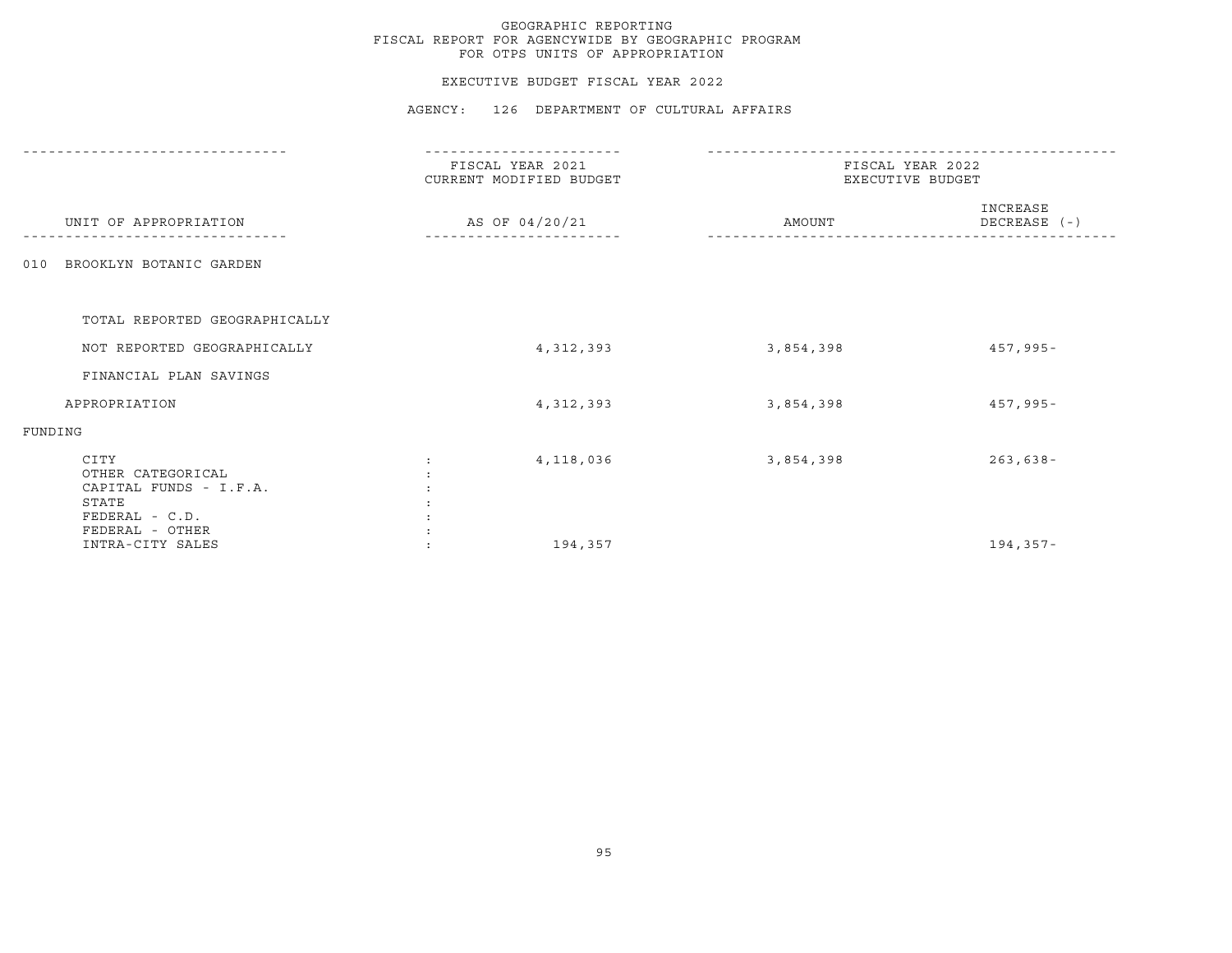#### EXECUTIVE BUDGET FISCAL YEAR 2022

|                                                                                                   | FISCAL YEAR 2021<br>CURRENT MODIFIED BUDGET | FISCAL YEAR 2022<br>EXECUTIVE BUDGET |                          |
|---------------------------------------------------------------------------------------------------|---------------------------------------------|--------------------------------------|--------------------------|
| UNIT OF APPROPRIATION                                                                             | AS OF 04/20/21                              | AMOUNT                               | INCREASE<br>DECREASE (-) |
| BROOKLYN BOTANIC GARDEN<br>010                                                                    |                                             |                                      |                          |
| TOTAL REPORTED GEOGRAPHICALLY                                                                     |                                             |                                      |                          |
| NOT REPORTED GEOGRAPHICALLY                                                                       | 4, 312, 393                                 | 3,854,398                            | $457,995 -$              |
| FINANCIAL PLAN SAVINGS                                                                            |                                             |                                      |                          |
| APPROPRIATION                                                                                     | 4, 312, 393                                 | 3,854,398                            | $457,995 -$              |
| FUNDING                                                                                           |                                             |                                      |                          |
| CITY<br>OTHER CATEGORICAL<br>CAPITAL FUNDS - I.F.A.<br>STATE<br>FEDERAL - C.D.<br>FEDERAL - OTHER | 4,118,036                                   | 3,854,398                            | $263,638-$               |
| INTRA-CITY SALES                                                                                  | 194,357                                     |                                      | 194,357-                 |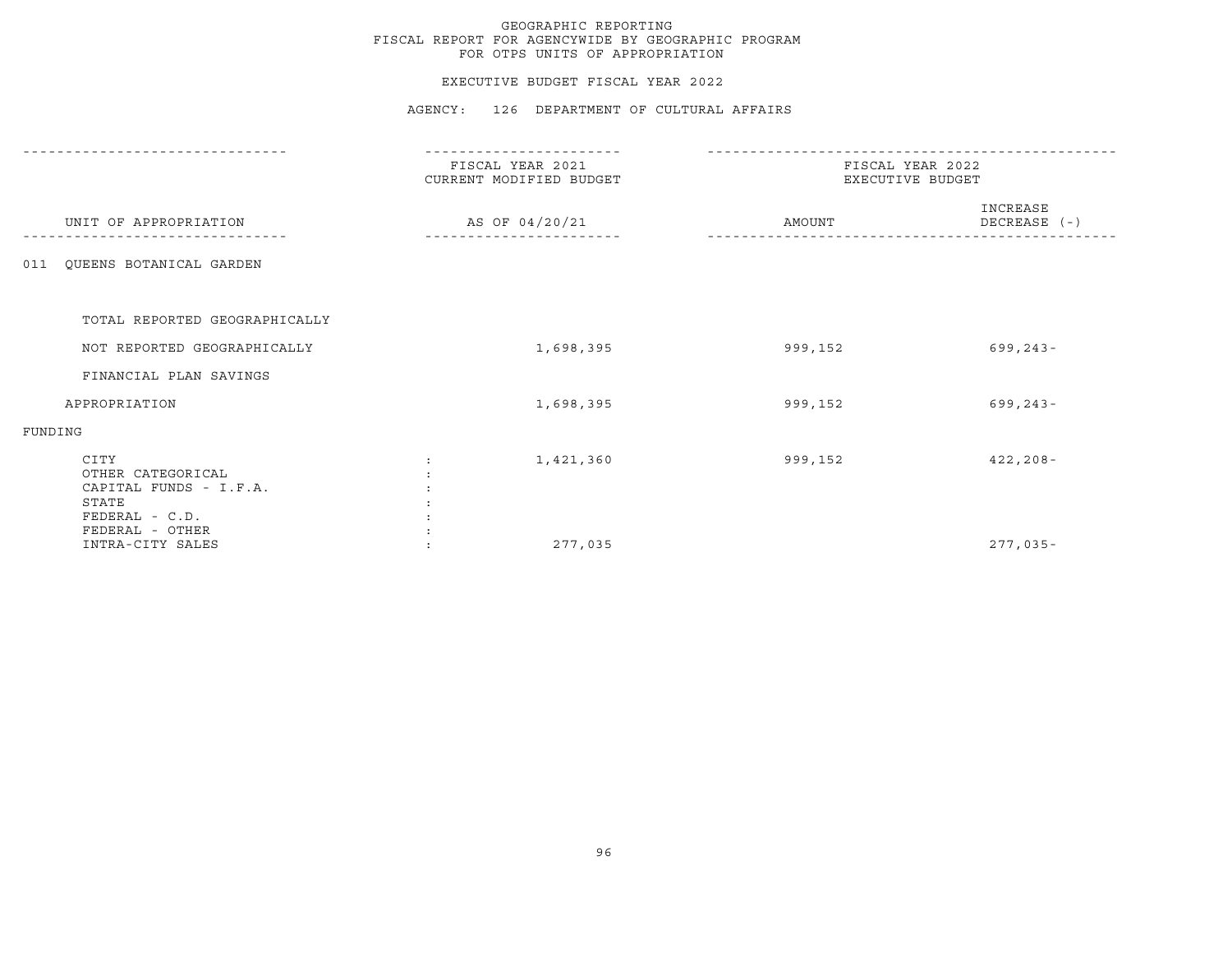#### EXECUTIVE BUDGET FISCAL YEAR 2022

|                                                                                                   | FISCAL YEAR 2021<br>CURRENT MODIFIED BUDGET | FISCAL YEAR 2022<br>EXECUTIVE BUDGET |                          |
|---------------------------------------------------------------------------------------------------|---------------------------------------------|--------------------------------------|--------------------------|
| UNIT OF APPROPRIATION                                                                             | AS OF 04/20/21                              | AMOUNT                               | INCREASE<br>DECREASE (-) |
| QUEENS BOTANICAL GARDEN<br>011                                                                    |                                             |                                      |                          |
| TOTAL REPORTED GEOGRAPHICALLY                                                                     |                                             |                                      |                          |
| NOT REPORTED GEOGRAPHICALLY                                                                       | 1,698,395                                   | 999,152                              | $699, 243 -$             |
| FINANCIAL PLAN SAVINGS                                                                            |                                             |                                      |                          |
| APPROPRIATION                                                                                     | 1,698,395                                   | 999,152                              | $699, 243 -$             |
| FUNDING                                                                                           |                                             |                                      |                          |
| CITY<br>OTHER CATEGORICAL<br>CAPITAL FUNDS - I.F.A.<br>STATE<br>FEDERAL - C.D.<br>FEDERAL - OTHER | 1,421,360                                   | 999,152                              | $422, 208 -$             |
| INTRA-CITY SALES                                                                                  | 277,035                                     |                                      | $277,035-$               |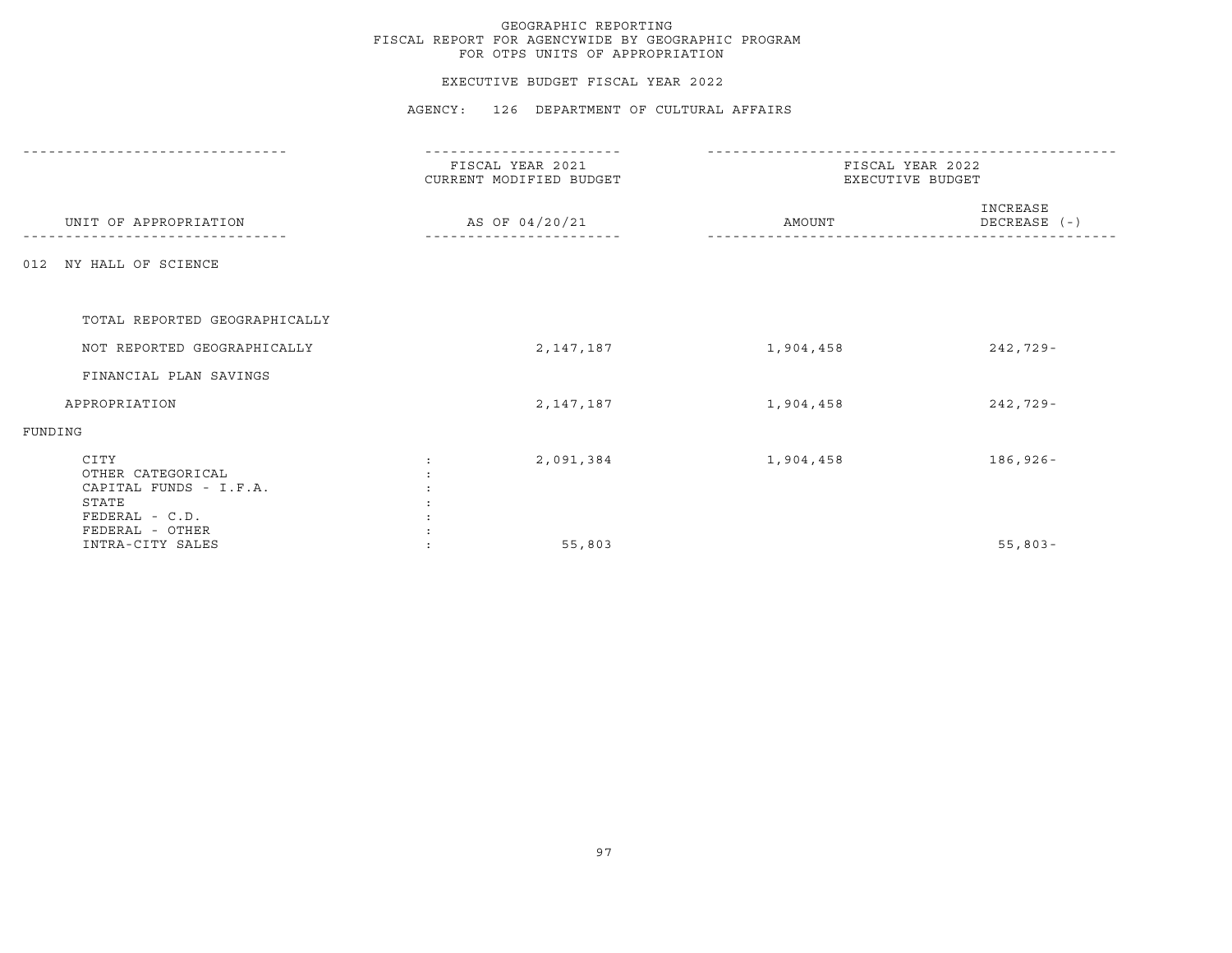#### EXECUTIVE BUDGET FISCAL YEAR 2022

|                                                                                | FISCAL YEAR 2021<br>CURRENT MODIFIED BUDGET |                | FISCAL YEAR 2022<br>EXECUTIVE BUDGET |                          |
|--------------------------------------------------------------------------------|---------------------------------------------|----------------|--------------------------------------|--------------------------|
| UNIT OF APPROPRIATION                                                          |                                             | AS OF 04/20/21 | AMOUNT                               | INCREASE<br>DECREASE (-) |
| NY HALL OF SCIENCE<br>012                                                      |                                             |                |                                      |                          |
| TOTAL REPORTED GEOGRAPHICALLY                                                  |                                             |                |                                      |                          |
| NOT REPORTED GEOGRAPHICALLY                                                    |                                             | 2,147,187      | 1,904,458                            | $242,729-$               |
| FINANCIAL PLAN SAVINGS                                                         |                                             |                |                                      |                          |
| APPROPRIATION                                                                  |                                             | 2,147,187      | 1,904,458                            | $242,729-$               |
| FUNDING                                                                        |                                             |                |                                      |                          |
| CITY<br>OTHER CATEGORICAL<br>CAPITAL FUNDS - I.F.A.<br>STATE<br>FEDERAL - C.D. |                                             | 2,091,384      | 1,904,458                            | $186,926 -$              |
| FEDERAL - OTHER<br>INTRA-CITY SALES                                            |                                             | 55,803         |                                      | $55,803 -$               |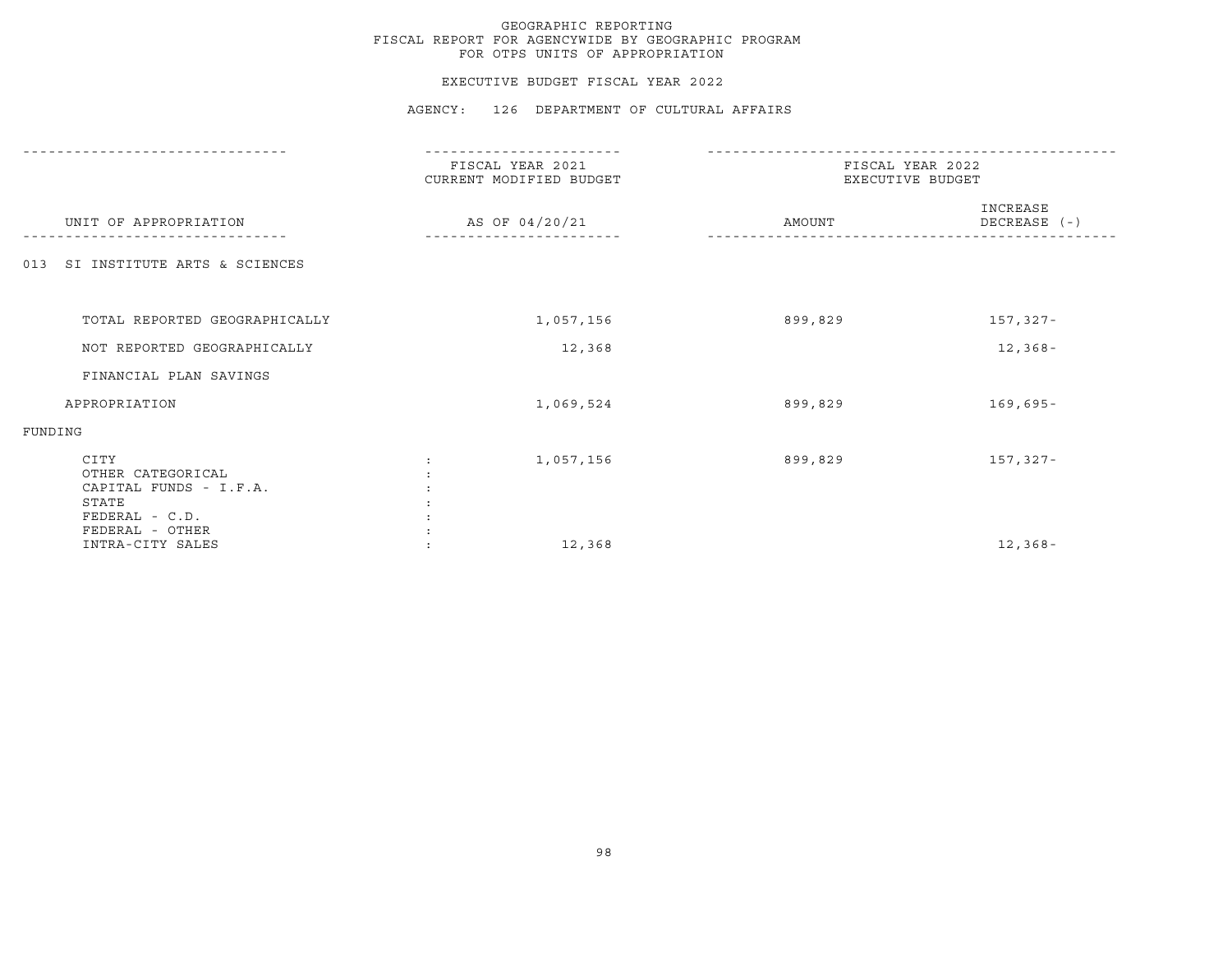#### EXECUTIVE BUDGET FISCAL YEAR 2022

|                                                                                                   | FISCAL YEAR 2021<br>CURRENT MODIFIED BUDGET | FISCAL YEAR 2022<br>EXECUTIVE BUDGET |                          |
|---------------------------------------------------------------------------------------------------|---------------------------------------------|--------------------------------------|--------------------------|
| UNIT OF APPROPRIATION                                                                             | AS OF 04/20/21                              | AMOUNT                               | INCREASE<br>DECREASE (-) |
| SI INSTITUTE ARTS & SCIENCES<br>013                                                               |                                             |                                      |                          |
| TOTAL REPORTED GEOGRAPHICALLY                                                                     | 1,057,156                                   | 899,829                              | 157,327-                 |
| NOT REPORTED GEOGRAPHICALLY                                                                       | 12,368                                      |                                      | $12,368-$                |
| FINANCIAL PLAN SAVINGS                                                                            |                                             |                                      |                          |
| APPROPRIATION                                                                                     | 1,069,524                                   | 899,829                              | $169,695 -$              |
| FUNDING                                                                                           |                                             |                                      |                          |
| CITY<br>OTHER CATEGORICAL<br>CAPITAL FUNDS - I.F.A.<br>STATE<br>FEDERAL - C.D.<br>FEDERAL - OTHER | 1,057,156                                   | 899,829                              | 157,327-                 |
| INTRA-CITY SALES                                                                                  | 12,368                                      |                                      | $12, 368 -$              |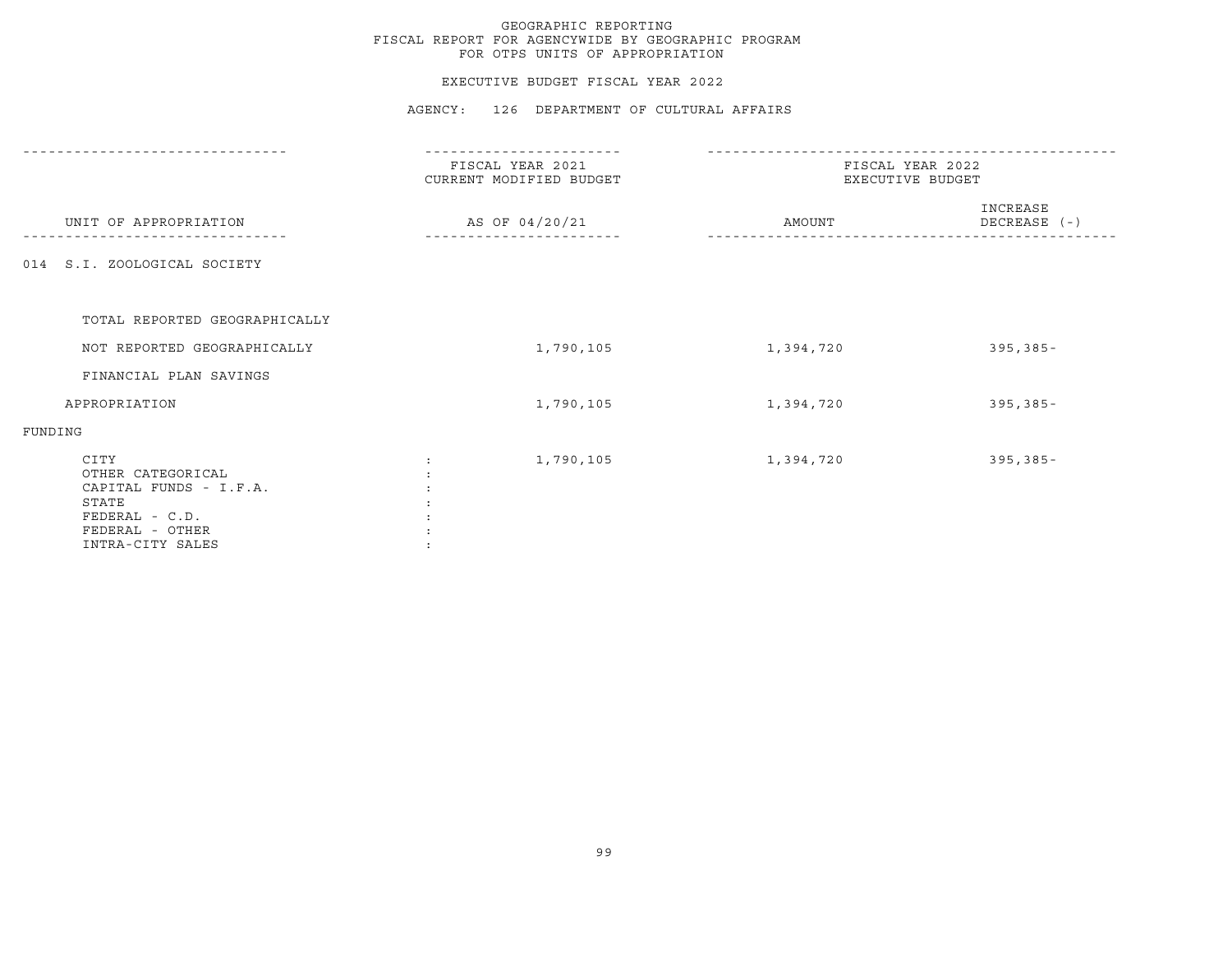### EXECUTIVE BUDGET FISCAL YEAR 2022

|                                                                                                                       | FISCAL YEAR 2021<br>CURRENT MODIFIED BUDGET | FISCAL YEAR 2022<br>EXECUTIVE BUDGET |                          |
|-----------------------------------------------------------------------------------------------------------------------|---------------------------------------------|--------------------------------------|--------------------------|
| UNIT OF APPROPRIATION                                                                                                 | AS OF 04/20/21                              | AMOUNT                               | INCREASE<br>DECREASE (-) |
| 014 S.I. ZOOLOGICAL SOCIETY                                                                                           |                                             |                                      |                          |
| TOTAL REPORTED GEOGRAPHICALLY                                                                                         |                                             |                                      |                          |
| NOT REPORTED GEOGRAPHICALLY                                                                                           | 1,790,105                                   | 1,394,720                            | $395, 385 -$             |
| FINANCIAL PLAN SAVINGS                                                                                                |                                             |                                      |                          |
| APPROPRIATION                                                                                                         | 1,790,105                                   | 1,394,720                            | $395, 385 -$             |
| FUNDING                                                                                                               |                                             |                                      |                          |
| CITY<br>OTHER CATEGORICAL<br>CAPITAL FUNDS - I.F.A.<br>STATE<br>FEDERAL - C.D.<br>FEDERAL - OTHER<br>INTRA-CITY SALES | 1,790,105                                   | 1,394,720                            | $395, 385 -$             |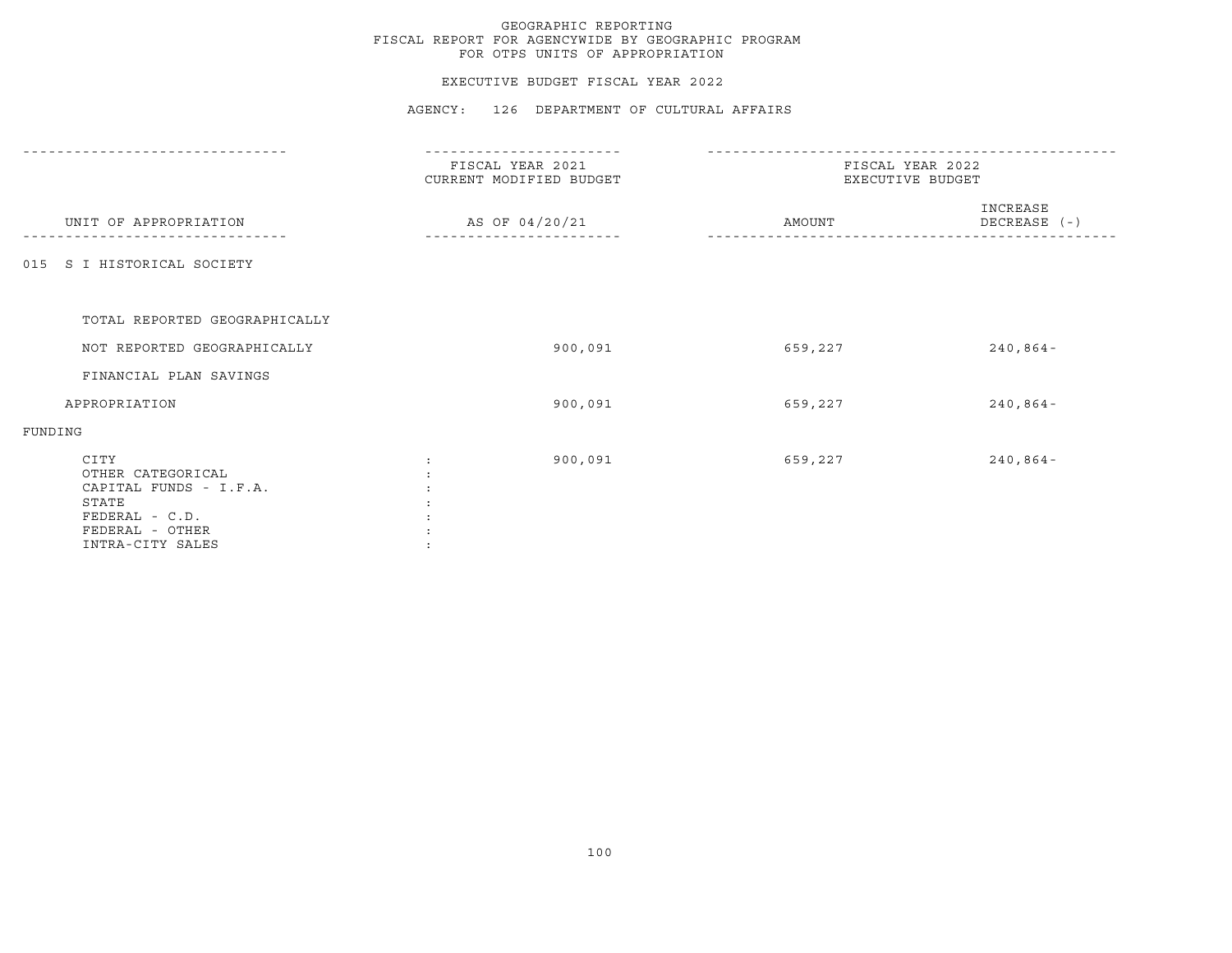### EXECUTIVE BUDGET FISCAL YEAR 2022

|                                                                                                                         | FISCAL YEAR 2021<br>CURRENT MODIFIED BUDGET | FISCAL YEAR 2022<br>EXECUTIVE BUDGET |                          |
|-------------------------------------------------------------------------------------------------------------------------|---------------------------------------------|--------------------------------------|--------------------------|
| UNIT OF APPROPRIATION                                                                                                   | AS OF 04/20/21                              | AMOUNT                               | INCREASE<br>DECREASE (-) |
| 015 S I HISTORICAL SOCIETY                                                                                              |                                             |                                      |                          |
| TOTAL REPORTED GEOGRAPHICALLY                                                                                           |                                             |                                      |                          |
| NOT REPORTED GEOGRAPHICALLY                                                                                             | 900,091                                     | 659,227                              | $240,864-$               |
| FINANCIAL PLAN SAVINGS                                                                                                  |                                             |                                      |                          |
| APPROPRIATION                                                                                                           | 900,091                                     | 659,227                              | $240,864-$               |
| FUNDING                                                                                                                 |                                             |                                      |                          |
| CITY<br>OTHER CATEGORICAL<br>CAPITAL FUNDS - I.F.A.<br>STATE<br>$FEDERAL - C.D.$<br>FEDERAL - OTHER<br>INTRA-CITY SALES | 900,091                                     | 659,227                              | $240,864-$               |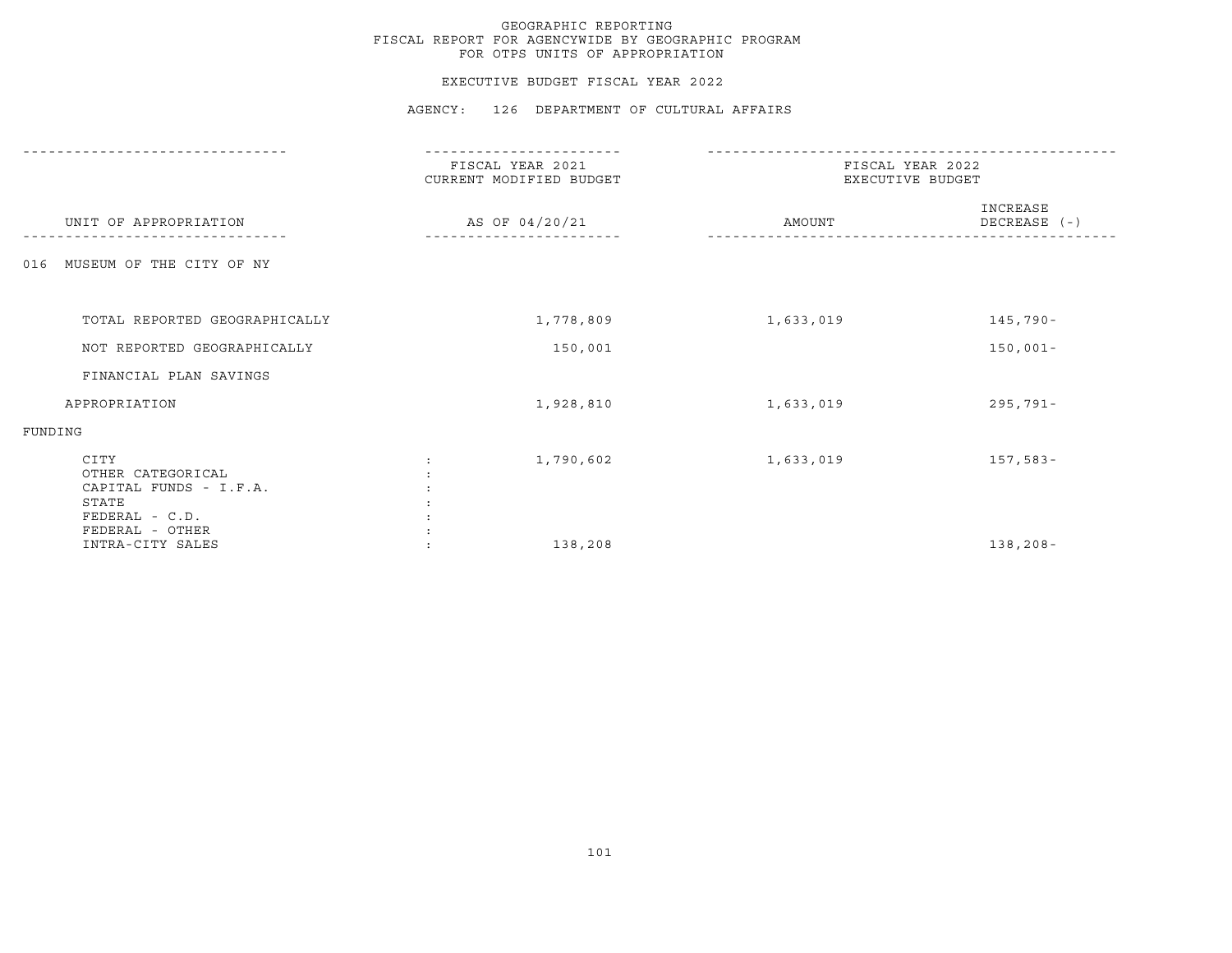#### EXECUTIVE BUDGET FISCAL YEAR 2022

|                                                                                                   | FISCAL YEAR 2021<br>CURRENT MODIFIED BUDGET | FISCAL YEAR 2022<br>EXECUTIVE BUDGET |                          |
|---------------------------------------------------------------------------------------------------|---------------------------------------------|--------------------------------------|--------------------------|
| UNIT OF APPROPRIATION                                                                             | AS OF 04/20/21                              | AMOUNT                               | INCREASE<br>DECREASE (-) |
| MUSEUM OF THE CITY OF NY<br>016                                                                   |                                             |                                      |                          |
|                                                                                                   |                                             |                                      |                          |
| TOTAL REPORTED GEOGRAPHICALLY                                                                     | 1,778,809                                   | 1,633,019                            | 145,790-                 |
| NOT REPORTED GEOGRAPHICALLY                                                                       | 150,001                                     |                                      | $150,001 -$              |
| FINANCIAL PLAN SAVINGS                                                                            |                                             |                                      |                          |
| APPROPRIATION                                                                                     | 1,928,810                                   | 1,633,019                            | $295,791 -$              |
| FUNDING                                                                                           |                                             |                                      |                          |
| CITY<br>OTHER CATEGORICAL<br>CAPITAL FUNDS - I.F.A.<br>STATE<br>FEDERAL - C.D.<br>FEDERAL - OTHER | 1,790,602                                   | 1,633,019                            | $157,583-$               |
| INTRA-CITY SALES                                                                                  | 138,208                                     |                                      | $138, 208 -$             |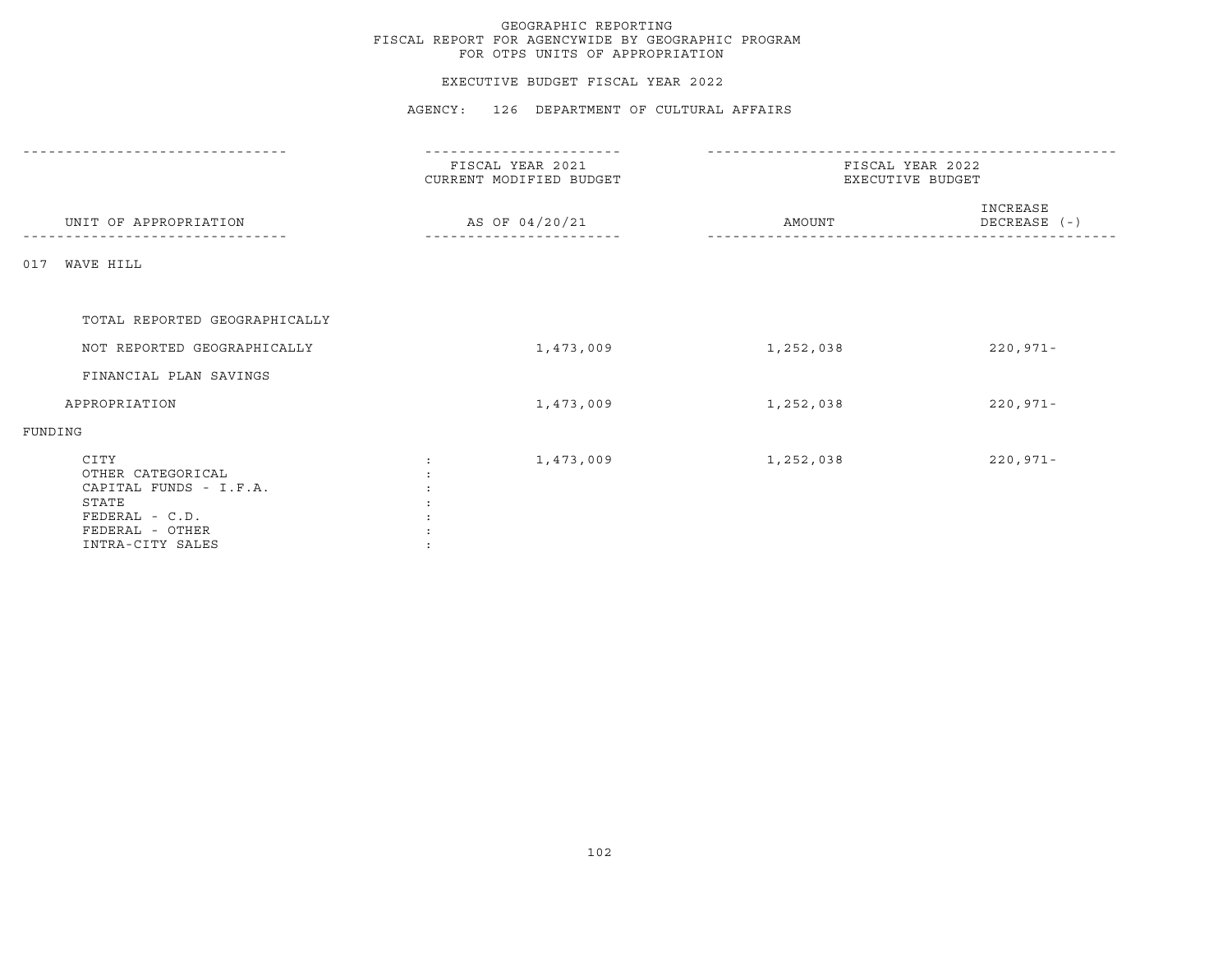### EXECUTIVE BUDGET FISCAL YEAR 2022

|                                                                                                                       | -------------                               |                                      |                          |
|-----------------------------------------------------------------------------------------------------------------------|---------------------------------------------|--------------------------------------|--------------------------|
|                                                                                                                       | FISCAL YEAR 2021<br>CURRENT MODIFIED BUDGET | FISCAL YEAR 2022<br>EXECUTIVE BUDGET |                          |
| UNIT OF APPROPRIATION                                                                                                 | AS OF 04/20/21                              | AMOUNT                               | INCREASE<br>DECREASE (-) |
| WAVE HILL<br>017                                                                                                      |                                             |                                      |                          |
| TOTAL REPORTED GEOGRAPHICALLY                                                                                         |                                             |                                      |                          |
| NOT REPORTED GEOGRAPHICALLY                                                                                           | 1,473,009                                   | 1,252,038                            | $220,971 -$              |
| FINANCIAL PLAN SAVINGS                                                                                                |                                             |                                      |                          |
| APPROPRIATION                                                                                                         | 1,473,009                                   | 1,252,038                            | $220,971 -$              |
| FUNDING                                                                                                               |                                             |                                      |                          |
| CITY<br>OTHER CATEGORICAL<br>CAPITAL FUNDS - I.F.A.<br>STATE<br>FEDERAL - C.D.<br>FEDERAL - OTHER<br>INTRA-CITY SALES | 1,473,009<br>$\ddot{\cdot}$                 | 1,252,038                            | $220,971 -$              |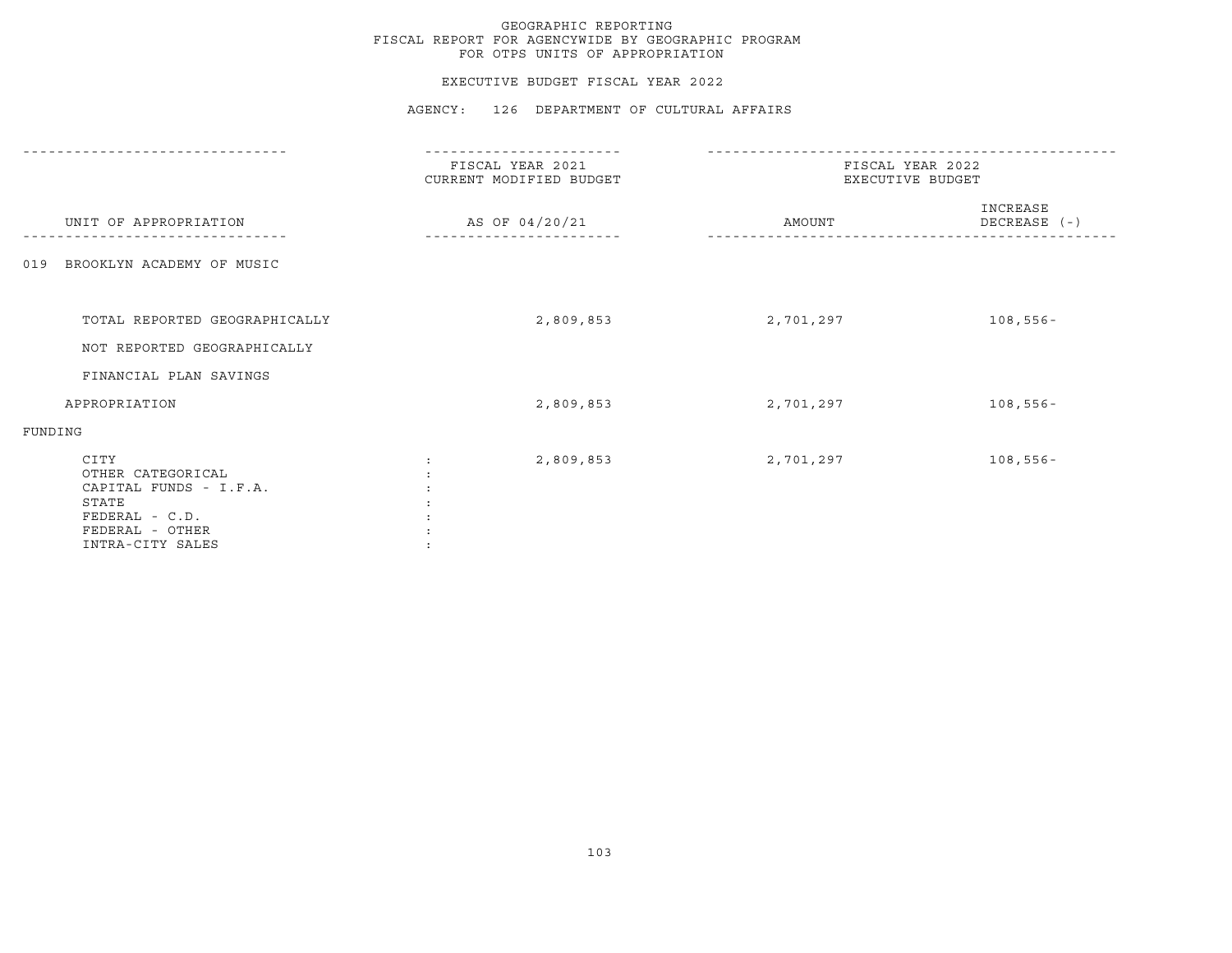### EXECUTIVE BUDGET FISCAL YEAR 2022

|                                                                                                                       | FISCAL YEAR 2021<br>CURRENT MODIFIED BUDGET | FISCAL YEAR 2022<br>EXECUTIVE BUDGET |                          |
|-----------------------------------------------------------------------------------------------------------------------|---------------------------------------------|--------------------------------------|--------------------------|
| UNIT OF APPROPRIATION                                                                                                 | AS OF 04/20/21                              | AMOUNT                               | INCREASE<br>DECREASE (-) |
| BROOKLYN ACADEMY OF MUSIC<br>019                                                                                      |                                             |                                      |                          |
|                                                                                                                       |                                             |                                      |                          |
| TOTAL REPORTED GEOGRAPHICALLY                                                                                         | 2,809,853                                   | 2,701,297                            | $108,556 -$              |
| NOT REPORTED GEOGRAPHICALLY                                                                                           |                                             |                                      |                          |
| FINANCIAL PLAN SAVINGS                                                                                                |                                             |                                      |                          |
| APPROPRIATION                                                                                                         | 2,809,853                                   | 2,701,297                            | $108,556 -$              |
| FUNDING                                                                                                               |                                             |                                      |                          |
| CITY<br>OTHER CATEGORICAL<br>CAPITAL FUNDS - I.F.A.<br>STATE<br>FEDERAL - C.D.<br>FEDERAL - OTHER<br>INTRA-CITY SALES | 2,809,853                                   | 2,701,297                            | $108,556 -$              |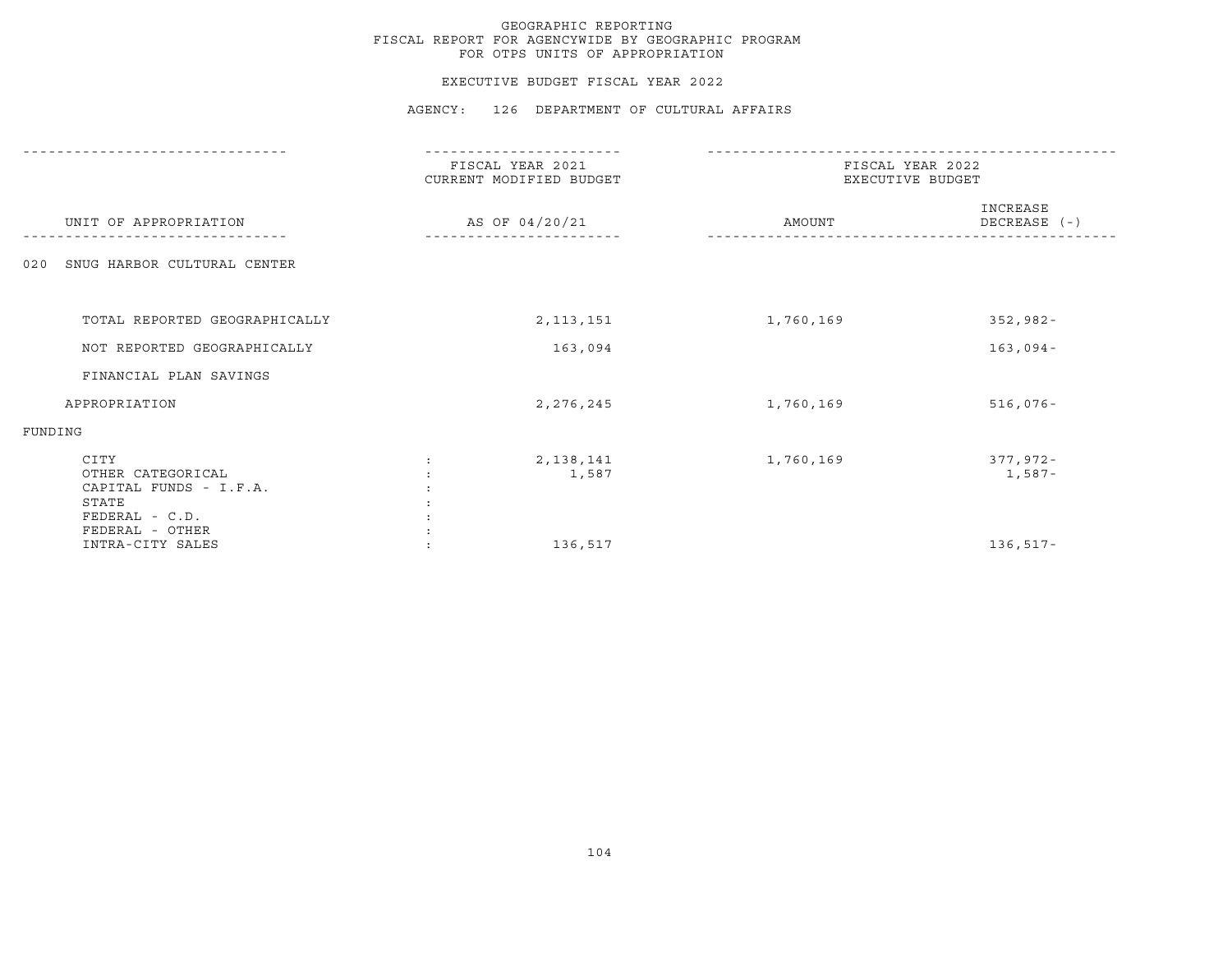#### EXECUTIVE BUDGET FISCAL YEAR 2022

|                                                                                | ------------                                                  |           |                                      |  |
|--------------------------------------------------------------------------------|---------------------------------------------------------------|-----------|--------------------------------------|--|
| UNIT OF APPROPRIATION                                                          | FISCAL YEAR 2021<br>CURRENT MODIFIED BUDGET<br>AS OF 04/20/21 |           | FISCAL YEAR 2022<br>EXECUTIVE BUDGET |  |
|                                                                                |                                                               | AMOUNT    | INCREASE<br>DECREASE (-)             |  |
| SNUG HARBOR CULTURAL CENTER<br>020                                             |                                                               |           |                                      |  |
| TOTAL REPORTED GEOGRAPHICALLY                                                  | 2, 113, 151                                                   | 1,760,169 | $352,982 -$                          |  |
| NOT REPORTED GEOGRAPHICALLY                                                    | 163,094                                                       |           | $163,094-$                           |  |
| FINANCIAL PLAN SAVINGS                                                         |                                                               |           |                                      |  |
| APPROPRIATION                                                                  | 2, 276, 245                                                   | 1,760,169 | $516,076 -$                          |  |
| FUNDING                                                                        |                                                               |           |                                      |  |
| CITY<br>OTHER CATEGORICAL<br>CAPITAL FUNDS - I.F.A.<br>STATE<br>FEDERAL - C.D. | 2,138,141<br>1,587                                            | 1,760,169 | 377,972-<br>1,587-                   |  |
| FEDERAL - OTHER<br>INTRA-CITY SALES                                            | 136,517                                                       |           | $136, 517 -$                         |  |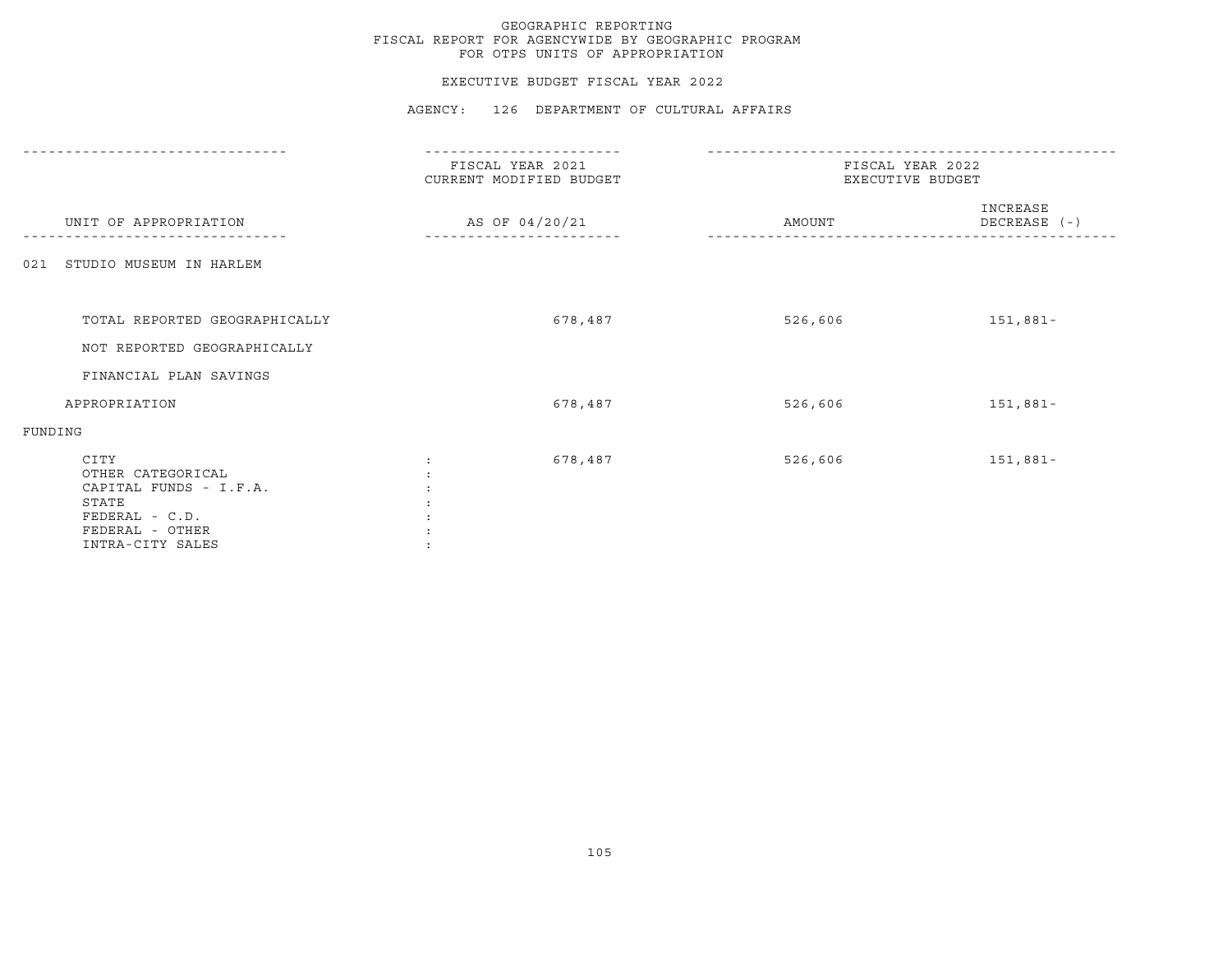#### EXECUTIVE BUDGET FISCAL YEAR 2022

|                                                                                                                       | FISCAL YEAR 2021<br>CURRENT MODIFIED BUDGET | FISCAL YEAR 2022<br>EXECUTIVE BUDGET |                          |  |
|-----------------------------------------------------------------------------------------------------------------------|---------------------------------------------|--------------------------------------|--------------------------|--|
| UNIT OF APPROPRIATION                                                                                                 | AS OF 04/20/21                              | AMOUNT                               | INCREASE<br>DECREASE (-) |  |
| 021 STUDIO MUSEUM IN HARLEM                                                                                           |                                             |                                      |                          |  |
|                                                                                                                       |                                             |                                      |                          |  |
| TOTAL REPORTED GEOGRAPHICALLY                                                                                         | 678,487                                     | 526,606                              | 151,881-                 |  |
| NOT REPORTED GEOGRAPHICALLY                                                                                           |                                             |                                      |                          |  |
| FINANCIAL PLAN SAVINGS                                                                                                |                                             |                                      |                          |  |
| APPROPRIATION                                                                                                         | 678,487                                     | 526,606                              | 151,881-                 |  |
| FUNDING                                                                                                               |                                             |                                      |                          |  |
| CITY<br>OTHER CATEGORICAL<br>CAPITAL FUNDS - I.F.A.<br>STATE<br>FEDERAL - C.D.<br>FEDERAL - OTHER<br>INTRA-CITY SALES | 678,487                                     | 526,606                              | 151,881-                 |  |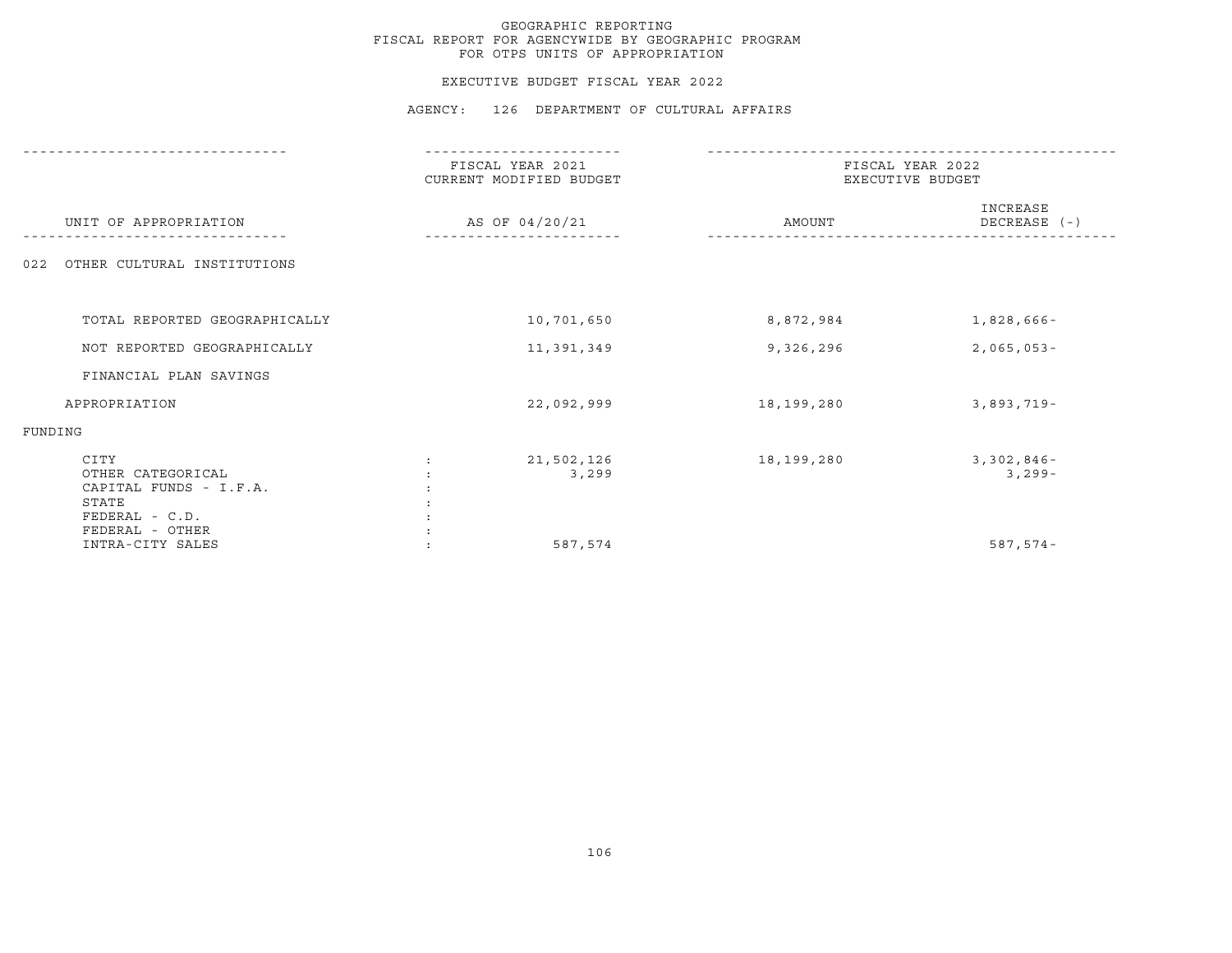#### EXECUTIVE BUDGET FISCAL YEAR 2022

|                                                                                  | --------------                              |                                      |                           |  |
|----------------------------------------------------------------------------------|---------------------------------------------|--------------------------------------|---------------------------|--|
|                                                                                  | FISCAL YEAR 2021<br>CURRENT MODIFIED BUDGET | FISCAL YEAR 2022<br>EXECUTIVE BUDGET |                           |  |
| UNIT OF APPROPRIATION                                                            | AS OF 04/20/21                              | AMOUNT                               | INCREASE<br>DECREASE (-)  |  |
| OTHER CULTURAL INSTITUTIONS<br>022                                               |                                             |                                      |                           |  |
|                                                                                  |                                             |                                      |                           |  |
| TOTAL REPORTED GEOGRAPHICALLY                                                    | 10,701,650                                  | 8,872,984                            | $1,828,666-$              |  |
| NOT REPORTED GEOGRAPHICALLY                                                      | 11,391,349                                  | 9,326,296                            | $2,065,053-$              |  |
| FINANCIAL PLAN SAVINGS                                                           |                                             |                                      |                           |  |
| APPROPRIATION                                                                    | 22,092,999                                  | 18,199,280                           | $3,893,719-$              |  |
| FUNDING                                                                          |                                             |                                      |                           |  |
| CITY<br>OTHER CATEGORICAL<br>CAPITAL FUNDS - I.F.A.<br>STATE<br>$FEDERAL - C.D.$ | 21,502,126<br>3,299                         | 18,199,280                           | $3,302,846 -$<br>$3,299-$ |  |
| FEDERAL - OTHER<br>INTRA-CITY SALES                                              | 587,574                                     |                                      | $587, 574 -$              |  |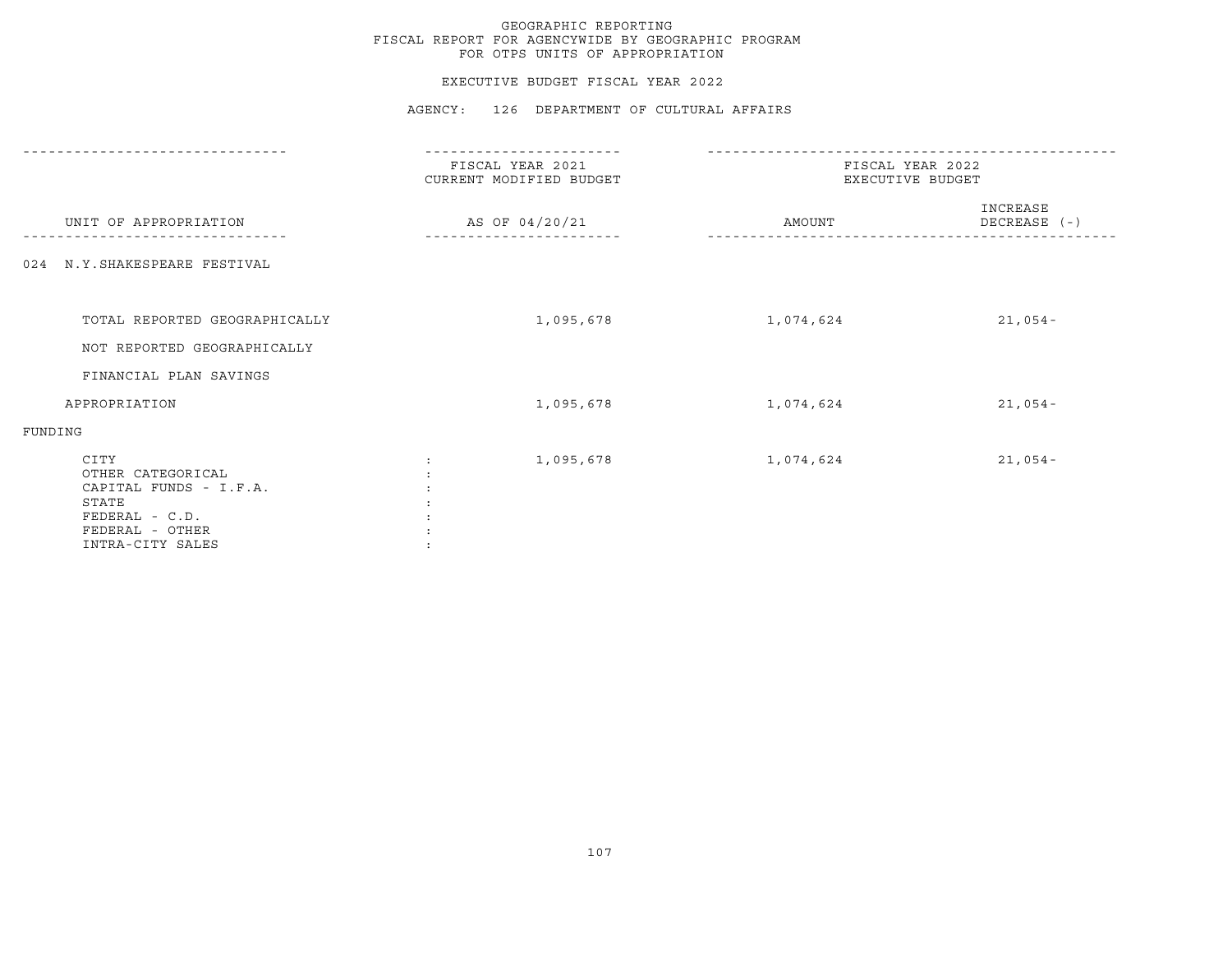#### EXECUTIVE BUDGET FISCAL YEAR 2022

|                                                                                                                         | -----------                                 |                                      |                          |  |
|-------------------------------------------------------------------------------------------------------------------------|---------------------------------------------|--------------------------------------|--------------------------|--|
|                                                                                                                         | FISCAL YEAR 2021<br>CURRENT MODIFIED BUDGET | FISCAL YEAR 2022<br>EXECUTIVE BUDGET |                          |  |
| UNIT OF APPROPRIATION                                                                                                   | AS OF 04/20/21                              | AMOUNT                               | INCREASE<br>DECREASE (-) |  |
| 024 N.Y. SHAKESPEARE FESTIVAL                                                                                           |                                             |                                      |                          |  |
| TOTAL REPORTED GEOGRAPHICALLY<br>NOT REPORTED GEOGRAPHICALLY                                                            | 1,095,678                                   | 1,074,624                            | $21,054-$                |  |
| FINANCIAL PLAN SAVINGS                                                                                                  |                                             |                                      |                          |  |
| APPROPRIATION                                                                                                           | 1,095,678                                   | 1,074,624                            | $21,054-$                |  |
| FUNDING                                                                                                                 |                                             |                                      |                          |  |
| CITY<br>OTHER CATEGORICAL<br>CAPITAL FUNDS - I.F.A.<br>STATE<br>$FEDERAL - C.D.$<br>FEDERAL - OTHER<br>INTRA-CITY SALES | 1,095,678                                   | 1,074,624                            | $21,054-$                |  |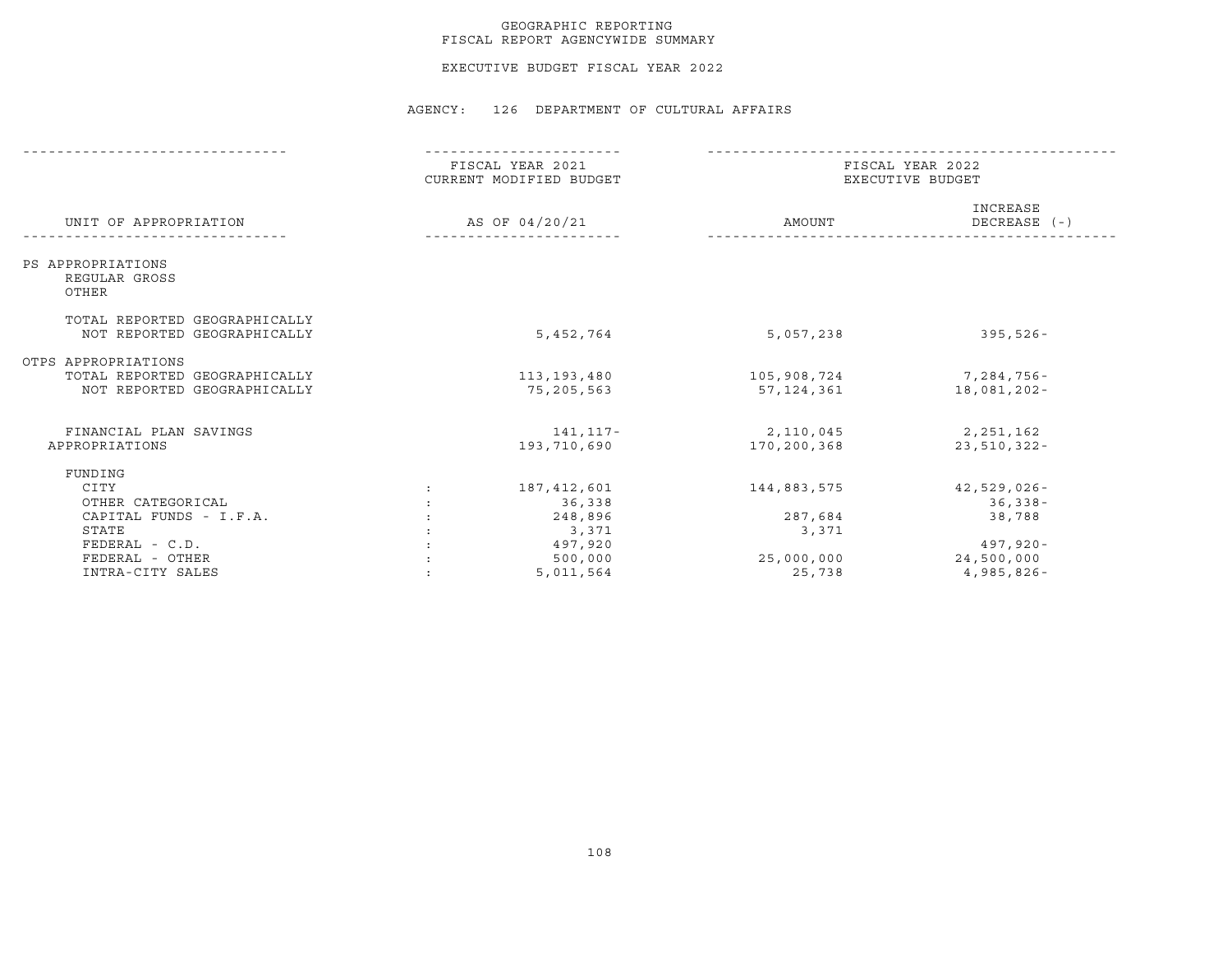#### GEOGRAPHIC REPORTING FISCAL REPORT AGENCYWIDE SUMMARY

EXECUTIVE BUDGET FISCAL YEAR 2022

|                                                              | FISCAL YEAR 2021<br>CURRENT MODIFIED BUDGET<br>AS OF 04/20/21 |             | FISCAL YEAR 2022<br>EXECUTIVE BUDGET |                          |  |
|--------------------------------------------------------------|---------------------------------------------------------------|-------------|--------------------------------------|--------------------------|--|
| UNIT OF APPROPRIATION                                        |                                                               |             | AMOUNT                               | INCREASE<br>DECREASE (-) |  |
| PS APPROPRIATIONS<br>REGULAR GROSS<br>OTHER                  |                                                               |             |                                      |                          |  |
| TOTAL REPORTED GEOGRAPHICALLY<br>NOT REPORTED GEOGRAPHICALLY |                                                               | 5,452,764   | 5,057,238                            | $395,526 -$              |  |
| OTPS APPROPRIATIONS                                          |                                                               |             |                                      |                          |  |
| TOTAL REPORTED GEOGRAPHICALLY                                |                                                               | 113,193,480 | 105,908,724                          | 7,284,756-               |  |
| NOT REPORTED GEOGRAPHICALLY                                  |                                                               | 75,205,563  | 57,124,361                           | 18,081,202-              |  |
| FINANCIAL PLAN SAVINGS                                       |                                                               | 141,117-    | 2,110,045                            | 2,251,162                |  |
| APPROPRIATIONS                                               |                                                               | 193,710,690 | 170,200,368                          | $23,510,322 -$           |  |
| FUNDING                                                      |                                                               |             |                                      |                          |  |
| CITY                                                         |                                                               | 187,412,601 | 144,883,575                          | $42,529,026 -$           |  |
| OTHER CATEGORICAL                                            |                                                               | 36,338      |                                      | 36,338-                  |  |
| CAPITAL FUNDS - I.F.A.                                       |                                                               | 248,896     | 287,684                              | 38,788                   |  |
| STATE                                                        |                                                               | 3,371       | 3,371                                |                          |  |
| $FEDERAL - C.D.$                                             |                                                               | 497,920     |                                      | 497,920-                 |  |
| FEDERAL - OTHER                                              |                                                               | 500,000     | 25,000,000                           | 24,500,000               |  |
| INTRA-CITY SALES                                             |                                                               | 5,011,564   | 25,738                               | 4,985,826-               |  |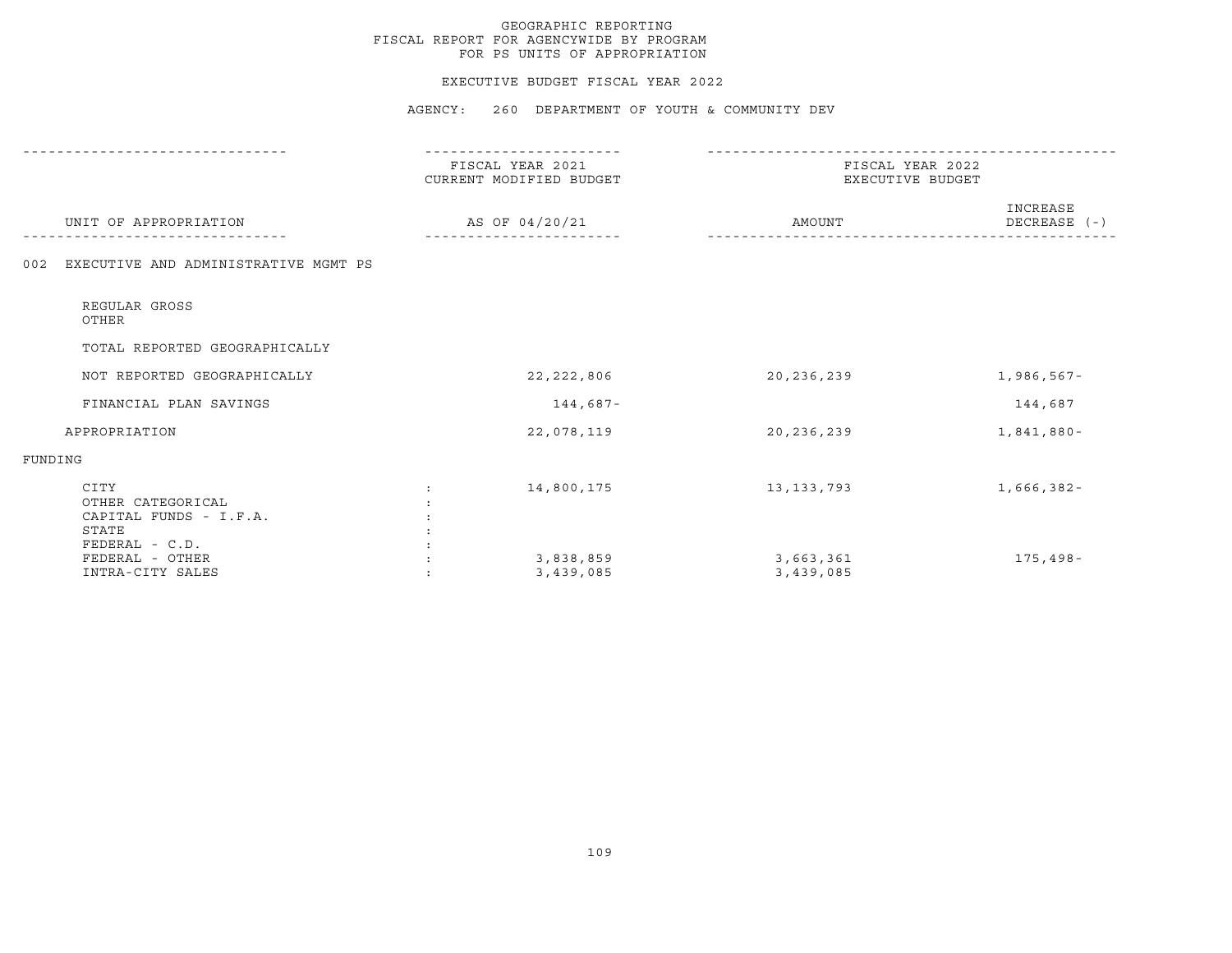#### EXECUTIVE BUDGET FISCAL YEAR 2022

|                                                                                | FISCAL YEAR 2021<br>CURRENT MODIFIED BUDGET | FISCAL YEAR 2022<br>EXECUTIVE BUDGET |                          |  |
|--------------------------------------------------------------------------------|---------------------------------------------|--------------------------------------|--------------------------|--|
| UNIT OF APPROPRIATION                                                          | AS OF 04/20/21                              | AMOUNT                               | INCREASE<br>DECREASE (-) |  |
| EXECUTIVE AND ADMINISTRATIVE MGMT PS<br>002                                    |                                             |                                      |                          |  |
| REGULAR GROSS<br>OTHER                                                         |                                             |                                      |                          |  |
| TOTAL REPORTED GEOGRAPHICALLY                                                  |                                             |                                      |                          |  |
| NOT REPORTED GEOGRAPHICALLY                                                    | 22, 222, 806                                | 20,236,239                           | 1,986,567-               |  |
| FINANCIAL PLAN SAVINGS                                                         | 144,687-                                    |                                      | 144,687                  |  |
| APPROPRIATION                                                                  | 22,078,119                                  | 20, 236, 239                         | 1,841,880-               |  |
| FUNDING                                                                        |                                             |                                      |                          |  |
| CITY<br>OTHER CATEGORICAL<br>CAPITAL FUNDS - I.F.A.<br>STATE<br>FEDERAL - C.D. | 14,800,175                                  | 13, 133, 793                         | 1,666,382-               |  |
| FEDERAL - OTHER<br>INTRA-CITY SALES                                            | 3,838,859<br>3,439,085                      | 3,663,361<br>3,439,085               | 175,498-                 |  |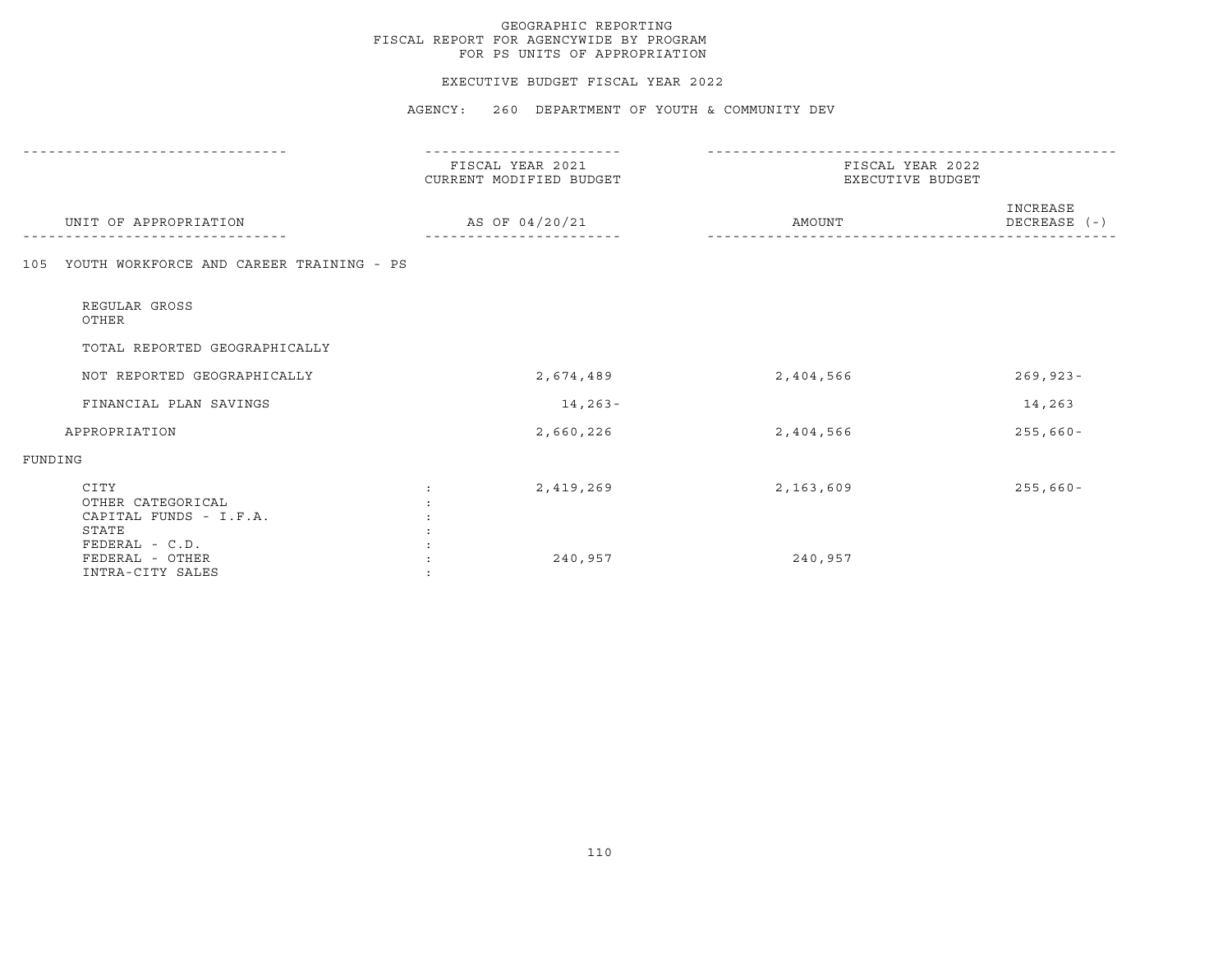#### EXECUTIVE BUDGET FISCAL YEAR 2022

|                                                              | FISCAL YEAR 2021<br>CURRENT MODIFIED BUDGET | FISCAL YEAR 2022<br>EXECUTIVE BUDGET |                          |
|--------------------------------------------------------------|---------------------------------------------|--------------------------------------|--------------------------|
| UNIT OF APPROPRIATION                                        | AS OF 04/20/21                              | AMOUNT                               | INCREASE<br>DECREASE (-) |
| YOUTH WORKFORCE AND CAREER TRAINING - PS<br>105              |                                             |                                      |                          |
| REGULAR GROSS<br>OTHER                                       |                                             |                                      |                          |
| TOTAL REPORTED GEOGRAPHICALLY                                |                                             |                                      |                          |
| NOT REPORTED GEOGRAPHICALLY                                  | 2,674,489                                   | 2,404,566                            | $269, 923 -$             |
| FINANCIAL PLAN SAVINGS                                       | $14, 263 -$                                 |                                      | 14,263                   |
| APPROPRIATION                                                | 2,660,226                                   | 2,404,566                            | $255,660 -$              |
| FUNDING                                                      |                                             |                                      |                          |
| CITY<br>OTHER CATEGORICAL<br>CAPITAL FUNDS - I.F.A.<br>STATE | 2,419,269                                   | 2,163,609                            | $255,660 -$              |
| FEDERAL - C.D.<br>FEDERAL - OTHER<br>INTRA-CITY SALES        | 240,957                                     | 240,957                              |                          |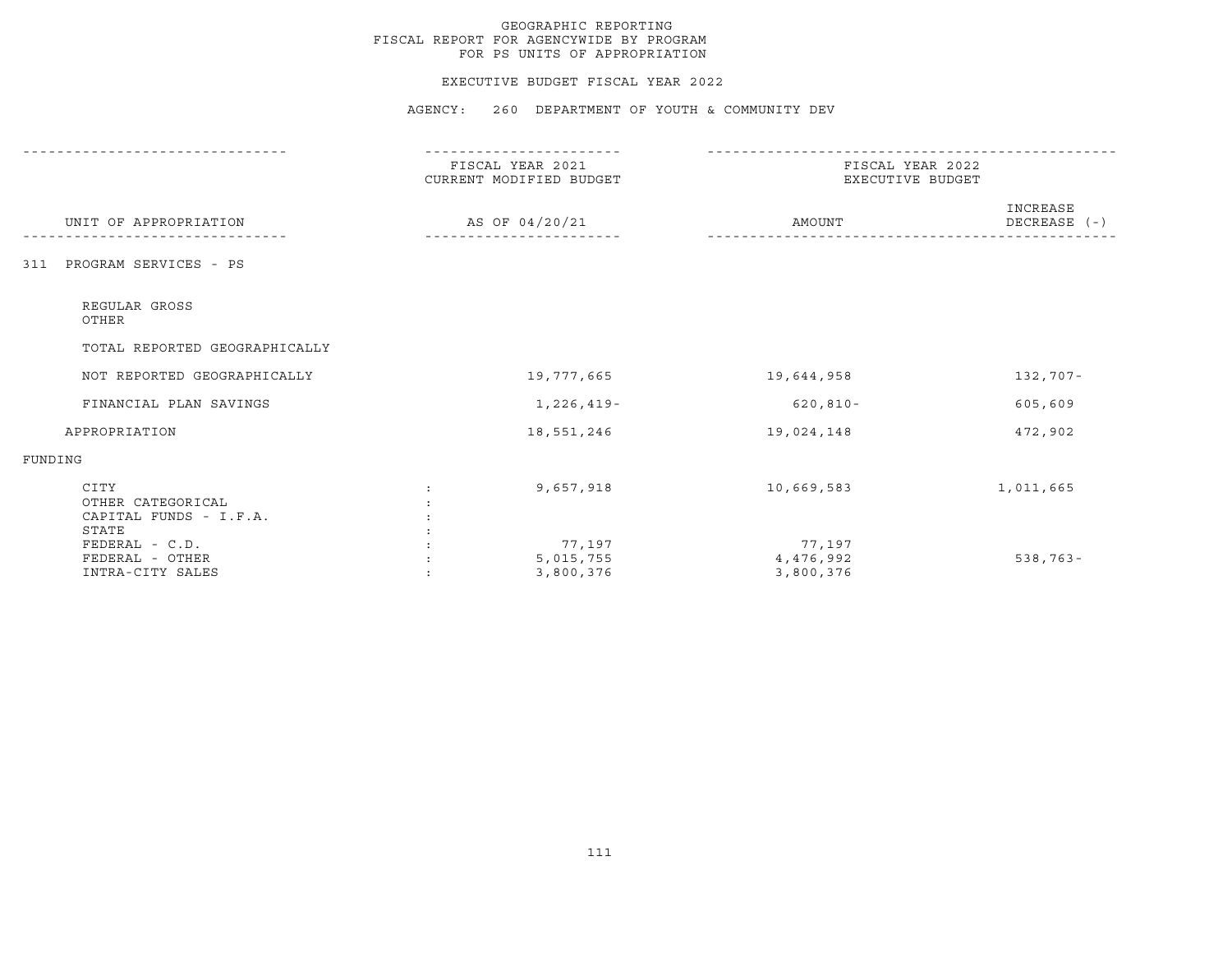#### EXECUTIVE BUDGET FISCAL YEAR 2022

|                                                              | FISCAL YEAR 2021<br>CURRENT MODIFIED BUDGET | FISCAL YEAR 2022<br>EXECUTIVE BUDGET |            |  |
|--------------------------------------------------------------|---------------------------------------------|--------------------------------------|------------|--|
| UNIT OF APPROPRIATION                                        | AS OF 04/20/21                              | INCREASE<br>AMOUNT<br>DECREASE (-)   |            |  |
| PROGRAM SERVICES - PS<br>311                                 |                                             |                                      |            |  |
| REGULAR GROSS<br>OTHER                                       |                                             |                                      |            |  |
| TOTAL REPORTED GEOGRAPHICALLY                                |                                             |                                      |            |  |
| NOT REPORTED GEOGRAPHICALLY                                  | 19,777,665                                  | 19,644,958                           | 132,707-   |  |
| FINANCIAL PLAN SAVINGS                                       | 1,226,419-                                  | $620, 810 -$                         | 605,609    |  |
| APPROPRIATION                                                | 18,551,246                                  | 19,024,148                           | 472,902    |  |
| FUNDING                                                      |                                             |                                      |            |  |
| CITY<br>OTHER CATEGORICAL<br>CAPITAL FUNDS - I.F.A.<br>STATE | 9,657,918                                   | 10,669,583                           | 1,011,665  |  |
| FEDERAL - C.D.<br>FEDERAL - OTHER<br>INTRA-CITY SALES        | 77,197<br>5,015,755<br>3,800,376            | 77,197<br>4,476,992<br>3,800,376     | $538,763-$ |  |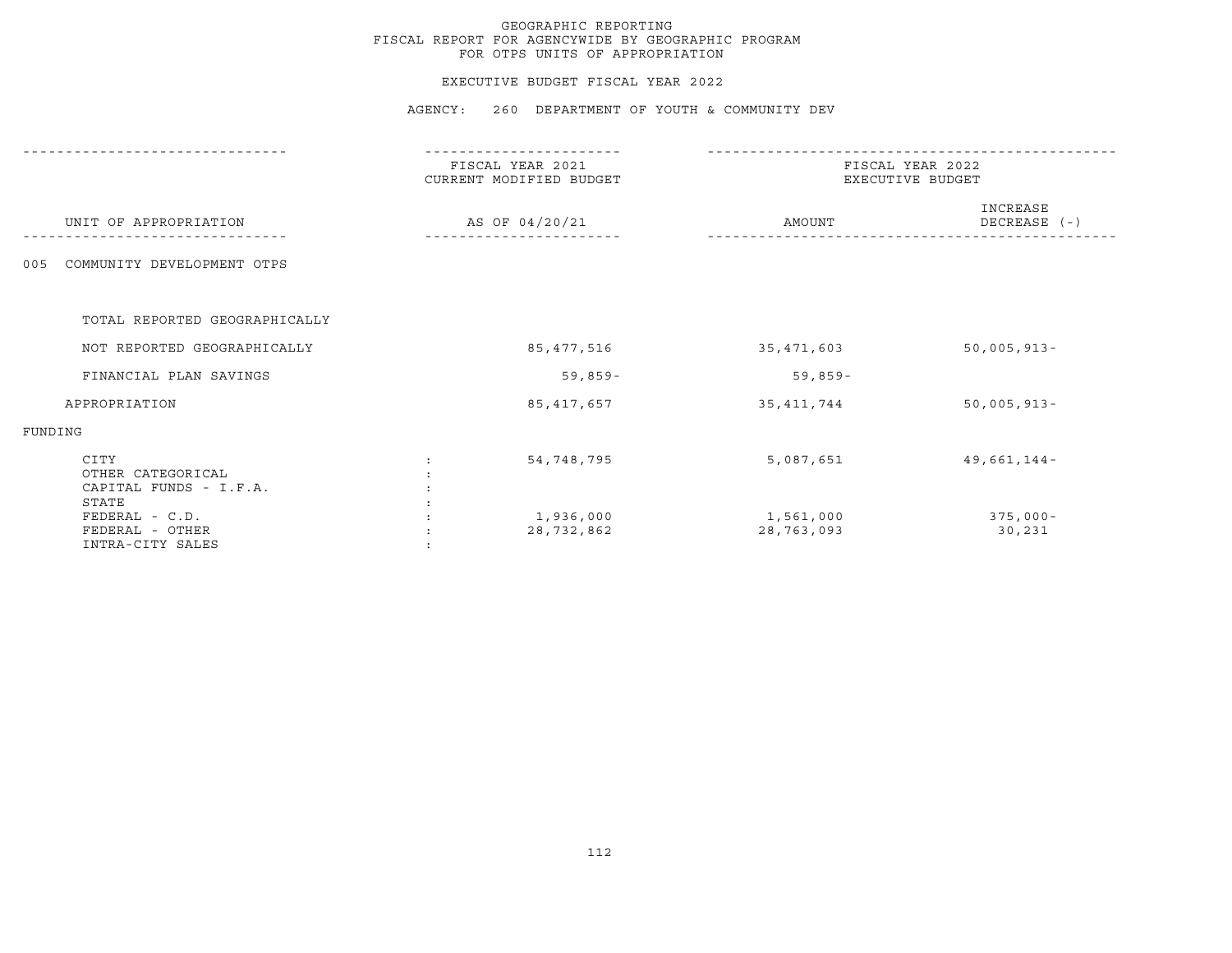#### EXECUTIVE BUDGET FISCAL YEAR 2022

|                                                                | FISCAL YEAR 2021<br>CURRENT MODIFIED BUDGET | FISCAL YEAR 2022<br>EXECUTIVE BUDGET |                          |  |
|----------------------------------------------------------------|---------------------------------------------|--------------------------------------|--------------------------|--|
| UNIT OF APPROPRIATION                                          | AS OF 04/20/21                              | AMOUNT                               | INCREASE<br>DECREASE (-) |  |
| COMMUNITY DEVELOPMENT OTPS<br>005                              |                                             |                                      |                          |  |
| TOTAL REPORTED GEOGRAPHICALLY                                  |                                             |                                      |                          |  |
| NOT REPORTED GEOGRAPHICALLY                                    | 85,477,516                                  | 35,471,603                           | $50,005,913 -$           |  |
| FINANCIAL PLAN SAVINGS                                         | $59,859-$                                   | $59,859-$                            |                          |  |
| APPROPRIATION                                                  | 85, 417, 657                                | 35, 411, 744                         | $50,005,913 -$           |  |
| FUNDING                                                        |                                             |                                      |                          |  |
| CITY<br>OTHER CATEGORICAL<br>CAPITAL FUNDS - I.F.A.            | 54,748,795                                  | 5,087,651                            | $49,661,144-$            |  |
| STATE<br>FEDERAL - C.D.<br>FEDERAL - OTHER<br>INTRA-CITY SALES | 1,936,000<br>28,732,862                     | 1,561,000<br>28,763,093              | $375,000 -$<br>30,231    |  |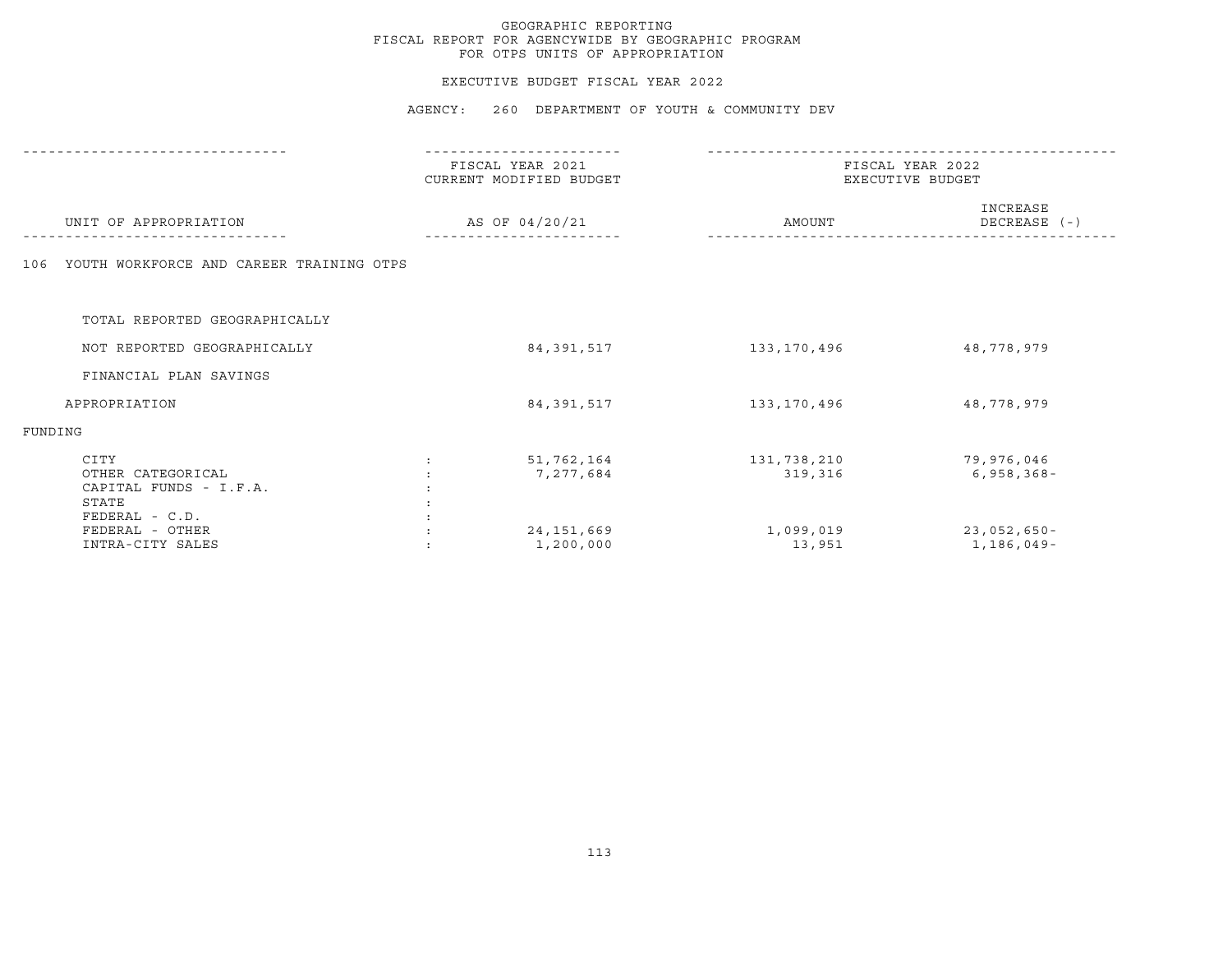#### EXECUTIVE BUDGET FISCAL YEAR 2022

|                                                                                | FISCAL YEAR 2021<br>CURRENT MODIFIED BUDGET | FISCAL YEAR 2022<br>EXECUTIVE BUDGET |                              |  |
|--------------------------------------------------------------------------------|---------------------------------------------|--------------------------------------|------------------------------|--|
| UNIT OF APPROPRIATION                                                          | AS OF 04/20/21                              | AMOUNT                               | INCREASE<br>DECREASE (-)     |  |
| YOUTH WORKFORCE AND CAREER TRAINING OTPS<br>106                                |                                             |                                      |                              |  |
| TOTAL REPORTED GEOGRAPHICALLY                                                  |                                             |                                      |                              |  |
| NOT REPORTED GEOGRAPHICALLY                                                    | 84, 391, 517                                | 133,170,496                          | 48,778,979                   |  |
| FINANCIAL PLAN SAVINGS                                                         |                                             |                                      |                              |  |
| APPROPRIATION                                                                  | 84, 391, 517                                | 133,170,496                          | 48,778,979                   |  |
| FUNDING                                                                        |                                             |                                      |                              |  |
| CITY<br>OTHER CATEGORICAL<br>CAPITAL FUNDS - I.F.A.<br>STATE<br>FEDERAL - C.D. | 51,762,164<br>7,277,684                     | 131,738,210<br>319,316               | 79,976,046<br>$6,958,368-$   |  |
| FEDERAL - OTHER<br>INTRA-CITY SALES                                            | 24, 151, 669<br>1,200,000                   | 1,099,019<br>13,951                  | $23,052,650 -$<br>1,186,049- |  |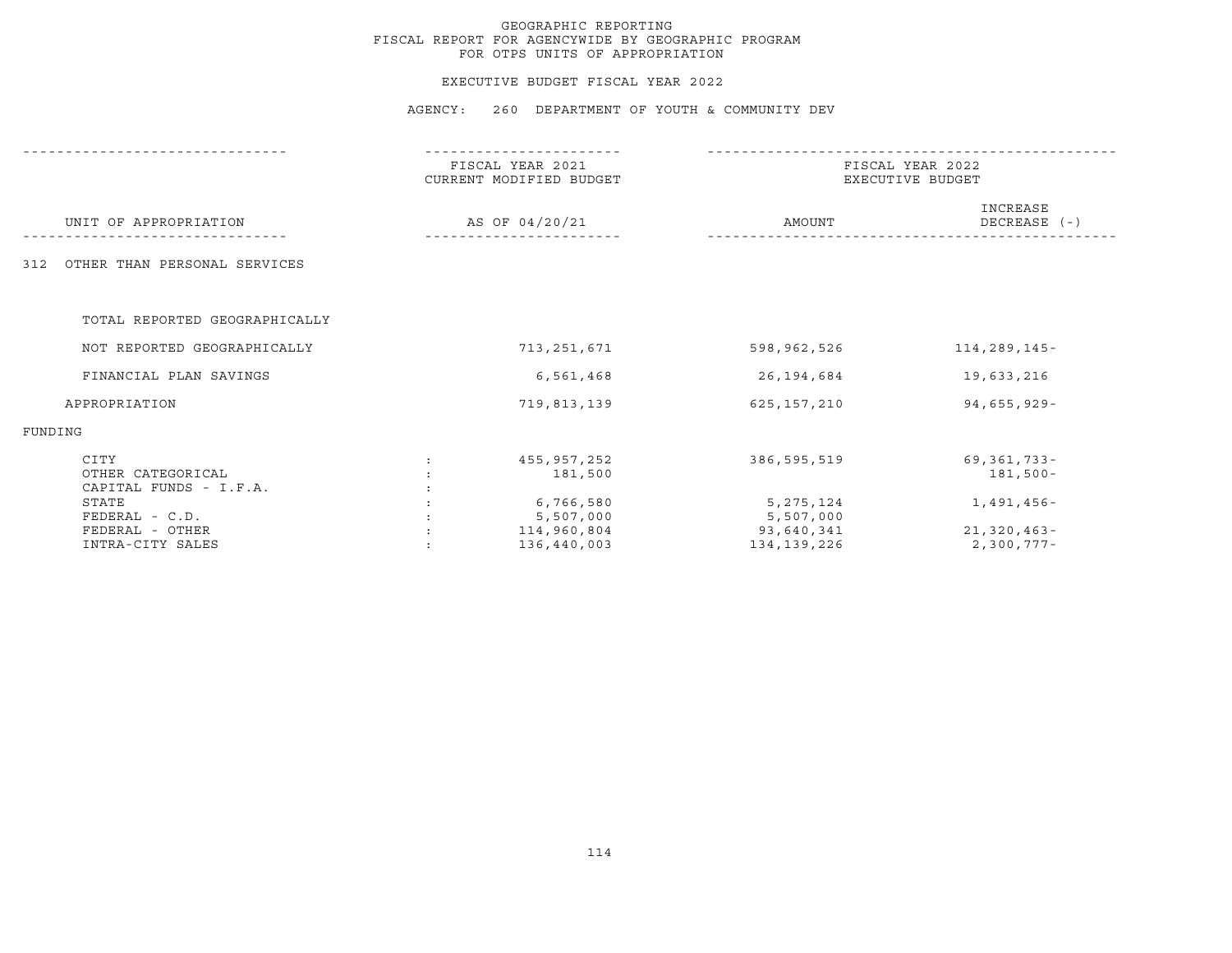#### EXECUTIVE BUDGET FISCAL YEAR 2022

|                                                     | FISCAL YEAR 2021<br>CURRENT MODIFIED BUDGET | FISCAL YEAR 2022<br>EXECUTIVE BUDGET |                             |  |
|-----------------------------------------------------|---------------------------------------------|--------------------------------------|-----------------------------|--|
| UNIT OF APPROPRIATION                               | AS OF 04/20/21                              | AMOUNT                               | INCREASE<br>DECREASE (-)    |  |
| OTHER THAN PERSONAL SERVICES<br>312                 |                                             |                                      |                             |  |
| TOTAL REPORTED GEOGRAPHICALLY                       |                                             |                                      |                             |  |
| NOT REPORTED GEOGRAPHICALLY                         | 713,251,671                                 | 598,962,526                          | 114,289,145-                |  |
| FINANCIAL PLAN SAVINGS                              | 6,561,468                                   | 26,194,684                           | 19,633,216                  |  |
| APPROPRIATION                                       | 719,813,139                                 | 625,157,210                          | 94,655,929-                 |  |
| FUNDING                                             |                                             |                                      |                             |  |
| CITY<br>OTHER CATEGORICAL<br>CAPITAL FUNDS - I.F.A. | 455,957,252<br>181,500                      | 386,595,519                          | 69,361,733-<br>181,500-     |  |
| STATE<br>$FEDERAL - C.D.$                           | 6,766,580<br>5,507,000                      | 5, 275, 124<br>5,507,000             | 1,491,456-                  |  |
| FEDERAL - OTHER<br>INTRA-CITY SALES                 | 114,960,804<br>136,440,003                  | 93,640,341<br>134,139,226            | $21,320,463-$<br>2,300,777- |  |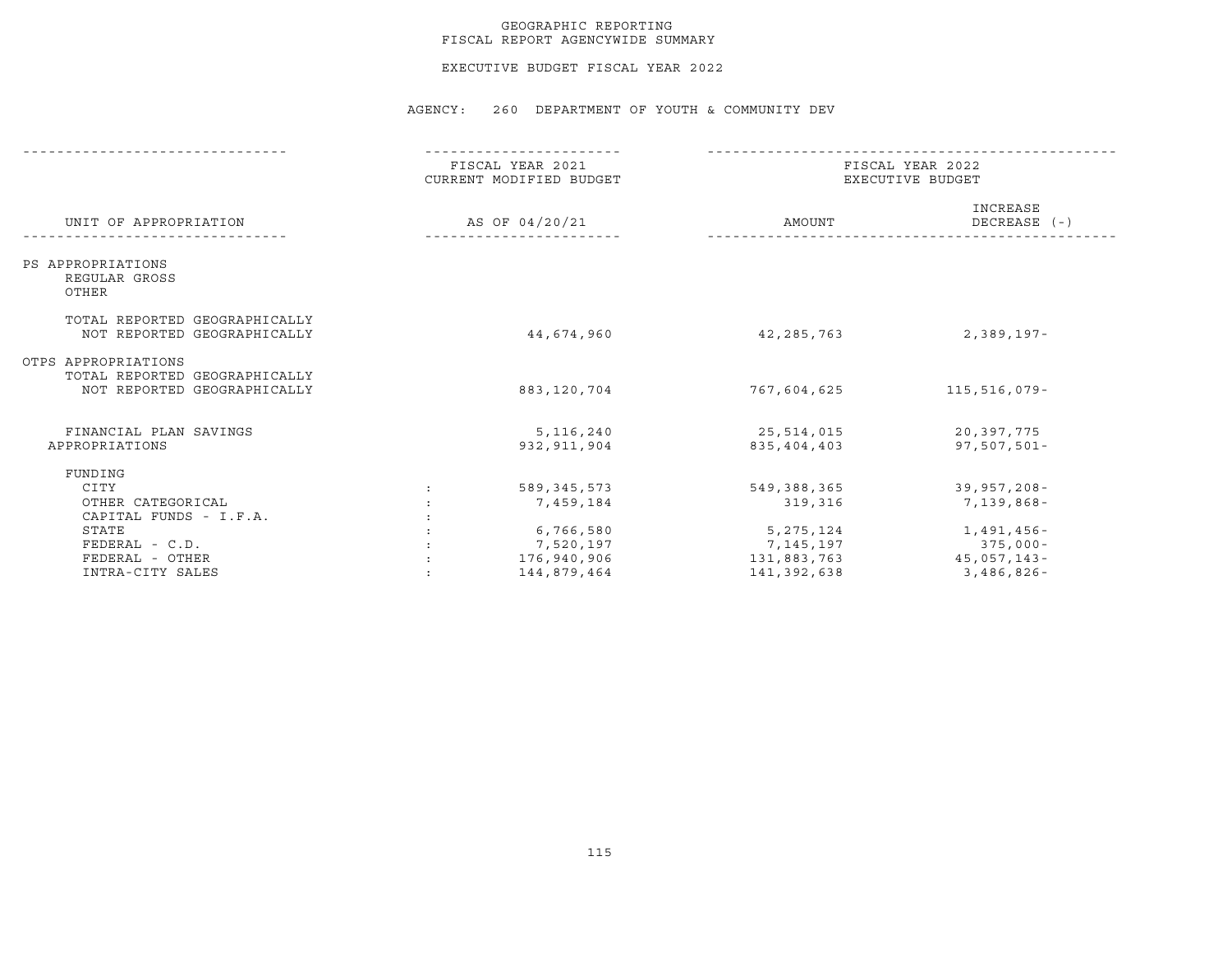#### GEOGRAPHIC REPORTING FISCAL REPORT AGENCYWIDE SUMMARY

EXECUTIVE BUDGET FISCAL YEAR 2022

|                                                                                     |                | FISCAL YEAR 2021<br>CURRENT MODIFIED BUDGET          | FISCAL YEAR 2022<br>EXECUTIVE BUDGET                 |                                                       |  |
|-------------------------------------------------------------------------------------|----------------|------------------------------------------------------|------------------------------------------------------|-------------------------------------------------------|--|
| UNIT OF APPROPRIATION                                                               | AS OF 04/20/21 |                                                      | AMOUNT                                               | INCREASE<br>DECREASE (-)                              |  |
| PS APPROPRIATIONS<br>REGULAR GROSS<br>OTHER                                         |                |                                                      |                                                      |                                                       |  |
| TOTAL REPORTED GEOGRAPHICALLY<br>NOT REPORTED GEOGRAPHICALLY                        |                | 44,674,960                                           | 42,285,763                                           | 2,389,197-                                            |  |
| OTPS APPROPRIATIONS<br>TOTAL REPORTED GEOGRAPHICALLY<br>NOT REPORTED GEOGRAPHICALLY |                | 883,120,704                                          | 767,604,625                                          | 115,516,079-                                          |  |
| FINANCIAL PLAN SAVINGS<br>APPROPRIATIONS                                            |                | 5,116,240<br>932, 911, 904                           | 25,514,015<br>835,404,403                            | 20,397,775<br>$97,507,501 -$                          |  |
| FUNDING<br>CITY<br>OTHER CATEGORICAL<br>CAPITAL FUNDS - I.F.A.                      |                | 589,345,573<br>7,459,184                             | 549,388,365<br>319,316                               | 39,957,208-<br>7,139,868-                             |  |
| STATE<br>$FEDERAL - C.D.$<br>FEDERAL - OTHER<br>INTRA-CITY SALES                    |                | 6,766,580<br>7,520,197<br>176,940,906<br>144,879,464 | 5,275,124<br>7,145,197<br>131,883,763<br>141,392,638 | 1,491,456-<br>375,000-<br>$45,057,143-$<br>3,486,826- |  |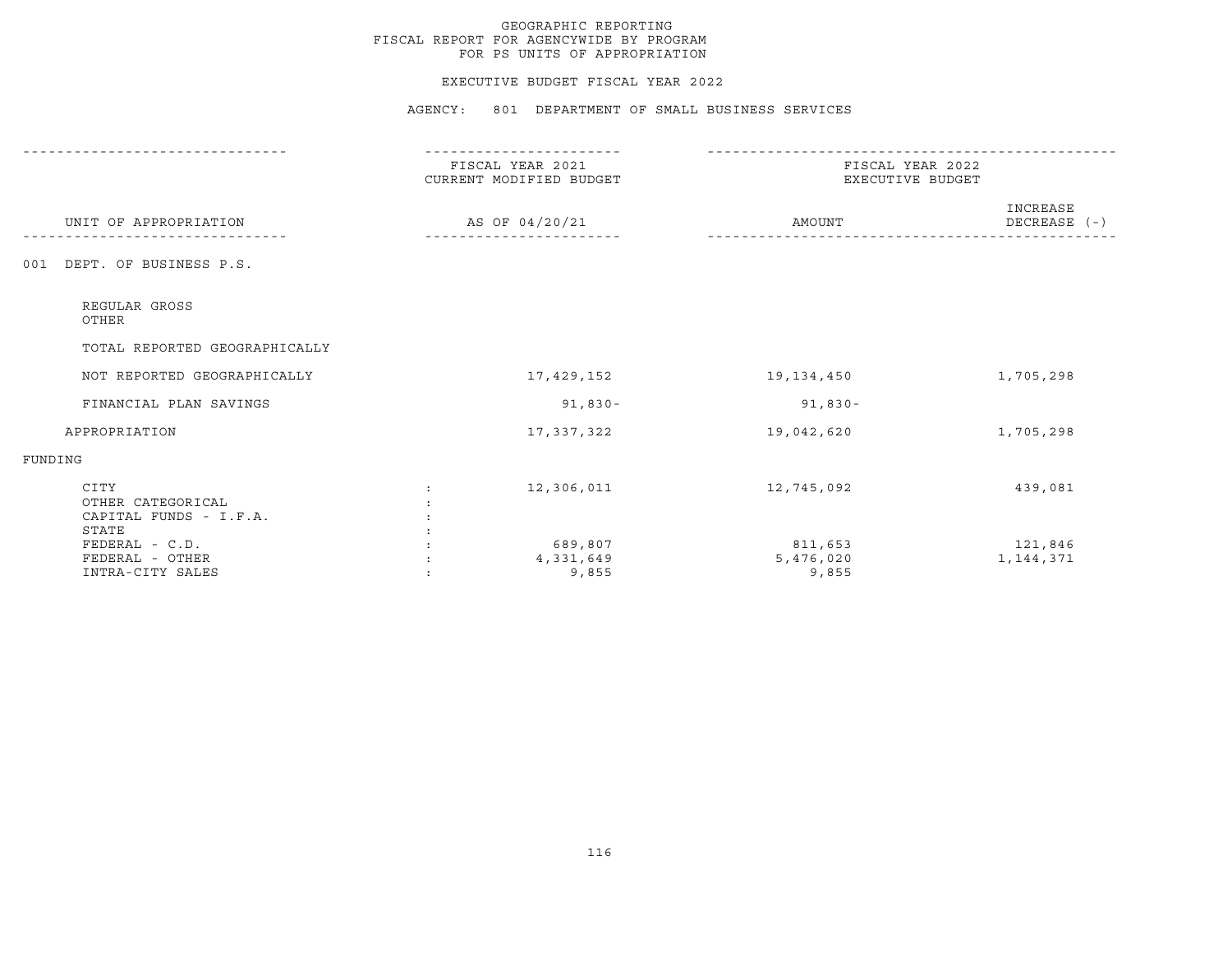#### EXECUTIVE BUDGET FISCAL YEAR 2022

|                                                              | FISCAL YEAR 2021<br>CURRENT MODIFIED BUDGET<br>AS OF 04/20/21 |                               | FISCAL YEAR 2022<br>EXECUTIVE BUDGET |                        |  |
|--------------------------------------------------------------|---------------------------------------------------------------|-------------------------------|--------------------------------------|------------------------|--|
| UNIT OF APPROPRIATION                                        |                                                               |                               | INCREASE<br>AMOUNT<br>DECREASE (-)   |                        |  |
| DEPT. OF BUSINESS P.S.<br>001                                |                                                               |                               |                                      |                        |  |
| REGULAR GROSS<br>OTHER                                       |                                                               |                               |                                      |                        |  |
| TOTAL REPORTED GEOGRAPHICALLY                                |                                                               |                               |                                      |                        |  |
| NOT REPORTED GEOGRAPHICALLY                                  | 17,429,152                                                    |                               | 19,134,450                           | 1,705,298              |  |
| FINANCIAL PLAN SAVINGS                                       |                                                               | $91,830-$                     | $91,830 -$                           |                        |  |
| APPROPRIATION                                                | 17,337,322                                                    |                               | 19,042,620                           | 1,705,298              |  |
| FUNDING                                                      |                                                               |                               |                                      |                        |  |
| CITY<br>OTHER CATEGORICAL<br>CAPITAL FUNDS - I.F.A.<br>STATE | 12,306,011                                                    |                               | 12,745,092                           | 439,081                |  |
| $FEDERAL - C.D.$<br>FEDERAL - OTHER<br>INTRA-CITY SALES      |                                                               | 689,807<br>4,331,649<br>9,855 | 811,653<br>5,476,020<br>9,855        | 121,846<br>1, 144, 371 |  |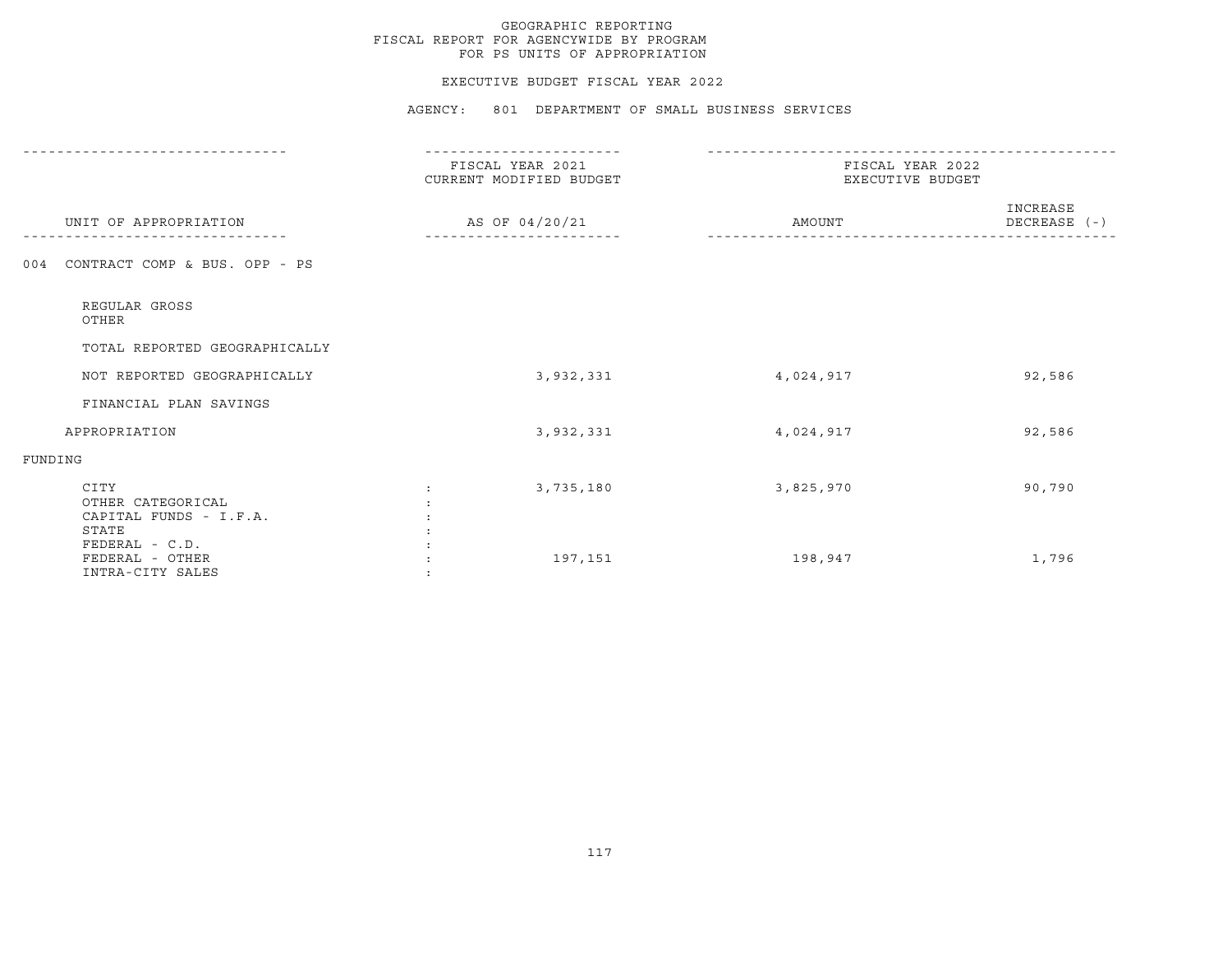#### EXECUTIVE BUDGET FISCAL YEAR 2022

|                                                              | FISCAL YEAR 2021<br>CURRENT MODIFIED BUDGET | FISCAL YEAR 2022<br>EXECUTIVE BUDGET |                          |  |
|--------------------------------------------------------------|---------------------------------------------|--------------------------------------|--------------------------|--|
| UNIT OF APPROPRIATION                                        | AS OF 04/20/21                              | AMOUNT                               | INCREASE<br>DECREASE (-) |  |
| CONTRACT COMP & BUS. OPP - PS<br>004                         |                                             |                                      |                          |  |
| REGULAR GROSS<br>OTHER                                       |                                             |                                      |                          |  |
| TOTAL REPORTED GEOGRAPHICALLY                                |                                             |                                      |                          |  |
| NOT REPORTED GEOGRAPHICALLY                                  | 3,932,331                                   | 4,024,917                            | 92,586                   |  |
| FINANCIAL PLAN SAVINGS                                       |                                             |                                      |                          |  |
| APPROPRIATION                                                | 3,932,331                                   | 4,024,917                            | 92,586                   |  |
| FUNDING                                                      |                                             |                                      |                          |  |
| CITY<br>OTHER CATEGORICAL<br>CAPITAL FUNDS - I.F.A.<br>STATE | 3,735,180                                   | 3,825,970                            | 90,790                   |  |
| FEDERAL - C.D.<br>FEDERAL - OTHER<br>INTRA-CITY SALES        | 197,151                                     | 198,947                              | 1,796                    |  |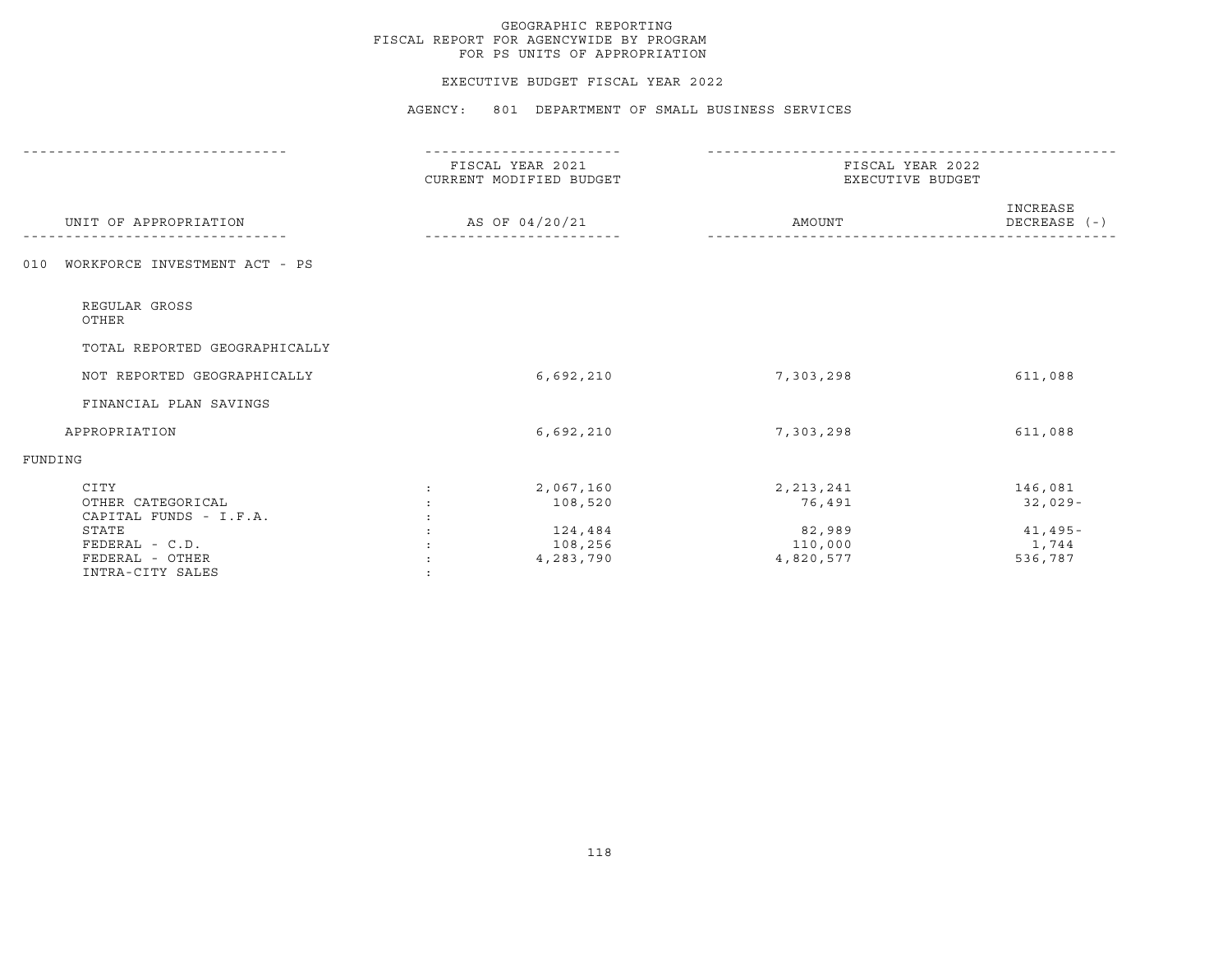#### EXECUTIVE BUDGET FISCAL YEAR 2022

|                                                     | FISCAL YEAR 2021<br>CURRENT MODIFIED BUDGET | FISCAL YEAR 2022<br>EXECUTIVE BUDGET |                          |  |
|-----------------------------------------------------|---------------------------------------------|--------------------------------------|--------------------------|--|
| UNIT OF APPROPRIATION                               | AS OF 04/20/21                              | AMOUNT                               | INCREASE<br>DECREASE (-) |  |
| WORKFORCE INVESTMENT ACT - PS<br>010                |                                             |                                      |                          |  |
| REGULAR GROSS<br>OTHER                              |                                             |                                      |                          |  |
| TOTAL REPORTED GEOGRAPHICALLY                       |                                             |                                      |                          |  |
| NOT REPORTED GEOGRAPHICALLY                         | 6,692,210                                   | 7,303,298                            | 611,088                  |  |
| FINANCIAL PLAN SAVINGS                              |                                             |                                      |                          |  |
| APPROPRIATION                                       | 6,692,210                                   | 7,303,298                            | 611,088                  |  |
| FUNDING                                             |                                             |                                      |                          |  |
| CITY<br>OTHER CATEGORICAL<br>CAPITAL FUNDS - I.F.A. | 2,067,160<br>108,520                        | 2, 213, 241<br>76,491                | 146,081<br>$32,029-$     |  |
| STATE<br>FEDERAL - C.D.                             | 124,484<br>108,256                          | 82,989<br>110,000                    | $41,495-$<br>1,744       |  |
| FEDERAL - OTHER<br>INTRA-CITY SALES                 | 4,283,790                                   | 4,820,577                            | 536,787                  |  |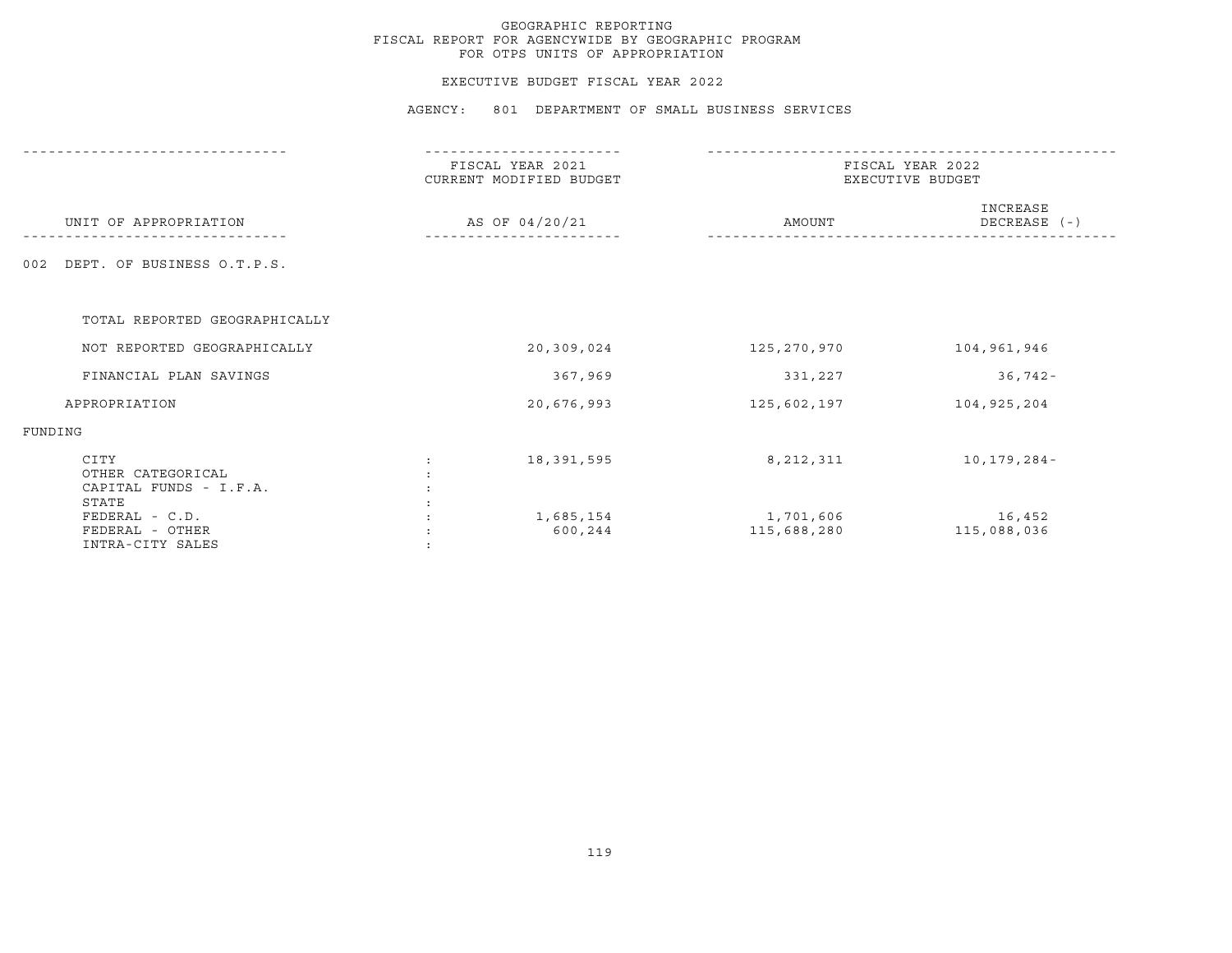#### EXECUTIVE BUDGET FISCAL YEAR 2022

|                                                              | FISCAL YEAR 2021<br>CURRENT MODIFIED BUDGET | FISCAL YEAR 2022<br>EXECUTIVE BUDGET |                          |  |
|--------------------------------------------------------------|---------------------------------------------|--------------------------------------|--------------------------|--|
| UNIT OF APPROPRIATION                                        | AS OF 04/20/21                              | AMOUNT                               | INCREASE<br>DECREASE (-) |  |
| DEPT. OF BUSINESS O.T.P.S.<br>002                            |                                             |                                      |                          |  |
| TOTAL REPORTED GEOGRAPHICALLY                                |                                             |                                      |                          |  |
| NOT REPORTED GEOGRAPHICALLY                                  | 20,309,024                                  | 125,270,970                          | 104,961,946              |  |
| FINANCIAL PLAN SAVINGS                                       | 367,969                                     | 331,227                              | $36,742-$                |  |
| APPROPRIATION                                                | 20,676,993                                  | 125,602,197                          | 104,925,204              |  |
| FUNDING                                                      |                                             |                                      |                          |  |
| CITY<br>OTHER CATEGORICAL<br>CAPITAL FUNDS - I.F.A.<br>STATE | 18,391,595                                  | 8,212,311                            | 10,179,284-              |  |
| FEDERAL - C.D.<br>FEDERAL - OTHER<br>INTRA-CITY SALES        | 1,685,154<br>600,244                        | 1,701,606<br>115,688,280             | 16,452<br>115,088,036    |  |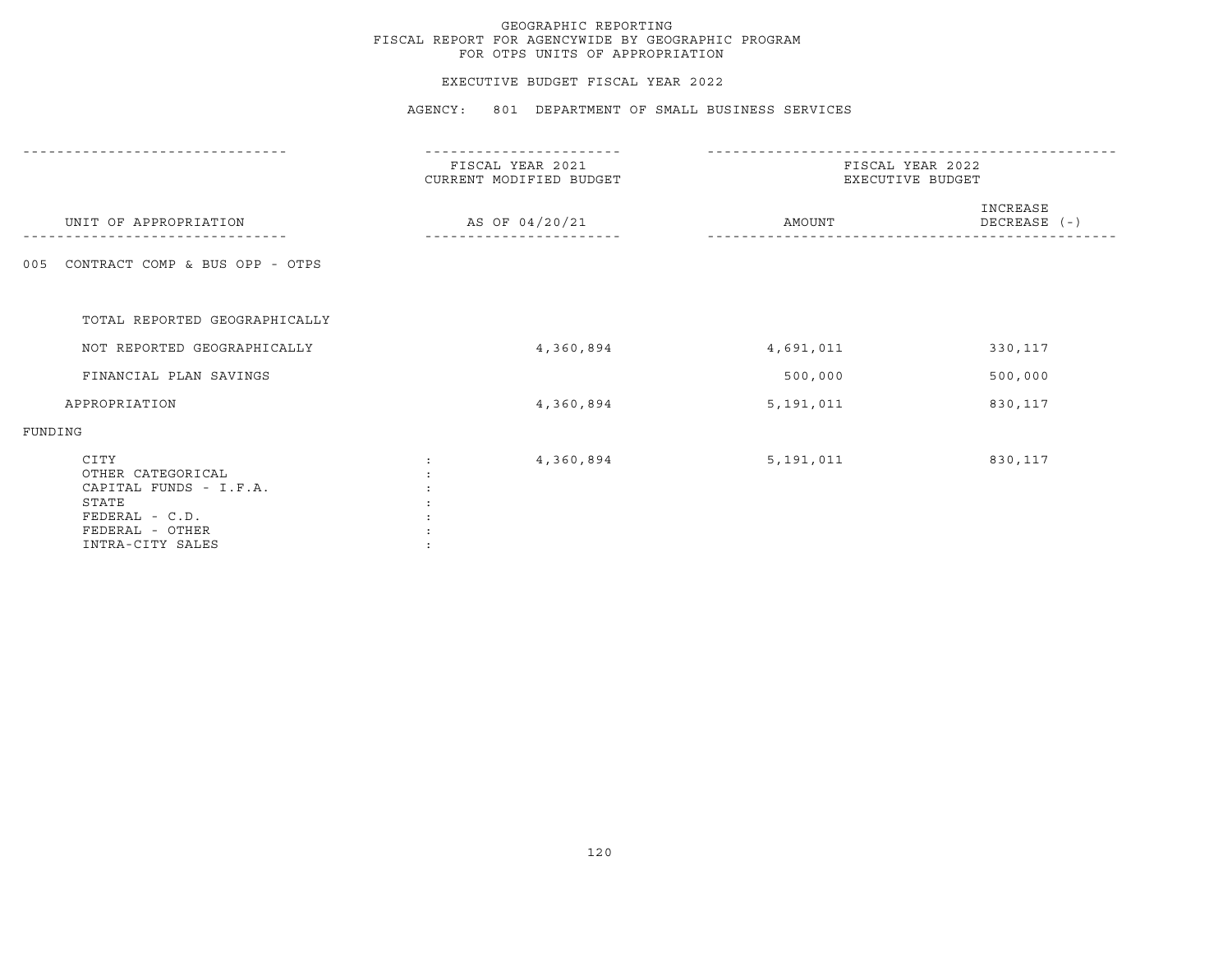#### EXECUTIVE BUDGET FISCAL YEAR 2022

|                                                                                                                       | FISCAL YEAR 2021<br>CURRENT MODIFIED BUDGET | FISCAL YEAR 2022<br>EXECUTIVE BUDGET |                          |  |
|-----------------------------------------------------------------------------------------------------------------------|---------------------------------------------|--------------------------------------|--------------------------|--|
| UNIT OF APPROPRIATION                                                                                                 | AS OF 04/20/21                              | AMOUNT                               | INCREASE<br>DECREASE (-) |  |
| CONTRACT COMP & BUS OPP - OTPS<br>005                                                                                 |                                             |                                      |                          |  |
| TOTAL REPORTED GEOGRAPHICALLY                                                                                         |                                             |                                      |                          |  |
| NOT REPORTED GEOGRAPHICALLY                                                                                           | 4,360,894                                   | 4,691,011                            | 330,117                  |  |
| FINANCIAL PLAN SAVINGS                                                                                                |                                             | 500,000                              | 500,000                  |  |
| APPROPRIATION                                                                                                         | 4,360,894                                   | 5,191,011                            | 830,117                  |  |
| FUNDING                                                                                                               |                                             |                                      |                          |  |
| CITY<br>OTHER CATEGORICAL<br>CAPITAL FUNDS - I.F.A.<br>STATE<br>FEDERAL - C.D.<br>FEDERAL - OTHER<br>INTRA-CITY SALES | 4,360,894                                   | 5,191,011                            | 830,117                  |  |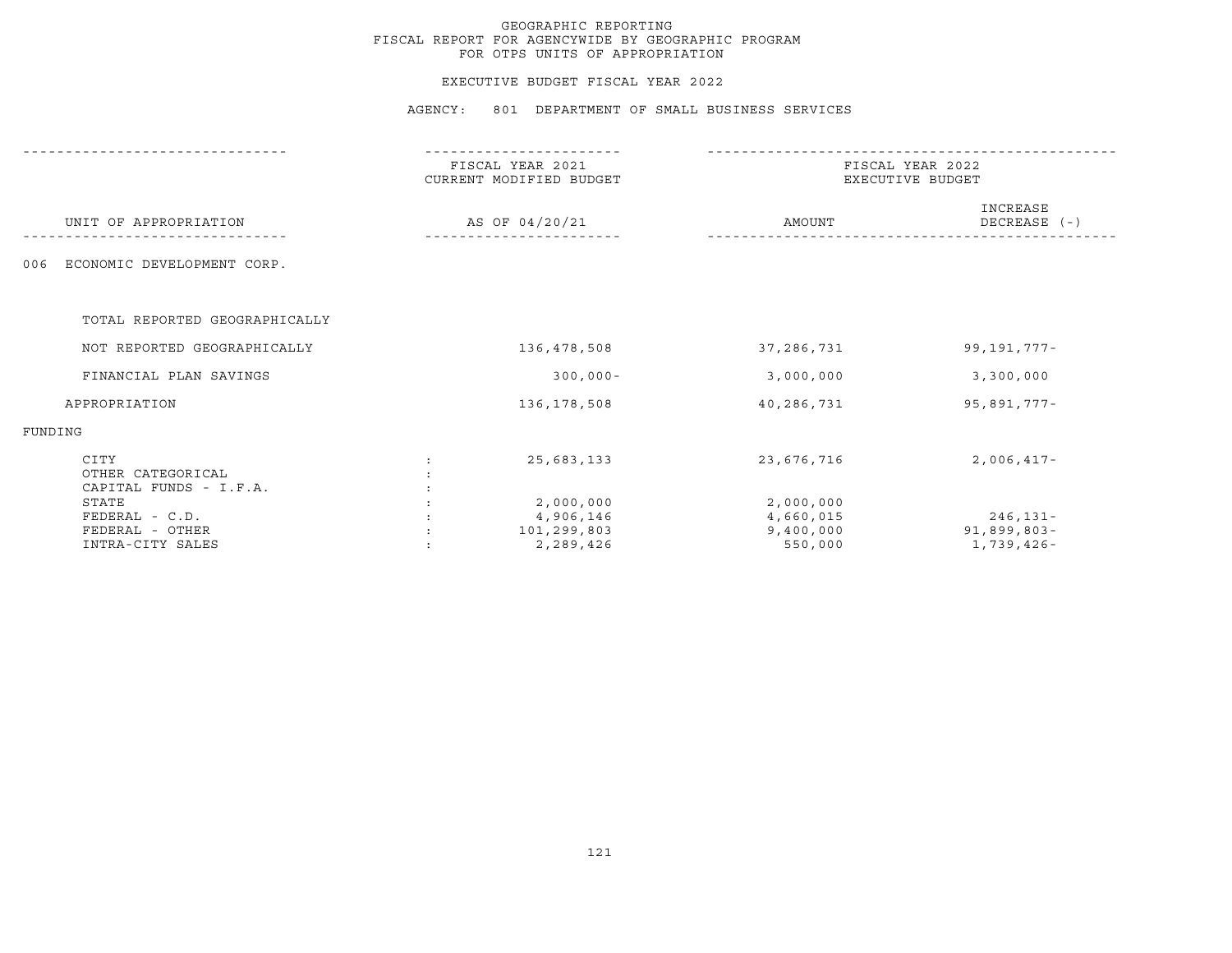#### EXECUTIVE BUDGET FISCAL YEAR 2022

|         |                                                                  | FISCAL YEAR 2021<br>CURRENT MODIFIED BUDGET |                                                    |                                                | FISCAL YEAR 2022<br>EXECUTIVE BUDGET      |  |  |
|---------|------------------------------------------------------------------|---------------------------------------------|----------------------------------------------------|------------------------------------------------|-------------------------------------------|--|--|
|         | UNIT OF APPROPRIATION                                            |                                             | AS OF 04/20/21                                     | AMOUNT                                         | INCREASE<br>DECREASE (-)                  |  |  |
| 006     | ECONOMIC DEVELOPMENT CORP.                                       |                                             |                                                    |                                                |                                           |  |  |
|         | TOTAL REPORTED GEOGRAPHICALLY                                    |                                             |                                                    |                                                |                                           |  |  |
|         | NOT REPORTED GEOGRAPHICALLY                                      |                                             | 136,478,508                                        | 37,286,731                                     | 99, 191, 777-                             |  |  |
|         | FINANCIAL PLAN SAVINGS                                           |                                             | $300,000 -$                                        | 3,000,000                                      | 3,300,000                                 |  |  |
|         | APPROPRIATION                                                    |                                             | 136,178,508                                        | 40,286,731                                     | 95,891,777-                               |  |  |
| FUNDING |                                                                  |                                             |                                                    |                                                |                                           |  |  |
|         | CITY<br>OTHER CATEGORICAL<br>CAPITAL FUNDS - I.F.A.              |                                             | 25,683,133                                         | 23,676,716                                     | $2,006,417-$                              |  |  |
|         | STATE<br>$FEDERAL - C.D.$<br>FEDERAL - OTHER<br>INTRA-CITY SALES |                                             | 2,000,000<br>4,906,146<br>101,299,803<br>2,289,426 | 2,000,000<br>4,660,015<br>9,400,000<br>550,000 | $246, 131 -$<br>91,899,803-<br>1,739,426- |  |  |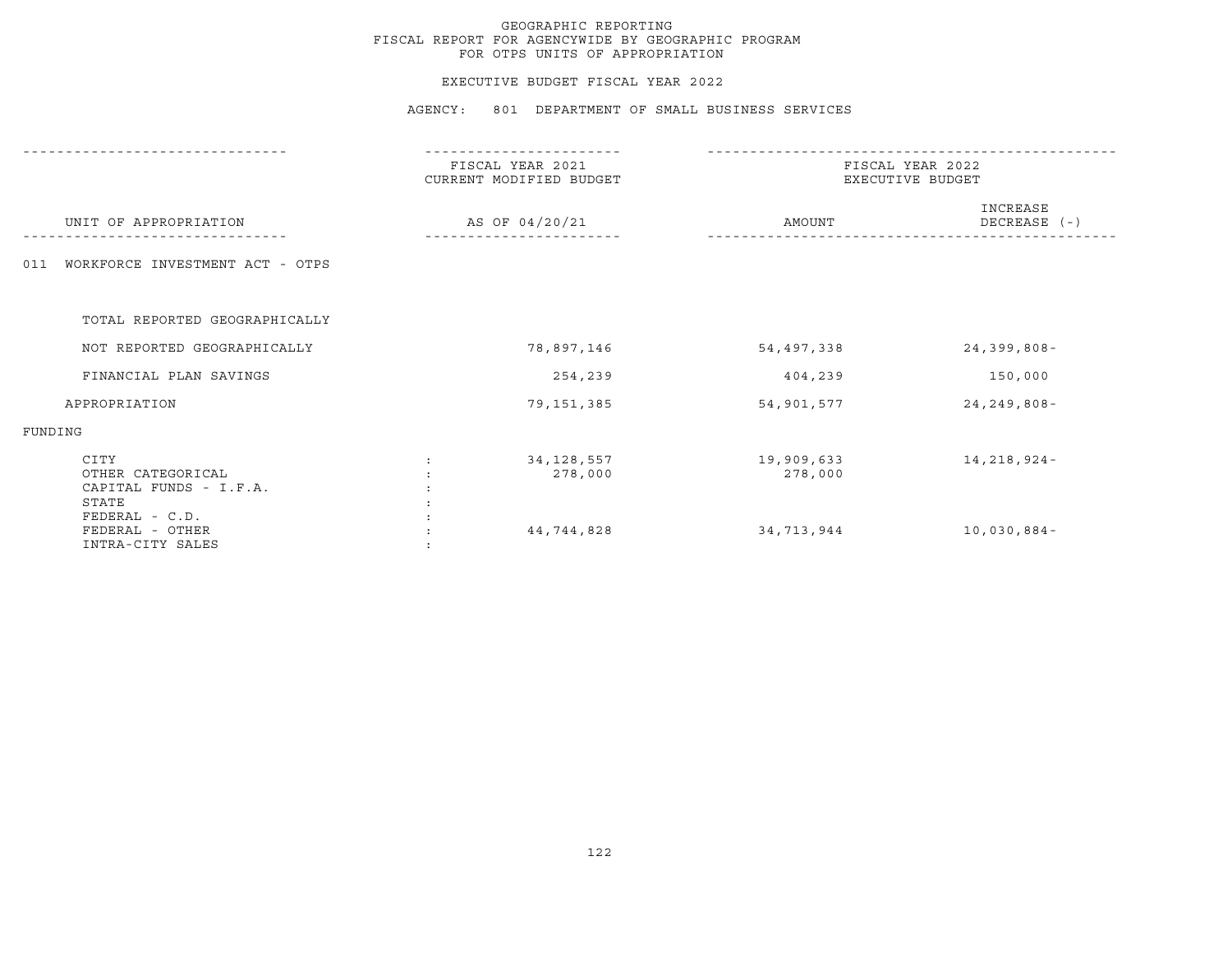#### EXECUTIVE BUDGET FISCAL YEAR 2022

|                                                              | FISCAL YEAR 2021<br>CURRENT MODIFIED BUDGET | FISCAL YEAR 2022<br>EXECUTIVE BUDGET |                          |  |
|--------------------------------------------------------------|---------------------------------------------|--------------------------------------|--------------------------|--|
| UNIT OF APPROPRIATION                                        | AS OF 04/20/21                              | AMOUNT                               | INCREASE<br>DECREASE (-) |  |
| WORKFORCE INVESTMENT ACT - OTPS<br>011                       |                                             |                                      |                          |  |
| TOTAL REPORTED GEOGRAPHICALLY                                |                                             |                                      |                          |  |
| NOT REPORTED GEOGRAPHICALLY                                  | 78,897,146                                  | 54,497,338                           | $24, 399, 808 -$         |  |
| FINANCIAL PLAN SAVINGS                                       | 254,239                                     | 404,239                              | 150,000                  |  |
| APPROPRIATION                                                | 79,151,385                                  | 54,901,577                           | $24, 249, 808 -$         |  |
| FUNDING                                                      |                                             |                                      |                          |  |
| CITY<br>OTHER CATEGORICAL<br>CAPITAL FUNDS - I.F.A.<br>STATE | 34, 128, 557<br>278,000                     | 19,909,633<br>278,000                | 14,218,924-              |  |
| FEDERAL - C.D.<br>FEDERAL - OTHER<br>INTRA-CITY SALES        | 44,744,828                                  | 34,713,944                           | $10,030,884-$            |  |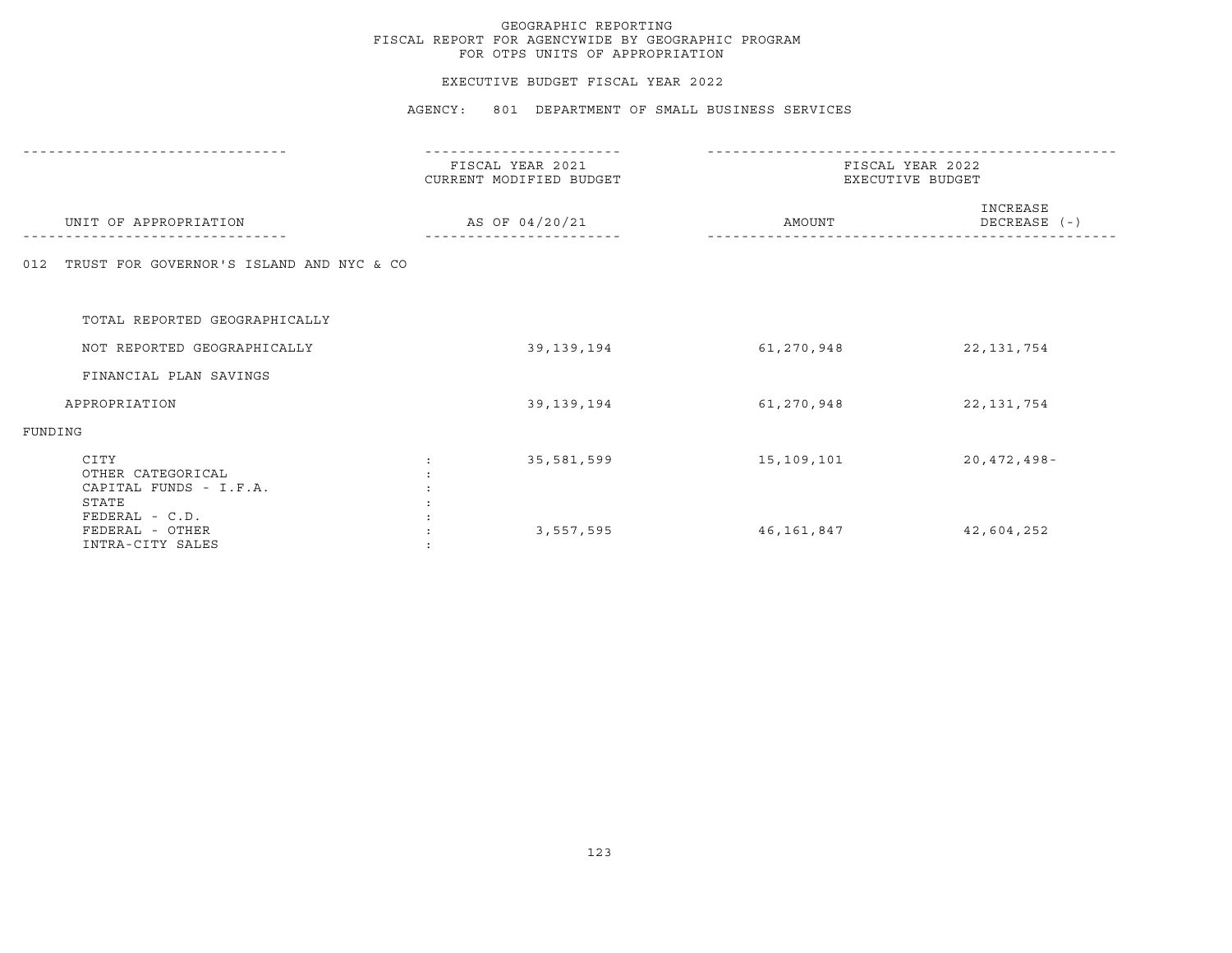#### EXECUTIVE BUDGET FISCAL YEAR 2022

|                                                              | FISCAL YEAR 2021<br>CURRENT MODIFIED BUDGET |            | FISCAL YEAR 2022<br>EXECUTIVE BUDGET |
|--------------------------------------------------------------|---------------------------------------------|------------|--------------------------------------|
| UNIT OF APPROPRIATION                                        | AS OF 04/20/21                              | AMOUNT     | INCREASE<br>DECREASE (-)             |
| TRUST FOR GOVERNOR'S ISLAND AND NYC & CO<br>012              |                                             |            |                                      |
| TOTAL REPORTED GEOGRAPHICALLY                                |                                             |            |                                      |
| NOT REPORTED GEOGRAPHICALLY                                  | 39,139,194                                  | 61,270,948 | 22, 131, 754                         |
| FINANCIAL PLAN SAVINGS                                       |                                             |            |                                      |
| APPROPRIATION                                                | 39, 139, 194                                | 61,270,948 | 22, 131, 754                         |
| FUNDING                                                      |                                             |            |                                      |
| CITY<br>OTHER CATEGORICAL<br>CAPITAL FUNDS - I.F.A.<br>STATE | 35,581,599                                  | 15,109,101 | $20,472,498-$                        |
| FEDERAL - C.D.<br>FEDERAL - OTHER<br>INTRA-CITY SALES        | 3,557,595                                   | 46,161,847 | 42,604,252                           |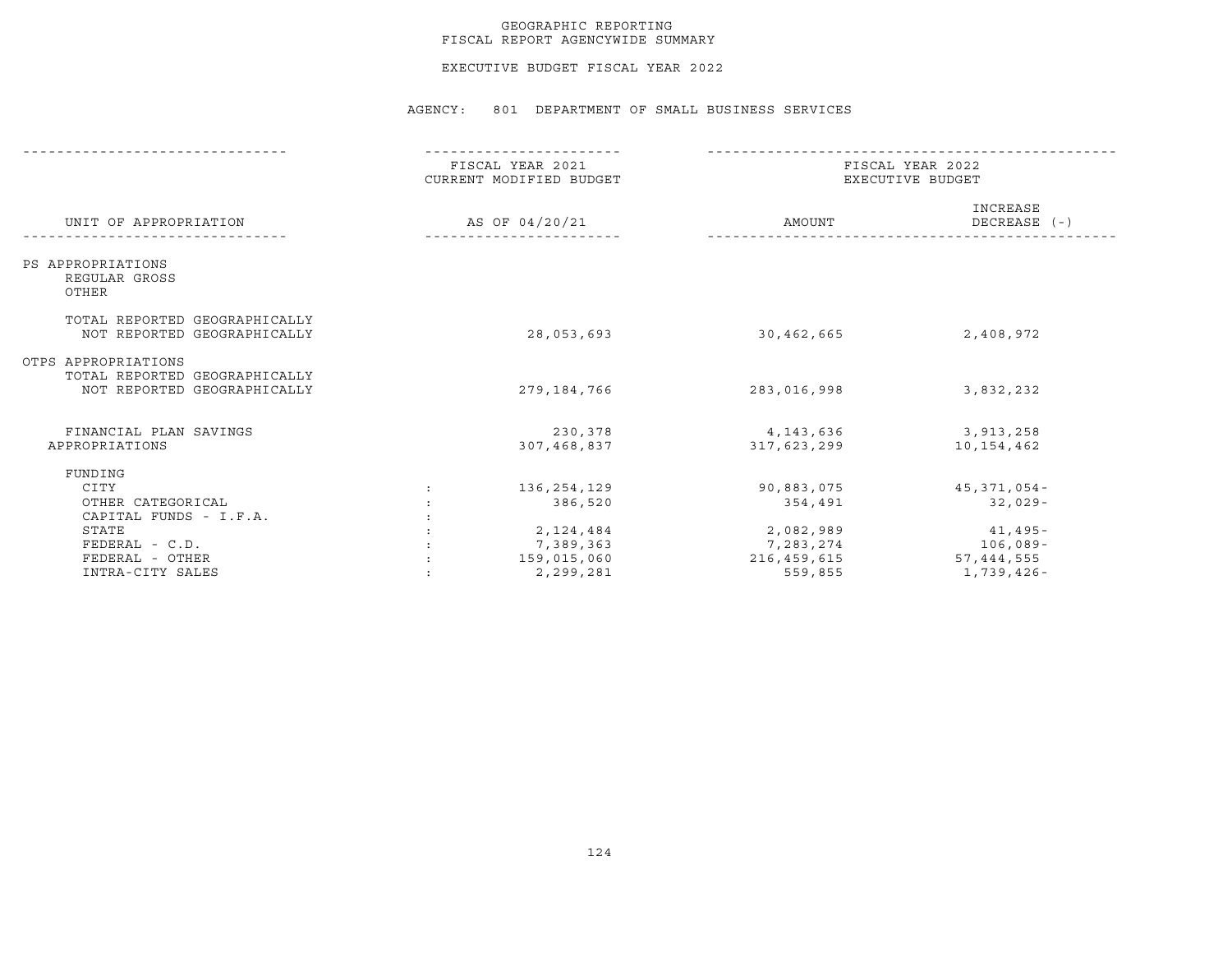#### GEOGRAPHIC REPORTING FISCAL REPORT AGENCYWIDE SUMMARY

EXECUTIVE BUDGET FISCAL YEAR 2022

|                                                                                     |                | FISCAL YEAR 2021<br>CURRENT MODIFIED BUDGET | FISCAL YEAR 2022<br>EXECUTIVE BUDGET  |                                       |  |
|-------------------------------------------------------------------------------------|----------------|---------------------------------------------|---------------------------------------|---------------------------------------|--|
| UNIT OF APPROPRIATION                                                               | AS OF 04/20/21 |                                             | AMOUNT                                | INCREASE<br>DECREASE (-)              |  |
| PS APPROPRIATIONS<br>REGULAR GROSS<br>OTHER                                         |                |                                             |                                       |                                       |  |
| TOTAL REPORTED GEOGRAPHICALLY<br>NOT REPORTED GEOGRAPHICALLY                        |                | 28,053,693                                  | 30,462,665                            | 2,408,972                             |  |
| OTPS APPROPRIATIONS<br>TOTAL REPORTED GEOGRAPHICALLY<br>NOT REPORTED GEOGRAPHICALLY |                | 279,184,766                                 | 283,016,998                           | 3,832,232                             |  |
| FINANCIAL PLAN SAVINGS<br>APPROPRIATIONS                                            |                | 230,378<br>307,468,837                      | 4,143,636<br>317,623,299              | 3,913,258<br>10,154,462               |  |
| FUNDING<br>CITY<br>OTHER CATEGORICAL                                                |                | 136,254,129<br>386,520                      | 90,883,075<br>354,491                 | 45,371,054-<br>$32,029-$              |  |
| CAPITAL FUNDS - I.F.A.<br>STATE<br>FEDERAL - C.D.<br>FEDERAL - OTHER                |                | 2,124,484<br>7,389,363<br>159,015,060       | 2,082,989<br>7,283,274<br>216,459,615 | $41,495-$<br>$106,089-$<br>57,444,555 |  |
| INTRA-CITY SALES                                                                    |                | 2,299,281                                   | 559,855                               | 1,739,426-                            |  |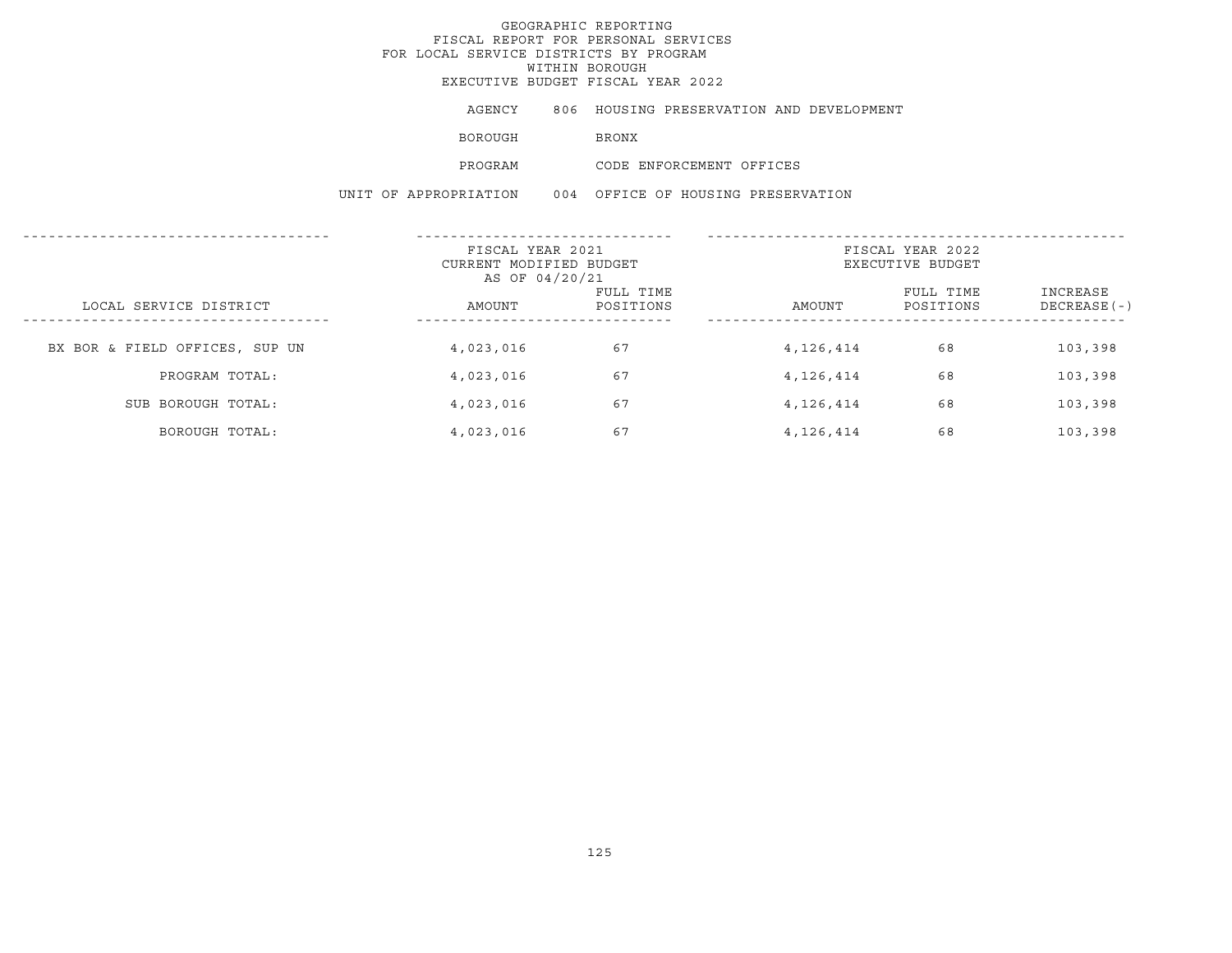## GEOGRAPHIC REPORTING FISCAL REPORT FOR PERSONAL SERVICES FOR LOCAL SERVICE DISTRICTS BY PROGRAM WITHIN BOROUGHEXECUTIVE BUDGET FISCAL YEAR 2022

| AGENCY  |              |                          |  | 806 HOUSING PRESERVATION AND DEVELOPMENT |
|---------|--------------|--------------------------|--|------------------------------------------|
| BOROUGH | <b>BRONX</b> |                          |  |                                          |
| PROGRAM |              | CODE ENFORCEMENT OFFICES |  |                                          |

|                                | FISCAL YEAR 2021<br>CURRENT MODIFIED BUDGET<br>AS OF 04/20/21 |                        | FISCAL YEAR 2022<br>EXECUTIVE BUDGET |                        |                           |
|--------------------------------|---------------------------------------------------------------|------------------------|--------------------------------------|------------------------|---------------------------|
| LOCAL SERVICE DISTRICT         | AMOUNT                                                        | FULL TIME<br>POSITIONS | AMOUNT                               | FULL TIME<br>POSITIONS | INCREASE<br>$DECREASE(-)$ |
| BX BOR & FIELD OFFICES, SUP UN | 4,023,016                                                     | 67                     | 4,126,414                            | 68                     | 103,398                   |
| PROGRAM TOTAL:                 | 4,023,016                                                     | 67                     | 4,126,414                            | 68                     | 103,398                   |
| SUB BOROUGH TOTAL:             | 4,023,016                                                     | 67                     | 4,126,414                            | 68                     | 103,398                   |
| BOROUGH TOTAL:                 | 4,023,016                                                     | 67                     | 4,126,414                            | 68                     | 103,398                   |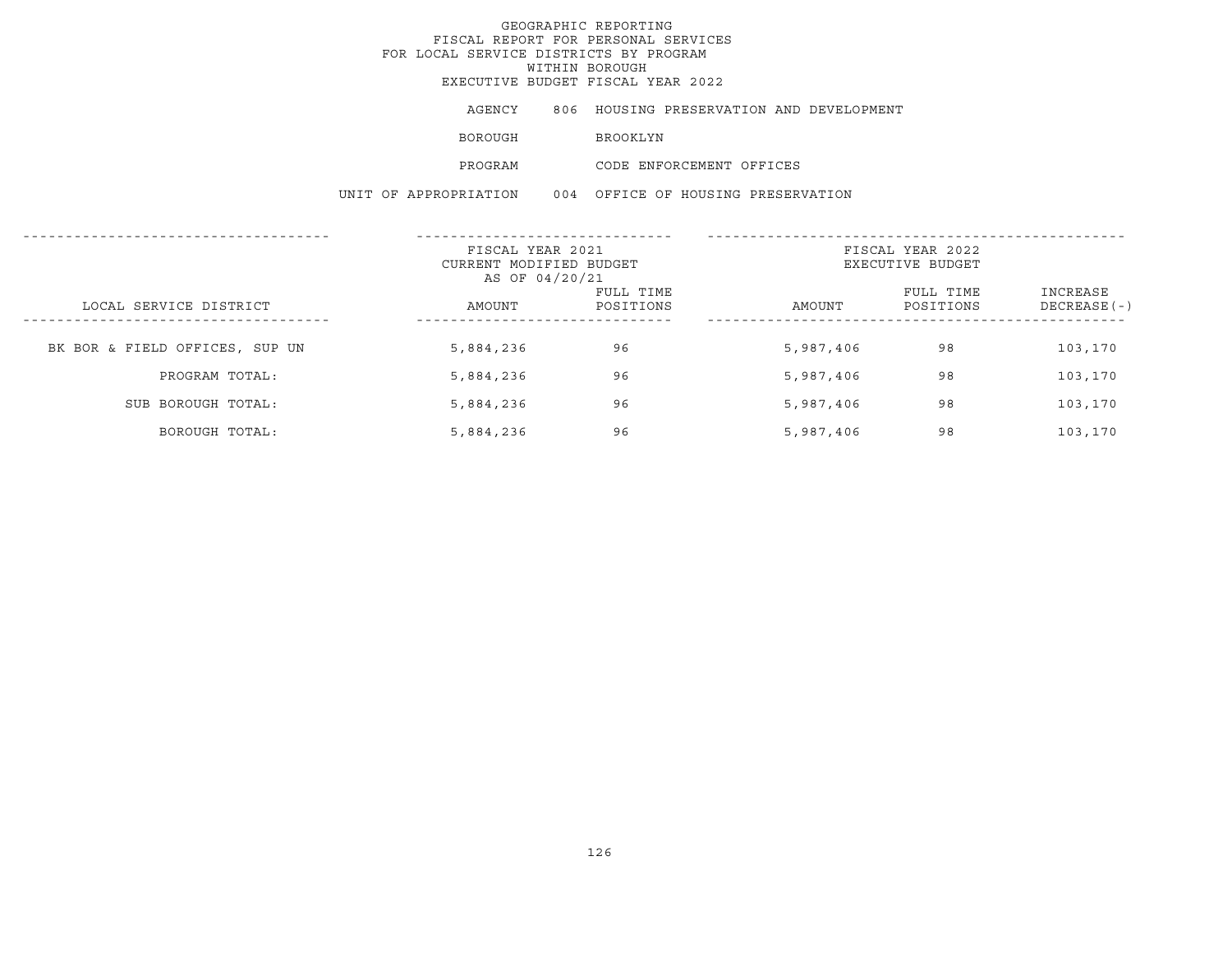EXECUTIVE BUDGET FISCAL YEAR 2022

AGENCY 806 HOUSING PRESERVATION AND DEVELOPMENT

BOROUGH BROOKLYN

PROGRAM CODE ENFORCEMENT OFFICES

|                                | FISCAL YEAR 2021<br>CURRENT MODIFIED BUDGET<br>AS OF 04/20/21 |                        | FISCAL YEAR 2022<br>EXECUTIVE BUDGET |                        |                           |
|--------------------------------|---------------------------------------------------------------|------------------------|--------------------------------------|------------------------|---------------------------|
| LOCAL SERVICE DISTRICT         | AMOUNT                                                        | FULL TIME<br>POSITIONS | AMOUNT                               | FULL TIME<br>POSITIONS | INCREASE<br>$DECREASE(-)$ |
| BK BOR & FIELD OFFICES, SUP UN | 5,884,236                                                     | 96                     | 5,987,406                            | 98                     | 103,170                   |
| PROGRAM TOTAL:                 | 5,884,236                                                     | 96                     | 5,987,406                            | 98                     | 103,170                   |
| SUB BOROUGH TOTAL:             | 5,884,236                                                     | 96                     | 5,987,406                            | 98                     | 103,170                   |
| BOROUGH TOTAL:                 | 5,884,236                                                     | 96                     | 5,987,406                            | 98                     | 103,170                   |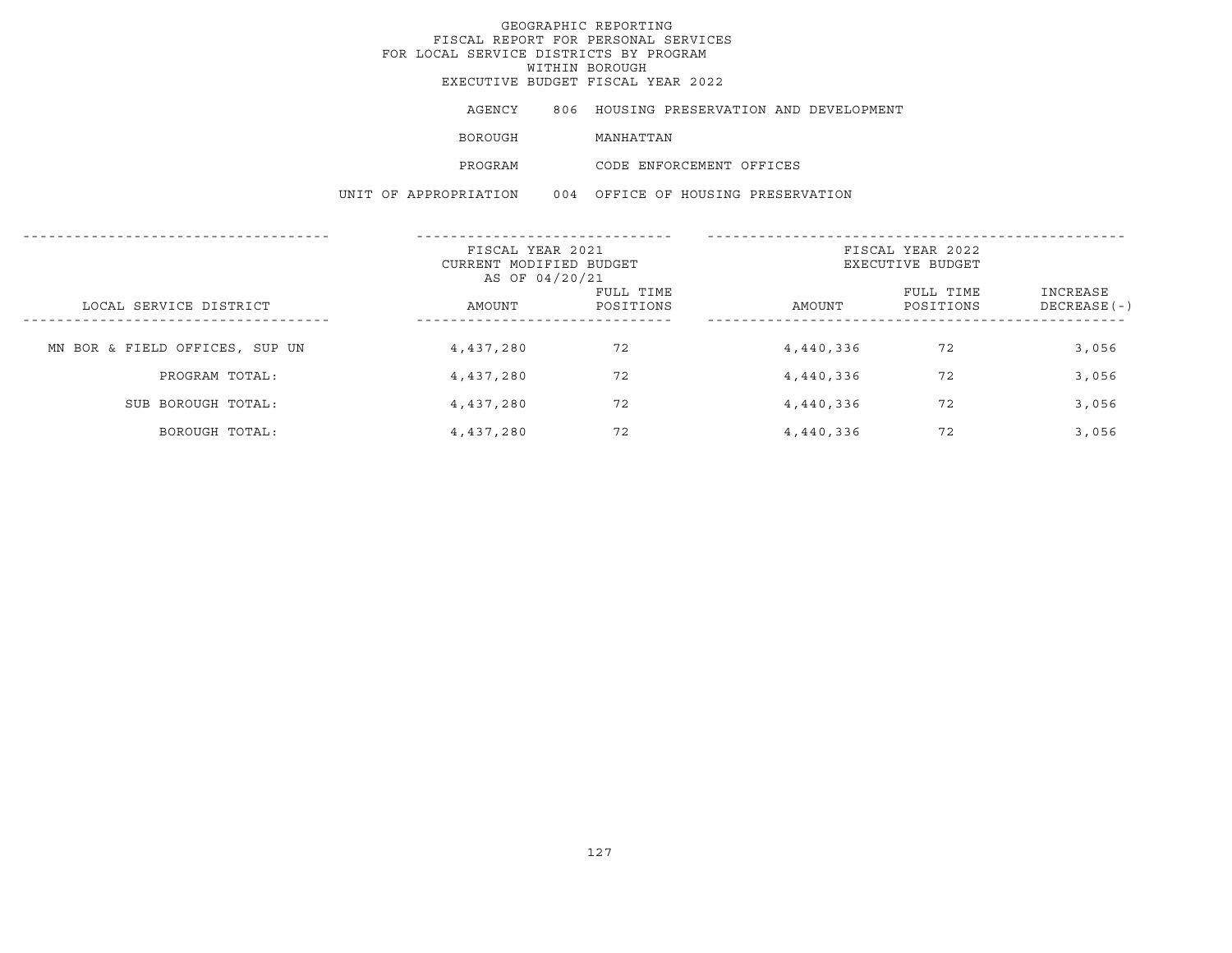EXECUTIVE BUDGET FISCAL YEAR 2022

AGENCY 806 HOUSING PRESERVATION AND DEVELOPMENT

BOROUGH MANHATTAN

PROGRAM CODE ENFORCEMENT OFFICES

|                                | FISCAL YEAR 2021<br>CURRENT MODIFIED BUDGET<br>AS OF 04/20/21 |                        | FISCAL YEAR 2022<br>EXECUTIVE BUDGET |                        |                           |  |
|--------------------------------|---------------------------------------------------------------|------------------------|--------------------------------------|------------------------|---------------------------|--|
| LOCAL SERVICE DISTRICT         | AMOUNT                                                        | FULL TIME<br>POSITIONS | AMOUNT                               | FULL TIME<br>POSITIONS | INCREASE<br>$DECREASE(-)$ |  |
| MN BOR & FIELD OFFICES, SUP UN | 4,437,280                                                     | 72                     | 4,440,336                            | 72                     | 3,056                     |  |
| PROGRAM TOTAL:                 | 4,437,280                                                     | 72                     | 4,440,336                            | 72                     | 3,056                     |  |
| SUB BOROUGH TOTAL:             | 4,437,280                                                     | 72                     | 4,440,336                            | 72                     | 3,056                     |  |
| BOROUGH TOTAL:                 | 4,437,280                                                     | 72                     | 4,440,336                            | 72                     | 3,056                     |  |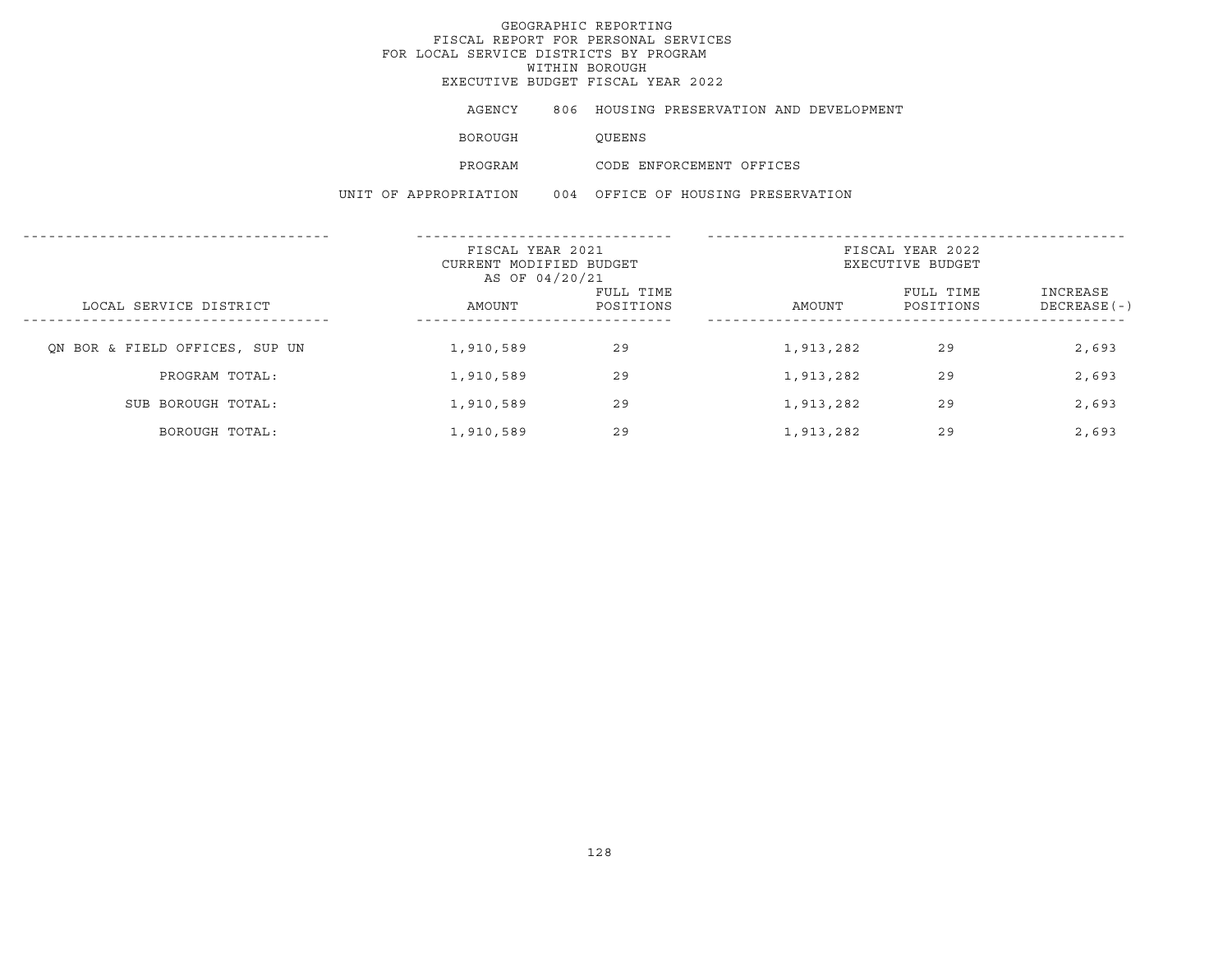EXECUTIVE BUDGET FISCAL YEAR 2022

AGENCY 806 HOUSING PRESERVATION AND DEVELOPMENT

BOROUGH QUEENS

PROGRAM CODE ENFORCEMENT OFFICES

|                                                  | FISCAL YEAR 2021<br>CURRENT MODIFIED BUDGET<br>AS OF 04/20/21 |                        | FISCAL YEAR 2022<br>EXECUTIVE BUDGET |                        |                           |  |
|--------------------------------------------------|---------------------------------------------------------------|------------------------|--------------------------------------|------------------------|---------------------------|--|
| LOCAL SERVICE DISTRICT<br>---------------------- | AMOUNT                                                        | FULL TIME<br>POSITIONS | AMOUNT                               | FULL TIME<br>POSITIONS | INCREASE<br>$DECREASE(-)$ |  |
| ON BOR & FIELD OFFICES, SUP UN                   | 1,910,589                                                     | 29                     | 1,913,282                            | 29                     | 2,693                     |  |
| PROGRAM TOTAL:                                   | 1,910,589                                                     | 29                     | 1,913,282                            | 29                     | 2,693                     |  |
| SUB BOROUGH TOTAL:                               | 1,910,589                                                     | 29                     | 1,913,282                            | 29                     | 2,693                     |  |
| BOROUGH TOTAL:                                   | 1,910,589                                                     | 29                     | 1,913,282                            | 29                     | 2,693                     |  |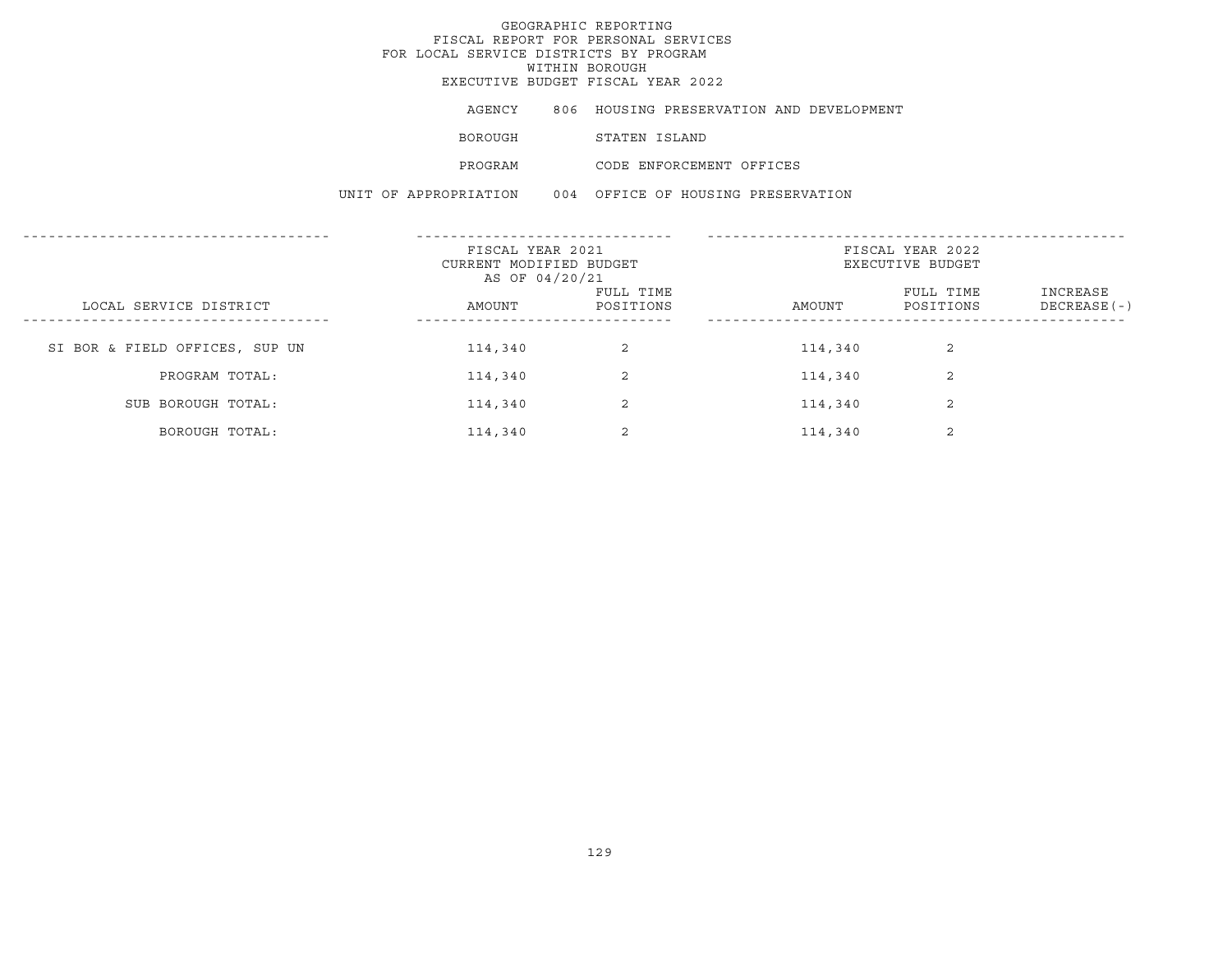## GEOGRAPHIC REPORTING FISCAL REPORT FOR PERSONAL SERVICES FOR LOCAL SERVICE DISTRICTS BY PROGRAM WITHIN BOROUGHEXECUTIVE BUDGET FISCAL YEAR 2022

| AGENCY                | 806 HOUSING PRESERVATION AND DEVELOPMENT |
|-----------------------|------------------------------------------|
| BOROUGH               | STATEN ISLAND                            |
| PROGRAM               | CODE ENFORCEMENT OFFICES                 |
| UNIT OF APPROPRIATION | 004 OFFICE OF HOUSING PRESERVATION       |

|                                | FISCAL YEAR 2021<br>CURRENT MODIFIED BUDGET<br>AS OF 04/20/21 |                        | FISCAL YEAR 2022<br>EXECUTIVE BUDGET |                        |                           |  |
|--------------------------------|---------------------------------------------------------------|------------------------|--------------------------------------|------------------------|---------------------------|--|
| LOCAL SERVICE DISTRICT         | AMOUNT                                                        | FULL TIME<br>POSITIONS | AMOUNT                               | FULL TIME<br>POSITIONS | INCREASE<br>$DECREASE(-)$ |  |
| SI BOR & FIELD OFFICES, SUP UN | 114,340                                                       | 2                      | 114,340                              | 2                      |                           |  |
| PROGRAM TOTAL:                 | 114,340                                                       | 2                      | 114,340                              | 2                      |                           |  |
| SUB BOROUGH TOTAL:             | 114,340                                                       | 2                      | 114,340                              | 2                      |                           |  |
| BOROUGH TOTAL:                 | 114,340                                                       | 2                      | 114,340                              | $\sim$                 |                           |  |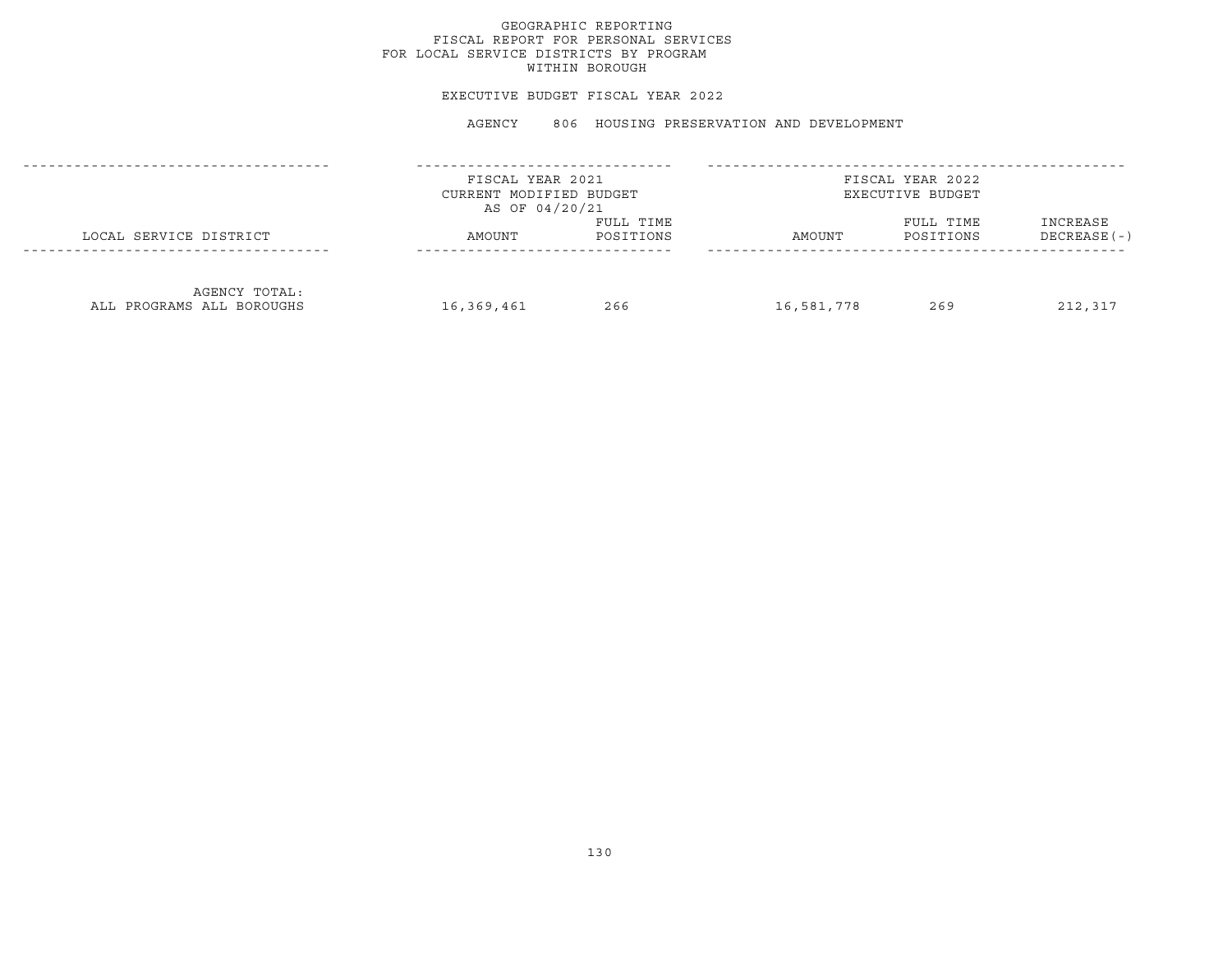#### EXECUTIVE BUDGET FISCAL YEAR 2022

|                                            | FISCAL YEAR 2021<br>CURRENT MODIFIED BUDGET<br>AS OF 04/20/21 |                        |            | FISCAL YEAR 2022<br>EXECUTIVE BUDGET |                           |
|--------------------------------------------|---------------------------------------------------------------|------------------------|------------|--------------------------------------|---------------------------|
| LOCAL SERVICE DISTRICT                     | AMOUNT                                                        | FULL TIME<br>POSITIONS | AMOUNT     | FULL TIME<br>POSITIONS               | INCREASE<br>$DECREASE(-)$ |
| AGENCY TOTAL:<br>ALL PROGRAMS ALL BOROUGHS | 16,369,461                                                    | 266                    | 16,581,778 | 269                                  | 212,317                   |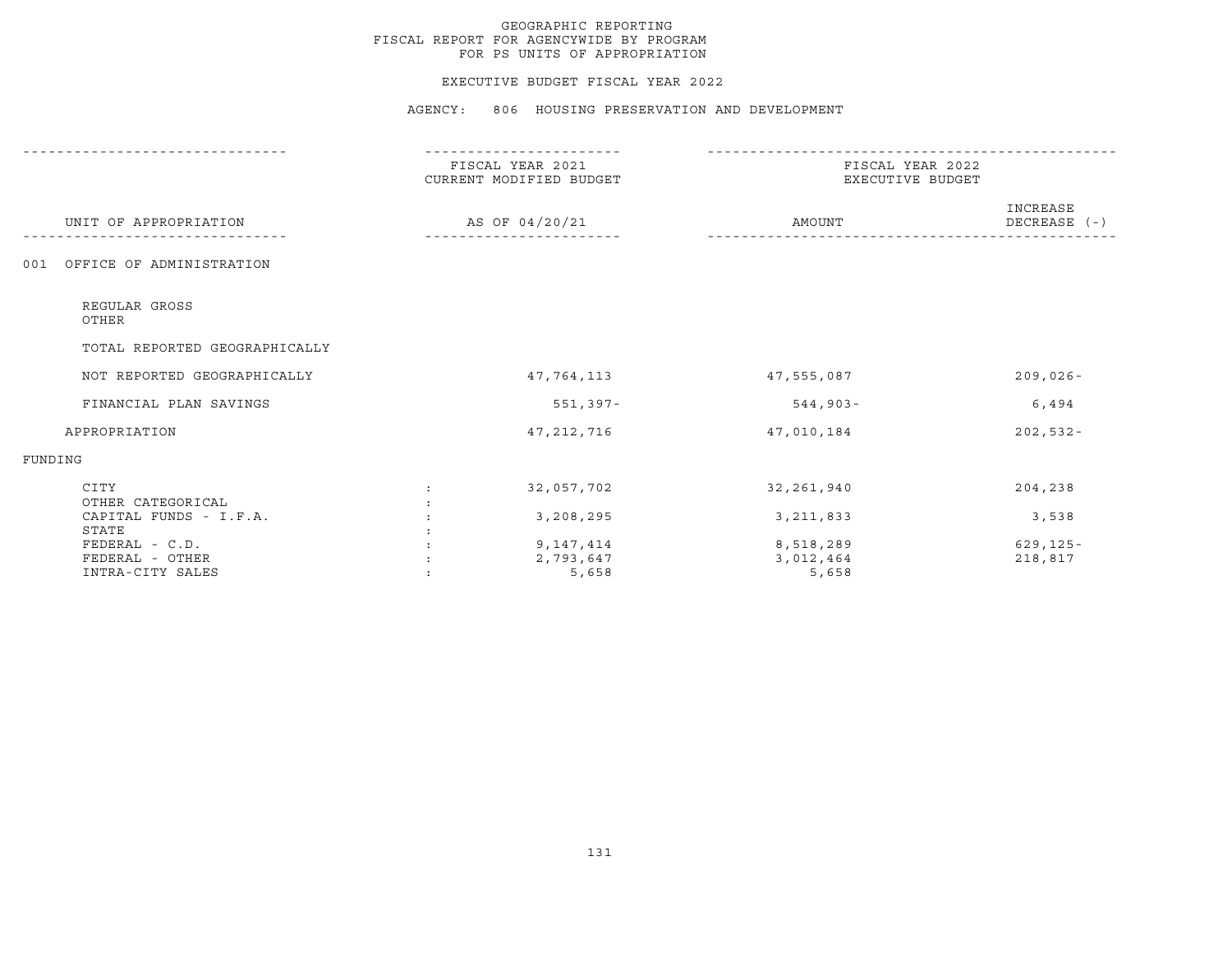#### EXECUTIVE BUDGET FISCAL YEAR 2022

|                                 |                      | FISCAL YEAR 2021<br>CURRENT MODIFIED BUDGET |             | FISCAL YEAR 2022<br>EXECUTIVE BUDGET |  |  |
|---------------------------------|----------------------|---------------------------------------------|-------------|--------------------------------------|--|--|
| UNIT OF APPROPRIATION           |                      | AS OF 04/20/21                              | AMOUNT      | INCREASE<br>DECREASE (-)             |  |  |
| OFFICE OF ADMINISTRATION<br>001 |                      |                                             |             |                                      |  |  |
| REGULAR GROSS<br>OTHER          |                      |                                             |             |                                      |  |  |
| TOTAL REPORTED GEOGRAPHICALLY   |                      |                                             |             |                                      |  |  |
| NOT REPORTED GEOGRAPHICALLY     |                      | 47,764,113                                  | 47,555,087  | $209,026 -$                          |  |  |
| FINANCIAL PLAN SAVINGS          |                      | $551, 397 -$                                | $544,903-$  | 6,494                                |  |  |
| APPROPRIATION                   |                      | 47, 212, 716                                | 47,010,184  | $202,532 -$                          |  |  |
| FUNDING                         |                      |                                             |             |                                      |  |  |
| CITY<br>OTHER CATEGORICAL       | $\ddot{\phantom{a}}$ | 32,057,702                                  | 32,261,940  | 204,238                              |  |  |
| CAPITAL FUNDS - I.F.A.          |                      | 3,208,295                                   | 3, 211, 833 | 3,538                                |  |  |
| STATE                           |                      |                                             |             |                                      |  |  |
| FEDERAL - C.D.                  |                      | 9,147,414                                   | 8,518,289   | $629, 125 -$                         |  |  |
| FEDERAL - OTHER                 |                      | 2,793,647                                   | 3,012,464   | 218,817                              |  |  |
| INTRA-CITY SALES                |                      | 5,658                                       | 5,658       |                                      |  |  |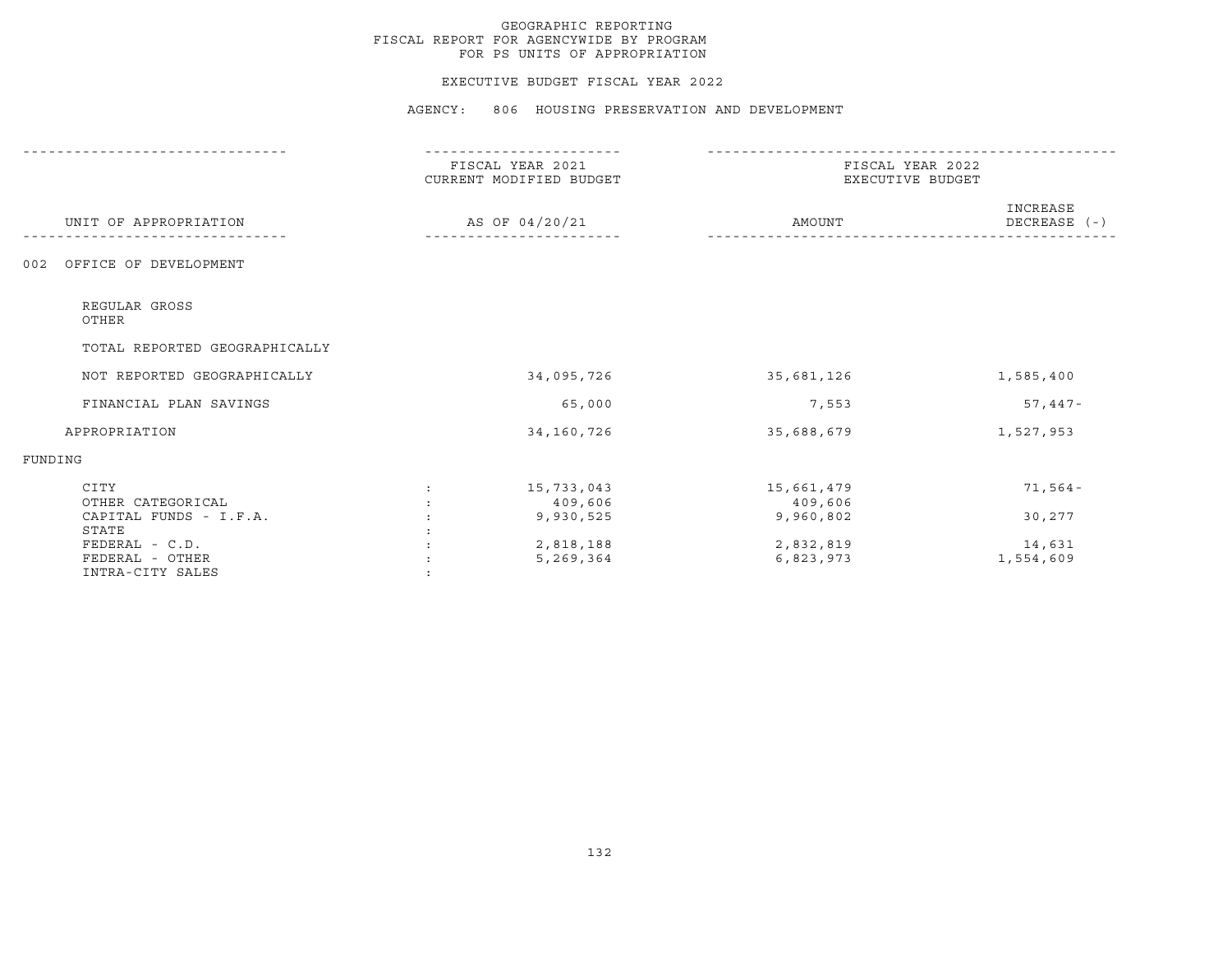#### EXECUTIVE BUDGET FISCAL YEAR 2022

|                                                                  | FISCAL YEAR 2021<br>CURRENT MODIFIED BUDGET   | FISCAL YEAR 2022<br>EXECUTIVE BUDGET |                            |  |
|------------------------------------------------------------------|-----------------------------------------------|--------------------------------------|----------------------------|--|
| UNIT OF APPROPRIATION                                            | AS OF 04/20/21                                | AMOUNT                               | INCREASE<br>DECREASE $(-)$ |  |
| OFFICE OF DEVELOPMENT<br>0 <sub>0.2</sub>                        |                                               |                                      |                            |  |
| REGULAR GROSS<br>OTHER                                           |                                               |                                      |                            |  |
| TOTAL REPORTED GEOGRAPHICALLY                                    |                                               |                                      |                            |  |
| NOT REPORTED GEOGRAPHICALLY                                      | 34,095,726                                    | 35,681,126                           | 1,585,400                  |  |
| FINANCIAL PLAN SAVINGS                                           | 65,000                                        | 7,553                                | $57,447-$                  |  |
| APPROPRIATION                                                    | 34,160,726                                    | 35,688,679                           | 1,527,953                  |  |
| FUNDING                                                          |                                               |                                      |                            |  |
| CITY<br>OTHER CATEGORICAL                                        | 15,733,043<br>$\ddot{\phantom{a}}$<br>409,606 | 15,661,479<br>409,606                | $71, 564 -$                |  |
| CAPITAL FUNDS - I.F.A.                                           | 9,930,525                                     | 9,960,802                            | 30,277                     |  |
| STATE<br>$FEDERAL - C.D.$<br>FEDERAL - OTHER<br>INTRA-CITY SALES | 2,818,188<br>5,269,364                        | 2,832,819<br>6,823,973               | 14,631<br>1,554,609        |  |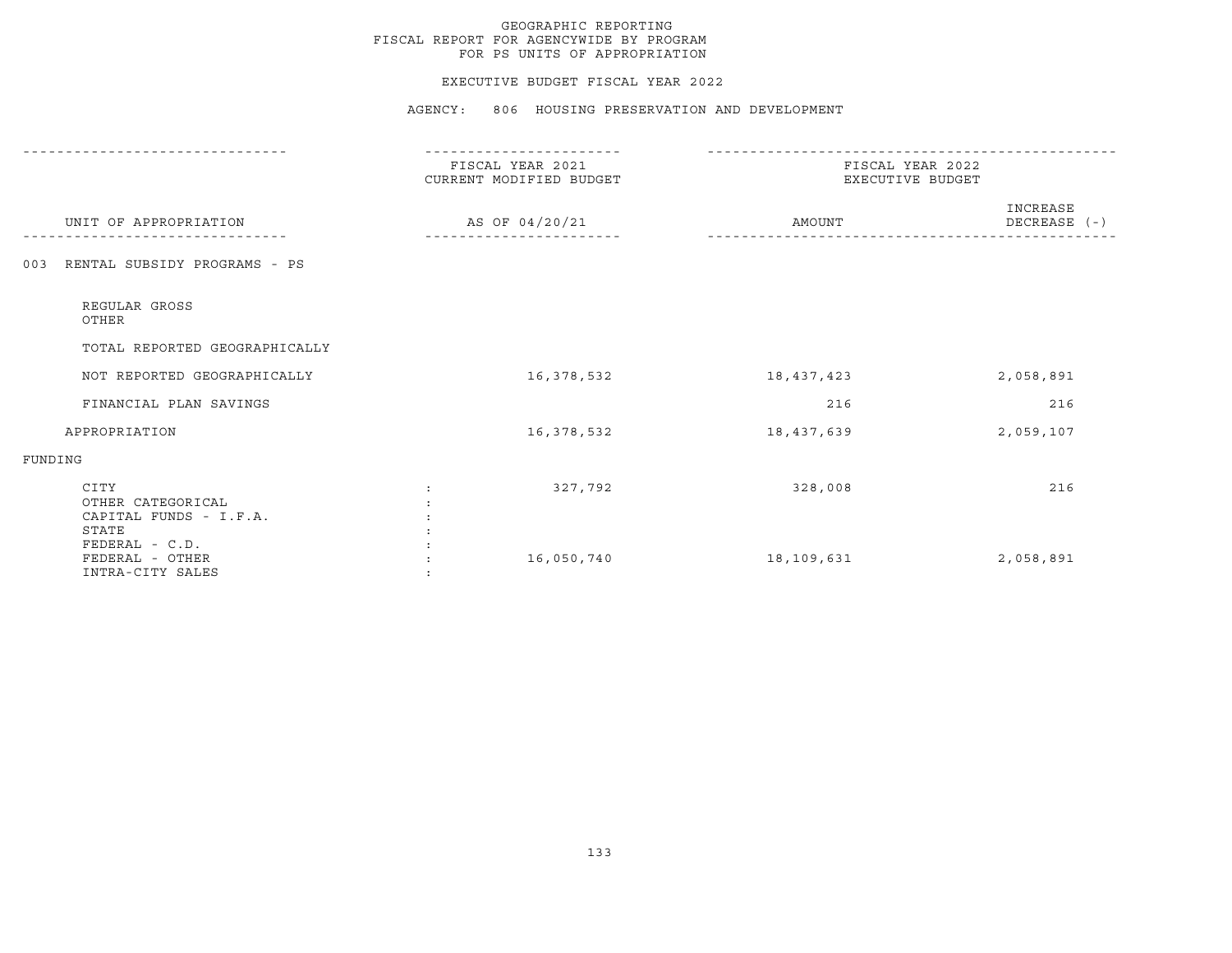#### EXECUTIVE BUDGET FISCAL YEAR 2022

|                                                              | FISCAL YEAR 2021<br>CURRENT MODIFIED BUDGET | FISCAL YEAR 2022<br>EXECUTIVE BUDGET |                          |
|--------------------------------------------------------------|---------------------------------------------|--------------------------------------|--------------------------|
| UNIT OF APPROPRIATION                                        | AS OF 04/20/21                              | AMOUNT                               | INCREASE<br>DECREASE (-) |
| RENTAL SUBSIDY PROGRAMS - PS<br>003                          |                                             |                                      |                          |
| REGULAR GROSS<br>OTHER                                       |                                             |                                      |                          |
| TOTAL REPORTED GEOGRAPHICALLY                                |                                             |                                      |                          |
| NOT REPORTED GEOGRAPHICALLY                                  | 16,378,532                                  | 18,437,423                           | 2,058,891                |
| FINANCIAL PLAN SAVINGS                                       |                                             | 216                                  | 216                      |
| APPROPRIATION                                                | 16,378,532                                  | 18,437,639                           | 2,059,107                |
| FUNDING                                                      |                                             |                                      |                          |
| CITY<br>OTHER CATEGORICAL<br>CAPITAL FUNDS - I.F.A.<br>STATE | 327,792                                     | 328,008                              | 216                      |
| FEDERAL - C.D.<br>FEDERAL - OTHER<br>INTRA-CITY SALES        | 16,050,740                                  | 18,109,631                           | 2,058,891                |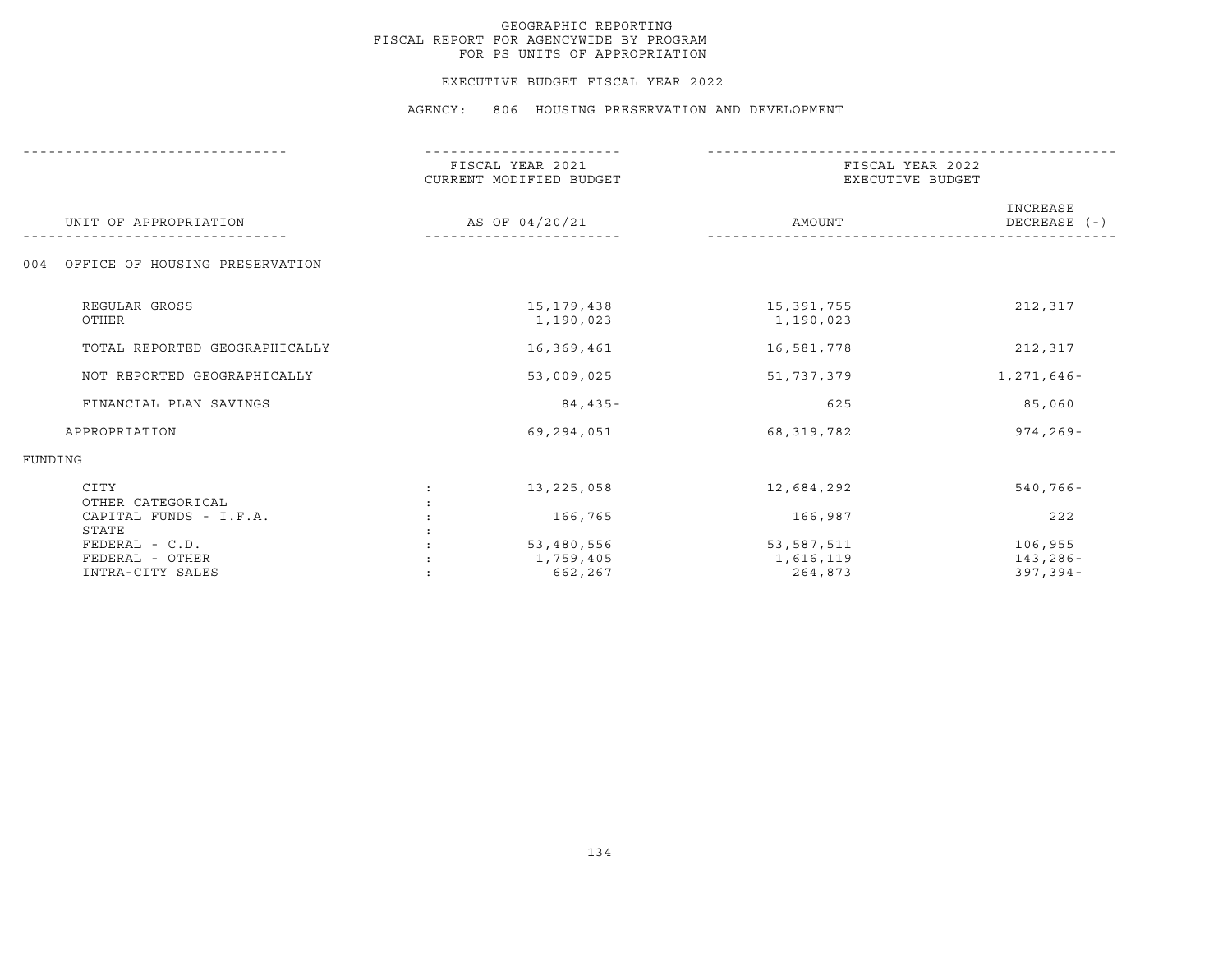#### EXECUTIVE BUDGET FISCAL YEAR 2022

|                                       | FISCAL YEAR 2021<br>CURRENT MODIFIED BUDGET<br>AS OF 04/20/21 |                           | FISCAL YEAR 2022<br>EXECUTIVE BUDGET |                          |  |
|---------------------------------------|---------------------------------------------------------------|---------------------------|--------------------------------------|--------------------------|--|
| UNIT OF APPROPRIATION                 |                                                               |                           | AMOUNT                               | INCREASE<br>DECREASE (-) |  |
| OFFICE OF HOUSING PRESERVATION<br>004 |                                                               |                           |                                      |                          |  |
| REGULAR GROSS<br>OTHER                |                                                               | 15, 179, 438<br>1,190,023 | 15,391,755<br>1,190,023              | 212,317                  |  |
| TOTAL REPORTED GEOGRAPHICALLY         |                                                               | 16,369,461                | 16,581,778                           | 212,317                  |  |
| NOT REPORTED GEOGRAPHICALLY           |                                                               | 53,009,025                | 51,737,379                           | 1,271,646-               |  |
| FINANCIAL PLAN SAVINGS                |                                                               | $84,435-$                 | 625                                  | 85,060                   |  |
| APPROPRIATION                         |                                                               | 69,294,051                | 68,319,782                           | $974, 269 -$             |  |
| FUNDING                               |                                                               |                           |                                      |                          |  |
| CITY<br>OTHER CATEGORICAL             | $\ddot{\cdot}$                                                | 13,225,058                | 12,684,292                           | $540,766 -$              |  |
| CAPITAL FUNDS - I.F.A.<br>STATE       |                                                               | 166,765                   | 166,987                              | 222                      |  |
| FEDERAL - C.D.                        |                                                               | 53,480,556                | 53,587,511                           | 106,955                  |  |
| FEDERAL - OTHER                       |                                                               | 1,759,405                 | 1,616,119                            | 143,286-                 |  |
| INTRA-CITY SALES                      |                                                               | 662,267                   | 264,873                              | $397, 394 -$             |  |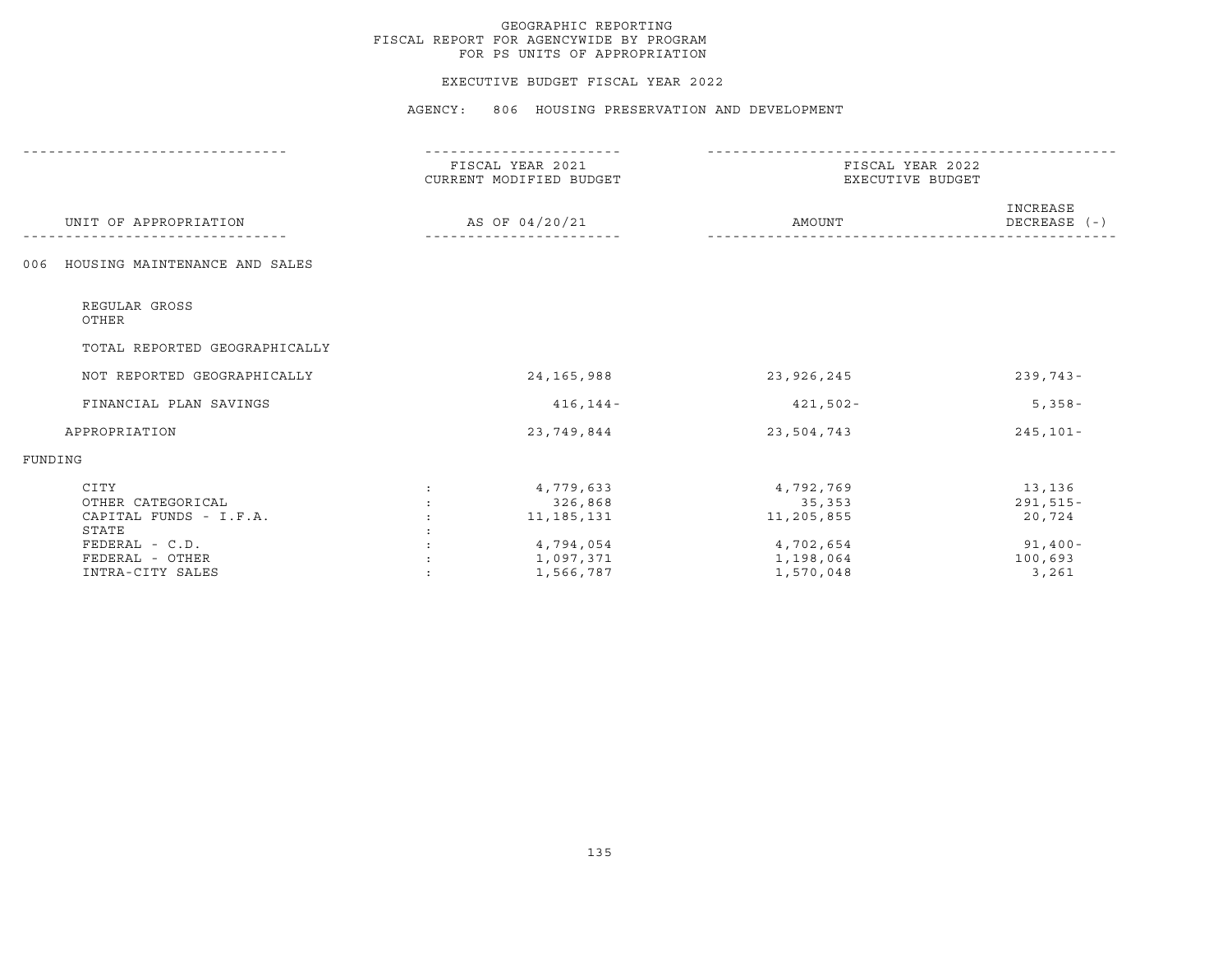#### EXECUTIVE BUDGET FISCAL YEAR 2022

|                                      |                | FISCAL YEAR 2021<br>CURRENT MODIFIED BUDGET |                     | FISCAL YEAR 2022<br>EXECUTIVE BUDGET |  |  |
|--------------------------------------|----------------|---------------------------------------------|---------------------|--------------------------------------|--|--|
| UNIT OF APPROPRIATION                | AS OF 04/20/21 |                                             | AMOUNT              | INCREASE<br>DECREASE (-)             |  |  |
| HOUSING MAINTENANCE AND SALES<br>006 |                |                                             |                     |                                      |  |  |
| REGULAR GROSS<br>OTHER               |                |                                             |                     |                                      |  |  |
| TOTAL REPORTED GEOGRAPHICALLY        |                |                                             |                     |                                      |  |  |
| NOT REPORTED GEOGRAPHICALLY          |                | 24, 165, 988                                | 23,926,245          | $239,743-$                           |  |  |
| FINANCIAL PLAN SAVINGS               |                | $416, 144 -$                                | $421,502 -$         | $5,358-$                             |  |  |
| APPROPRIATION                        |                | 23,749,844                                  | 23,504,743          | $245, 101 -$                         |  |  |
| FUNDING                              |                |                                             |                     |                                      |  |  |
| CITY<br>OTHER CATEGORICAL            |                | 4,779,633<br>326,868                        | 4,792,769<br>35,353 | 13,136<br>$291,515-$                 |  |  |
| CAPITAL FUNDS - I.F.A.               |                | 11, 185, 131                                | 11,205,855          | 20,724                               |  |  |
| STATE                                |                |                                             |                     |                                      |  |  |
| $FEDERAL - C.D.$                     |                | 4,794,054                                   | 4,702,654           | $91,400 -$                           |  |  |
| FEDERAL - OTHER                      |                | 1,097,371                                   | 1,198,064           | 100,693                              |  |  |
| INTRA-CITY SALES                     |                | 1,566,787                                   | 1,570,048           | 3,261                                |  |  |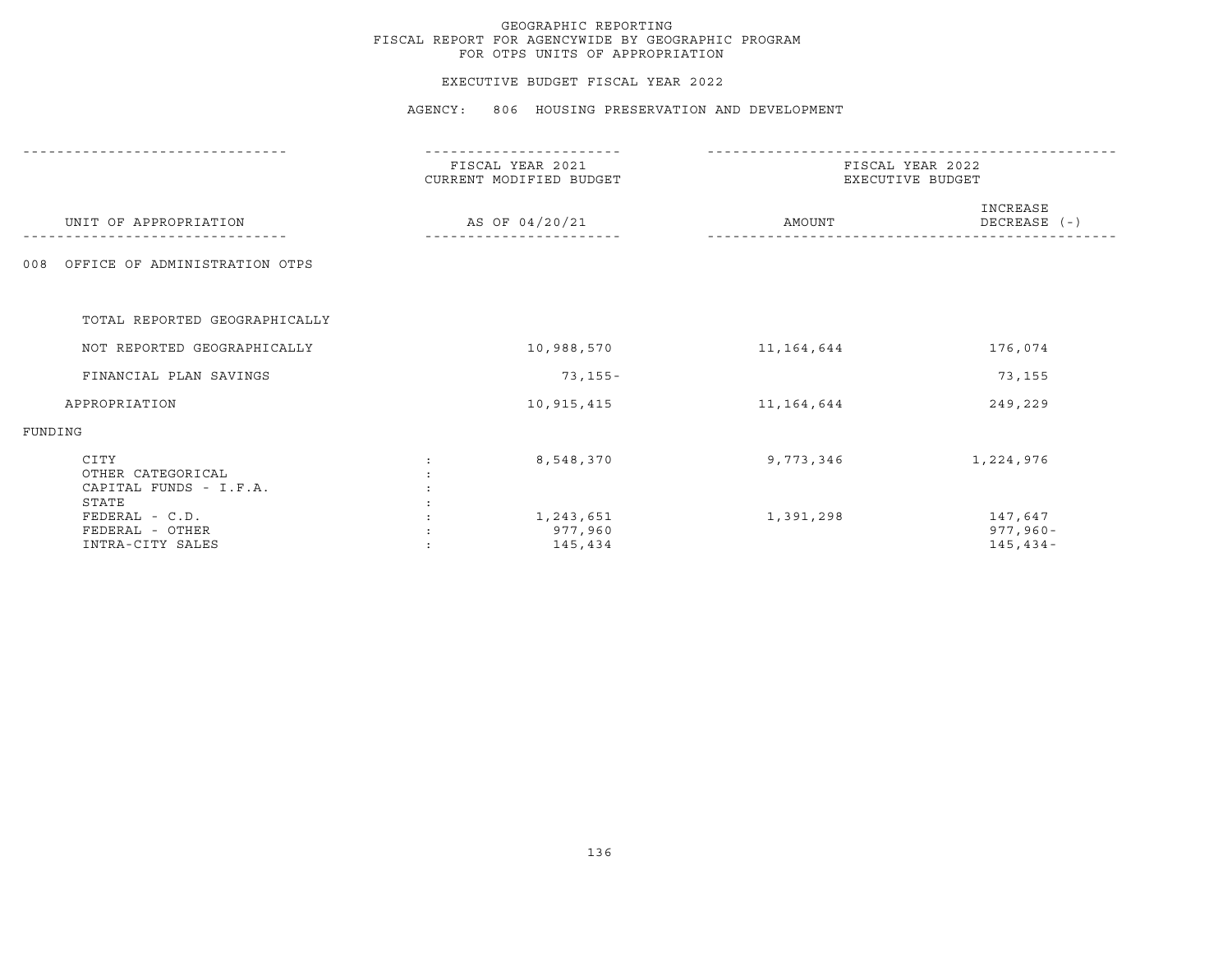#### EXECUTIVE BUDGET FISCAL YEAR 2022

|                                                              | FISCAL YEAR 2021<br>CURRENT MODIFIED BUDGET | FISCAL YEAR 2022<br>EXECUTIVE BUDGET |                                        |  |
|--------------------------------------------------------------|---------------------------------------------|--------------------------------------|----------------------------------------|--|
| UNIT OF APPROPRIATION                                        | AS OF 04/20/21                              | AMOUNT                               | INCREASE<br>DECREASE (-)               |  |
| OFFICE OF ADMINISTRATION OTPS<br>008                         |                                             |                                      |                                        |  |
| TOTAL REPORTED GEOGRAPHICALLY                                |                                             |                                      |                                        |  |
| NOT REPORTED GEOGRAPHICALLY                                  | 10,988,570                                  | 11, 164, 644                         | 176,074                                |  |
| FINANCIAL PLAN SAVINGS                                       | 73,155-                                     |                                      | 73,155                                 |  |
| APPROPRIATION                                                | 10,915,415                                  | 11,164,644                           | 249,229                                |  |
| FUNDING                                                      |                                             |                                      |                                        |  |
| CITY<br>OTHER CATEGORICAL<br>CAPITAL FUNDS - I.F.A.<br>STATE | 8,548,370                                   | 9,773,346                            | 1,224,976                              |  |
| FEDERAL - C.D.<br>FEDERAL - OTHER<br>INTRA-CITY SALES        | 1,243,651<br>977,960<br>145,434             | 1,391,298                            | 147,647<br>$977,960 -$<br>$145, 434 -$ |  |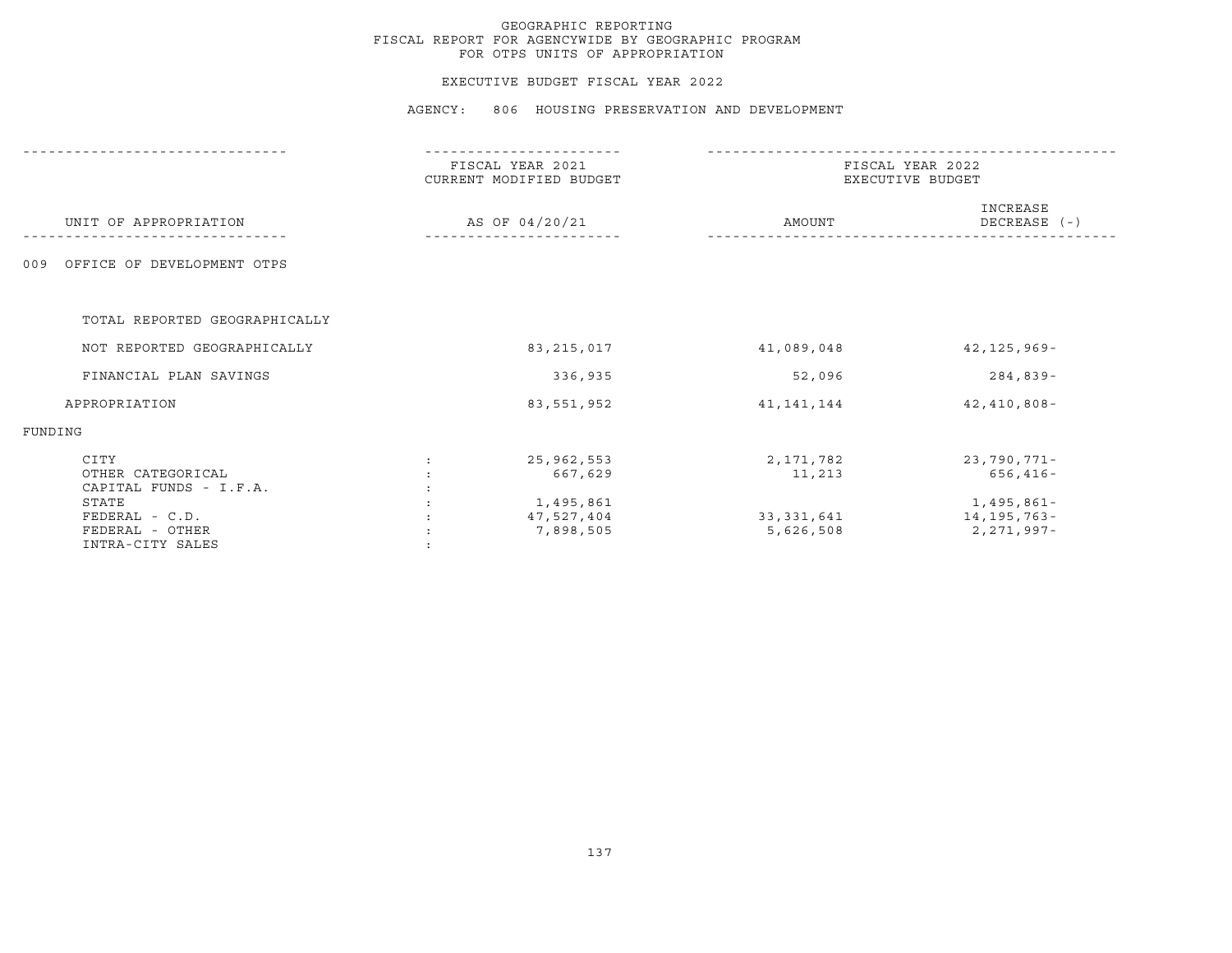#### EXECUTIVE BUDGET FISCAL YEAR 2022

|                                                                | FISCAL YEAR 2021<br>CURRENT MODIFIED BUDGET | FISCAL YEAR 2022<br>EXECUTIVE BUDGET |                                           |  |
|----------------------------------------------------------------|---------------------------------------------|--------------------------------------|-------------------------------------------|--|
| UNIT OF APPROPRIATION                                          | AS OF 04/20/21                              | AMOUNT                               | INCREASE<br>DECREASE (-)                  |  |
| OFFICE OF DEVELOPMENT OTPS<br>009                              |                                             |                                      |                                           |  |
| TOTAL REPORTED GEOGRAPHICALLY                                  |                                             |                                      |                                           |  |
| NOT REPORTED GEOGRAPHICALLY                                    | 83, 215, 017                                | 41,089,048                           | $42, 125, 969 -$                          |  |
| FINANCIAL PLAN SAVINGS                                         | 336,935                                     | 52,096                               | $284,839-$                                |  |
| APPROPRIATION                                                  | 83,551,952                                  | 41,141,144                           | $42,410,808 -$                            |  |
| FUNDING                                                        |                                             |                                      |                                           |  |
| CITY<br>OTHER CATEGORICAL<br>CAPITAL FUNDS - I.F.A.            | 25,962,553<br>667,629                       | 2,171,782<br>11,213                  | 23,790,771-<br>$656, 416 -$               |  |
| STATE<br>FEDERAL - C.D.<br>FEDERAL - OTHER<br>INTRA-CITY SALES | 1,495,861<br>47,527,404<br>7,898,505        | 33,331,641<br>5,626,508              | 1,495,861-<br>14,195,763-<br>2, 271, 997- |  |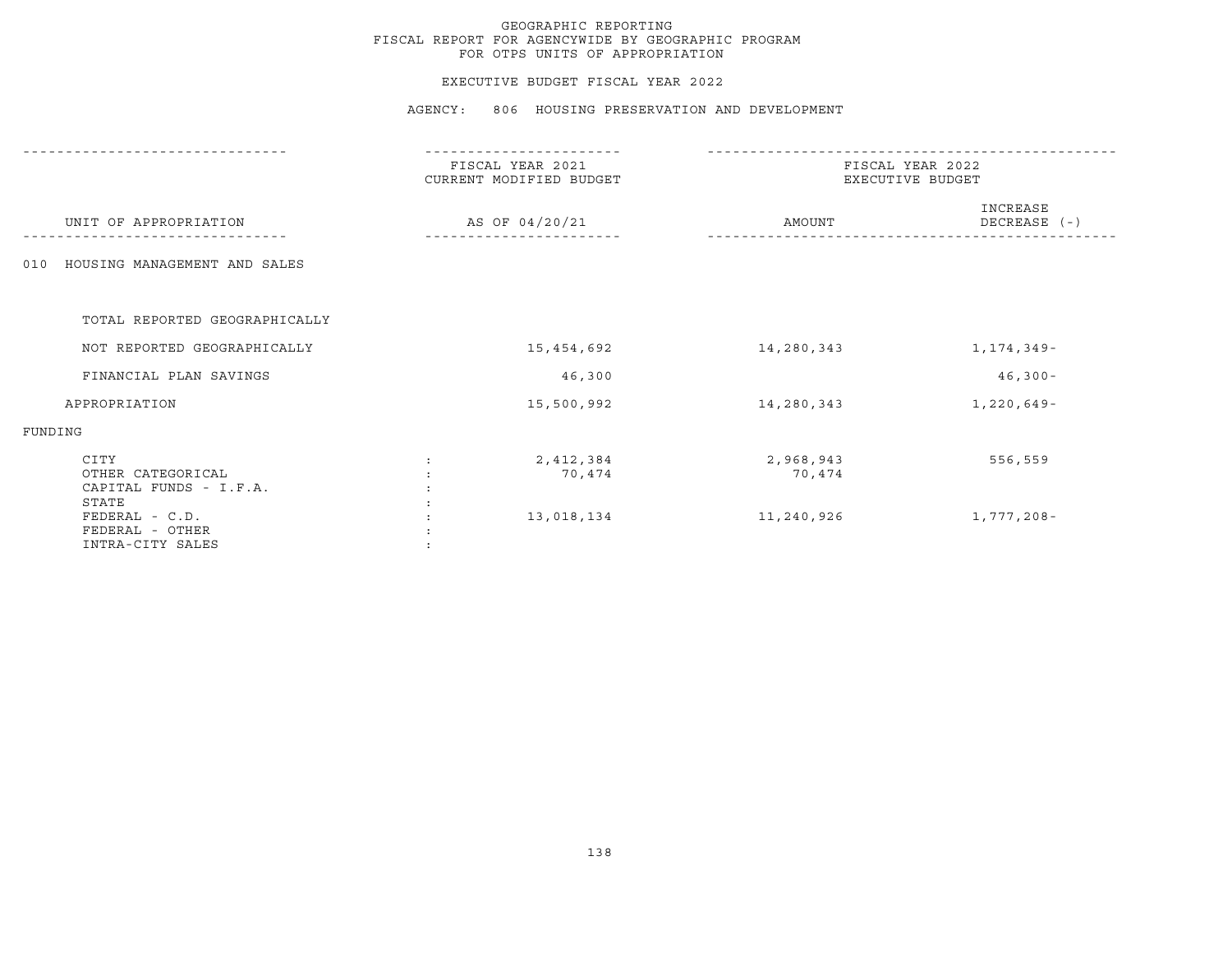#### EXECUTIVE BUDGET FISCAL YEAR 2022

|                                                              | FISCAL YEAR 2021<br>CURRENT MODIFIED BUDGET | FISCAL YEAR 2022<br>EXECUTIVE BUDGET |                          |  |
|--------------------------------------------------------------|---------------------------------------------|--------------------------------------|--------------------------|--|
| UNIT OF APPROPRIATION                                        | AS OF 04/20/21                              | AMOUNT                               | INCREASE<br>DECREASE (-) |  |
| HOUSING MANAGEMENT AND SALES<br>010                          |                                             |                                      |                          |  |
| TOTAL REPORTED GEOGRAPHICALLY                                |                                             |                                      |                          |  |
| NOT REPORTED GEOGRAPHICALLY                                  | 15,454,692                                  | 14,280,343                           | 1,174,349-               |  |
| FINANCIAL PLAN SAVINGS                                       | 46,300                                      |                                      | $46,300 -$               |  |
| APPROPRIATION                                                | 15,500,992                                  | 14,280,343                           | 1,220,649-               |  |
| FUNDING                                                      |                                             |                                      |                          |  |
| CITY<br>OTHER CATEGORICAL<br>CAPITAL FUNDS - I.F.A.<br>STATE | 2,412,384<br>$\ddot{\phantom{a}}$<br>70,474 | 2,968,943<br>70,474                  | 556,559                  |  |
| FEDERAL - C.D.<br>FEDERAL - OTHER<br>INTRA-CITY SALES        | 13,018,134                                  | 11,240,926                           | 1,777,208-               |  |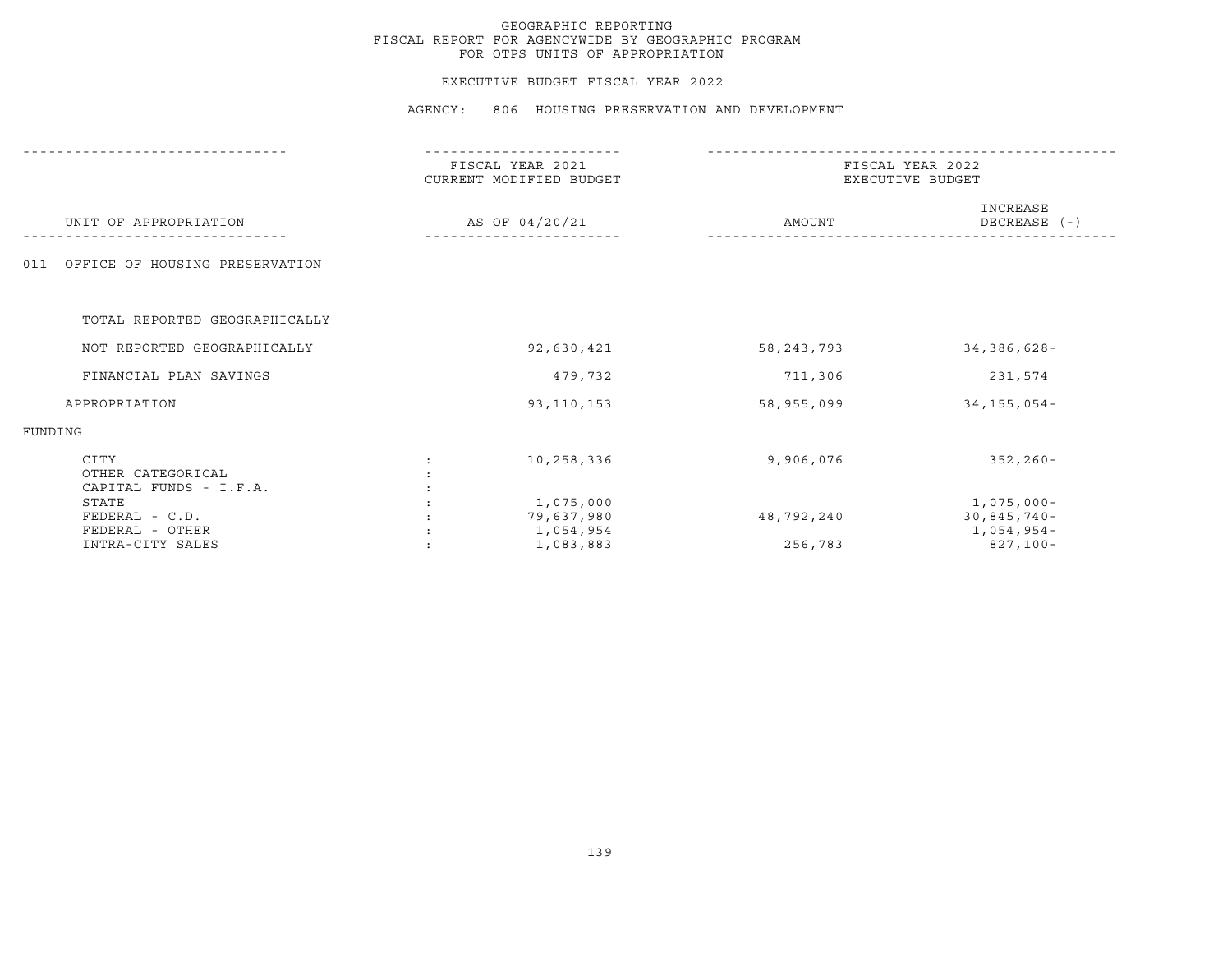#### EXECUTIVE BUDGET FISCAL YEAR 2022

|                                                     | FISCAL YEAR 2021<br>CURRENT MODIFIED BUDGET | FISCAL YEAR 2022<br>EXECUTIVE BUDGET |                                                 |
|-----------------------------------------------------|---------------------------------------------|--------------------------------------|-------------------------------------------------|
| UNIT OF APPROPRIATION                               | AS OF 04/20/21                              | AMOUNT                               | INCREASE<br>DECREASE (-)                        |
| OFFICE OF HOUSING PRESERVATION<br>011               |                                             |                                      |                                                 |
| TOTAL REPORTED GEOGRAPHICALLY                       |                                             |                                      |                                                 |
| NOT REPORTED GEOGRAPHICALLY                         | 92,630,421                                  | 58, 243, 793                         | 34,386,628-                                     |
| FINANCIAL PLAN SAVINGS                              | 479,732                                     | 711,306                              | 231,574                                         |
| APPROPRIATION                                       | 93, 110, 153                                | 58,955,099                           | $34, 155, 054 -$                                |
| FUNDING                                             |                                             |                                      |                                                 |
| CITY<br>OTHER CATEGORICAL<br>CAPITAL FUNDS - I.F.A. | 10,258,336                                  | 9,906,076                            | $352, 260 -$                                    |
| STATE<br>$FEDERAL - C.D.$<br>FEDERAL - OTHER        | 1,075,000<br>79,637,980<br>1,054,954        | 48,792,240                           | $1,075,000 -$<br>$30,845,740 -$<br>$1,054,954-$ |
| INTRA-CITY SALES                                    | 1,083,883                                   | 256,783                              | 827,100-                                        |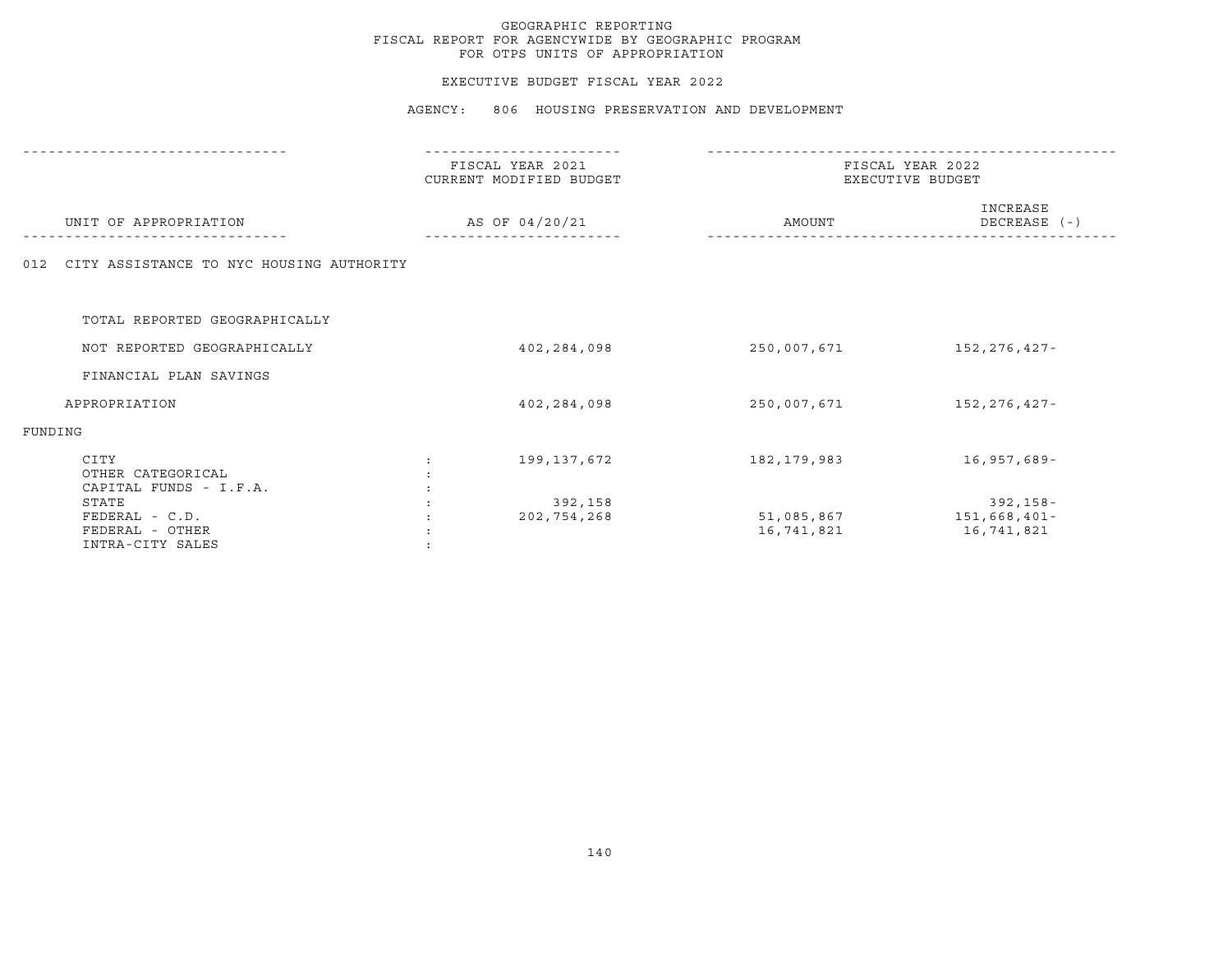#### EXECUTIVE BUDGET FISCAL YEAR 2022

|                                                                | ---------------                             |                                      |                                        |
|----------------------------------------------------------------|---------------------------------------------|--------------------------------------|----------------------------------------|
|                                                                | FISCAL YEAR 2021<br>CURRENT MODIFIED BUDGET | FISCAL YEAR 2022<br>EXECUTIVE BUDGET |                                        |
| UNIT OF APPROPRIATION                                          | AS OF 04/20/21                              | AMOUNT                               | INCREASE<br>DECREASE (-)               |
| CITY ASSISTANCE TO NYC HOUSING AUTHORITY<br>012                |                                             |                                      |                                        |
| TOTAL REPORTED GEOGRAPHICALLY                                  |                                             |                                      |                                        |
| NOT REPORTED GEOGRAPHICALLY                                    | 402,284,098                                 | 250,007,671                          | 152,276,427-                           |
| FINANCIAL PLAN SAVINGS                                         |                                             |                                      |                                        |
| APPROPRIATION                                                  | 402,284,098                                 | 250,007,671                          | 152,276,427-                           |
| FUNDING                                                        |                                             |                                      |                                        |
| CITY<br>OTHER CATEGORICAL<br>CAPITAL FUNDS - I.F.A.            | 199,137,672                                 | 182,179,983                          | 16,957,689-                            |
| STATE<br>FEDERAL - C.D.<br>FEDERAL - OTHER<br>INTRA-CITY SALES | 392,158<br>202,754,268                      | 51,085,867<br>16,741,821             | 392,158-<br>151,668,401-<br>16,741,821 |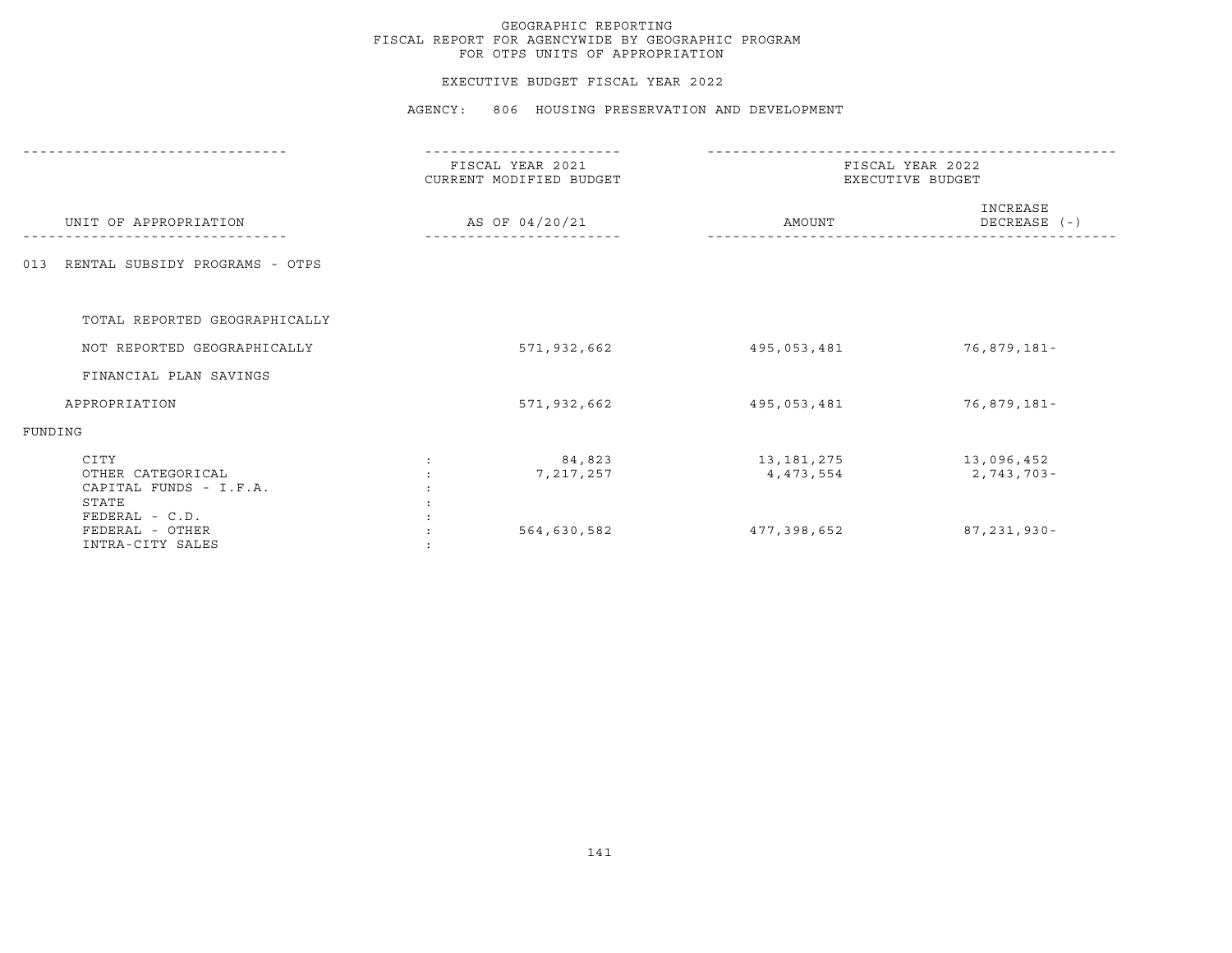## EXECUTIVE BUDGET FISCAL YEAR 2022

AGENCY: 806 HOUSING PRESERVATION AND DEVELOPMENT

|                                                              | FISCAL YEAR 2021<br>CURRENT MODIFIED BUDGET | FISCAL YEAR 2022<br>EXECUTIVE BUDGET |                          |  |
|--------------------------------------------------------------|---------------------------------------------|--------------------------------------|--------------------------|--|
| UNIT OF APPROPRIATION                                        | AS OF 04/20/21                              | AMOUNT                               | INCREASE<br>DECREASE (-) |  |
| RENTAL SUBSIDY PROGRAMS - OTPS<br>013                        |                                             |                                      |                          |  |
| TOTAL REPORTED GEOGRAPHICALLY                                |                                             |                                      |                          |  |
| NOT REPORTED GEOGRAPHICALLY                                  | 571,932,662                                 | 495,053,481                          | 76,879,181-              |  |
| FINANCIAL PLAN SAVINGS                                       |                                             |                                      |                          |  |
| APPROPRIATION                                                | 571,932,662                                 | 495,053,481                          | 76,879,181-              |  |
| FUNDING                                                      |                                             |                                      |                          |  |
| CITY<br>OTHER CATEGORICAL<br>CAPITAL FUNDS - I.F.A.<br>STATE | 84,823<br>7, 217, 257                       | 13,181,275<br>4, 473, 554            | 13,096,452<br>2,743,703- |  |
| FEDERAL - C.D.<br>FEDERAL - OTHER<br>INTRA-CITY SALES        | 564,630,582                                 | 477,398,652                          | 87, 231, 930-            |  |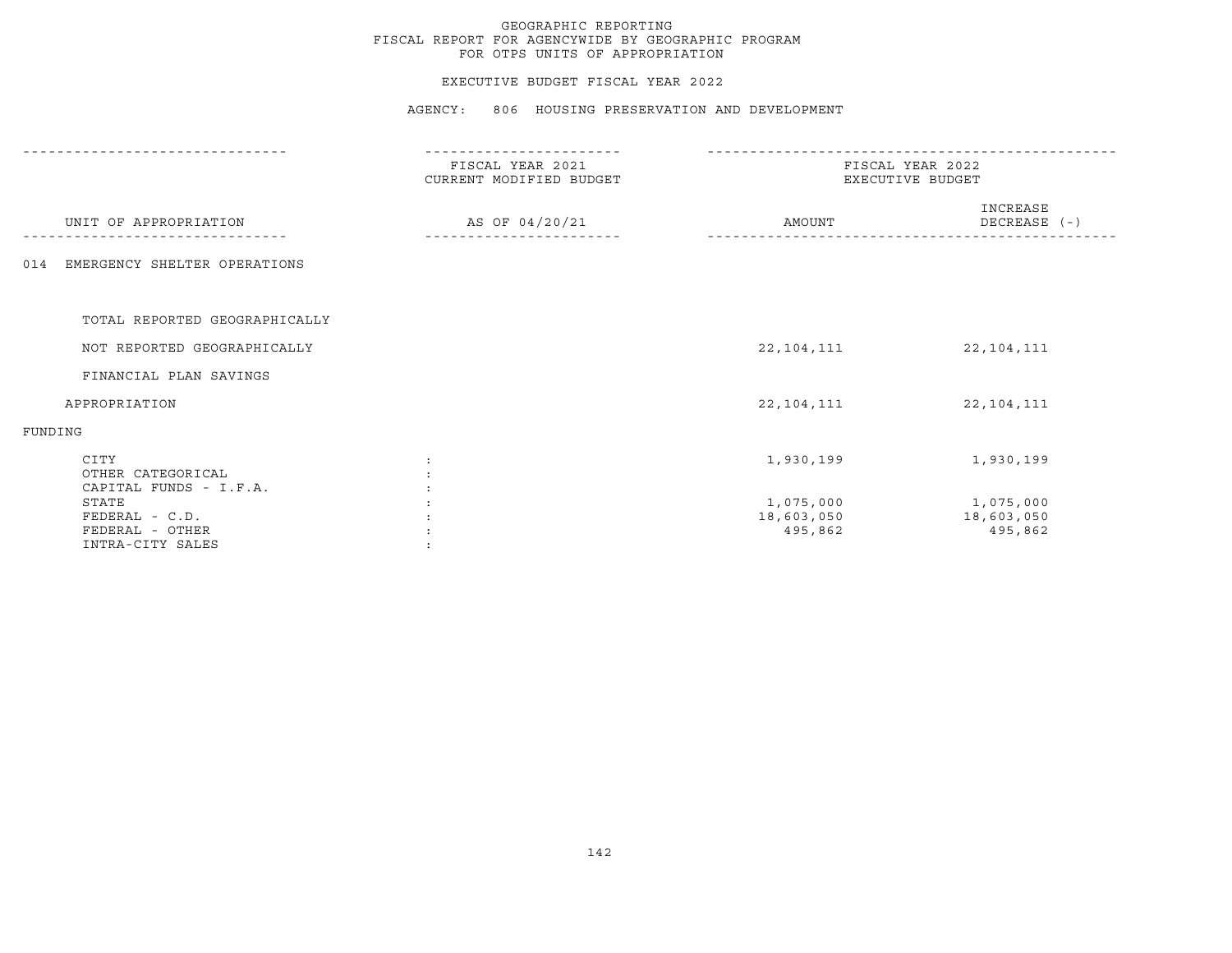## EXECUTIVE BUDGET FISCAL YEAR 2022

AGENCY: 806 HOUSING PRESERVATION AND DEVELOPMENT

|                                                                | FISCAL YEAR 2021<br>CURRENT MODIFIED BUDGET |                                    | FISCAL YEAR 2022<br>EXECUTIVE BUDGET |
|----------------------------------------------------------------|---------------------------------------------|------------------------------------|--------------------------------------|
| UNIT OF APPROPRIATION                                          | AS OF 04/20/21                              | AMOUNT                             | INCREASE<br>DECREASE (-)             |
| EMERGENCY SHELTER OPERATIONS<br>014                            |                                             |                                    |                                      |
| TOTAL REPORTED GEOGRAPHICALLY                                  |                                             |                                    |                                      |
| NOT REPORTED GEOGRAPHICALLY                                    |                                             | 22,104,111                         | 22, 104, 111                         |
| FINANCIAL PLAN SAVINGS                                         |                                             |                                    |                                      |
| APPROPRIATION                                                  |                                             | 22, 104, 111                       | 22, 104, 111                         |
| FUNDING                                                        |                                             |                                    |                                      |
| CITY<br>OTHER CATEGORICAL<br>CAPITAL FUNDS - I.F.A.            |                                             | 1,930,199                          | 1,930,199                            |
| STATE<br>FEDERAL - C.D.<br>FEDERAL - OTHER<br>INTRA-CITY SALES |                                             | 1,075,000<br>18,603,050<br>495,862 | 1,075,000<br>18,603,050<br>495,862   |
|                                                                |                                             |                                    |                                      |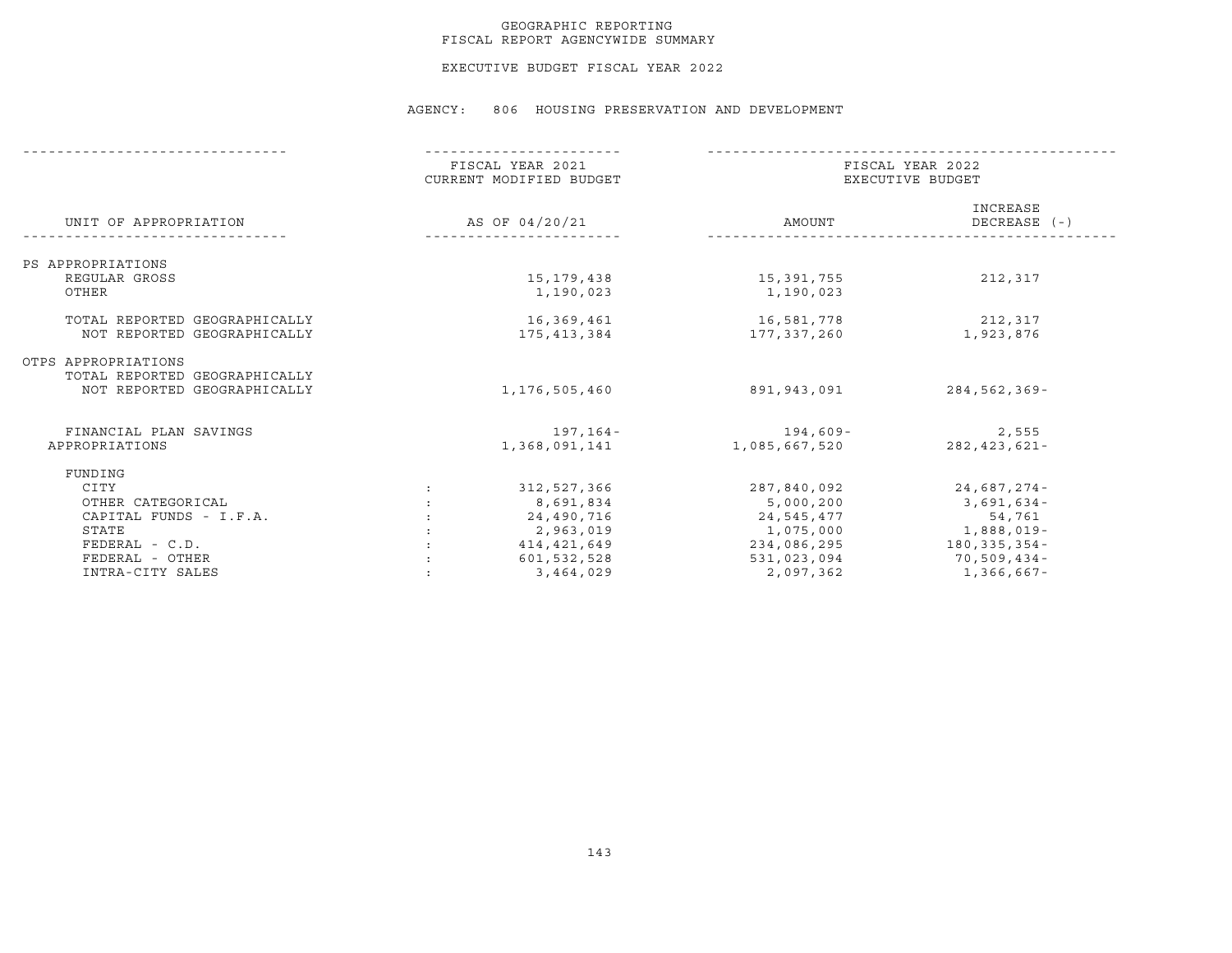## GEOGRAPHIC REPORTING FISCAL REPORT AGENCYWIDE SUMMARY

EXECUTIVE BUDGET FISCAL YEAR 2022

AGENCY: 806 HOUSING PRESERVATION AND DEVELOPMENT

|                               | FISCAL YEAR 2021<br>CURRENT MODIFIED BUDGET |                | FISCAL YEAR 2022<br>EXECUTIVE BUDGET |                          |  |
|-------------------------------|---------------------------------------------|----------------|--------------------------------------|--------------------------|--|
| UNIT OF APPROPRIATION         |                                             | AS OF 04/20/21 | AMOUNT                               | INCREASE<br>DECREASE (-) |  |
| PS APPROPRIATIONS             |                                             |                |                                      |                          |  |
| REGULAR GROSS                 |                                             | 15,179,438     | 15,391,755                           | 212,317                  |  |
| OTHER                         |                                             | 1,190,023      | 1,190,023                            |                          |  |
|                               |                                             |                |                                      |                          |  |
| TOTAL REPORTED GEOGRAPHICALLY |                                             | 16,369,461     | 16,581,778                           | 212,317                  |  |
| NOT REPORTED GEOGRAPHICALLY   |                                             | 175,413,384    | 177,337,260                          | 1,923,876                |  |
| OTPS APPROPRIATIONS           |                                             |                |                                      |                          |  |
| TOTAL REPORTED GEOGRAPHICALLY |                                             |                |                                      |                          |  |
| NOT REPORTED GEOGRAPHICALLY   |                                             | 1,176,505,460  | 891,943,091                          | 284,562,369-             |  |
| FINANCIAL PLAN SAVINGS        |                                             | 197,164-       | $194,609-$                           | 2,555                    |  |
| APPROPRIATIONS                |                                             | 1,368,091,141  | 1,085,667,520                        | $282, 423, 621 -$        |  |
| FUNDING                       |                                             |                |                                      |                          |  |
| CITY                          | $\ddot{\phantom{0}}$                        | 312,527,366    | 287,840,092                          | 24,687,274-              |  |
| OTHER CATEGORICAL             |                                             | 8,691,834      | 5,000,200                            | $3,691,634-$             |  |
| CAPITAL FUNDS - I.F.A.        |                                             | 24,490,716     | 24,545,477                           | 54,761                   |  |
| STATE                         |                                             | 2,963,019      |                                      | 1,888,019-<br>1,075,000  |  |
| $FEDERAL - C.D.$              |                                             |                |                                      |                          |  |
| FEDERAL - OTHER               |                                             | 414,421,649    |                                      | 234,086,295 180,335,354- |  |
|                               |                                             | 601,532,528    | 531,023,094                          | 70,509,434-              |  |
| INTRA-CITY SALES              |                                             | 3,464,029      | 2,097,362                            | $1,366,667$ -            |  |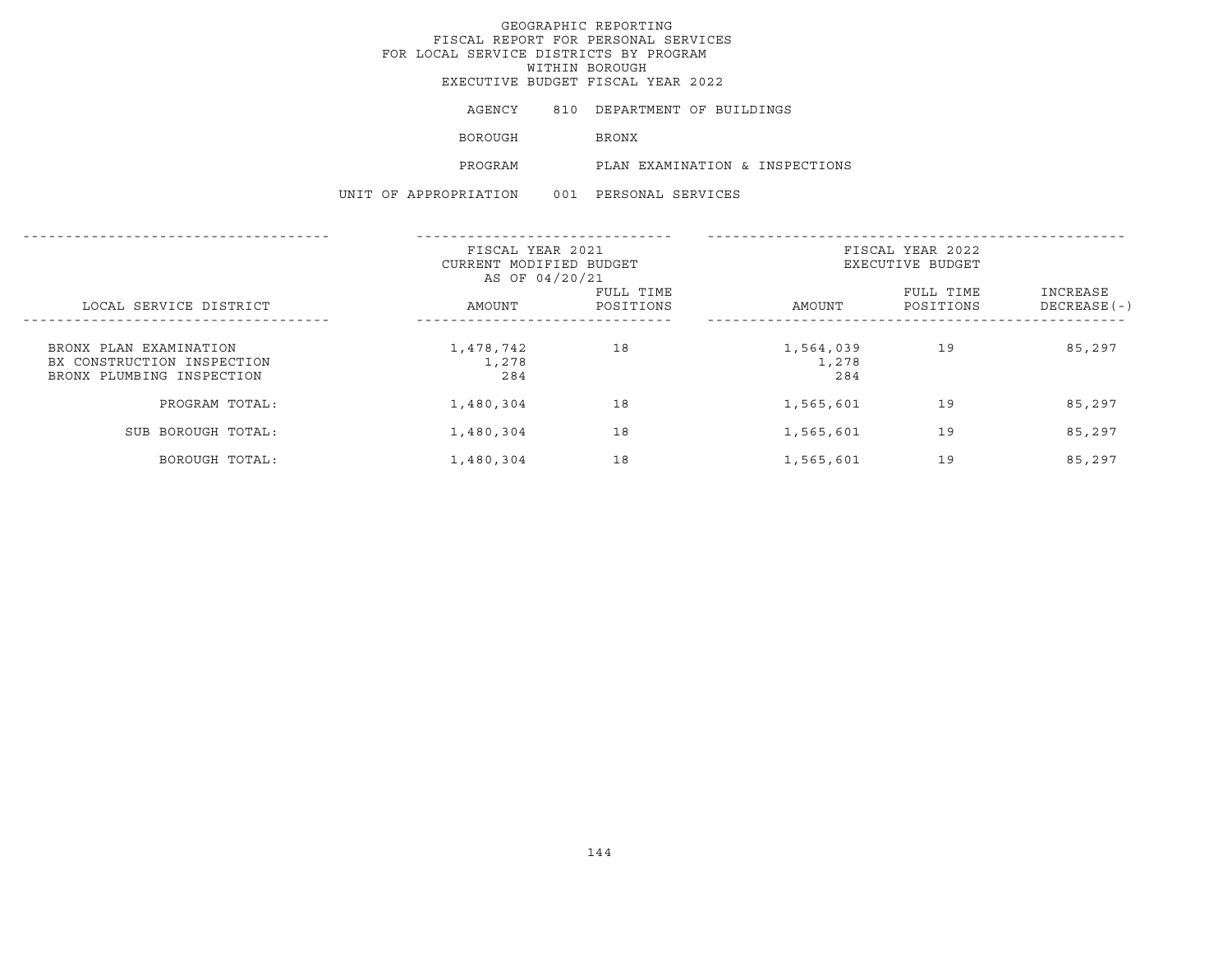EXECUTIVE BUDGET FISCAL YEAR 2022

AGENCY 810 DEPARTMENT OF BUILDINGS

BOROUGH BRONX

PROGRAM PLAN EXAMINATION & INSPECTIONS

|                                                                                   | FISCAL YEAR 2021<br>CURRENT MODIFIED BUDGET<br>AS OF 04/20/21 |                        | FISCAL YEAR 2022<br>EXECUTIVE BUDGET |                        |                           |
|-----------------------------------------------------------------------------------|---------------------------------------------------------------|------------------------|--------------------------------------|------------------------|---------------------------|
| LOCAL SERVICE DISTRICT                                                            | AMOUNT                                                        | FULL TIME<br>POSITIONS | AMOUNT                               | FULL TIME<br>POSITIONS | INCREASE<br>$DECREASE(-)$ |
| BRONX PLAN EXAMINATION<br>BX CONSTRUCTION INSPECTION<br>BRONX PLUMBING INSPECTION | 1,478,742<br>1,278<br>284                                     | 18                     | 1,564,039<br>1,278<br>284            | 19                     | 85,297                    |
| PROGRAM TOTAL:                                                                    | 1,480,304                                                     | 18                     | 1,565,601                            | 19                     | 85,297                    |
| SUB BOROUGH TOTAL:                                                                | 1,480,304                                                     | 18                     | 1,565,601                            | 19                     | 85,297                    |
| BOROUGH TOTAL:                                                                    | 1,480,304                                                     | 18                     | 1,565,601                            | 19                     | 85,297                    |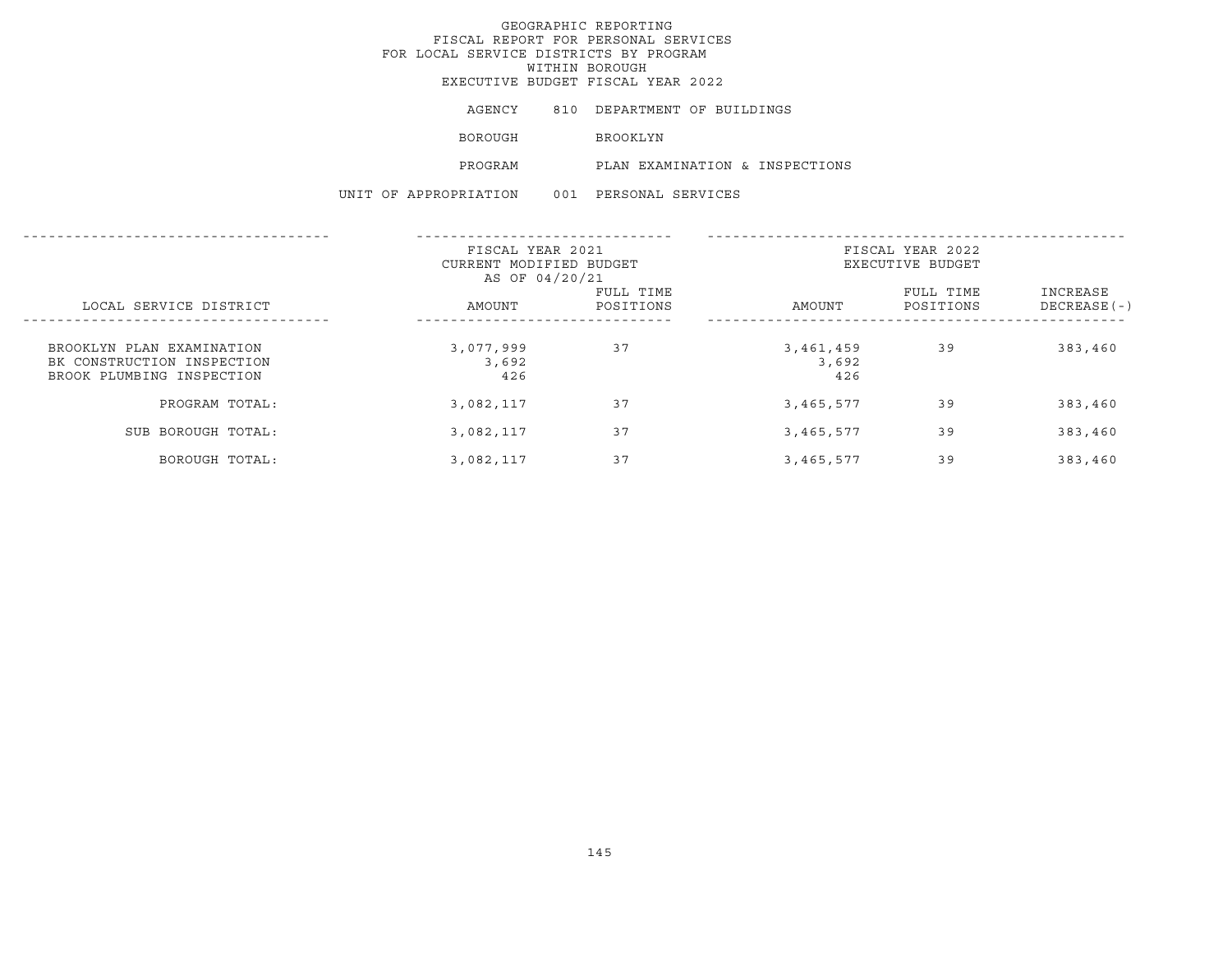EXECUTIVE BUDGET FISCAL YEAR 2022

| AGENCY | DEPARTMENT OF BUILDINGS |  |  |
|--------|-------------------------|--|--|
|--------|-------------------------|--|--|

BOROUGH BROOKLYN

PROGRAM PLAN EXAMINATION & INSPECTIONS

|                                                                                      | FISCAL YEAR 2021<br>CURRENT MODIFIED BUDGET<br>AS OF 04/20/21 |                        | FISCAL YEAR 2022<br>EXECUTIVE BUDGET |                        |                           |
|--------------------------------------------------------------------------------------|---------------------------------------------------------------|------------------------|--------------------------------------|------------------------|---------------------------|
| LOCAL SERVICE DISTRICT                                                               | AMOUNT                                                        | FULL TIME<br>POSITIONS | AMOUNT                               | FULL TIME<br>POSITIONS | INCREASE<br>$DECREASE(-)$ |
| BROOKLYN PLAN EXAMINATION<br>BK CONSTRUCTION INSPECTION<br>BROOK PLUMBING INSPECTION | 3,077,999<br>3,692<br>426                                     | 37                     | 3,461,459<br>3,692<br>426            | 39                     | 383,460                   |
| PROGRAM TOTAL:                                                                       | 3,082,117                                                     | 37                     | 3,465,577                            | 39                     | 383,460                   |
| SUB BOROUGH TOTAL:                                                                   | 3,082,117                                                     | 37                     | 3,465,577                            | 39                     | 383,460                   |
| BOROUGH TOTAL:                                                                       | 3,082,117                                                     | 37                     | 3,465,577                            | 39                     | 383,460                   |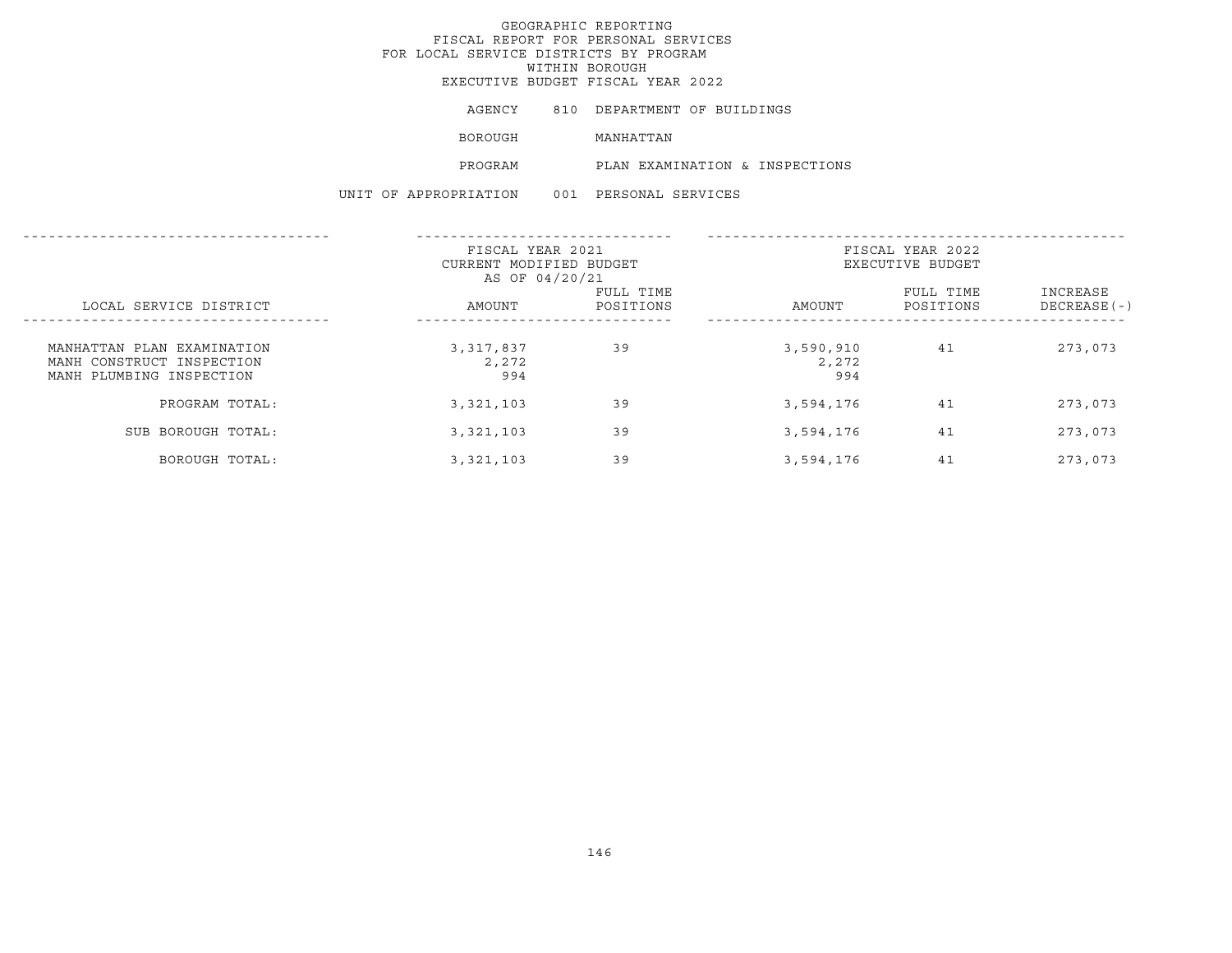EXECUTIVE BUDGET FISCAL YEAR 2022

|  | AGENCY |  | DEPARTMENT OF BUILDINGS |  |  |
|--|--------|--|-------------------------|--|--|
|--|--------|--|-------------------------|--|--|

BOROUGH MANHATTAN

PROGRAM PLAN EXAMINATION & INSPECTIONS

|                                                                                     | FISCAL YEAR 2021<br>CURRENT MODIFIED BUDGET<br>AS OF 04/20/21 |                        | FISCAL YEAR 2022<br>EXECUTIVE BUDGET |                        |                           |
|-------------------------------------------------------------------------------------|---------------------------------------------------------------|------------------------|--------------------------------------|------------------------|---------------------------|
| LOCAL SERVICE DISTRICT                                                              | AMOUNT                                                        | FULL TIME<br>POSITIONS | AMOUNT                               | FULL TIME<br>POSITIONS | INCREASE<br>$DECREASE(-)$ |
| MANHATTAN PLAN EXAMINATION<br>MANH CONSTRUCT INSPECTION<br>MANH PLUMBING INSPECTION | 3, 317, 837<br>2,272<br>994                                   | 39                     | 3,590,910<br>2,272<br>994            | 41                     | 273,073                   |
| PROGRAM TOTAL:                                                                      | 3,321,103                                                     | 39                     | 3,594,176                            | 41                     | 273,073                   |
| SUB BOROUGH TOTAL:                                                                  | 3,321,103                                                     | 39                     | 3,594,176                            | 41                     | 273,073                   |
| BOROUGH TOTAL:                                                                      | 3,321,103                                                     | 39                     | 3,594,176                            | 41                     | 273,073                   |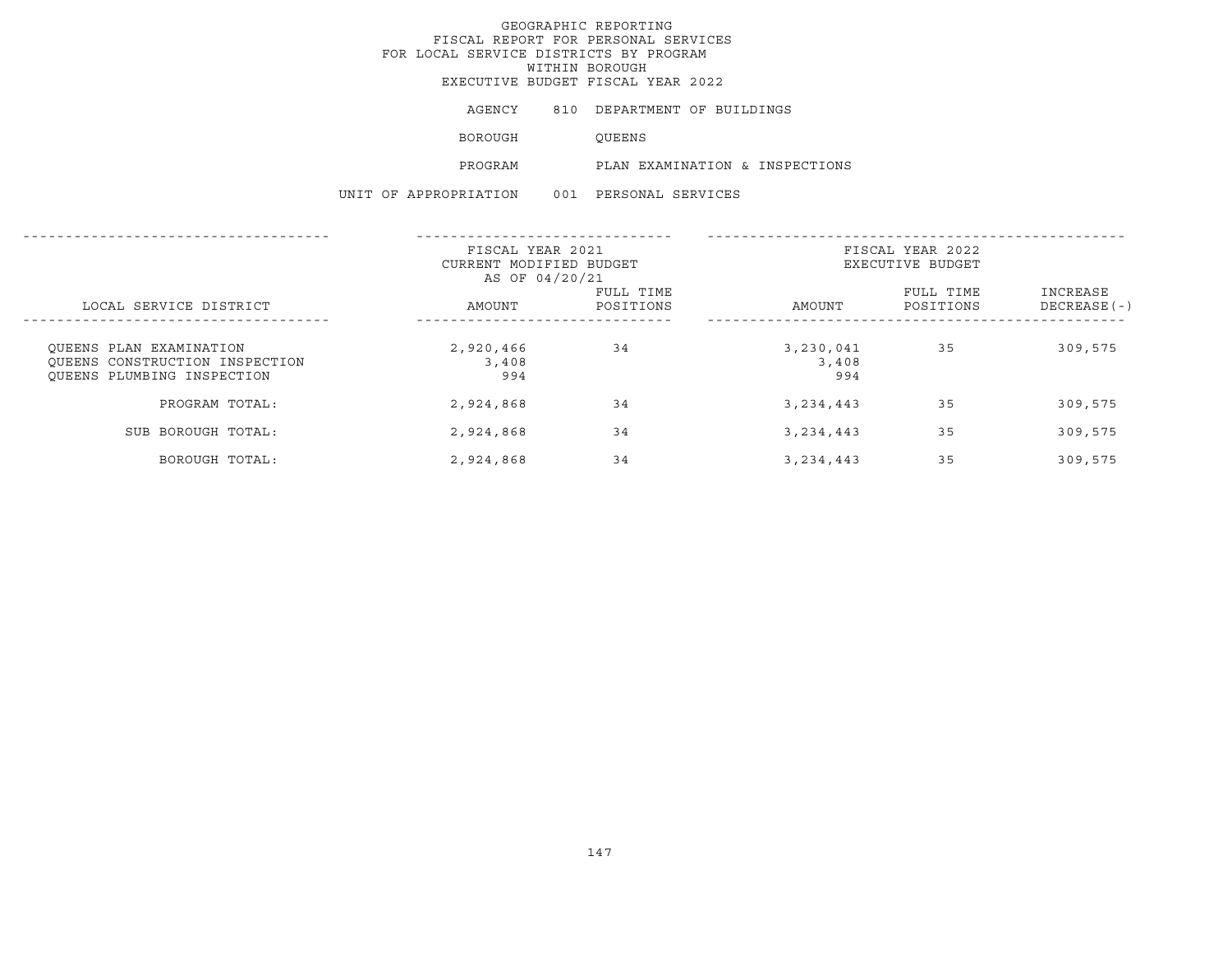EXECUTIVE BUDGET FISCAL YEAR 2022

| AGENCY | DEPARTMENT OF BUILDINGS |  |
|--------|-------------------------|--|
|        |                         |  |

BOROUGH QUEENS

PROGRAM PLAN EXAMINATION & INSPECTIONS

|                                                                                         | FISCAL YEAR 2021<br>CURRENT MODIFIED BUDGET<br>AS OF 04/20/21 |                        | FISCAL YEAR 2022<br>EXECUTIVE BUDGET |                        |                           |
|-----------------------------------------------------------------------------------------|---------------------------------------------------------------|------------------------|--------------------------------------|------------------------|---------------------------|
| LOCAL SERVICE DISTRICT                                                                  | AMOUNT                                                        | FULL TIME<br>POSITIONS | AMOUNT                               | FULL TIME<br>POSITIONS | INCREASE<br>$DECREASE(-)$ |
| OUEENS PLAN EXAMINATION<br>OUEENS CONSTRUCTION INSPECTION<br>OUEENS PLUMBING INSPECTION | 2,920,466<br>3,408<br>994                                     | 34                     | 3,230,041<br>3,408<br>994            | 35                     | 309,575                   |
| PROGRAM TOTAL:                                                                          | 2,924,868                                                     | 34                     | 3, 234, 443                          | 35                     | 309,575                   |
| SUB BOROUGH TOTAL:                                                                      | 2,924,868                                                     | 34                     | 3, 234, 443                          | 35                     | 309,575                   |
| BOROUGH TOTAL:                                                                          | 2,924,868                                                     | 34                     | 3, 234, 443                          | 35                     | 309,575                   |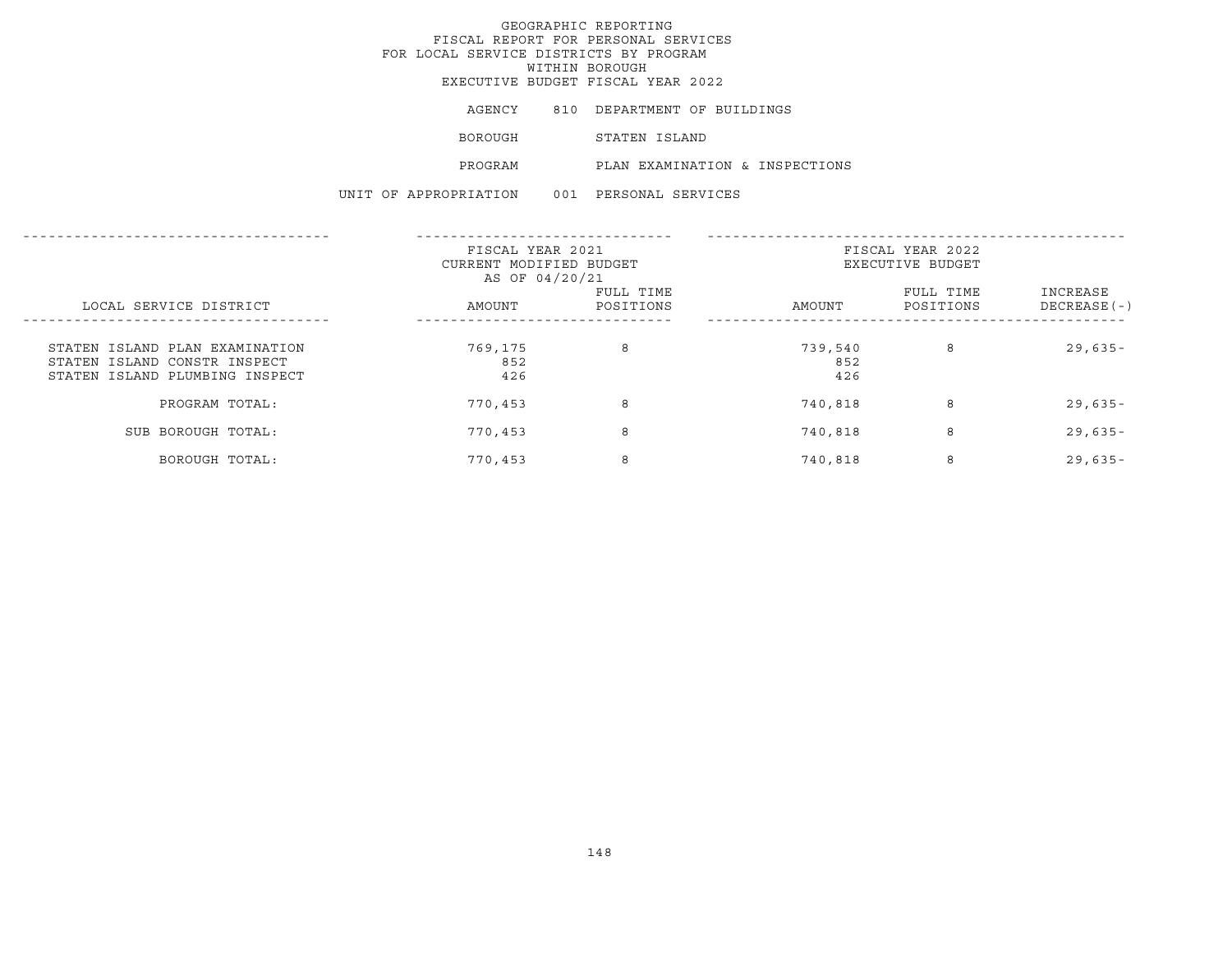## GEOGRAPHIC REPORTING FISCAL REPORT FOR PERSONAL SERVICES FOR LOCAL SERVICE DISTRICTS BY PROGRAM WITHIN BOROUGHEXECUTIVE BUDGET FISCAL YEAR 2022

AGENCY 810 DEPARTMENT OF BUILDINGS BOROUGH STATEN ISLAND PROGRAM PLAN EXAMINATION & INSPECTIONS UNIT OF APPROPRIATION 001 PERSONAL SERVICES

|                                                                                                  | FISCAL YEAR 2021<br>CURRENT MODIFIED BUDGET<br>AS OF 04/20/21 |                        | FISCAL YEAR 2022<br>EXECUTIVE BUDGET |                        |                          |
|--------------------------------------------------------------------------------------------------|---------------------------------------------------------------|------------------------|--------------------------------------|------------------------|--------------------------|
| LOCAL SERVICE DISTRICT                                                                           | AMOUNT                                                        | FULL TIME<br>POSITIONS | AMOUNT                               | FULL TIME<br>POSITIONS | INCREASE<br>DECREASE (-) |
| STATEN ISLAND PLAN EXAMINATION<br>STATEN ISLAND CONSTR INSPECT<br>STATEN ISLAND PLUMBING INSPECT | 769,175<br>852<br>426                                         | 8                      | 739,540<br>852<br>426                | 8                      | $29,635-$                |
| PROGRAM TOTAL:                                                                                   | 770,453                                                       | 8                      | 740,818                              | 8                      | $29,635-$                |
| SUB BOROUGH TOTAL:                                                                               | 770,453                                                       | 8                      | 740,818                              | 8                      | $29,635-$                |
| BOROUGH TOTAL:                                                                                   | 770,453                                                       | 8                      | 740,818                              | 8                      | $29,635 -$               |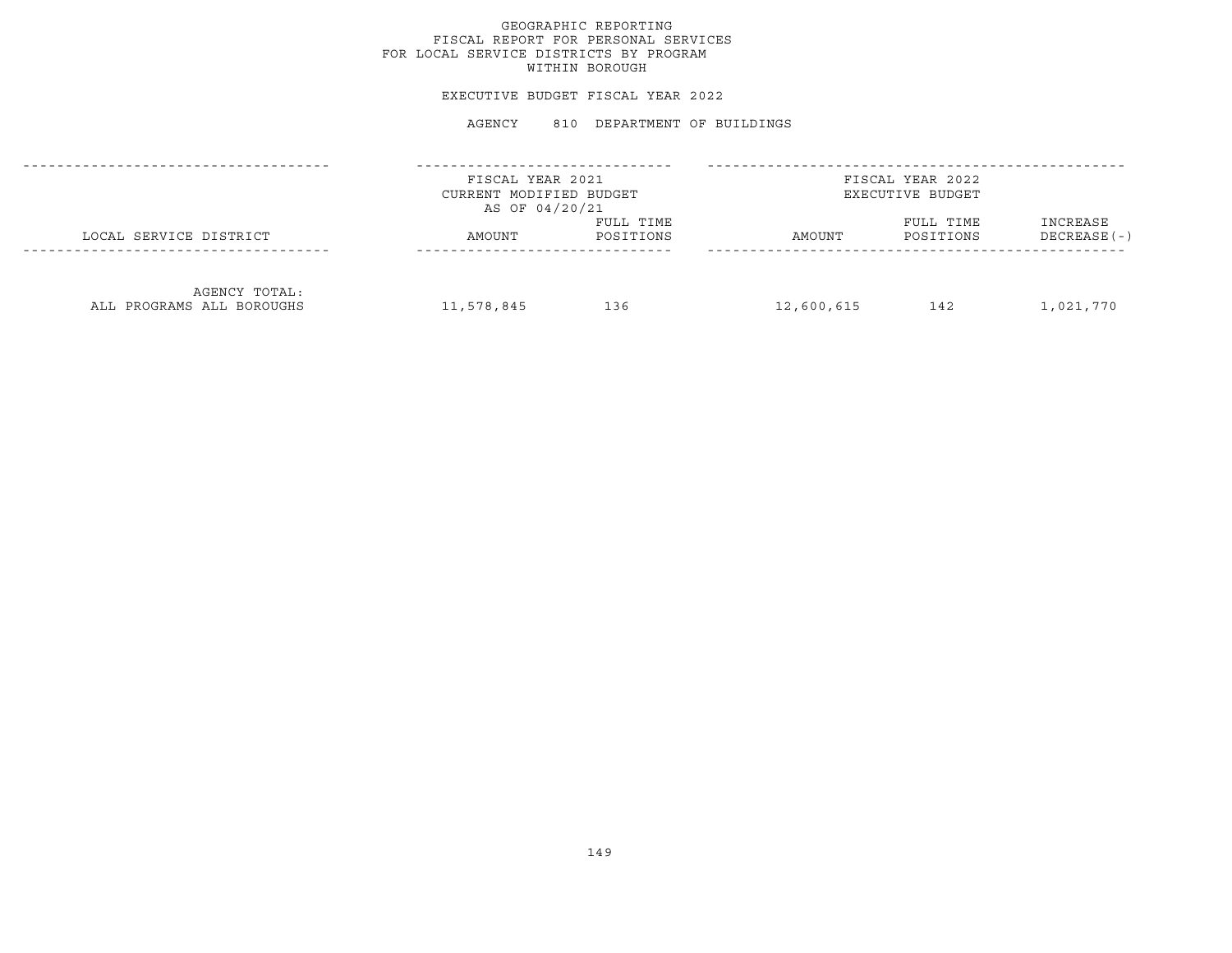### EXECUTIVE BUDGET FISCAL YEAR 2022

#### AGENCY 810 DEPARTMENT OF BUILDINGS

|                                            | FISCAL YEAR 2021<br>CURRENT MODIFIED BUDGET<br>AS OF 04/20/21 |                        | FISCAL YEAR 2022<br>EXECUTIVE BUDGET |                        |                           |  |
|--------------------------------------------|---------------------------------------------------------------|------------------------|--------------------------------------|------------------------|---------------------------|--|
| LOCAL SERVICE DISTRICT                     | AMOUNT                                                        | FULL TIME<br>POSITIONS | AMOUNT                               | FULL TIME<br>POSITIONS | INCREASE<br>$DECREASE(-)$ |  |
| AGENCY TOTAL:<br>ALL PROGRAMS ALL BOROUGHS | 11,578,845                                                    | 136                    | 12,600,615                           | 142                    | 1,021,770                 |  |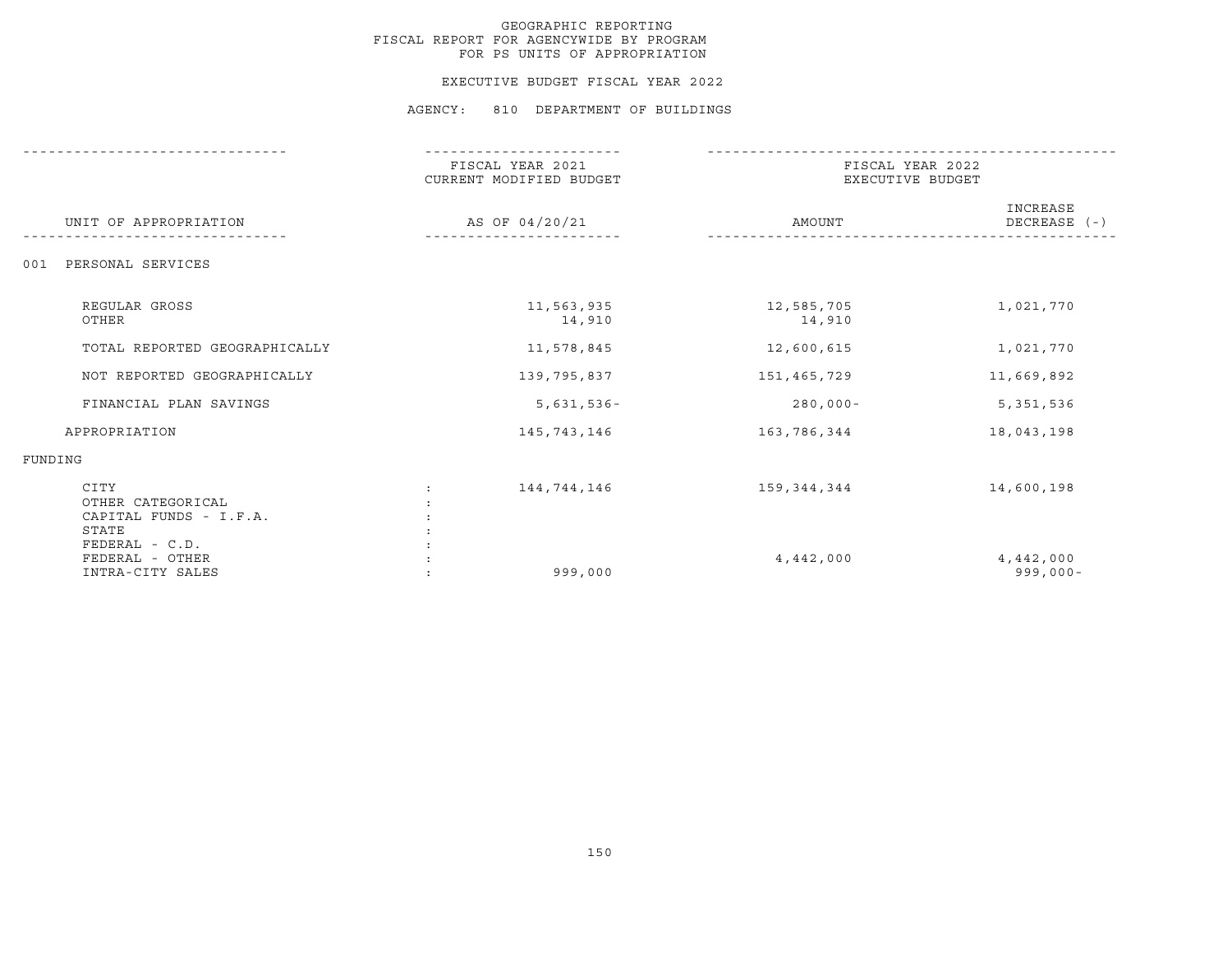#### EXECUTIVE BUDGET FISCAL YEAR 2022

#### AGENCY: 810 DEPARTMENT OF BUILDINGS

|                                                              | FISCAL YEAR 2021<br>CURRENT MODIFIED BUDGET | FISCAL YEAR 2022<br>EXECUTIVE BUDGET |                            |  |
|--------------------------------------------------------------|---------------------------------------------|--------------------------------------|----------------------------|--|
| UNIT OF APPROPRIATION                                        | AS OF 04/20/21                              | AMOUNT                               | INCREASE<br>DECREASE $(-)$ |  |
| PERSONAL SERVICES<br>001                                     |                                             |                                      |                            |  |
| REGULAR GROSS<br>OTHER                                       | 11,563,935<br>14,910                        | 12,585,705<br>14,910                 | 1,021,770                  |  |
| TOTAL REPORTED GEOGRAPHICALLY                                | 11,578,845                                  | 12,600,615                           | 1,021,770                  |  |
| NOT REPORTED GEOGRAPHICALLY                                  | 139,795,837                                 | 151,465,729                          | 11,669,892                 |  |
| FINANCIAL PLAN SAVINGS                                       | $5,631,536 -$                               | $280,000 -$                          | 5,351,536                  |  |
| APPROPRIATION                                                | 145,743,146                                 | 163,786,344                          | 18,043,198                 |  |
| FUNDING                                                      |                                             |                                      |                            |  |
| CITY<br>OTHER CATEGORICAL<br>CAPITAL FUNDS - I.F.A.<br>STATE | 144,744,146                                 | 159,344,344                          | 14,600,198                 |  |
| FEDERAL - C.D.<br>FEDERAL - OTHER<br>INTRA-CITY SALES        | 999,000                                     | 4,442,000                            | 4,442,000<br>$999,000 -$   |  |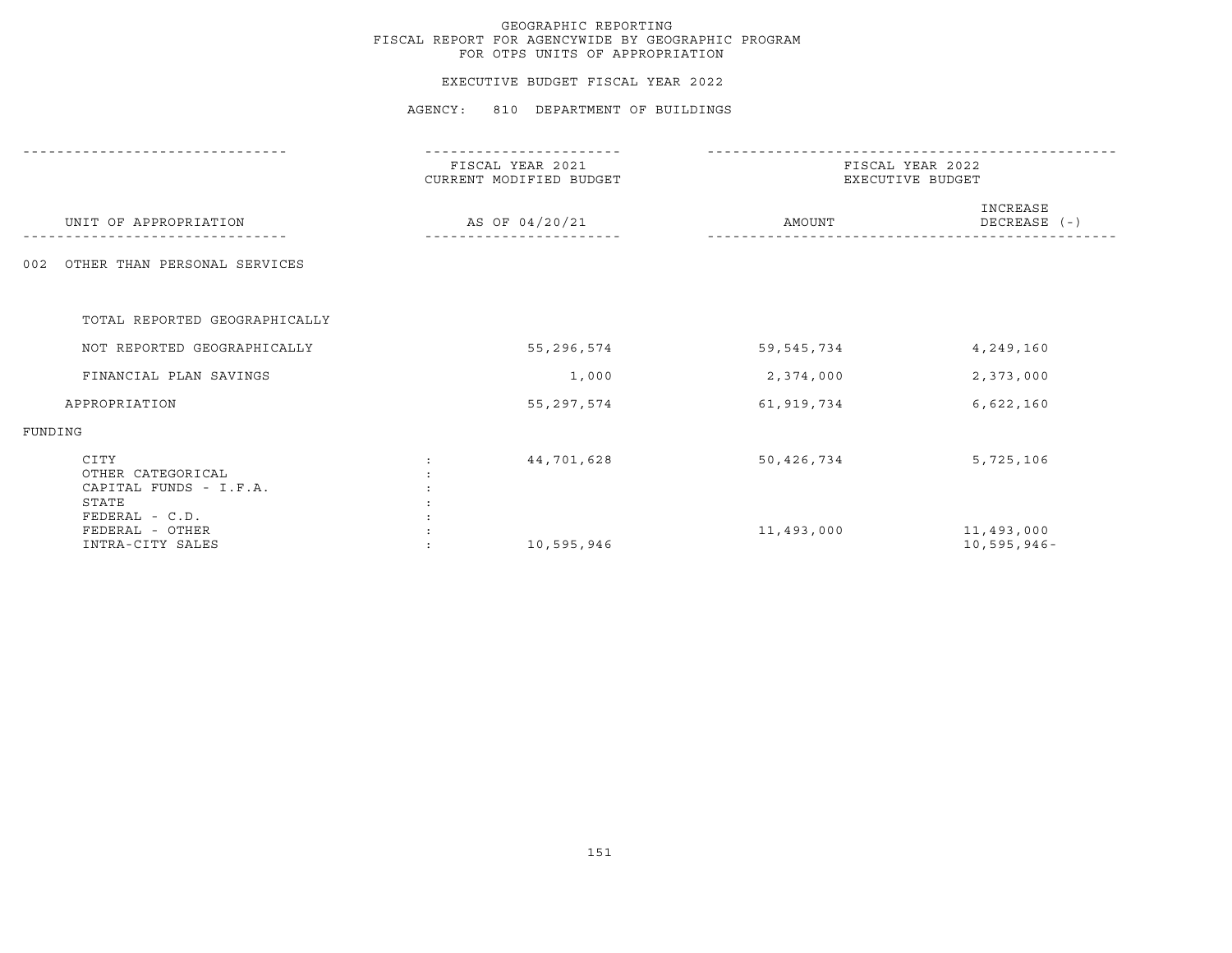## EXECUTIVE BUDGET FISCAL YEAR 2022

#### AGENCY: 810 DEPARTMENT OF BUILDINGS

|                                                                                | FISCAL YEAR 2021<br>CURRENT MODIFIED BUDGET | FISCAL YEAR 2022<br>EXECUTIVE BUDGET |                              |  |
|--------------------------------------------------------------------------------|---------------------------------------------|--------------------------------------|------------------------------|--|
| UNIT OF APPROPRIATION                                                          | AS OF 04/20/21                              | AMOUNT                               | INCREASE<br>DECREASE (-)     |  |
| OTHER THAN PERSONAL SERVICES<br>002                                            |                                             |                                      |                              |  |
| TOTAL REPORTED GEOGRAPHICALLY                                                  |                                             |                                      |                              |  |
| NOT REPORTED GEOGRAPHICALLY                                                    | 55,296,574                                  | 59, 545, 734                         | 4,249,160                    |  |
| FINANCIAL PLAN SAVINGS                                                         | 1,000                                       | 2,374,000                            | 2,373,000                    |  |
| APPROPRIATION                                                                  | 55, 297, 574                                | 61,919,734                           | 6,622,160                    |  |
| FUNDING                                                                        |                                             |                                      |                              |  |
| CITY<br>OTHER CATEGORICAL<br>CAPITAL FUNDS - I.F.A.<br>STATE<br>FEDERAL - C.D. | 44,701,628                                  | 50,426,734                           | 5,725,106                    |  |
| FEDERAL - OTHER<br>INTRA-CITY SALES                                            | 10,595,946                                  | 11,493,000                           | 11,493,000<br>$10,595,946 -$ |  |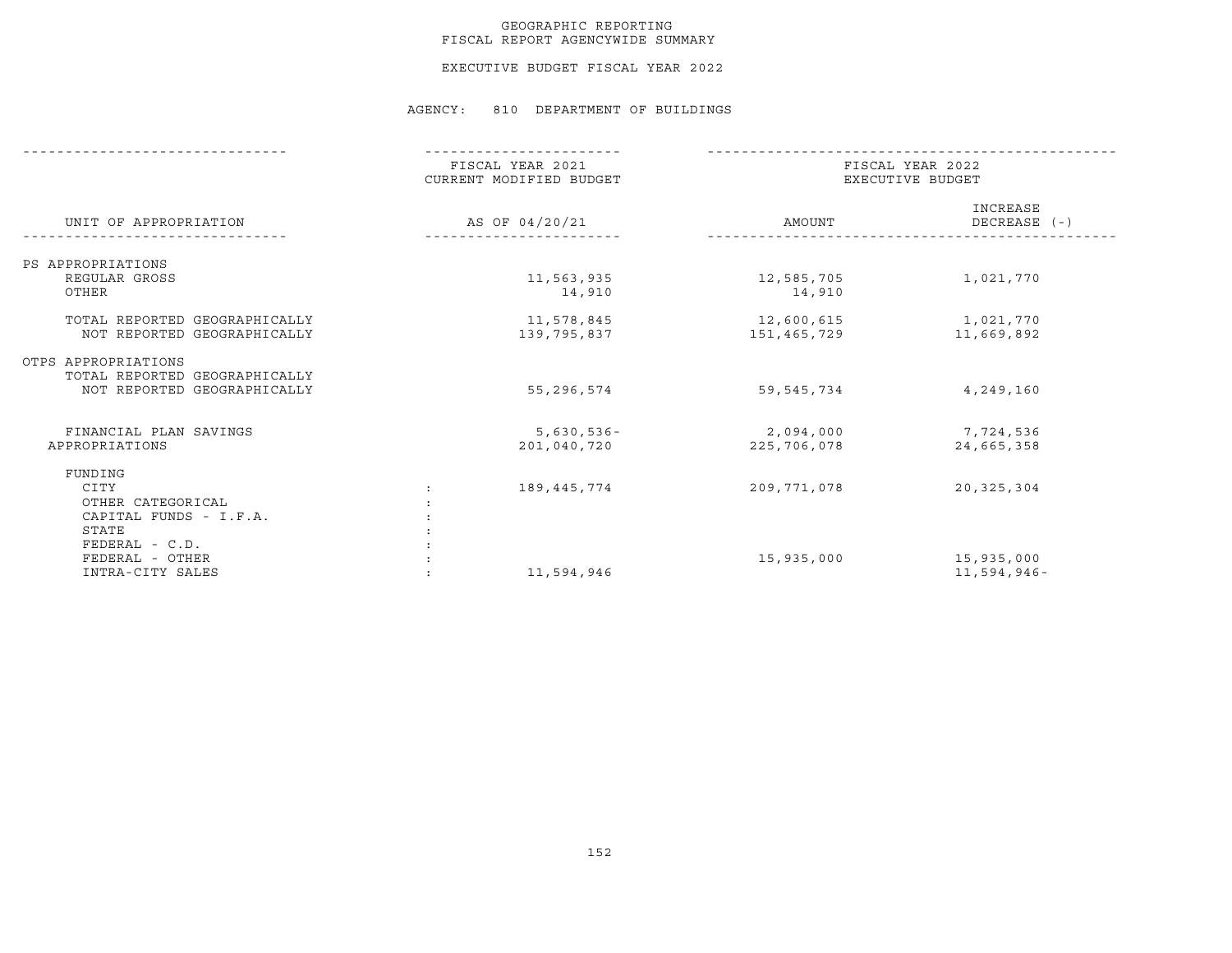## GEOGRAPHIC REPORTING FISCAL REPORT AGENCYWIDE SUMMARY

EXECUTIVE BUDGET FISCAL YEAR 2022

#### AGENCY: 810 DEPARTMENT OF BUILDINGS

|                               | FISCAL YEAR 2021<br>CURRENT MODIFIED BUDGET |                              | FISCAL YEAR 2022<br>EXECUTIVE BUDGET |                          |  |
|-------------------------------|---------------------------------------------|------------------------------|--------------------------------------|--------------------------|--|
| UNIT OF APPROPRIATION         | AS OF 04/20/21                              |                              | AMOUNT                               | INCREASE<br>DECREASE (-) |  |
| PS APPROPRIATIONS             |                                             |                              |                                      |                          |  |
| REGULAR GROSS                 |                                             | 11,563,935                   | 12,585,705                           | 1,021,770                |  |
| OTHER                         |                                             | 14,910                       | 14,910                               |                          |  |
| TOTAL REPORTED GEOGRAPHICALLY |                                             | 11,578,845                   | 12,600,615                           | 1,021,770                |  |
| NOT REPORTED GEOGRAPHICALLY   |                                             | 139,795,837                  | 151,465,729                          | 11,669,892               |  |
| OTPS APPROPRIATIONS           |                                             |                              |                                      |                          |  |
| TOTAL REPORTED GEOGRAPHICALLY |                                             |                              |                                      |                          |  |
| NOT REPORTED GEOGRAPHICALLY   |                                             | 55,296,574                   | 59,545,734                           | 4,249,160                |  |
| FINANCIAL PLAN SAVINGS        |                                             |                              |                                      |                          |  |
| APPROPRIATIONS                |                                             | $5,630,536 -$<br>201,040,720 | 2,094,000<br>225,706,078             | 7,724,536<br>24,665,358  |  |
|                               |                                             |                              |                                      |                          |  |
| FUNDING                       |                                             |                              |                                      |                          |  |
| CITY                          |                                             | 189,445,774                  | 209,771,078                          | 20, 325, 304             |  |
| OTHER CATEGORICAL             |                                             |                              |                                      |                          |  |
| CAPITAL FUNDS - I.F.A.        |                                             |                              |                                      |                          |  |
| STATE                         |                                             |                              |                                      |                          |  |
| FEDERAL - C.D.                |                                             |                              |                                      |                          |  |
| FEDERAL - OTHER               |                                             |                              | 15,935,000                           | 15,935,000               |  |
| INTRA-CITY SALES              |                                             | 11,594,946                   |                                      | 11,594,946-              |  |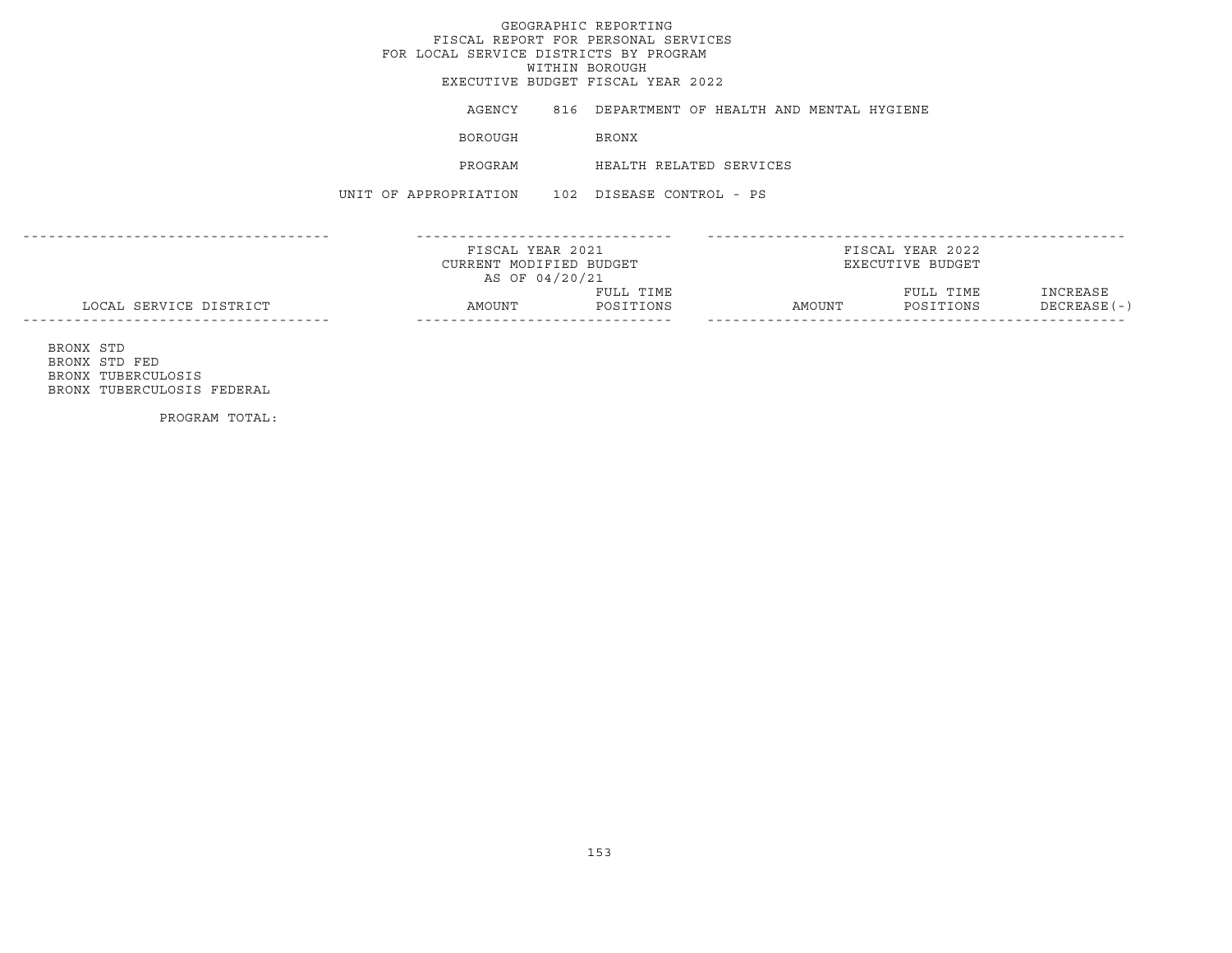## GEOGRAPHIC REPORTINGFISCAL REPORT FOR PERSONAL SERVICES FOR LOCAL SERVICE DISTRICTS BY PROGRAM WITHIN BOROUGH EXECUTIVE BUDGET FISCAL YEAR 2022AGENCY 816 DEPARTMENT OF HEALTH AND MENTAL HYGIENE **BOROUGH BRONX** PROGRAM HEALTH RELATED SERVICES UNIT OF APPROPRIATION 102 DISEASE CONTROL - PS------------------------------------ ------------------------------ -------------------------------------------------FISCAL YEAR 2021 FISCAL YEAR 2022CURRENT MODIFIED BUDGET **EXECUTIVE BUDGET** AS OF 04/20/21 FULL TIME FULL TIME INCREASE LOCAL SERVICE DISTRICT AMOUNT POSITIONS AMOUNT POSITIONS DECREASE(-) ------------------------------------ ------------------------------ ------------------------------------------------- BRONX STD BRONX STD FED

 BRONX TUBERCULOSIS BRONX TUBERCULOSIS FEDERAL

PROGRAM TOTAL: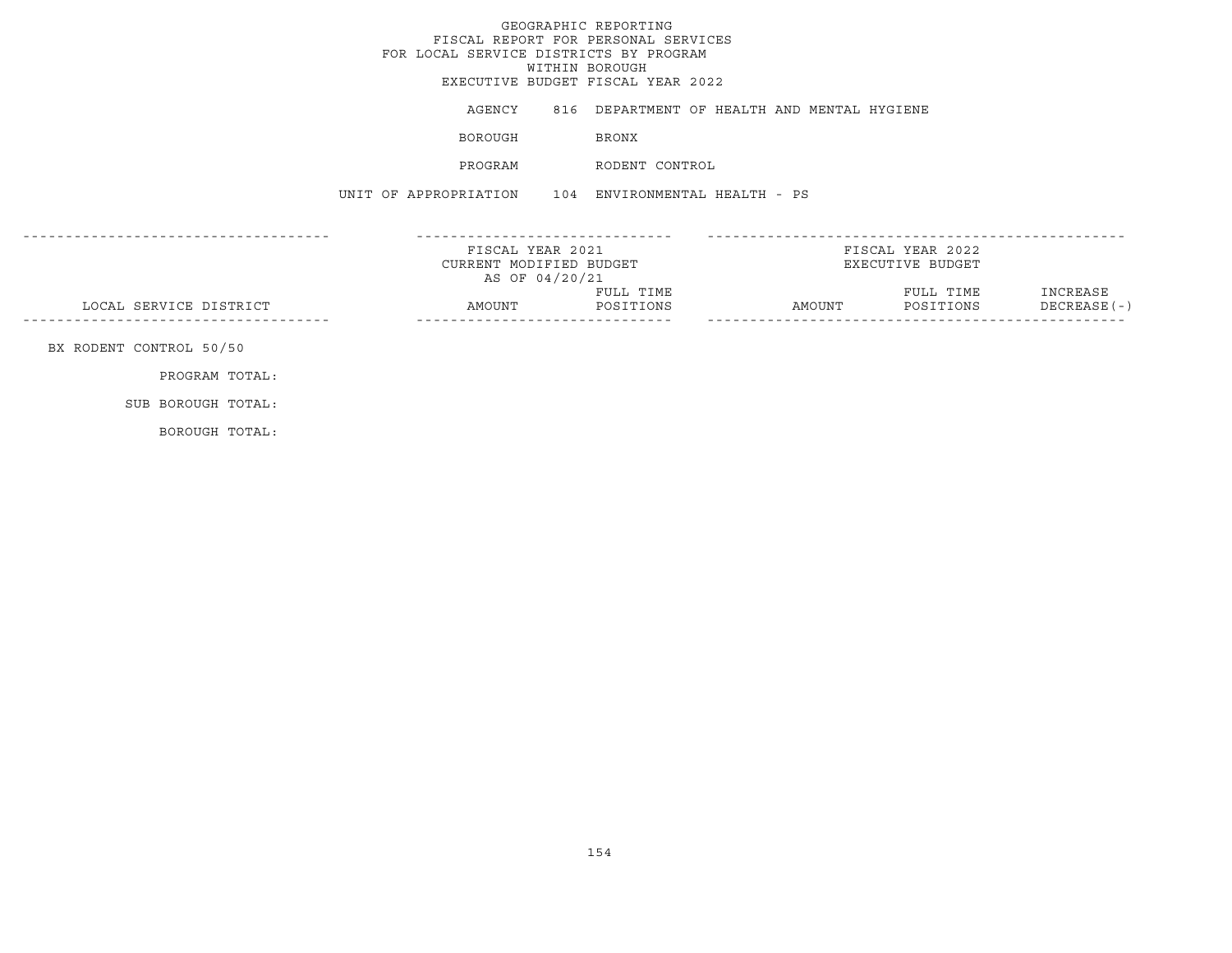|                         | FOR LOCAL SERVICE DISTRICTS BY PROGRAM                        | GEOGRAPHIC REPORTING<br>FISCAL REPORT FOR PERSONAL SERVICES<br>WITHIN BOROUGH<br>EXECUTIVE BUDGET FISCAL YEAR 2022 |                                                    |                                      |                         |
|-------------------------|---------------------------------------------------------------|--------------------------------------------------------------------------------------------------------------------|----------------------------------------------------|--------------------------------------|-------------------------|
|                         |                                                               |                                                                                                                    | AGENCY 816 DEPARTMENT OF HEALTH AND MENTAL HYGIENE |                                      |                         |
|                         | BOROUGH                                                       | BRONX                                                                                                              |                                                    |                                      |                         |
|                         | PROGRAM                                                       | RODENT CONTROL                                                                                                     |                                                    |                                      |                         |
|                         | UNIT OF APPROPRIATION 104 ENVIRONMENTAL HEALTH - PS           |                                                                                                                    |                                                    |                                      |                         |
|                         | FISCAL YEAR 2021<br>CURRENT MODIFIED BUDGET<br>AS OF 04/20/21 |                                                                                                                    |                                                    | FISCAL YEAR 2022<br>EXECUTIVE BUDGET |                         |
| LOCAL SERVICE DISTRICT  | AMOUNT                                                        | FULL TIME<br>POSITIONS                                                                                             | AMOUNT                                             | FULL TIME<br>POSITIONS               | INCREASE<br>DECREASE(-) |
| BX RODENT CONTROL 50/50 |                                                               |                                                                                                                    |                                                    |                                      |                         |
| PROGRAM TOTAL:          |                                                               |                                                                                                                    |                                                    |                                      |                         |
| SUB BOROUGH TOTAL:      |                                                               |                                                                                                                    |                                                    |                                      |                         |
| BOROUGH TOTAL:          |                                                               |                                                                                                                    |                                                    |                                      |                         |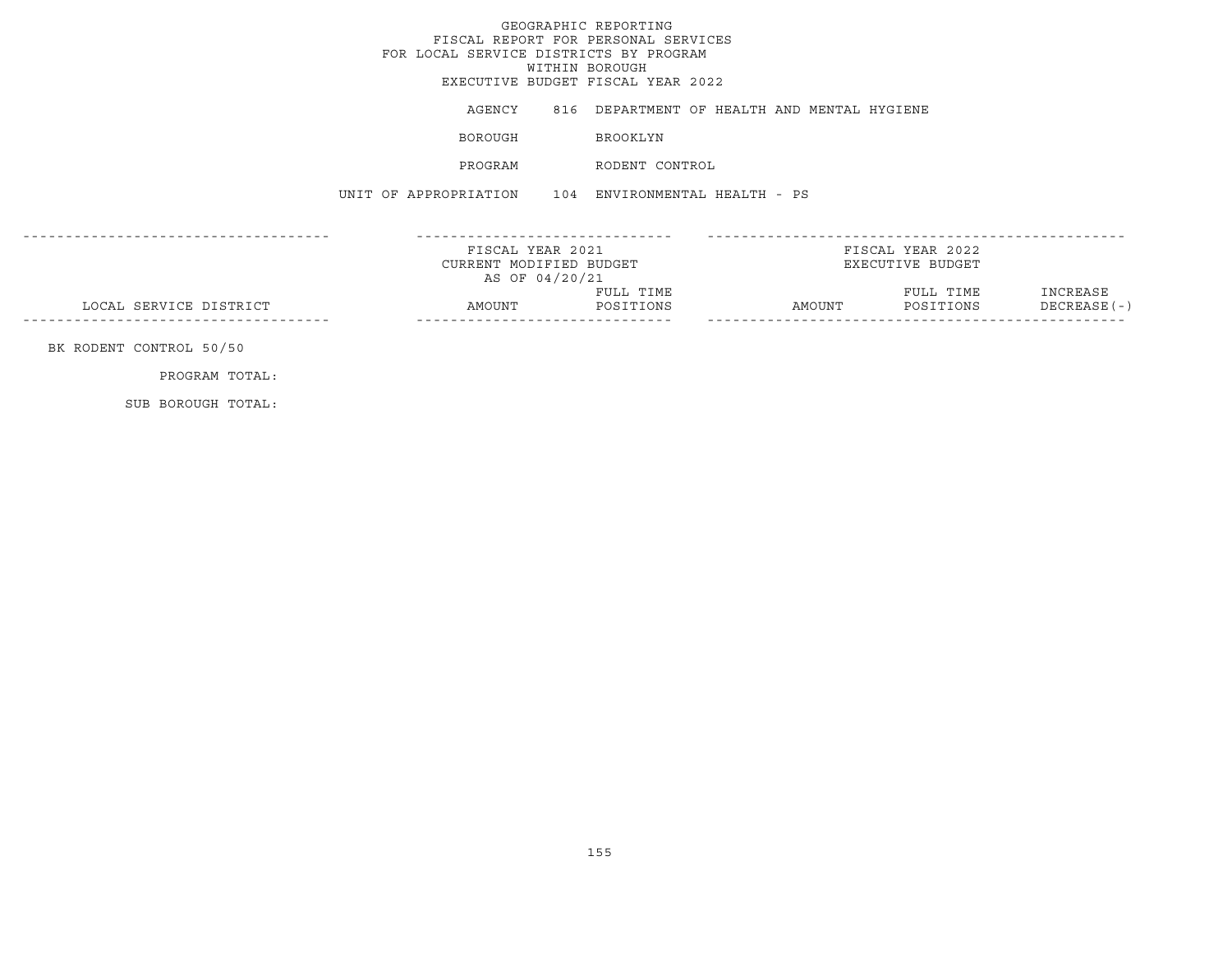GEOGRAPHIC REPORTING FISCAL REPORT FOR PERSONAL SERVICES FOR LOCAL SERVICE DISTRICTS BY PROGRAM WITHIN BOROUGH EXECUTIVE BUDGET FISCAL YEAR 2022AGENCY 816 DEPARTMENT OF HEALTH AND MENTAL HYGIENE BOROUGH BROOKLYN PROGRAM RODENT CONTROLUNIT OF APPROPRIATION 104 ENVIRONMENTAL HEALTH - PS------------------------------------ ------------------------------ ------------------------------------------------- FISCAL YEAR 2021 FISCAL YEAR 2022CURRENT MODIFIED BUDGET **EXECUTIVE BUDGET** AS OF 04/20/21 FULL TIME FULL TIME INCREASE LOCAL SERVICE DISTRICT AMOUNT POSITIONS AMOUNT POSITIONS DECREASE(-) ------------------------------------ ------------------------------ ------------------------------------------------- BK RODENT CONTROL 50/50 PROGRAM TOTAL:

SUB BOROUGH TOTAL: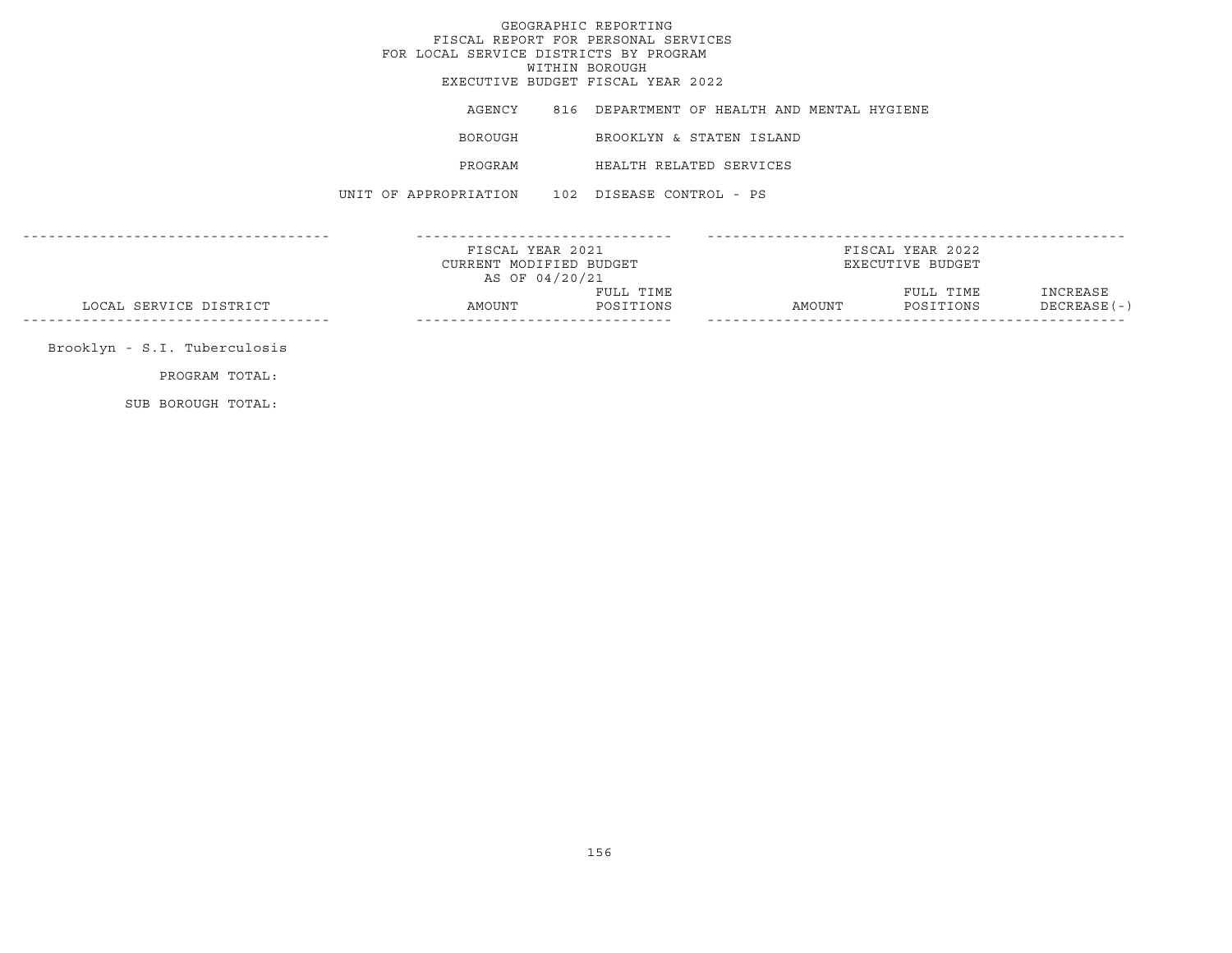GEOGRAPHIC REPORTINGFISCAL REPORT FOR PERSONAL SERVICES FOR LOCAL SERVICE DISTRICTS BY PROGRAM WITHIN BOROUGH EXECUTIVE BUDGET FISCAL YEAR 2022AGENCY 816 DEPARTMENT OF HEALTH AND MENTAL HYGIENE BOROUGH BROOKLYN & STATEN ISLAND PROGRAM HEALTH RELATED SERVICESUNIT OF APPROPRIATION 102 DISEASE CONTROL - PS------------------------------------ ------------------------------ -------------------------------------------------FISCAL YEAR 2021 FISCAL YEAR 2022CURRENT MODIFIED BUDGET **EXECUTIVE BUDGET** AS OF 04/20/21 FULL TIME FULL TIME INCREASE LOCAL SERVICE DISTRICT AMOUNT POSITIONS AMOUNT POSITIONS DECREASE(-) ------------------------------------ ------------------------------ ------------------------------------------------- Brooklyn - S.I. Tuberculosis PROGRAM TOTAL:

SUB BOROUGH TOTAL: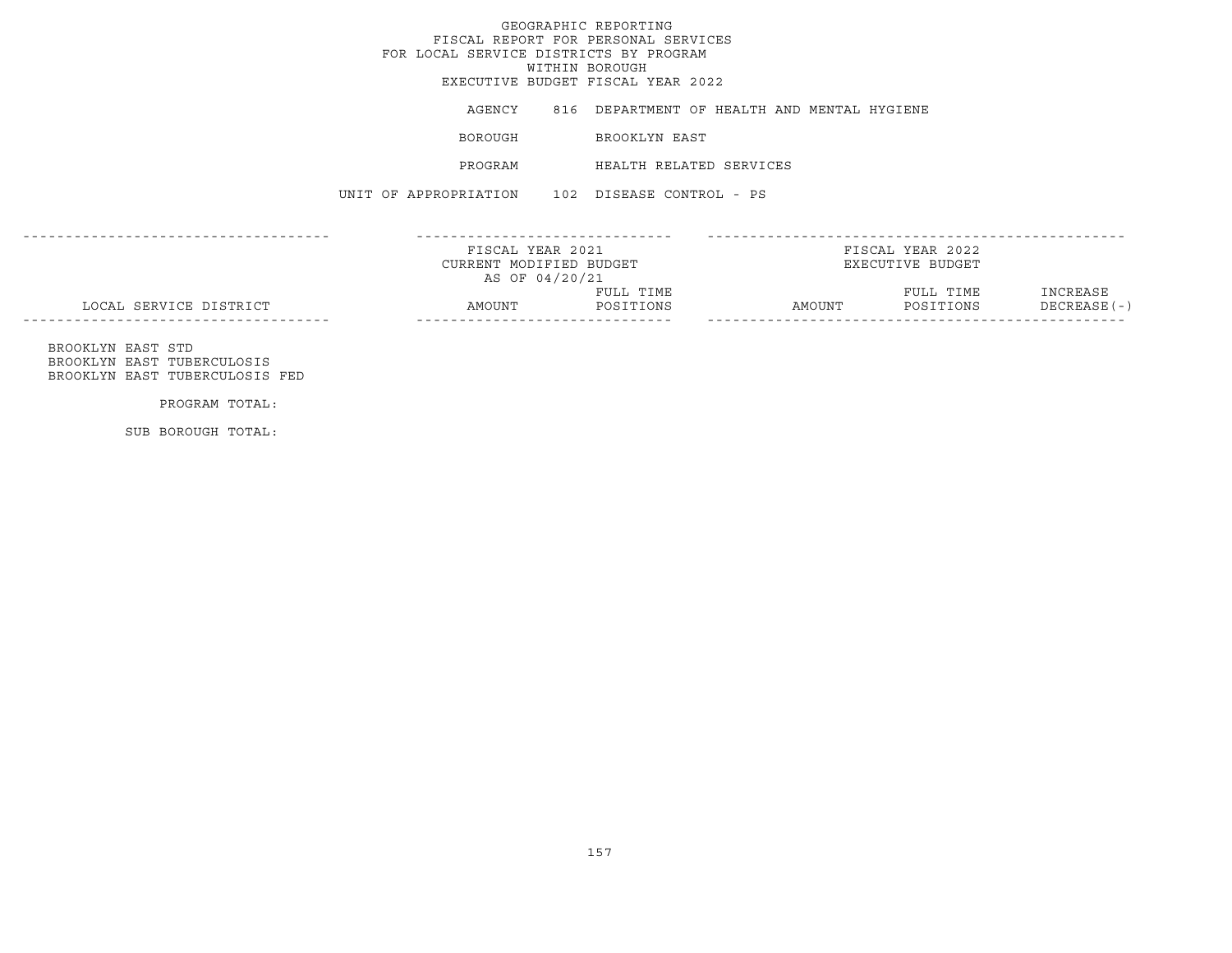# GEOGRAPHIC REPORTING FISCAL REPORT FOR PERSONAL SERVICES FOR LOCAL SERVICE DISTRICTS BY PROGRAM WITHIN BOROUGH EXECUTIVE BUDGET FISCAL YEAR 2022 AGENCY 816 DEPARTMENT OF HEALTH AND MENTAL HYGIENE BOROUGH BROOKLYN EAST

157

UNIT OF APPROPRIATION 102 DISEASE CONTROL - PS

PROGRAM HEALTH RELATED SERVICES

|                        | FISCAL YEAR 2021        |           |        | FISCAL YEAR 2022 |               |
|------------------------|-------------------------|-----------|--------|------------------|---------------|
|                        | CURRENT MODIFIED BUDGET |           |        | EXECUTIVE BUDGET |               |
|                        | AS OF 04/20/21          |           |        |                  |               |
|                        |                         | FULL TIME |        | FULL TIME        | INCREASE      |
| LOCAL SERVICE DISTRICT | AMOUNT                  | POSITIONS | AMOUNT | POSITIONS        | $DECREASE(-)$ |

 BROOKLYN EAST STD BROOKLYN EAST TUBERCULOSISBROOKLYN EAST TUBERCULOSIS FED

PROGRAM TOTAL:

SUB BOROUGH TOTAL: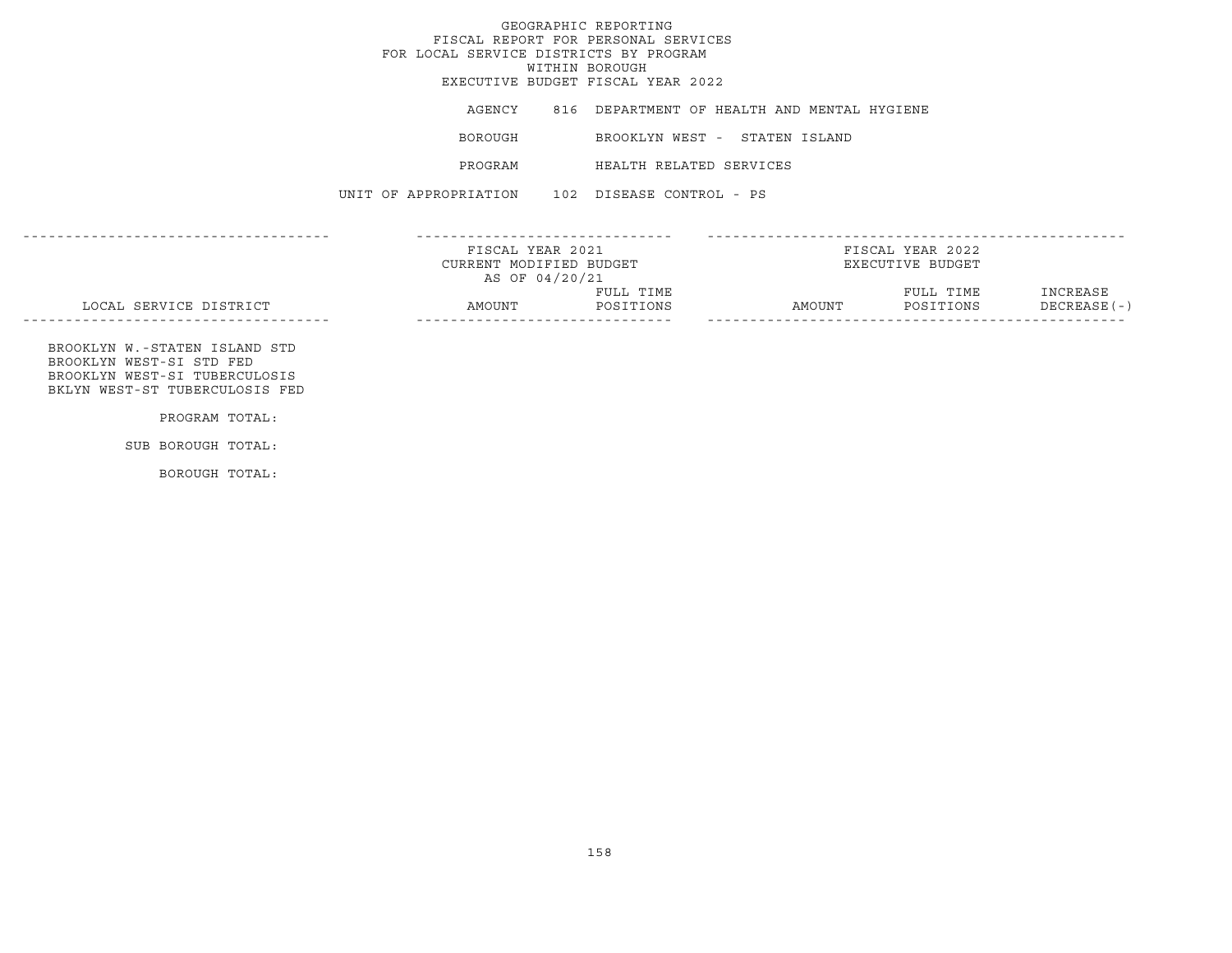# GEOGRAPHIC REPORTINGFISCAL REPORT FOR PERSONAL SERVICES FOR LOCAL SERVICE DISTRICTS BY PROGRAMWITHIN BOROUGH EXECUTIVE BUDGET FISCAL YEAR 2022AGENCY 816 DEPARTMENT OF HEALTH AND MENTAL HYGIENE BOROUGH BROOKLYN WEST - STATEN ISLAND PROGRAM HEALTH RELATED SERVICESUNIT OF APPROPRIATION 102 DISEASE CONTROL - PS------------------------------------ ------------------------------ -------------------------------------------------FISCAL YEAR 2021 FISCAL YEAR 2022CURRENT MODIFIED BUDGET **EXECUTIVE BUDGET** AS OF 04/20/21 FULL TIME FULL TIME INCREASE LOCAL SERVICE DISTRICT AMOUNT POSITIONS AMOUNT POSITIONS DECREASE(-) ------------------------------------ ------------------------------ ------------------------------------------------- BROOKLYN W.-STATEN ISLAND STD BROOKLYN WEST-SI STD FED BROOKLYN WEST-SI TUBERCULOSIS BKLYN WEST-ST TUBERCULOSIS FEDPROGRAM TOTAL: SUB BOROUGH TOTAL:

BOROUGH TOTAL: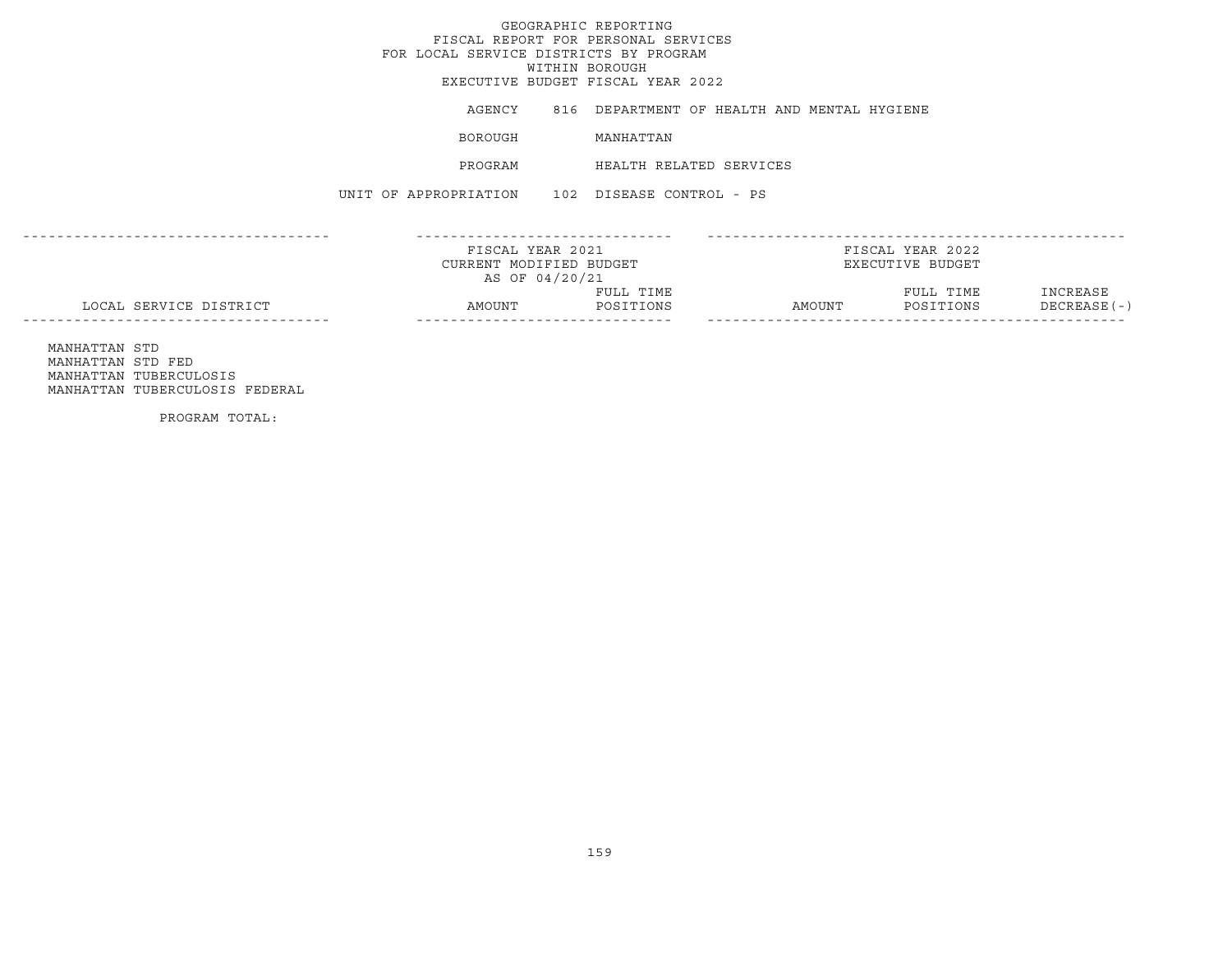## GEOGRAPHIC REPORTINGFISCAL REPORT FOR PERSONAL SERVICES FOR LOCAL SERVICE DISTRICTS BY PROGRAM WITHIN BOROUGH EXECUTIVE BUDGET FISCAL YEAR 2022AGENCY 816 DEPARTMENT OF HEALTH AND MENTAL HYGIENE BOROUGH MANHATTAN PROGRAM HEALTH RELATED SERVICESUNIT OF APPROPRIATION 102 DISEASE CONTROL - PS------------------------------------ ------------------------------ -------------------------------------------------FISCAL YEAR 2021 FISCAL YEAR 2022CURRENT MODIFIED BUDGET **EXECUTIVE BUDGET** AS OF 04/20/21 FULL TIME FULL TIME INCREASE LOCAL SERVICE DISTRICT AMOUNT POSITIONS AMOUNT POSITIONS DECREASE(-) ------------------------------------ ------------------------------ ------------------------------------------------- MANHATTAN STD MANHATTAN STD FED

 MANHATTAN TUBERCULOSIS MANHATTAN TUBERCULOSIS FEDERAL

PROGRAM TOTAL: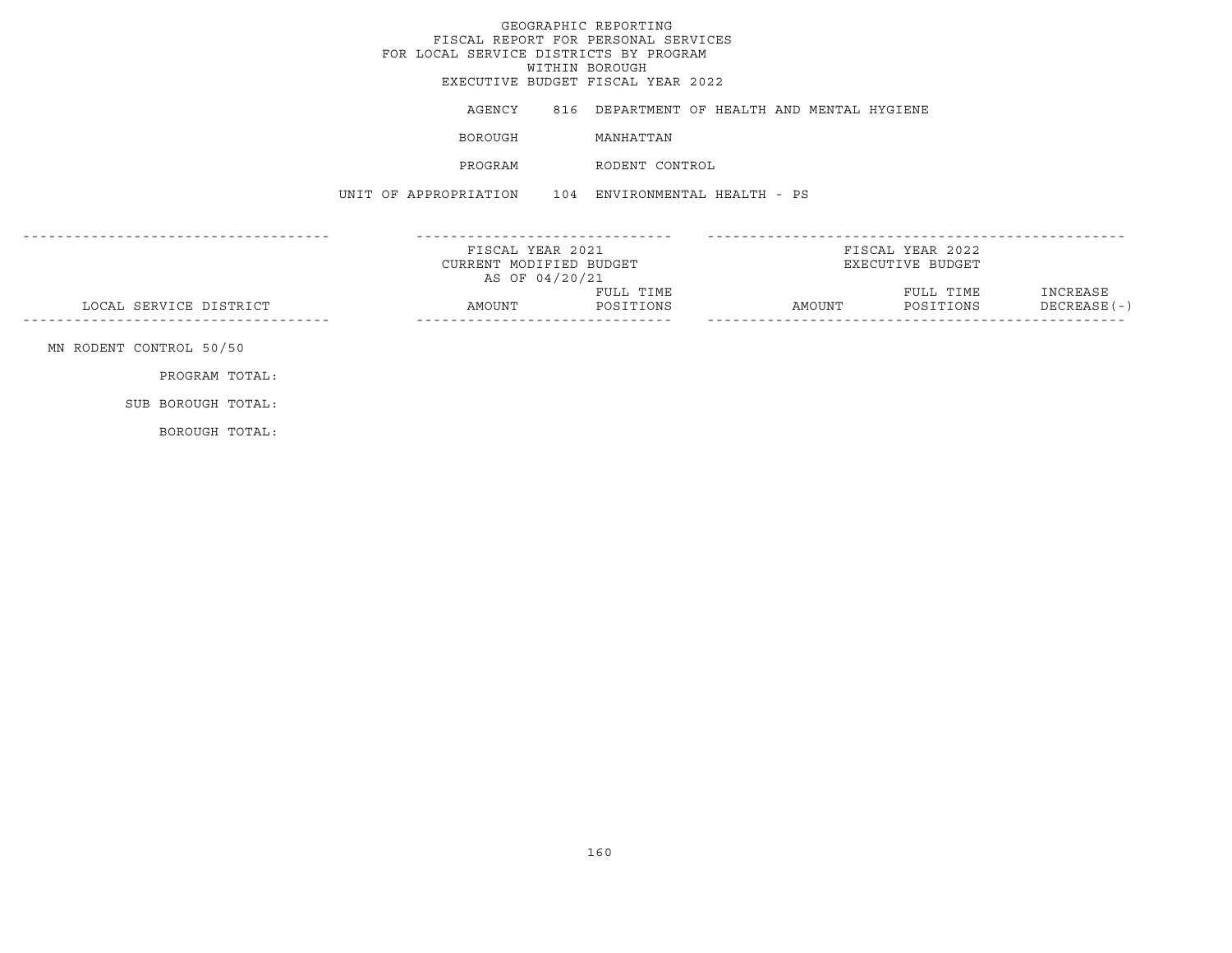# GEOGRAPHIC REPORTING FISCAL REPORT FOR PERSONAL SERVICES FOR LOCAL SERVICE DISTRICTS BY PROGRAM WITHIN BOROUGH EXECUTIVE BUDGET FISCAL YEAR 2022AGENCY 816 DEPARTMENT OF HEALTH AND MENTAL HYGIENE BOROUGH MANHATTAN PROGRAM RODENT CONTROLUNIT OF APPROPRIATION 104 ENVIRONMENTAL HEALTH - PS------------------------------------ ------------------------------ ------------------------------------------------- FISCAL YEAR 2021 FISCAL YEAR 2022CURRENT MODIFIED BUDGET **EXECUTIVE BUDGET** AS OF 04/20/21 FULL TIME FULL TIME INCREASE LOCAL SERVICE DISTRICT AMOUNT POSITIONS AMOUNT POSITIONS DECREASE(-) ------------------------------------ ------------------------------ ------------------------------------------------- MN RODENT CONTROL 50/50 PROGRAM TOTAL: SUB BOROUGH TOTAL:BOROUGH TOTAL: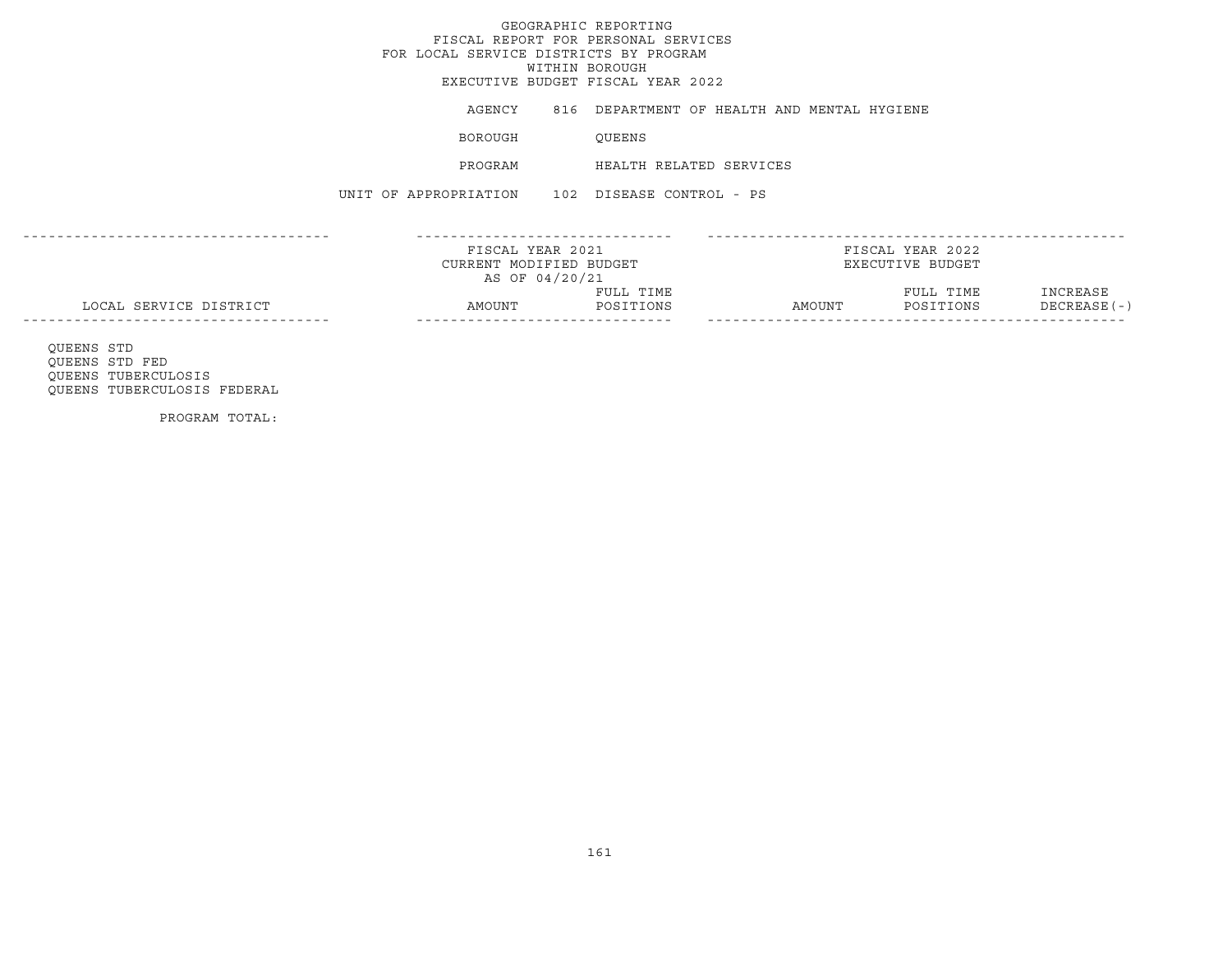## GEOGRAPHIC REPORTINGFISCAL REPORT FOR PERSONAL SERVICES FOR LOCAL SERVICE DISTRICTS BY PROGRAM WITHIN BOROUGH EXECUTIVE BUDGET FISCAL YEAR 2022AGENCY 816 DEPARTMENT OF HEALTH AND MENTAL HYGIENE BOROUGH QUEENS PROGRAM HEALTH RELATED SERVICESUNIT OF APPROPRIATION 102 DISEASE CONTROL - PS------------------------------------ ------------------------------ -------------------------------------------------FISCAL YEAR 2021 FISCAL YEAR 2022CURRENT MODIFIED BUDGET **EXECUTIVE BUDGET** AS OF 04/20/21 FULL TIME FULL TIME INCREASE LOCAL SERVICE DISTRICT AMOUNT POSITIONS AMOUNT POSITIONS DECREASE(-) ------------------------------------ ------------------------------ ------------------------------------------------- QUEENS STD QUEENS STD FED QUEENS TUBERCULOSIS

QUEENS TUBERCULOSIS FEDERAL

PROGRAM TOTAL: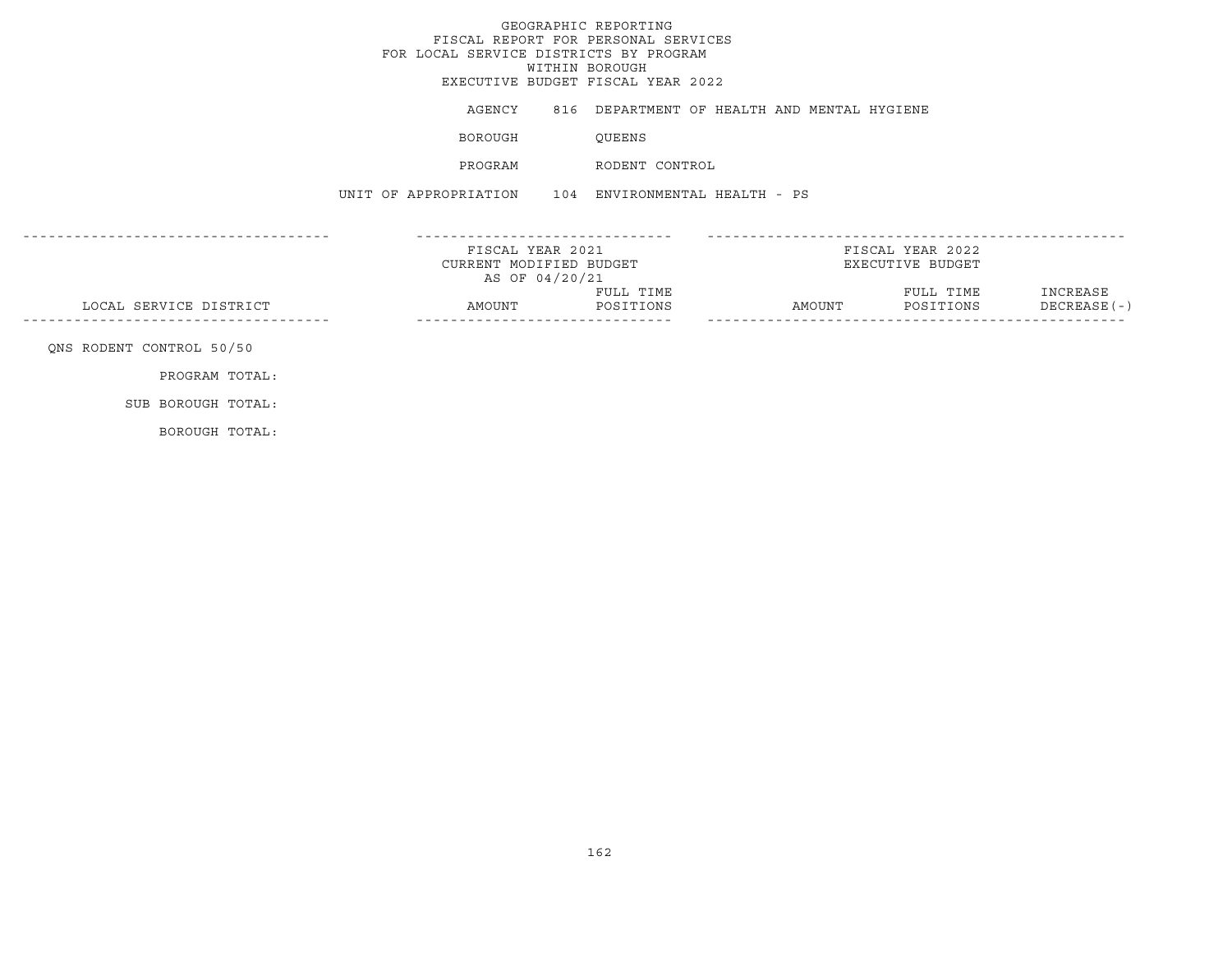# GEOGRAPHIC REPORTING FISCAL REPORT FOR PERSONAL SERVICES FOR LOCAL SERVICE DISTRICTS BY PROGRAM WITHIN BOROUGH EXECUTIVE BUDGET FISCAL YEAR 2022AGENCY 816 DEPARTMENT OF HEALTH AND MENTAL HYGIENE BOROUGH QUEENS PROGRAM RODENT CONTROLUNIT OF APPROPRIATION 104 ENVIRONMENTAL HEALTH - PS------------------------------------ ------------------------------ ------------------------------------------------- FISCAL YEAR 2021 FISCAL YEAR 2022CURRENT MODIFIED BUDGET **EXECUTIVE BUDGET** AS OF 04/20/21 FULL TIME FULL TIME INCREASE LOCAL SERVICE DISTRICT AMOUNT POSITIONS AMOUNT POSITIONS DECREASE(-) ------------------------------------ ------------------------------ ------------------------------------------------- QNS RODENT CONTROL 50/50 PROGRAM TOTAL: SUB BOROUGH TOTAL:BOROUGH TOTAL: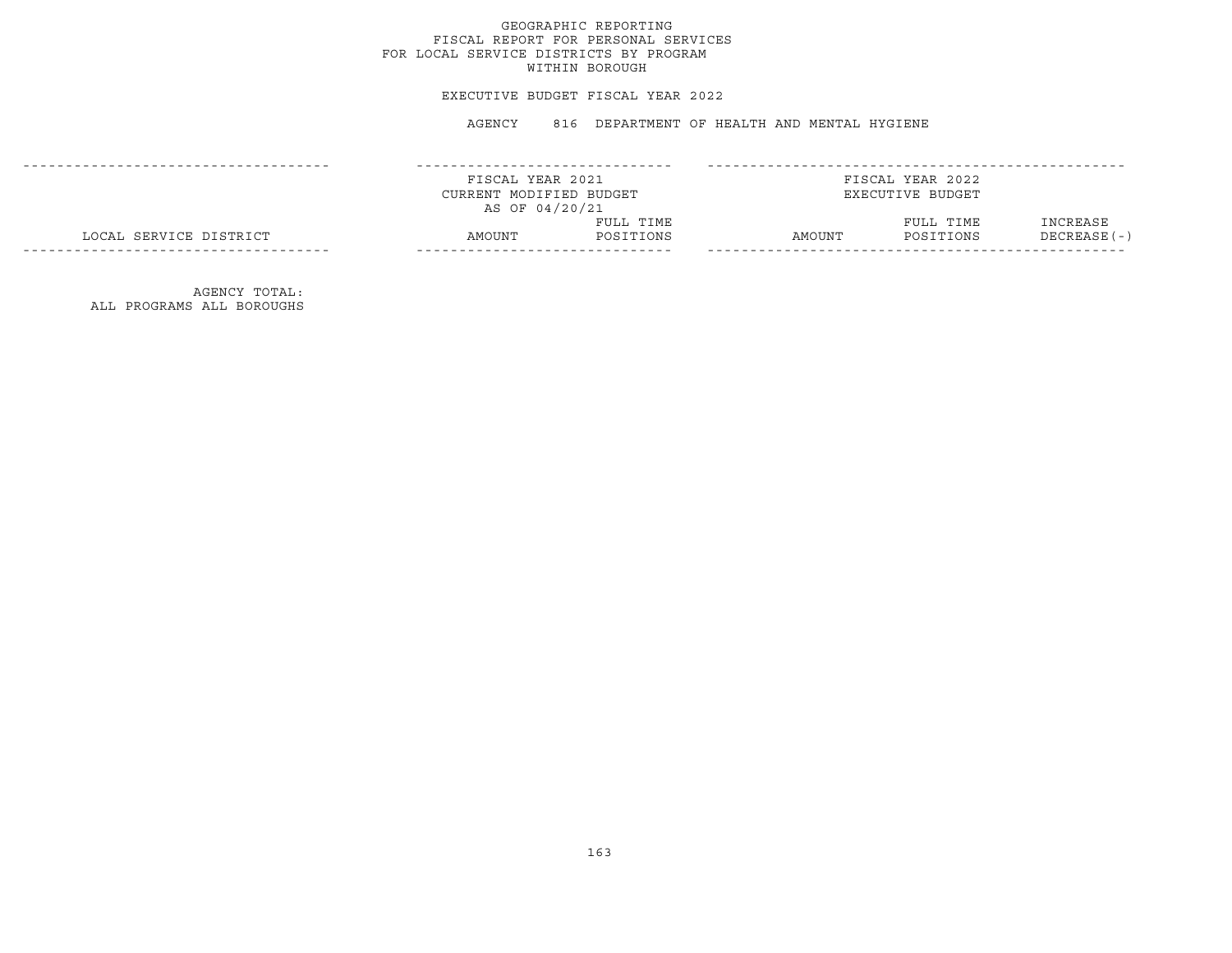### EXECUTIVE BUDGET FISCAL YEAR 2022

AGENCY 816 DEPARTMENT OF HEALTH AND MENTAL HYGIENE

|                        | FISCAL YEAR 2021        |           |        | FISCAL YEAR 2022 |               |
|------------------------|-------------------------|-----------|--------|------------------|---------------|
|                        | CURRENT MODIFIED BUDGET |           |        | EXECUTIVE BUDGET |               |
|                        | AS OF 04/20/21          |           |        |                  |               |
|                        |                         | FULL TIME |        | FULL TIME        | INCREASE      |
| LOCAL SERVICE DISTRICT | AMOUNT                  | POSITIONS | AMOUNT | POSITIONS        | $DECREASE(-)$ |
|                        |                         |           |        |                  |               |

AGENCY TOTAL: ALL PROGRAMS ALL BOROUGHS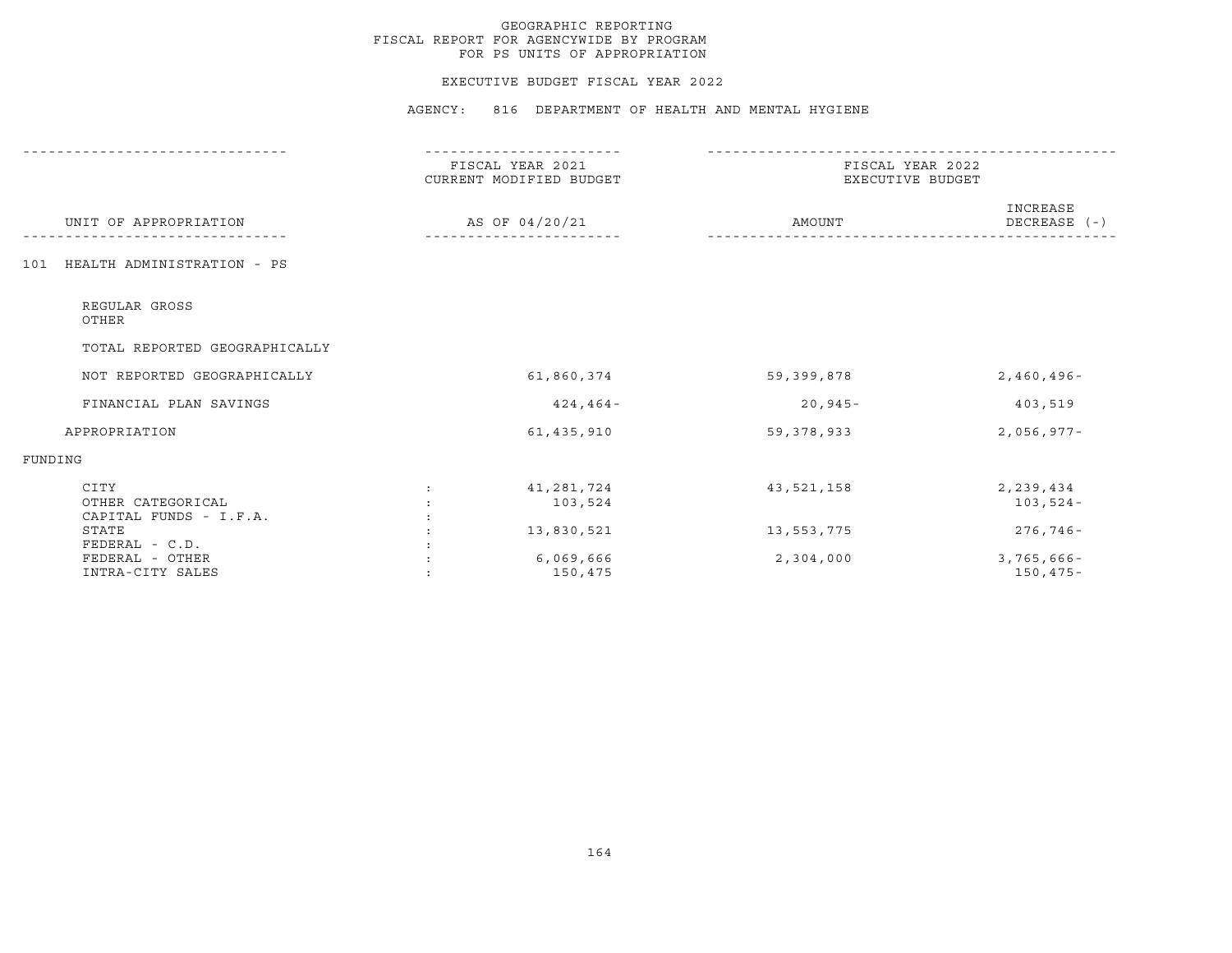#### EXECUTIVE BUDGET FISCAL YEAR 2022

|                                                     | FISCAL YEAR 2021<br>CURRENT MODIFIED BUDGET |              | FISCAL YEAR 2022<br>EXECUTIVE BUDGET |  |  |
|-----------------------------------------------------|---------------------------------------------|--------------|--------------------------------------|--|--|
| UNIT OF APPROPRIATION                               | AS OF 04/20/21                              | AMOUNT       | INCREASE<br>DECREASE (-)             |  |  |
| HEALTH ADMINISTRATION - PS<br>101                   |                                             |              |                                      |  |  |
| REGULAR GROSS<br>OTHER                              |                                             |              |                                      |  |  |
| TOTAL REPORTED GEOGRAPHICALLY                       |                                             |              |                                      |  |  |
| NOT REPORTED GEOGRAPHICALLY                         | 61,860,374                                  | 59,399,878   | $2,460,496 -$                        |  |  |
| FINANCIAL PLAN SAVINGS                              | $424, 464 -$                                | $20,945-$    | 403,519                              |  |  |
| APPROPRIATION                                       | 61,435,910                                  | 59, 378, 933 | $2,056,977-$                         |  |  |
| FUNDING                                             |                                             |              |                                      |  |  |
| CITY<br>OTHER CATEGORICAL<br>CAPITAL FUNDS - I.F.A. | 41,281,724<br>103,524                       | 43,521,158   | 2,239,434<br>$103,524-$              |  |  |
| STATE<br>$FEDERAL - C.D.$                           | 13,830,521                                  | 13,553,775   | $276,746 -$                          |  |  |
| FEDERAL - OTHER<br>INTRA-CITY SALES                 | 6,069,666<br>150,475                        | 2,304,000    | $3,765,666 -$<br>$150, 475 -$        |  |  |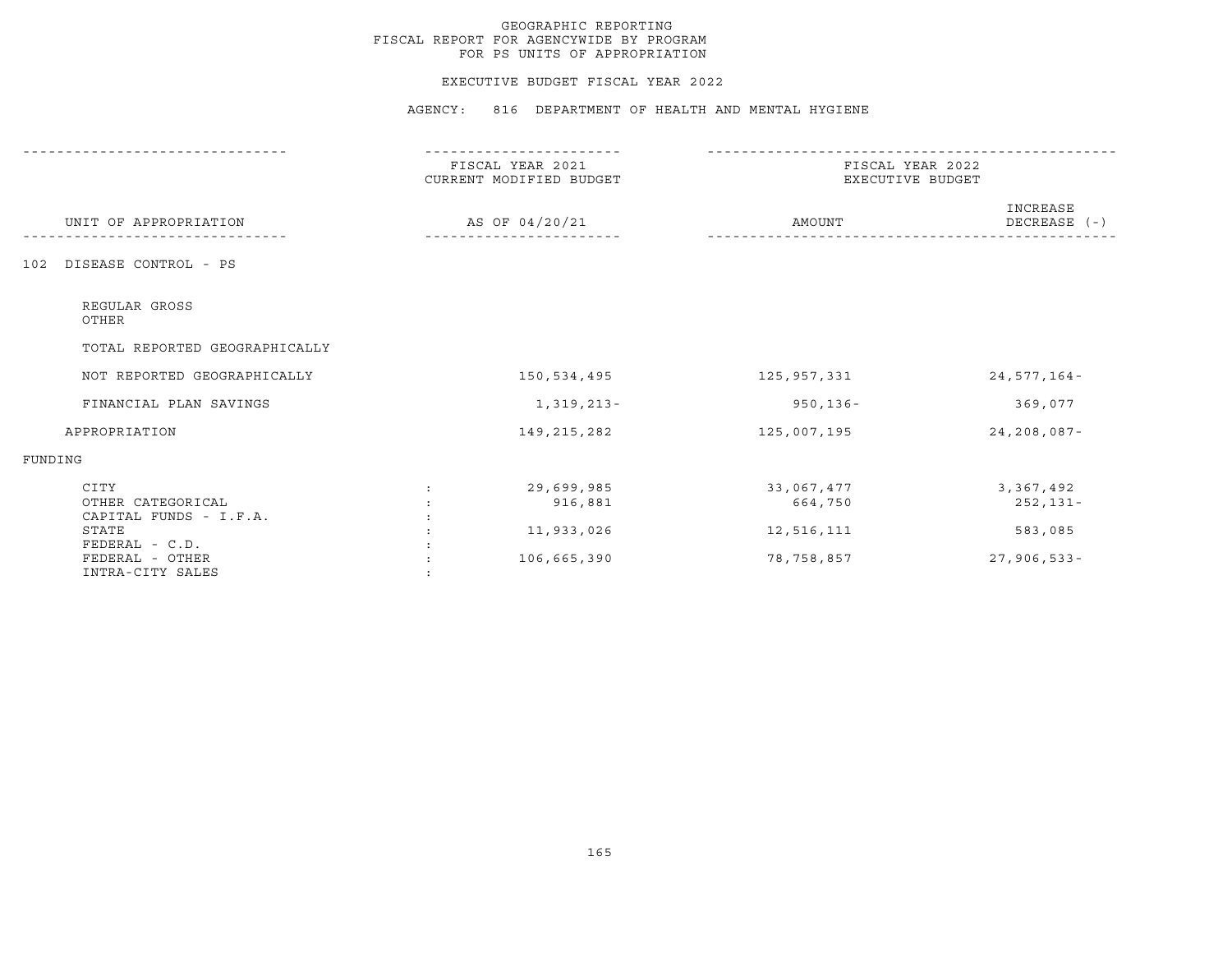#### EXECUTIVE BUDGET FISCAL YEAR 2022

|                                                                | FISCAL YEAR 2021<br>CURRENT MODIFIED BUDGET | FISCAL YEAR 2022<br>EXECUTIVE BUDGET |                           |
|----------------------------------------------------------------|---------------------------------------------|--------------------------------------|---------------------------|
| UNIT OF APPROPRIATION                                          | AS OF 04/20/21                              | AMOUNT                               | INCREASE<br>DECREASE (-)  |
| DISEASE CONTROL - PS<br>102                                    |                                             |                                      |                           |
| REGULAR GROSS<br>OTHER                                         |                                             |                                      |                           |
| TOTAL REPORTED GEOGRAPHICALLY                                  |                                             |                                      |                           |
| NOT REPORTED GEOGRAPHICALLY                                    | 150,534,495                                 | 125,957,331                          | $24,577,164-$             |
| FINANCIAL PLAN SAVINGS                                         | 1,319,213-                                  | $950, 136 -$                         | 369,077                   |
| APPROPRIATION                                                  | 149, 215, 282                               | 125,007,195                          | $24, 208, 087 -$          |
| FUNDING                                                        |                                             |                                      |                           |
| CITY<br>OTHER CATEGORICAL<br>CAPITAL FUNDS - I.F.A.            | 29,699,985<br>916,881                       | 33,067,477<br>664,750                | 3,367,492<br>252,131-     |
| STATE<br>FEDERAL - C.D.<br>FEDERAL - OTHER<br>INTRA-CITY SALES | 11,933,026<br>106,665,390                   | 12,516,111<br>78,758,857             | 583,085<br>$27,906,533 -$ |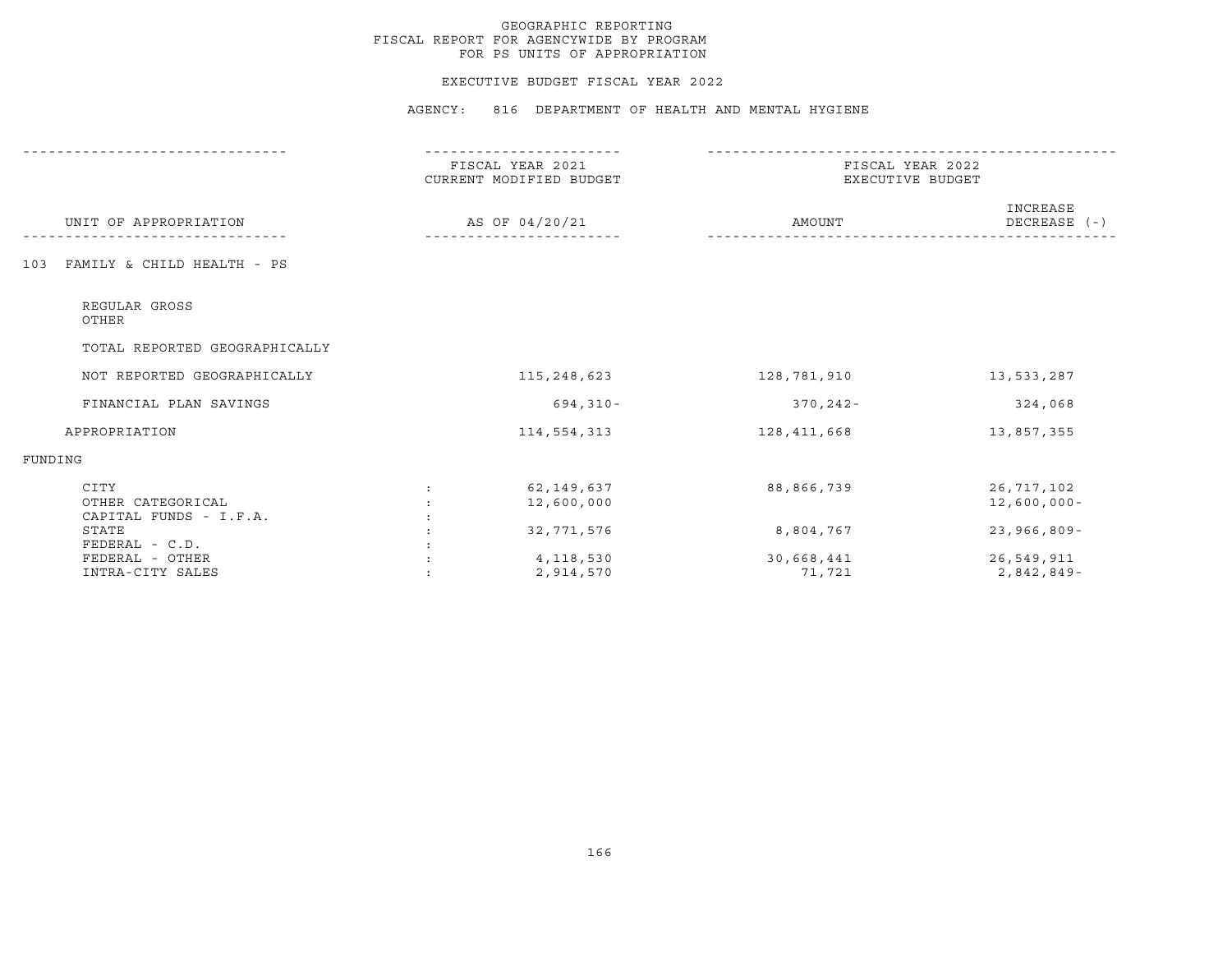#### EXECUTIVE BUDGET FISCAL YEAR 2022

|                                                     | FISCAL YEAR 2021<br>CURRENT MODIFIED BUDGET      | FISCAL YEAR 2022<br>EXECUTIVE BUDGET |                              |
|-----------------------------------------------------|--------------------------------------------------|--------------------------------------|------------------------------|
| UNIT OF APPROPRIATION                               | AS OF 04/20/21                                   | AMOUNT                               | INCREASE<br>DECREASE (-)     |
| FAMILY & CHILD HEALTH - PS<br>103                   |                                                  |                                      |                              |
| REGULAR GROSS<br>OTHER                              |                                                  |                                      |                              |
| TOTAL REPORTED GEOGRAPHICALLY                       |                                                  |                                      |                              |
| NOT REPORTED GEOGRAPHICALLY                         | 115,248,623                                      | 128,781,910                          | 13,533,287                   |
| FINANCIAL PLAN SAVINGS                              | 694,310-                                         | $370, 242 -$                         | 324,068                      |
| APPROPRIATION                                       | 114,554,313                                      | 128,411,668                          | 13,857,355                   |
| FUNDING                                             |                                                  |                                      |                              |
| CITY<br>OTHER CATEGORICAL<br>CAPITAL FUNDS - I.F.A. | 62,149,637<br>$\ddot{\phantom{0}}$<br>12,600,000 | 88,866,739                           | 26,717,102<br>$12,600,000 -$ |
| STATE<br>FEDERAL - C.D.                             | 32,771,576                                       | 8,804,767                            | $23,966,809 -$               |
| FEDERAL - OTHER<br>INTRA-CITY SALES                 | 4,118,530<br>2,914,570                           | 30,668,441<br>71,721                 | 26,549,911<br>$2,842,849-$   |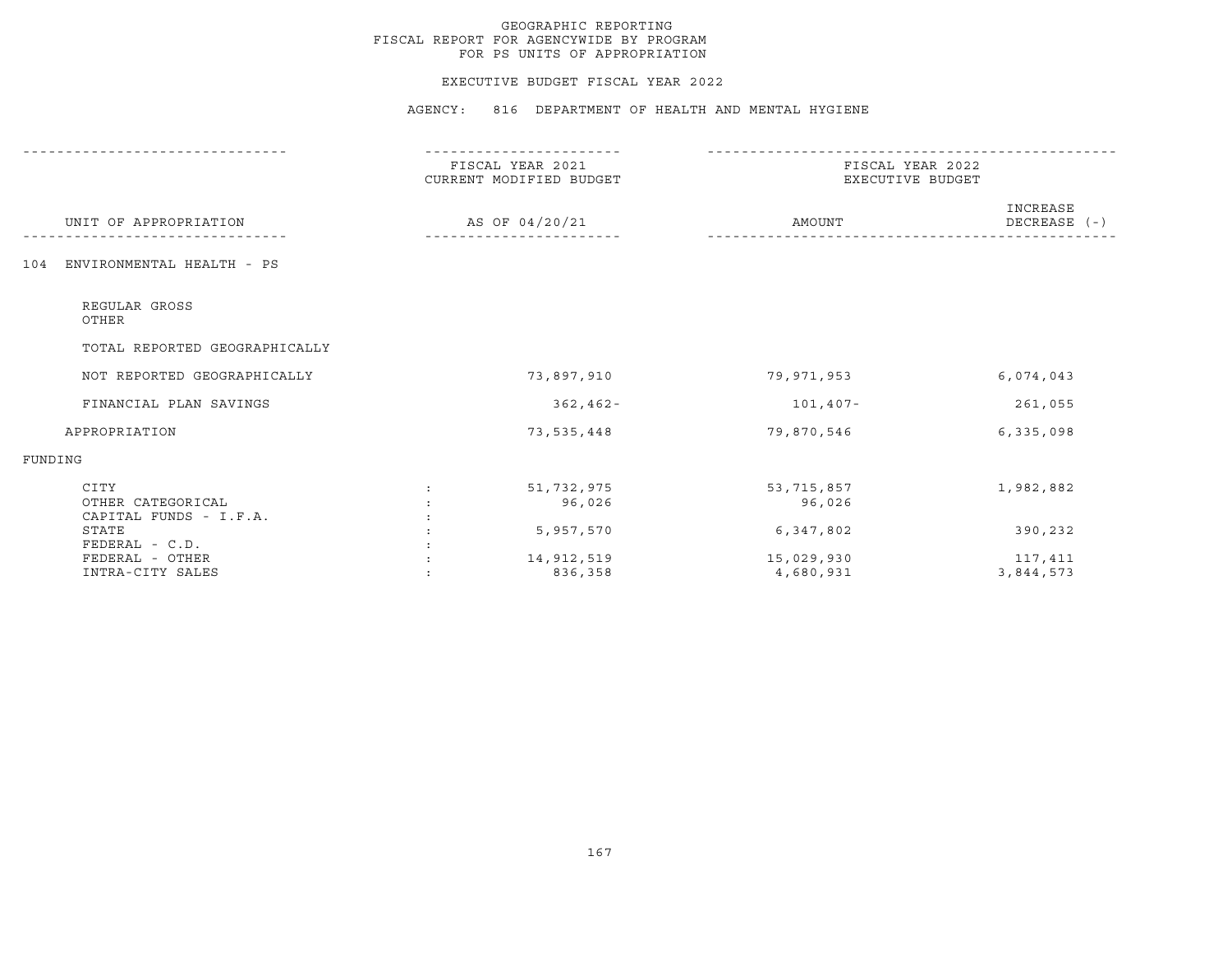#### EXECUTIVE BUDGET FISCAL YEAR 2022

|                                                     | FISCAL YEAR 2021<br>CURRENT MODIFIED BUDGET |                       | FISCAL YEAR 2022<br>EXECUTIVE BUDGET |                          |  |
|-----------------------------------------------------|---------------------------------------------|-----------------------|--------------------------------------|--------------------------|--|
| UNIT OF APPROPRIATION                               |                                             | AS OF 04/20/21        | AMOUNT                               | INCREASE<br>DECREASE (-) |  |
| ENVIRONMENTAL HEALTH - PS<br>104                    |                                             |                       |                                      |                          |  |
| REGULAR GROSS<br>OTHER                              |                                             |                       |                                      |                          |  |
| TOTAL REPORTED GEOGRAPHICALLY                       |                                             |                       |                                      |                          |  |
| NOT REPORTED GEOGRAPHICALLY                         |                                             | 73,897,910            | 79,971,953                           | 6,074,043                |  |
| FINANCIAL PLAN SAVINGS                              |                                             | $362, 462 -$          | 101,407-                             | 261,055                  |  |
| APPROPRIATION                                       |                                             | 73,535,448            | 79,870,546                           | 6,335,098                |  |
| FUNDING                                             |                                             |                       |                                      |                          |  |
| CITY<br>OTHER CATEGORICAL<br>CAPITAL FUNDS - I.F.A. |                                             | 51,732,975<br>96,026  | 53, 715, 857<br>96,026               | 1,982,882                |  |
| STATE<br>FEDERAL - C.D.                             |                                             | 5,957,570             | 6,347,802                            | 390,232                  |  |
| FEDERAL - OTHER<br>INTRA-CITY SALES                 |                                             | 14,912,519<br>836,358 | 15,029,930<br>4,680,931              | 117,411<br>3,844,573     |  |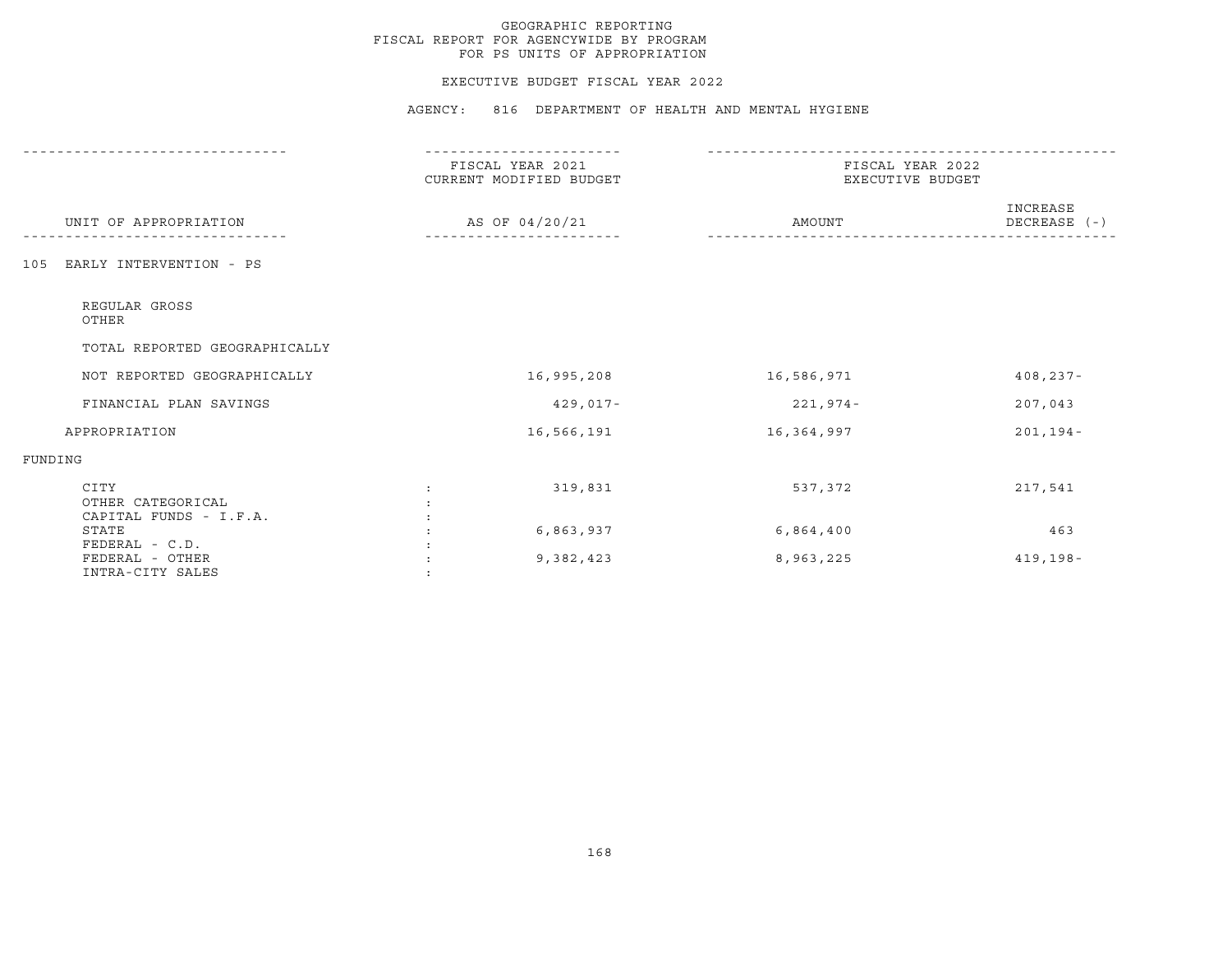#### EXECUTIVE BUDGET FISCAL YEAR 2022

|                                                   | FISCAL YEAR 2021<br>CURRENT MODIFIED BUDGET | FISCAL YEAR 2022<br>EXECUTIVE BUDGET |                          |  |
|---------------------------------------------------|---------------------------------------------|--------------------------------------|--------------------------|--|
| UNIT OF APPROPRIATION                             | AS OF 04/20/21                              | AMOUNT                               | INCREASE<br>DECREASE (-) |  |
| EARLY INTERVENTION - PS<br>105                    |                                             |                                      |                          |  |
| REGULAR GROSS<br>OTHER                            |                                             |                                      |                          |  |
| TOTAL REPORTED GEOGRAPHICALLY                     |                                             |                                      |                          |  |
| NOT REPORTED GEOGRAPHICALLY                       | 16,995,208                                  | 16,586,971                           | $408, 237 -$             |  |
| FINANCIAL PLAN SAVINGS                            | $429,017-$                                  | 221,974-                             | 207,043                  |  |
| APPROPRIATION                                     | 16,566,191                                  | 16,364,997                           | $201, 194 -$             |  |
| FUNDING                                           |                                             |                                      |                          |  |
| CITY<br>OTHER CATEGORICAL                         | 319,831                                     | 537,372                              | 217,541                  |  |
| CAPITAL FUNDS - I.F.A.<br>STATE<br>FEDERAL - C.D. | 6,863,937                                   | 6,864,400                            | 463                      |  |
| FEDERAL - OTHER<br>INTRA-CITY SALES               | 9,382,423                                   | 8,963,225                            | $419, 198 -$             |  |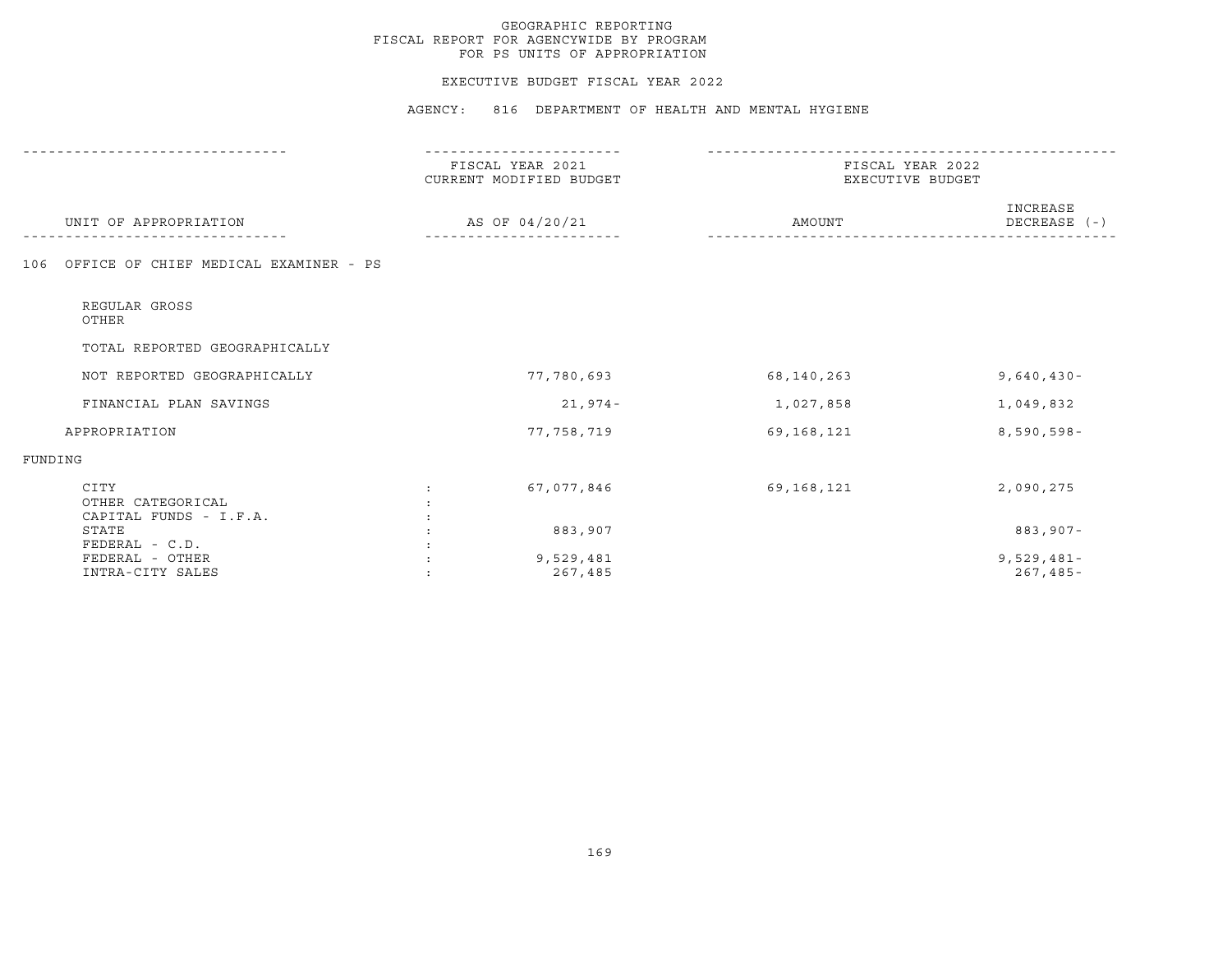#### EXECUTIVE BUDGET FISCAL YEAR 2022

|                                                     | FISCAL YEAR 2021<br>CURRENT MODIFIED BUDGET | FISCAL YEAR 2022<br>EXECUTIVE BUDGET |                              |
|-----------------------------------------------------|---------------------------------------------|--------------------------------------|------------------------------|
| UNIT OF APPROPRIATION                               | AS OF 04/20/21                              | AMOUNT                               | INCREASE<br>DECREASE (-)     |
| OFFICE OF CHIEF MEDICAL EXAMINER - PS<br>106        |                                             |                                      |                              |
| REGULAR GROSS<br>OTHER                              |                                             |                                      |                              |
| TOTAL REPORTED GEOGRAPHICALLY                       |                                             |                                      |                              |
| NOT REPORTED GEOGRAPHICALLY                         | 77,780,693                                  | 68,140,263                           | $9,640,430 -$                |
| FINANCIAL PLAN SAVINGS                              | $21,974-$                                   | 1,027,858                            | 1,049,832                    |
| APPROPRIATION                                       | 77,758,719                                  | 69,168,121                           | $8,590,598 -$                |
| FUNDING                                             |                                             |                                      |                              |
| CITY<br>OTHER CATEGORICAL<br>CAPITAL FUNDS - I.F.A. | 67,077,846                                  | 69,168,121                           | 2,090,275                    |
| STATE<br>FEDERAL - C.D.                             | 883,907                                     |                                      | $883,907 -$                  |
| FEDERAL - OTHER<br>INTRA-CITY SALES                 | 9,529,481<br>267,485                        |                                      | $9,529,481-$<br>$267, 485 -$ |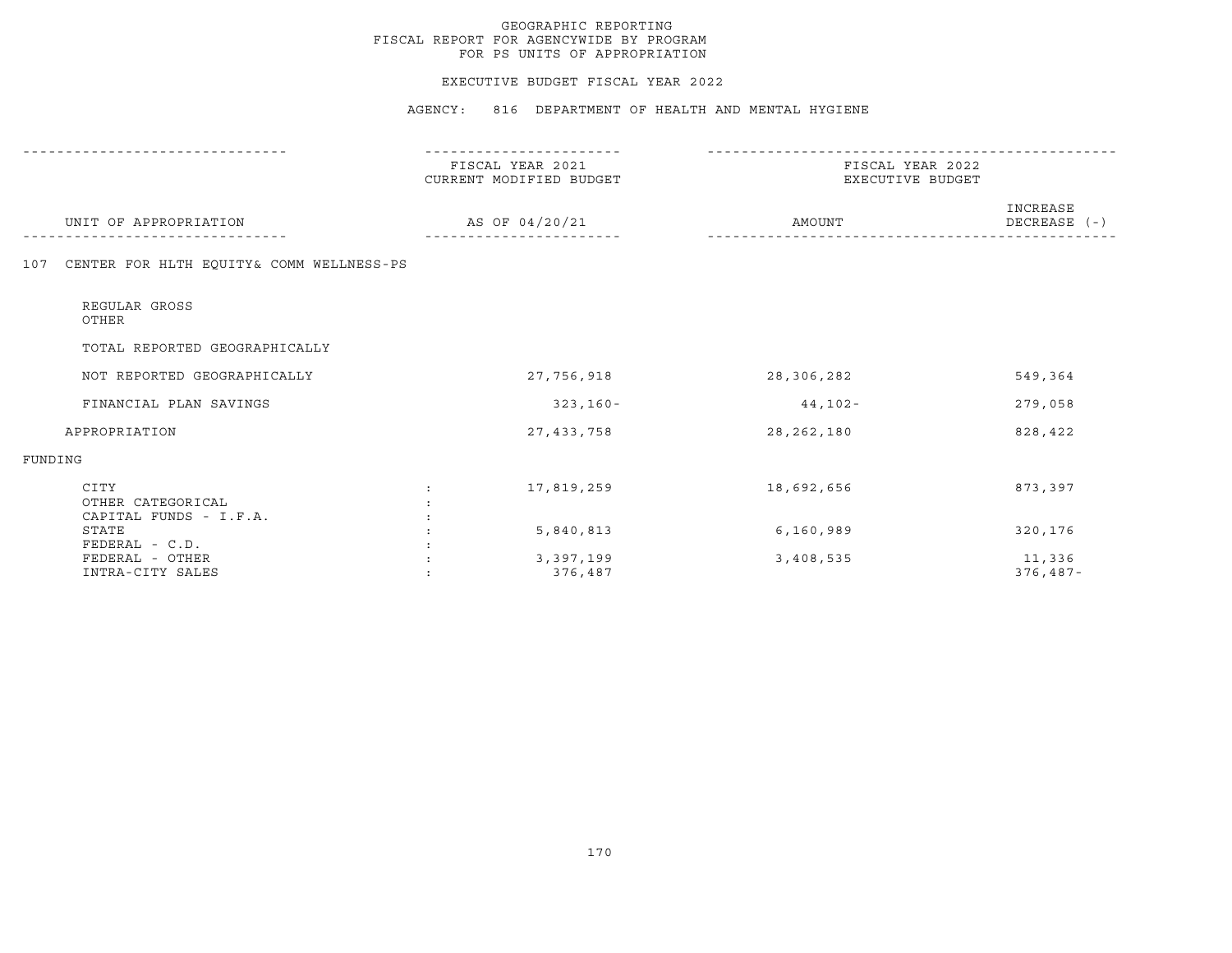#### EXECUTIVE BUDGET FISCAL YEAR 2022

|                                                     | FISCAL YEAR 2021<br>CURRENT MODIFIED BUDGET | FISCAL YEAR 2022<br>EXECUTIVE BUDGET |                          |
|-----------------------------------------------------|---------------------------------------------|--------------------------------------|--------------------------|
| UNIT OF APPROPRIATION                               | AS OF 04/20/21                              | AMOUNT                               | INCREASE<br>DECREASE (-) |
| CENTER FOR HLTH EQUITY& COMM WELLNESS-PS<br>107     |                                             |                                      |                          |
| REGULAR GROSS<br>OTHER                              |                                             |                                      |                          |
| TOTAL REPORTED GEOGRAPHICALLY                       |                                             |                                      |                          |
| NOT REPORTED GEOGRAPHICALLY                         | 27,756,918                                  | 28,306,282                           | 549,364                  |
| FINANCIAL PLAN SAVINGS                              | $323,160-$                                  | $44,102-$                            | 279,058                  |
| APPROPRIATION                                       | 27, 433, 758                                | 28, 262, 180                         | 828,422                  |
| FUNDING                                             |                                             |                                      |                          |
| CITY<br>OTHER CATEGORICAL<br>CAPITAL FUNDS - I.F.A. | 17,819,259                                  | 18,692,656                           | 873,397                  |
| STATE<br>FEDERAL - C.D.                             | 5,840,813                                   | 6,160,989                            | 320,176                  |
| FEDERAL - OTHER<br>INTRA-CITY SALES                 | 3,397,199<br>376,487                        | 3,408,535                            | 11,336<br>$376,487-$     |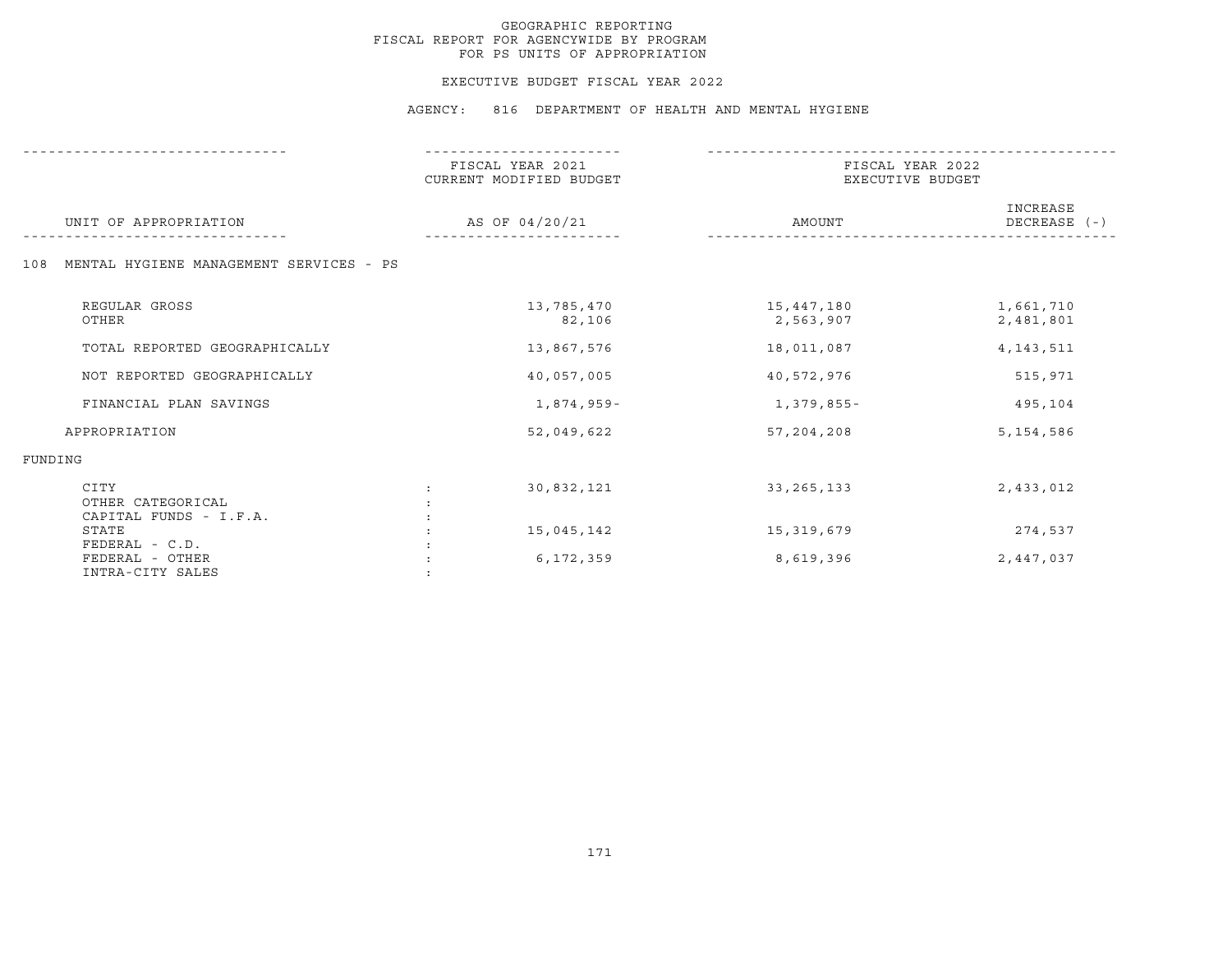#### EXECUTIVE BUDGET FISCAL YEAR 2022

| UNIT OF APPROPRIATION                                 | FISCAL YEAR 2021<br>CURRENT MODIFIED BUDGET | FISCAL YEAR 2022<br>EXECUTIVE BUDGET |                              |
|-------------------------------------------------------|---------------------------------------------|--------------------------------------|------------------------------|
|                                                       | AS OF 04/20/21                              | AMOUNT                               | INCREASE<br>$DECREASE$ $(-)$ |
| MENTAL HYGIENE MANAGEMENT SERVICES - PS<br>108        |                                             |                                      |                              |
| REGULAR GROSS<br>OTHER                                | 13,785,470<br>82,106                        | 15,447,180<br>2,563,907              | 1,661,710<br>2,481,801       |
| TOTAL REPORTED GEOGRAPHICALLY                         | 13,867,576                                  | 18,011,087                           | 4, 143, 511                  |
| NOT REPORTED GEOGRAPHICALLY                           | 40,057,005                                  | 40,572,976                           | 515,971                      |
| FINANCIAL PLAN SAVINGS                                | 1,874,959-                                  | 1,379,855-                           | 495,104                      |
| APPROPRIATION                                         | 52,049,622                                  | 57, 204, 208                         | 5, 154, 586                  |
| FUNDING                                               |                                             |                                      |                              |
| CITY<br>OTHER CATEGORICAL<br>CAPITAL FUNDS - I.F.A.   | 30,832,121<br>$\ddot{\cdot}$                | 33, 265, 133                         | 2,433,012                    |
| STATE                                                 | 15,045,142                                  | 15,319,679                           | 274,537                      |
| FEDERAL - C.D.<br>FEDERAL - OTHER<br>INTRA-CITY SALES | 6,172,359                                   | 8,619,396                            | 2,447,037                    |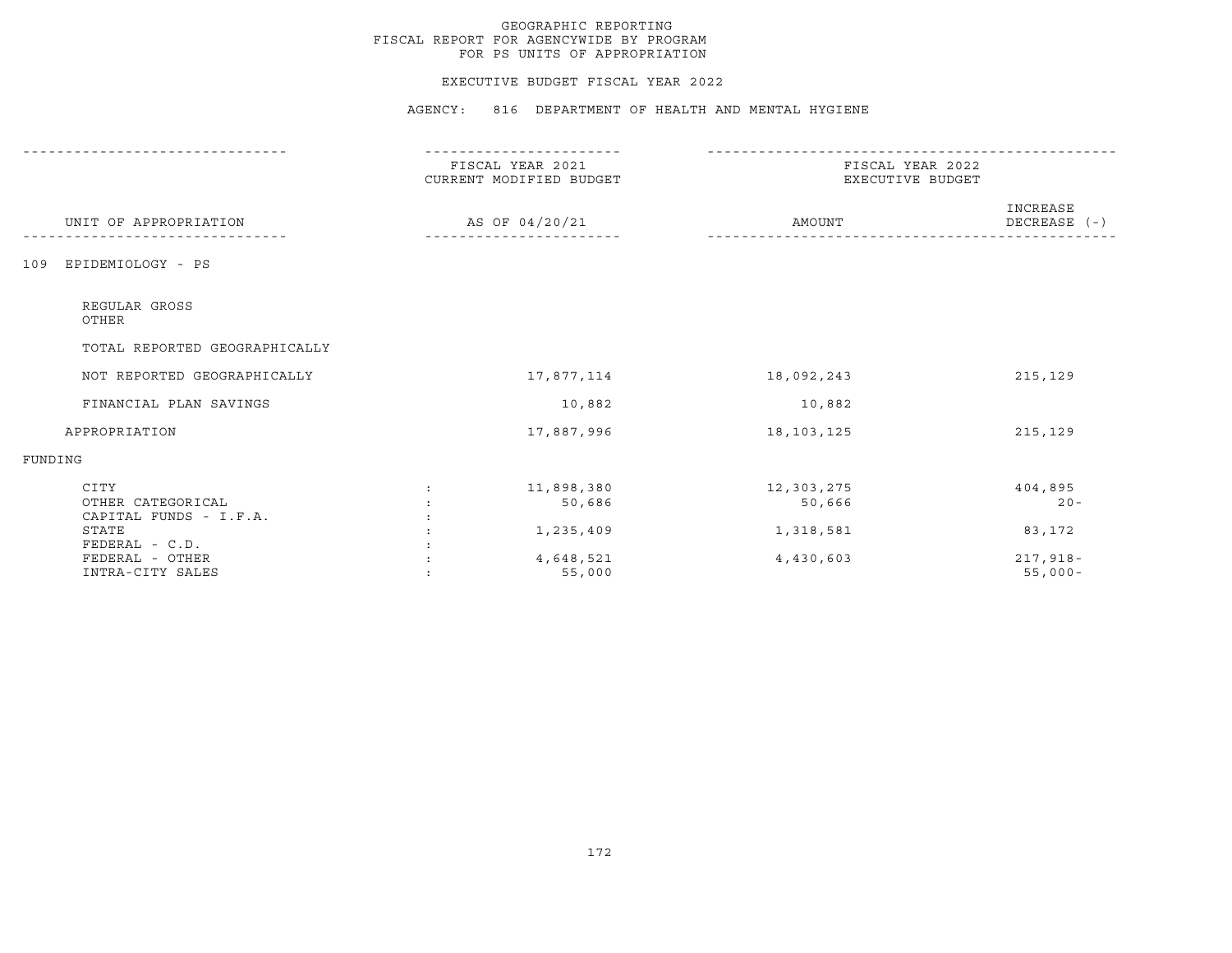#### EXECUTIVE BUDGET FISCAL YEAR 2022

|                                                     | FISCAL YEAR 2021<br>CURRENT MODIFIED BUDGET<br>AS OF 04/20/21 | FISCAL YEAR 2022<br>EXECUTIVE BUDGET |                              |
|-----------------------------------------------------|---------------------------------------------------------------|--------------------------------------|------------------------------|
| UNIT OF APPROPRIATION                               |                                                               | AMOUNT                               | INCREASE<br>$DECREASE$ $(-)$ |
| EPIDEMIOLOGY - PS<br>109                            |                                                               |                                      |                              |
| REGULAR GROSS<br>OTHER                              |                                                               |                                      |                              |
| TOTAL REPORTED GEOGRAPHICALLY                       |                                                               |                                      |                              |
| NOT REPORTED GEOGRAPHICALLY                         | 17,877,114                                                    | 18,092,243                           | 215,129                      |
| FINANCIAL PLAN SAVINGS                              | 10,882                                                        | 10,882                               |                              |
| APPROPRIATION                                       | 17,887,996                                                    | 18,103,125                           | 215,129                      |
| FUNDING                                             |                                                               |                                      |                              |
| CITY<br>OTHER CATEGORICAL<br>CAPITAL FUNDS - I.F.A. | 11,898,380<br>50,686                                          | 12,303,275<br>50,666                 | 404,895<br>$20 -$            |
| STATE<br>$FEDERAL - C.D.$                           | 1,235,409                                                     | 1,318,581                            | 83,172                       |
| FEDERAL - OTHER<br>INTRA-CITY SALES                 | 4,648,521<br>55,000                                           | 4,430,603                            | $217,918-$<br>$55,000 -$     |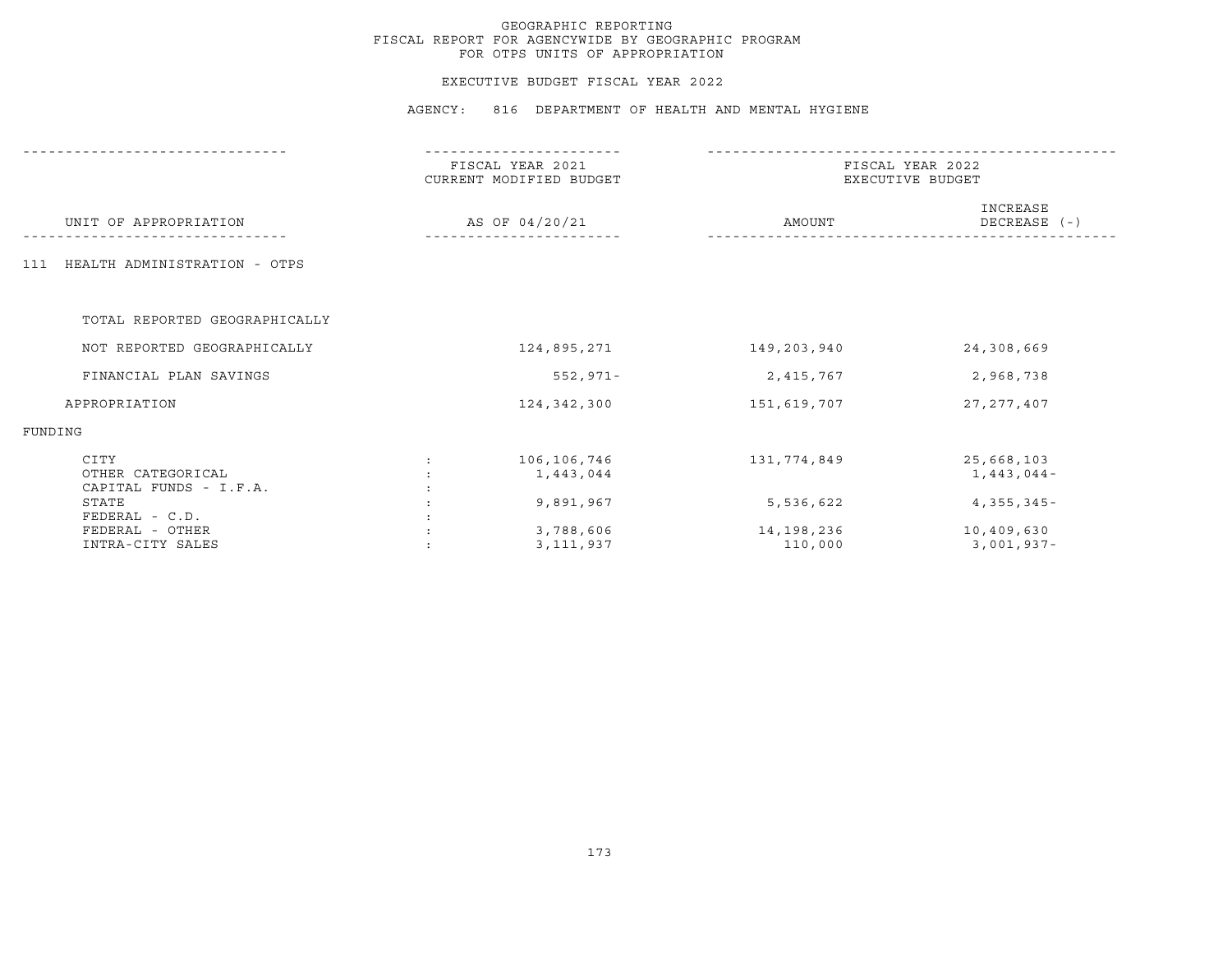## EXECUTIVE BUDGET FISCAL YEAR 2022

|                                                     | FISCAL YEAR 2021<br>CURRENT MODIFIED BUDGET<br>AS OF 04/20/21 | FISCAL YEAR 2022<br>EXECUTIVE BUDGET |                            |
|-----------------------------------------------------|---------------------------------------------------------------|--------------------------------------|----------------------------|
| UNIT OF APPROPRIATION                               |                                                               | AMOUNT                               | INCREASE<br>DECREASE (-)   |
| HEALTH ADMINISTRATION - OTPS<br>111                 |                                                               |                                      |                            |
| TOTAL REPORTED GEOGRAPHICALLY                       |                                                               |                                      |                            |
| NOT REPORTED GEOGRAPHICALLY                         | 124,895,271                                                   | 149,203,940                          | 24,308,669                 |
| FINANCIAL PLAN SAVINGS                              | $552, 971 -$                                                  | 2,415,767                            | 2,968,738                  |
| APPROPRIATION                                       | 124, 342, 300                                                 | 151,619,707                          | 27, 277, 407               |
| FUNDING                                             |                                                               |                                      |                            |
| CITY<br>OTHER CATEGORICAL<br>CAPITAL FUNDS - I.F.A. | 106,106,746<br>$\mathcal{L}$<br>1,443,044                     | 131,774,849                          | 25,668,103<br>$1,443,044-$ |
| STATE<br>FEDERAL - C.D.                             | 9,891,967                                                     | 5,536,622                            | $4,355,345-$               |
| FEDERAL - OTHER<br>INTRA-CITY SALES                 | 3,788,606<br>3,111,937                                        | 14,198,236<br>110,000                | 10,409,630<br>3,001,937-   |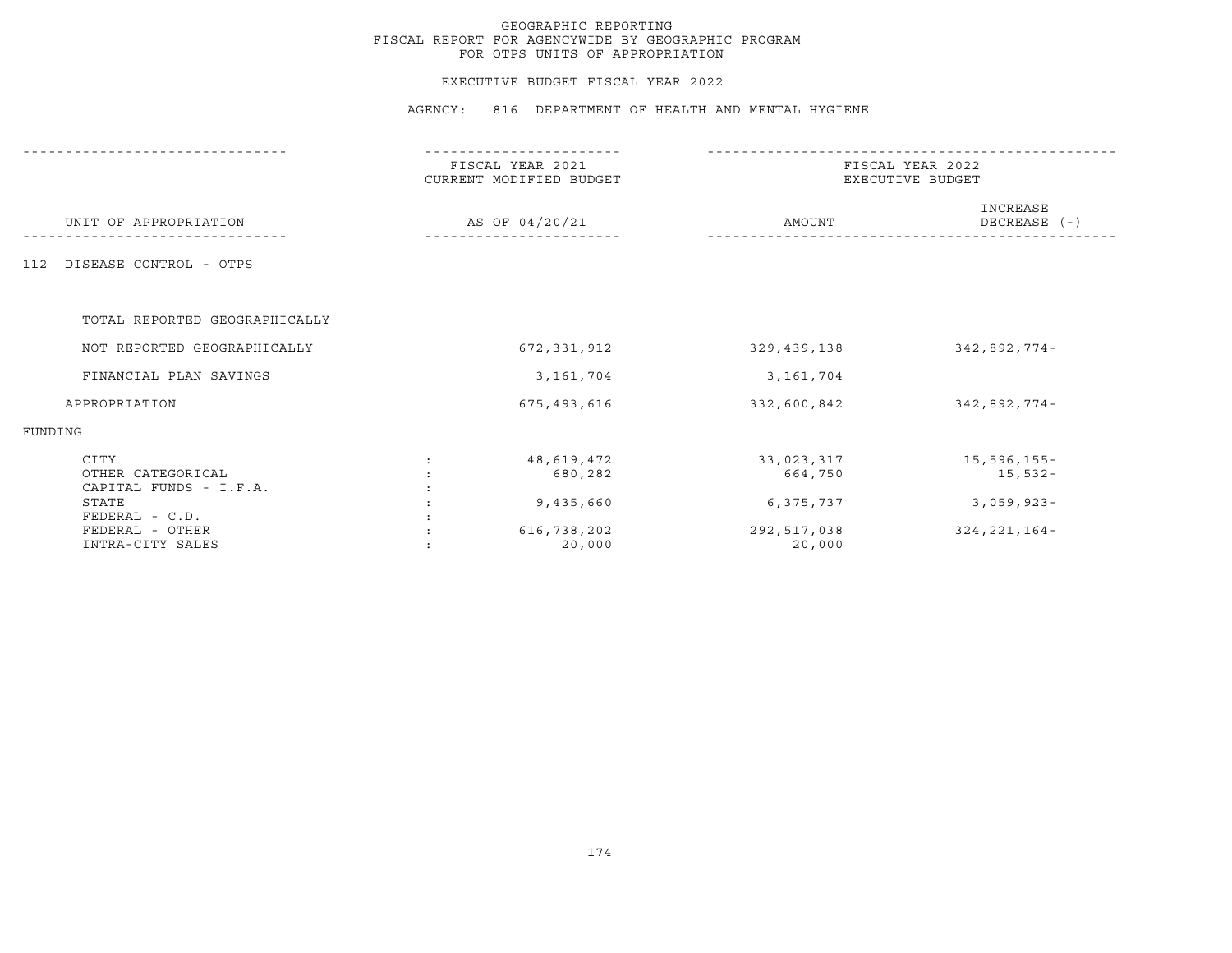## EXECUTIVE BUDGET FISCAL YEAR 2022

|                                                     | FISCAL YEAR 2021<br>CURRENT MODIFIED BUDGET<br>AS OF 04/20/21 | FISCAL YEAR 2022<br>EXECUTIVE BUDGET |                            |
|-----------------------------------------------------|---------------------------------------------------------------|--------------------------------------|----------------------------|
| UNIT OF APPROPRIATION                               |                                                               | AMOUNT                               | INCREASE<br>DECREASE $(-)$ |
| DISEASE CONTROL - OTPS<br>112                       |                                                               |                                      |                            |
| TOTAL REPORTED GEOGRAPHICALLY                       |                                                               |                                      |                            |
| NOT REPORTED GEOGRAPHICALLY                         | 672, 331, 912                                                 | 329,439,138                          | $342,892,774-$             |
| FINANCIAL PLAN SAVINGS                              | 3,161,704                                                     | 3,161,704                            |                            |
| APPROPRIATION                                       | 675,493,616                                                   | 332,600,842                          | 342,892,774-               |
| FUNDING                                             |                                                               |                                      |                            |
| CITY<br>OTHER CATEGORICAL<br>CAPITAL FUNDS - I.F.A. | 48,619,472<br>680,282                                         | 33,023,317<br>664,750                | 15,596,155-<br>$15,532-$   |
| STATE<br>$FEDERAL - C.D.$                           | 9,435,660                                                     | 6,375,737                            | $3,059,923-$               |
| FEDERAL - OTHER<br>INTRA-CITY SALES                 | 616,738,202<br>20,000                                         | 292,517,038<br>20,000                | $324, 221, 164 -$          |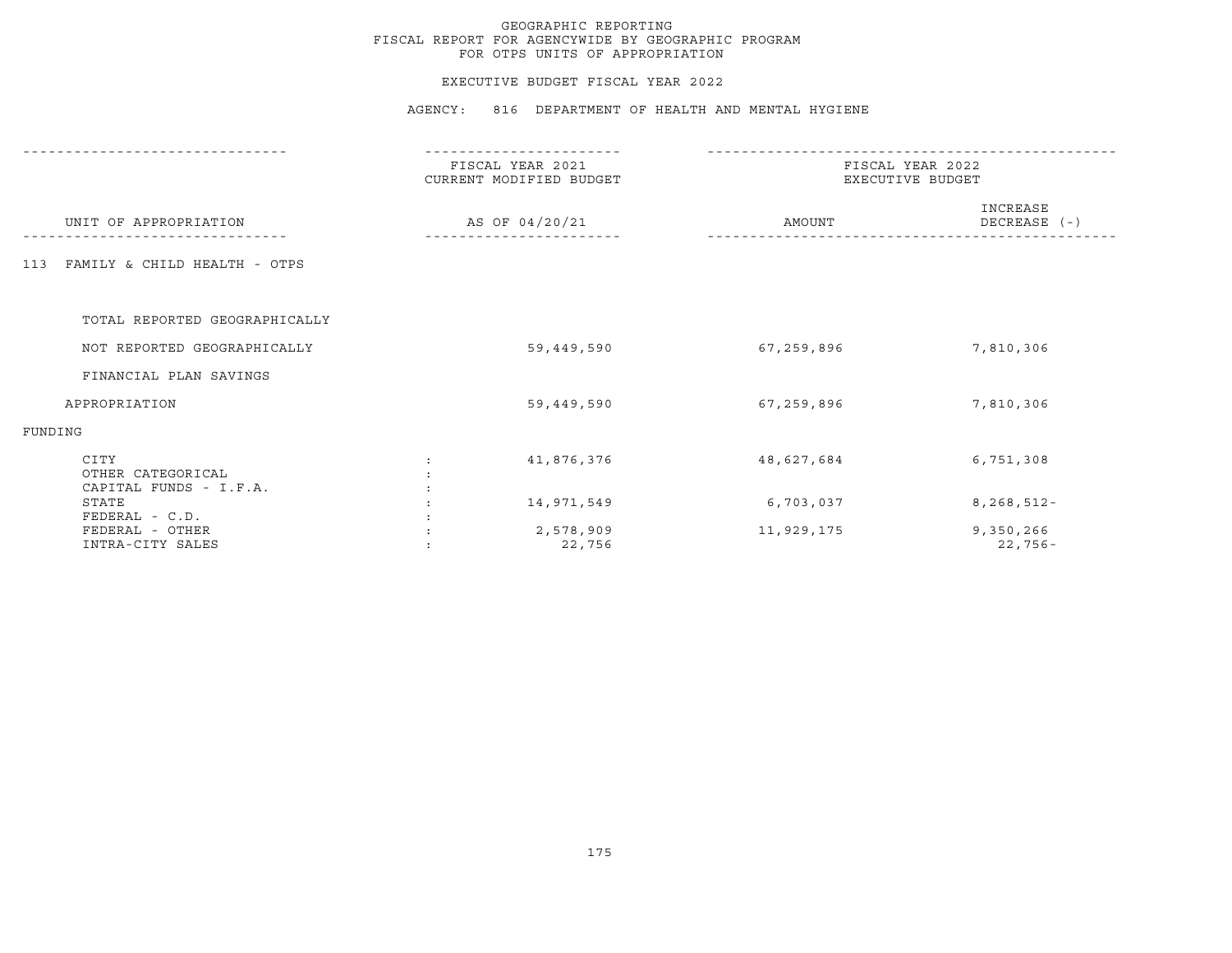## EXECUTIVE BUDGET FISCAL YEAR 2022

| UNIT OF APPROPRIATION                               | FISCAL YEAR 2021<br>CURRENT MODIFIED BUDGET<br>AS OF 04/20/21 | FISCAL YEAR 2022<br>EXECUTIVE BUDGET |                          |
|-----------------------------------------------------|---------------------------------------------------------------|--------------------------------------|--------------------------|
|                                                     |                                                               | AMOUNT                               | INCREASE<br>DECREASE (-) |
| FAMILY & CHILD HEALTH - OTPS<br>113                 |                                                               |                                      |                          |
| TOTAL REPORTED GEOGRAPHICALLY                       |                                                               |                                      |                          |
| NOT REPORTED GEOGRAPHICALLY                         | 59,449,590                                                    | 67,259,896                           | 7,810,306                |
| FINANCIAL PLAN SAVINGS                              |                                                               |                                      |                          |
| APPROPRIATION                                       | 59,449,590                                                    | 67,259,896                           | 7,810,306                |
| FUNDING                                             |                                                               |                                      |                          |
| CITY<br>OTHER CATEGORICAL<br>CAPITAL FUNDS - I.F.A. | 41,876,376                                                    | 48,627,684                           | 6,751,308                |
| STATE<br>FEDERAL - C.D.                             | 14,971,549                                                    | 6,703,037                            | $8, 268, 512 -$          |
| FEDERAL - OTHER<br>INTRA-CITY SALES                 | 2,578,909<br>22,756                                           | 11,929,175                           | 9,350,266<br>$22,756-$   |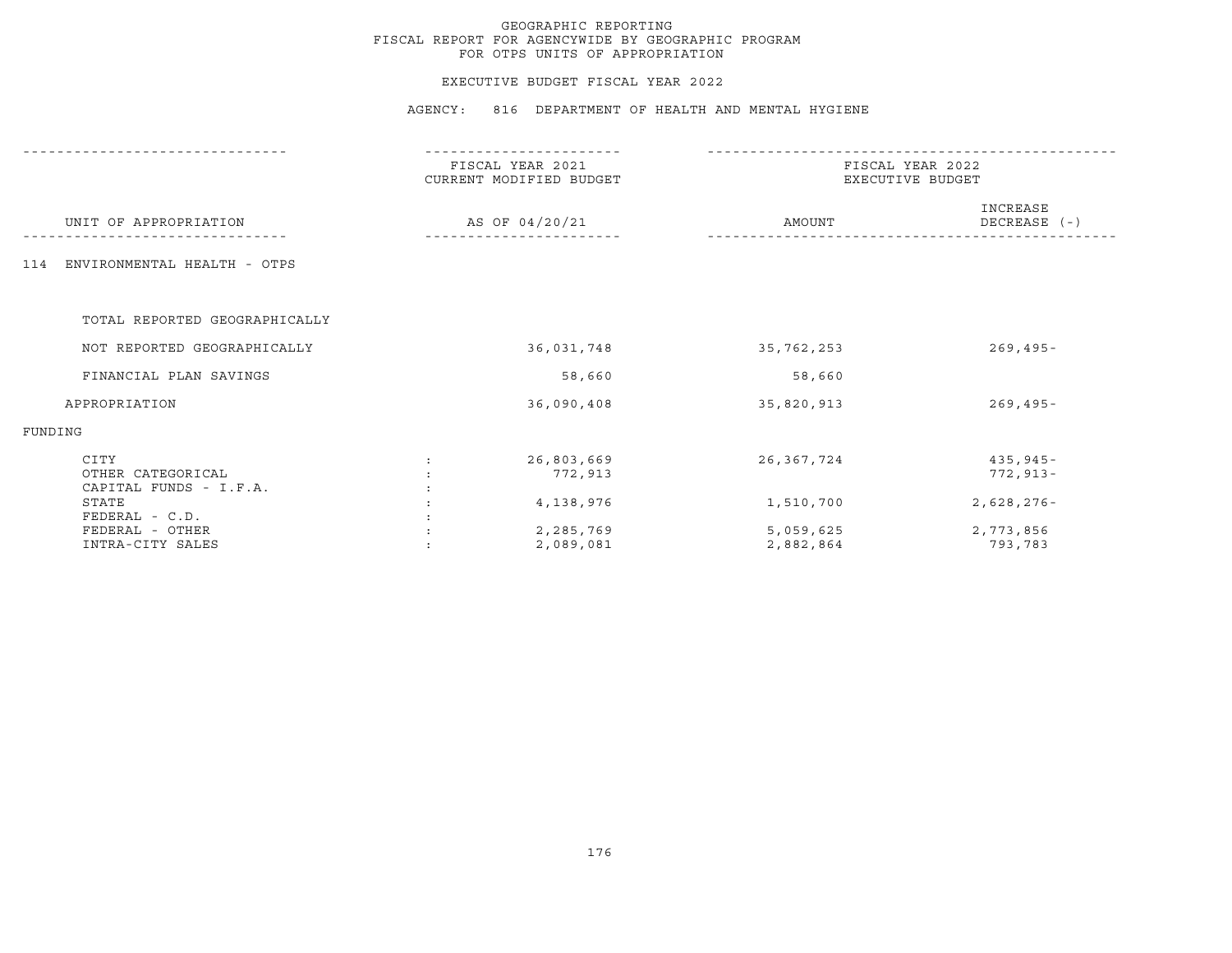## EXECUTIVE BUDGET FISCAL YEAR 2022

|                                                     | FISCAL YEAR 2021<br>CURRENT MODIFIED BUDGET<br>AS OF 04/20/21 | FISCAL YEAR 2022<br>EXECUTIVE BUDGET |                              |
|-----------------------------------------------------|---------------------------------------------------------------|--------------------------------------|------------------------------|
| UNIT OF APPROPRIATION                               |                                                               | AMOUNT                               | INCREASE<br>DECREASE (-)     |
| ENVIRONMENTAL HEALTH - OTPS<br>114                  |                                                               |                                      |                              |
| TOTAL REPORTED GEOGRAPHICALLY                       |                                                               |                                      |                              |
| NOT REPORTED GEOGRAPHICALLY                         | 36,031,748                                                    | 35,762,253                           | $269, 495 -$                 |
| FINANCIAL PLAN SAVINGS                              | 58,660                                                        | 58,660                               |                              |
| APPROPRIATION                                       | 36,090,408                                                    | 35,820,913                           | $269, 495 -$                 |
| FUNDING                                             |                                                               |                                      |                              |
| CITY<br>OTHER CATEGORICAL<br>CAPITAL FUNDS - I.F.A. | 26,803,669<br>772,913                                         | 26,367,724                           | $435, 945 -$<br>$772, 913 -$ |
| STATE<br>FEDERAL - C.D.                             | 4,138,976                                                     | 1,510,700                            | $2,628,276-$                 |
| FEDERAL - OTHER<br>INTRA-CITY SALES                 | 2,285,769<br>2,089,081                                        | 5,059,625<br>2,882,864               | 2,773,856<br>793,783         |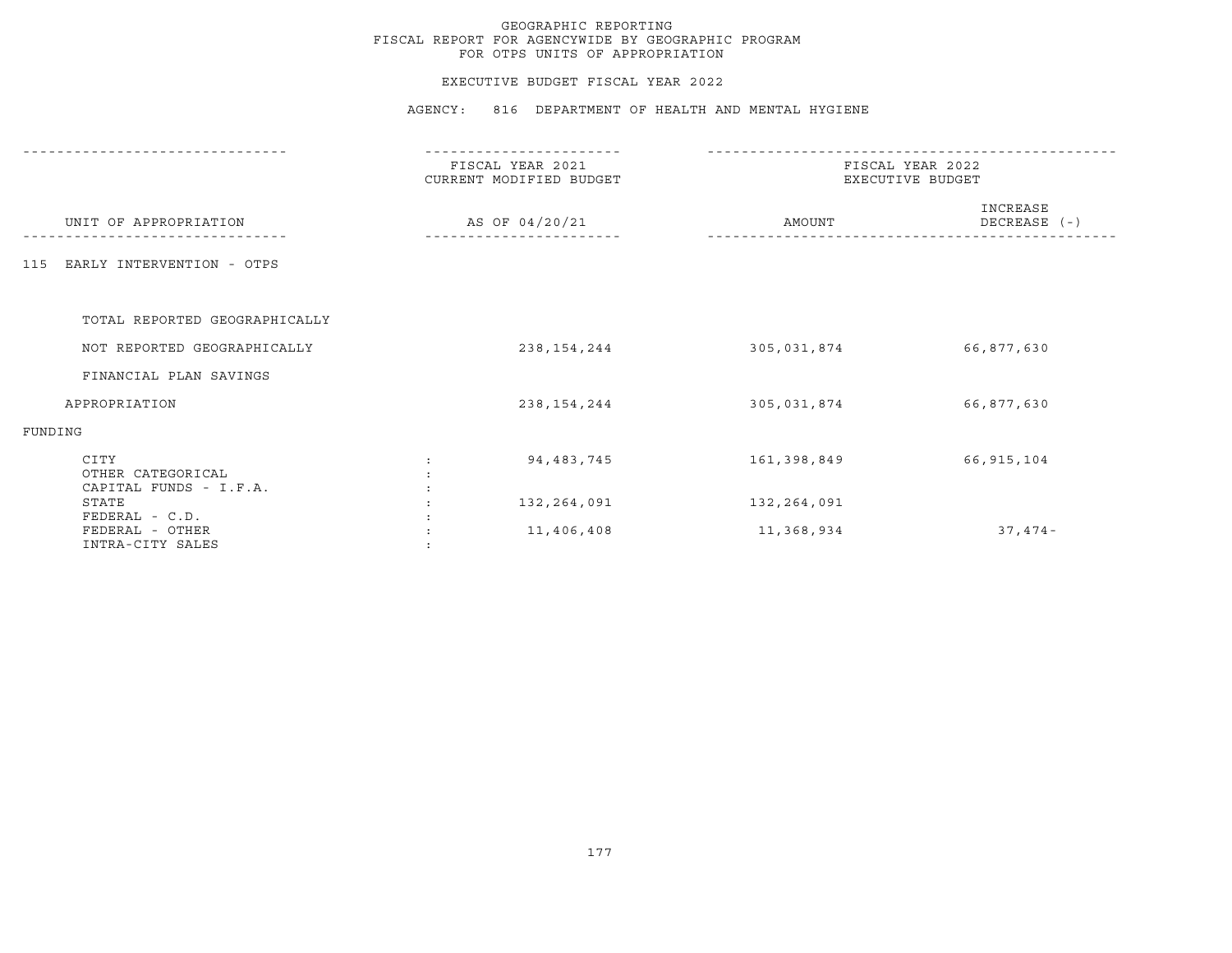## EXECUTIVE BUDGET FISCAL YEAR 2022

|                                                       | FISCAL YEAR 2021<br>CURRENT MODIFIED BUDGET | FISCAL YEAR 2022<br>EXECUTIVE BUDGET |                          |  |
|-------------------------------------------------------|---------------------------------------------|--------------------------------------|--------------------------|--|
| UNIT OF APPROPRIATION                                 | AS OF 04/20/21                              | AMOUNT                               | INCREASE<br>DECREASE (-) |  |
| EARLY INTERVENTION - OTPS<br>115                      |                                             |                                      |                          |  |
| TOTAL REPORTED GEOGRAPHICALLY                         |                                             |                                      |                          |  |
| NOT REPORTED GEOGRAPHICALLY                           | 238, 154, 244                               | 305,031,874                          | 66,877,630               |  |
| FINANCIAL PLAN SAVINGS                                |                                             |                                      |                          |  |
| APPROPRIATION                                         | 238, 154, 244                               | 305,031,874                          | 66,877,630               |  |
| FUNDING                                               |                                             |                                      |                          |  |
| CITY<br>OTHER CATEGORICAL<br>CAPITAL FUNDS - I.F.A.   | 94, 483, 745                                | 161,398,849                          | 66,915,104               |  |
| STATE                                                 | 132,264,091                                 | 132,264,091                          |                          |  |
| FEDERAL - C.D.<br>FEDERAL - OTHER<br>INTRA-CITY SALES | 11,406,408                                  | 11,368,934                           | $37,474-$                |  |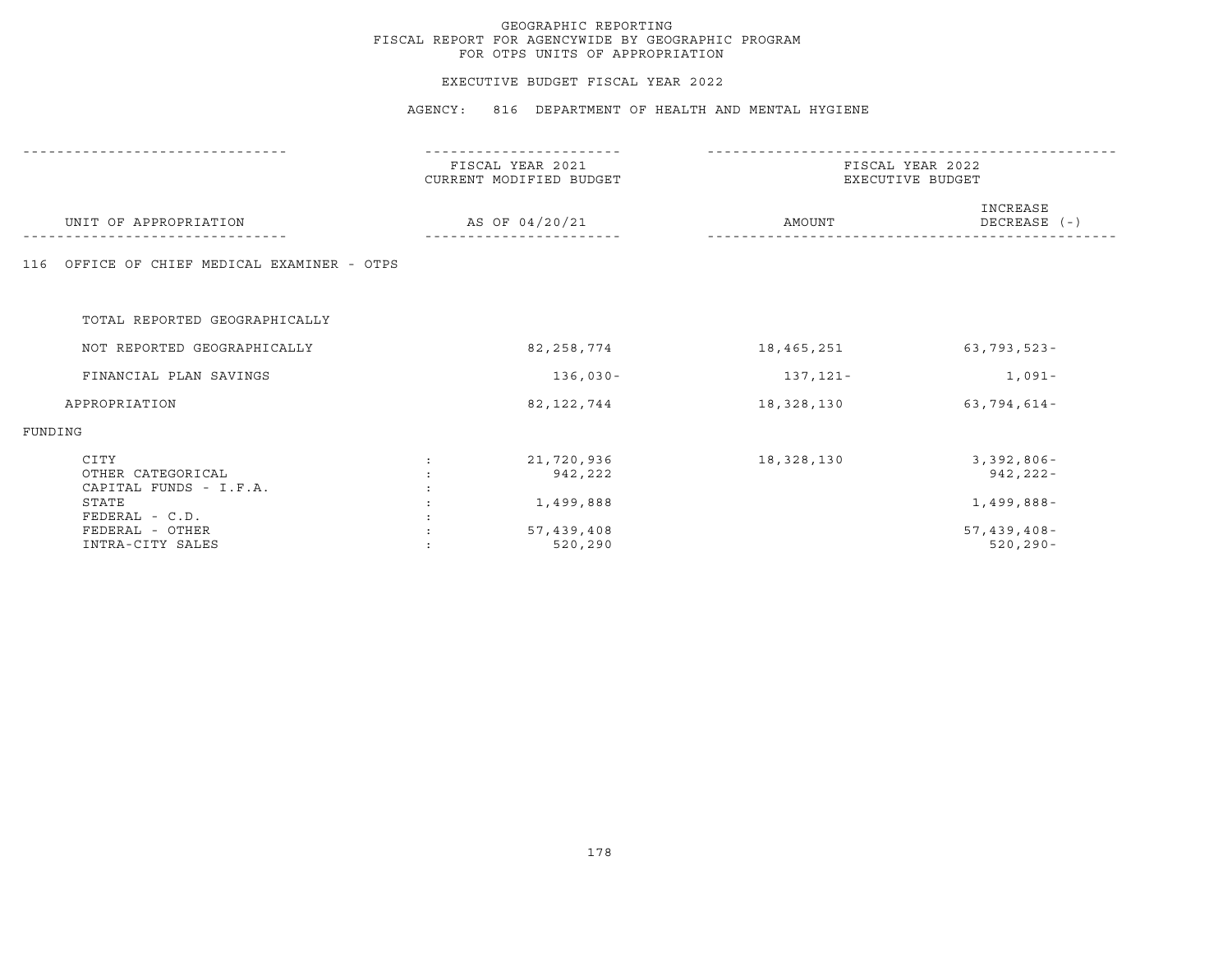## EXECUTIVE BUDGET FISCAL YEAR 2022

|                                                     | FISCAL YEAR 2021<br>CURRENT MODIFIED BUDGET |            | FISCAL YEAR 2022<br>EXECUTIVE BUDGET |  |  |
|-----------------------------------------------------|---------------------------------------------|------------|--------------------------------------|--|--|
| UNIT OF APPROPRIATION                               | AS OF 04/20/21                              | AMOUNT     | INCREASE<br>DECREASE (-)             |  |  |
| OFFICE OF CHIEF MEDICAL EXAMINER - OTPS<br>116      |                                             |            |                                      |  |  |
| TOTAL REPORTED GEOGRAPHICALLY                       |                                             |            |                                      |  |  |
| NOT REPORTED GEOGRAPHICALLY                         | 82, 258, 774                                | 18,465,251 | $63, 793, 523 -$                     |  |  |
| FINANCIAL PLAN SAVINGS                              | $136,030-$                                  | 137,121-   | 1,091-                               |  |  |
| APPROPRIATION                                       | 82, 122, 744                                | 18,328,130 | $63,794,614-$                        |  |  |
| FUNDING                                             |                                             |            |                                      |  |  |
| CITY<br>OTHER CATEGORICAL<br>CAPITAL FUNDS - I.F.A. | 21,720,936<br>942,222                       | 18,328,130 | $3,392,806 -$<br>$942, 222 -$        |  |  |
| STATE<br>FEDERAL - C.D.                             | 1,499,888                                   |            | $1,499,888-$                         |  |  |
| FEDERAL - OTHER<br>INTRA-CITY SALES                 | 57,439,408<br>520,290                       |            | $57,439,408-$<br>$520, 290 -$        |  |  |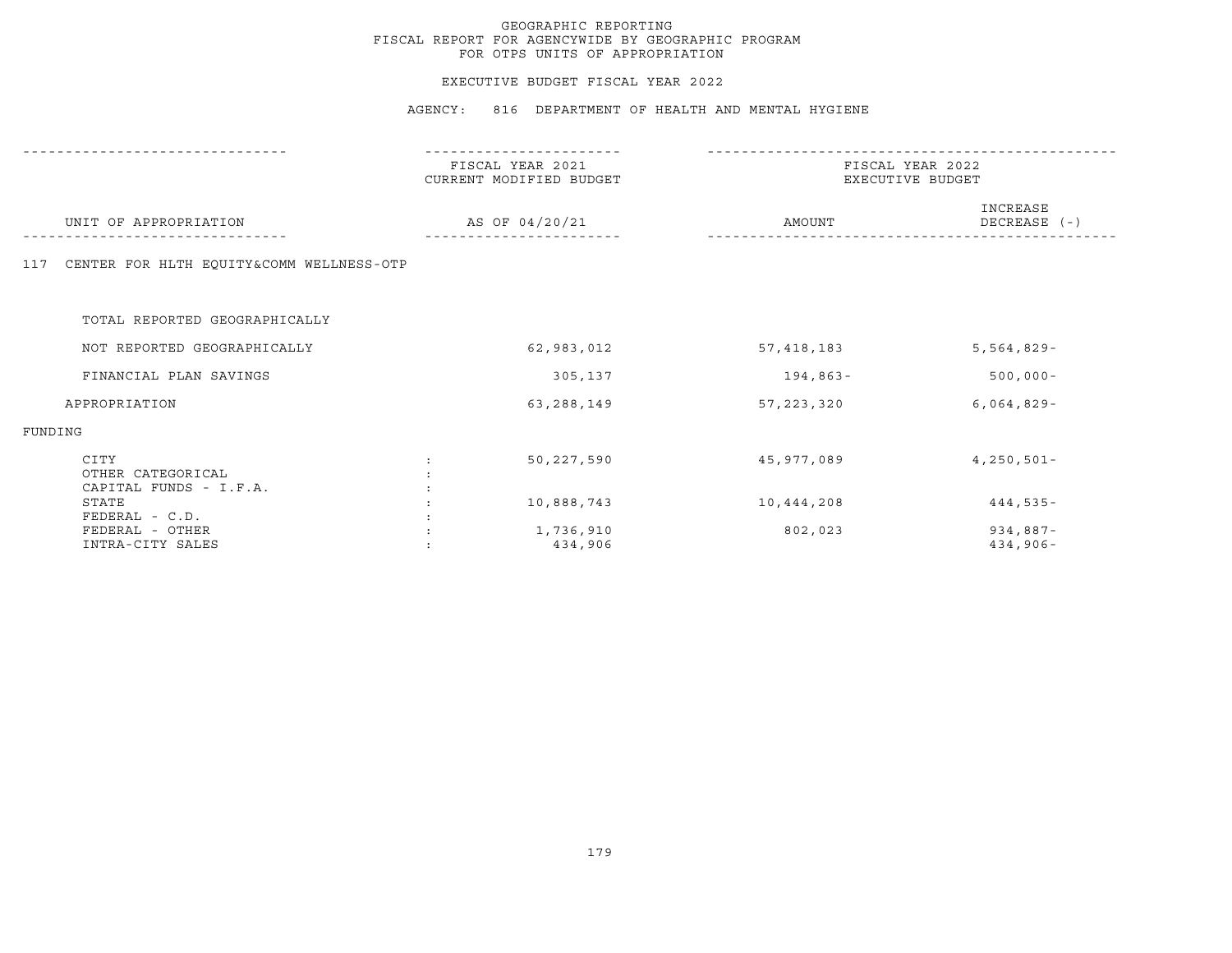## EXECUTIVE BUDGET FISCAL YEAR 2022

|                                                     | ------------                                |                                      |                           |  |
|-----------------------------------------------------|---------------------------------------------|--------------------------------------|---------------------------|--|
|                                                     | FISCAL YEAR 2021<br>CURRENT MODIFIED BUDGET | FISCAL YEAR 2022<br>EXECUTIVE BUDGET |                           |  |
| UNIT OF APPROPRIATION                               | AS OF 04/20/21                              | AMOUNT                               | INCREASE<br>DECREASE (-)  |  |
| CENTER FOR HLTH EQUITY&COMM WELLNESS-OTP<br>117     |                                             |                                      |                           |  |
| TOTAL REPORTED GEOGRAPHICALLY                       |                                             |                                      |                           |  |
| NOT REPORTED GEOGRAPHICALLY                         | 62,983,012                                  | 57,418,183                           | $5,564,829-$              |  |
| FINANCIAL PLAN SAVINGS                              | 305,137                                     | 194,863-                             | $500,000 -$               |  |
| APPROPRIATION                                       | 63,288,149                                  | 57, 223, 320                         | $6,064,829-$              |  |
| FUNDING                                             |                                             |                                      |                           |  |
| CITY<br>OTHER CATEGORICAL<br>CAPITAL FUNDS - I.F.A. | 50,227,590                                  | 45,977,089                           | $4,250,501 -$             |  |
| STATE<br>FEDERAL - C.D.                             | 10,888,743                                  | 10,444,208                           | $444,535-$                |  |
| FEDERAL - OTHER<br>INTRA-CITY SALES                 | 1,736,910<br>434,906                        | 802,023                              | $934,887-$<br>$434,906 -$ |  |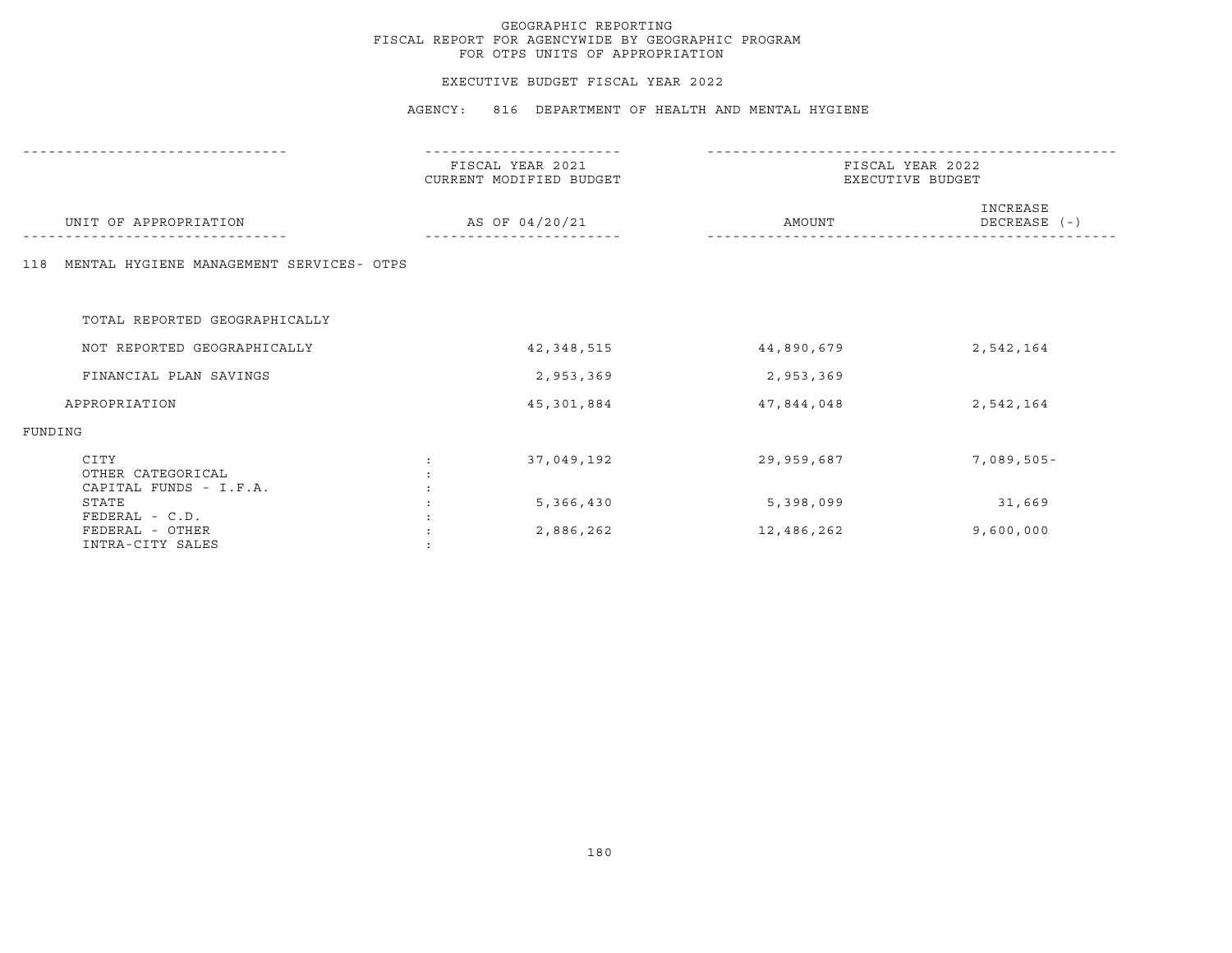## EXECUTIVE BUDGET FISCAL YEAR 2022

|                                                       | FISCAL YEAR 2021<br>CURRENT MODIFIED BUDGET | FISCAL YEAR 2022<br>EXECUTIVE BUDGET |                          |  |
|-------------------------------------------------------|---------------------------------------------|--------------------------------------|--------------------------|--|
| UNIT OF APPROPRIATION                                 | AS OF 04/20/21                              | AMOUNT                               | INCREASE<br>DECREASE (-) |  |
| MENTAL HYGIENE MANAGEMENT SERVICES- OTPS<br>118       |                                             |                                      |                          |  |
| TOTAL REPORTED GEOGRAPHICALLY                         |                                             |                                      |                          |  |
| NOT REPORTED GEOGRAPHICALLY                           | 42,348,515                                  | 44,890,679                           | 2,542,164                |  |
| FINANCIAL PLAN SAVINGS                                | 2,953,369                                   | 2,953,369                            |                          |  |
| APPROPRIATION                                         | 45,301,884                                  | 47,844,048                           | 2,542,164                |  |
| FUNDING                                               |                                             |                                      |                          |  |
| CITY<br>OTHER CATEGORICAL<br>CAPITAL FUNDS - I.F.A.   | 37,049,192                                  | 29,959,687                           | $7,089,505 -$            |  |
| STATE                                                 | 5,366,430                                   | 5,398,099                            | 31,669                   |  |
| FEDERAL - C.D.<br>FEDERAL - OTHER<br>INTRA-CITY SALES | 2,886,262                                   | 12,486,262                           | 9,600,000                |  |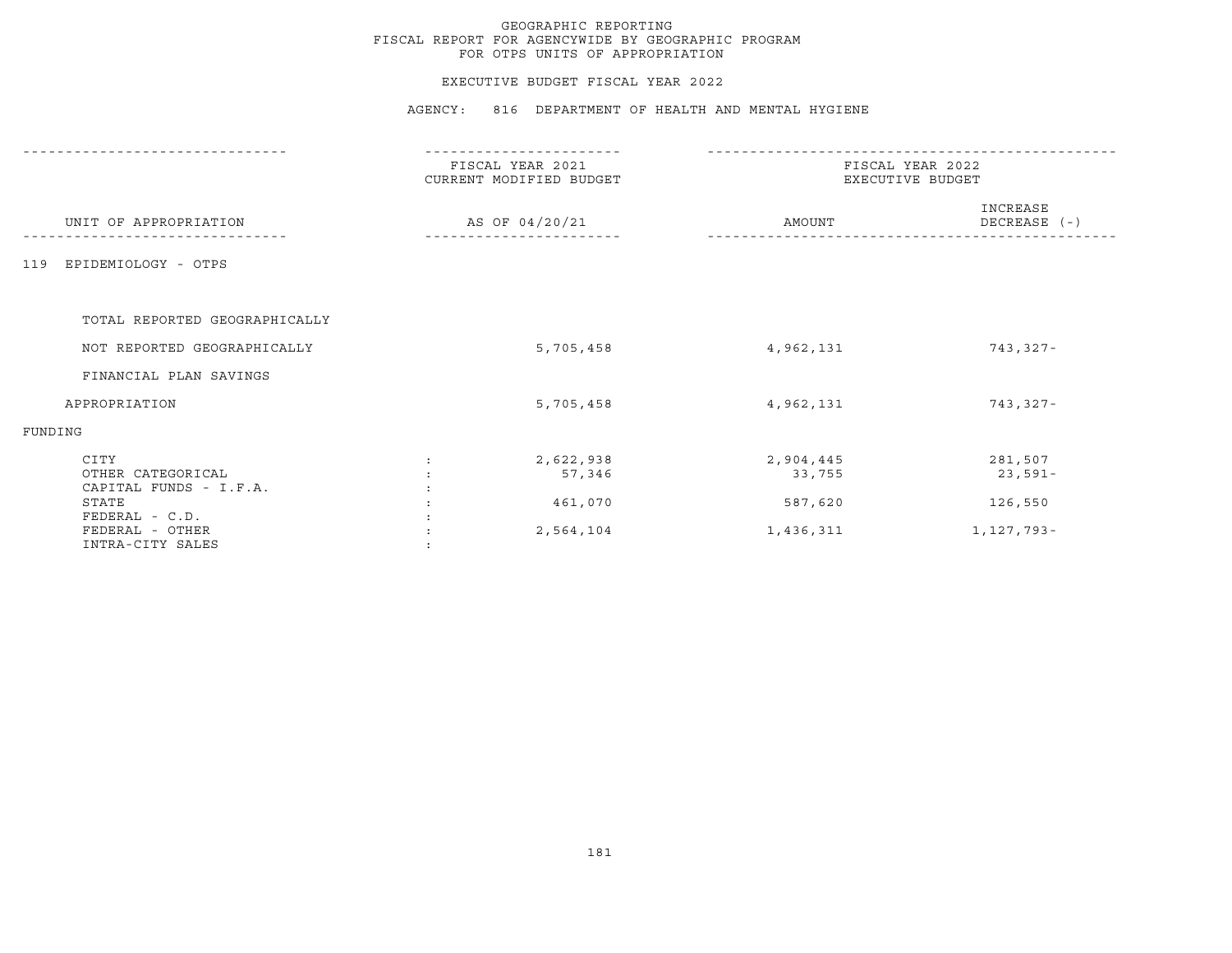## EXECUTIVE BUDGET FISCAL YEAR 2022

|                                                     | FISCAL YEAR 2021<br>CURRENT MODIFIED BUDGET |                     | FISCAL YEAR 2022<br>EXECUTIVE BUDGET |                          |  |
|-----------------------------------------------------|---------------------------------------------|---------------------|--------------------------------------|--------------------------|--|
| UNIT OF APPROPRIATION                               | AS OF 04/20/21                              |                     | AMOUNT                               | INCREASE<br>DECREASE (-) |  |
| EPIDEMIOLOGY - OTPS<br>119                          |                                             |                     |                                      |                          |  |
| TOTAL REPORTED GEOGRAPHICALLY                       |                                             |                     |                                      |                          |  |
| NOT REPORTED GEOGRAPHICALLY                         |                                             | 5,705,458           | 4,962,131                            | 743,327-                 |  |
| FINANCIAL PLAN SAVINGS                              |                                             |                     |                                      |                          |  |
| APPROPRIATION                                       |                                             | 5,705,458           | 4,962,131                            | 743,327-                 |  |
| FUNDING                                             |                                             |                     |                                      |                          |  |
| CITY<br>OTHER CATEGORICAL<br>CAPITAL FUNDS - I.F.A. |                                             | 2,622,938<br>57,346 | 2,904,445<br>33,755                  | 281,507<br>$23,591-$     |  |
| STATE<br>FEDERAL - C.D.                             |                                             | 461,070             | 587,620                              | 126,550                  |  |
| FEDERAL - OTHER<br>INTRA-CITY SALES                 |                                             | 2,564,104           | 1,436,311                            | 1,127,793-               |  |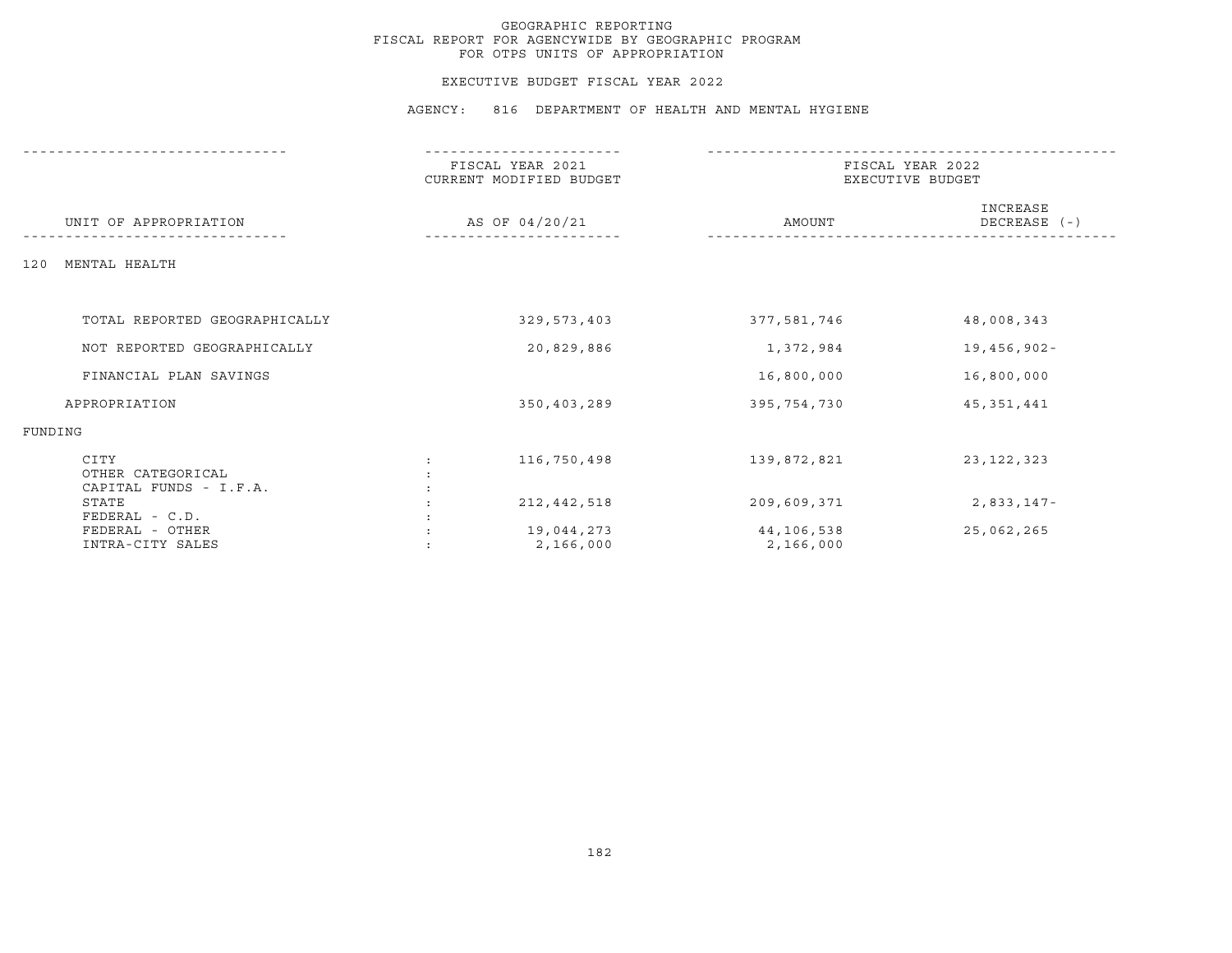## EXECUTIVE BUDGET FISCAL YEAR 2022

|                                                     | ---------------                             |                         |                                      |  |  |
|-----------------------------------------------------|---------------------------------------------|-------------------------|--------------------------------------|--|--|
|                                                     | FISCAL YEAR 2021<br>CURRENT MODIFIED BUDGET |                         | FISCAL YEAR 2022<br>EXECUTIVE BUDGET |  |  |
| UNIT OF APPROPRIATION                               | AS OF 04/20/21                              | AMOUNT                  | INCREASE<br>DECREASE (-)             |  |  |
| MENTAL HEALTH<br>120                                |                                             |                         |                                      |  |  |
|                                                     |                                             |                         |                                      |  |  |
| TOTAL REPORTED GEOGRAPHICALLY                       | 329,573,403                                 | 377,581,746             | 48,008,343                           |  |  |
| NOT REPORTED GEOGRAPHICALLY                         | 20,829,886                                  | 1,372,984               | 19,456,902-                          |  |  |
| FINANCIAL PLAN SAVINGS                              |                                             | 16,800,000              | 16,800,000                           |  |  |
| APPROPRIATION                                       | 350,403,289                                 | 395,754,730             | 45, 351, 441                         |  |  |
| FUNDING                                             |                                             |                         |                                      |  |  |
| CITY<br>OTHER CATEGORICAL<br>CAPITAL FUNDS - I.F.A. | 116,750,498                                 | 139,872,821             | 23, 122, 323                         |  |  |
| STATE<br>FEDERAL - C.D.                             | 212, 442, 518                               | 209,609,371             | 2,833,147-                           |  |  |
| FEDERAL - OTHER<br>INTRA-CITY SALES                 | 19,044,273<br>2,166,000                     | 44,106,538<br>2,166,000 | 25,062,265                           |  |  |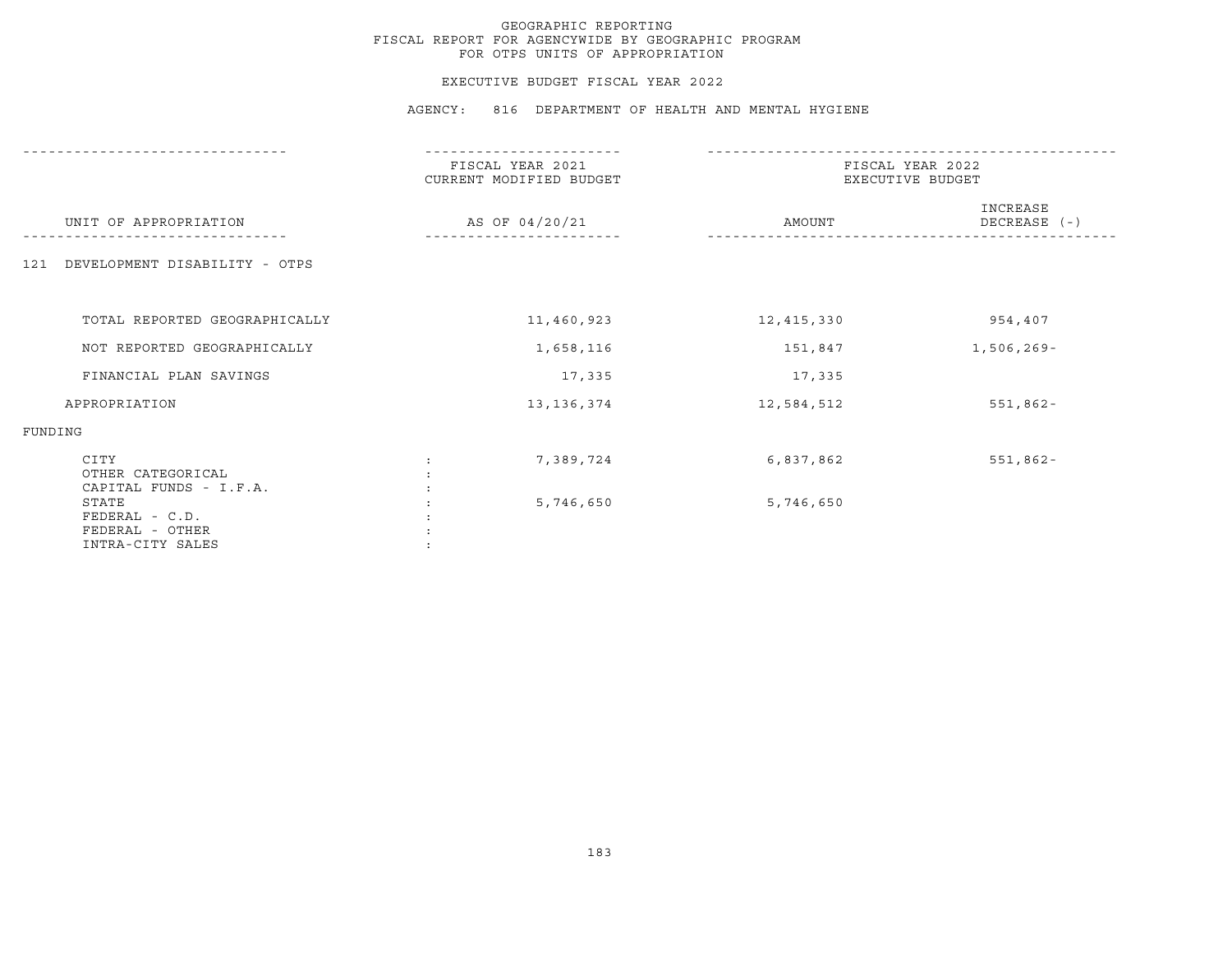## EXECUTIVE BUDGET FISCAL YEAR 2022

|                                                                  | .                                           |                                      |                          |  |
|------------------------------------------------------------------|---------------------------------------------|--------------------------------------|--------------------------|--|
|                                                                  | FISCAL YEAR 2021<br>CURRENT MODIFIED BUDGET | FISCAL YEAR 2022<br>EXECUTIVE BUDGET |                          |  |
| UNIT OF APPROPRIATION                                            | AS OF 04/20/21                              | AMOUNT                               | INCREASE<br>DECREASE (-) |  |
| DEVELOPMENT DISABILITY - OTPS<br>121                             |                                             |                                      |                          |  |
| TOTAL REPORTED GEOGRAPHICALLY                                    | 11,460,923                                  | 12,415,330                           | 954,407                  |  |
| NOT REPORTED GEOGRAPHICALLY                                      | 1,658,116                                   | 151,847                              | 1,506,269-               |  |
| FINANCIAL PLAN SAVINGS                                           | 17,335                                      | 17,335                               |                          |  |
| APPROPRIATION                                                    | 13, 136, 374                                | 12,584,512                           | $551,862 -$              |  |
| FUNDING                                                          |                                             |                                      |                          |  |
| CITY<br>OTHER CATEGORICAL<br>CAPITAL FUNDS - I.F.A.              | 7,389,724                                   | 6,837,862                            | $551,862 -$              |  |
| STATE<br>$FEDERAL - C.D.$<br>FEDERAL - OTHER<br>INTRA-CITY SALES | 5,746,650                                   | 5,746,650                            |                          |  |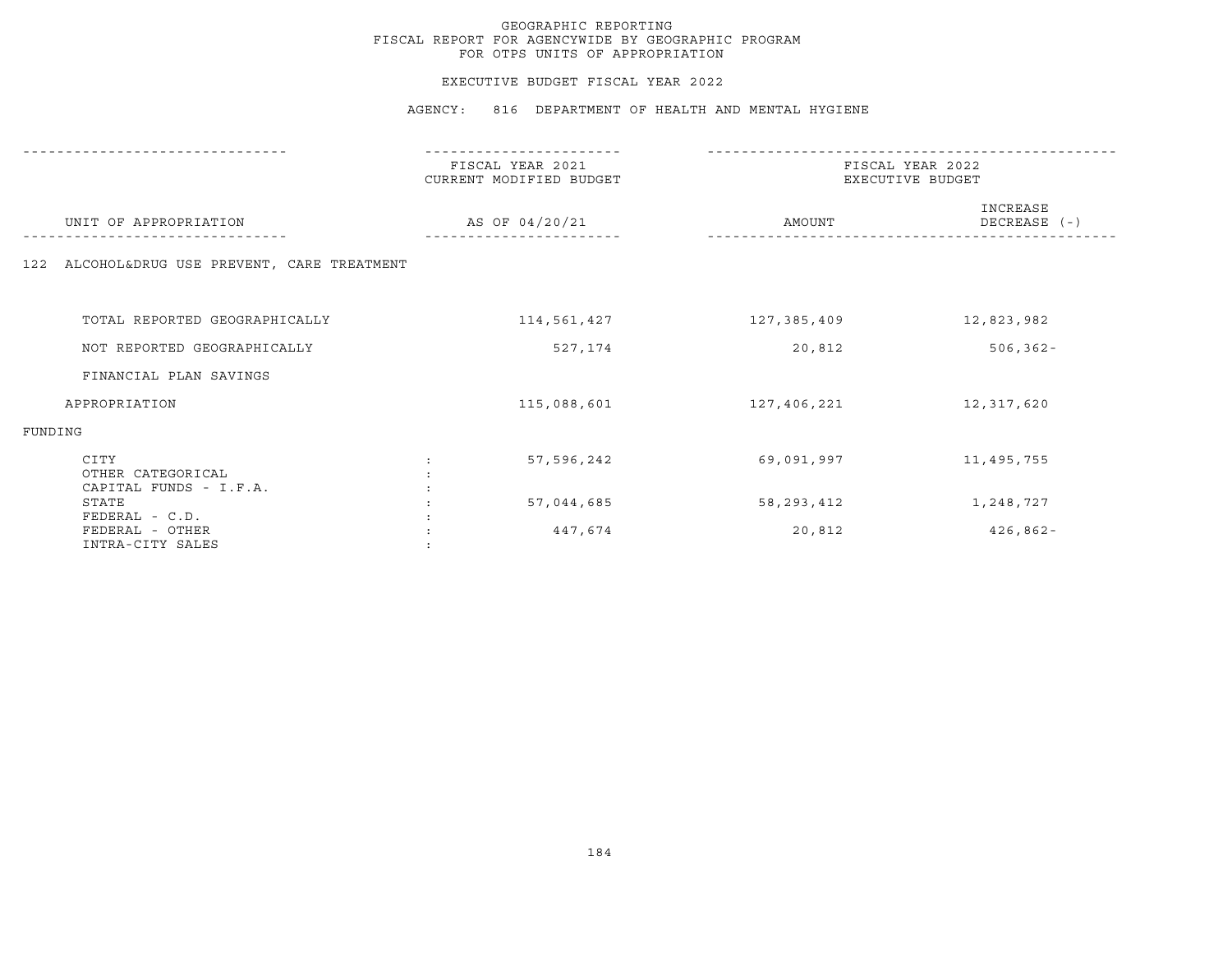## EXECUTIVE BUDGET FISCAL YEAR 2022

|                                                       | FISCAL YEAR 2021<br>CURRENT MODIFIED BUDGET | FISCAL YEAR 2022<br>EXECUTIVE BUDGET |                          |  |
|-------------------------------------------------------|---------------------------------------------|--------------------------------------|--------------------------|--|
| UNIT OF APPROPRIATION                                 | AS OF 04/20/21                              | AMOUNT                               | INCREASE<br>DECREASE (-) |  |
| 122 ALCOHOL&DRUG USE PREVENT, CARE TREATMENT          |                                             |                                      |                          |  |
| TOTAL REPORTED GEOGRAPHICALLY                         | 114,561,427                                 | 127,385,409                          | 12,823,982               |  |
| NOT REPORTED GEOGRAPHICALLY                           | 527,174                                     | 20,812                               | $506, 362 -$             |  |
| FINANCIAL PLAN SAVINGS                                |                                             |                                      |                          |  |
| APPROPRIATION                                         | 115,088,601                                 | 127,406,221                          | 12,317,620               |  |
| FUNDING                                               |                                             |                                      |                          |  |
| CITY<br>OTHER CATEGORICAL<br>CAPITAL FUNDS - I.F.A.   | 57,596,242                                  | 69,091,997                           | 11,495,755               |  |
| STATE                                                 | 57,044,685                                  | 58,293,412                           | 1,248,727                |  |
| FEDERAL - C.D.<br>FEDERAL - OTHER<br>INTRA-CITY SALES | 447,674                                     | 20,812                               | $426,862 -$              |  |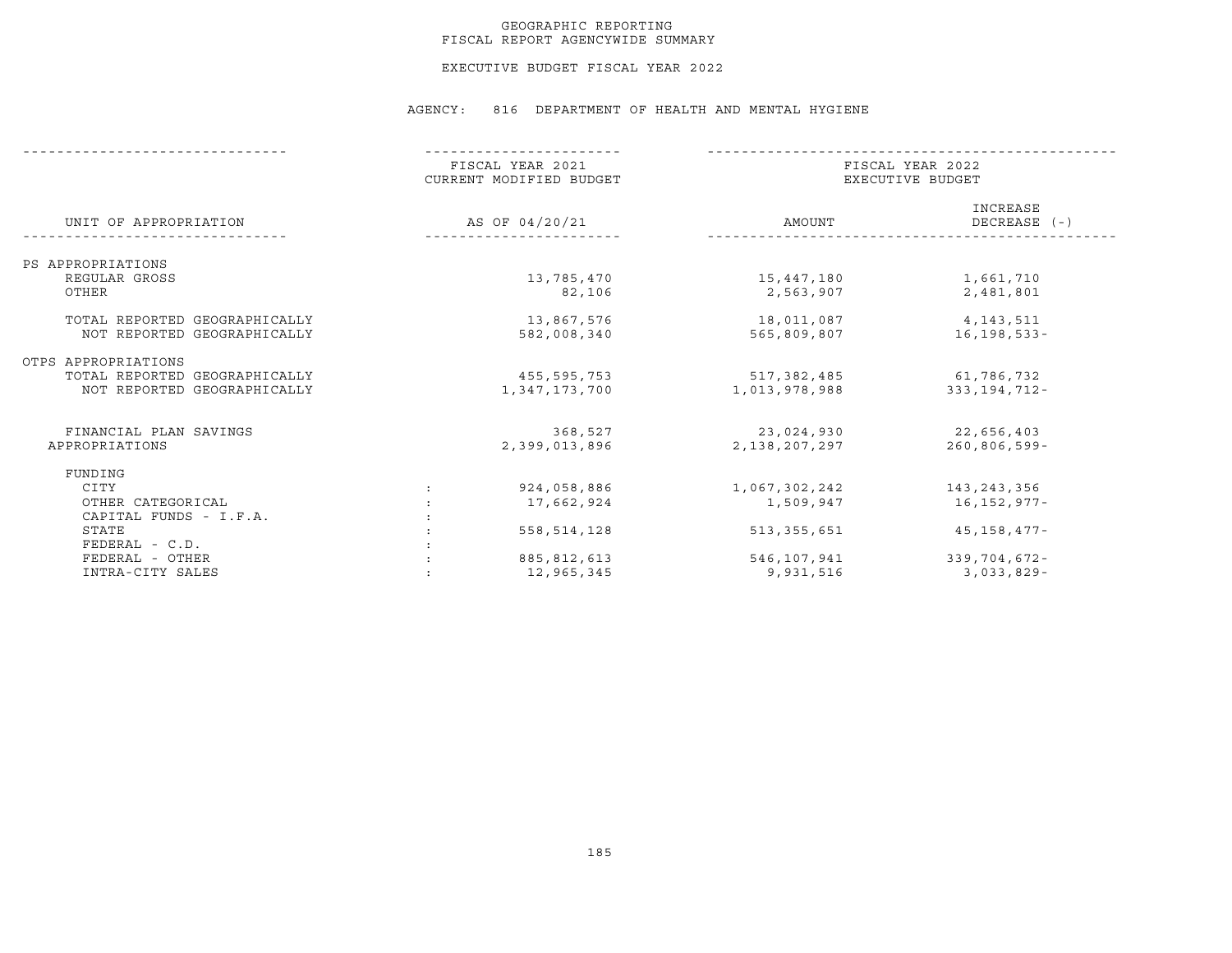## GEOGRAPHIC REPORTING FISCAL REPORT AGENCYWIDE SUMMARY

EXECUTIVE BUDGET FISCAL YEAR 2022

|                               | FISCAL YEAR 2021<br>CURRENT MODIFIED BUDGET | FISCAL YEAR 2022<br>EXECUTIVE BUDGET |                          |  |
|-------------------------------|---------------------------------------------|--------------------------------------|--------------------------|--|
| UNIT OF APPROPRIATION         | AS OF 04/20/21                              | AMOUNT                               | INCREASE<br>DECREASE (-) |  |
| PS APPROPRIATIONS             |                                             |                                      |                          |  |
| REGULAR GROSS                 | 13,785,470                                  | 15,447,180                           | 1,661,710                |  |
| OTHER                         | 82,106                                      | 2,563,907                            | 2,481,801                |  |
| TOTAL REPORTED GEOGRAPHICALLY | 13,867,576                                  | 18,011,087                           | 4,143,511                |  |
| NOT REPORTED GEOGRAPHICALLY   | 582,008,340                                 | 565,809,807                          | $16, 198, 533 -$         |  |
| OTPS APPROPRIATIONS           |                                             |                                      |                          |  |
| TOTAL REPORTED GEOGRAPHICALLY | 455,595,753                                 | 517,382,485                          | 61,786,732               |  |
| NOT REPORTED GEOGRAPHICALLY   | 1,347,173,700                               | 1,013,978,988                        | 333,194,712-             |  |
| FINANCIAL PLAN SAVINGS        | 368,527                                     | 23,024,930                           | 22,656,403               |  |
| APPROPRIATIONS                | 2,399,013,896                               | 2,138,207,297                        | $260, 806, 599 -$        |  |
| FUNDING                       |                                             |                                      |                          |  |
| CITY                          | 924,058,886                                 | 1,067,302,242                        | 143,243,356              |  |
| OTHER CATEGORICAL             | 17,662,924                                  | 1,509,947                            | 16,152,977-              |  |
| CAPITAL FUNDS - I.F.A.        |                                             |                                      |                          |  |
| STATE                         | 558, 514, 128                               | 513,355,651                          | 45,158,477-              |  |
| $FEDERAL - C.D.$              |                                             |                                      |                          |  |
| FEDERAL - OTHER               | 885, 812, 613                               | 546,107,941                          | $339,704,672 -$          |  |
| INTRA-CITY SALES              | 12,965,345                                  | 9,931,516                            | $3,033,829-$             |  |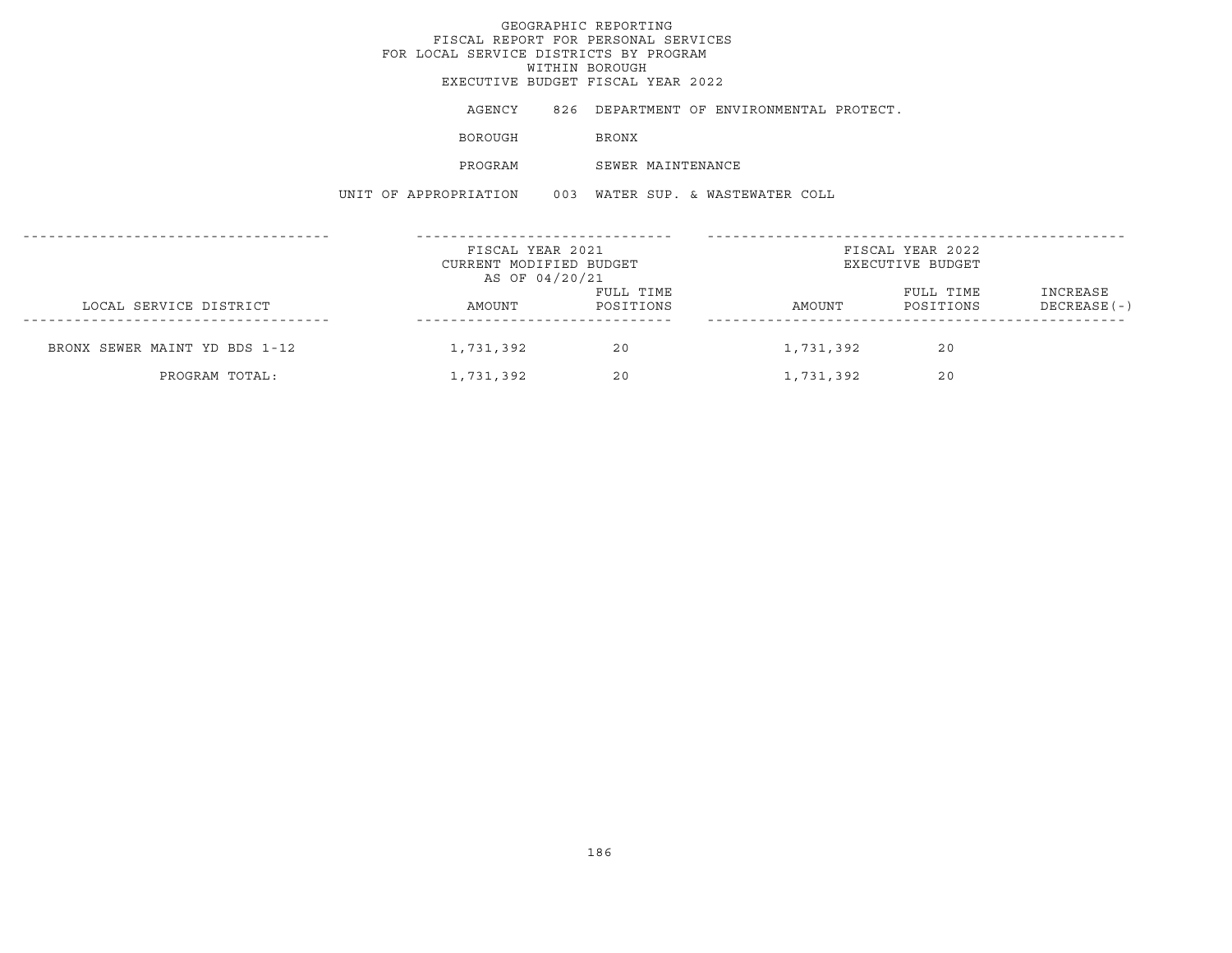# GEOGRAPHIC REPORTINGFISCAL REPORT FOR PERSONAL SERVICES FOR LOCAL SERVICE DISTRICTS BY PROGRAM WITHIN BOROUGH EXECUTIVE BUDGET FISCAL YEAR 2022AGENCY 826 DEPARTMENT OF ENVIRONMENTAL PROTECT. BOROUGH BRONX PROGRAM SEWER MAINTENANCE UNIT OF APPROPRIATION 003 WATER SUP. & WASTEWATER COLL------------------------------------ ------------------------------ ------------------------------------------------- FISCAL YEAR 2021 FISCAL YEAR 2022CURRENT MODIFIED BUDGET **EXECUTIVE BUDGET** AS OF 04/20/21 FULL TIME FULL TIME INCREASE LOCAL SERVICE DISTRICT AMOUNT POSITIONS AMOUNT POSITIONS DECREASE(-) ------------------------------------ ------------------------------ -------------------------------------------------

BRONX SEWER MAINT YD BDS 1-12 1,731,392 20 20 1,731,392 20

PROGRAM TOTAL: 1,731,392 20 1,731,392 20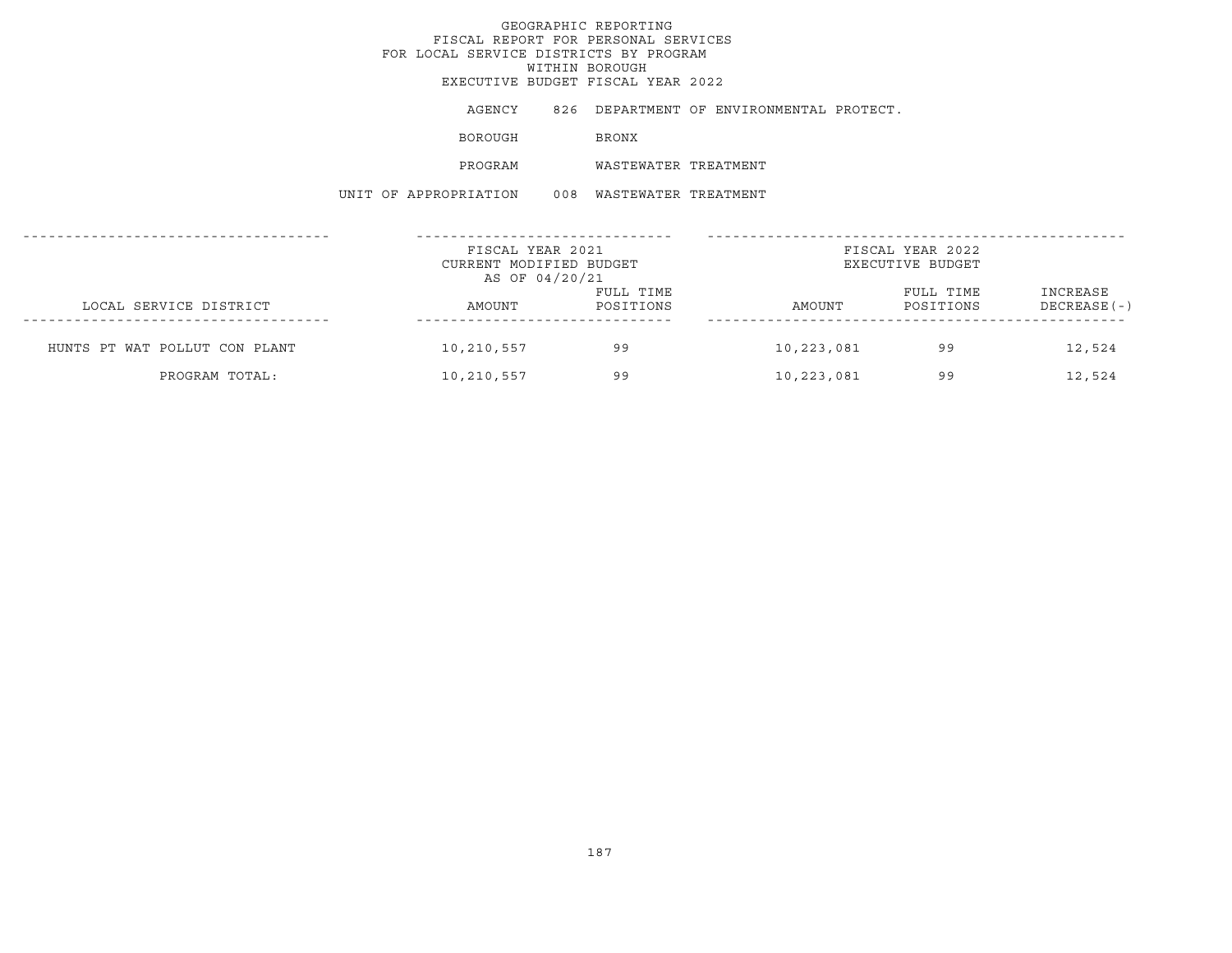AGENCY 826 DEPARTMENT OF ENVIRONMENTAL PROTECT.

BOROUGH BRONX

PROGRAM WASTEWATER TREATMENT

UNIT OF APPROPRIATION 008 WASTEWATER TREATMENT

|                               | FISCAL YEAR 2021<br>CURRENT MODIFIED BUDGET<br>AS OF 04/20/21 |                        |            | FISCAL YEAR 2022<br>EXECUTIVE BUDGET |                           |
|-------------------------------|---------------------------------------------------------------|------------------------|------------|--------------------------------------|---------------------------|
| LOCAL SERVICE DISTRICT        | AMOUNT                                                        | FULL TIME<br>POSITIONS | AMOUNT     | FULL TIME<br>POSITIONS               | INCREASE<br>$DECREASE(-)$ |
| HUNTS PT WAT POLLUT CON PLANT | 10,210,557                                                    | 99                     | 10,223,081 | 99                                   | 12,524                    |
| PROGRAM TOTAL:                | 10,210,557                                                    | 99                     | 10,223,081 | 99                                   | 12,524                    |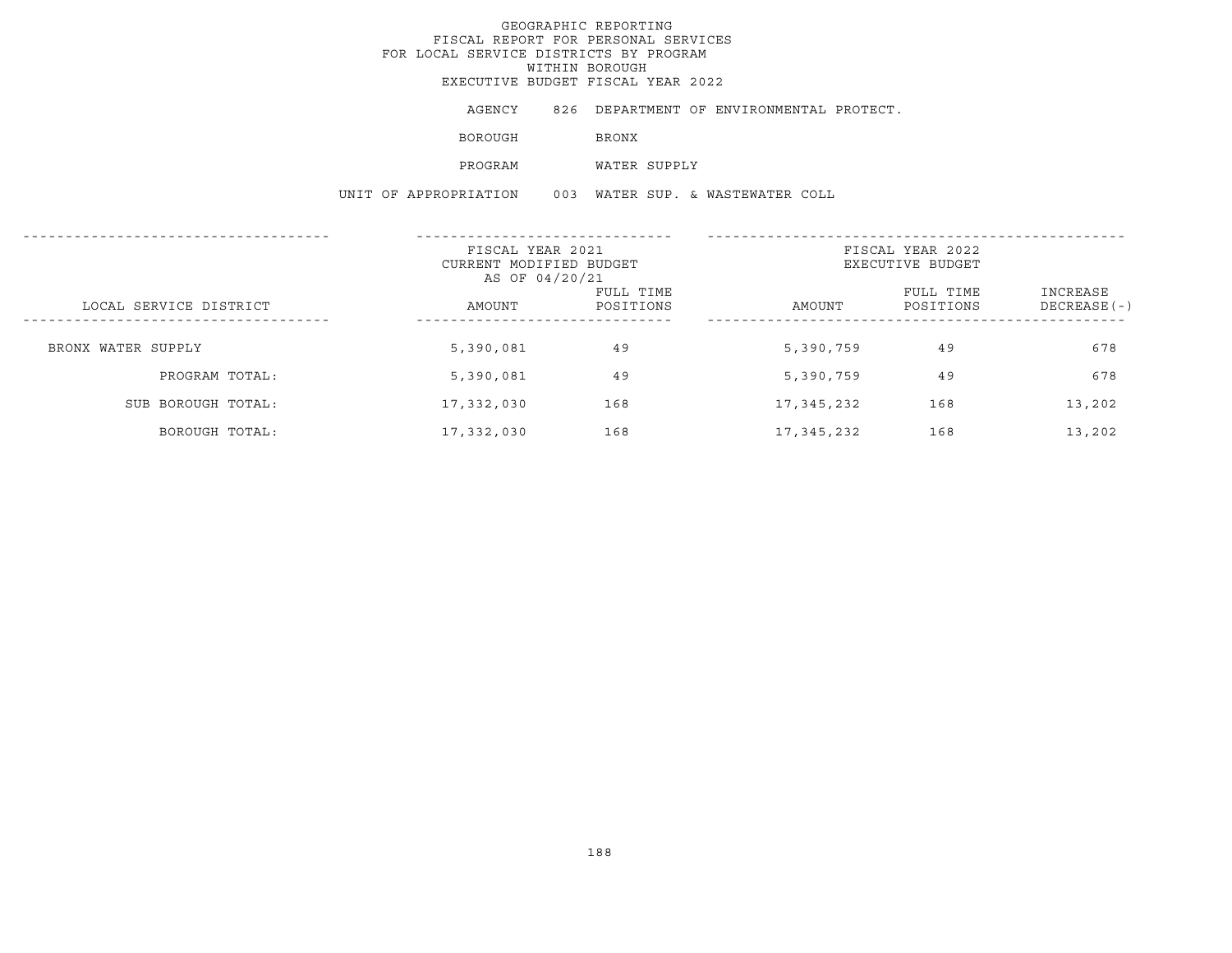AGENCY 826 DEPARTMENT OF ENVIRONMENTAL PROTECT.

BOROUGH BRONX

PROGRAM WATER SUPPLY

UNIT OF APPROPRIATION 003 WATER SUP. & WASTEWATER COLL

|                        | FISCAL YEAR 2021<br>CURRENT MODIFIED BUDGET<br>AS OF 04/20/21 |                        |            | FISCAL YEAR 2022<br>EXECUTIVE BUDGET |                           |
|------------------------|---------------------------------------------------------------|------------------------|------------|--------------------------------------|---------------------------|
| LOCAL SERVICE DISTRICT | AMOUNT                                                        | FULL TIME<br>POSITIONS | AMOUNT     | FULL TIME<br>POSITIONS               | INCREASE<br>$DECREASE(-)$ |
| BRONX WATER SUPPLY     | 5,390,081                                                     | 49                     | 5,390,759  | 49                                   | 678                       |
| PROGRAM TOTAL:         | 5,390,081                                                     | 49                     | 5,390,759  | 49                                   | 678                       |
| SUB BOROUGH TOTAL:     | 17,332,030                                                    | 168                    | 17,345,232 | 168                                  | 13,202                    |
| BOROUGH TOTAL:         | 17,332,030                                                    | 168                    | 17,345,232 | 168                                  | 13,202                    |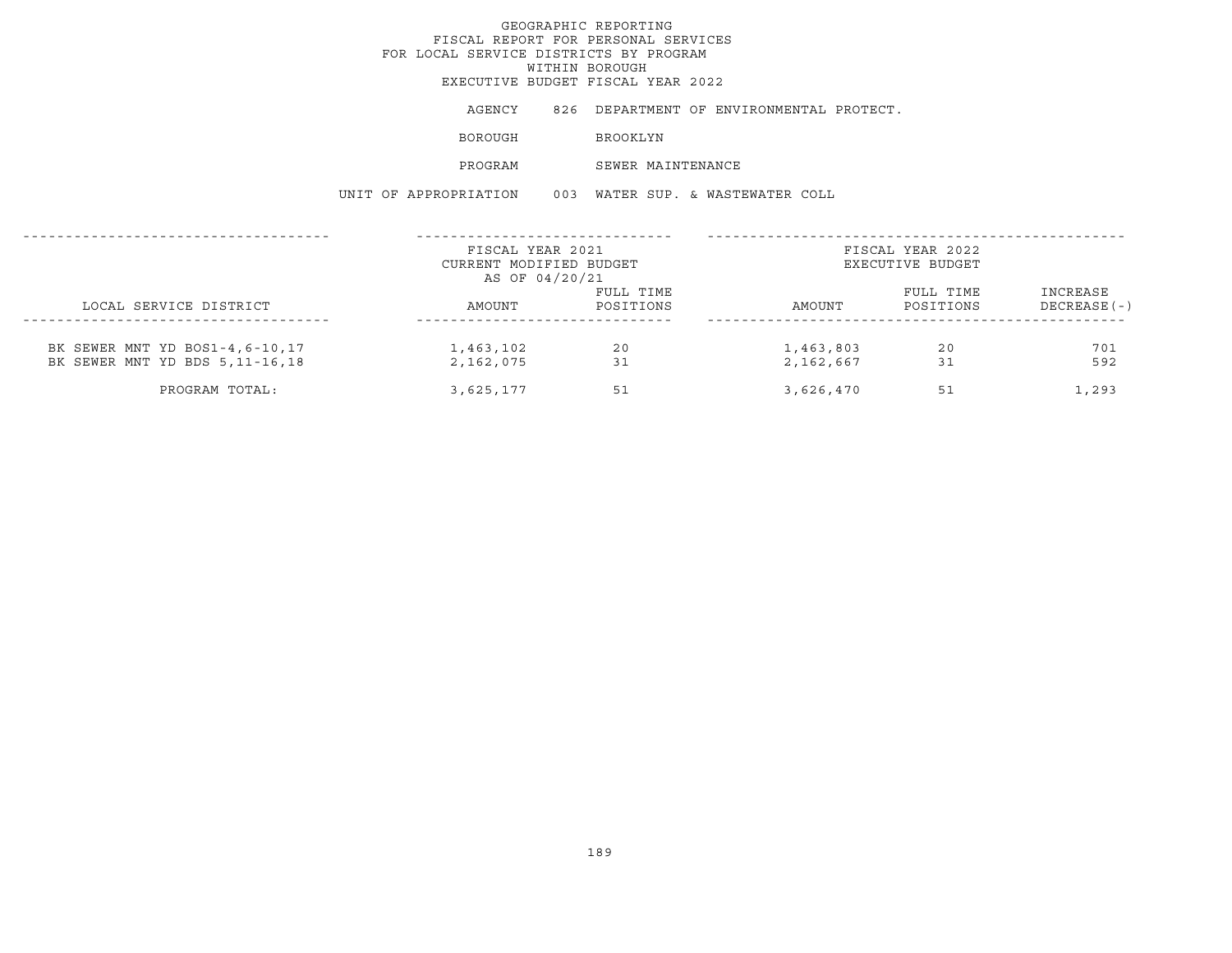EXECUTIVE BUDGET FISCAL YEAR 2022

AGENCY 826 DEPARTMENT OF ENVIRONMENTAL PROTECT.

BOROUGH BROOKLYN

PROGRAM SEWER MAINTENANCE

UNIT OF APPROPRIATION 003 WATER SUP. & WASTEWATER COLL

|                                  | FISCAL YEAR 2021        |           |           | FISCAL YEAR 2022 |                |
|----------------------------------|-------------------------|-----------|-----------|------------------|----------------|
|                                  | CURRENT MODIFIED BUDGET |           |           | EXECUTIVE BUDGET |                |
|                                  | AS OF 04/20/21          |           |           |                  |                |
|                                  |                         | FULL TIME |           | FULL TIME        | INCREASE       |
| LOCAL SERVICE DISTRICT           | AMOUNT                  | POSITIONS | AMOUNT    | POSITIONS        | $DECREASE (-)$ |
|                                  |                         |           |           |                  |                |
| BK SEWER MNT YD BOS1-4,6-10,17   | 1,463,102               | 20        | 1,463,803 | 20               | 701            |
| BK SEWER MNT YD BDS 5, 11-16, 18 | 2,162,075               | 31        | 2,162,667 | 31               | 592            |
| PROGRAM TOTAL:                   | 3,625,177               | 51        | 3,626,470 | 51               | 1,293          |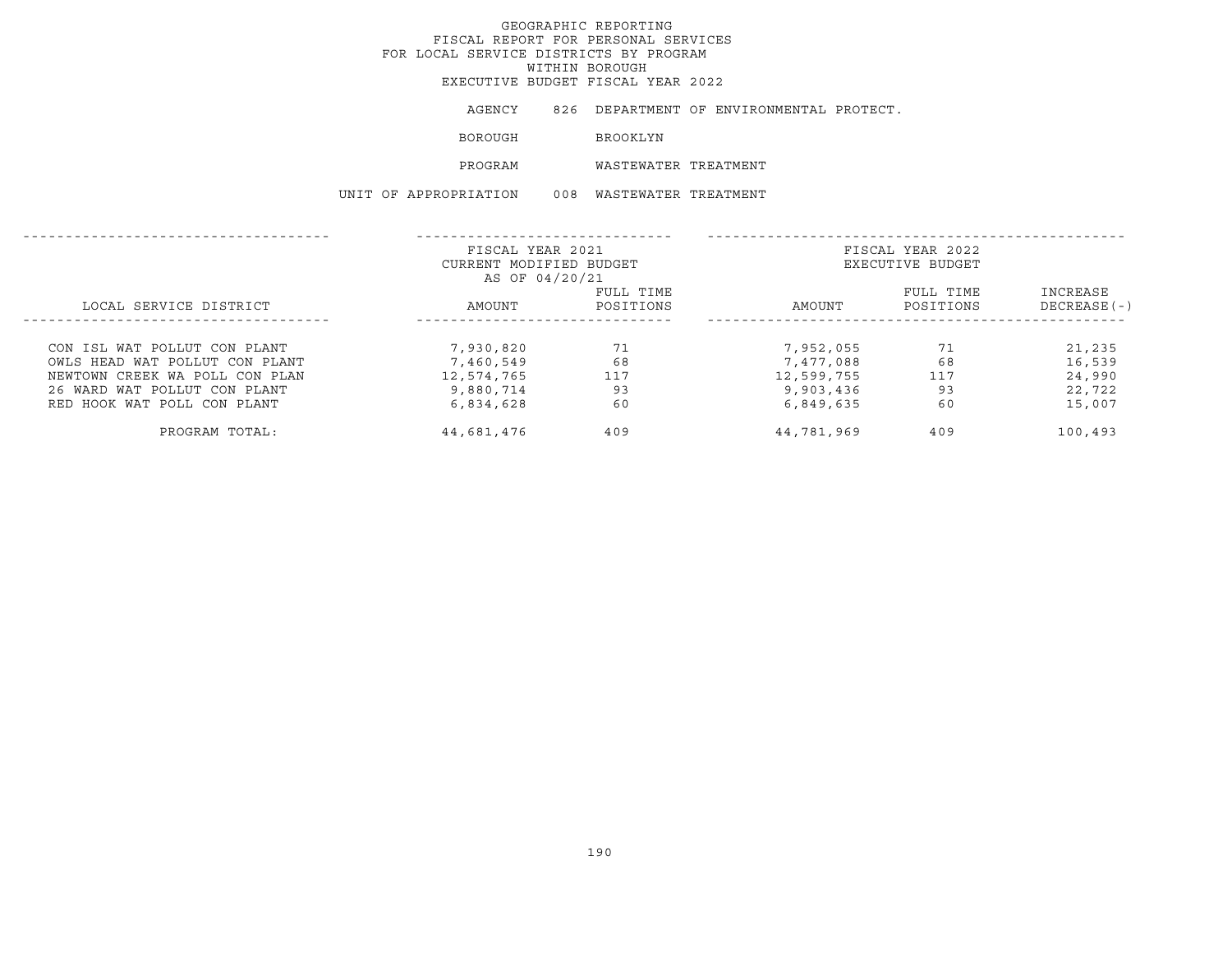EXECUTIVE BUDGET FISCAL YEAR 2022

AGENCY 826 DEPARTMENT OF ENVIRONMENTAL PROTECT.

BOROUGH **BROOKLYN** 

PROGRAM WASTEWATER TREATMENT

UNIT OF APPROPRIATION 008 WASTEWATER TREATMENT

|                                | FISCAL YEAR 2021        |           |            | FISCAL YEAR 2022 |                |
|--------------------------------|-------------------------|-----------|------------|------------------|----------------|
|                                | CURRENT MODIFIED BUDGET |           |            | EXECUTIVE BUDGET |                |
|                                | AS OF 04/20/21          |           |            |                  |                |
|                                |                         | FULL TIME |            | FULL TIME        | INCREASE       |
| LOCAL SERVICE DISTRICT         | AMOUNT                  | POSITIONS | AMOUNT     | POSITIONS        | $DECREASE$ (-) |
|                                |                         |           |            |                  |                |
| CON ISL WAT POLLUT CON PLANT   | 7,930,820               | 71        | 7,952,055  | 71               | 21,235         |
| OWLS HEAD WAT POLLUT CON PLANT | 7,460,549               | 68        | 7,477,088  | 68               | 16,539         |
| NEWTOWN CREEK WA POLL CON PLAN | 12,574,765              | 117       | 12,599,755 | 117              | 24,990         |
| 26 WARD WAT POLLUT CON PLANT   | 9,880,714               | 93        | 9,903,436  | 93               | 22,722         |
| RED HOOK WAT POLL CON PLANT    | 6,834,628               | 60        | 6,849,635  | 60               | 15,007         |
| PROGRAM TOTAL:                 | 44,681,476              | 409       | 44,781,969 | 409              | 100,493        |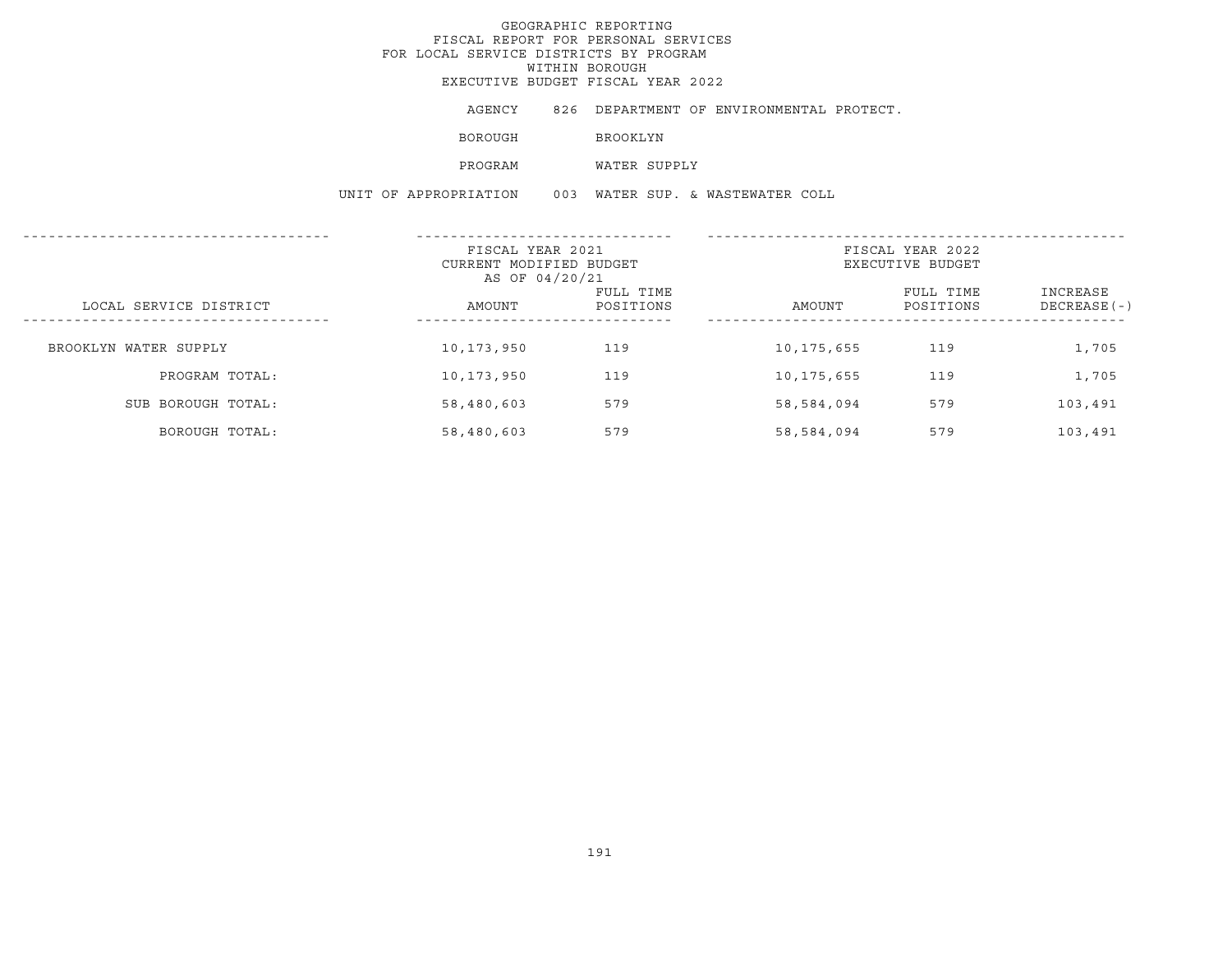EXECUTIVE BUDGET FISCAL YEAR 2022

AGENCY 826 DEPARTMENT OF ENVIRONMENTAL PROTECT.

BOROUGH **BROOKLYN** 

PROGRAM WATER SUPPLY

UNIT OF APPROPRIATION 003 WATER SUP. & WASTEWATER COLL

|                        | FISCAL YEAR 2021<br>CURRENT MODIFIED BUDGET<br>AS OF 04/20/21 |                        | FISCAL YEAR 2022<br>EXECUTIVE BUDGET |                        |                           |  |
|------------------------|---------------------------------------------------------------|------------------------|--------------------------------------|------------------------|---------------------------|--|
| LOCAL SERVICE DISTRICT | AMOUNT<br>------------                                        | FULL TIME<br>POSITIONS | AMOUNT                               | FULL TIME<br>POSITIONS | INCREASE<br>$DECREASE(-)$ |  |
| BROOKLYN WATER SUPPLY  | 10,173,950                                                    | 119                    | 10, 175, 655                         | 119                    | 1,705                     |  |
| PROGRAM TOTAL:         | 10,173,950                                                    | 119                    | 10,175,655                           | 119                    | 1,705                     |  |
| SUB BOROUGH TOTAL:     | 58,480,603                                                    | 579                    | 58,584,094                           | 579                    | 103,491                   |  |
| BOROUGH TOTAL:         | 58,480,603                                                    | 579                    | 58,584,094                           | 579                    | 103,491                   |  |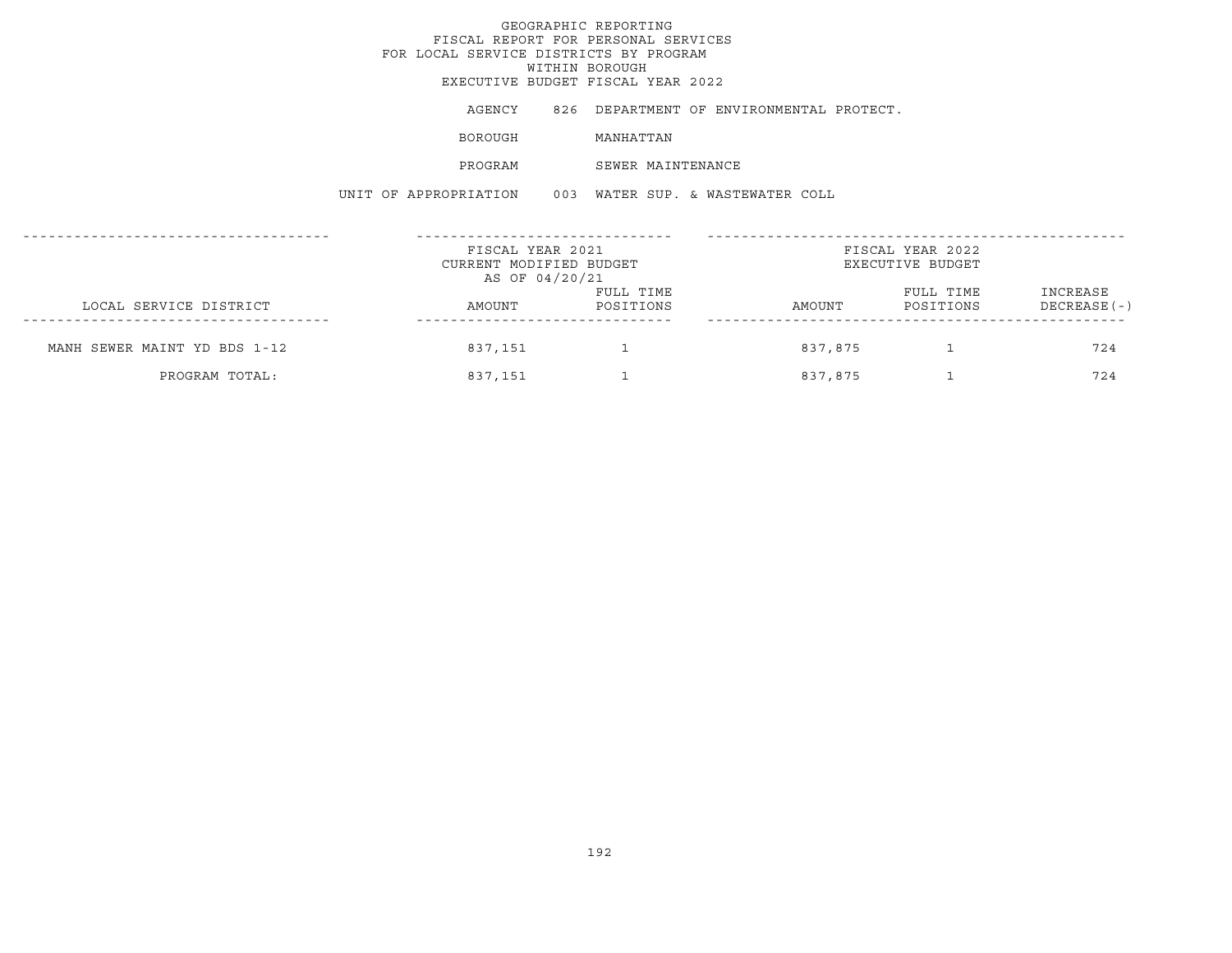# GEOGRAPHIC REPORTINGFISCAL REPORT FOR PERSONAL SERVICES FOR LOCAL SERVICE DISTRICTS BY PROGRAM WITHIN BOROUGH EXECUTIVE BUDGET FISCAL YEAR 2022AGENCY 826 DEPARTMENT OF ENVIRONMENTAL PROTECT. BOROUGH MANHATTAN PROGRAM SEWER MAINTENANCEUNIT OF APPROPRIATION 003 WATER SUP. & WASTEWATER COLL------------------------------------ ------------------------------ -------------------------------------------------FISCAL YEAR 2021 FISCAL YEAR 2022CURRENT MODIFIED BUDGET **EXECUTIVE BUDGET** AS OF 04/20/21 FULL TIME FULL TIME INCREASELOCAL SERVICE DISTRICT AMOUNT POSITIONS AMOUNT POSITIONS DECREASE(-) ------------------------------------ ------------------------------ -------------------------------------------------MANH SEWER MAINT YD BDS 1-12 837,151 1 837,875 1 837,875 1 724

PROGRAM TOTAL: 837,151 1 837,875 1 724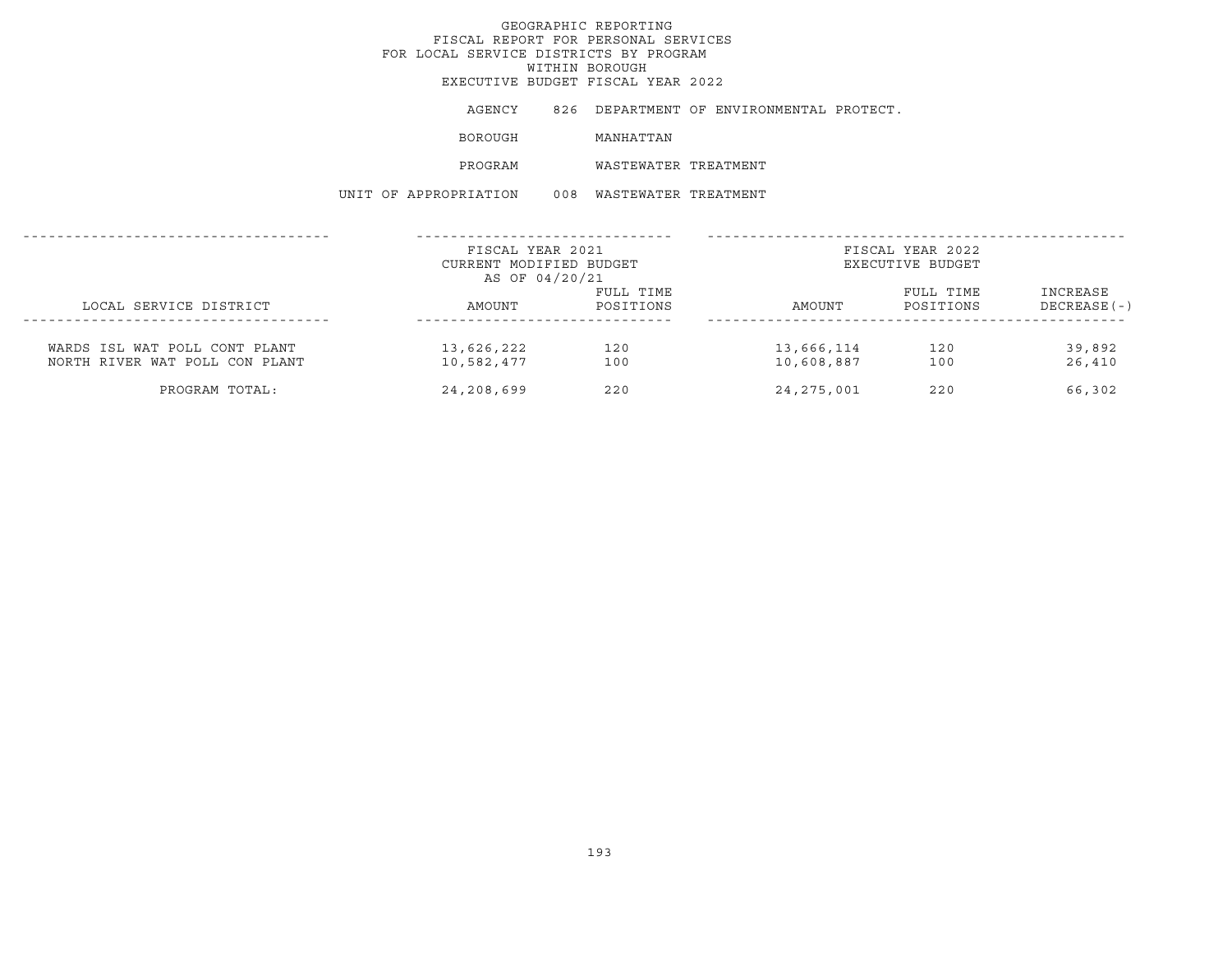AGENCY 826 DEPARTMENT OF ENVIRONMENTAL PROTECT.

BOROUGH MANHATTAN

PROGRAM WASTEWATER TREATMENT

UNIT OF APPROPRIATION 008 WASTEWATER TREATMENT

|                                                                 | FISCAL YEAR 2021<br>CURRENT MODIFIED BUDGET<br>AS OF 04/20/21 |                        | FISCAL YEAR 2022<br>EXECUTIVE BUDGET |                        |                            |  |
|-----------------------------------------------------------------|---------------------------------------------------------------|------------------------|--------------------------------------|------------------------|----------------------------|--|
| LOCAL SERVICE DISTRICT                                          | AMOUNT                                                        | FULL TIME<br>POSITIONS | AMOUNT                               | FULL TIME<br>POSITIONS | INCREASE<br>$DECREASE (-)$ |  |
| WARDS ISL WAT POLL CONT PLANT<br>NORTH RIVER WAT POLL CON PLANT | 13,626,222<br>10,582,477                                      | 120<br>100             | 13,666,114<br>10,608,887             | 120<br>100             | 39,892<br>26,410           |  |
| PROGRAM TOTAL:                                                  | 24,208,699                                                    | 220                    | 24, 275, 001                         | 220                    | 66,302                     |  |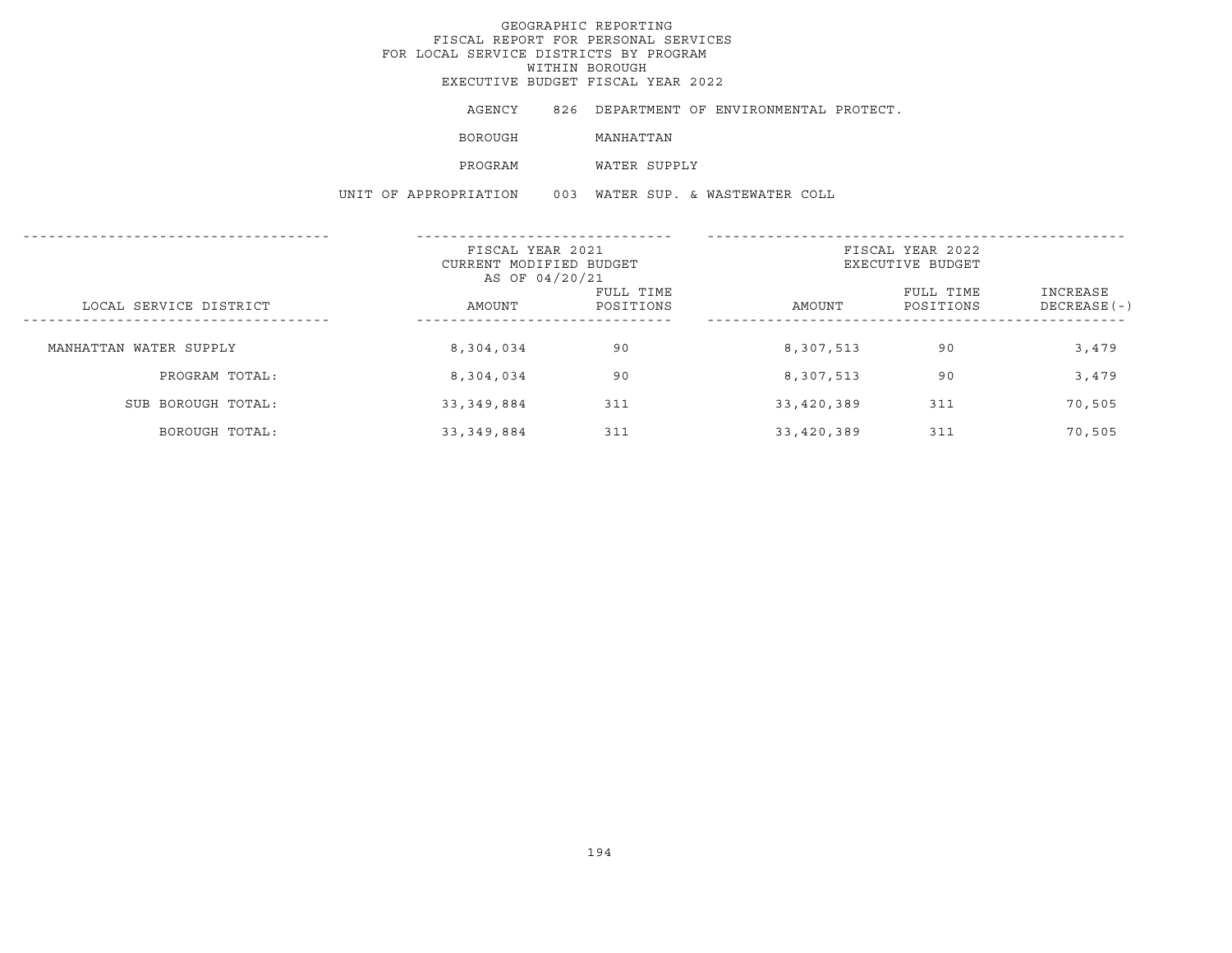AGENCY 826 DEPARTMENT OF ENVIRONMENTAL PROTECT.

BOROUGH MANHATTAN

PROGRAM WATER SUPPLY

UNIT OF APPROPRIATION 003 WATER SUP. & WASTEWATER COLL

| ---------------------  | FISCAL YEAR 2021<br>CURRENT MODIFIED BUDGET<br>AS OF 04/20/21 |                        | FISCAL YEAR 2022<br>EXECUTIVE BUDGET |                        |                          |
|------------------------|---------------------------------------------------------------|------------------------|--------------------------------------|------------------------|--------------------------|
| LOCAL SERVICE DISTRICT | AMOUNT                                                        | FULL TIME<br>POSITIONS | AMOUNT                               | FULL TIME<br>POSITIONS | INCREASE<br>DECREASE (-) |
| MANHATTAN WATER SUPPLY | 8,304,034                                                     | 90                     | 8,307,513                            | 90                     | 3,479                    |
| PROGRAM TOTAL:         | 8,304,034                                                     | 90                     | 8,307,513                            | 90                     | 3,479                    |
| SUB BOROUGH TOTAL:     | 33, 349, 884                                                  | 311                    | 33,420,389                           | 311                    | 70,505                   |
| BOROUGH TOTAL:         | 33, 349, 884                                                  | 311                    | 33,420,389                           | 311                    | 70,505                   |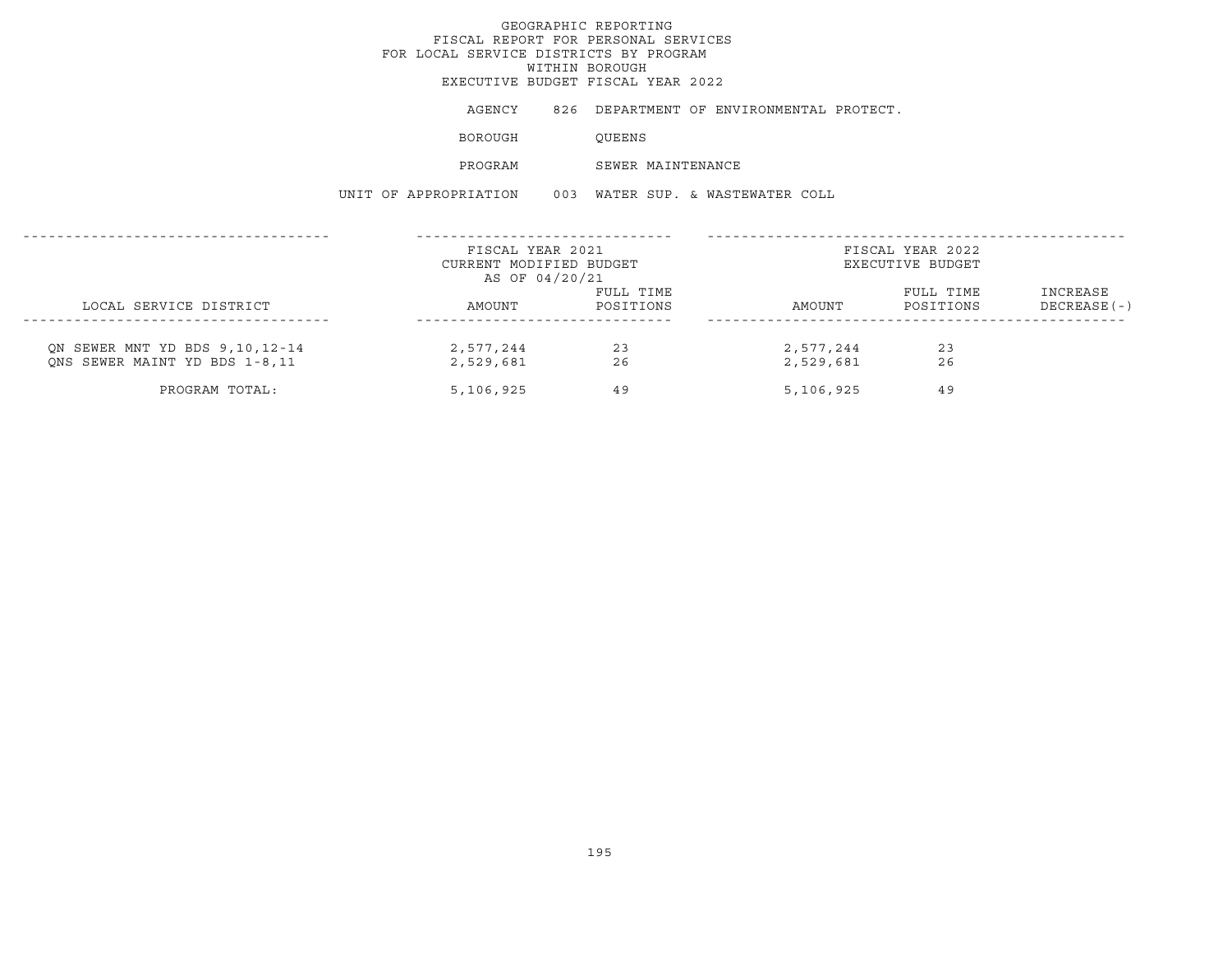EXECUTIVE BUDGET FISCAL YEAR 2022

AGENCY 826 DEPARTMENT OF ENVIRONMENTAL PROTECT.

BOROUGH QUEENS

PROGRAM SEWER MAINTENANCE

UNIT OF APPROPRIATION 003 WATER SUP. & WASTEWATER COLL

|                                                                 | FISCAL YEAR 2021<br>CURRENT MODIFIED BUDGET<br>AS OF 04/20/21 |                        | FISCAL YEAR 2022<br>EXECUTIVE BUDGET |                        |                           |  |
|-----------------------------------------------------------------|---------------------------------------------------------------|------------------------|--------------------------------------|------------------------|---------------------------|--|
| LOCAL SERVICE DISTRICT                                          | AMOUNT                                                        | FULL TIME<br>POSITIONS | AMOUNT                               | FULL TIME<br>POSITIONS | INCREASE<br>$DECREASE(-)$ |  |
| ON SEWER MNT YD BDS 9,10,12-14<br>ONS SEWER MAINT YD BDS 1-8,11 | 2,577,244<br>2,529,681                                        | 23<br>26               | 2,577,244<br>2,529,681               | 23<br>26               |                           |  |
| PROGRAM TOTAL:                                                  | 5,106,925                                                     | 49                     | 5,106,925                            | 49                     |                           |  |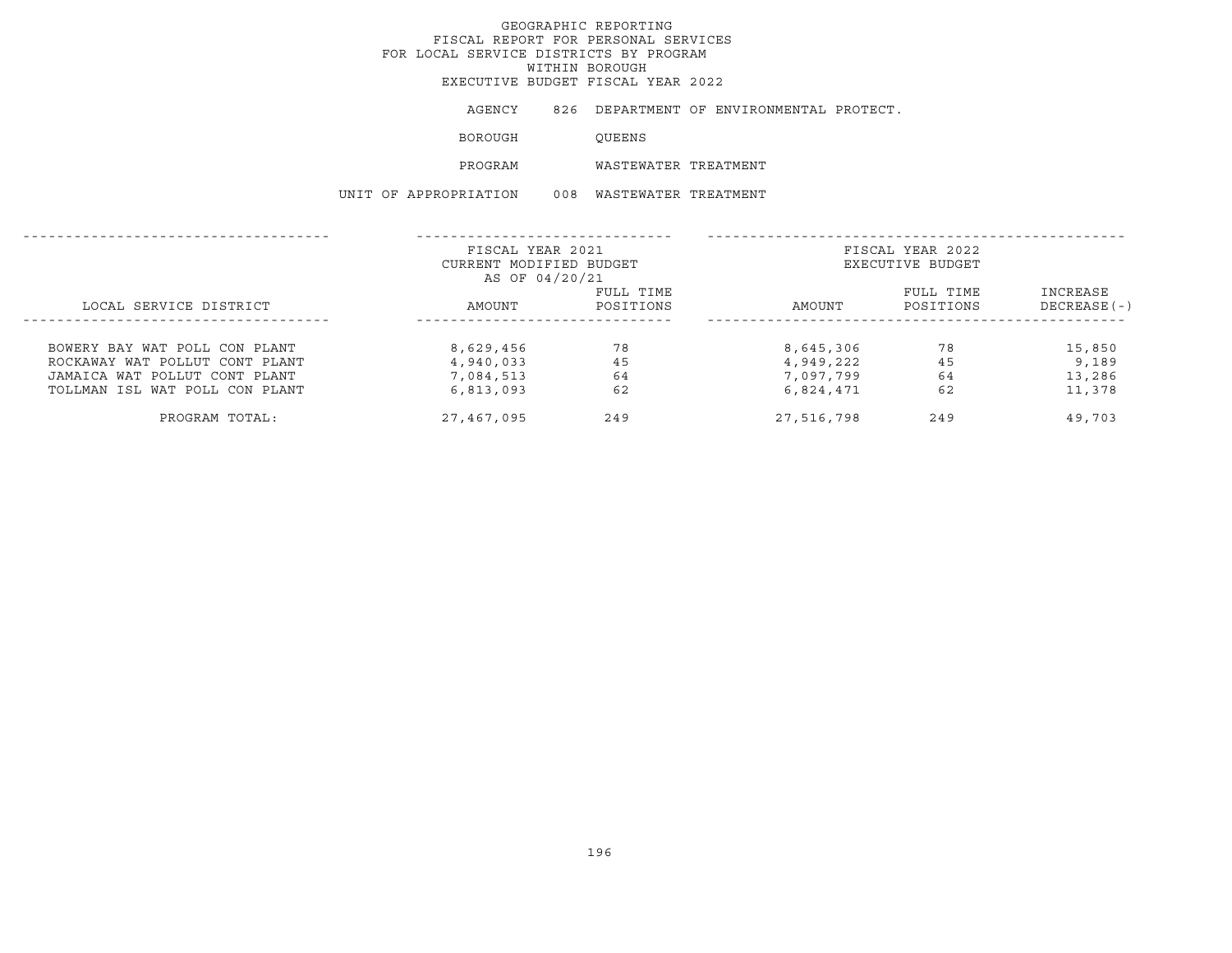EXECUTIVE BUDGET FISCAL YEAR 2022

AGENCY 826 DEPARTMENT OF ENVIRONMENTAL PROTECT.

BOROUGH QUEENS

PROGRAM WASTEWATER TREATMENT

UNIT OF APPROPRIATION 008 WASTEWATER TREATMENT

|                                | FISCAL YEAR 2021<br>CURRENT MODIFIED BUDGET<br>AS OF 04/20/21 |           | FISCAL YEAR 2022<br>EXECUTIVE BUDGET |           |                |  |
|--------------------------------|---------------------------------------------------------------|-----------|--------------------------------------|-----------|----------------|--|
|                                |                                                               | FULL TIME |                                      | FULL TIME | INCREASE       |  |
| LOCAL SERVICE DISTRICT         | AMOUNT                                                        | POSITIONS | AMOUNT                               | POSITIONS | $DECREASE$ (-) |  |
|                                |                                                               |           |                                      |           |                |  |
| BOWERY BAY WAT POLL CON PLANT  | 8,629,456                                                     | 78        | 8,645,306                            | 78        | 15,850         |  |
| ROCKAWAY WAT POLLUT CONT PLANT | 4,940,033                                                     | 45        | 4,949,222                            | 45        | 9,189          |  |
| JAMAICA WAT POLLUT CONT PLANT  | 7,084,513                                                     | 64        | 7,097,799                            | 64        | 13,286         |  |
| TOLLMAN ISL WAT POLL CON PLANT | 6,813,093                                                     | 62        | 6,824,471                            | 62        | 11,378         |  |
| PROGRAM TOTAL:                 | 27,467,095                                                    | 249       | 27,516,798                           | 249       | 49,703         |  |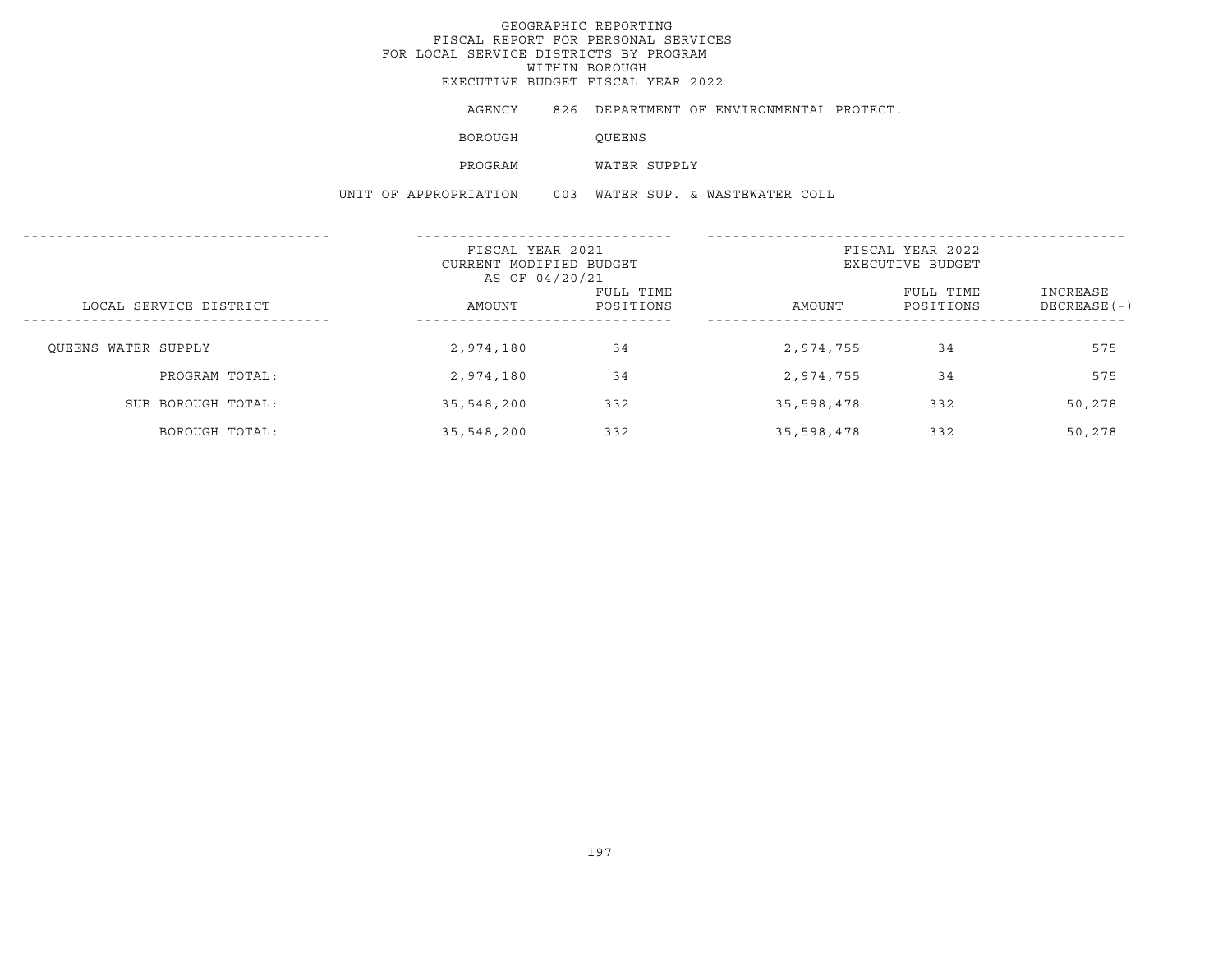AGENCY 826 DEPARTMENT OF ENVIRONMENTAL PROTECT.

BOROUGH QUEENS

PROGRAM WATER SUPPLY

UNIT OF APPROPRIATION 003 WATER SUP. & WASTEWATER COLL

|                        | FISCAL YEAR 2021<br>CURRENT MODIFIED BUDGET<br>AS OF 04/20/21 |                        | FISCAL YEAR 2022<br>EXECUTIVE BUDGET |                        |                            |  |
|------------------------|---------------------------------------------------------------|------------------------|--------------------------------------|------------------------|----------------------------|--|
| LOCAL SERVICE DISTRICT | AMOUNT                                                        | FULL TIME<br>POSITIONS | AMOUNT                               | FULL TIME<br>POSITIONS | INCREASE<br>$DECREASE (-)$ |  |
| OUEENS WATER SUPPLY    | 2,974,180                                                     | 34                     | 2,974,755                            | 34                     | 575                        |  |
| PROGRAM TOTAL:         | 2,974,180                                                     | 34                     | 2,974,755                            | 34                     | 575                        |  |
| SUB BOROUGH TOTAL:     | 35,548,200                                                    | 332                    | 35,598,478                           | 332                    | 50,278                     |  |
| BOROUGH TOTAL:         | 35,548,200                                                    | 332                    | 35,598,478                           | 332                    | 50,278                     |  |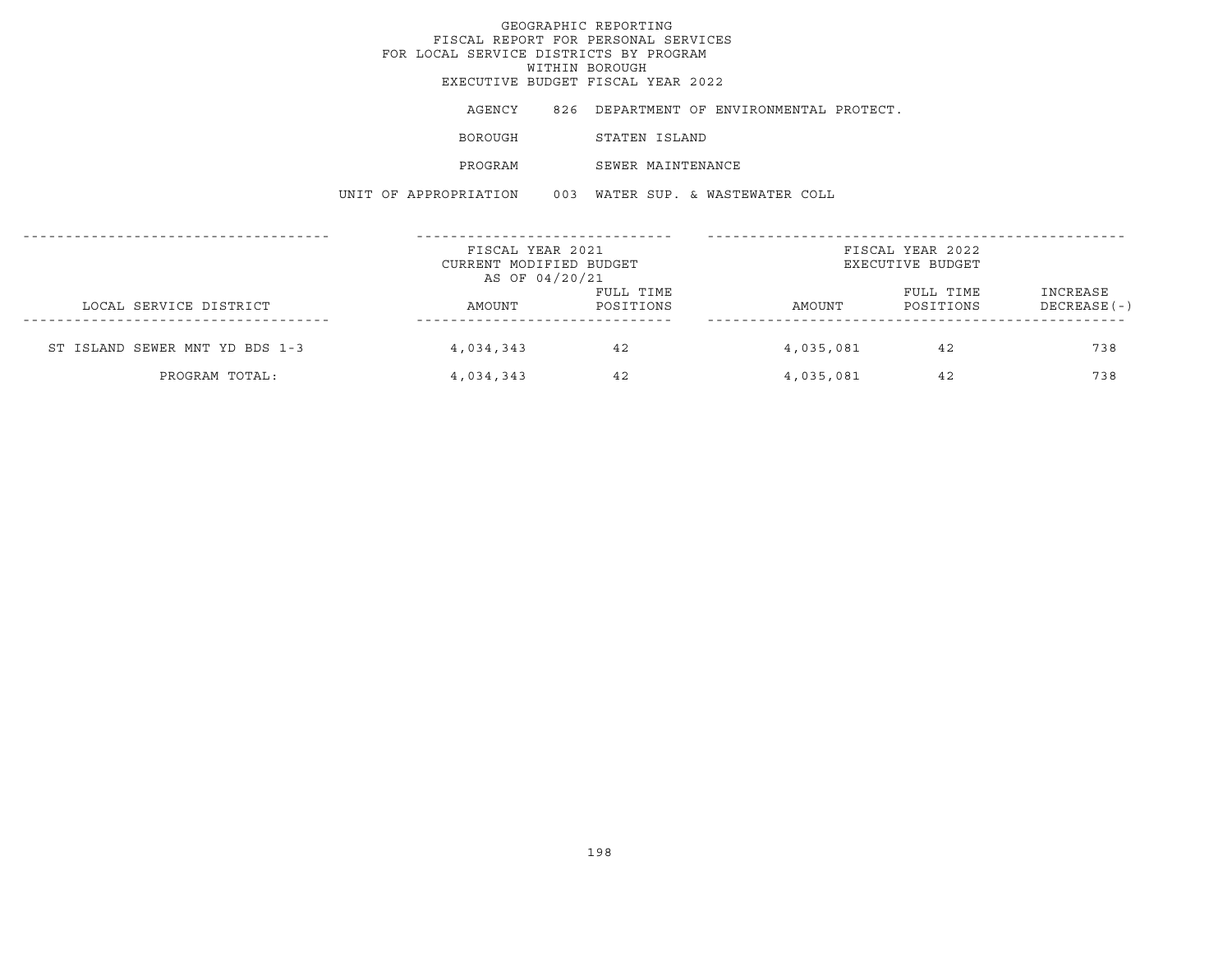# GEOGRAPHIC REPORTINGFISCAL REPORT FOR PERSONAL SERVICES FOR LOCAL SERVICE DISTRICTS BY PROGRAMWITHIN BOROUGH EXECUTIVE BUDGET FISCAL YEAR 2022AGENCY 826 DEPARTMENT OF ENVIRONMENTAL PROTECT. BOROUGH STATEN ISLAND PROGRAM SEWER MAINTENANCEUNIT OF APPROPRIATION 003 WATER SUP. & WASTEWATER COLL------------------------------------ ------------------------------ ------------------------------------------------- FISCAL YEAR 2021 FISCAL YEAR 2022CURRENT MODIFIED BUDGET **EXECUTIVE BUDGET** AS OF 04/20/21 FULL TIME FULL TIME INCREASELOCAL SERVICE DISTRICT AMOUNT POSITIONS AMOUNT POSITIONS DECREASE(-) ------------------------------------ ------------------------------ -------------------------------------------------ST ISLAND SEWER MNT YD BDS 1-3 4,034,343 42 4,035,081 42 738

PROGRAM TOTAL: 
4,034,343 
42 
4,035,081 
42 738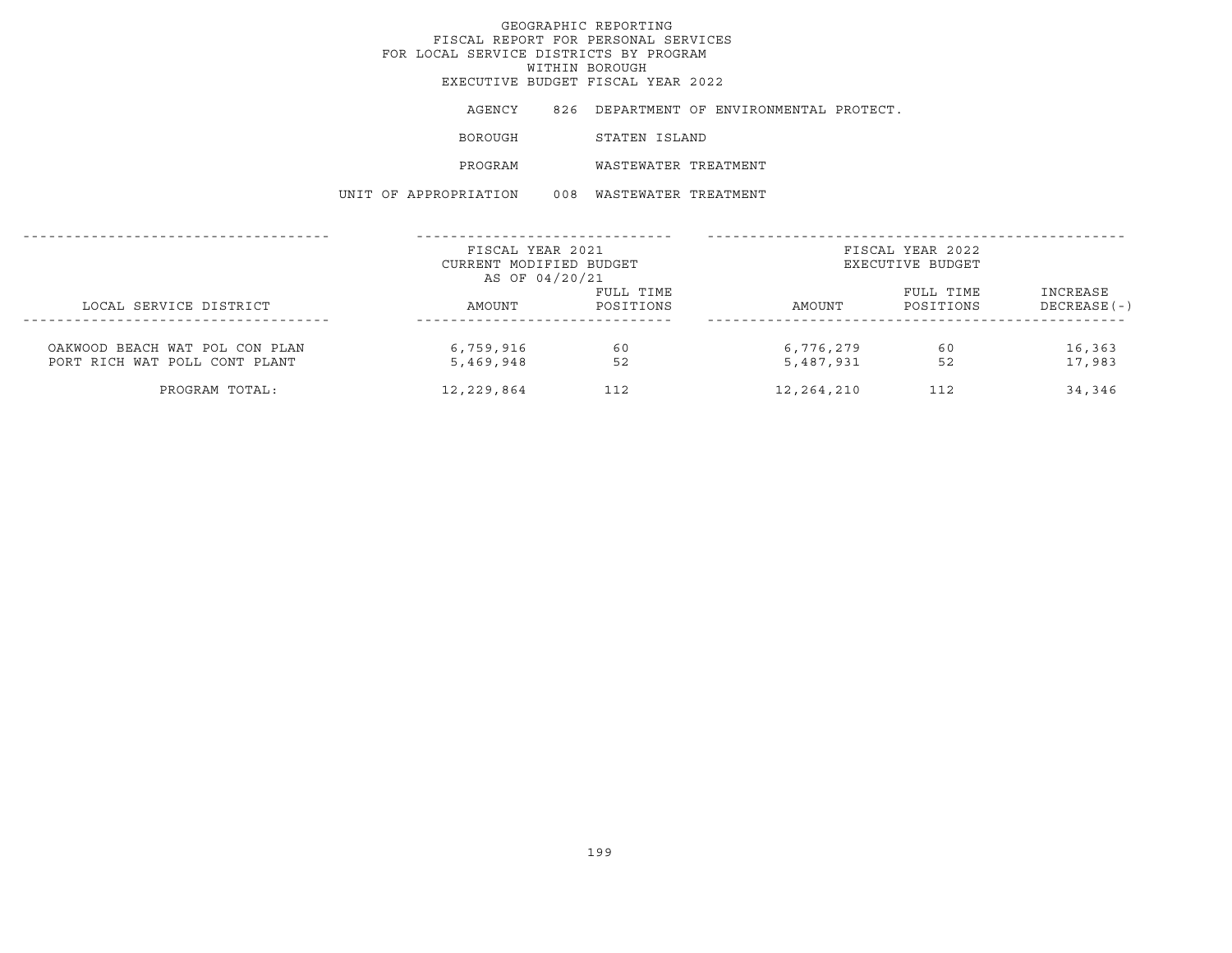AGENCY 826 DEPARTMENT OF ENVIRONMENTAL PROTECT.

BOROUGH STATEN ISLAND

PROGRAM WASTEWATER TREATMENT

UNIT OF APPROPRIATION 008 WASTEWATER TREATMENT

|                                                                 | FISCAL YEAR 2021<br>CURRENT MODIFIED BUDGET<br>AS OF 04/20/21 |                        | FISCAL YEAR 2022<br>EXECUTIVE BUDGET |                        |                           |
|-----------------------------------------------------------------|---------------------------------------------------------------|------------------------|--------------------------------------|------------------------|---------------------------|
| LOCAL SERVICE DISTRICT                                          | AMOUNT                                                        | FULL TIME<br>POSITIONS | AMOUNT                               | FULL TIME<br>POSITIONS | INCREASE<br>$DECREASE(-)$ |
| OAKWOOD BEACH WAT POL CON PLAN<br>PORT RICH WAT POLL CONT PLANT | 6,759,916<br>5,469,948                                        | 60<br>52               | 6,776,279<br>5,487,931               | 60<br>52               | 16,363<br>17,983          |
| PROGRAM TOTAL:                                                  | 12,229,864                                                    | 112                    | 12,264,210                           | 112                    | 34,346                    |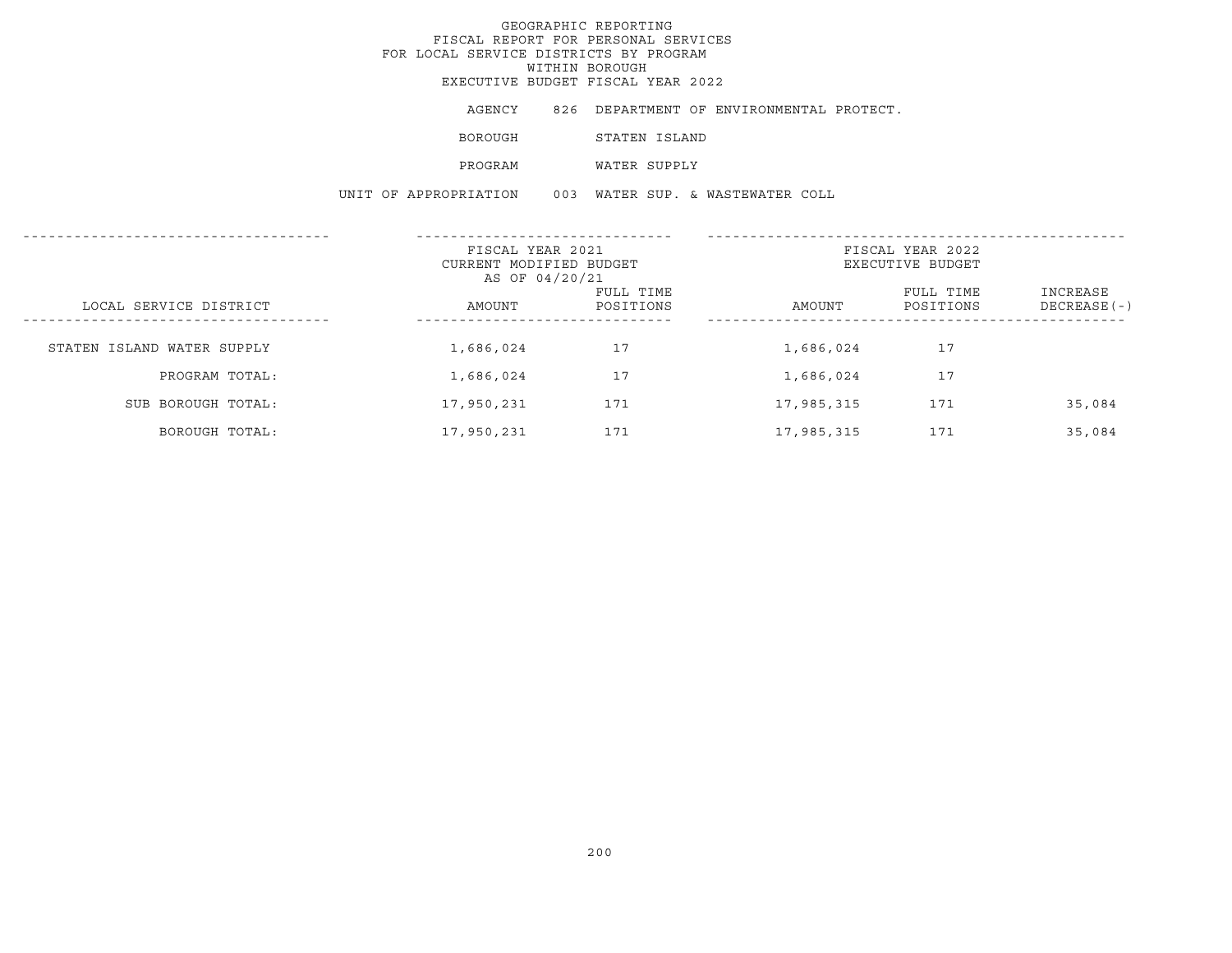AGENCY 826 DEPARTMENT OF ENVIRONMENTAL PROTECT. BOROUGH STATEN ISLAND PROGRAM WATER SUPPLY UNIT OF APPROPRIATION 003 WATER SUP. & WASTEWATER COLL

|                                                          | FISCAL YEAR 2021                          |                        |            | FISCAL YEAR 2022       |                           |
|----------------------------------------------------------|-------------------------------------------|------------------------|------------|------------------------|---------------------------|
|                                                          | CURRENT MODIFIED BUDGET<br>AS OF 04/20/21 |                        |            | EXECUTIVE BUDGET       |                           |
| LOCAL SERVICE DISTRICT<br>------------------------------ | AMOUNT<br>---------------------           | FULL TIME<br>POSITIONS | AMOUNT     | FULL TIME<br>POSITIONS | INCREASE<br>$DECREASE(-)$ |
| STATEN ISLAND WATER SUPPLY                               | 1,686,024                                 | 17                     | 1,686,024  | 17                     |                           |
| PROGRAM TOTAL:                                           | 1,686,024                                 | 17                     | 1,686,024  | 17                     |                           |
| SUB BOROUGH TOTAL:                                       | 17,950,231                                | 171                    | 17,985,315 | 171                    | 35,084                    |
| BOROUGH TOTAL:                                           | 17,950,231                                | 171                    | 17,985,315 | 171                    | 35,084                    |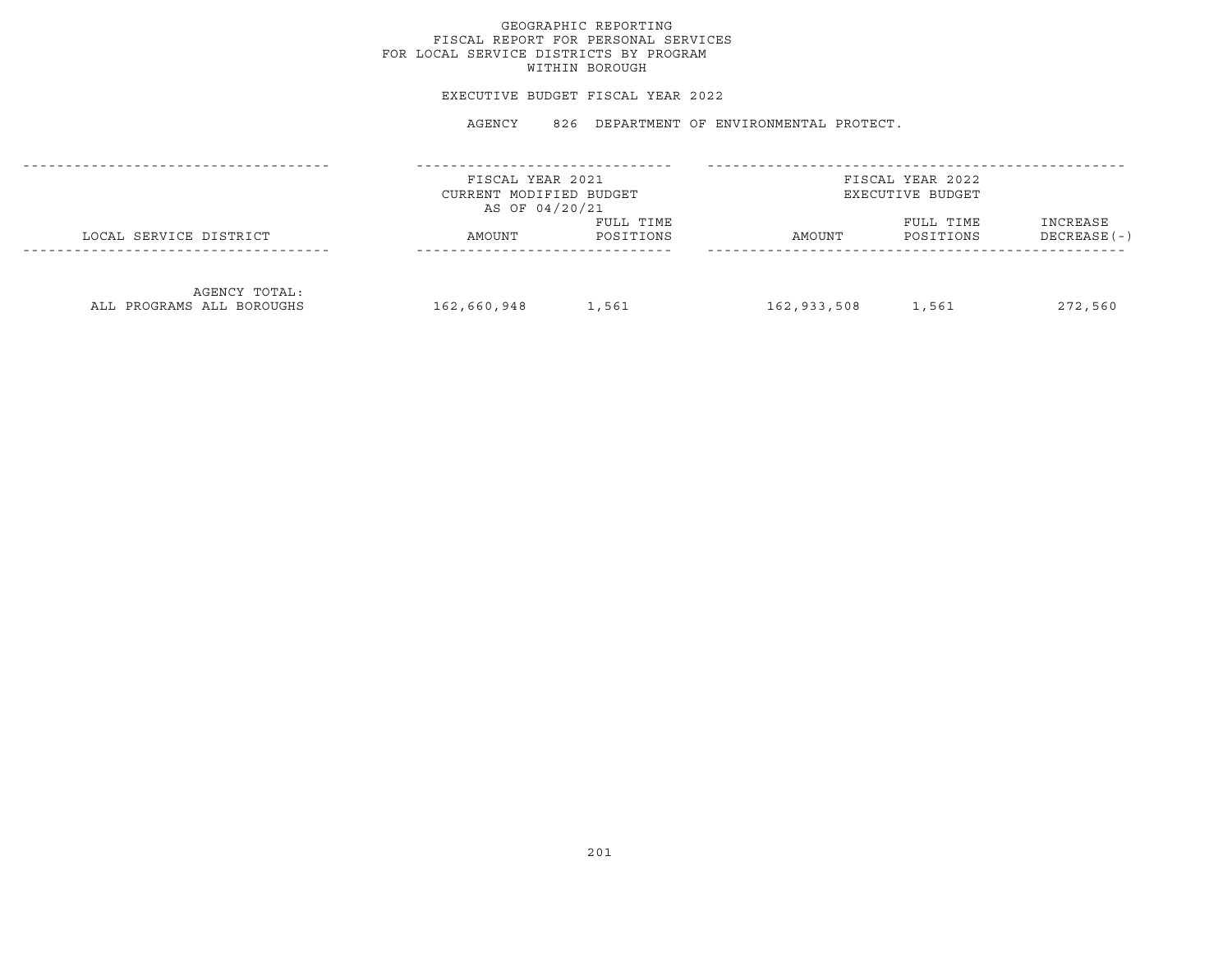### EXECUTIVE BUDGET FISCAL YEAR 2022

|                                            | FISCAL YEAR 2021<br>CURRENT MODIFIED BUDGET<br>AS OF 04/20/21 |                        | FISCAL YEAR 2022<br>EXECUTIVE BUDGET |                        |                          |  |
|--------------------------------------------|---------------------------------------------------------------|------------------------|--------------------------------------|------------------------|--------------------------|--|
| LOCAL SERVICE DISTRICT                     | AMOUNT                                                        | FULL TIME<br>POSITIONS | AMOUNT                               | FULL TIME<br>POSITIONS | INCREASE<br>DECREASE (-) |  |
| AGENCY TOTAL:<br>ALL PROGRAMS ALL BOROUGHS | 162,660,948                                                   | 1,561                  | 162,933,508                          | 1,561                  | 272,560                  |  |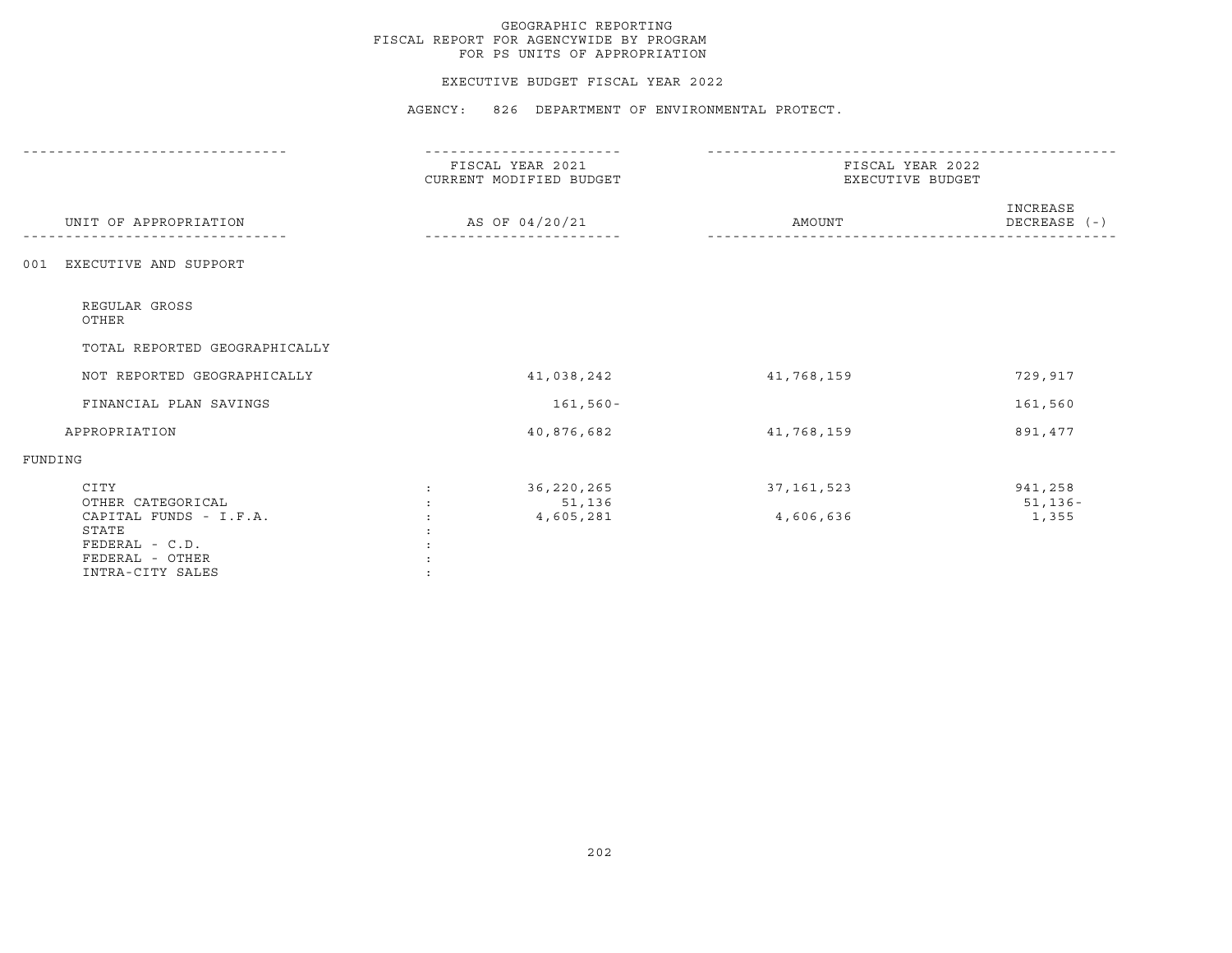### EXECUTIVE BUDGET FISCAL YEAR 2022

|         |                                                                                                                       | FISCAL YEAR 2021<br>CURRENT MODIFIED BUDGET | FISCAL YEAR 2022<br>EXECUTIVE BUDGET |                                 |
|---------|-----------------------------------------------------------------------------------------------------------------------|---------------------------------------------|--------------------------------------|---------------------------------|
|         | UNIT OF APPROPRIATION                                                                                                 | AS OF 04/20/21                              | AMOUNT                               | INCREASE<br>$DECREASE$ $(-)$    |
| 001     | EXECUTIVE AND SUPPORT                                                                                                 |                                             |                                      |                                 |
|         | REGULAR GROSS<br>OTHER                                                                                                |                                             |                                      |                                 |
|         | TOTAL REPORTED GEOGRAPHICALLY                                                                                         |                                             |                                      |                                 |
|         | NOT REPORTED GEOGRAPHICALLY                                                                                           | 41,038,242                                  | 41,768,159                           | 729,917                         |
|         | FINANCIAL PLAN SAVINGS                                                                                                | $161,560 -$                                 |                                      | 161,560                         |
|         | APPROPRIATION                                                                                                         | 40,876,682                                  | 41,768,159                           | 891,477                         |
| FUNDING |                                                                                                                       |                                             |                                      |                                 |
|         | CITY<br>OTHER CATEGORICAL<br>CAPITAL FUNDS - I.F.A.<br>STATE<br>FEDERAL - C.D.<br>FEDERAL - OTHER<br>INTRA-CITY SALES | 36,220,265<br>51,136<br>4,605,281           | 37, 161, 523<br>4,606,636            | 941,258<br>$51, 136 -$<br>1,355 |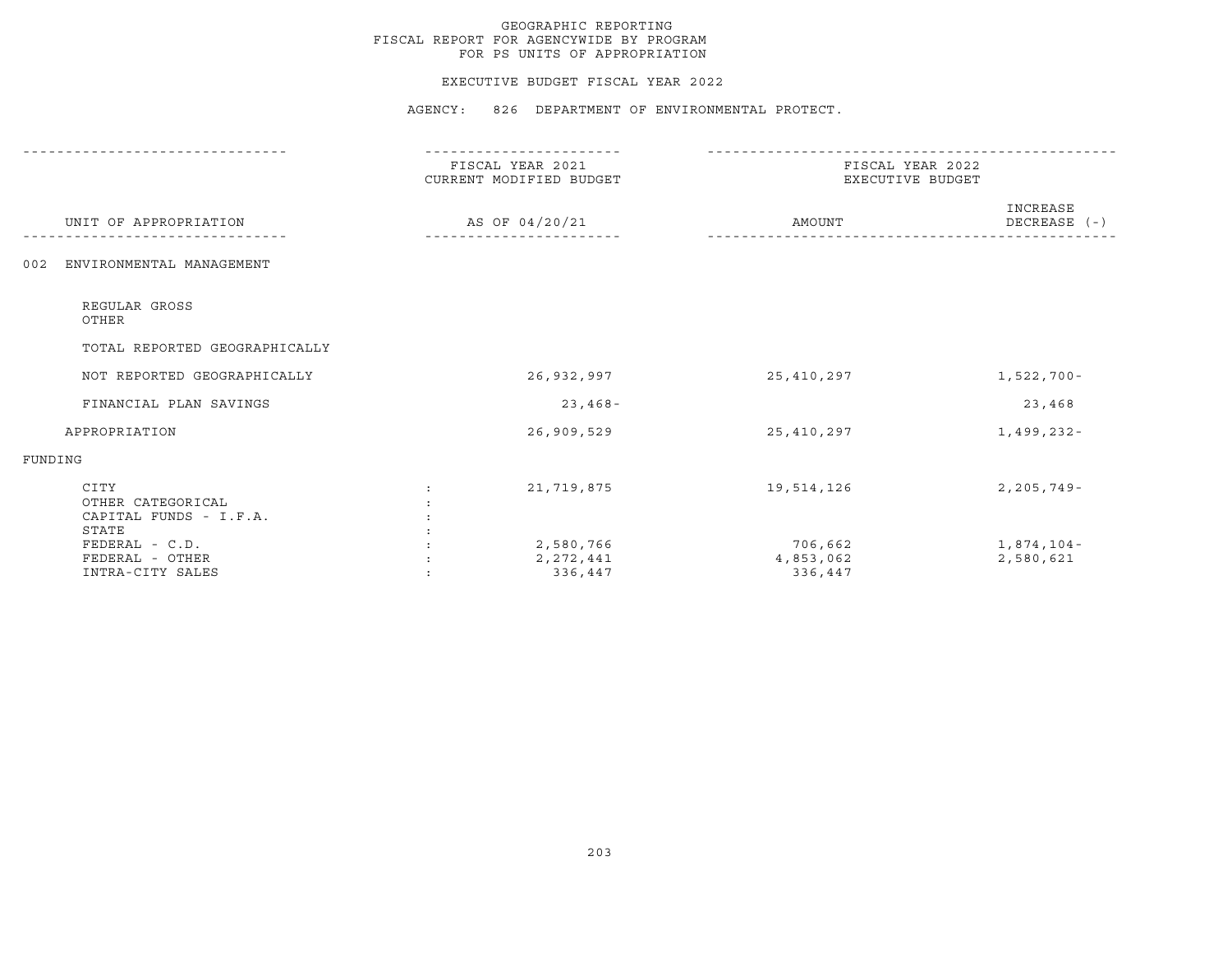### EXECUTIVE BUDGET FISCAL YEAR 2022

|                                                              | ---------                                   |                                      |                            |
|--------------------------------------------------------------|---------------------------------------------|--------------------------------------|----------------------------|
|                                                              | FISCAL YEAR 2021<br>CURRENT MODIFIED BUDGET | FISCAL YEAR 2022<br>EXECUTIVE BUDGET |                            |
| UNIT OF APPROPRIATION                                        | AS OF 04/20/21                              | AMOUNT                               | INCREASE<br>DECREASE $(-)$ |
| ENVIRONMENTAL MANAGEMENT<br>002                              |                                             |                                      |                            |
| REGULAR GROSS<br>OTHER                                       |                                             |                                      |                            |
| TOTAL REPORTED GEOGRAPHICALLY                                |                                             |                                      |                            |
| NOT REPORTED GEOGRAPHICALLY                                  | 26,932,997                                  | 25,410,297                           | 1,522,700-                 |
| FINANCIAL PLAN SAVINGS                                       | $23,468-$                                   |                                      | 23,468                     |
| APPROPRIATION                                                | 26,909,529                                  | 25,410,297                           | 1,499,232-                 |
| FUNDING                                                      |                                             |                                      |                            |
| CITY<br>OTHER CATEGORICAL<br>CAPITAL FUNDS - I.F.A.<br>STATE | 21,719,875                                  | 19,514,126                           | $2, 205, 749 -$            |
| FEDERAL - C.D.<br>FEDERAL - OTHER<br>INTRA-CITY SALES        | 2,580,766<br>2, 272, 441<br>336,447         | 706,662<br>4,853,062<br>336,447      | 1,874,104-<br>2,580,621    |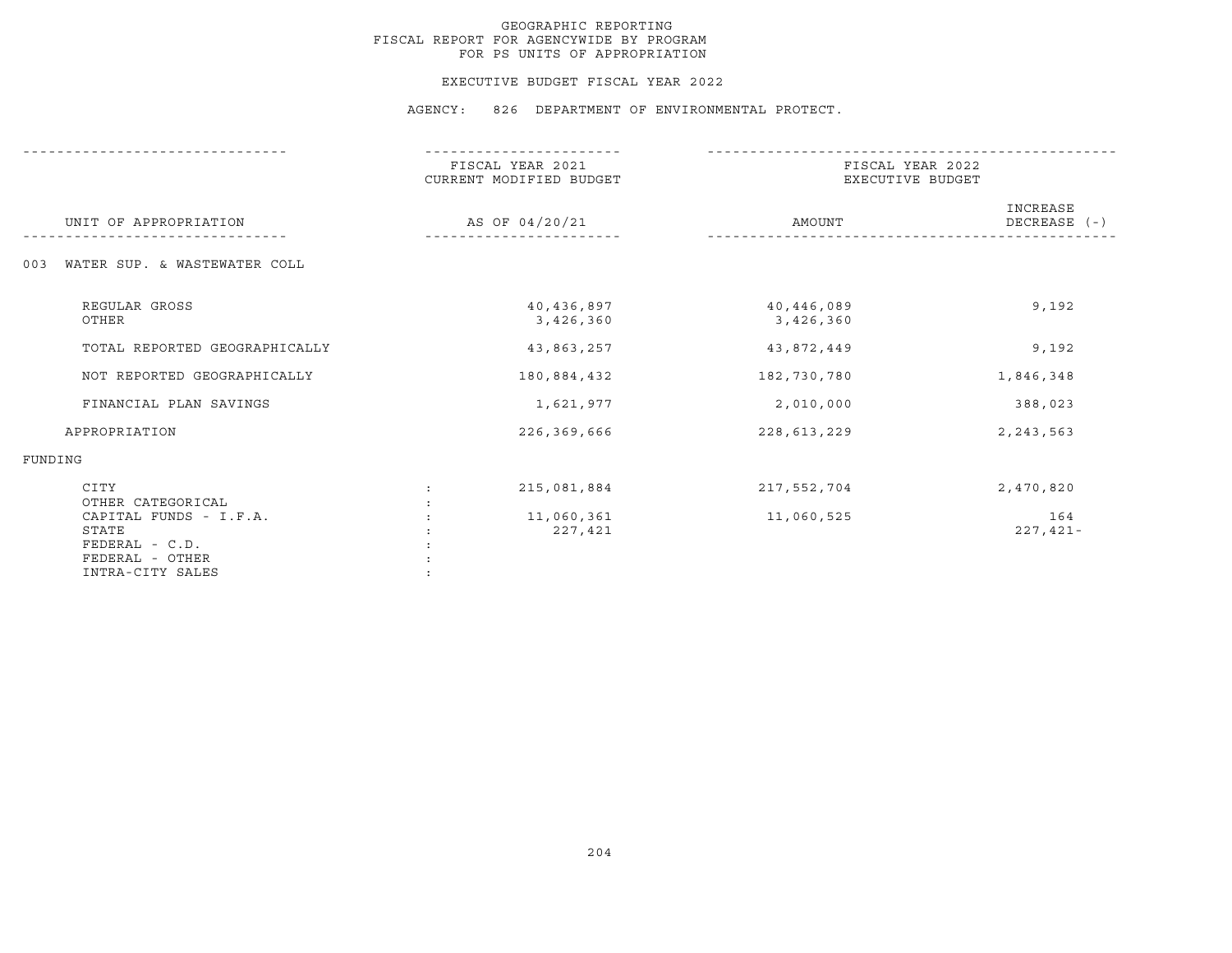### EXECUTIVE BUDGET FISCAL YEAR 2022

|                                                                                          | FISCAL YEAR 2021<br>CURRENT MODIFIED BUDGET | FISCAL YEAR 2022<br>EXECUTIVE BUDGET |                          |  |
|------------------------------------------------------------------------------------------|---------------------------------------------|--------------------------------------|--------------------------|--|
| UNIT OF APPROPRIATION                                                                    | AS OF 04/20/21                              | AMOUNT                               | INCREASE<br>DECREASE (-) |  |
| WATER SUP. & WASTEWATER COLL<br>003                                                      |                                             |                                      |                          |  |
| REGULAR GROSS<br>OTHER                                                                   | 40,436,897<br>3,426,360                     | 40,446,089<br>3,426,360              | 9,192                    |  |
| TOTAL REPORTED GEOGRAPHICALLY                                                            | 43,863,257                                  | 43,872,449                           | 9,192                    |  |
| NOT REPORTED GEOGRAPHICALLY                                                              | 180,884,432                                 | 182,730,780                          | 1,846,348                |  |
| FINANCIAL PLAN SAVINGS                                                                   | 1,621,977                                   | 2,010,000                            | 388,023                  |  |
| APPROPRIATION                                                                            | 226,369,666                                 | 228,613,229                          | 2, 243, 563              |  |
| FUNDING                                                                                  |                                             |                                      |                          |  |
| CITY<br>OTHER CATEGORICAL                                                                | 215,081,884                                 | 217,552,704                          | 2,470,820                |  |
| CAPITAL FUNDS - I.F.A.<br>STATE<br>FEDERAL - C.D.<br>FEDERAL - OTHER<br>INTRA-CITY SALES | 11,060,361<br>227,421                       | 11,060,525                           | 164<br>$227,421-$        |  |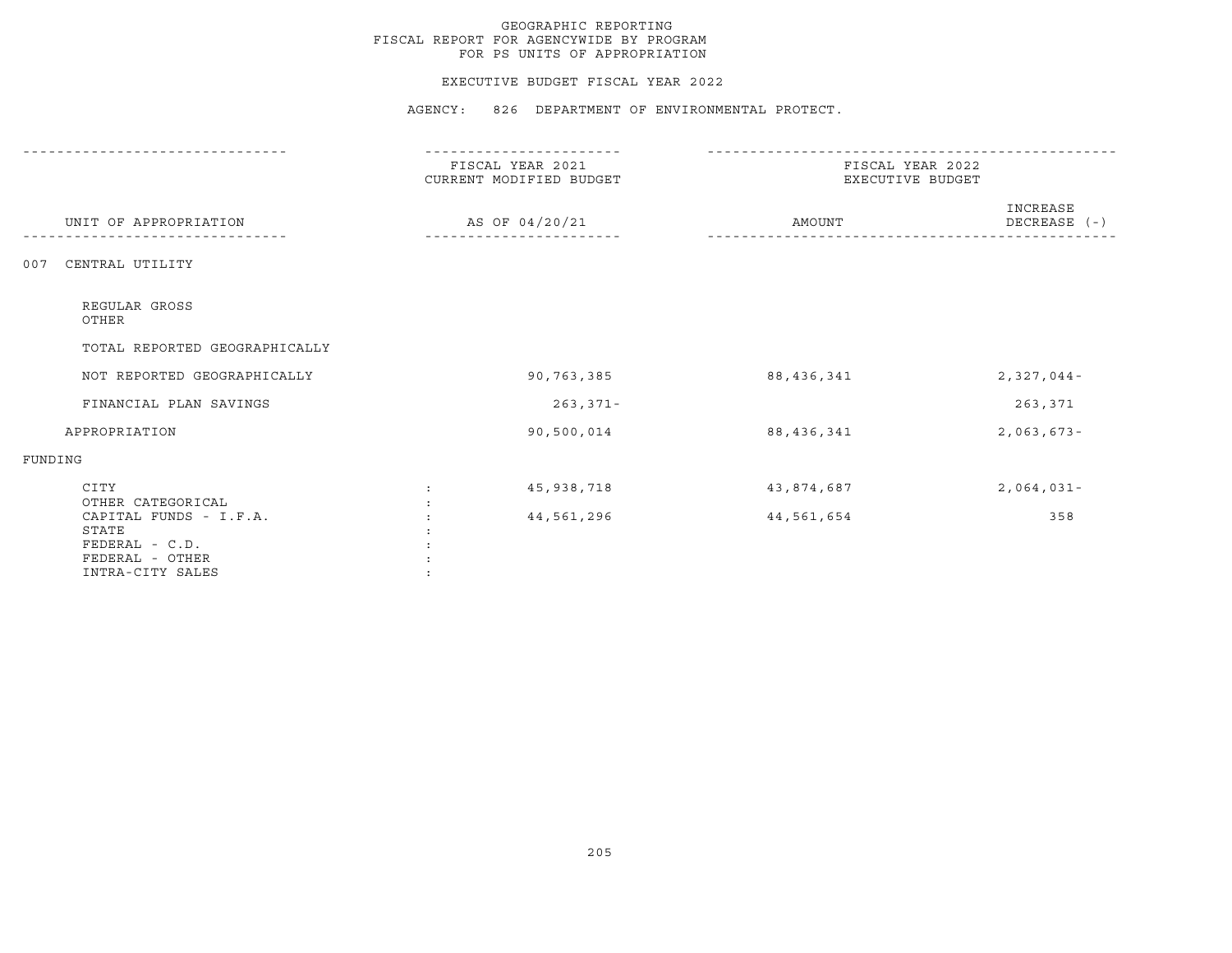## EXECUTIVE BUDGET FISCAL YEAR 2022

|                                                                                          | FISCAL YEAR 2021<br>CURRENT MODIFIED BUDGET | FISCAL YEAR 2022<br>EXECUTIVE BUDGET |                              |  |
|------------------------------------------------------------------------------------------|---------------------------------------------|--------------------------------------|------------------------------|--|
| UNIT OF APPROPRIATION                                                                    | AS OF 04/20/21                              | AMOUNT                               | INCREASE<br>$DECREASE$ $(-)$ |  |
| CENTRAL UTILITY<br>007                                                                   |                                             |                                      |                              |  |
| REGULAR GROSS<br>OTHER                                                                   |                                             |                                      |                              |  |
| TOTAL REPORTED GEOGRAPHICALLY                                                            |                                             |                                      |                              |  |
| NOT REPORTED GEOGRAPHICALLY                                                              | 90,763,385                                  | 88, 436, 341                         | $2,327,044-$                 |  |
| FINANCIAL PLAN SAVINGS                                                                   | $263, 371 -$                                |                                      | 263,371                      |  |
| APPROPRIATION                                                                            | 90,500,014                                  | 88, 436, 341                         | $2,063,673-$                 |  |
| FUNDING                                                                                  |                                             |                                      |                              |  |
| CITY<br>OTHER CATEGORICAL                                                                | 45,938,718                                  | 43,874,687                           | $2,064,031-$                 |  |
| CAPITAL FUNDS - I.F.A.<br>STATE<br>FEDERAL - C.D.<br>FEDERAL - OTHER<br>INTRA-CITY SALES | 44,561,296                                  | 44,561,654                           | 358                          |  |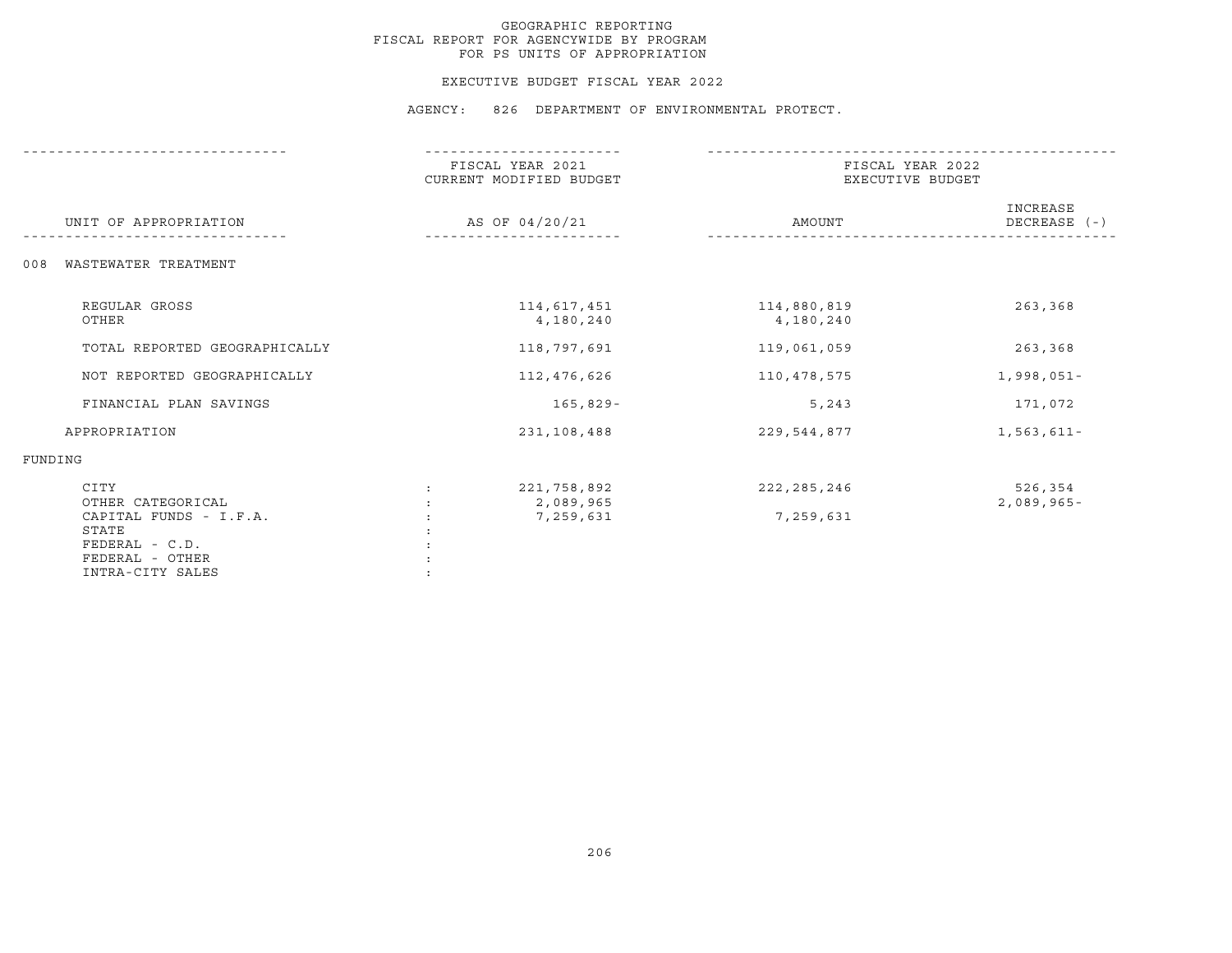### EXECUTIVE BUDGET FISCAL YEAR 2022

|                                                                                                                       | FISCAL YEAR 2021<br>CURRENT MODIFIED BUDGET | FISCAL YEAR 2022<br>EXECUTIVE BUDGET |                          |  |
|-----------------------------------------------------------------------------------------------------------------------|---------------------------------------------|--------------------------------------|--------------------------|--|
| UNIT OF APPROPRIATION                                                                                                 | AS OF 04/20/21                              | AMOUNT                               | INCREASE<br>DECREASE (-) |  |
| WASTEWATER TREATMENT<br>008                                                                                           |                                             |                                      |                          |  |
| REGULAR GROSS<br>OTHER                                                                                                | 114,617,451<br>4,180,240                    | 114,880,819<br>4,180,240             | 263,368                  |  |
| TOTAL REPORTED GEOGRAPHICALLY                                                                                         | 118,797,691                                 | 119,061,059                          | 263,368                  |  |
| NOT REPORTED GEOGRAPHICALLY                                                                                           | 112,476,626                                 | 110,478,575                          | $1,998,051-$             |  |
| FINANCIAL PLAN SAVINGS                                                                                                | $165,829-$                                  | 5,243                                | 171,072                  |  |
| APPROPRIATION                                                                                                         | 231,108,488                                 | 229,544,877                          | $1,563,611-$             |  |
| FUNDING                                                                                                               |                                             |                                      |                          |  |
| CITY<br>OTHER CATEGORICAL<br>CAPITAL FUNDS - I.F.A.<br>STATE<br>FEDERAL - C.D.<br>FEDERAL - OTHER<br>INTRA-CITY SALES | 221,758,892<br>2,089,965<br>7,259,631       | 222, 285, 246<br>7,259,631           | 526,354<br>$2,089,965-$  |  |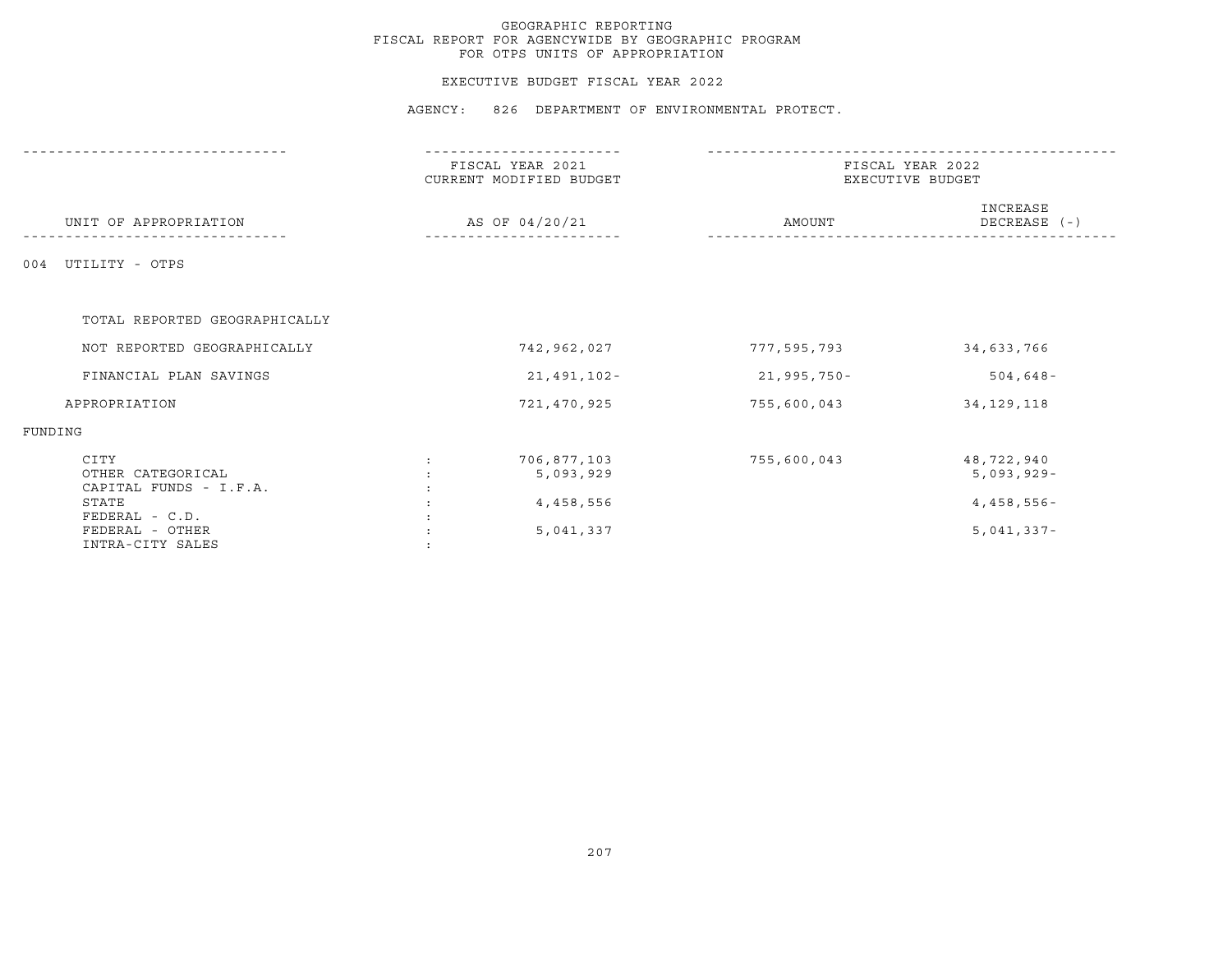## EXECUTIVE BUDGET FISCAL YEAR 2022

|                                                     | -------------                               |                                      |                            |  |
|-----------------------------------------------------|---------------------------------------------|--------------------------------------|----------------------------|--|
|                                                     | FISCAL YEAR 2021<br>CURRENT MODIFIED BUDGET | FISCAL YEAR 2022<br>EXECUTIVE BUDGET |                            |  |
| UNIT OF APPROPRIATION                               | AS OF 04/20/21                              | AMOUNT                               | INCREASE<br>DECREASE (-)   |  |
| 004 UTILITY - OTPS                                  |                                             |                                      |                            |  |
| TOTAL REPORTED GEOGRAPHICALLY                       |                                             |                                      |                            |  |
| NOT REPORTED GEOGRAPHICALLY                         | 742,962,027                                 | 777,595,793                          | 34,633,766                 |  |
| FINANCIAL PLAN SAVINGS                              | 21,491,102-                                 | 21,995,750-                          | $504, 648 -$               |  |
| APPROPRIATION                                       | 721,470,925                                 | 755,600,043                          | 34, 129, 118               |  |
| FUNDING                                             |                                             |                                      |                            |  |
| CITY<br>OTHER CATEGORICAL<br>CAPITAL FUNDS - I.F.A. | 706,877,103<br>5,093,929                    | 755,600,043                          | 48,722,940<br>$5,093,929-$ |  |
| STATE<br>FEDERAL - C.D.                             | 4,458,556                                   |                                      | 4,458,556-                 |  |
| FEDERAL - OTHER<br>INTRA-CITY SALES                 | 5,041,337                                   |                                      | $5,041,337-$               |  |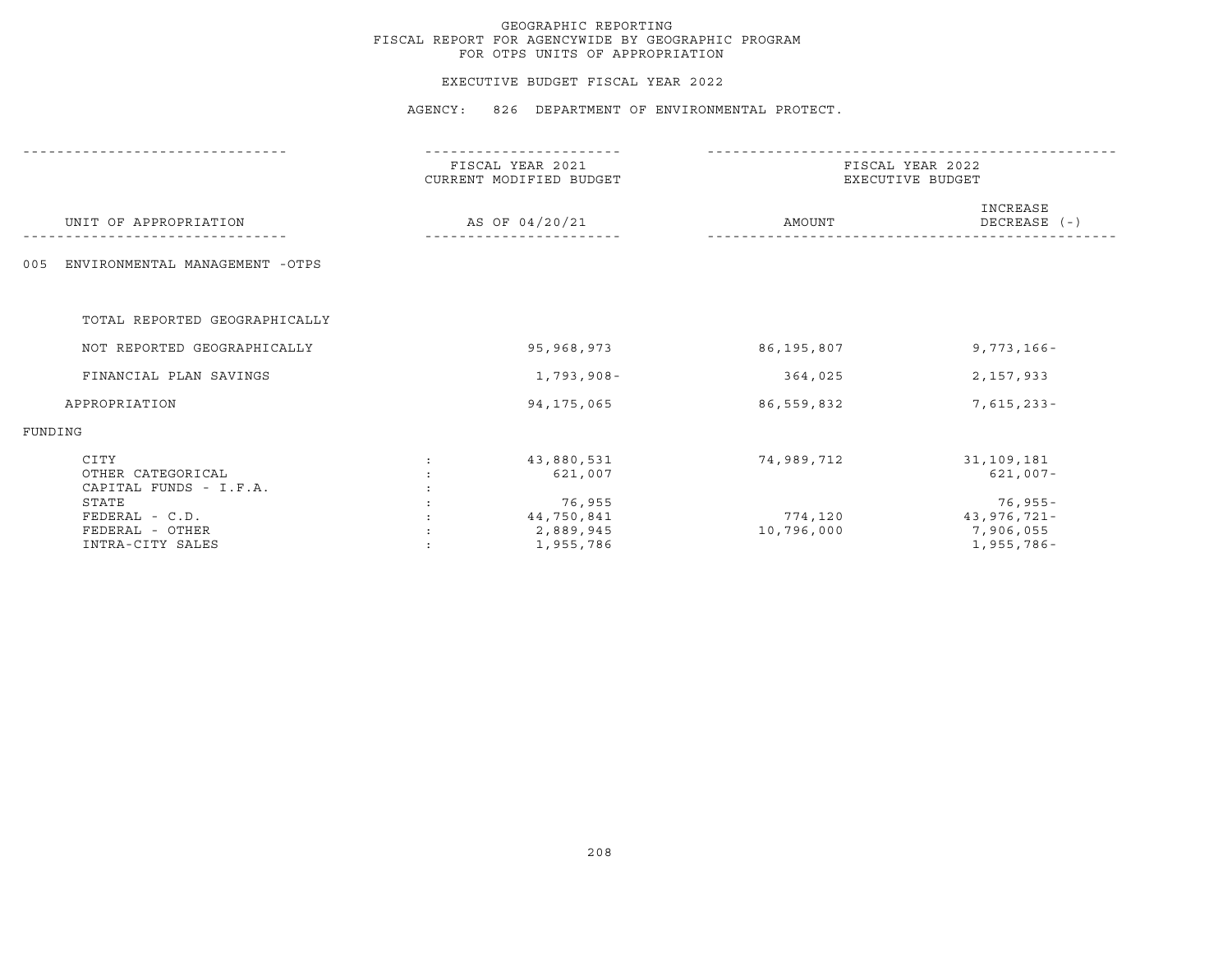## EXECUTIVE BUDGET FISCAL YEAR 2022

|                                                     | FISCAL YEAR 2021<br>CURRENT MODIFIED BUDGET | FISCAL YEAR 2022<br>EXECUTIVE BUDGET |                                     |  |
|-----------------------------------------------------|---------------------------------------------|--------------------------------------|-------------------------------------|--|
| UNIT OF APPROPRIATION                               | AS OF 04/20/21                              | AMOUNT                               | INCREASE<br>DECREASE (-)            |  |
| ENVIRONMENTAL MANAGEMENT -OTPS<br>005               |                                             |                                      |                                     |  |
| TOTAL REPORTED GEOGRAPHICALLY                       |                                             |                                      |                                     |  |
| NOT REPORTED GEOGRAPHICALLY                         | 95,968,973                                  | 86,195,807                           | $9,773,166 -$                       |  |
| FINANCIAL PLAN SAVINGS                              | $1,793,908-$                                | 364,025                              | 2,157,933                           |  |
| APPROPRIATION                                       | 94, 175, 065                                | 86,559,832                           | $7,615,233 -$                       |  |
| FUNDING                                             |                                             |                                      |                                     |  |
| CITY<br>OTHER CATEGORICAL<br>CAPITAL FUNDS - I.F.A. | 43,880,531<br>621,007                       | 74,989,712                           | 31,109,181<br>$621,007 -$           |  |
| STATE<br>FEDERAL - C.D.<br>FEDERAL - OTHER          | 76,955<br>44,750,841<br>2,889,945           | 774,120<br>10,796,000                | 76,955-<br>43,976,721-<br>7,906,055 |  |
| INTRA-CITY SALES                                    | 1,955,786                                   |                                      | 1,955,786-                          |  |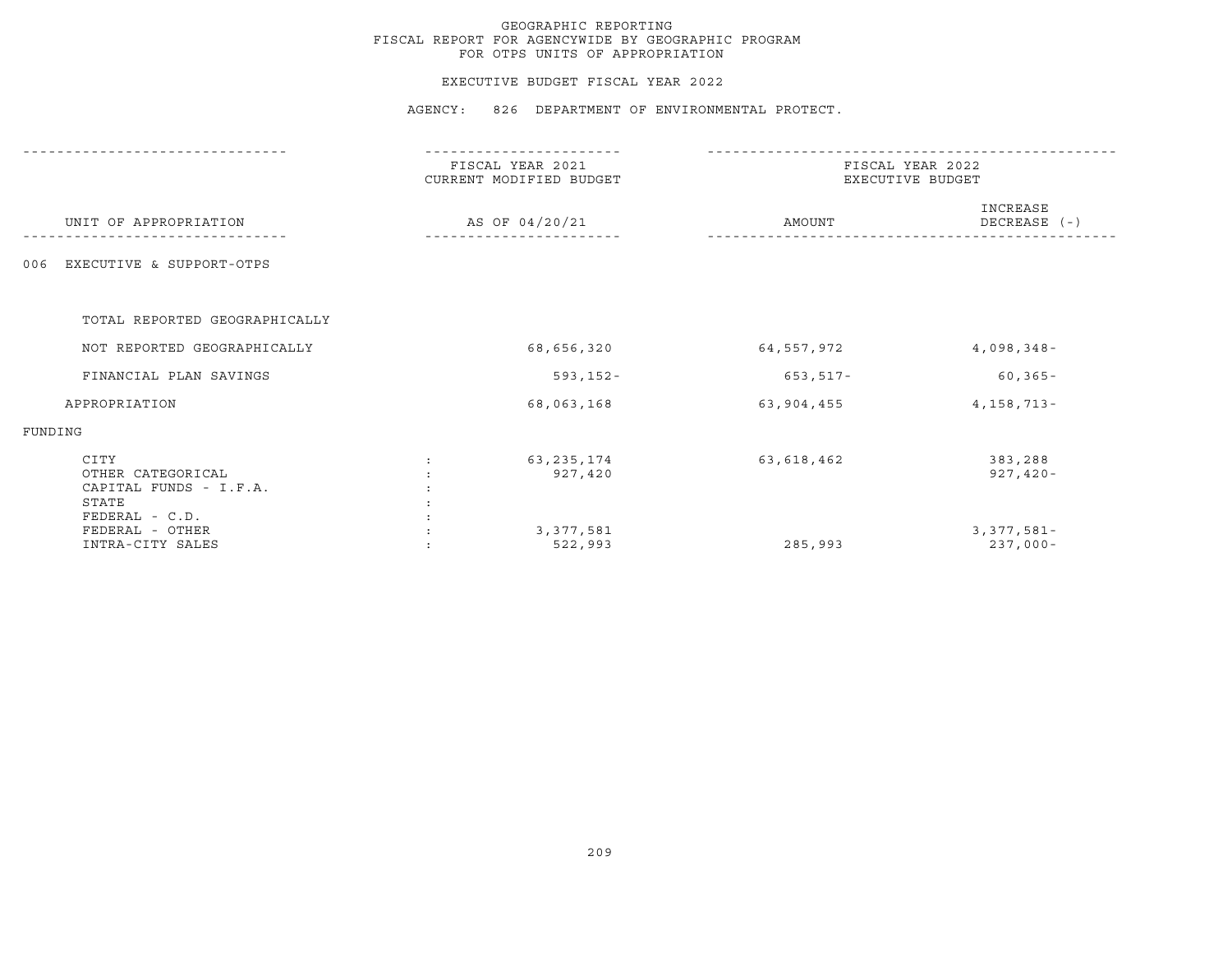## EXECUTIVE BUDGET FISCAL YEAR 2022

|                                                                                | FISCAL YEAR 2021<br>CURRENT MODIFIED BUDGET | FISCAL YEAR 2022<br>EXECUTIVE BUDGET |                              |  |
|--------------------------------------------------------------------------------|---------------------------------------------|--------------------------------------|------------------------------|--|
| UNIT OF APPROPRIATION                                                          | AS OF 04/20/21                              | AMOUNT                               | INCREASE<br>DECREASE (-)     |  |
| EXECUTIVE & SUPPORT-OTPS<br>006                                                |                                             |                                      |                              |  |
| TOTAL REPORTED GEOGRAPHICALLY                                                  |                                             |                                      |                              |  |
| NOT REPORTED GEOGRAPHICALLY                                                    | 68,656,320                                  | 64,557,972                           | $4,098,348-$                 |  |
| FINANCIAL PLAN SAVINGS                                                         | $593, 152 -$                                | $653, 517 -$                         | $60, 365 -$                  |  |
| APPROPRIATION                                                                  | 68,063,168                                  | 63,904,455                           | $4,158,713-$                 |  |
| FUNDING                                                                        |                                             |                                      |                              |  |
| CITY<br>OTHER CATEGORICAL<br>CAPITAL FUNDS - I.F.A.<br>STATE<br>FEDERAL - C.D. | 63, 235, 174<br>927,420                     | 63,618,462                           | 383,288<br>$927,420-$        |  |
| FEDERAL - OTHER<br>INTRA-CITY SALES                                            | 3,377,581<br>522,993                        | 285,993                              | $3,377,581 -$<br>$237,000 -$ |  |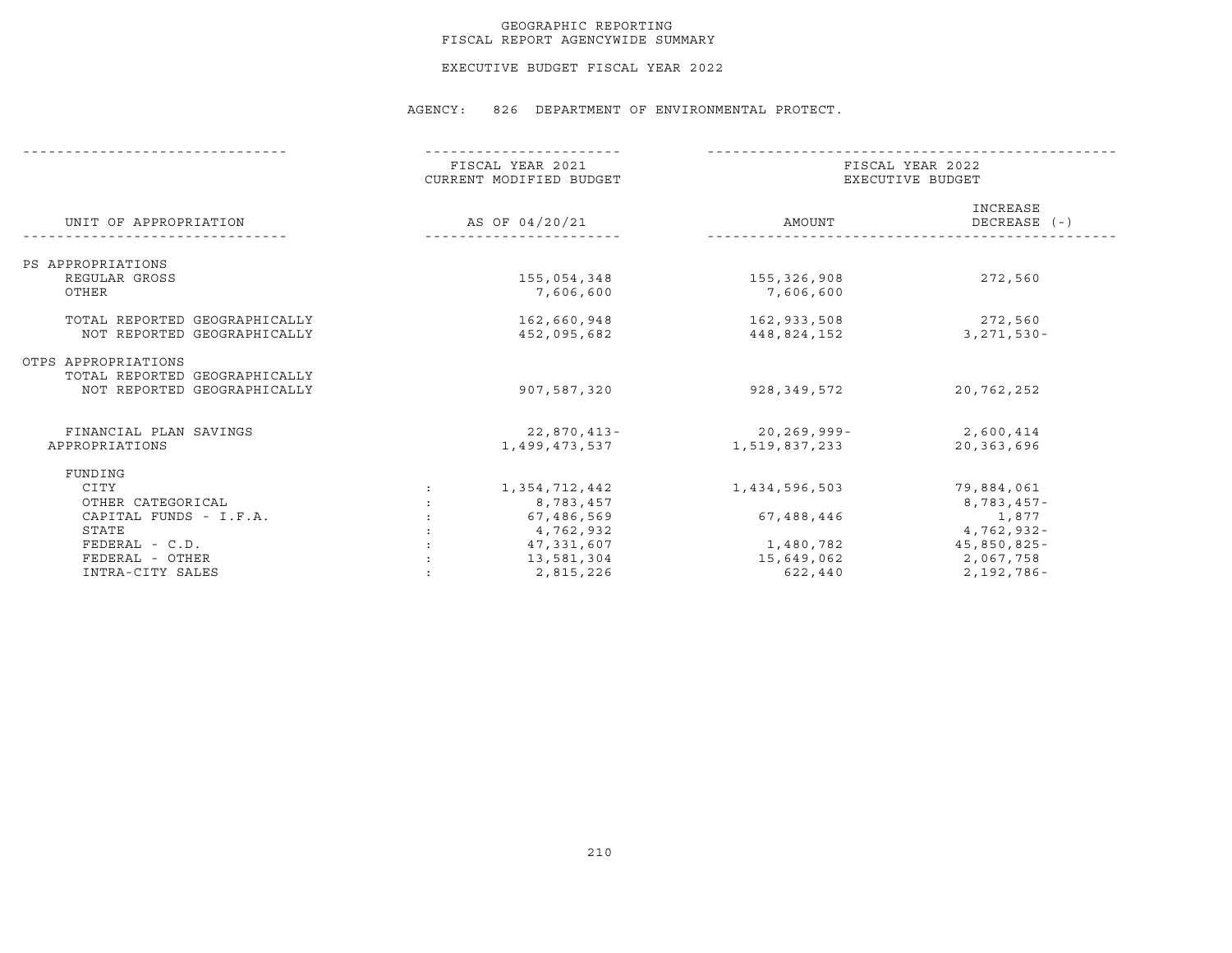## GEOGRAPHIC REPORTING FISCAL REPORT AGENCYWIDE SUMMARY

EXECUTIVE BUDGET FISCAL YEAR 2022

|                               | FISCAL YEAR 2021<br>CURRENT MODIFIED BUDGET<br>AS OF 04/20/21 |               | FISCAL YEAR 2022<br>EXECUTIVE BUDGET |                          |  |
|-------------------------------|---------------------------------------------------------------|---------------|--------------------------------------|--------------------------|--|
| UNIT OF APPROPRIATION         |                                                               |               | AMOUNT                               | INCREASE<br>DECREASE (-) |  |
| PS APPROPRIATIONS             |                                                               |               |                                      |                          |  |
| REGULAR GROSS                 |                                                               | 155,054,348   | 155,326,908                          | 272,560                  |  |
| OTHER                         |                                                               | 7,606,600     | 7,606,600                            |                          |  |
| TOTAL REPORTED GEOGRAPHICALLY |                                                               | 162,660,948   |                                      | 272,560                  |  |
| NOT REPORTED GEOGRAPHICALLY   |                                                               | 452,095,682   | 162,933,508<br>448,824,152           | $3,271,530 -$            |  |
|                               |                                                               |               |                                      |                          |  |
| OTPS APPROPRIATIONS           |                                                               |               |                                      |                          |  |
| TOTAL REPORTED GEOGRAPHICALLY |                                                               |               |                                      |                          |  |
| NOT REPORTED GEOGRAPHICALLY   |                                                               | 907,587,320   | 928,349,572                          | 20,762,252               |  |
| FINANCIAL PLAN SAVINGS        |                                                               | 22,870,413-   | $20, 269, 999 -$                     | 2,600,414                |  |
| APPROPRIATIONS                |                                                               | 1,499,473,537 | 1,519,837,233                        | 20,363,696               |  |
| FUNDING                       |                                                               |               |                                      |                          |  |
| CITY                          | $\ddot{\cdot}$                                                | 1,354,712,442 | 1,434,596,503                        | 79,884,061               |  |
| OTHER CATEGORICAL             |                                                               | 8,783,457     |                                      | 8,783,457-               |  |
| CAPITAL FUNDS - I.F.A.        |                                                               | 67,486,569    | 67,488,446                           | 1,877                    |  |
| STATE                         |                                                               | 4,762,932     |                                      | $4,762,932 -$            |  |
| $FEDERAL - C.D.$              |                                                               | 47,331,607    | 1,480,782                            | 45,850,825-              |  |
| FEDERAL - OTHER               |                                                               | 13,581,304    | 15,649,062                           | 2,067,758                |  |
| INTRA-CITY SALES              |                                                               | 2,815,226     | 622,440                              | 2,192,786-               |  |
|                               |                                                               |               |                                      |                          |  |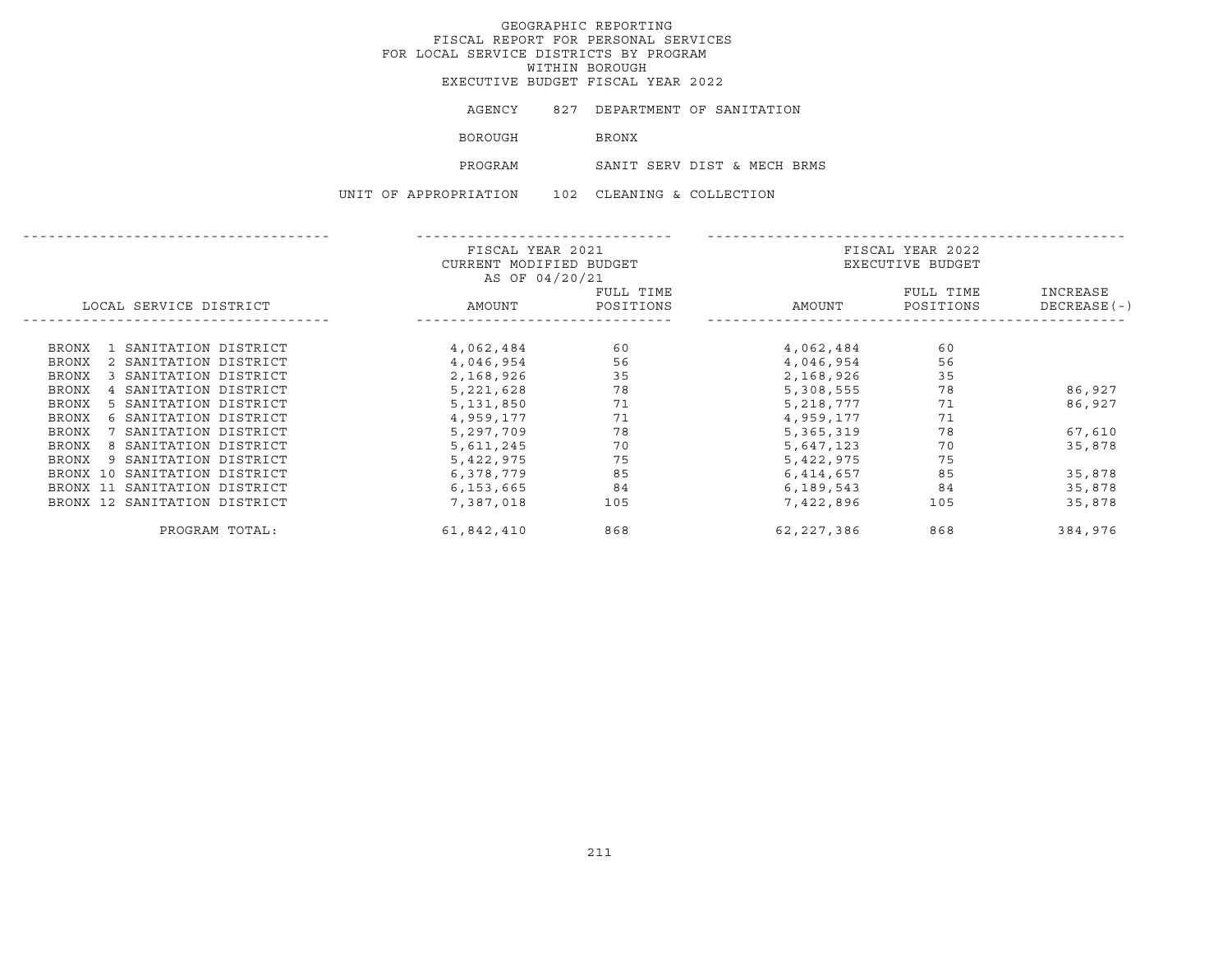EXECUTIVE BUDGET FISCAL YEAR 2022

| AGENCY<br>827 |  | DEPARTMENT OF SANITATION |
|---------------|--|--------------------------|
|---------------|--|--------------------------|

BOROUGH BRONX

PROGRAM SANIT SERV DIST & MECH BRMS

UNIT OF APPROPRIATION 102 CLEANING & COLLECTION

|                                       | FISCAL YEAR 2021<br>CURRENT MODIFIED BUDGET<br>AS OF 04/20/21 |                        | FISCAL YEAR 2022<br>EXECUTIVE BUDGET |                        |                           |
|---------------------------------------|---------------------------------------------------------------|------------------------|--------------------------------------|------------------------|---------------------------|
| LOCAL SERVICE DISTRICT                | AMOUNT                                                        | FULL TIME<br>POSITIONS | AMOUNT                               | FULL TIME<br>POSITIONS | INCREASE<br>$DECREASE(-)$ |
| 1 SANITATION DISTRICT<br>BRONX        | 4,062,484                                                     | 60                     | 4,062,484                            | 60                     |                           |
| 2 SANITATION DISTRICT<br><b>BRONX</b> | 4,046,954                                                     | 56                     | 4,046,954                            | 56                     |                           |
| 3 SANITATION DISTRICT<br>BRONX        | 2,168,926                                                     | 35                     | 2,168,926                            | 35                     |                           |
| 4 SANITATION DISTRICT<br><b>BRONX</b> | 5,221,628                                                     | 78                     | 5,308,555                            | 78                     | 86,927                    |
| 5 SANITATION DISTRICT<br><b>BRONX</b> | 5,131,850                                                     | 71                     | 5,218,777                            | 71                     | 86,927                    |
| 6 SANITATION DISTRICT<br>BRONX        | 4,959,177                                                     | 71                     | 4,959,177                            | 71                     |                           |
| 7 SANITATION DISTRICT<br>BRONX        | 5,297,709                                                     | 78                     | 5,365,319                            | 78                     | 67,610                    |
| BRONX<br>8 SANITATION DISTRICT        | 5,611,245                                                     | 70                     | 5,647,123                            | 70                     | 35,878                    |
| 9 SANITATION DISTRICT<br>BRONX        | 5,422,975                                                     | 75                     | 5,422,975                            | 75                     |                           |
| BRONX 10 SANITATION DISTRICT          | 6,378,779                                                     | 85                     | 6,414,657                            | 85                     | 35,878                    |
| BRONX 11 SANITATION DISTRICT          | 6,153,665                                                     | 84                     | 6,189,543                            | 84                     | 35,878                    |
| BRONX 12 SANITATION DISTRICT          | 7,387,018                                                     | 105                    | 7,422,896                            | 105                    | 35,878                    |
| PROGRAM TOTAL:                        | 61,842,410                                                    | 868                    | 62,227,386                           | 868                    | 384,976                   |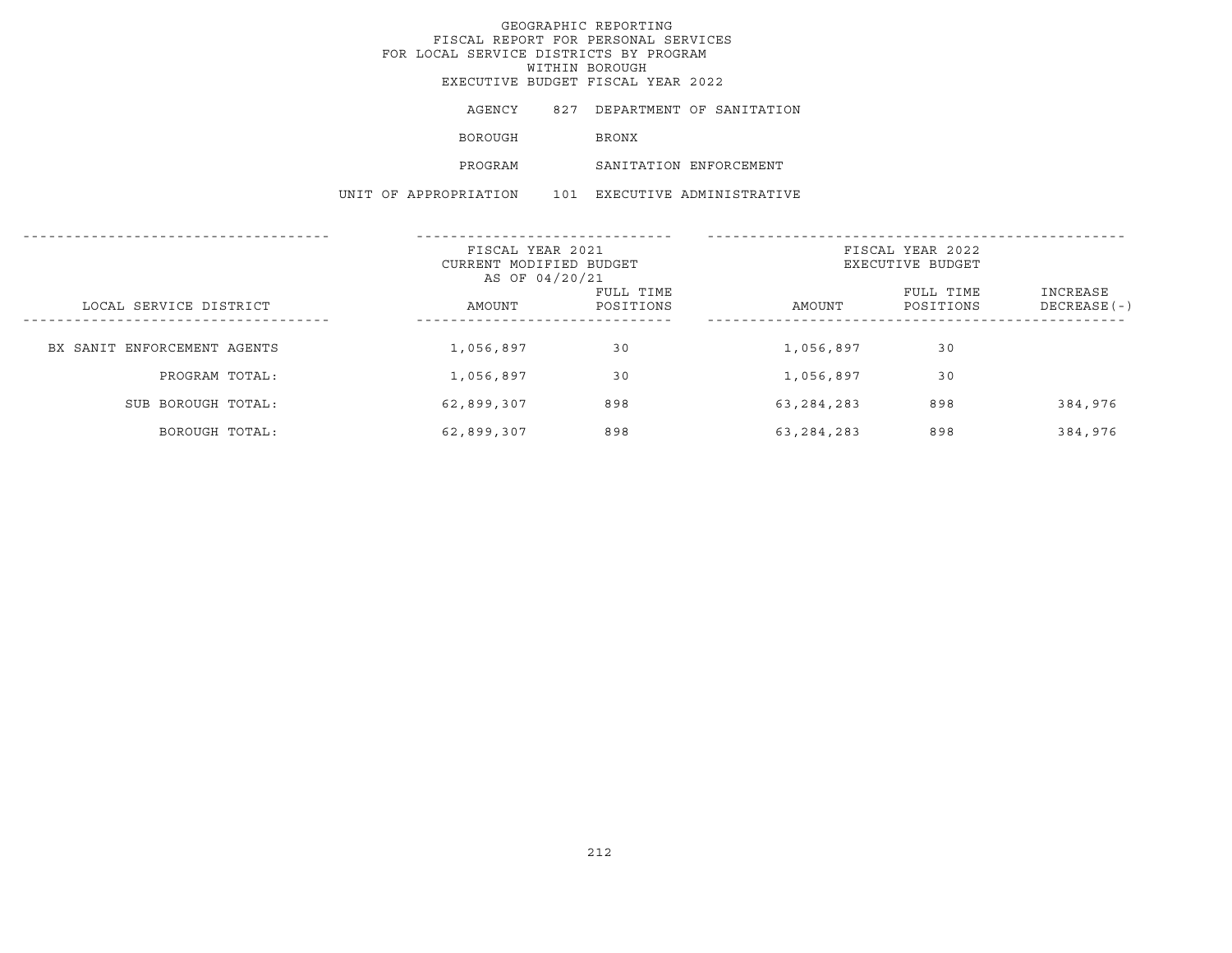AGENCY 827 DEPARTMENT OF SANITATION

**BOROUGH BRONX** 

PROGRAM SANITATION ENFORCEMENT

UNIT OF APPROPRIATION 101 EXECUTIVE ADMINISTRATIVE

|                             | FISCAL YEAR 2021<br>CURRENT MODIFIED BUDGET<br>AS OF 04/20/21 |                        | FISCAL YEAR 2022<br>EXECUTIVE BUDGET |                        |                           |
|-----------------------------|---------------------------------------------------------------|------------------------|--------------------------------------|------------------------|---------------------------|
| LOCAL SERVICE DISTRICT      | AMOUNT                                                        | FULL TIME<br>POSITIONS | AMOUNT                               | FULL TIME<br>POSITIONS | INCREASE<br>$DECREASE(-)$ |
| BX SANIT ENFORCEMENT AGENTS | 1,056,897                                                     | 30                     | 1,056,897                            | 30                     |                           |
| PROGRAM TOTAL:              | 1,056,897                                                     | 30                     | 1,056,897                            | 30                     |                           |
| SUB BOROUGH TOTAL:          | 62,899,307                                                    | 898                    | 63, 284, 283                         | 898                    | 384,976                   |
| BOROUGH TOTAL:              | 62,899,307                                                    | 898                    | 63,284,283                           | 898                    | 384,976                   |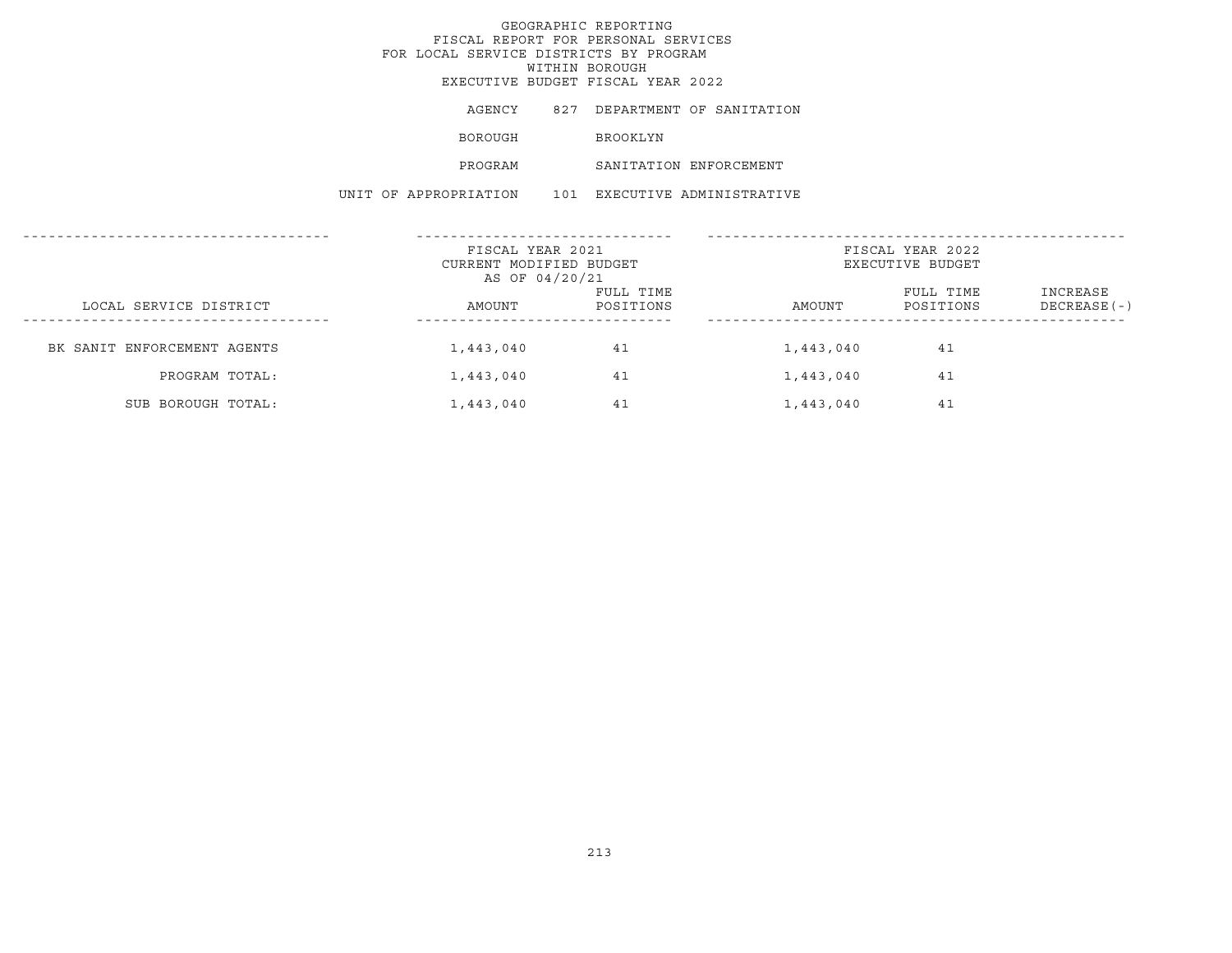# GEOGRAPHIC REPORTING FISCAL REPORT FOR PERSONAL SERVICES FOR LOCAL SERVICE DISTRICTS BY PROGRAM WITHIN BOROUGH EXECUTIVE BUDGET FISCAL YEAR 2022 AGENCY 827 DEPARTMENT OF SANITATION BOROUGH **BROOKLYN**

PROGRAM SANITATION ENFORCEMENT

UNIT OF APPROPRIATION 101 EXECUTIVE ADMINISTRATIVE

|                             | FISCAL YEAR 2021<br>CURRENT MODIFIED BUDGET<br>AS OF 04/20/21 |                        | FISCAL YEAR 2022<br>EXECUTIVE BUDGET |                        |                           |
|-----------------------------|---------------------------------------------------------------|------------------------|--------------------------------------|------------------------|---------------------------|
| LOCAL SERVICE DISTRICT      | AMOUNT                                                        | FULL TIME<br>POSITIONS | AMOUNT                               | FULL TIME<br>POSITIONS | INCREASE<br>$DECREASE(-)$ |
| BK SANIT ENFORCEMENT AGENTS | 1,443,040                                                     | 41                     | 1,443,040                            | 41                     |                           |
| PROGRAM TOTAL:              | 1,443,040                                                     | 41                     | 1,443,040                            | 41                     |                           |
| SUB BOROUGH TOTAL:          | 1,443,040                                                     | 41                     | 1,443,040                            | 41                     |                           |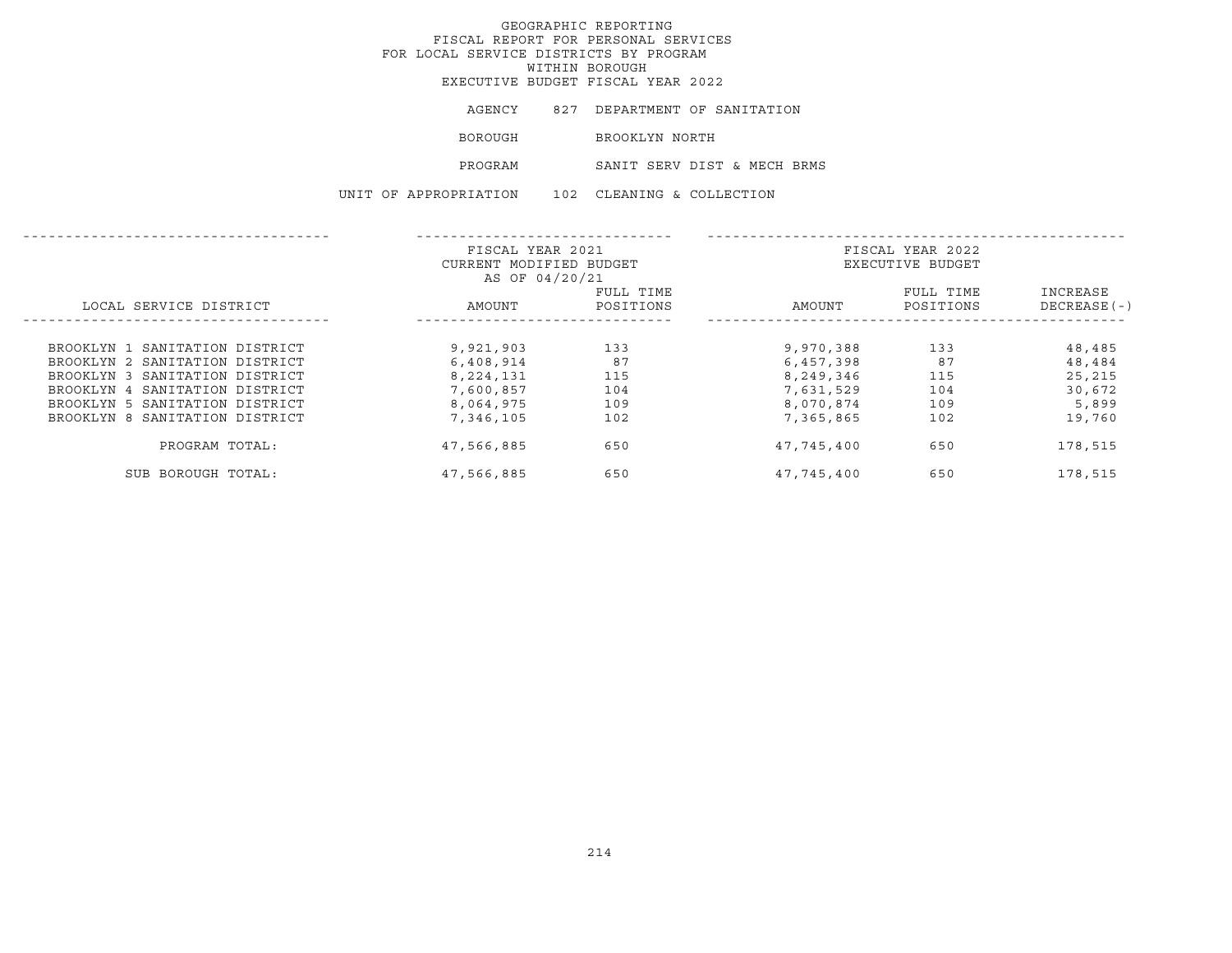| AGENCY                | 827 DEPARTMENT OF SANITATION |
|-----------------------|------------------------------|
| BOROUGH               | BROOKLYN NORTH               |
| PROGRAM               | SANIT SERV DIST & MECH BRMS  |
| UNIT OF APPROPRIATION | 102 CLEANING & COLLECTION    |

|                                | FISCAL YEAR 2021<br>CURRENT MODIFIED BUDGET |           | FISCAL YEAR 2022<br>EXECUTIVE BUDGET |           |              |
|--------------------------------|---------------------------------------------|-----------|--------------------------------------|-----------|--------------|
|                                | AS OF 04/20/21                              |           |                                      |           |              |
|                                |                                             | FULL TIME |                                      | FULL TIME | INCREASE     |
| LOCAL SERVICE DISTRICT         | AMOUNT                                      | POSITIONS | AMOUNT                               | POSITIONS | DECREASE (-) |
|                                |                                             |           |                                      |           |              |
| BROOKLYN 1 SANITATION DISTRICT | 9,921,903                                   | 133       | 9,970,388                            | 133       | 48,485       |
| BROOKLYN 2 SANITATION DISTRICT | 6,408,914                                   | 87        | 6,457,398                            | 87        | 48,484       |
| BROOKLYN 3 SANITATION DISTRICT | 8,224,131                                   | 115       | 8,249,346                            | 115       | 25,215       |
| BROOKLYN 4 SANITATION DISTRICT | 7,600,857                                   | 104       | 7,631,529                            | 104       | 30,672       |
| BROOKLYN 5 SANITATION DISTRICT | 8,064,975                                   | 109       | 8,070,874                            | 109       | 5,899        |
| BROOKLYN 8 SANITATION DISTRICT | 7,346,105                                   | 102       | 7,365,865                            | 102       | 19,760       |
| PROGRAM TOTAL:                 | 47,566,885                                  | 650       | 47,745,400                           | 650       | 178,515      |
| SUB BOROUGH TOTAL:             | 47,566,885                                  | 650       | 47,745,400                           | 650       | 178,515      |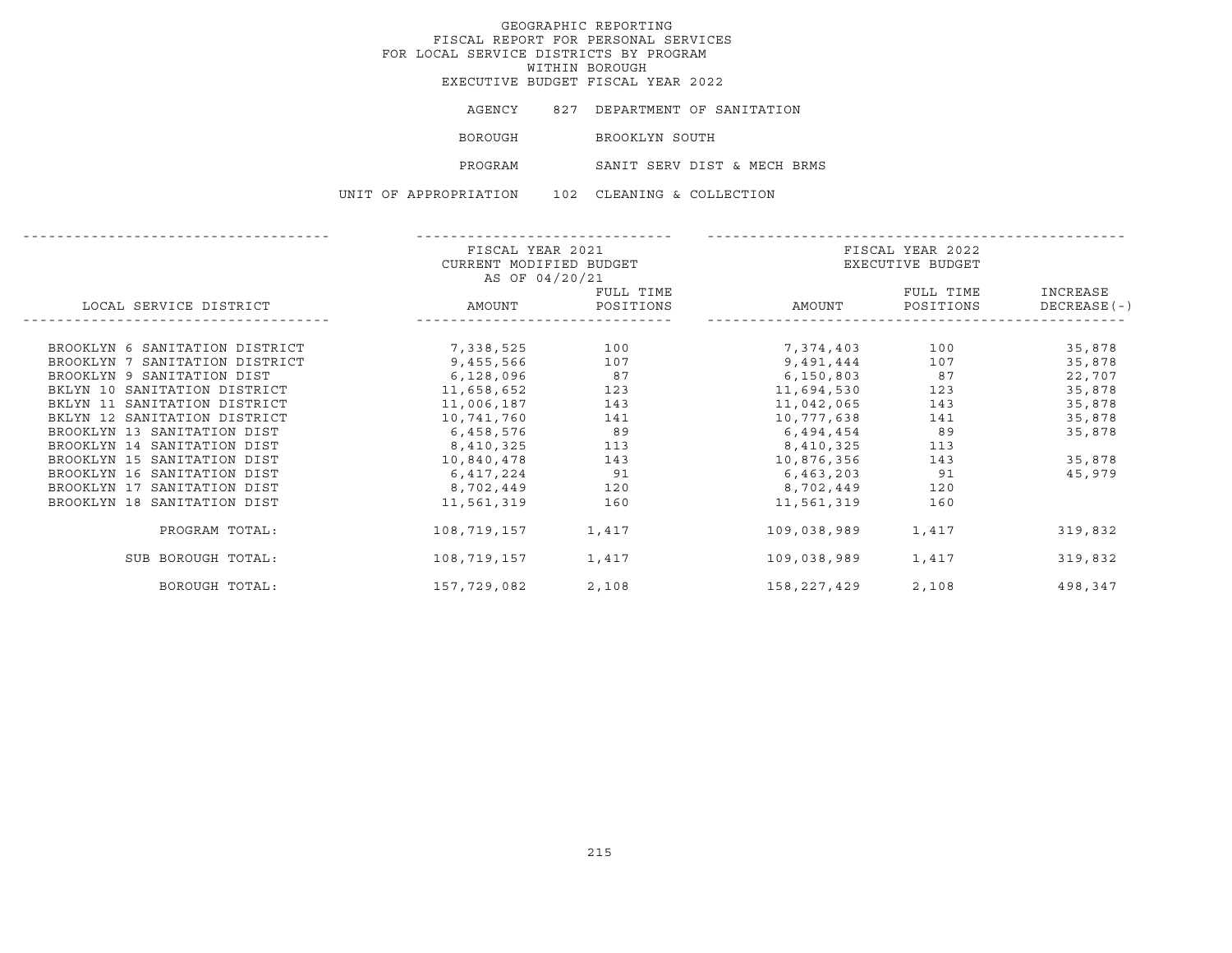|                       | AGENCY 827 DEPARTMENT OF SANITATION |
|-----------------------|-------------------------------------|
| BOROUGH               | BROOKLYN SOUTH                      |
| PROGRAM               | SANIT SERV DIST & MECH BRMS         |
| UNIT OF APPROPRIATION | 102 CLEANING & COLLECTION           |

|                                | FISCAL YEAR 2021        |           |                  | FISCAL YEAR 2022 |              |  |
|--------------------------------|-------------------------|-----------|------------------|------------------|--------------|--|
|                                | CURRENT MODIFIED BUDGET |           | EXECUTIVE BUDGET |                  |              |  |
|                                | AS OF 04/20/21          |           |                  |                  |              |  |
|                                |                         | FULL TIME |                  | FULL TIME        | INCREASE     |  |
| LOCAL SERVICE DISTRICT         | AMOUNT                  | POSITIONS | AMOUNT           | POSITIONS        | DECREASE (-) |  |
|                                |                         |           |                  |                  |              |  |
| BROOKLYN 6 SANITATION DISTRICT | 7,338,525               | 100       | 7,374,403 100    |                  | 35,878       |  |
| BROOKLYN 7 SANITATION DISTRICT | 9,455,566               | 107       | 9,491,444        | 107              | 35,878       |  |
| BROOKLYN 9 SANITATION DIST     | 6,128,096               | 87        | 6,150,803        | 87               | 22,707       |  |
| BKLYN 10 SANITATION DISTRICT   | 11,658,652              | 123       | 11,694,530       | 123              | 35,878       |  |
| BKLYN 11 SANITATION DISTRICT   | 11,006,187              | 143       | 11,042,065       | 143              | 35,878       |  |
| BKLYN 12 SANITATION DISTRICT   | 10,741,760              | 141       | 10,777,638       | 141              | 35,878       |  |
| BROOKLYN 13 SANITATION DIST    | 6,458,576               | 89        | 6,494,454        | 89               | 35,878       |  |
| BROOKLYN 14 SANITATION DIST    | 8,410,325               | 113       | 8,410,325        | 113              |              |  |
| BROOKLYN 15 SANITATION DIST    | 10,840,478              | 143       | 10,876,356       | 143              | 35,878       |  |
| BROOKLYN 16 SANITATION DIST    | 6,417,224               | 91        | 6,463,203        | 91               | 45,979       |  |
| BROOKLYN 17 SANITATION DIST    | 8,702,449               | 120       | 8,702,449        | 120              |              |  |
| BROOKLYN 18 SANITATION DIST    | 11,561,319              | 160       | 11,561,319       | 160              |              |  |
| PROGRAM TOTAL:                 | 108,719,157             | 1,417     | 109,038,989      | 1,417            | 319,832      |  |
| SUB BOROUGH TOTAL:             | 108,719,157             | 1,417     | 109,038,989      | 1,417            | 319,832      |  |
| BOROUGH TOTAL:                 | 157,729,082             | 2,108     | 158,227,429      | 2,108            | 498,347      |  |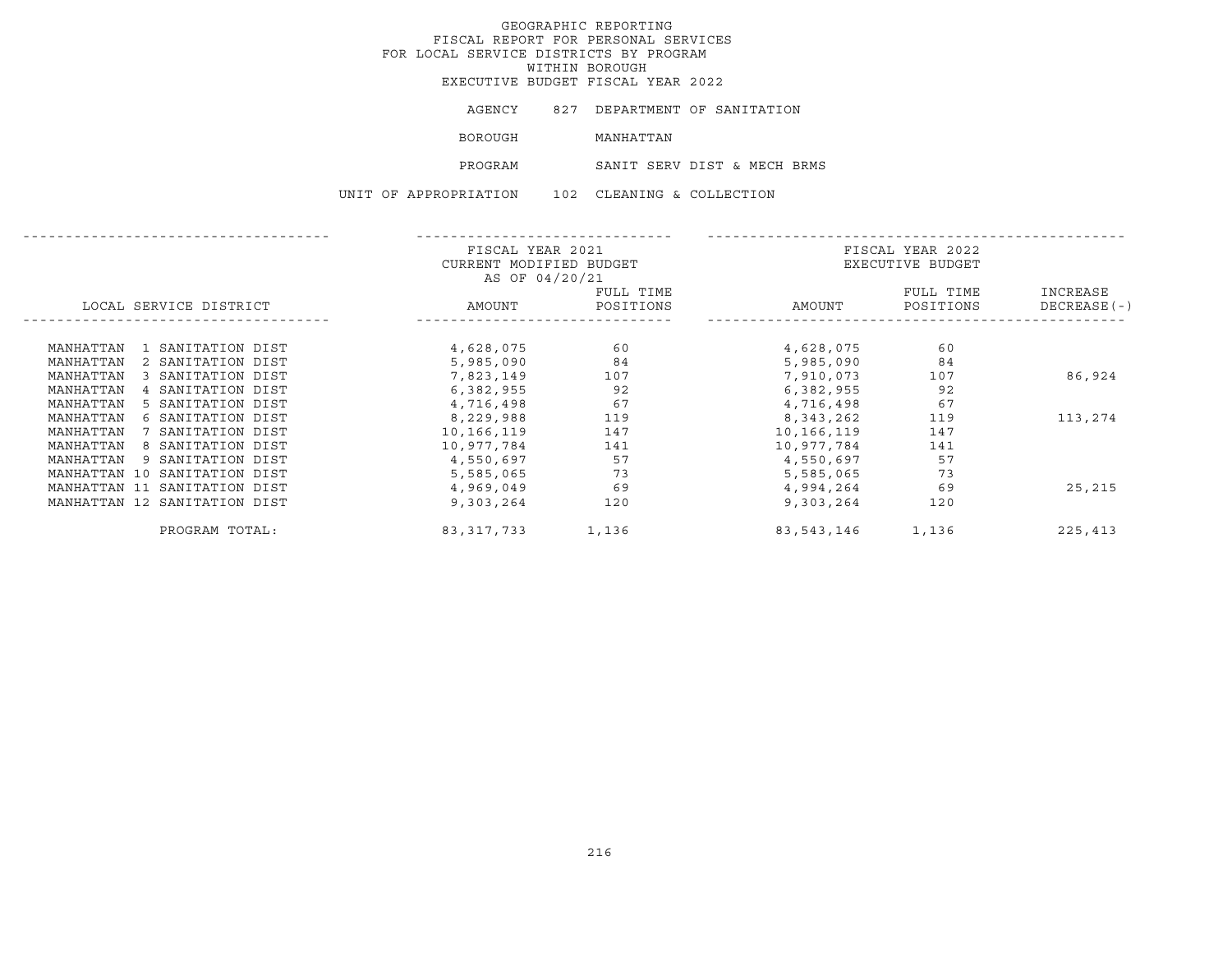# GEOGRAPHIC REPORTING FISCAL REPORT FOR PERSONAL SERVICES FOR LOCAL SERVICE DISTRICTS BY PROGRAM WITHIN BOROUGH

EXECUTIVE BUDGET FISCAL YEAR 2022

BOROUGH MANHATTAN

PROGRAM SANIT SERV DIST & MECH BRMS

UNIT OF APPROPRIATION 102 CLEANING & COLLECTION

|                                | FISCAL YEAR 2021<br>CURRENT MODIFIED BUDGET<br>AS OF 04/20/21 |                        | FISCAL YEAR 2022<br>EXECUTIVE BUDGET |                        |                           |
|--------------------------------|---------------------------------------------------------------|------------------------|--------------------------------------|------------------------|---------------------------|
| LOCAL SERVICE DISTRICT         | AMOUNT                                                        | FULL TIME<br>POSITIONS | AMOUNT                               | FULL TIME<br>POSITIONS | INCREASE<br>$DECREASE(-)$ |
| MANHATTAN<br>1 SANITATION DIST | 4,628,075                                                     | 60                     | 4,628,075                            | 60                     |                           |
| 2 SANITATION DIST<br>MANHATTAN | 5,985,090                                                     | 84                     | 5,985,090                            | 84                     |                           |
| 3 SANITATION DIST<br>MANHATTAN | 7,823,149                                                     | 107                    | 7,910,073                            | 107                    | 86,924                    |
| 4 SANITATION DIST<br>MANHATTAN | 6,382,955                                                     | 92                     | 6,382,955                            | 92                     |                           |
| MANHATTAN<br>5 SANITATION DIST | 4,716,498                                                     | 67                     | 4,716,498                            | 67                     |                           |
| 6 SANITATION DIST<br>MANHATTAN | 8,229,988                                                     | 119                    | 8,343,262                            | 119                    | 113,274                   |
| 7 SANITATION DIST<br>MANHATTAN | 10,166,119                                                    | 147                    | 10,166,119                           | 147                    |                           |
| 8 SANITATION DIST<br>MANHATTAN | 10,977,784                                                    | 141                    | 10,977,784                           | 141                    |                           |
| MANHATTAN<br>9 SANITATION DIST | 4,550,697                                                     | 57                     | 4,550,697                            | 57                     |                           |
| MANHATTAN 10 SANITATION DIST   | 5,585,065                                                     | 73                     | 5,585,065                            | 73                     |                           |
| MANHATTAN 11 SANITATION DIST   | 4,969,049                                                     | 69                     | 4,994,264                            | 69                     | 25,215                    |
| MANHATTAN 12 SANITATION DIST   | 9,303,264                                                     | 120                    | 9,303,264                            | 120                    |                           |
| PROGRAM TOTAL:                 | 83, 317, 733                                                  | 1,136                  | 83,543,146                           | 1,136                  | 225,413                   |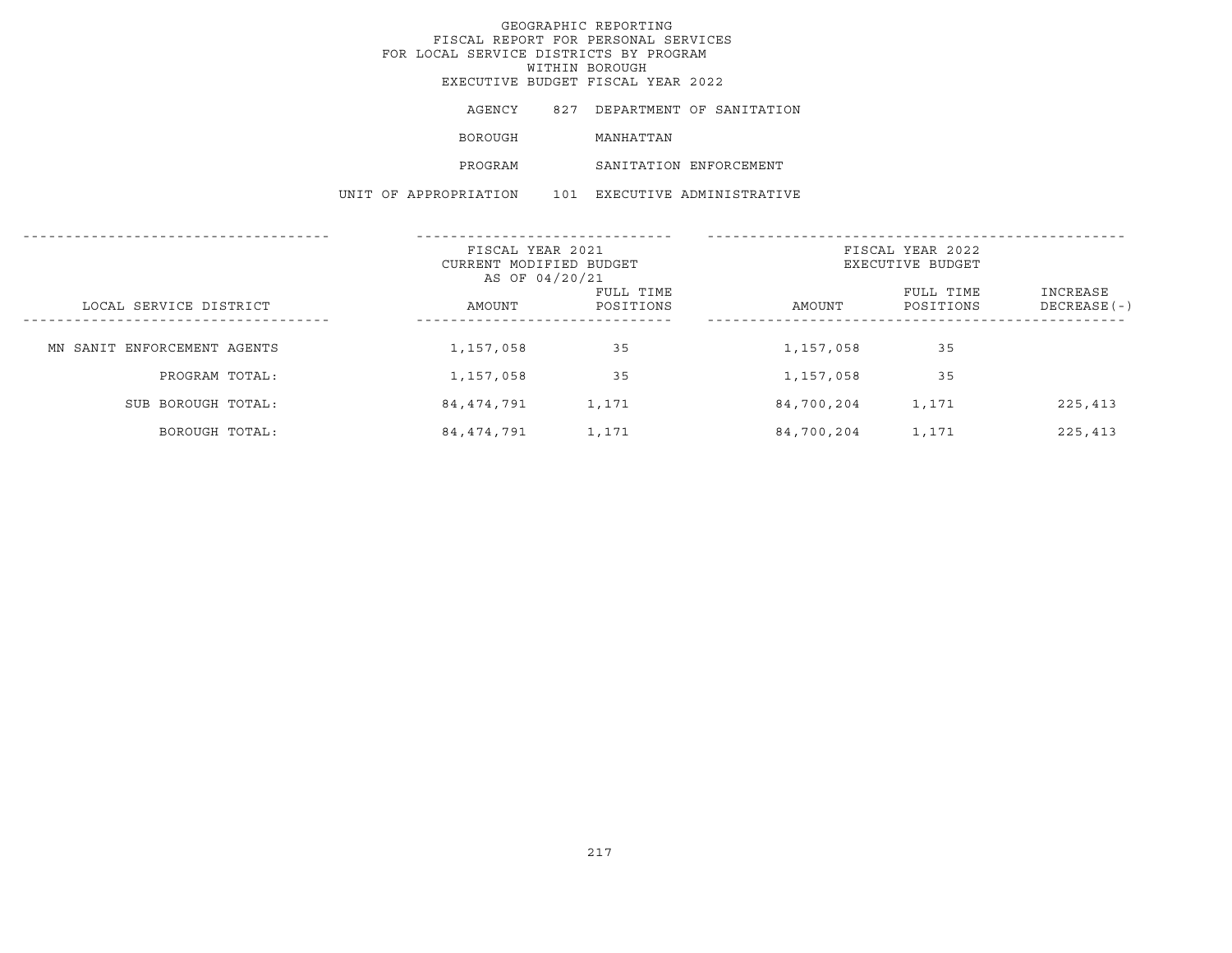AGENCY 827 DEPARTMENT OF SANITATION BOROUGH MANHATTAN PROGRAM SANITATION ENFORCEMENT UNIT OF APPROPRIATION 101 EXECUTIVE ADMINISTRATIVE

|                             | FISCAL YEAR 2021<br>CURRENT MODIFIED BUDGET<br>AS OF 04/20/21 |                        | FISCAL YEAR 2022<br>EXECUTIVE BUDGET |                        |                          |
|-----------------------------|---------------------------------------------------------------|------------------------|--------------------------------------|------------------------|--------------------------|
| LOCAL SERVICE DISTRICT      | AMOUNT                                                        | FULL TIME<br>POSITIONS | AMOUNT                               | FULL TIME<br>POSITIONS | INCREASE<br>DECREASE (-) |
| MN SANIT ENFORCEMENT AGENTS | 1,157,058                                                     | 35                     | 1,157,058                            | 35                     |                          |
| PROGRAM TOTAL:              | 1,157,058                                                     | 35                     | 1,157,058                            | 35                     |                          |
| SUB BOROUGH TOTAL:          | 84,474,791                                                    | 1,171                  | 84,700,204                           | 1,171                  | 225,413                  |
| BOROUGH TOTAL:              | 84,474,791                                                    | 1,171                  | 84,700,204                           | 1,171                  | 225,413                  |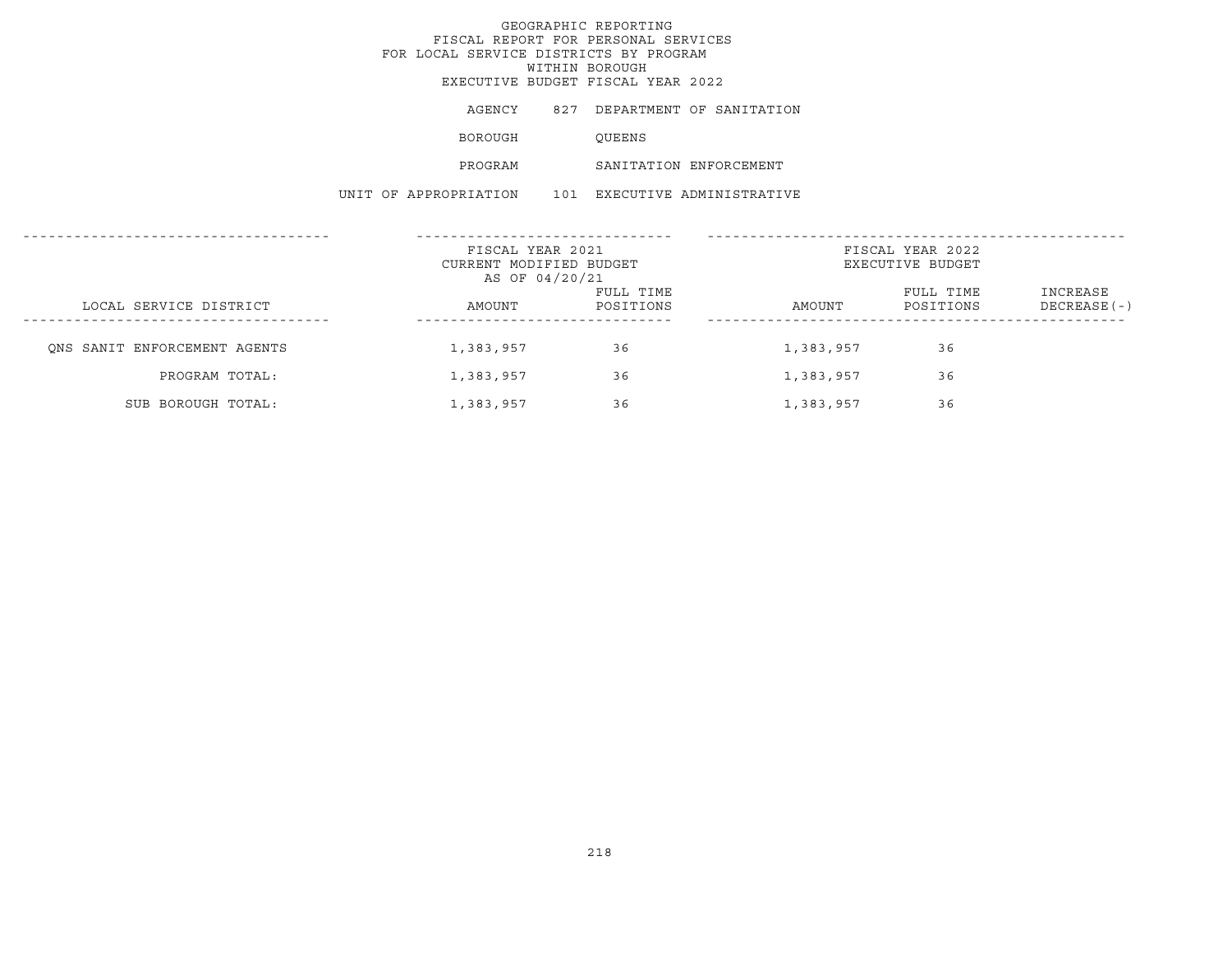AGENCY 827 DEPARTMENT OF SANITATION

BOROUGH QUEENS

PROGRAM SANITATION ENFORCEMENT

UNIT OF APPROPRIATION 101 EXECUTIVE ADMINISTRATIVE

|                              | FISCAL YEAR 2021<br>CURRENT MODIFIED BUDGET<br>AS OF 04/20/21 |                        | FISCAL YEAR 2022<br>EXECUTIVE BUDGET |                        |                           |  |
|------------------------------|---------------------------------------------------------------|------------------------|--------------------------------------|------------------------|---------------------------|--|
| LOCAL SERVICE DISTRICT       | AMOUNT                                                        | FULL TIME<br>POSITIONS | AMOUNT                               | FULL TIME<br>POSITIONS | INCREASE<br>$DECREASE(-)$ |  |
| ONS SANIT ENFORCEMENT AGENTS | 1,383,957                                                     | 36                     | 1,383,957                            | 36                     |                           |  |
| PROGRAM TOTAL:               | 1,383,957                                                     | 36                     | 1,383,957                            | 36                     |                           |  |
| SUB BOROUGH TOTAL:           | 1,383,957                                                     | 36                     | 1,383,957                            | 36                     |                           |  |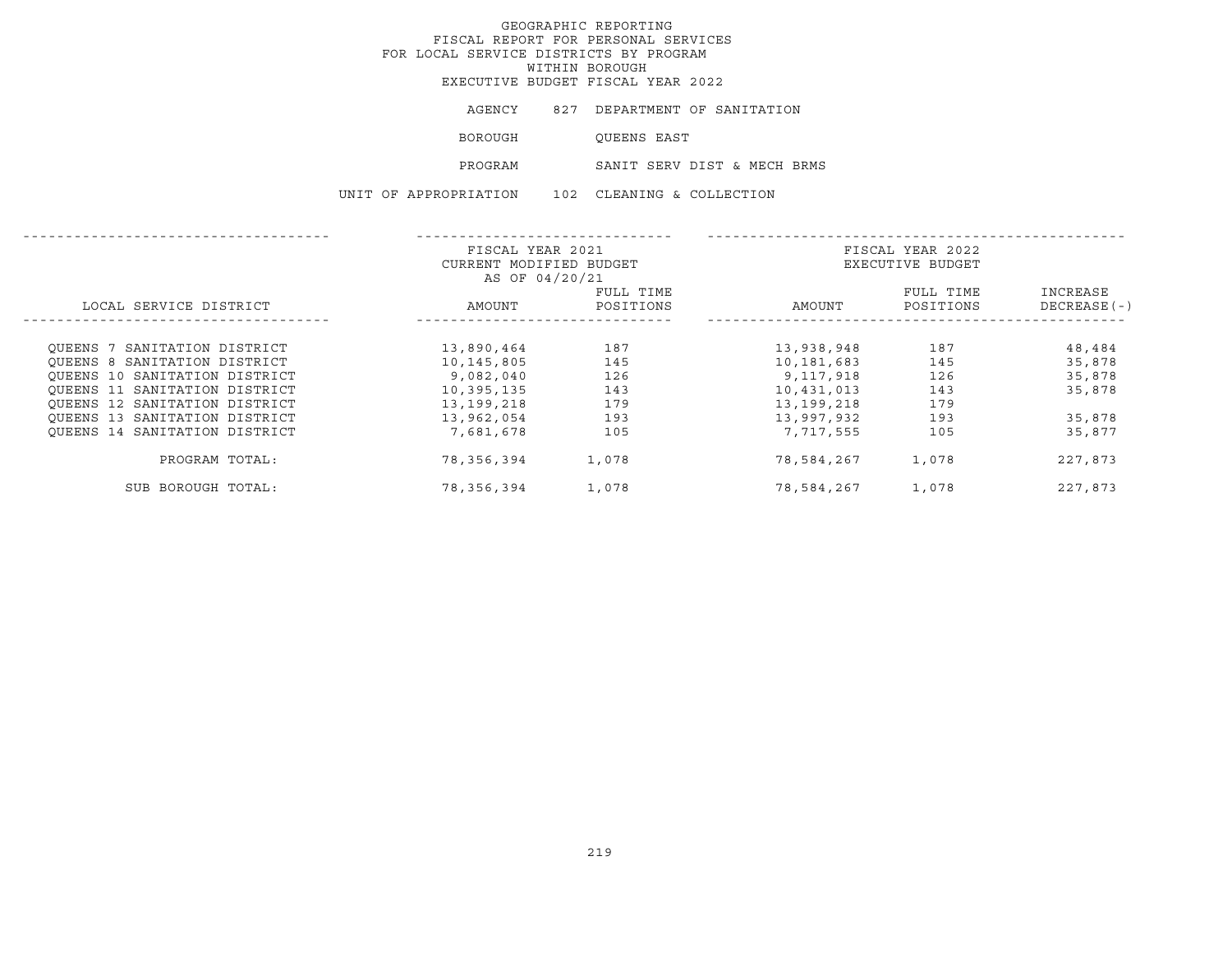AGENCY 827 DEPARTMENT OF SANITATION BOROUGH QUEENS EAST PROGRAM SANIT SERV DIST & MECH BRMS UNIT OF APPROPRIATION 102 CLEANING & COLLECTION

|                               | FISCAL YEAR 2021<br>CURRENT MODIFIED BUDGET |                        |            | FISCAL YEAR 2022<br>EXECUTIVE BUDGET |                          |
|-------------------------------|---------------------------------------------|------------------------|------------|--------------------------------------|--------------------------|
| LOCAL SERVICE DISTRICT        | AS OF 04/20/21<br>AMOUNT                    | FULL TIME<br>POSITIONS | AMOUNT     | FULL TIME<br>POSITIONS               | INCREASE<br>DECREASE (-) |
| OUEENS 7 SANITATION DISTRICT  | 13,890,464                                  | 187                    | 13,938,948 | 187                                  | 48,484                   |
| OUEENS 8 SANITATION DISTRICT  | 10,145,805                                  | 145                    | 10,181,683 | 145                                  | 35,878                   |
| OUEENS 10 SANITATION DISTRICT | 9,082,040                                   | 126                    | 9,117,918  | 126                                  | 35,878                   |
| OUEENS 11 SANITATION DISTRICT | 10,395,135                                  | 143                    | 10,431,013 | 143                                  | 35,878                   |
| OUEENS 12 SANITATION DISTRICT | 13,199,218                                  | 179                    | 13,199,218 | 179                                  |                          |
| OUEENS 13 SANITATION DISTRICT | 13,962,054                                  | 193                    | 13,997,932 | 193                                  | 35,878                   |
| OUEENS 14 SANITATION DISTRICT | 7,681,678                                   | 105                    | 7,717,555  | 105                                  | 35,877                   |
| PROGRAM TOTAL:                | 78,356,394                                  | 1,078                  | 78,584,267 | 1,078                                | 227,873                  |
| SUB BOROUGH TOTAL:            | 78,356,394                                  | 1,078                  | 78,584,267 | 1,078                                | 227,873                  |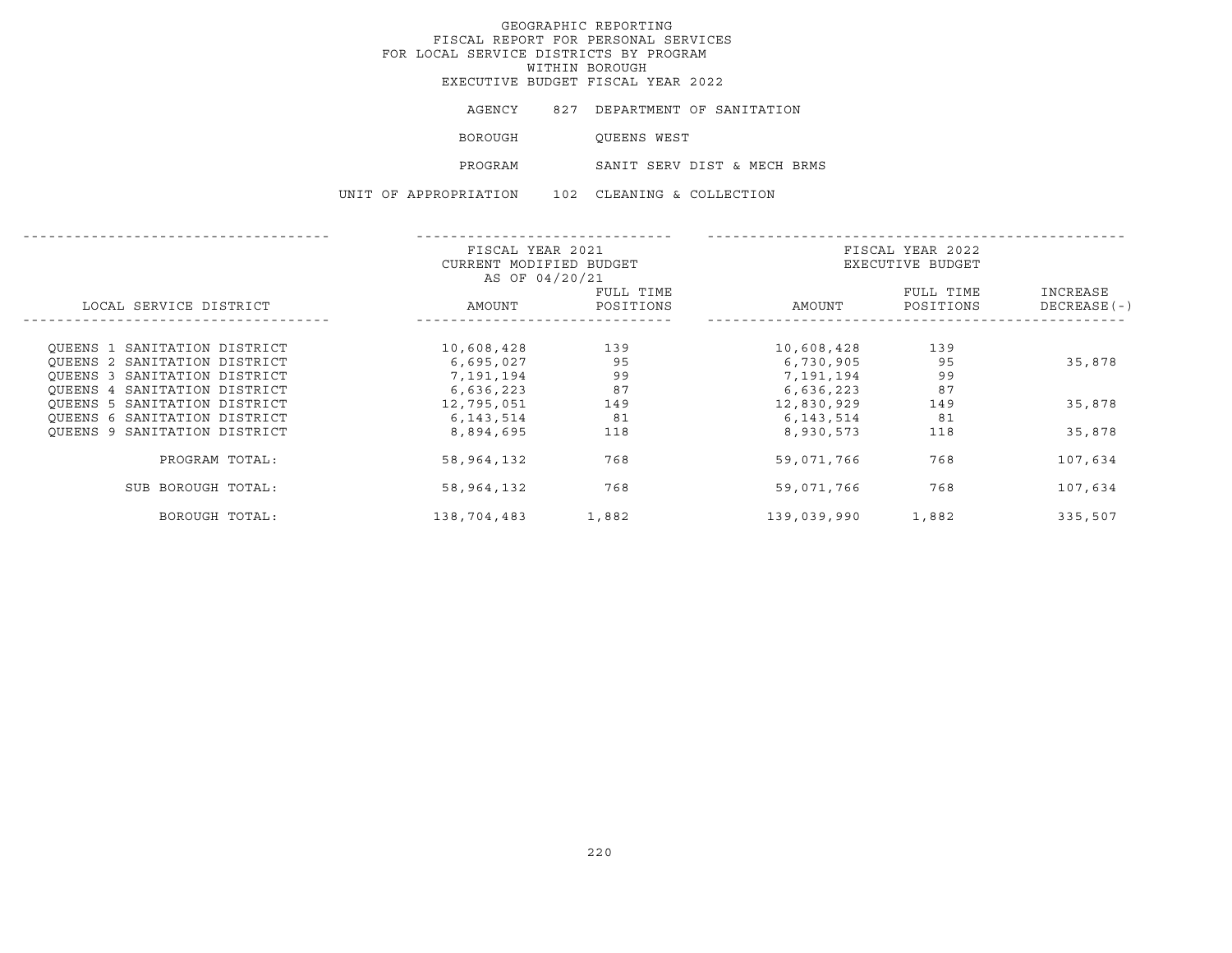|  | AGENCY                | 827 DEPARTMENT OF SANITATION |
|--|-----------------------|------------------------------|
|  | BOROUGH               | OUEENS WEST                  |
|  | PROGRAM               | SANIT SERV DIST & MECH BRMS  |
|  | UNIT OF APPROPRIATION | 102 CLEANING & COLLECTION    |

|                              | FISCAL YEAR 2021        |           | FISCAL YEAR 2022 |                  |              |  |
|------------------------------|-------------------------|-----------|------------------|------------------|--------------|--|
|                              | CURRENT MODIFIED BUDGET |           |                  | EXECUTIVE BUDGET |              |  |
|                              | AS OF 04/20/21          |           |                  |                  |              |  |
|                              |                         | FULL TIME |                  | FULL TIME        | INCREASE     |  |
| LOCAL SERVICE DISTRICT       | AMOUNT                  | POSITIONS | AMOUNT           | POSITIONS        | DECREASE (-) |  |
|                              |                         |           |                  |                  |              |  |
| OUEENS 1 SANITATION DISTRICT | 10,608,428              | 139       | 10,608,428       | 139              |              |  |
| OUEENS 2 SANITATION DISTRICT | 6,695,027               | 95        | 6,730,905        | 95               | 35,878       |  |
| OUEENS 3 SANITATION DISTRICT | 7,191,194               | 99        | 7,191,194        | 99               |              |  |
| OUEENS 4 SANITATION DISTRICT | 6,636,223               | 87        | 6,636,223        | 87               |              |  |
| OUEENS 5 SANITATION DISTRICT | 12,795,051              | 149       | 12,830,929       | 149              | 35,878       |  |
| OUEENS 6 SANITATION DISTRICT | 6, 143, 514             | 81        | 6, 143, 514      | 81               |              |  |
| OUEENS 9 SANITATION DISTRICT | 8,894,695               | 118       | 8,930,573        | 118              | 35,878       |  |
| PROGRAM TOTAL:               | 58,964,132              | 768       | 59,071,766       | 768              | 107,634      |  |
| SUB BOROUGH TOTAL:           | 58,964,132              | 768       | 59,071,766       | 768              | 107,634      |  |
| BOROUGH TOTAL:               | 138,704,483             | 1,882     | 139,039,990      | 1,882            | 335,507      |  |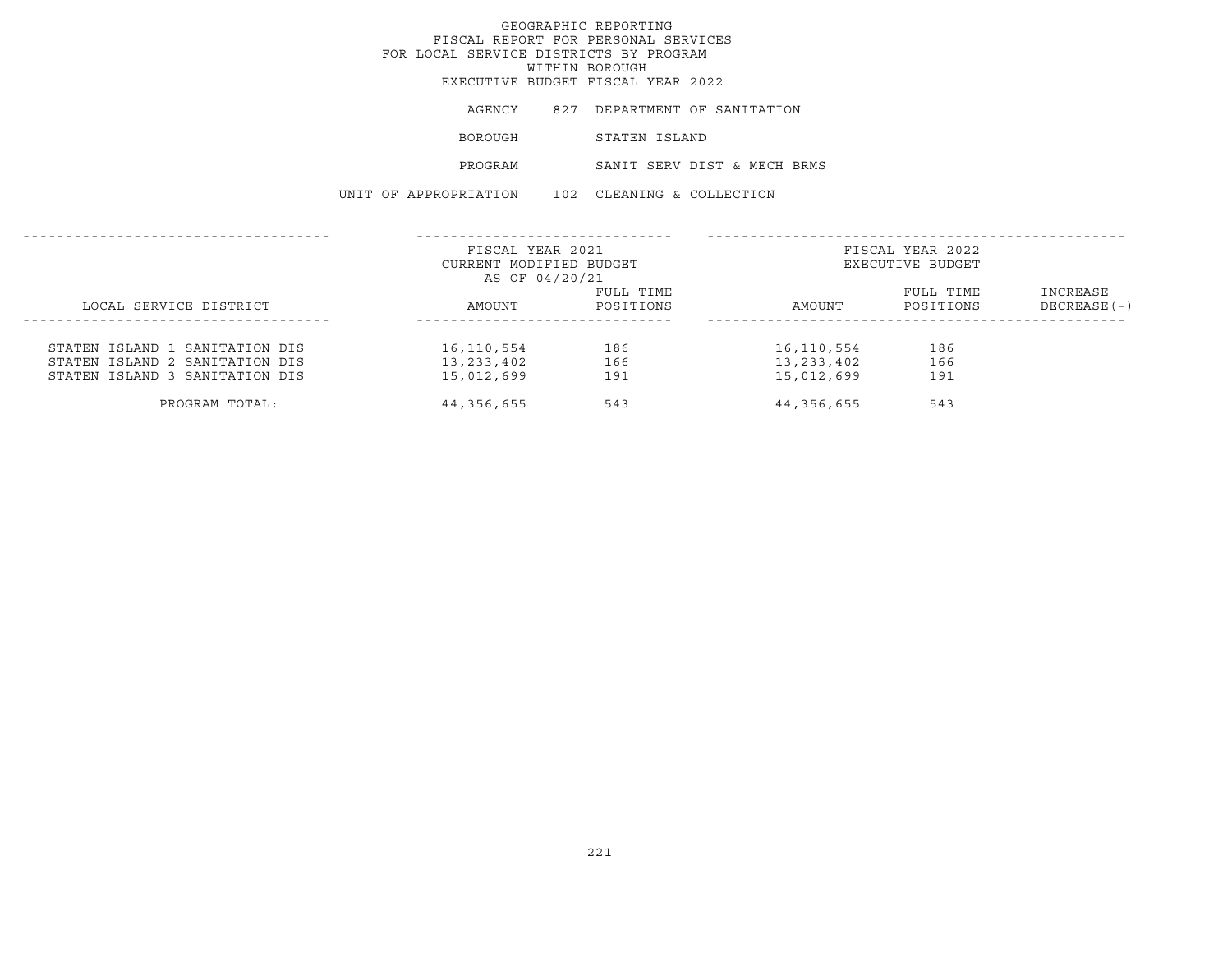AGENCY 827 DEPARTMENT OF SANITATION BOROUGH STATEN ISLAND PROGRAM SANIT SERV DIST & MECH BRMS UNIT OF APPROPRIATION 102 CLEANING & COLLECTION

|                                                                  | FISCAL YEAR 2021<br>CURRENT MODIFIED BUDGET<br>AS OF 04/20/21 |                        |                          | FISCAL YEAR 2022<br>EXECUTIVE BUDGET |                           |
|------------------------------------------------------------------|---------------------------------------------------------------|------------------------|--------------------------|--------------------------------------|---------------------------|
| LOCAL SERVICE DISTRICT                                           | AMOUNT                                                        | FULL TIME<br>POSITIONS | AMOUNT                   | FULL TIME<br>POSITIONS               | INCREASE<br>$DECREASE(-)$ |
| STATEN ISLAND 1 SANITATION DIS                                   | 16,110,554                                                    | 186                    | 16,110,554               | 186                                  |                           |
| STATEN ISLAND 2 SANITATION DIS<br>STATEN ISLAND 3 SANITATION DIS | 13,233,402<br>15,012,699                                      | 166<br>191             | 13,233,402<br>15,012,699 | 166<br>191                           |                           |
| PROGRAM TOTAL:                                                   | 44,356,655                                                    | 543                    | 44,356,655               | 543                                  |                           |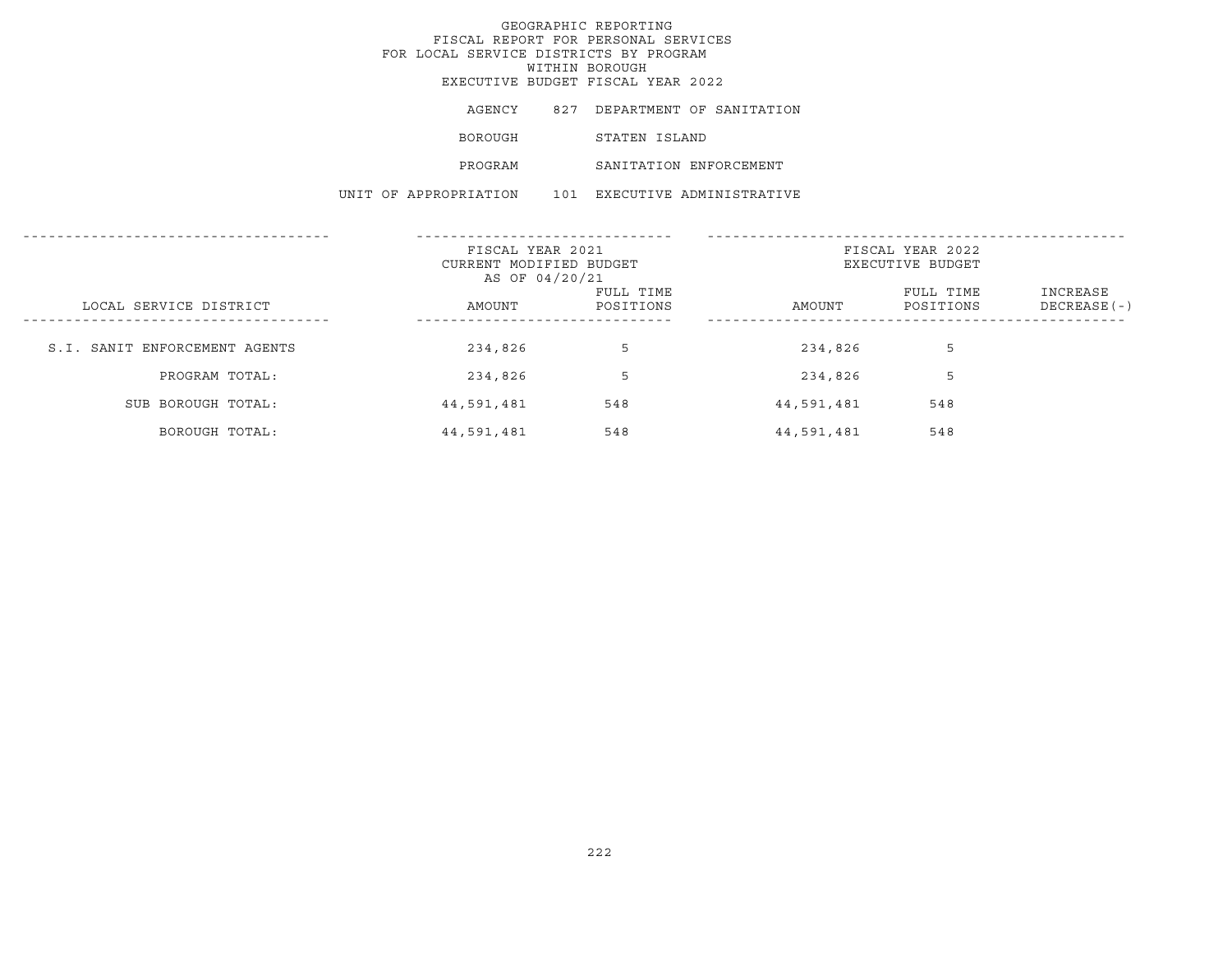AGENCY 827 DEPARTMENT OF SANITATION BOROUGH STATEN ISLAND PROGRAM SANITATION ENFORCEMENT UNIT OF APPROPRIATION 101 EXECUTIVE ADMINISTRATIVE

|                               | FISCAL YEAR 2021        |           |            | FISCAL YEAR 2022 |               |
|-------------------------------|-------------------------|-----------|------------|------------------|---------------|
|                               | CURRENT MODIFIED BUDGET |           |            | EXECUTIVE BUDGET |               |
|                               | AS OF 04/20/21          |           |            |                  |               |
|                               |                         | FULL TIME |            | FULL TIME        | INCREASE      |
| LOCAL SERVICE DISTRICT        | AMOUNT                  | POSITIONS | AMOUNT     | POSITIONS        | $DECREASE(-)$ |
|                               |                         |           |            |                  |               |
|                               |                         |           |            |                  |               |
| S.I. SANIT ENFORCEMENT AGENTS | 234,826                 | 5         | 234,826    | 5                |               |
|                               |                         |           |            |                  |               |
| PROGRAM TOTAL:                | 234,826                 | 5         | 234,826    |                  |               |
|                               |                         |           |            |                  |               |
| SUB BOROUGH TOTAL:            | 44,591,481              | 548       | 44,591,481 | 548              |               |
|                               |                         |           |            |                  |               |
| BOROUGH TOTAL:                | 44,591,481              | 548       | 44,591,481 | 548              |               |
|                               |                         |           |            |                  |               |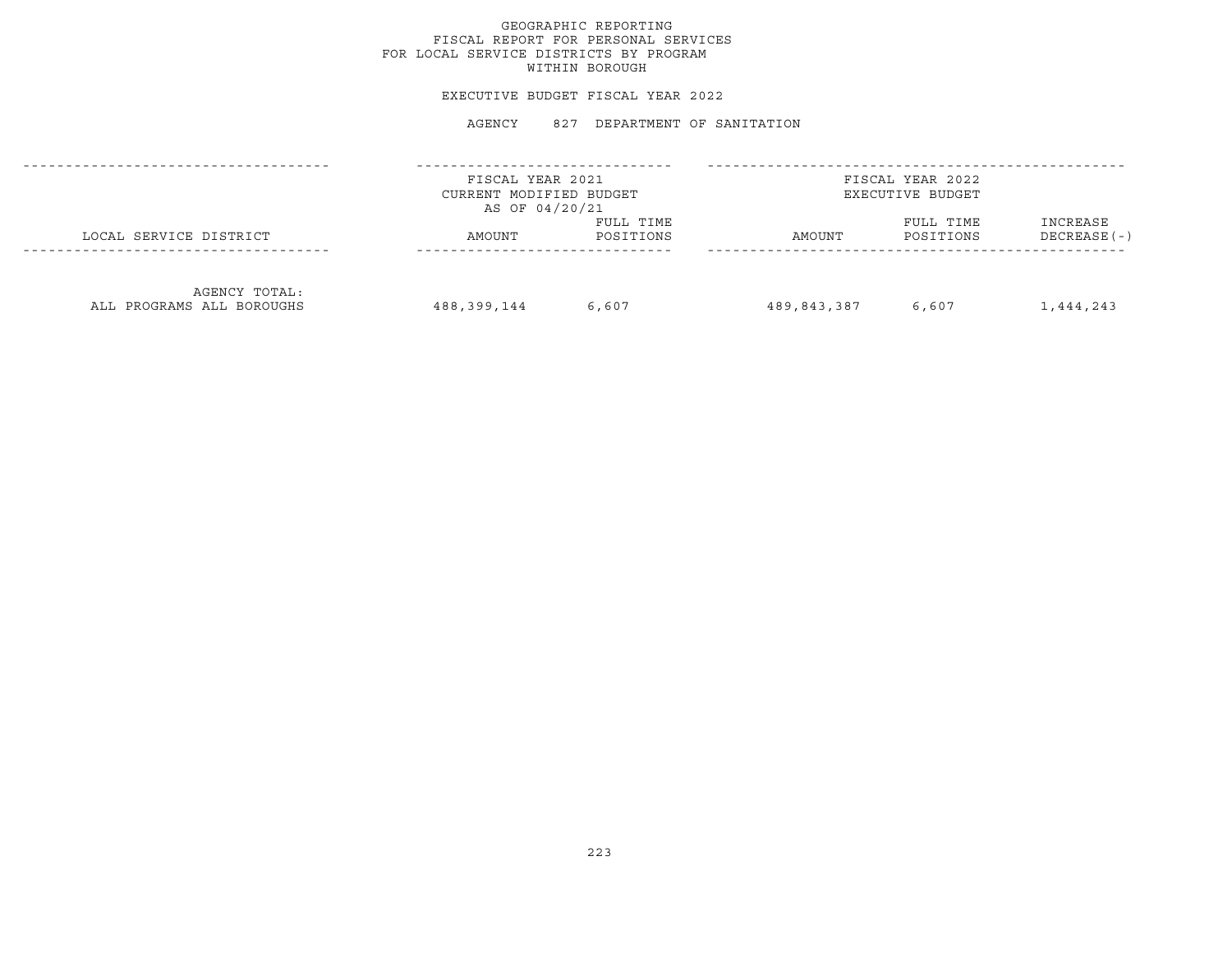## GEOGRAPHIC REPORTING FISCAL REPORT FOR PERSONAL SERVICES FOR LOCAL SERVICE DISTRICTS BY PROGRAM WITHIN BOROUGH

#### EXECUTIVE BUDGET FISCAL YEAR 2022

|                                            | FISCAL YEAR 2021<br>CURRENT MODIFIED BUDGET<br>AS OF 04/20/21 |                        |             | FISCAL YEAR 2022<br>EXECUTIVE BUDGET |                           |
|--------------------------------------------|---------------------------------------------------------------|------------------------|-------------|--------------------------------------|---------------------------|
| LOCAL SERVICE DISTRICT                     | AMOUNT                                                        | FULL TIME<br>POSITIONS | AMOUNT      | FULL TIME<br>POSITIONS               | INCREASE<br>$DECREASE(-)$ |
| AGENCY TOTAL:<br>ALL PROGRAMS ALL BOROUGHS | 488,399,144                                                   | 6,607                  | 489,843,387 | 6,607                                | 1,444,243                 |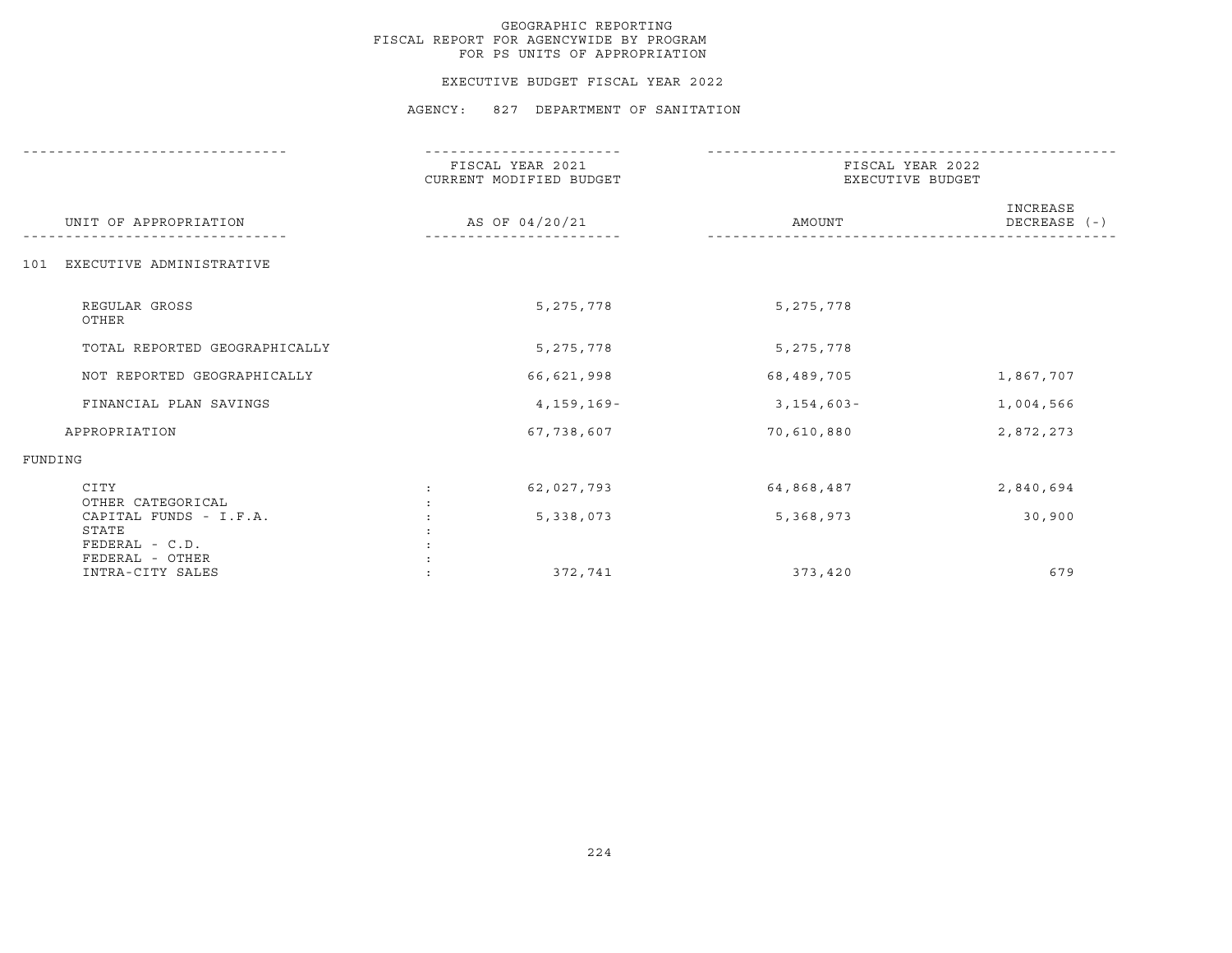#### EXECUTIVE BUDGET FISCAL YEAR 2022

|                                                   | FISCAL YEAR 2021<br>CURRENT MODIFIED BUDGET | FISCAL YEAR 2022<br>EXECUTIVE BUDGET |                          |  |
|---------------------------------------------------|---------------------------------------------|--------------------------------------|--------------------------|--|
| UNIT OF APPROPRIATION                             | AS OF 04/20/21                              | AMOUNT                               | INCREASE<br>DECREASE (-) |  |
| EXECUTIVE ADMINISTRATIVE<br>101                   |                                             |                                      |                          |  |
| REGULAR GROSS<br>OTHER                            | 5, 275, 778                                 | 5, 275, 778                          |                          |  |
| TOTAL REPORTED GEOGRAPHICALLY                     | 5, 275, 778                                 | 5, 275, 778                          |                          |  |
| NOT REPORTED GEOGRAPHICALLY                       | 66,621,998                                  | 68,489,705                           | 1,867,707                |  |
| FINANCIAL PLAN SAVINGS                            | 4,159,169-                                  | $3,154,603-$                         | 1,004,566                |  |
| APPROPRIATION                                     | 67,738,607                                  | 70,610,880                           | 2,872,273                |  |
| FUNDING                                           |                                             |                                      |                          |  |
| CITY<br>OTHER CATEGORICAL                         | 62,027,793                                  | 64,868,487                           | 2,840,694                |  |
| CAPITAL FUNDS - I.F.A.<br>STATE<br>FEDERAL - C.D. | 5,338,073                                   | 5,368,973                            | 30,900                   |  |
| FEDERAL - OTHER<br>INTRA-CITY SALES               | 372,741                                     | 373,420                              | 679                      |  |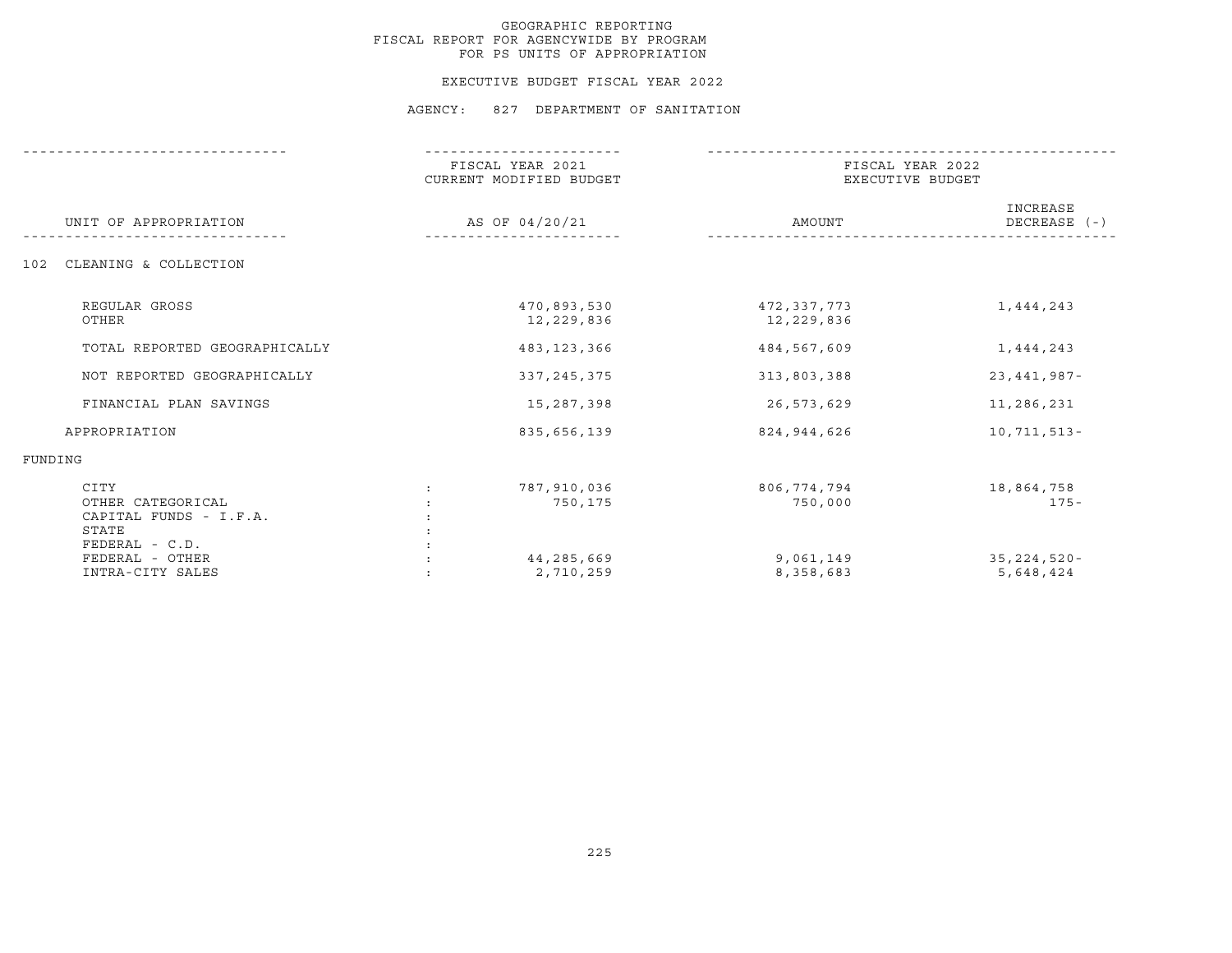#### EXECUTIVE BUDGET FISCAL YEAR 2022

|                                                                                | FISCAL YEAR 2021<br>CURRENT MODIFIED BUDGET | FISCAL YEAR 2022<br>EXECUTIVE BUDGET |                          |
|--------------------------------------------------------------------------------|---------------------------------------------|--------------------------------------|--------------------------|
| UNIT OF APPROPRIATION                                                          | AS OF 04/20/21                              | AMOUNT                               | INCREASE<br>DECREASE (-) |
| CLEANING & COLLECTION<br>102                                                   |                                             |                                      |                          |
| REGULAR GROSS<br>OTHER                                                         | 470,893,530<br>12,229,836                   | 472,337,773<br>12,229,836            | 1,444,243                |
| TOTAL REPORTED GEOGRAPHICALLY                                                  | 483,123,366                                 | 484,567,609                          | 1,444,243                |
| NOT REPORTED GEOGRAPHICALLY                                                    | 337, 245, 375                               | 313,803,388                          | $23,441,987-$            |
| FINANCIAL PLAN SAVINGS                                                         | 15,287,398                                  | 26,573,629                           | 11,286,231               |
| APPROPRIATION                                                                  | 835,656,139                                 | 824,944,626                          | $10,711,513-$            |
| FUNDING                                                                        |                                             |                                      |                          |
| CITY<br>OTHER CATEGORICAL<br>CAPITAL FUNDS - I.F.A.<br>STATE<br>FEDERAL - C.D. | 787,910,036<br>750,175                      | 806,774,794<br>750,000               | 18,864,758<br>175-       |
| FEDERAL - OTHER<br>INTRA-CITY SALES                                            | 44,285,669<br>2,710,259                     | 9,061,149<br>8,358,683               | 35,224,520-<br>5,648,424 |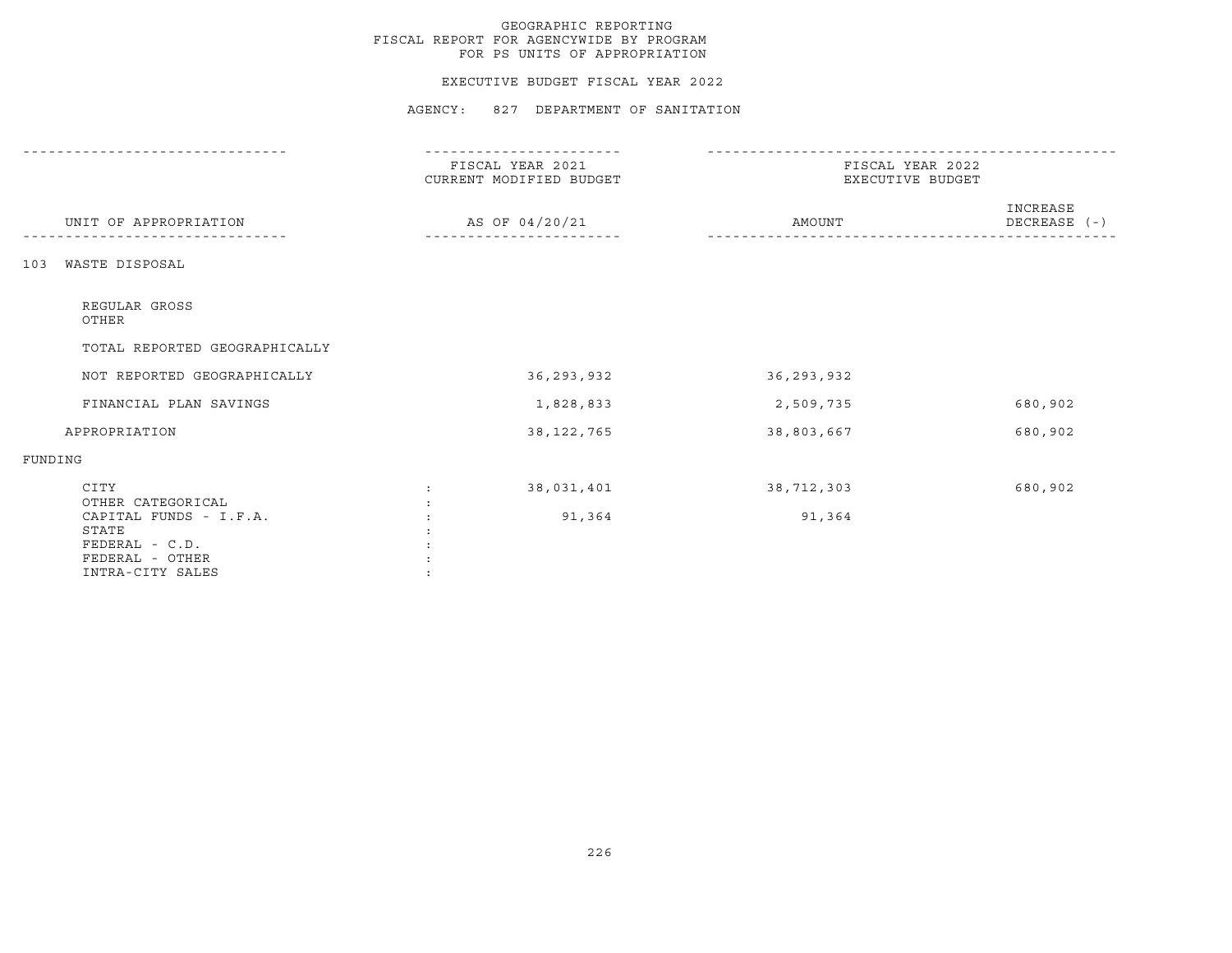### EXECUTIVE BUDGET FISCAL YEAR 2022

|                                                                | FISCAL YEAR 2021<br>CURRENT MODIFIED BUDGET | FISCAL YEAR 2022<br>EXECUTIVE BUDGET |                          |  |
|----------------------------------------------------------------|---------------------------------------------|--------------------------------------|--------------------------|--|
| UNIT OF APPROPRIATION                                          | AS OF 04/20/21                              | AMOUNT                               | INCREASE<br>DECREASE (-) |  |
| WASTE DISPOSAL<br>103                                          |                                             |                                      |                          |  |
| REGULAR GROSS<br>OTHER                                         |                                             |                                      |                          |  |
| TOTAL REPORTED GEOGRAPHICALLY                                  |                                             |                                      |                          |  |
| NOT REPORTED GEOGRAPHICALLY                                    | 36, 293, 932                                | 36,293,932                           |                          |  |
| FINANCIAL PLAN SAVINGS                                         | 1,828,833                                   | 2,509,735                            | 680,902                  |  |
| APPROPRIATION                                                  | 38, 122, 765                                | 38,803,667                           | 680,902                  |  |
| FUNDING                                                        |                                             |                                      |                          |  |
| CITY<br>OTHER CATEGORICAL<br>CAPITAL FUNDS - I.F.A.            | 38,031,401<br>91,364                        | 38,712,303<br>91,364                 | 680,902                  |  |
| STATE<br>FEDERAL - C.D.<br>FEDERAL - OTHER<br>INTRA-CITY SALES |                                             |                                      |                          |  |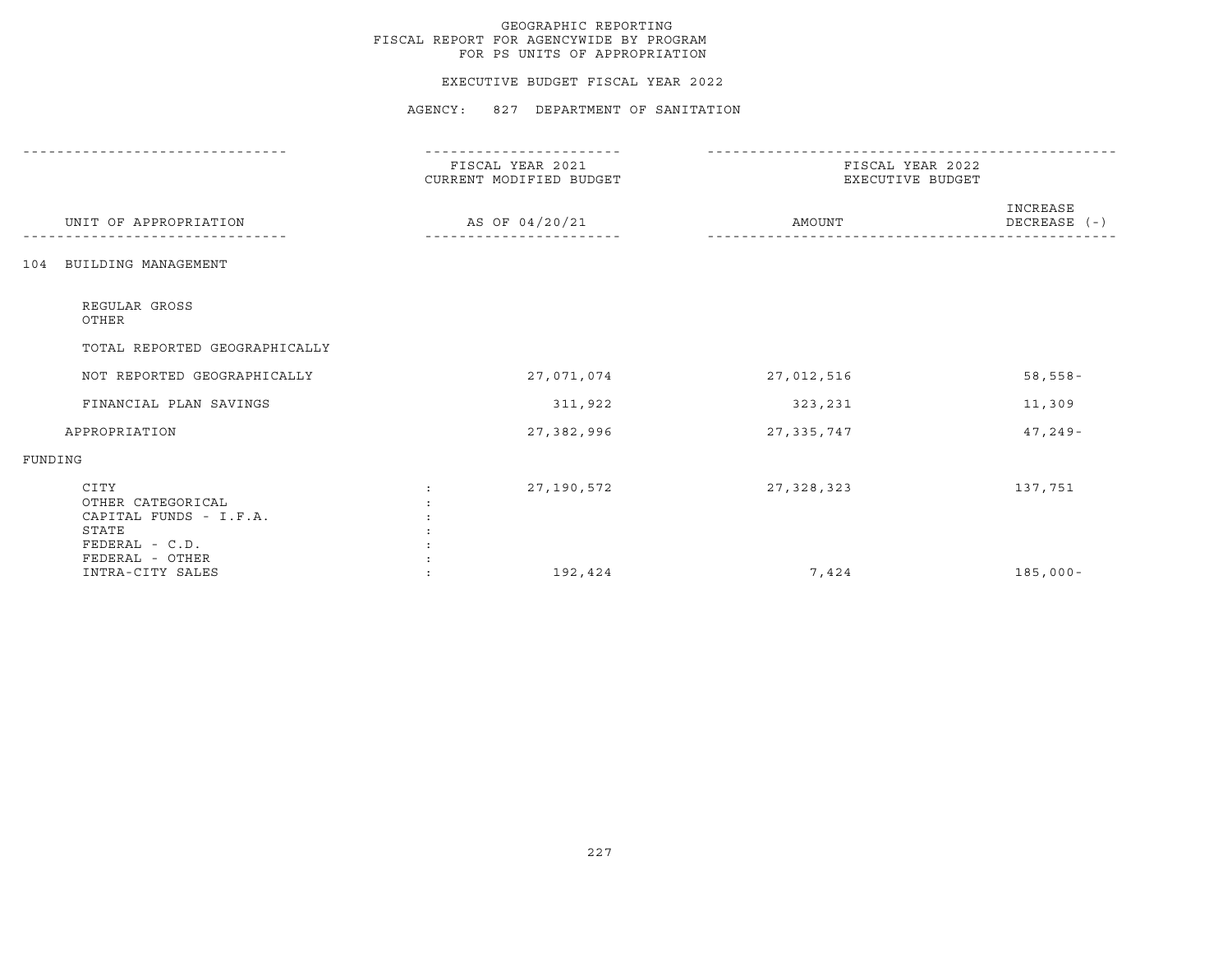### EXECUTIVE BUDGET FISCAL YEAR 2022

|                                                                                                     | FISCAL YEAR 2021<br>CURRENT MODIFIED BUDGET | FISCAL YEAR 2022<br>EXECUTIVE BUDGET |                            |  |
|-----------------------------------------------------------------------------------------------------|---------------------------------------------|--------------------------------------|----------------------------|--|
| UNIT OF APPROPRIATION                                                                               | AS OF 04/20/21                              | AMOUNT                               | INCREASE<br>DECREASE $(-)$ |  |
| BUILDING MANAGEMENT<br>104                                                                          |                                             |                                      |                            |  |
| REGULAR GROSS<br>OTHER                                                                              |                                             |                                      |                            |  |
| TOTAL REPORTED GEOGRAPHICALLY                                                                       |                                             |                                      |                            |  |
| NOT REPORTED GEOGRAPHICALLY                                                                         | 27,071,074                                  | 27,012,516                           | $58,558-$                  |  |
| FINANCIAL PLAN SAVINGS                                                                              | 311,922                                     | 323,231                              | 11,309                     |  |
| APPROPRIATION                                                                                       | 27,382,996                                  | 27, 335, 747                         | $47, 249 -$                |  |
| FUNDING                                                                                             |                                             |                                      |                            |  |
| CITY<br>OTHER CATEGORICAL<br>CAPITAL FUNDS - I.F.A.<br>STATE<br>$FEDERAL - C.D.$<br>FEDERAL - OTHER | 27,190,572<br>$\ddot{\phantom{a}}$          | 27,328,323                           | 137,751                    |  |
| INTRA-CITY SALES                                                                                    | 192,424                                     | 7,424                                | $185,000 -$                |  |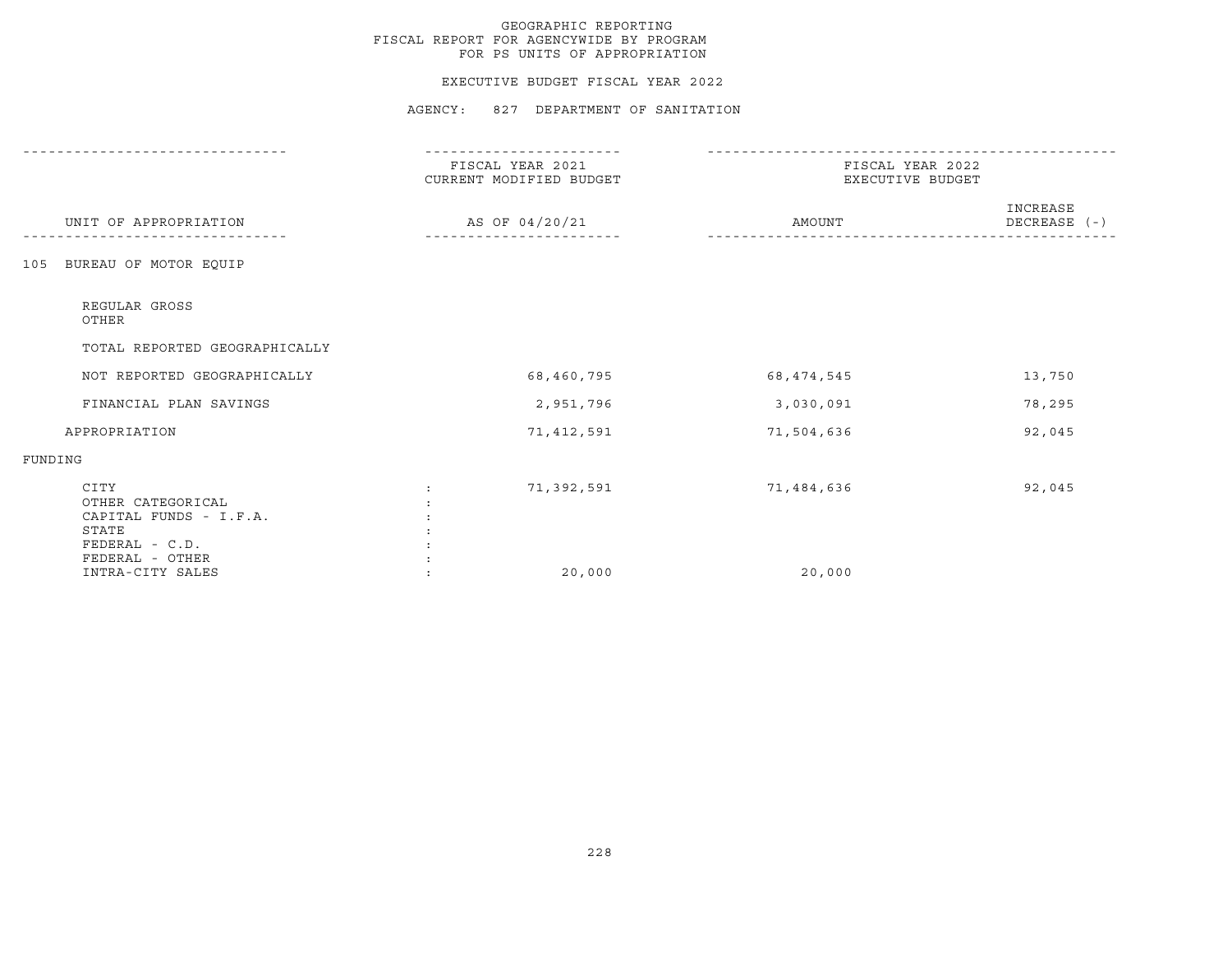#### EXECUTIVE BUDGET FISCAL YEAR 2022

|                                                                                                     | FISCAL YEAR 2021<br>CURRENT MODIFIED BUDGET | FISCAL YEAR 2022<br>EXECUTIVE BUDGET |                              |  |
|-----------------------------------------------------------------------------------------------------|---------------------------------------------|--------------------------------------|------------------------------|--|
| UNIT OF APPROPRIATION                                                                               | AS OF 04/20/21                              | AMOUNT                               | INCREASE<br>$DECREASE$ $(-)$ |  |
| BUREAU OF MOTOR EQUIP<br>105                                                                        |                                             |                                      |                              |  |
| REGULAR GROSS<br>OTHER                                                                              |                                             |                                      |                              |  |
| TOTAL REPORTED GEOGRAPHICALLY                                                                       |                                             |                                      |                              |  |
| NOT REPORTED GEOGRAPHICALLY                                                                         | 68,460,795                                  | 68, 474, 545                         | 13,750                       |  |
| FINANCIAL PLAN SAVINGS                                                                              | 2,951,796                                   | 3,030,091                            | 78,295                       |  |
| APPROPRIATION                                                                                       | 71,412,591                                  | 71,504,636                           | 92,045                       |  |
| FUNDING                                                                                             |                                             |                                      |                              |  |
| CITY<br>OTHER CATEGORICAL<br>CAPITAL FUNDS - I.F.A.<br>STATE<br>$FEDERAL - C.D.$<br>FEDERAL - OTHER | 71,392,591                                  | 71,484,636                           | 92,045                       |  |
| INTRA-CITY SALES                                                                                    | 20,000                                      | 20,000                               |                              |  |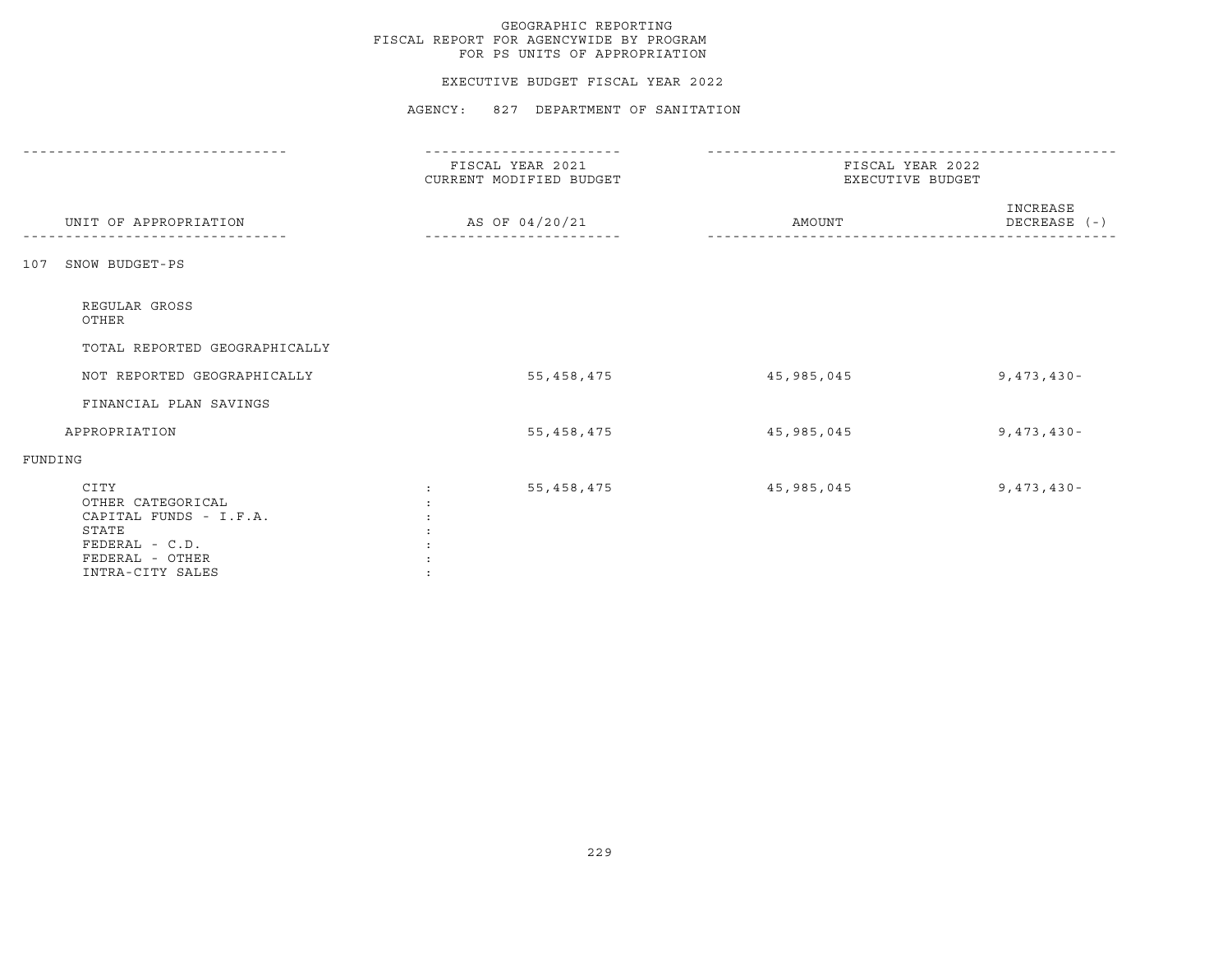### EXECUTIVE BUDGET FISCAL YEAR 2022

|                                                                                                                       | FISCAL YEAR 2021<br>CURRENT MODIFIED BUDGET | FISCAL YEAR 2022<br>EXECUTIVE BUDGET |                          |  |
|-----------------------------------------------------------------------------------------------------------------------|---------------------------------------------|--------------------------------------|--------------------------|--|
| UNIT OF APPROPRIATION                                                                                                 | AS OF 04/20/21                              | AMOUNT                               | INCREASE<br>DECREASE (-) |  |
| SNOW BUDGET-PS<br>107                                                                                                 |                                             |                                      |                          |  |
| REGULAR GROSS<br>OTHER                                                                                                |                                             |                                      |                          |  |
| TOTAL REPORTED GEOGRAPHICALLY                                                                                         |                                             |                                      |                          |  |
| NOT REPORTED GEOGRAPHICALLY                                                                                           | 55,458,475                                  | 45,985,045                           | $9,473,430 -$            |  |
| FINANCIAL PLAN SAVINGS                                                                                                |                                             |                                      |                          |  |
| APPROPRIATION                                                                                                         | 55, 458, 475                                | 45,985,045                           | $9,473,430 -$            |  |
| FUNDING                                                                                                               |                                             |                                      |                          |  |
| CITY<br>OTHER CATEGORICAL<br>CAPITAL FUNDS - I.F.A.<br>STATE<br>FEDERAL - C.D.<br>FEDERAL - OTHER<br>INTRA-CITY SALES | 55,458,475                                  | 45,985,045                           | $9,473,430 -$            |  |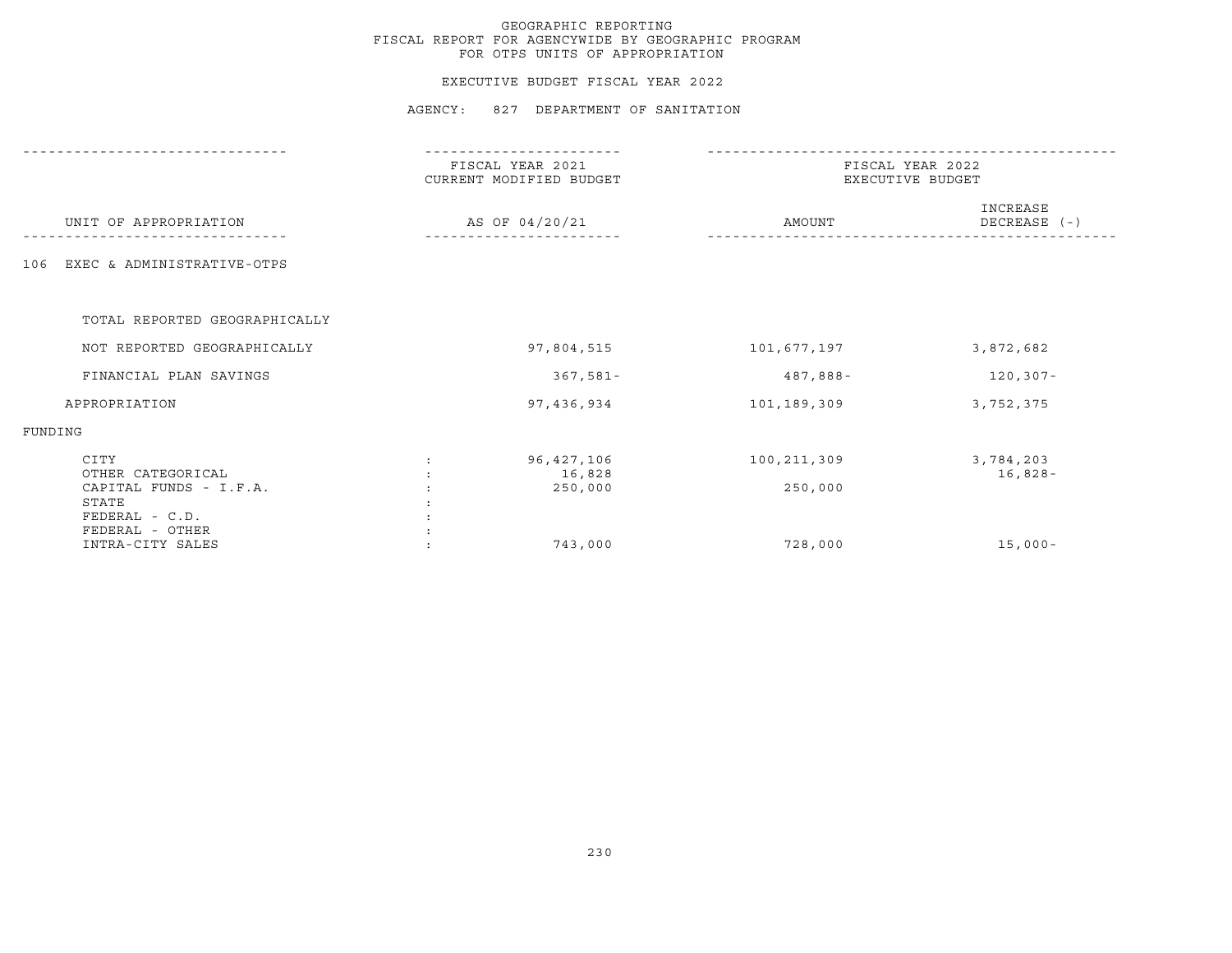### EXECUTIVE BUDGET FISCAL YEAR 2022

|                                                                                | FISCAL YEAR 2021<br>CURRENT MODIFIED BUDGET | FISCAL YEAR 2022<br>EXECUTIVE BUDGET |                          |  |
|--------------------------------------------------------------------------------|---------------------------------------------|--------------------------------------|--------------------------|--|
| UNIT OF APPROPRIATION                                                          | AS OF 04/20/21                              | AMOUNT                               | INCREASE<br>DECREASE (-) |  |
| EXEC & ADMINISTRATIVE-OTPS<br>106                                              |                                             |                                      |                          |  |
| TOTAL REPORTED GEOGRAPHICALLY                                                  |                                             |                                      |                          |  |
| NOT REPORTED GEOGRAPHICALLY                                                    | 97,804,515                                  | 101,677,197                          | 3,872,682                |  |
| FINANCIAL PLAN SAVINGS                                                         | 367,581-                                    | 487,888-                             | $120, 307 -$             |  |
| APPROPRIATION                                                                  | 97,436,934                                  | 101,189,309                          | 3,752,375                |  |
| FUNDING                                                                        |                                             |                                      |                          |  |
| CITY<br>OTHER CATEGORICAL<br>CAPITAL FUNDS - I.F.A.<br>STATE<br>FEDERAL - C.D. | 96,427,106<br>16,828<br>250,000             | 100,211,309<br>250,000               | 3,784,203<br>$16,828-$   |  |
| FEDERAL - OTHER<br>INTRA-CITY SALES                                            | 743,000                                     | 728,000                              | $15,000-$                |  |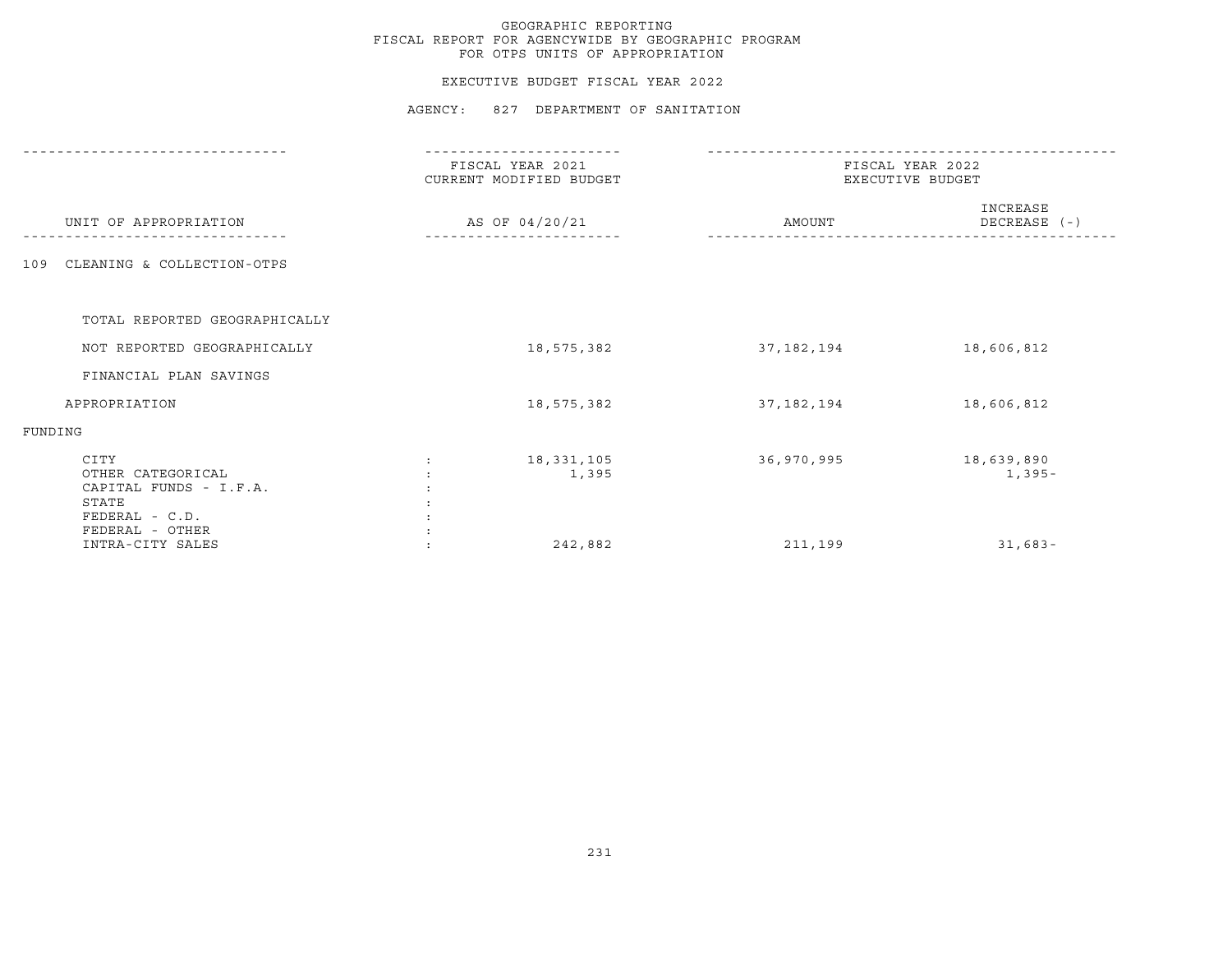#### EXECUTIVE BUDGET FISCAL YEAR 2022

|                                                                                                   | FISCAL YEAR 2021<br>CURRENT MODIFIED BUDGET | FISCAL YEAR 2022<br>EXECUTIVE BUDGET |                          |
|---------------------------------------------------------------------------------------------------|---------------------------------------------|--------------------------------------|--------------------------|
| UNIT OF APPROPRIATION                                                                             | AS OF 04/20/21                              | AMOUNT                               | INCREASE<br>DECREASE (-) |
| CLEANING & COLLECTION-OTPS<br>109                                                                 |                                             |                                      |                          |
|                                                                                                   |                                             |                                      |                          |
| TOTAL REPORTED GEOGRAPHICALLY                                                                     |                                             |                                      |                          |
| NOT REPORTED GEOGRAPHICALLY                                                                       | 18,575,382                                  | 37,182,194                           | 18,606,812               |
| FINANCIAL PLAN SAVINGS                                                                            |                                             |                                      |                          |
| APPROPRIATION                                                                                     | 18,575,382                                  | 37,182,194                           | 18,606,812               |
| FUNDING                                                                                           |                                             |                                      |                          |
| CITY<br>OTHER CATEGORICAL<br>CAPITAL FUNDS - I.F.A.<br>STATE<br>FEDERAL - C.D.<br>FEDERAL - OTHER | 18,331,105<br>1,395                         | 36,970,995                           | 18,639,890<br>$1,395-$   |
| INTRA-CITY SALES                                                                                  | 242,882                                     | 211,199                              | $31,683-$                |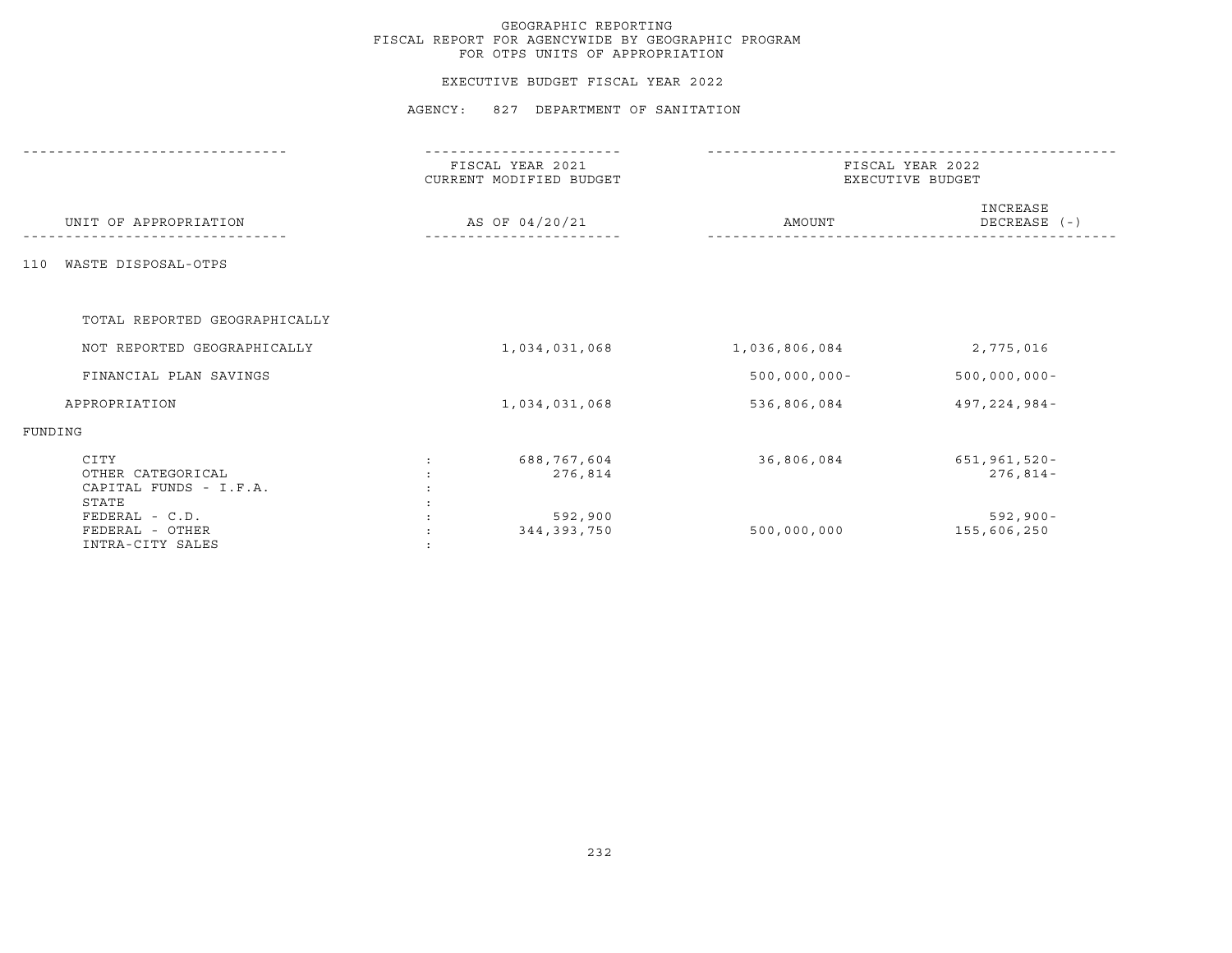#### EXECUTIVE BUDGET FISCAL YEAR 2022

|                                                              | FISCAL YEAR 2021<br>CURRENT MODIFIED BUDGET | FISCAL YEAR 2022<br>EXECUTIVE BUDGET |                            |  |
|--------------------------------------------------------------|---------------------------------------------|--------------------------------------|----------------------------|--|
| UNIT OF APPROPRIATION                                        | AS OF 04/20/21                              | AMOUNT                               | INCREASE<br>DECREASE (-)   |  |
| WASTE DISPOSAL-OTPS<br>110                                   |                                             |                                      |                            |  |
| TOTAL REPORTED GEOGRAPHICALLY                                |                                             |                                      |                            |  |
| NOT REPORTED GEOGRAPHICALLY                                  | 1,034,031,068                               | 1,036,806,084                        | 2,775,016                  |  |
| FINANCIAL PLAN SAVINGS                                       |                                             | $500,000,000 -$                      | $500,000,000 -$            |  |
| APPROPRIATION                                                | 1,034,031,068                               | 536,806,084                          | 497, 224, 984 -            |  |
| FUNDING                                                      |                                             |                                      |                            |  |
| CITY<br>OTHER CATEGORICAL<br>CAPITAL FUNDS - I.F.A.<br>STATE | 688,767,604<br>276,814                      | 36,806,084                           | 651,961,520-<br>$276,814-$ |  |
| FEDERAL - C.D.<br>FEDERAL - OTHER<br>INTRA-CITY SALES        | 592,900<br>344, 393, 750                    | 500,000,000                          | $592,900 -$<br>155,606,250 |  |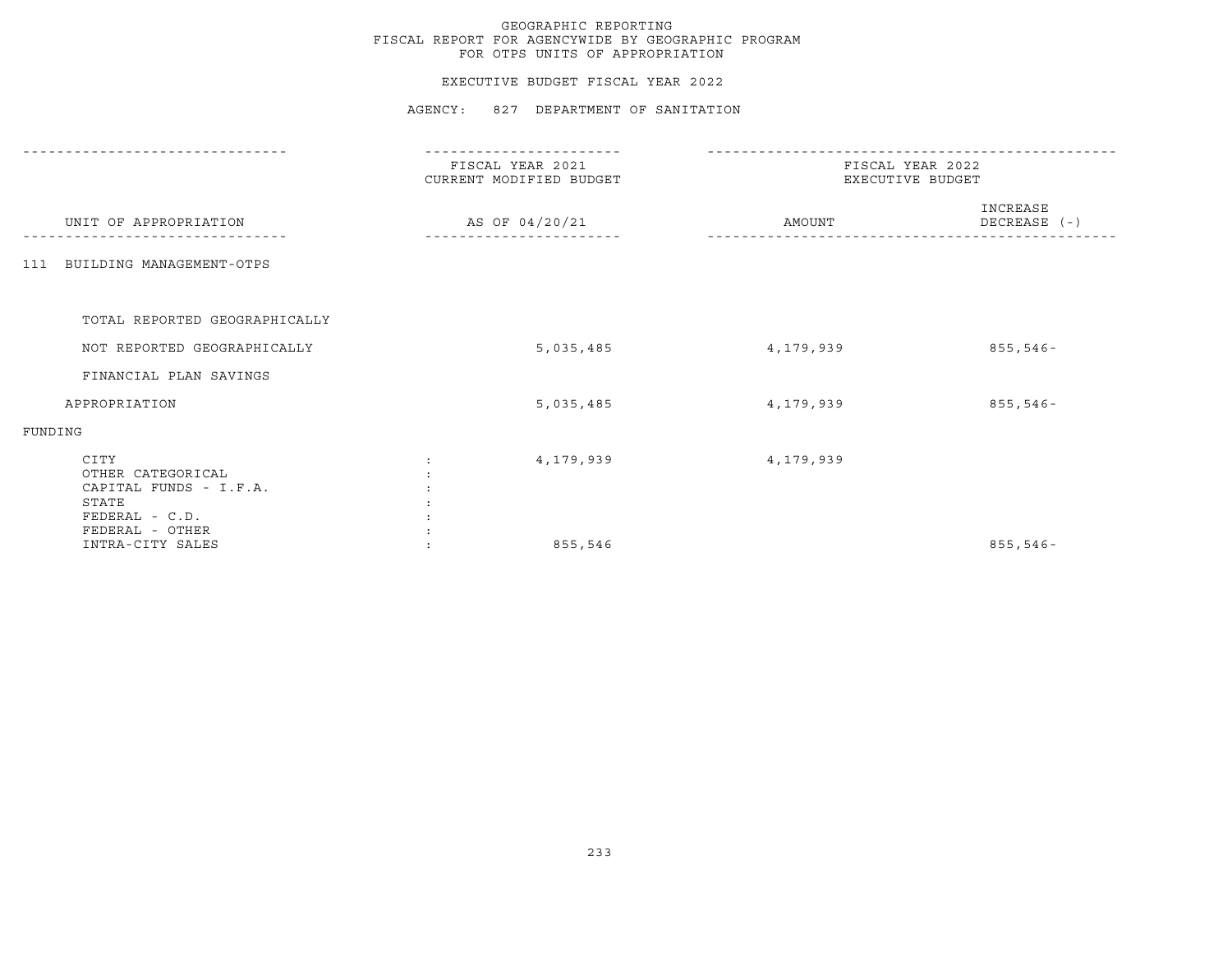### EXECUTIVE BUDGET FISCAL YEAR 2022

|                                                                                                   | --------------                              |                                      |                          |
|---------------------------------------------------------------------------------------------------|---------------------------------------------|--------------------------------------|--------------------------|
|                                                                                                   | FISCAL YEAR 2021<br>CURRENT MODIFIED BUDGET | FISCAL YEAR 2022<br>EXECUTIVE BUDGET |                          |
| UNIT OF APPROPRIATION                                                                             | AS OF 04/20/21                              | AMOUNT                               | INCREASE<br>DECREASE (-) |
| 111 BUILDING MANAGEMENT-OTPS                                                                      |                                             |                                      |                          |
| TOTAL REPORTED GEOGRAPHICALLY                                                                     |                                             |                                      |                          |
|                                                                                                   |                                             |                                      |                          |
| NOT REPORTED GEOGRAPHICALLY                                                                       | 5,035,485                                   | 4,179,939                            | $855,546 -$              |
| FINANCIAL PLAN SAVINGS                                                                            |                                             |                                      |                          |
| APPROPRIATION                                                                                     | 5,035,485                                   | 4,179,939                            | $855,546 -$              |
| FUNDING                                                                                           |                                             |                                      |                          |
| CITY<br>OTHER CATEGORICAL<br>CAPITAL FUNDS - I.F.A.<br>STATE<br>FEDERAL - C.D.<br>FEDERAL - OTHER | 4,179,939                                   | 4,179,939                            |                          |
| INTRA-CITY SALES                                                                                  | 855,546                                     |                                      | $855,546 -$              |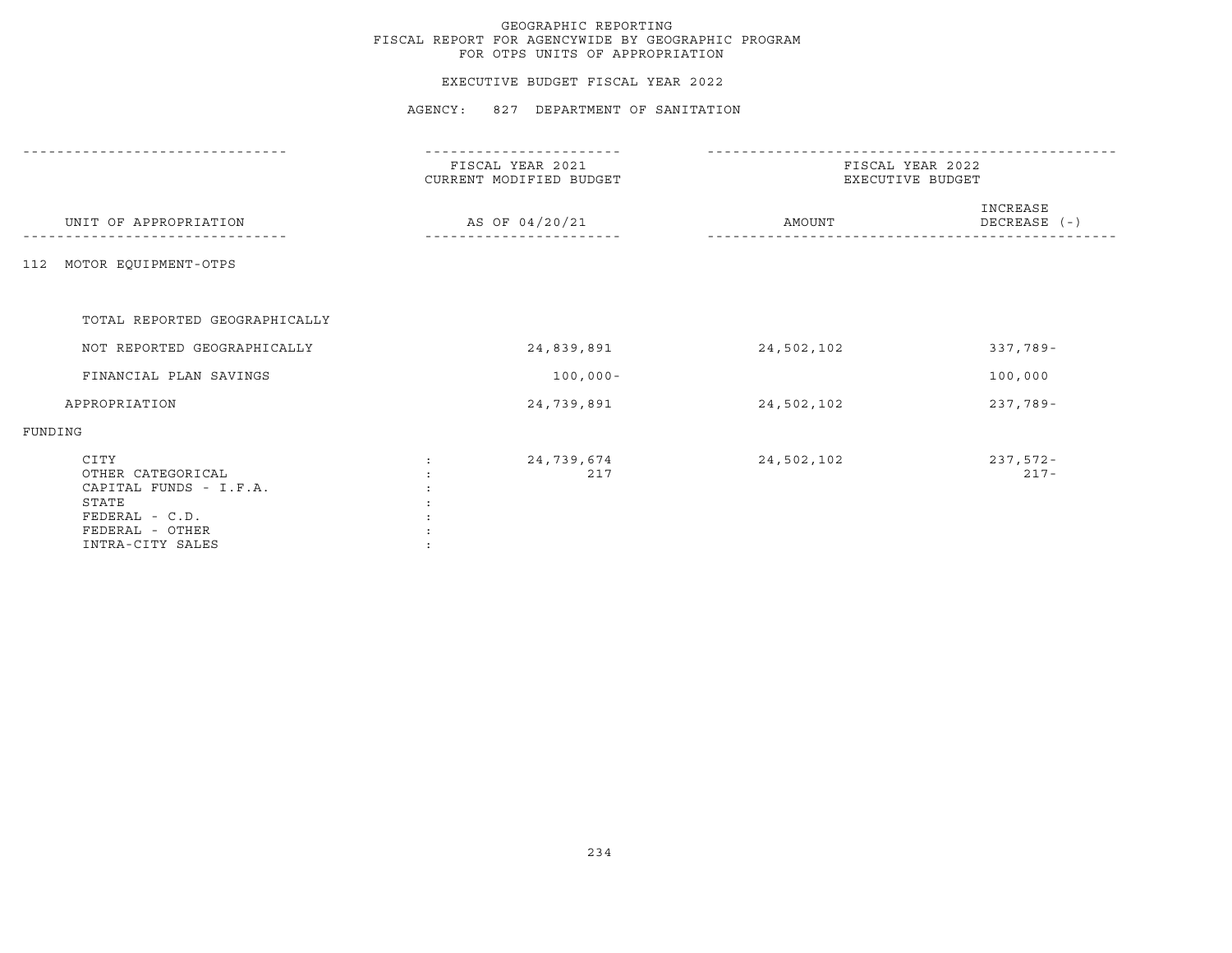### EXECUTIVE BUDGET FISCAL YEAR 2022

|                                                                                                                       | FISCAL YEAR 2021<br>CURRENT MODIFIED BUDGET | FISCAL YEAR 2022<br>EXECUTIVE BUDGET |                          |  |
|-----------------------------------------------------------------------------------------------------------------------|---------------------------------------------|--------------------------------------|--------------------------|--|
| UNIT OF APPROPRIATION                                                                                                 | AS OF 04/20/21                              | AMOUNT                               | INCREASE<br>DECREASE (-) |  |
| MOTOR EQUIPMENT-OTPS<br>112                                                                                           |                                             |                                      |                          |  |
| TOTAL REPORTED GEOGRAPHICALLY                                                                                         |                                             |                                      |                          |  |
| NOT REPORTED GEOGRAPHICALLY                                                                                           | 24,839,891                                  | 24,502,102                           | 337,789-                 |  |
| FINANCIAL PLAN SAVINGS                                                                                                | $100,000 -$                                 |                                      | 100,000                  |  |
| APPROPRIATION                                                                                                         | 24,739,891                                  | 24,502,102                           | $237,789-$               |  |
| FUNDING                                                                                                               |                                             |                                      |                          |  |
| CITY<br>OTHER CATEGORICAL<br>CAPITAL FUNDS - I.F.A.<br>STATE<br>FEDERAL - C.D.<br>FEDERAL - OTHER<br>INTRA-CITY SALES | 24,739,674<br>217                           | 24,502,102                           | $237,572-$<br>$217 -$    |  |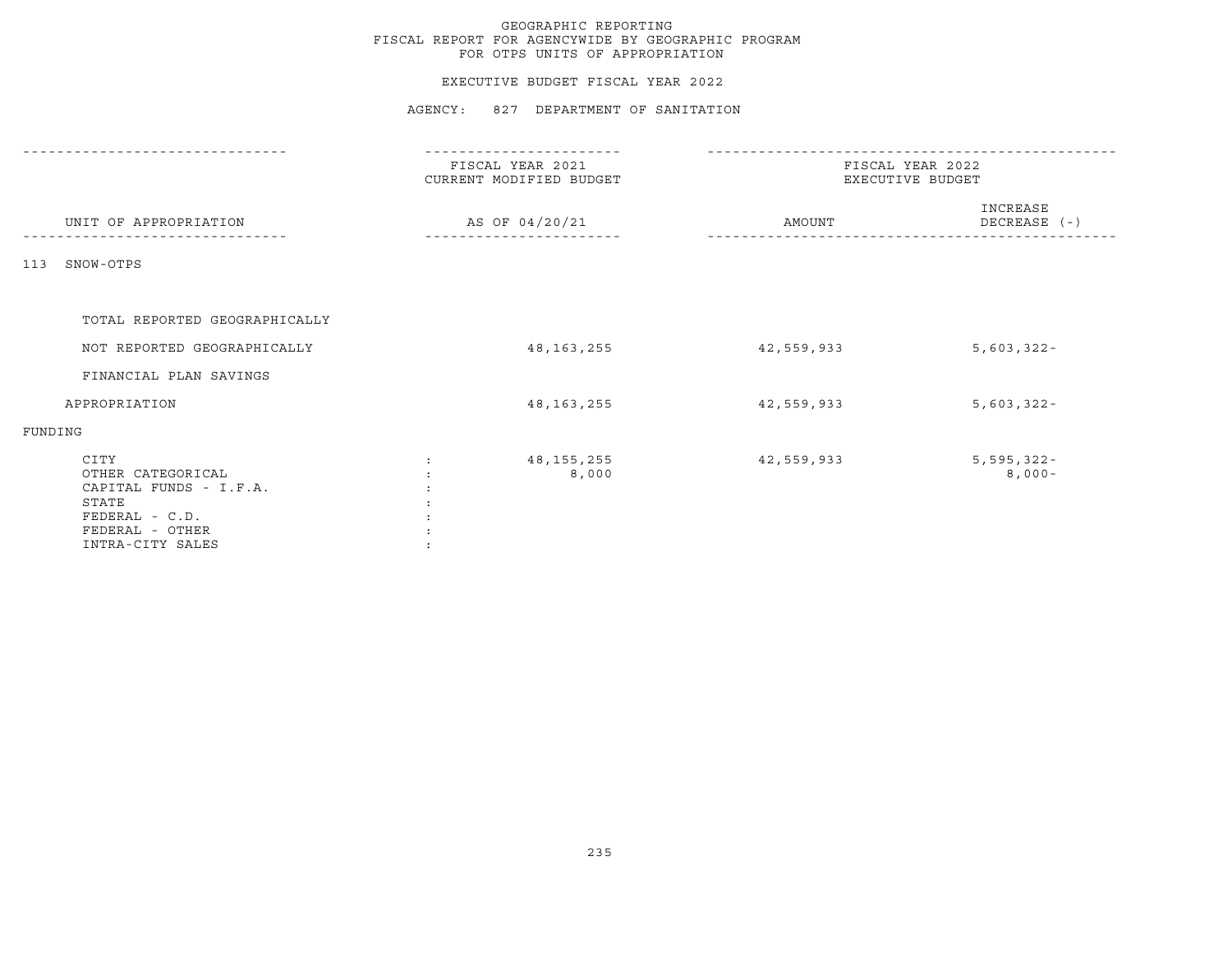### EXECUTIVE BUDGET FISCAL YEAR 2022

|         |                                                                                                                       | FISCAL YEAR 2021<br>CURRENT MODIFIED BUDGET |                       | FISCAL YEAR 2022<br>EXECUTIVE BUDGET |            |                           |
|---------|-----------------------------------------------------------------------------------------------------------------------|---------------------------------------------|-----------------------|--------------------------------------|------------|---------------------------|
|         | UNIT OF APPROPRIATION                                                                                                 |                                             | AS OF 04/20/21        |                                      | AMOUNT     | INCREASE<br>DECREASE (-)  |
| 113     | SNOW-OTPS                                                                                                             |                                             |                       |                                      |            |                           |
|         | TOTAL REPORTED GEOGRAPHICALLY                                                                                         |                                             |                       |                                      |            |                           |
|         | NOT REPORTED GEOGRAPHICALLY                                                                                           |                                             | 48, 163, 255          |                                      | 42,559,933 | $5,603,322 -$             |
|         | FINANCIAL PLAN SAVINGS                                                                                                |                                             |                       |                                      |            |                           |
|         | APPROPRIATION                                                                                                         |                                             | 48, 163, 255          |                                      | 42,559,933 | $5,603,322 -$             |
| FUNDING |                                                                                                                       |                                             |                       |                                      |            |                           |
|         | CITY<br>OTHER CATEGORICAL<br>CAPITAL FUNDS - I.F.A.<br>STATE<br>FEDERAL - C.D.<br>FEDERAL - OTHER<br>INTRA-CITY SALES | $\ddot{\cdot}$                              | 48, 155, 255<br>8,000 |                                      | 42,559,933 | $5,595,322 -$<br>$8,000-$ |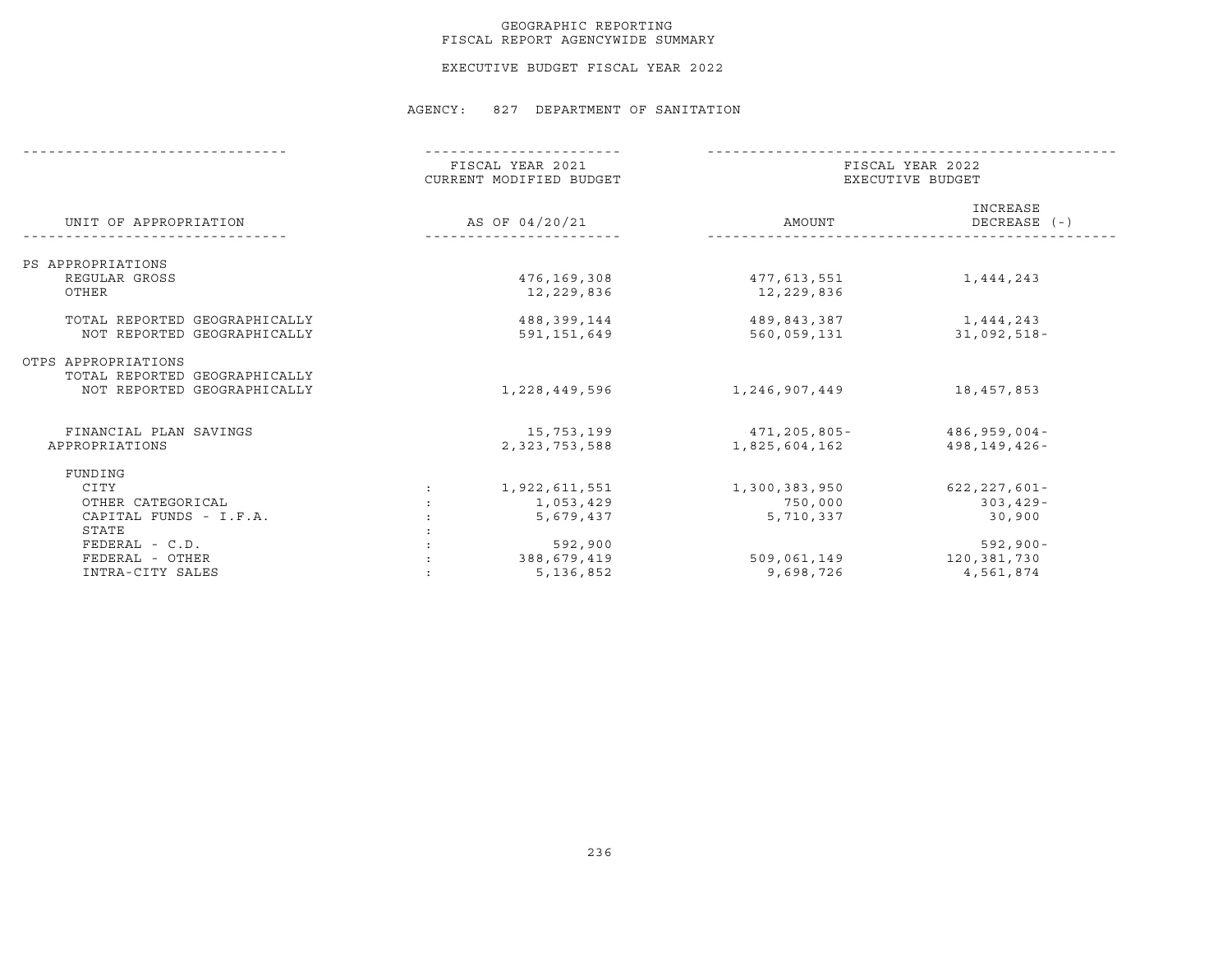### GEOGRAPHIC REPORTING FISCAL REPORT AGENCYWIDE SUMMARY

EXECUTIVE BUDGET FISCAL YEAR 2022

|                                                      |                | FISCAL YEAR 2021<br>CURRENT MODIFIED BUDGET |                               | FISCAL YEAR 2022<br>EXECUTIVE BUDGET |  |  |
|------------------------------------------------------|----------------|---------------------------------------------|-------------------------------|--------------------------------------|--|--|
| UNIT OF APPROPRIATION                                | AS OF 04/20/21 |                                             | AMOUNT                        | INCREASE<br>DECREASE (-)             |  |  |
| PS APPROPRIATIONS                                    |                |                                             |                               |                                      |  |  |
| REGULAR GROSS                                        |                | 476,169,308                                 | 477,613,551                   | 1,444,243                            |  |  |
| OTHER                                                |                | 12,229,836                                  | 12,229,836                    |                                      |  |  |
| TOTAL REPORTED GEOGRAPHICALLY                        |                | 488,399,144                                 | 489,843,387                   | 1,444,243                            |  |  |
| NOT REPORTED GEOGRAPHICALLY                          |                | 591,151,649                                 | 560,059,131                   | $31,092,518-$                        |  |  |
| OTPS APPROPRIATIONS<br>TOTAL REPORTED GEOGRAPHICALLY |                |                                             |                               |                                      |  |  |
| NOT REPORTED GEOGRAPHICALLY                          |                | 1,228,449,596                               | 1,246,907,449                 | 18,457,853                           |  |  |
|                                                      |                |                                             |                               |                                      |  |  |
| FINANCIAL PLAN SAVINGS<br>APPROPRIATIONS             |                | 15,753,199<br>2, 323, 753, 588              | 471,205,805-<br>1,825,604,162 | $486,959,004-$<br>498,149,426-       |  |  |
| FUNDING                                              |                |                                             |                               |                                      |  |  |
| CITY                                                 |                | 1,922,611,551                               | 1,300,383,950                 | 622,227,601-                         |  |  |
| OTHER CATEGORICAL                                    |                | 1,053,429                                   | 750,000                       | $303,429-$                           |  |  |
| CAPITAL FUNDS - I.F.A.                               |                | 5,679,437                                   | 5,710,337                     | 30,900                               |  |  |
| STATE                                                |                |                                             |                               |                                      |  |  |
| $FEDERAL - C.D.$                                     |                | 592,900                                     |                               | $592, 900 -$                         |  |  |
| FEDERAL - OTHER                                      |                | 388,679,419                                 | 509,061,149                   | 120,381,730                          |  |  |
| INTRA-CITY SALES                                     |                | 5, 136, 852                                 | 9,698,726                     | 4,561,874                            |  |  |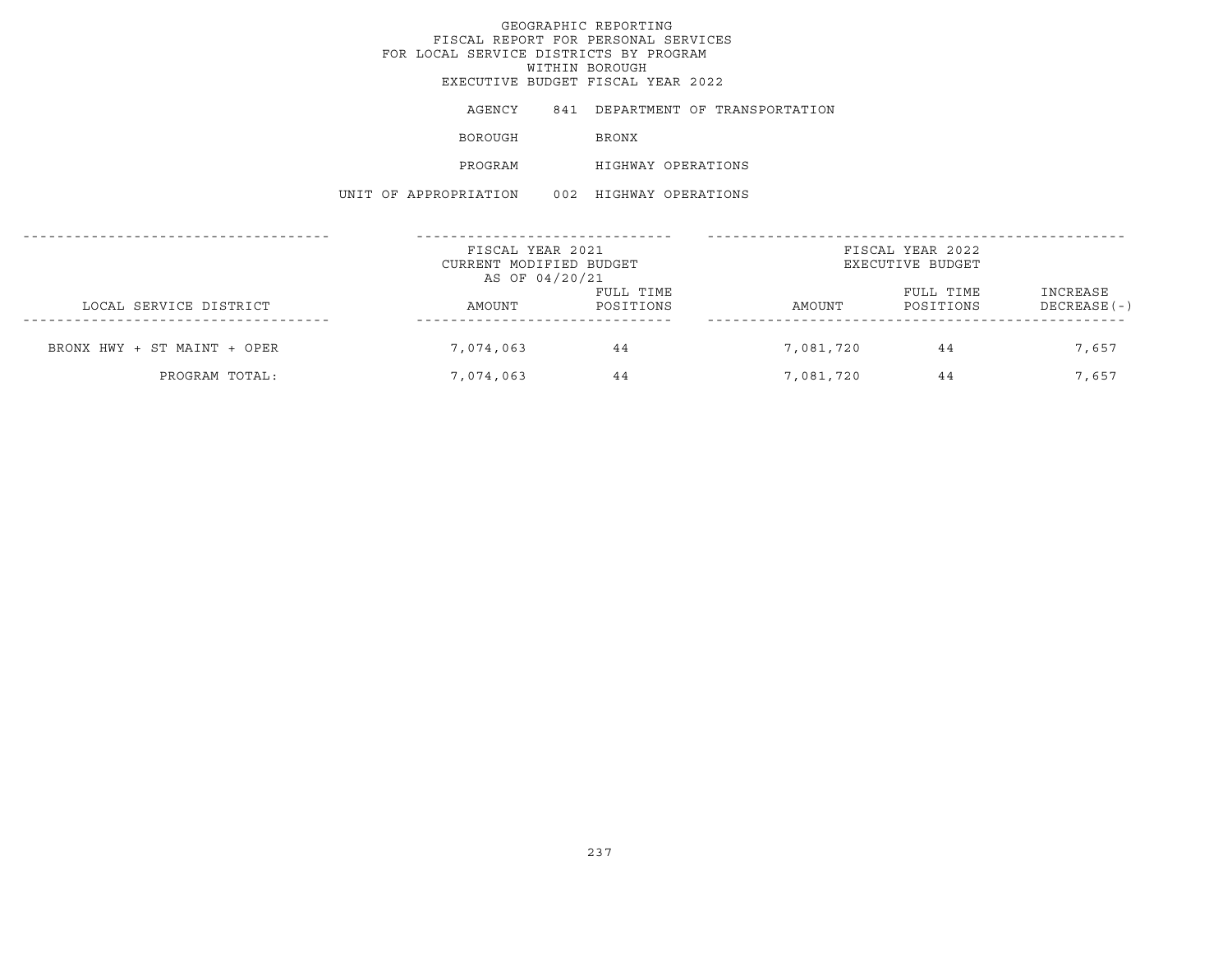AGENCY 841 DEPARTMENT OF TRANSPORTATION BOROUGH BRONX PROGRAM HIGHWAY OPERATIONS UNIT OF APPROPRIATION 002 HIGHWAY OPERATIONS

|                             | FISCAL YEAR 2021<br>CURRENT MODIFIED BUDGET<br>AS OF 04/20/21 |                        | FISCAL YEAR 2022<br>EXECUTIVE BUDGET |                        |                          |  |
|-----------------------------|---------------------------------------------------------------|------------------------|--------------------------------------|------------------------|--------------------------|--|
| LOCAL SERVICE DISTRICT      | AMOUNT                                                        | FULL TIME<br>POSITIONS | AMOUNT                               | FULL TIME<br>POSITIONS | INCREASE<br>DECREASE (-) |  |
| BRONX HWY + ST MAINT + OPER | 7,074,063                                                     | 44                     | 7,081,720                            | 44                     | 7,657                    |  |
| PROGRAM TOTAL:              | 7,074,063                                                     | 44                     | 7,081,720                            | 44                     | 7.657                    |  |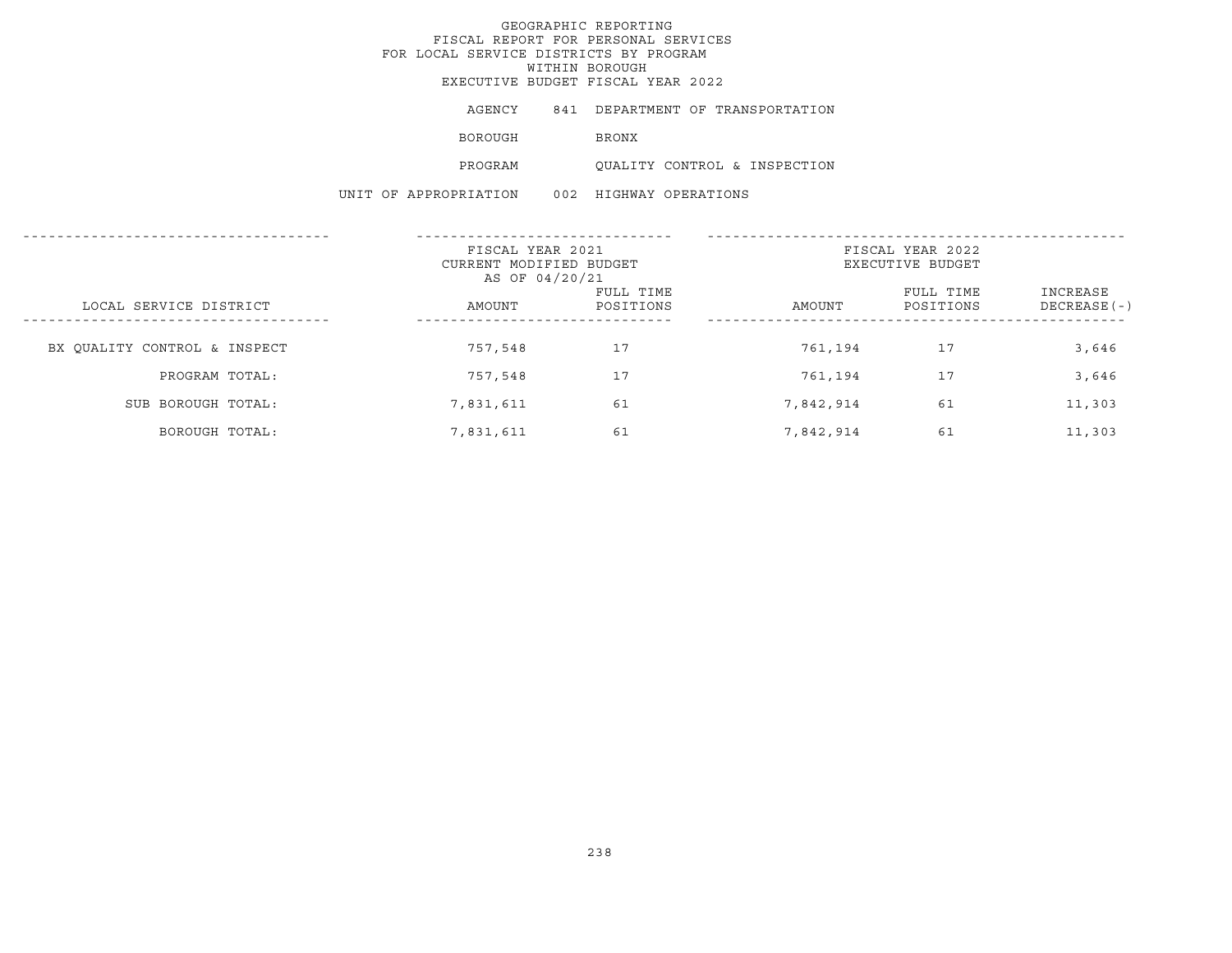AGENCY 841 DEPARTMENT OF TRANSPORTATION

**BOROUGH BRONX** 

PROGRAM QUALITY CONTROL & INSPECTION

UNIT OF APPROPRIATION 002 HIGHWAY OPERATIONS

|                              | FISCAL YEAR 2021<br>CURRENT MODIFIED BUDGET<br>AS OF 04/20/21 |                        | FISCAL YEAR 2022<br>EXECUTIVE BUDGET |                        |                           |  |
|------------------------------|---------------------------------------------------------------|------------------------|--------------------------------------|------------------------|---------------------------|--|
| LOCAL SERVICE DISTRICT       | AMOUNT                                                        | FULL TIME<br>POSITIONS | AMOUNT                               | FULL TIME<br>POSITIONS | INCREASE<br>$DECREASE(-)$ |  |
| BX OUALITY CONTROL & INSPECT | 757,548                                                       | 17                     | 761,194                              | 17                     | 3,646                     |  |
| PROGRAM TOTAL:               | 757,548                                                       | 17                     | 761,194                              | 17                     | 3,646                     |  |
| SUB BOROUGH TOTAL:           | 7,831,611                                                     | 61                     | 7,842,914                            | 61                     | 11,303                    |  |
| BOROUGH TOTAL:               | 7,831,611                                                     | 61                     | 7,842,914                            | 61                     | 11,303                    |  |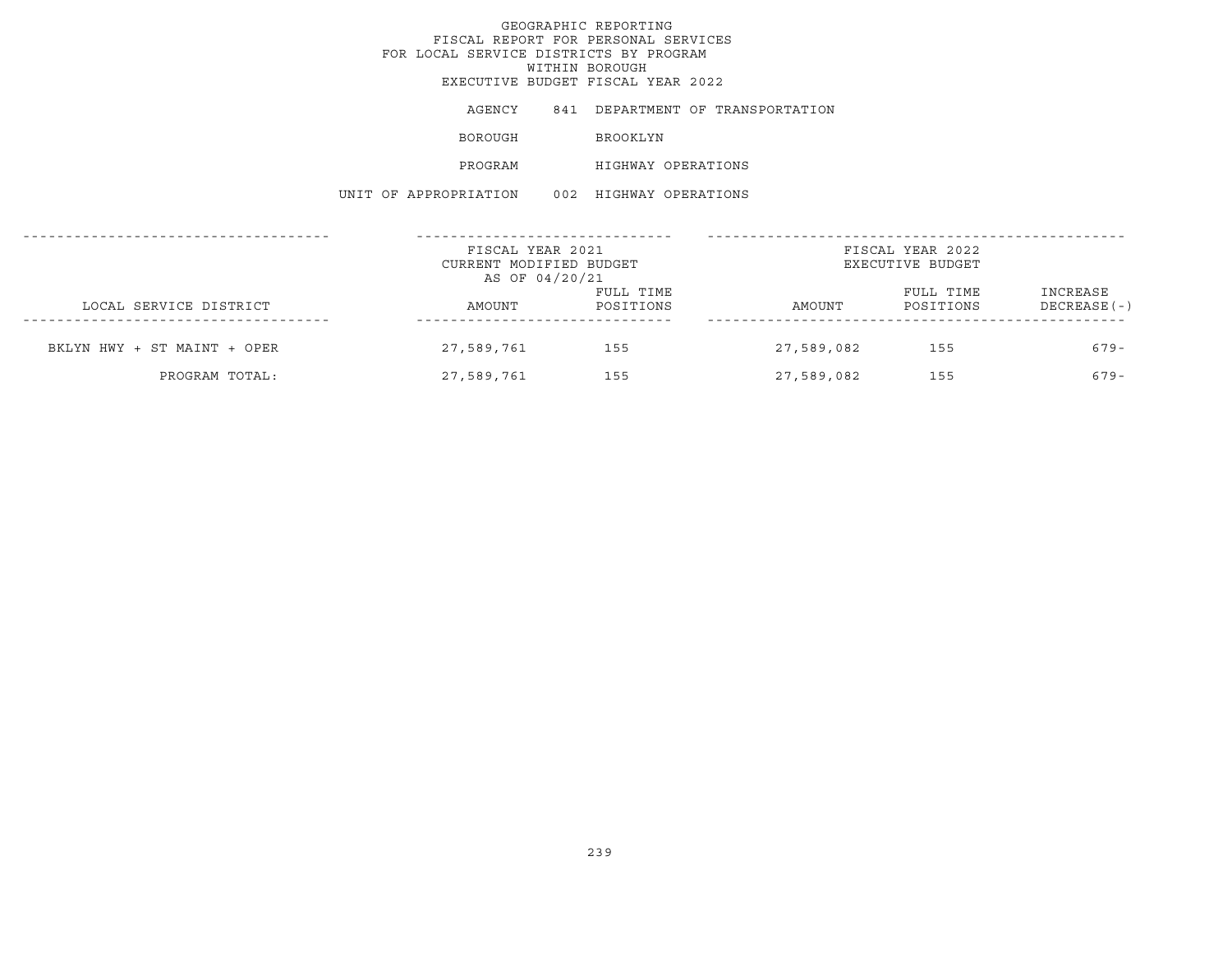AGENCY 841 DEPARTMENT OF TRANSPORTATION BOROUGH BROOKLYN PROGRAM HIGHWAY OPERATIONS UNIT OF APPROPRIATION 002 HIGHWAY OPERATIONS

|                             | FISCAL YEAR 2021<br>CURRENT MODIFIED BUDGET<br>AS OF 04/20/21 |                        | FISCAL YEAR 2022<br>EXECUTIVE BUDGET |                        |                           |  |
|-----------------------------|---------------------------------------------------------------|------------------------|--------------------------------------|------------------------|---------------------------|--|
| LOCAL SERVICE DISTRICT      | AMOUNT                                                        | FULL TIME<br>POSITIONS | AMOUNT                               | FULL TIME<br>POSITIONS | INCREASE<br>$DECREASE(-)$ |  |
| BKLYN HWY + ST MAINT + OPER | 27,589,761                                                    | 155                    | 27,589,082                           | 155                    | $679-$                    |  |
| PROGRAM TOTAL:              | 27,589,761                                                    | 155                    | 27,589,082                           | 155                    | $679-$                    |  |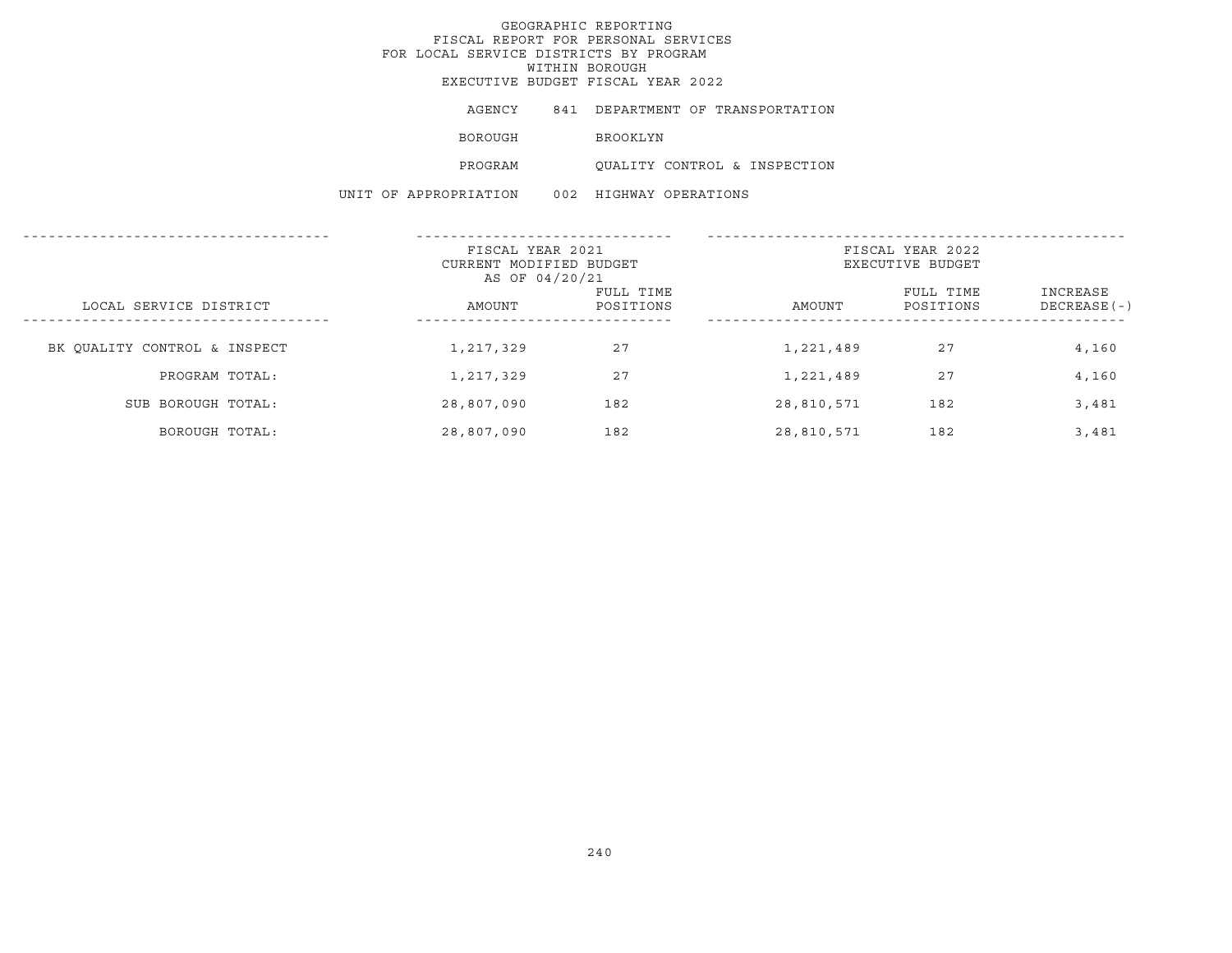AGENCY 841 DEPARTMENT OF TRANSPORTATION

BOROUGH BROOKLYN

PROGRAM QUALITY CONTROL & INSPECTION

UNIT OF APPROPRIATION 002 HIGHWAY OPERATIONS

|                              | FISCAL YEAR 2021<br>CURRENT MODIFIED BUDGET<br>AS OF 04/20/21 |                        |            | FISCAL YEAR 2022<br>EXECUTIVE BUDGET |                           |
|------------------------------|---------------------------------------------------------------|------------------------|------------|--------------------------------------|---------------------------|
| LOCAL SERVICE DISTRICT       | AMOUNT                                                        | FULL TIME<br>POSITIONS | AMOUNT     | FULL TIME<br>POSITIONS               | INCREASE<br>$DECREASE(-)$ |
| BK OUALITY CONTROL & INSPECT | 1,217,329                                                     | 27                     | 1,221,489  | 27                                   | 4,160                     |
| PROGRAM TOTAL:               | 1,217,329                                                     | 27                     | 1,221,489  | 27                                   | 4,160                     |
| SUB BOROUGH TOTAL:           | 28,807,090                                                    | 182                    | 28,810,571 | 182                                  | 3,481                     |
| BOROUGH TOTAL:               | 28,807,090                                                    | 182                    | 28,810,571 | 182                                  | 3,481                     |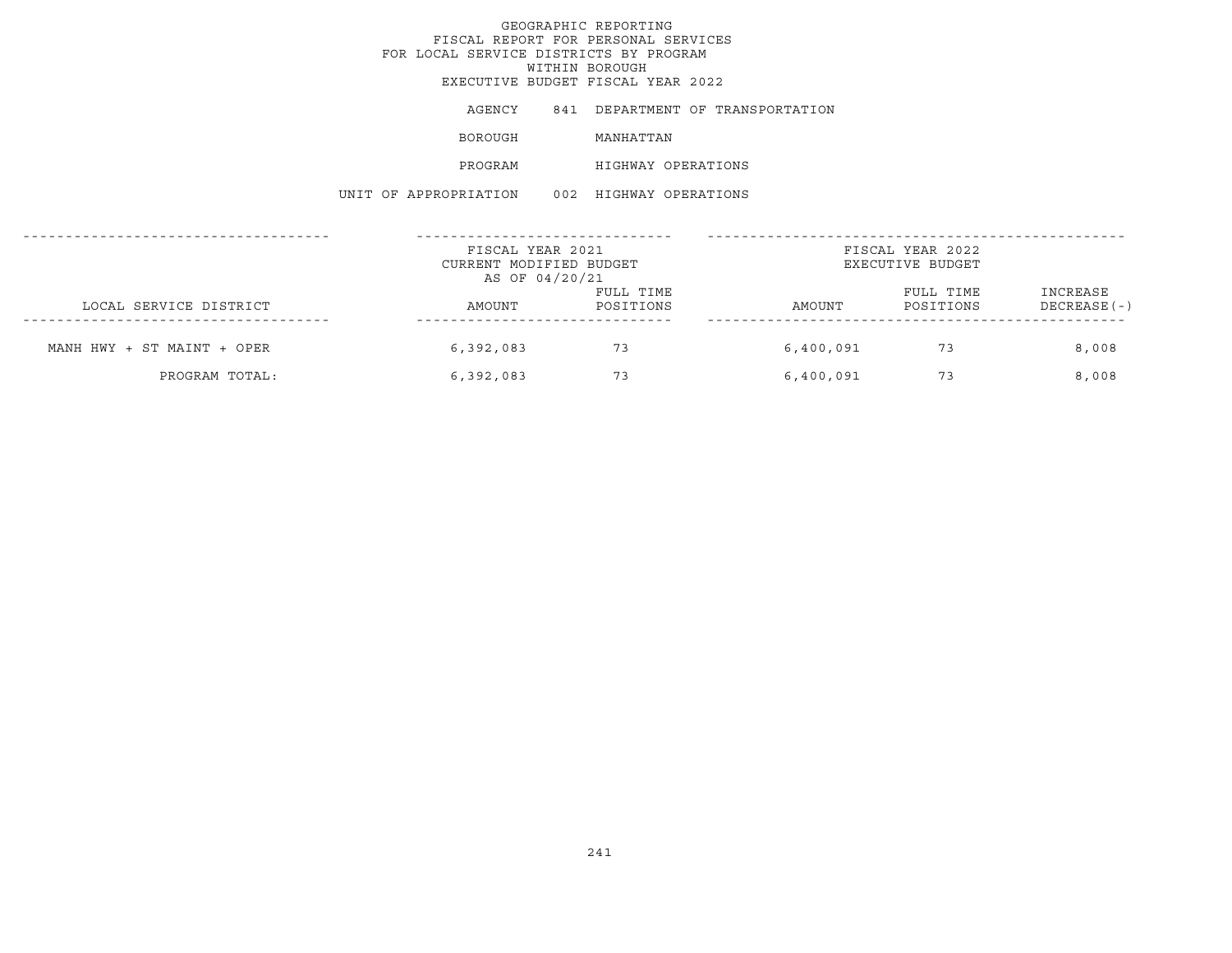AGENCY 841 DEPARTMENT OF TRANSPORTATION BOROUGH MANHATTAN PROGRAM HIGHWAY OPERATIONS UNIT OF APPROPRIATION 002 HIGHWAY OPERATIONS

|                            | FISCAL YEAR 2021<br>CURRENT MODIFIED BUDGET<br>AS OF 04/20/21 |                        | FISCAL YEAR 2022<br>EXECUTIVE BUDGET |                        |                           |  |
|----------------------------|---------------------------------------------------------------|------------------------|--------------------------------------|------------------------|---------------------------|--|
| LOCAL SERVICE DISTRICT     | AMOUNT                                                        | FULL TIME<br>POSITIONS | AMOUNT                               | FULL TIME<br>POSITIONS | INCREASE<br>$DECREASE(-)$ |  |
| MANH HWY + ST MAINT + OPER | 6,392,083                                                     | 73                     | 6,400,091                            | 73                     | 8,008                     |  |
| PROGRAM TOTAL:             | 6,392,083                                                     | 73                     | 6,400,091                            | 73                     | 8,008                     |  |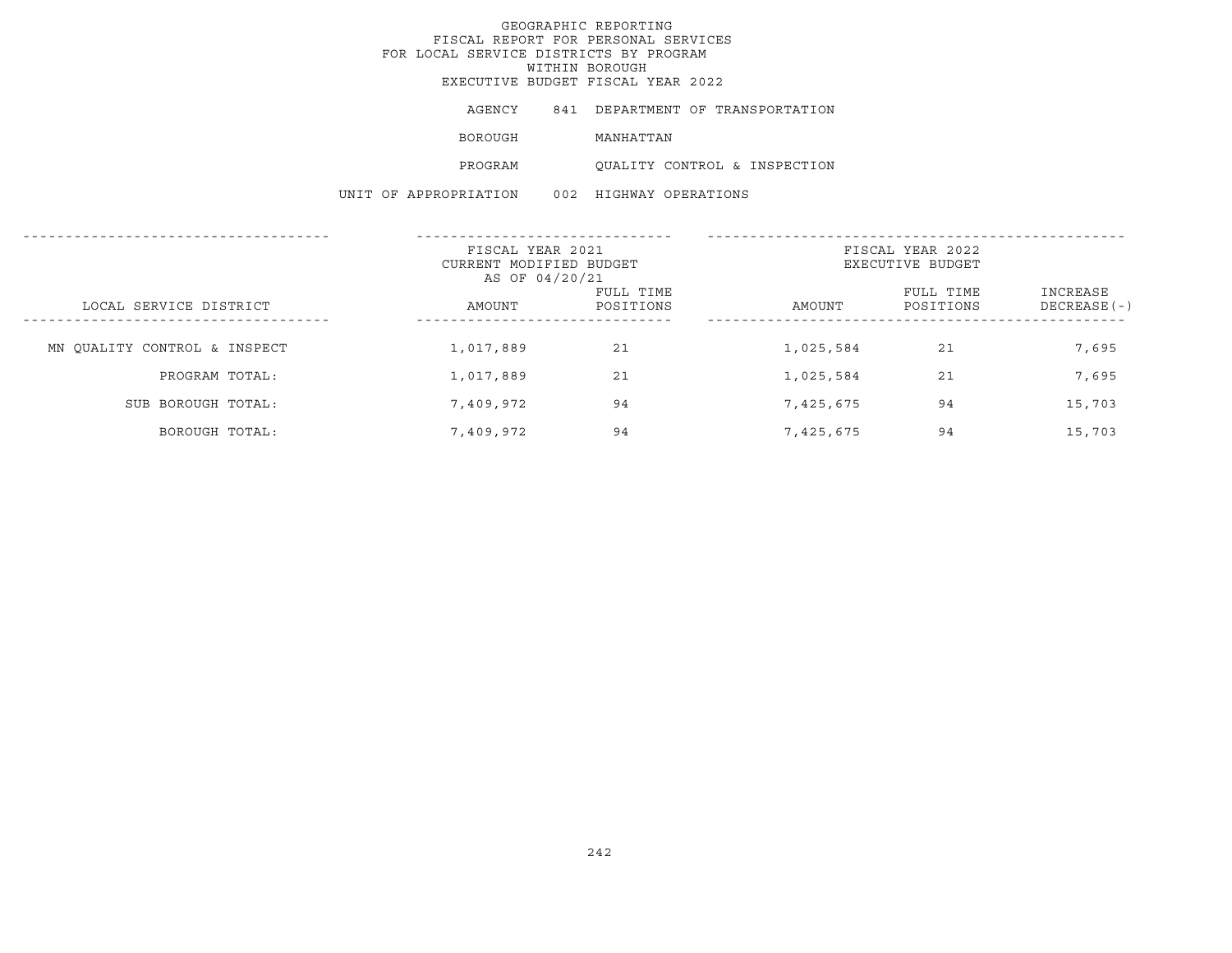# GEOGRAPHIC REPORTING FISCAL REPORT FOR PERSONAL SERVICES FOR LOCAL SERVICE DISTRICTS BY PROGRAM WITHIN BOROUGH

EXECUTIVE BUDGET FISCAL YEAR 2022

AGENCY 841 DEPARTMENT OF TRANSPORTATION

BOROUGH MANHATTAN

PROGRAM QUALITY CONTROL & INSPECTION

UNIT OF APPROPRIATION 002 HIGHWAY OPERATIONS

|                              | FISCAL YEAR 2021<br>CURRENT MODIFIED BUDGET<br>AS OF 04/20/21 |                        | FISCAL YEAR 2022<br>EXECUTIVE BUDGET |                        |                           |  |
|------------------------------|---------------------------------------------------------------|------------------------|--------------------------------------|------------------------|---------------------------|--|
| LOCAL SERVICE DISTRICT       | AMOUNT                                                        | FULL TIME<br>POSITIONS | AMOUNT                               | FULL TIME<br>POSITIONS | INCREASE<br>$DECREASE(-)$ |  |
| MN OUALITY CONTROL & INSPECT | 1,017,889                                                     | 21                     | 1,025,584                            | 21                     | 7,695                     |  |
| PROGRAM TOTAL:               | 1,017,889                                                     | 21                     | 1,025,584                            | 21                     | 7,695                     |  |
| SUB BOROUGH TOTAL:           | 7,409,972                                                     | 94                     | 7,425,675                            | 94                     | 15,703                    |  |
| BOROUGH TOTAL:               | 7,409,972                                                     | 94                     | 7,425,675                            | 94                     | 15,703                    |  |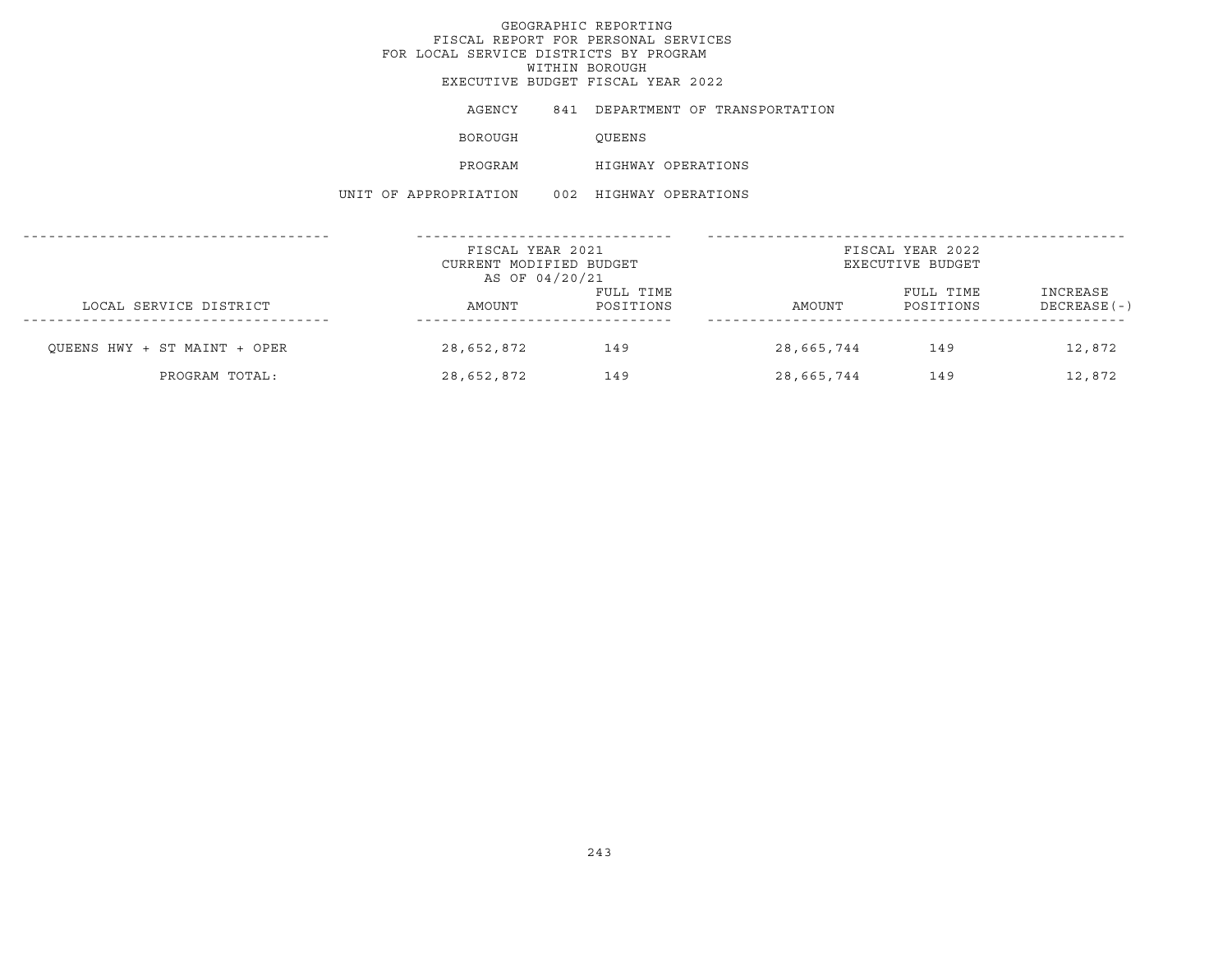AGENCY 841 DEPARTMENT OF TRANSPORTATION BOROUGH QUEENS PROGRAM HIGHWAY OPERATIONS UNIT OF APPROPRIATION 002 HIGHWAY OPERATIONS

|                              | FISCAL YEAR 2021<br>CURRENT MODIFIED BUDGET<br>AS OF 04/20/21 |                        | FISCAL YEAR 2022<br>EXECUTIVE BUDGET |                        |                          |  |
|------------------------------|---------------------------------------------------------------|------------------------|--------------------------------------|------------------------|--------------------------|--|
| LOCAL SERVICE DISTRICT       | AMOUNT                                                        | FULL TIME<br>POSITIONS | AMOUNT                               | FULL TIME<br>POSITIONS | INCREASE<br>DECREASE (-) |  |
| OUEENS HWY + ST MAINT + OPER | 28,652,872                                                    | 149                    | 28,665,744                           | 149                    | 12,872                   |  |
| PROGRAM TOTAL:               | 28,652,872                                                    | 149                    | 28,665,744                           | 149                    | 12,872                   |  |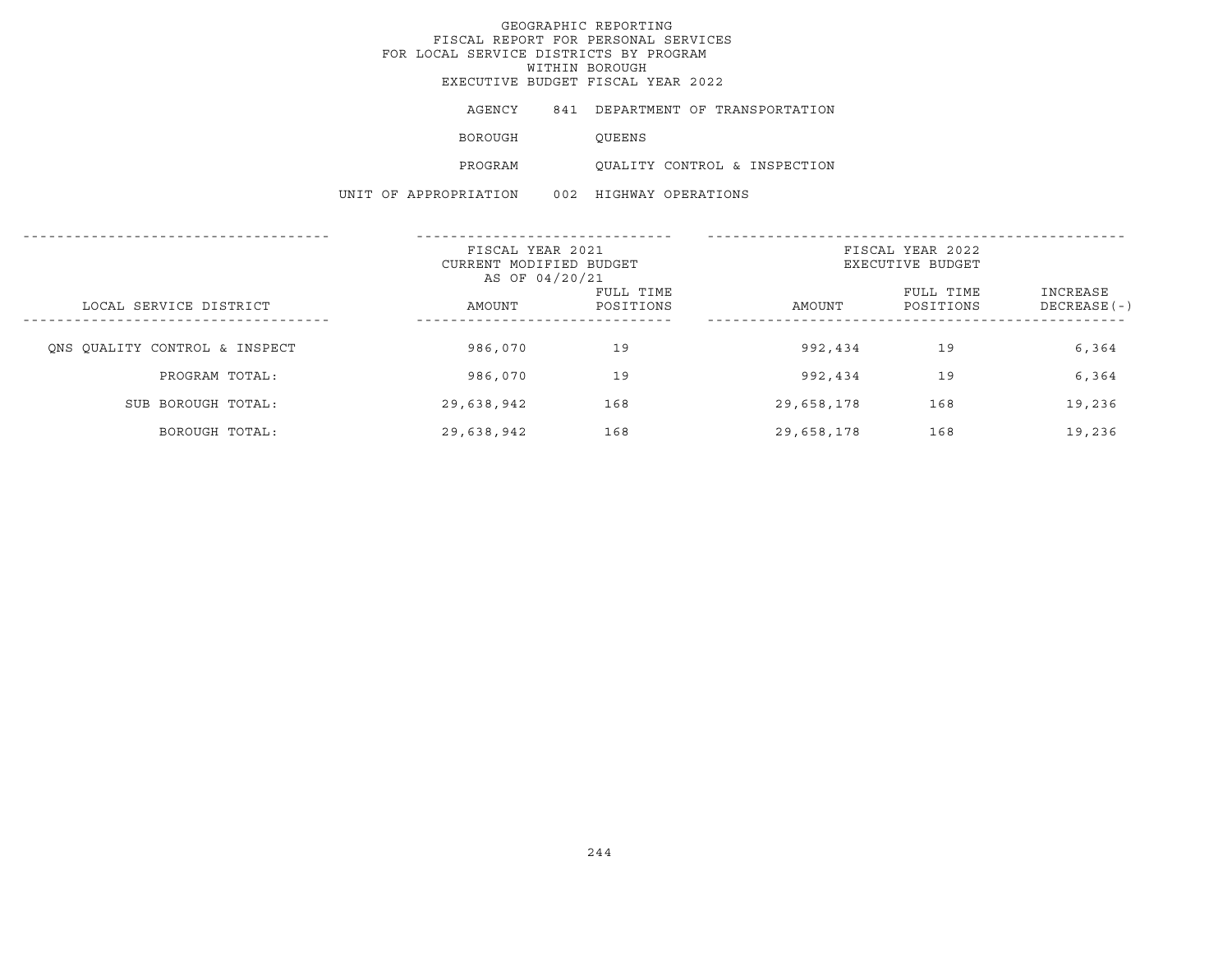# GEOGRAPHIC REPORTING FISCAL REPORT FOR PERSONAL SERVICES FOR LOCAL SERVICE DISTRICTS BY PROGRAM WITHIN BOROUGH

EXECUTIVE BUDGET FISCAL YEAR 2022

AGENCY 841 DEPARTMENT OF TRANSPORTATION

BOROUGH QUEENS

PROGRAM QUALITY CONTROL & INSPECTION

UNIT OF APPROPRIATION 002 HIGHWAY OPERATIONS

|                               | FISCAL YEAR 2021<br>CURRENT MODIFIED BUDGET<br>AS OF 04/20/21 |                        | FISCAL YEAR 2022<br>EXECUTIVE BUDGET |                        |                           |  |
|-------------------------------|---------------------------------------------------------------|------------------------|--------------------------------------|------------------------|---------------------------|--|
| LOCAL SERVICE DISTRICT        | AMOUNT                                                        | FULL TIME<br>POSITIONS | AMOUNT                               | FULL TIME<br>POSITIONS | INCREASE<br>$DECREASE(-)$ |  |
| ONS OUALITY CONTROL & INSPECT | 986,070                                                       | 19                     | 992,434                              | 19                     | 6,364                     |  |
| PROGRAM TOTAL:                | 986,070                                                       | 19                     | 992,434                              | 19                     | 6,364                     |  |
| SUB BOROUGH TOTAL:            | 29,638,942                                                    | 168                    | 29,658,178                           | 168                    | 19,236                    |  |
| BOROUGH TOTAL:                | 29,638,942                                                    | 168                    | 29,658,178                           | 168                    | 19,236                    |  |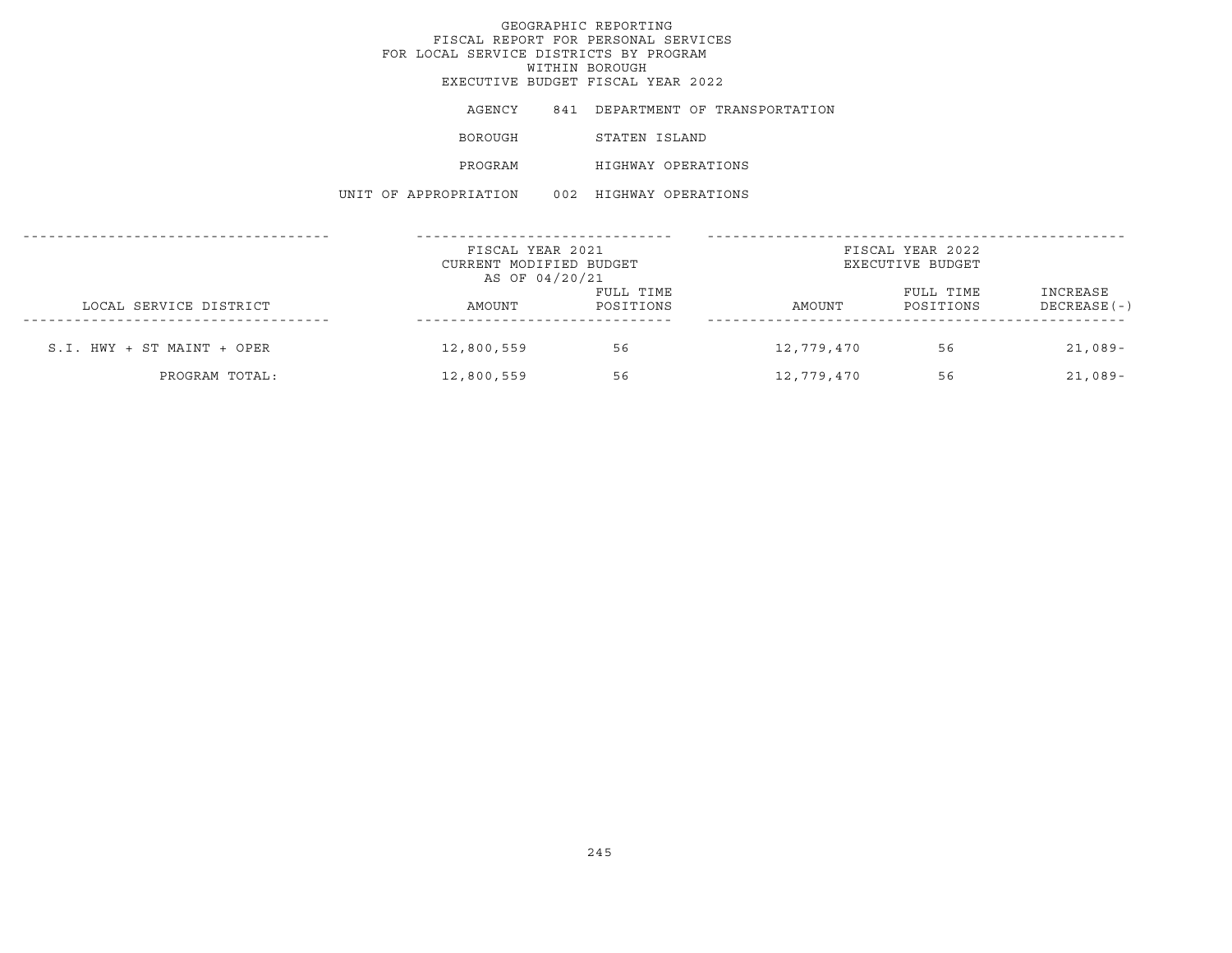| AGENCY                | 841 DEPARTMENT OF TRANSPORTATION |
|-----------------------|----------------------------------|
| BOROUGH               | STATEN ISLAND                    |
| PROGRAM               | HIGHWAY OPERATIONS               |
| UNIT OF APPROPRIATION | 002 HIGHWAY OPERATIONS           |

|                              | FISCAL YEAR 2021<br>CURRENT MODIFIED BUDGET<br>AS OF 04/20/21 |                        | FISCAL YEAR 2022<br>EXECUTIVE BUDGET |                        |                          |
|------------------------------|---------------------------------------------------------------|------------------------|--------------------------------------|------------------------|--------------------------|
| LOCAL SERVICE DISTRICT       | AMOUNT                                                        | FULL TIME<br>POSITIONS | AMOUNT                               | FULL TIME<br>POSITIONS | INCREASE<br>DECREASE (-) |
| $S.I. HWY + ST MAINT + OPER$ | 12,800,559                                                    | 56                     | 12,779,470                           | 56                     | $21,089-$                |
| PROGRAM TOTAL:               | 12,800,559                                                    | 56                     | 12,779,470                           | 56                     | $21,089-$                |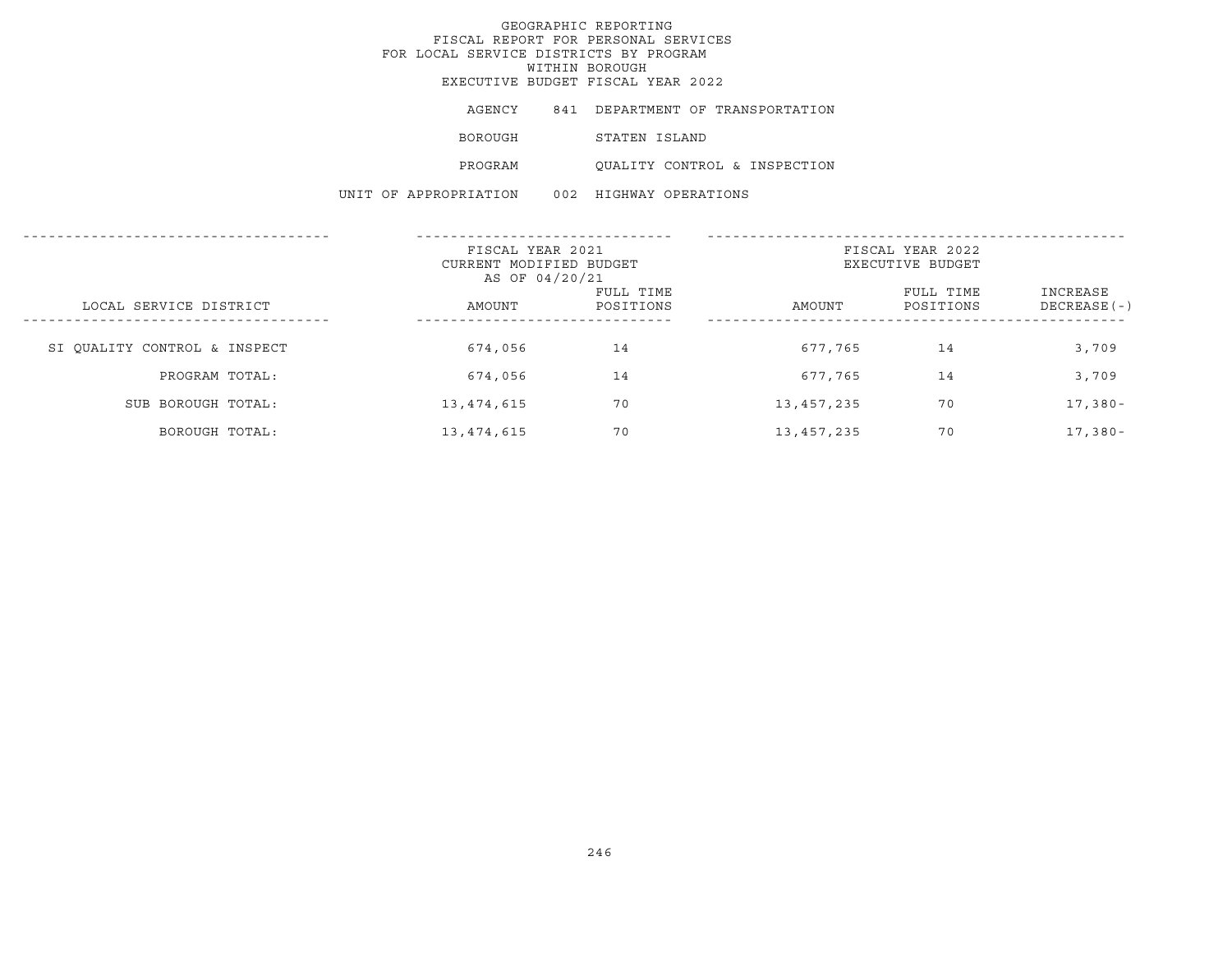| AGENCY                | 841 DEPARTMENT OF TRANSPORTATION |
|-----------------------|----------------------------------|
| BOROUGH               | STATEN ISLAND                    |
| PROGRAM               | OUALITY CONTROL & INSPECTION     |
| UNIT OF APPROPRIATION | 002 HIGHWAY OPERATIONS           |

|                              | FISCAL YEAR 2021<br>CURRENT MODIFIED BUDGET<br>AS OF 04/20/21 |                        | FISCAL YEAR 2022<br>EXECUTIVE BUDGET |                        |                           |  |
|------------------------------|---------------------------------------------------------------|------------------------|--------------------------------------|------------------------|---------------------------|--|
| LOCAL SERVICE DISTRICT       | AMOUNT                                                        | FULL TIME<br>POSITIONS | AMOUNT                               | FULL TIME<br>POSITIONS | INCREASE<br>$DECREASE(-)$ |  |
| SI QUALITY CONTROL & INSPECT | 674,056                                                       | 14                     | 677,765                              | 14                     | 3,709                     |  |
| PROGRAM TOTAL:               | 674,056                                                       | 14                     | 677,765                              | 14                     | 3,709                     |  |
| SUB BOROUGH TOTAL:           | 13, 474, 615                                                  | 70                     | 13,457,235                           | 70                     | $17,380-$                 |  |
| BOROUGH TOTAL:               | 13,474,615                                                    | 70                     | 13,457,235                           | 70                     | $17,380-$                 |  |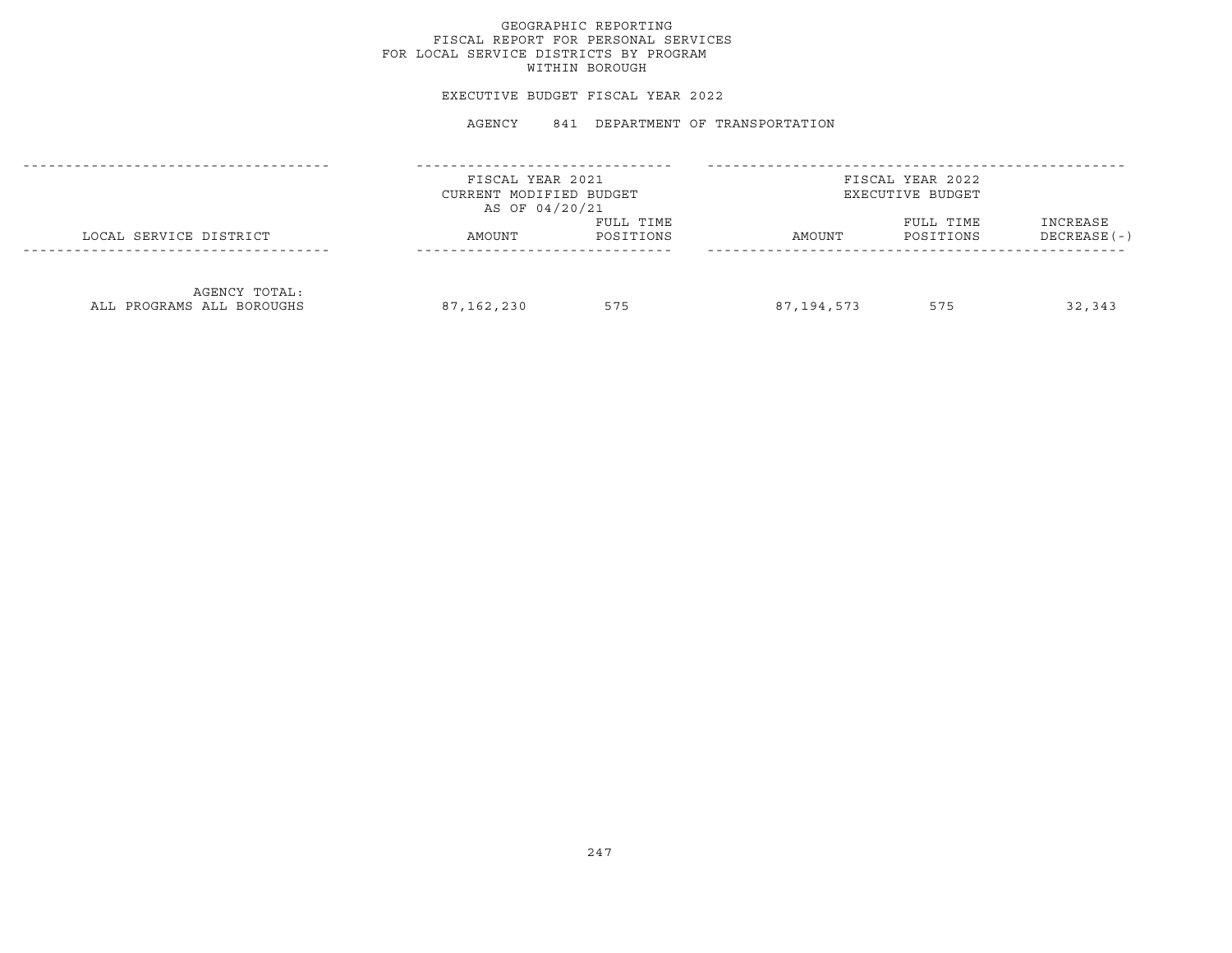## GEOGRAPHIC REPORTING FISCAL REPORT FOR PERSONAL SERVICES FOR LOCAL SERVICE DISTRICTS BY PROGRAM WITHIN BOROUGH

#### EXECUTIVE BUDGET FISCAL YEAR 2022

#### AGENCY 841 DEPARTMENT OF TRANSPORTATION

|                                            | FISCAL YEAR 2021<br>CURRENT MODIFIED BUDGET<br>AS OF 04/20/21 |                        |            | FISCAL YEAR 2022<br>EXECUTIVE BUDGET |                           |
|--------------------------------------------|---------------------------------------------------------------|------------------------|------------|--------------------------------------|---------------------------|
| LOCAL SERVICE DISTRICT                     | AMOUNT                                                        | FULL TIME<br>POSITIONS | AMOUNT     | FULL TIME<br>POSITIONS               | INCREASE<br>$DECREASE(-)$ |
| AGENCY TOTAL:<br>ALL PROGRAMS ALL BOROUGHS | 87,162,230                                                    | 575                    | 87,194,573 | 575                                  | 32,343                    |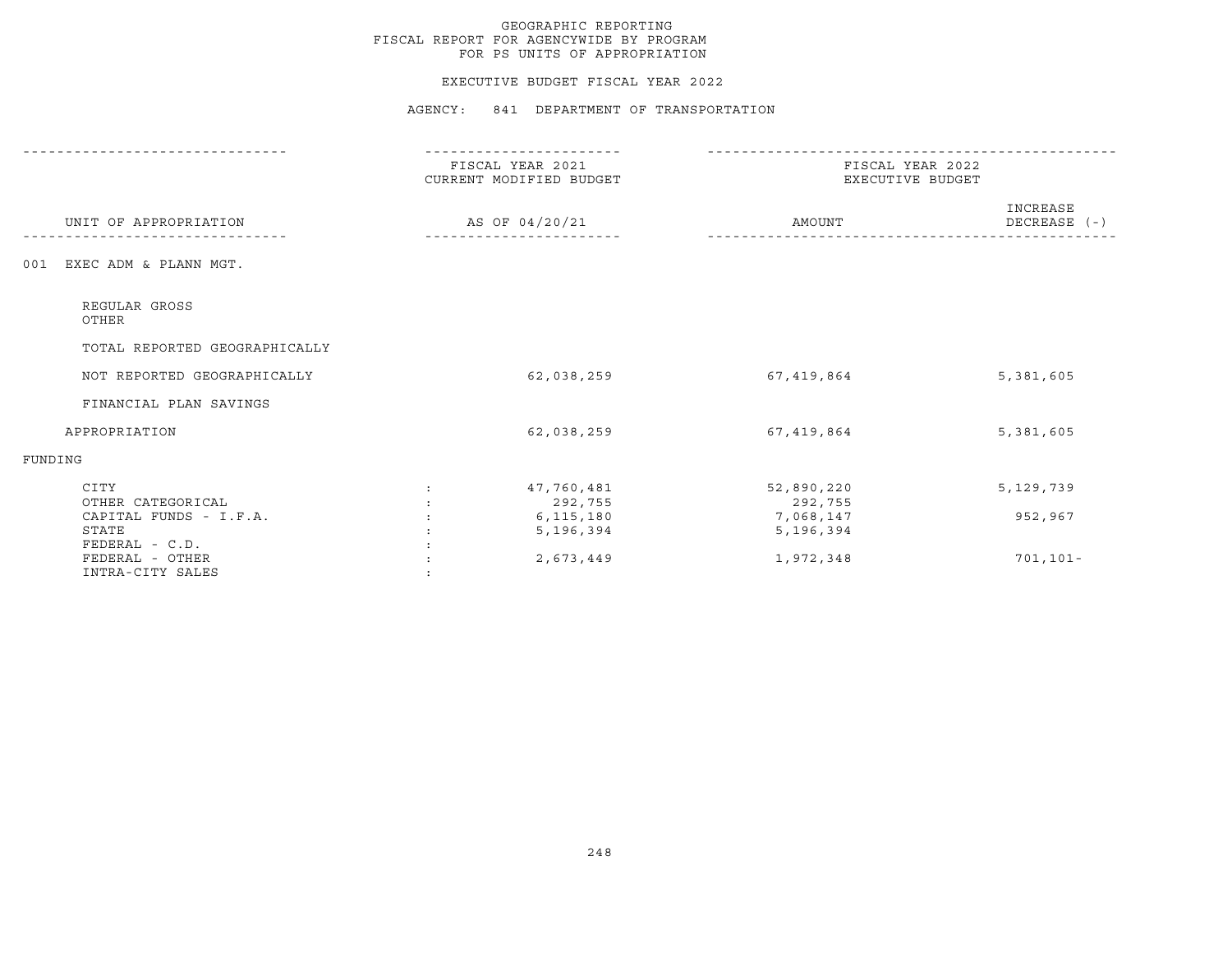#### EXECUTIVE BUDGET FISCAL YEAR 2022

AGENCY: 841 DEPARTMENT OF TRANSPORTATION

|                                                       | FISCAL YEAR 2021<br>CURRENT MODIFIED BUDGET | FISCAL YEAR 2022<br>EXECUTIVE BUDGET |                          |  |
|-------------------------------------------------------|---------------------------------------------|--------------------------------------|--------------------------|--|
| UNIT OF APPROPRIATION                                 | AS OF 04/20/21                              | AMOUNT                               | INCREASE<br>DECREASE (-) |  |
| EXEC ADM & PLANN MGT.<br>001                          |                                             |                                      |                          |  |
| REGULAR GROSS<br>OTHER                                |                                             |                                      |                          |  |
| TOTAL REPORTED GEOGRAPHICALLY                         |                                             |                                      |                          |  |
| NOT REPORTED GEOGRAPHICALLY                           | 62,038,259                                  | 67,419,864                           | 5,381,605                |  |
| FINANCIAL PLAN SAVINGS                                |                                             |                                      |                          |  |
| APPROPRIATION                                         | 62,038,259                                  | 67,419,864                           | 5,381,605                |  |
| FUNDING                                               |                                             |                                      |                          |  |
| CITY<br>OTHER CATEGORICAL                             | 47,760,481<br>292,755                       | 52,890,220<br>292,755                | 5,129,739                |  |
| CAPITAL FUNDS - I.F.A.<br>STATE                       | 6, 115, 180<br>5,196,394                    | 7,068,147<br>5,196,394               | 952,967                  |  |
| FEDERAL - C.D.<br>FEDERAL - OTHER<br>INTRA-CITY SALES | 2,673,449                                   | 1,972,348                            | $701, 101 -$             |  |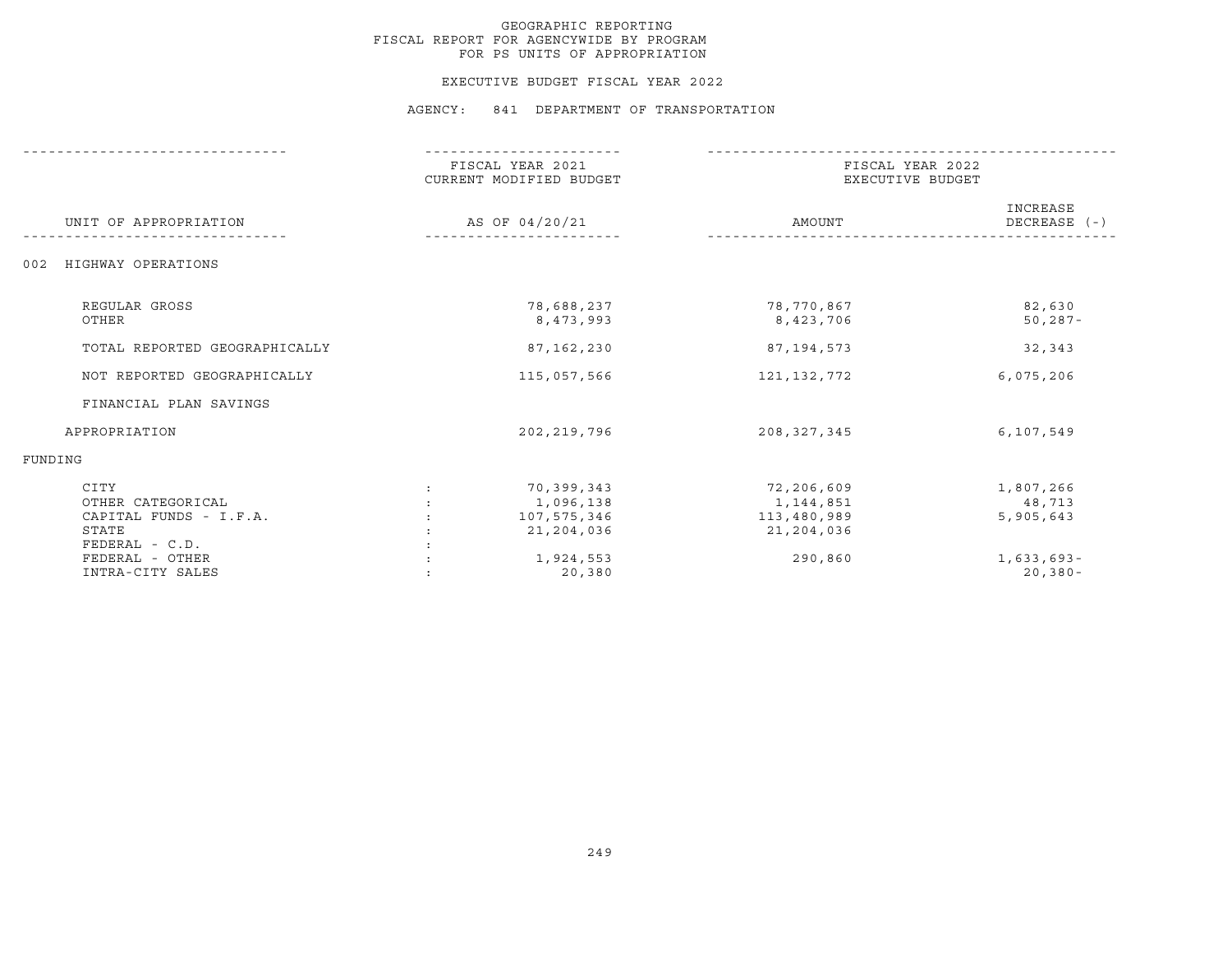#### EXECUTIVE BUDGET FISCAL YEAR 2022

|                                                                                | FISCAL YEAR 2021<br>CURRENT MODIFIED BUDGET          | FISCAL YEAR 2022<br>EXECUTIVE BUDGET                 |                                  |  |
|--------------------------------------------------------------------------------|------------------------------------------------------|------------------------------------------------------|----------------------------------|--|
| UNIT OF APPROPRIATION                                                          | AS OF 04/20/21                                       | AMOUNT                                               | INCREASE<br>DECREASE $(-)$       |  |
| HIGHWAY OPERATIONS<br>002                                                      |                                                      |                                                      |                                  |  |
| REGULAR GROSS<br>OTHER                                                         | 78,688,237<br>8,473,993                              | 78,770,867<br>8,423,706                              | 82,630<br>$50, 287 -$            |  |
| TOTAL REPORTED GEOGRAPHICALLY                                                  | 87,162,230                                           | 87,194,573                                           | 32,343                           |  |
| NOT REPORTED GEOGRAPHICALLY                                                    | 115,057,566                                          | 121, 132, 772                                        | 6,075,206                        |  |
| FINANCIAL PLAN SAVINGS                                                         |                                                      |                                                      |                                  |  |
| APPROPRIATION                                                                  | 202, 219, 796                                        | 208, 327, 345                                        | 6,107,549                        |  |
| FUNDING                                                                        |                                                      |                                                      |                                  |  |
| CITY<br>OTHER CATEGORICAL<br>CAPITAL FUNDS - I.F.A.<br>STATE<br>FEDERAL - C.D. | 70,399,343<br>1,096,138<br>107,575,346<br>21,204,036 | 72,206,609<br>1,144,851<br>113,480,989<br>21,204,036 | 1,807,266<br>48,713<br>5,905,643 |  |
| FEDERAL - OTHER<br>INTRA-CITY SALES                                            | 1,924,553<br>20,380                                  | 290,860                                              | $1,633,693-$<br>$20, 380 -$      |  |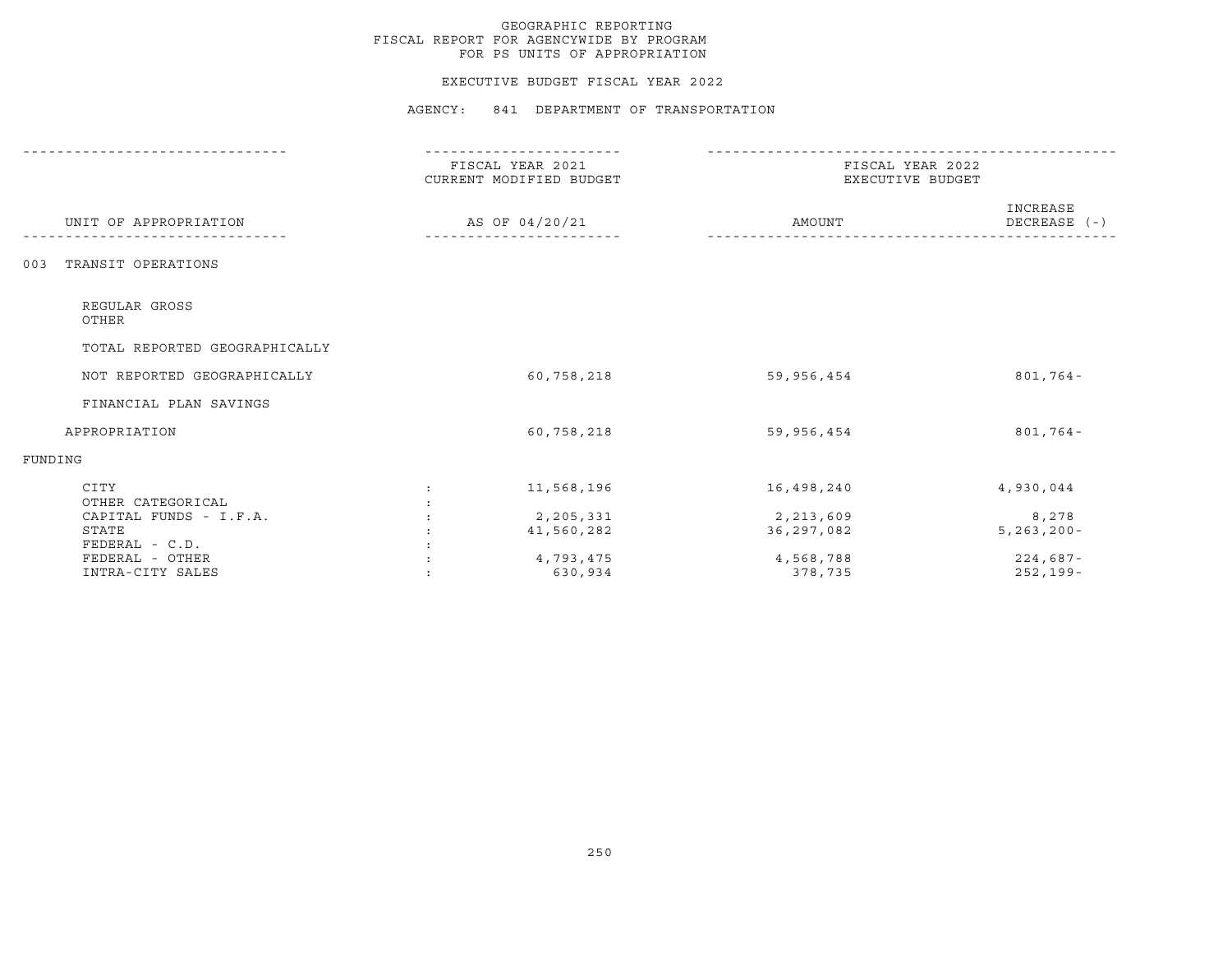#### EXECUTIVE BUDGET FISCAL YEAR 2022

|                               | FISCAL YEAR 2021<br>CURRENT MODIFIED BUDGET |            | FISCAL YEAR 2022<br>EXECUTIVE BUDGET |  |  |
|-------------------------------|---------------------------------------------|------------|--------------------------------------|--|--|
| UNIT OF APPROPRIATION         | AS OF 04/20/21                              | AMOUNT     | INCREASE<br>DECREASE (-)             |  |  |
| TRANSIT OPERATIONS<br>003     |                                             |            |                                      |  |  |
| REGULAR GROSS<br>OTHER        |                                             |            |                                      |  |  |
| TOTAL REPORTED GEOGRAPHICALLY |                                             |            |                                      |  |  |
| NOT REPORTED GEOGRAPHICALLY   | 60,758,218                                  | 59,956,454 | $801,764-$                           |  |  |
| FINANCIAL PLAN SAVINGS        |                                             |            |                                      |  |  |
| APPROPRIATION                 | 60,758,218                                  | 59,956,454 | $801,764-$                           |  |  |
| FUNDING                       |                                             |            |                                      |  |  |
| CITY<br>OTHER CATEGORICAL     | 11,568,196<br>$\mathcal{L}$                 | 16,498,240 | 4,930,044                            |  |  |
| CAPITAL FUNDS - I.F.A.        | 2,205,331                                   | 2,213,609  | 8,278                                |  |  |
| STATE                         | 41,560,282                                  | 36,297,082 | $5, 263, 200 -$                      |  |  |
| FEDERAL - C.D.                |                                             |            |                                      |  |  |
| FEDERAL - OTHER               | 4,793,475                                   | 4,568,788  | $224,687-$                           |  |  |
| INTRA-CITY SALES              | 630,934                                     | 378,735    | $252, 199 -$                         |  |  |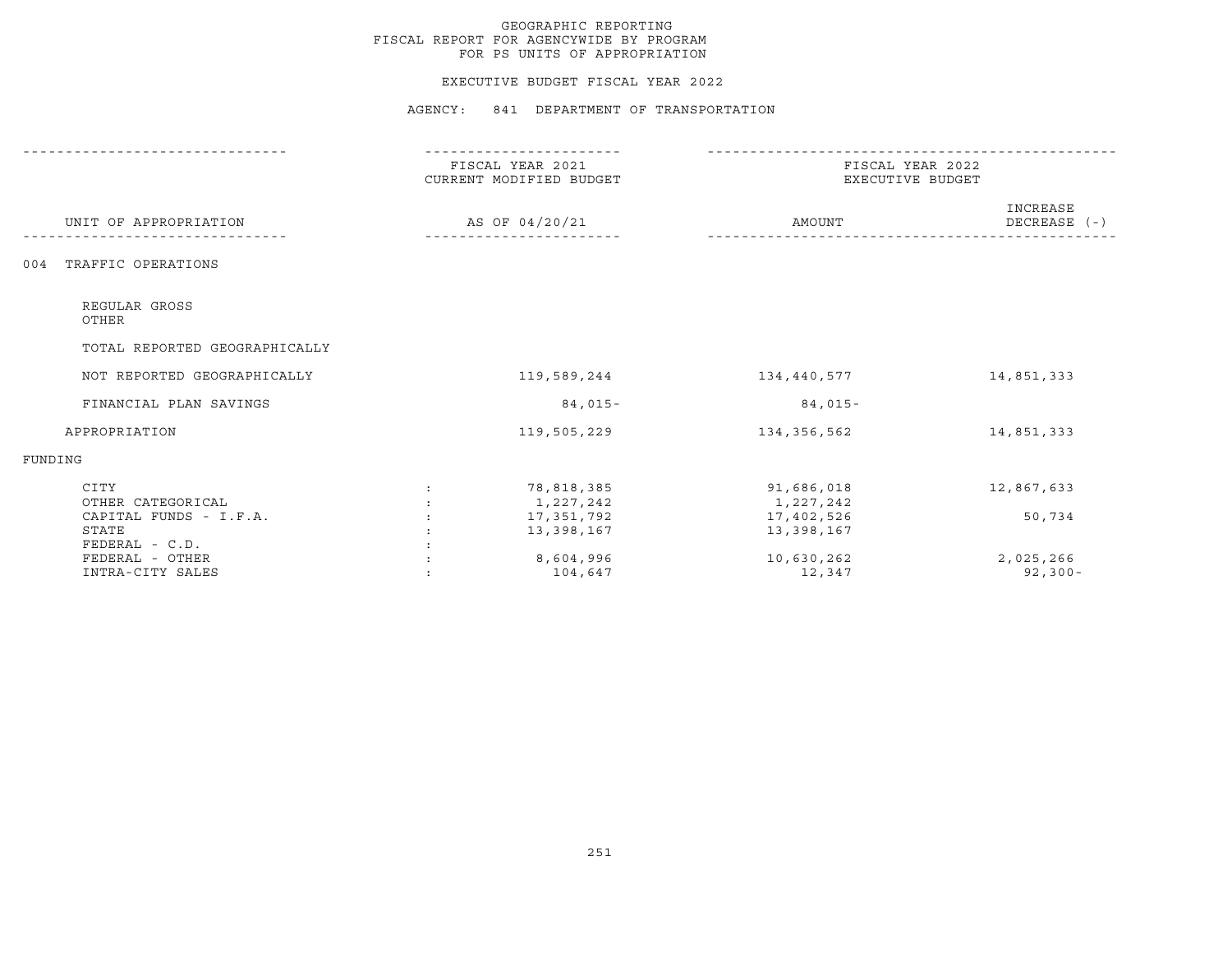#### EXECUTIVE BUDGET FISCAL YEAR 2022

|                                                     |                                        | FISCAL YEAR 2021<br>CURRENT MODIFIED BUDGET | FISCAL YEAR 2022<br>EXECUTIVE BUDGET  |                          |  |
|-----------------------------------------------------|----------------------------------------|---------------------------------------------|---------------------------------------|--------------------------|--|
| UNIT OF APPROPRIATION                               | AS OF 04/20/21                         |                                             | AMOUNT                                | INCREASE<br>DECREASE (-) |  |
| TRAFFIC OPERATIONS<br>004                           |                                        |                                             |                                       |                          |  |
| REGULAR GROSS<br>OTHER                              |                                        |                                             |                                       |                          |  |
| TOTAL REPORTED GEOGRAPHICALLY                       |                                        |                                             |                                       |                          |  |
| NOT REPORTED GEOGRAPHICALLY                         |                                        | 119,589,244                                 | 134,440,577                           | 14,851,333               |  |
| FINANCIAL PLAN SAVINGS                              |                                        | $84,015-$                                   | $84,015-$                             |                          |  |
| APPROPRIATION                                       |                                        | 119,505,229                                 | 134,356,562                           | 14,851,333               |  |
| FUNDING                                             |                                        |                                             |                                       |                          |  |
| CITY<br>OTHER CATEGORICAL<br>CAPITAL FUNDS - I.F.A. | $\ddot{\cdot}$<br>$\ddot{\phantom{a}}$ | 78,818,385<br>1,227,242<br>17,351,792       | 91,686,018<br>1,227,242<br>17,402,526 | 12,867,633<br>50,734     |  |
| STATE<br>FEDERAL - C.D.<br>FEDERAL - OTHER          |                                        | 13,398,167<br>8,604,996                     | 13,398,167<br>10,630,262              | 2,025,266                |  |
| INTRA-CITY SALES                                    |                                        | 104,647                                     | 12,347                                | $92, 300 -$              |  |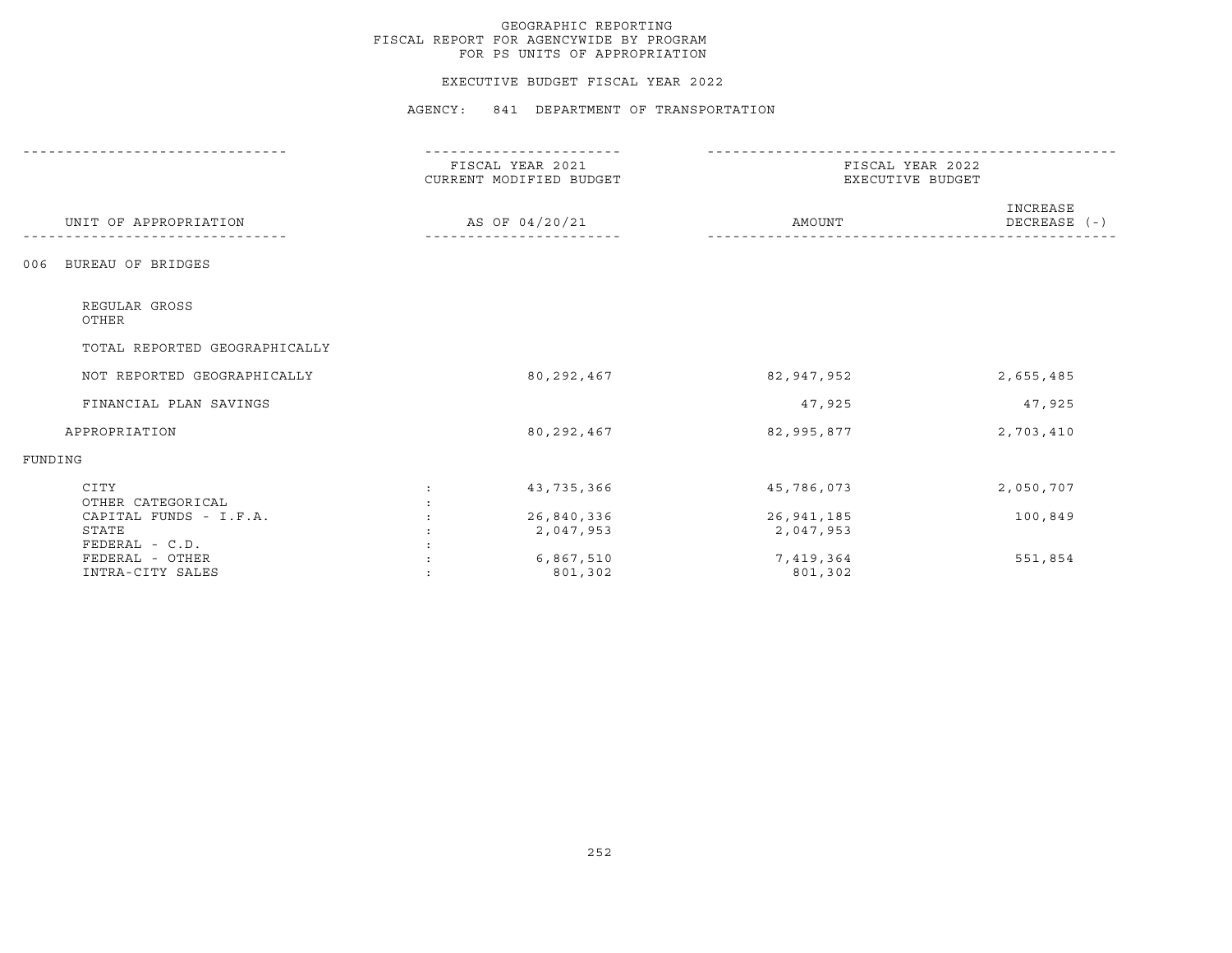#### EXECUTIVE BUDGET FISCAL YEAR 2022

|                               | ----------                                  |              |                                      |  |  |
|-------------------------------|---------------------------------------------|--------------|--------------------------------------|--|--|
|                               | FISCAL YEAR 2021<br>CURRENT MODIFIED BUDGET |              | FISCAL YEAR 2022<br>EXECUTIVE BUDGET |  |  |
| UNIT OF APPROPRIATION         | AS OF 04/20/21                              | AMOUNT       | INCREASE<br>DECREASE $(-)$           |  |  |
| BUREAU OF BRIDGES<br>006      |                                             |              |                                      |  |  |
| REGULAR GROSS<br>OTHER        |                                             |              |                                      |  |  |
| TOTAL REPORTED GEOGRAPHICALLY |                                             |              |                                      |  |  |
| NOT REPORTED GEOGRAPHICALLY   | 80,292,467                                  | 82,947,952   | 2,655,485                            |  |  |
| FINANCIAL PLAN SAVINGS        |                                             | 47,925       | 47,925                               |  |  |
| APPROPRIATION                 | 80, 292, 467                                | 82,995,877   | 2,703,410                            |  |  |
| FUNDING                       |                                             |              |                                      |  |  |
| CITY<br>OTHER CATEGORICAL     | 43,735,366                                  | 45,786,073   | 2,050,707                            |  |  |
| CAPITAL FUNDS - I.F.A.        | 26,840,336                                  | 26, 941, 185 | 100,849                              |  |  |
| STATE                         | 2,047,953                                   | 2,047,953    |                                      |  |  |
| FEDERAL - C.D.                |                                             |              |                                      |  |  |
| FEDERAL - OTHER               | 6,867,510                                   | 7,419,364    | 551,854                              |  |  |
| INTRA-CITY SALES              | 801,302                                     | 801,302      |                                      |  |  |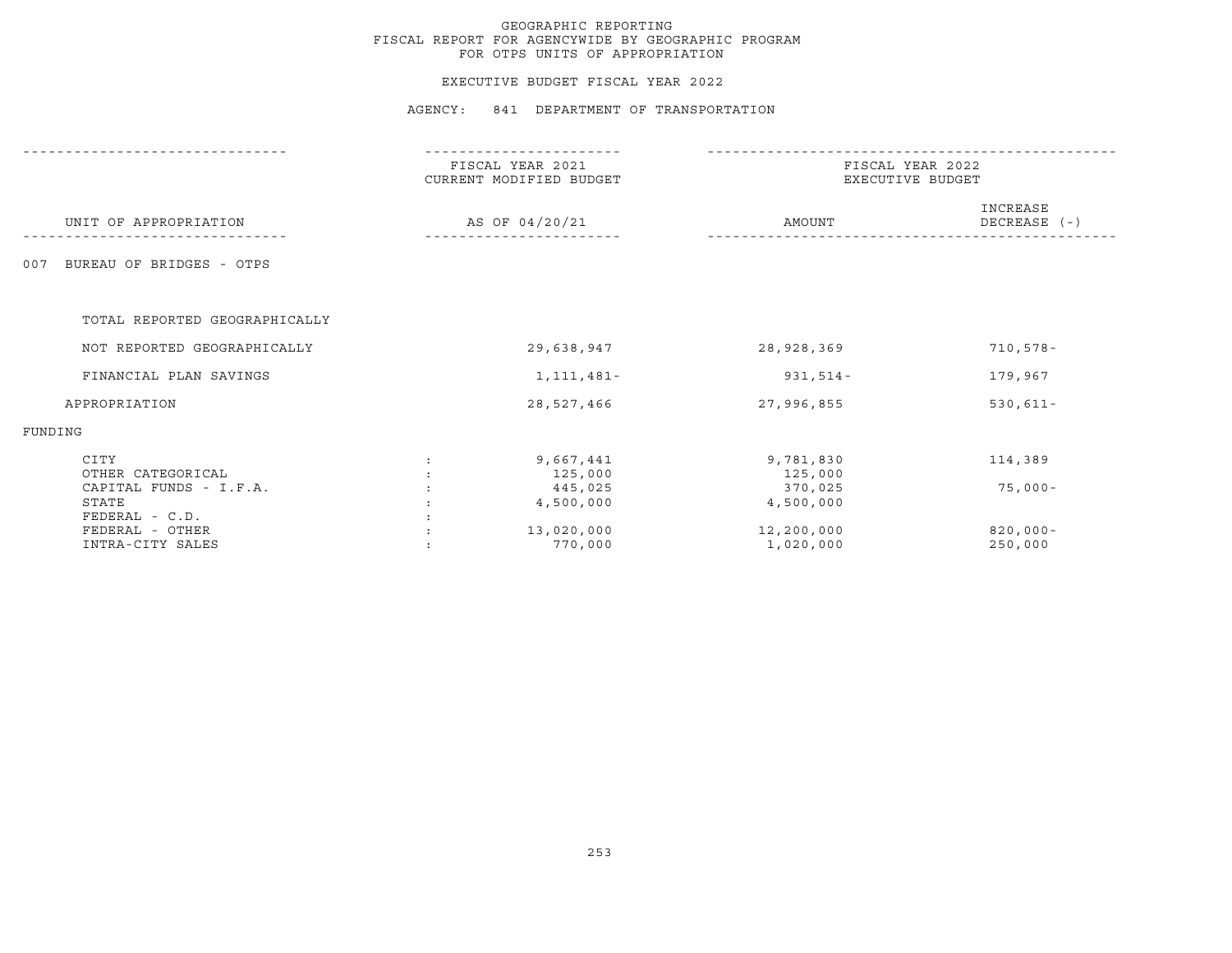### EXECUTIVE BUDGET FISCAL YEAR 2022

|                                                     |                | -------------                               |                                      |                          |  |
|-----------------------------------------------------|----------------|---------------------------------------------|--------------------------------------|--------------------------|--|
|                                                     |                | FISCAL YEAR 2021<br>CURRENT MODIFIED BUDGET | FISCAL YEAR 2022<br>EXECUTIVE BUDGET |                          |  |
| UNIT OF APPROPRIATION                               |                | AS OF 04/20/21                              | AMOUNT                               | INCREASE<br>DECREASE (-) |  |
| BUREAU OF BRIDGES - OTPS<br>007                     |                |                                             |                                      |                          |  |
| TOTAL REPORTED GEOGRAPHICALLY                       |                |                                             |                                      |                          |  |
| NOT REPORTED GEOGRAPHICALLY                         |                | 29,638,947                                  | 28,928,369                           | $710, 578 -$             |  |
| FINANCIAL PLAN SAVINGS                              |                | 1, 111, 481-                                | $931,514-$                           | 179,967                  |  |
| APPROPRIATION                                       |                | 28,527,466                                  | 27,996,855                           | $530, 611 -$             |  |
| FUNDING                                             |                |                                             |                                      |                          |  |
| CITY<br>OTHER CATEGORICAL                           | $\ddot{\cdot}$ | 9,667,441<br>125,000                        | 9,781,830<br>125,000                 | 114,389                  |  |
| CAPITAL FUNDS - I.F.A.<br>STATE<br>$FEDERAL - C.D.$ |                | 445,025<br>4,500,000                        | 370,025<br>4,500,000                 | $75,000-$                |  |
| FEDERAL - OTHER<br>INTRA-CITY SALES                 |                | 13,020,000<br>770,000                       | 12,200,000<br>1,020,000              | $820,000 -$<br>250,000   |  |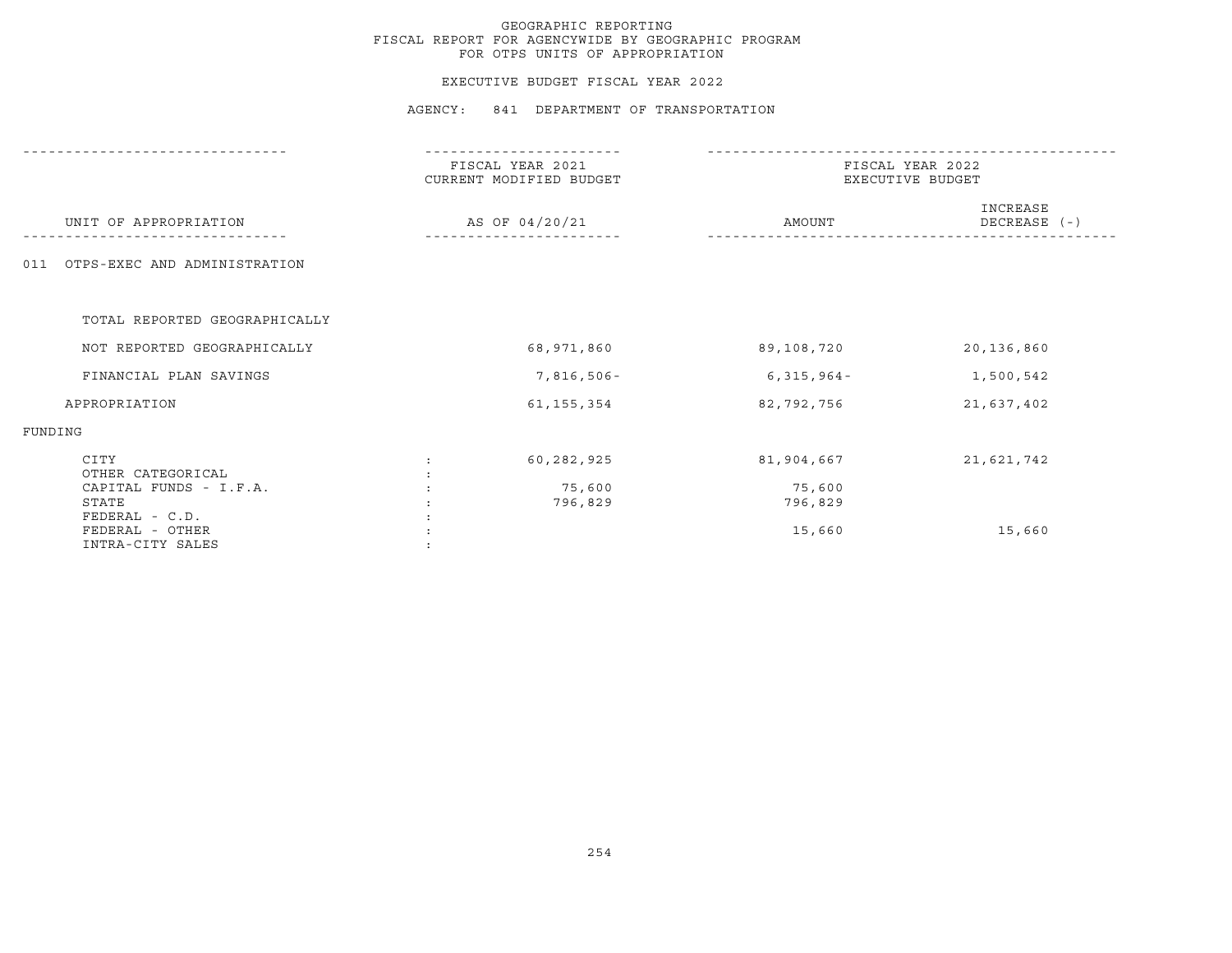### EXECUTIVE BUDGET FISCAL YEAR 2022

|                                                                | FISCAL YEAR 2021<br>CURRENT MODIFIED BUDGET | FISCAL YEAR 2022<br>EXECUTIVE BUDGET |                          |  |
|----------------------------------------------------------------|---------------------------------------------|--------------------------------------|--------------------------|--|
| UNIT OF APPROPRIATION                                          | AS OF 04/20/21                              | AMOUNT                               | INCREASE<br>DECREASE (-) |  |
| OTPS-EXEC AND ADMINISTRATION<br>011                            |                                             |                                      |                          |  |
| TOTAL REPORTED GEOGRAPHICALLY                                  |                                             |                                      |                          |  |
| NOT REPORTED GEOGRAPHICALLY                                    | 68,971,860                                  | 89,108,720                           | 20,136,860               |  |
| FINANCIAL PLAN SAVINGS                                         | 7,816,506-                                  | $6,315,964-$                         | 1,500,542                |  |
| APPROPRIATION                                                  | 61, 155, 354                                | 82,792,756                           | 21,637,402               |  |
| FUNDING                                                        |                                             |                                      |                          |  |
| CITY<br>OTHER CATEGORICAL<br>CAPITAL FUNDS - I.F.A.            | 60,282,925<br>75,600                        | 81,904,667<br>75,600                 | 21,621,742               |  |
| STATE<br>FEDERAL - C.D.<br>FEDERAL - OTHER<br>INTRA-CITY SALES | 796,829                                     | 796,829<br>15,660                    | 15,660                   |  |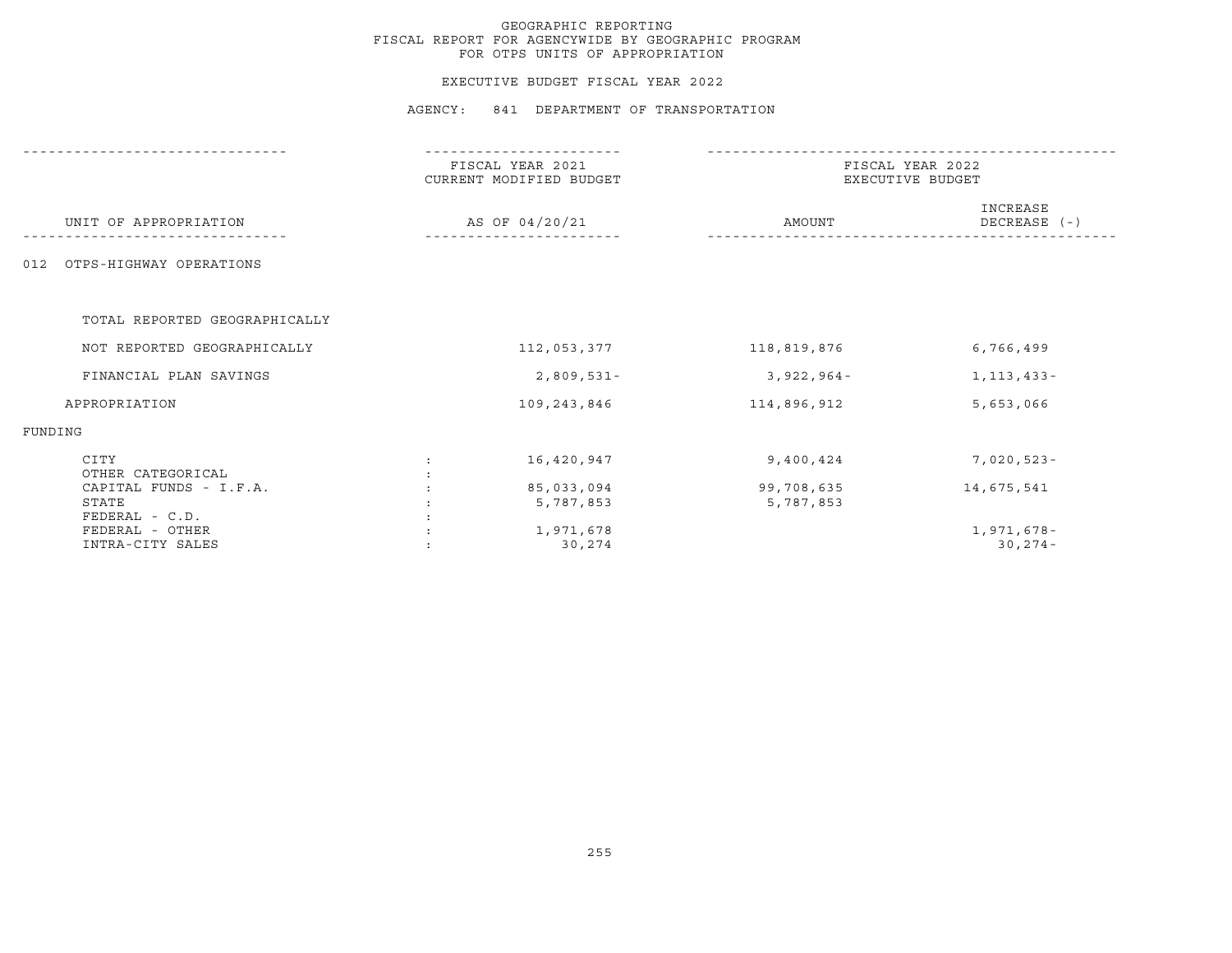### EXECUTIVE BUDGET FISCAL YEAR 2022

|                                                         | ------------                                |                         |                                      |  |  |
|---------------------------------------------------------|---------------------------------------------|-------------------------|--------------------------------------|--|--|
|                                                         | FISCAL YEAR 2021<br>CURRENT MODIFIED BUDGET |                         | FISCAL YEAR 2022<br>EXECUTIVE BUDGET |  |  |
| UNIT OF APPROPRIATION                                   | AS OF 04/20/21                              | AMOUNT                  | INCREASE<br>DECREASE (-)             |  |  |
| OTPS-HIGHWAY OPERATIONS<br>012                          |                                             |                         |                                      |  |  |
| TOTAL REPORTED GEOGRAPHICALLY                           |                                             |                         |                                      |  |  |
| NOT REPORTED GEOGRAPHICALLY                             | 112,053,377                                 | 118,819,876             | 6,766,499                            |  |  |
| FINANCIAL PLAN SAVINGS                                  | $2,809,531 -$                               | $3,922,964-$            | 1, 113, 433 -                        |  |  |
| APPROPRIATION                                           | 109,243,846                                 | 114,896,912             | 5,653,066                            |  |  |
| FUNDING                                                 |                                             |                         |                                      |  |  |
| CITY<br>OTHER CATEGORICAL                               | 16,420,947                                  | 9,400,424               | $7,020,523-$                         |  |  |
| CAPITAL FUNDS - I.F.A.<br>STATE                         | 85,033,094<br>5,787,853                     | 99,708,635<br>5,787,853 | 14,675,541                           |  |  |
| $FEDERAL - C.D.$<br>FEDERAL - OTHER<br>INTRA-CITY SALES | 1,971,678<br>30,274                         |                         | 1,971,678-<br>$30, 274 -$            |  |  |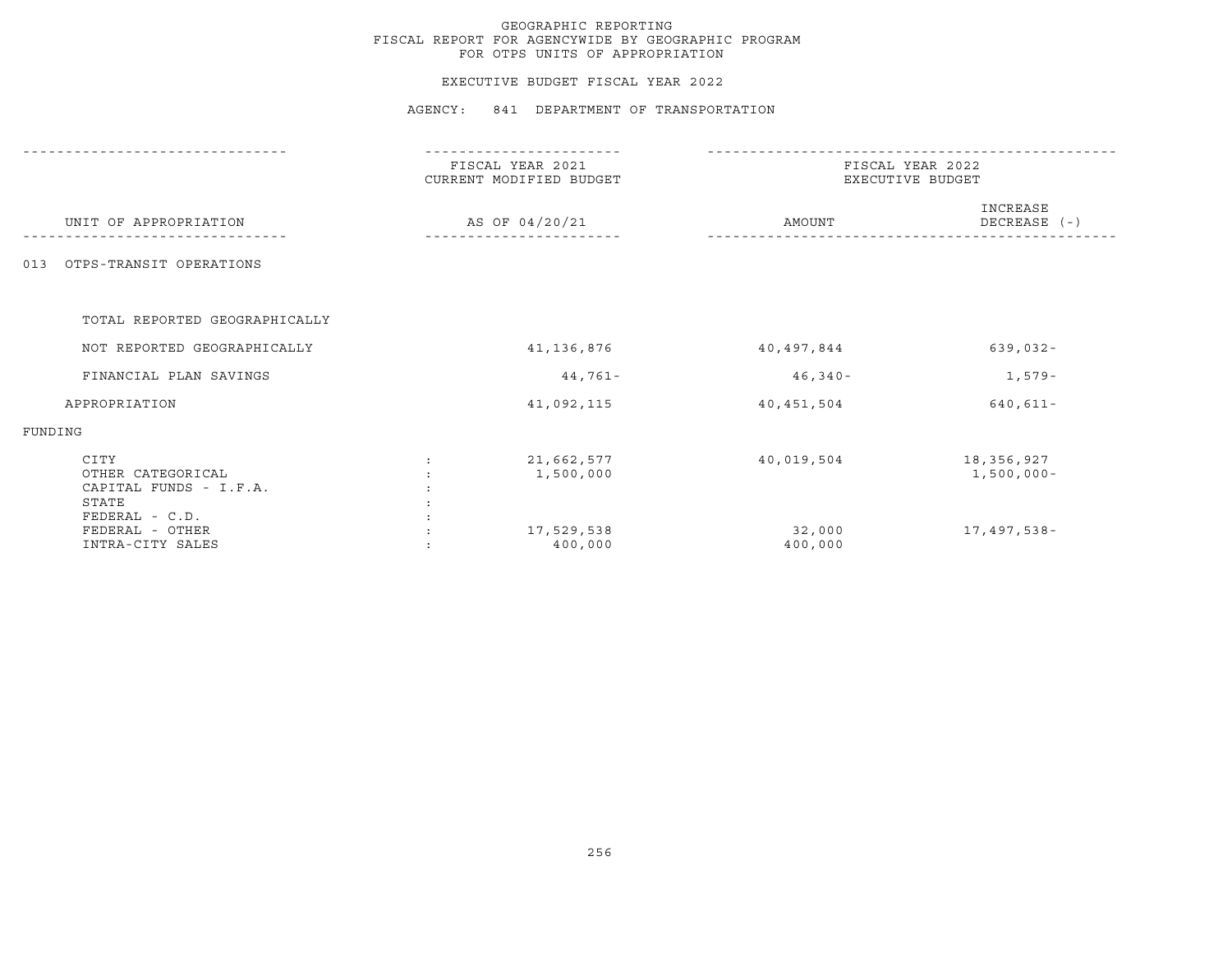### EXECUTIVE BUDGET FISCAL YEAR 2022

|                                                                                  |                | FISCAL YEAR 2021<br>CURRENT MODIFIED BUDGET | FISCAL YEAR 2022<br>EXECUTIVE BUDGET |                             |  |
|----------------------------------------------------------------------------------|----------------|---------------------------------------------|--------------------------------------|-----------------------------|--|
| UNIT OF APPROPRIATION                                                            | AS OF 04/20/21 |                                             | AMOUNT                               | INCREASE<br>DECREASE (-)    |  |
| OTPS-TRANSIT OPERATIONS<br>013                                                   |                |                                             |                                      |                             |  |
| TOTAL REPORTED GEOGRAPHICALLY                                                    |                |                                             |                                      |                             |  |
| NOT REPORTED GEOGRAPHICALLY                                                      |                | 41, 136, 876                                | 40,497,844                           | $639,032 -$                 |  |
| FINANCIAL PLAN SAVINGS                                                           |                | 44,761-                                     | 46,340-                              | 1,579-                      |  |
| APPROPRIATION                                                                    |                | 41,092,115                                  | 40,451,504                           | $640, 611 -$                |  |
| FUNDING                                                                          |                |                                             |                                      |                             |  |
| CITY<br>OTHER CATEGORICAL<br>CAPITAL FUNDS - I.F.A.<br>STATE<br>$FEDERAL - C.D.$ |                | 21,662,577<br>1,500,000                     | 40,019,504                           | 18,356,927<br>$1,500,000 -$ |  |
| FEDERAL - OTHER<br>INTRA-CITY SALES                                              |                | 17,529,538<br>400,000                       | 32,000<br>400,000                    | 17,497,538-                 |  |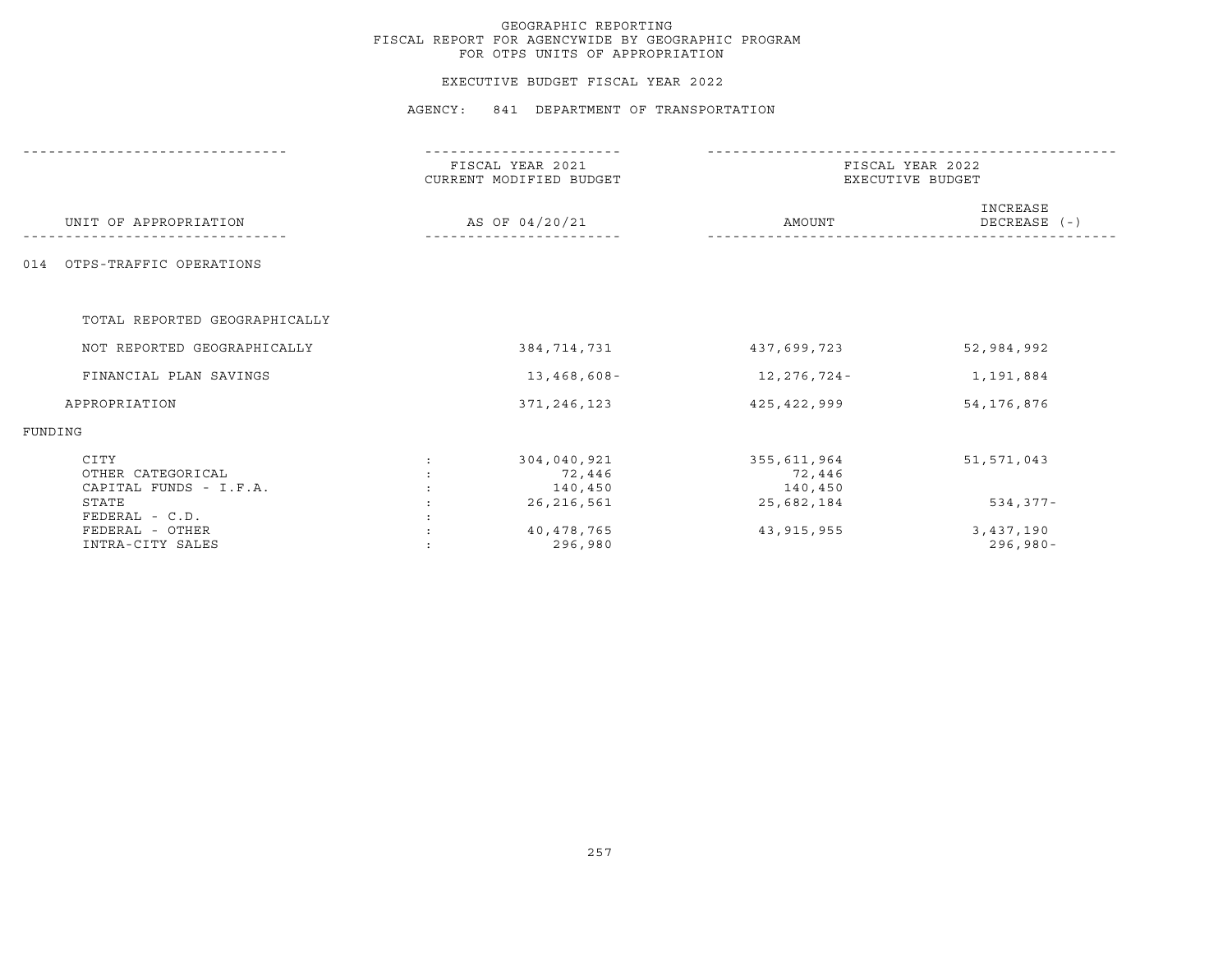### EXECUTIVE BUDGET FISCAL YEAR 2022

|                                                         |                | ------------                                |                                      |                          |  |
|---------------------------------------------------------|----------------|---------------------------------------------|--------------------------------------|--------------------------|--|
|                                                         |                | FISCAL YEAR 2021<br>CURRENT MODIFIED BUDGET | FISCAL YEAR 2022<br>EXECUTIVE BUDGET |                          |  |
| UNIT OF APPROPRIATION                                   | AS OF 04/20/21 |                                             | AMOUNT                               | INCREASE<br>DECREASE (-) |  |
| OTPS-TRAFFIC OPERATIONS<br>014                          |                |                                             |                                      |                          |  |
| TOTAL REPORTED GEOGRAPHICALLY                           |                |                                             |                                      |                          |  |
| NOT REPORTED GEOGRAPHICALLY                             |                | 384,714,731                                 | 437,699,723                          | 52,984,992               |  |
| FINANCIAL PLAN SAVINGS                                  |                | 13,468,608-                                 | 12,276,724-                          | 1,191,884                |  |
| APPROPRIATION                                           |                | 371, 246, 123                               | 425,422,999                          | 54, 176, 876             |  |
| FUNDING                                                 |                |                                             |                                      |                          |  |
| CITY<br>OTHER CATEGORICAL<br>CAPITAL FUNDS - I.F.A.     |                | 304,040,921<br>72,446<br>140,450            | 355,611,964<br>72,446<br>140,450     | 51, 571, 043             |  |
| STATE                                                   |                | 26,216,561                                  | 25,682,184                           | $534, 377 -$             |  |
| $FEDERAL - C.D.$<br>FEDERAL - OTHER<br>INTRA-CITY SALES |                | 40,478,765<br>296,980                       | 43,915,955                           | 3,437,190<br>$296,980 -$ |  |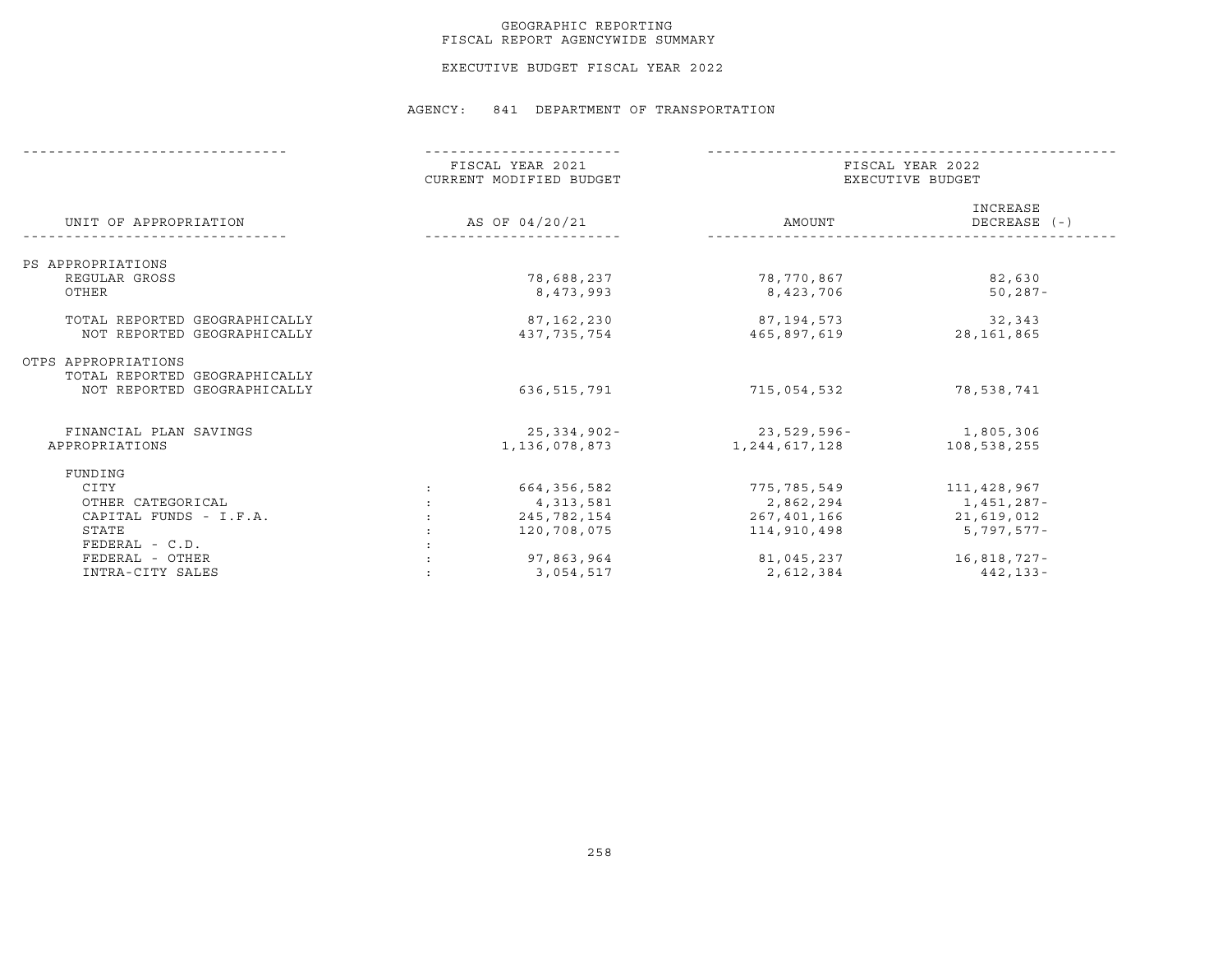### GEOGRAPHIC REPORTING FISCAL REPORT AGENCYWIDE SUMMARY

EXECUTIVE BUDGET FISCAL YEAR 2022

|                                                              | FISCAL YEAR 2021<br>CURRENT MODIFIED BUDGET | FISCAL YEAR 2022<br>EXECUTIVE BUDGET |                          |  |
|--------------------------------------------------------------|---------------------------------------------|--------------------------------------|--------------------------|--|
| UNIT OF APPROPRIATION                                        | AS OF 04/20/21                              | AMOUNT                               | INCREASE<br>DECREASE (-) |  |
| PS APPROPRIATIONS                                            |                                             |                                      |                          |  |
| REGULAR GROSS                                                | 78,688,237                                  | 78,770,867                           | 82,630                   |  |
| OTHER                                                        | 8,473,993                                   | 8,423,706                            | $50, 287 -$              |  |
| TOTAL REPORTED GEOGRAPHICALLY                                | 87,162,230                                  | 87,194,573                           | 32,343                   |  |
| NOT REPORTED GEOGRAPHICALLY                                  | 437,735,754                                 | 465,897,619                          | 28, 161, 865             |  |
| OTPS APPROPRIATIONS                                          |                                             |                                      |                          |  |
| TOTAL REPORTED GEOGRAPHICALLY<br>NOT REPORTED GEOGRAPHICALLY | 636,515,791                                 | 715,054,532                          | 78,538,741               |  |
| FINANCIAL PLAN SAVINGS                                       | 25,334,902-                                 | 23,529,596-                          | 1,805,306                |  |
| APPROPRIATIONS                                               | 1,136,078,873                               | 1,244,617,128                        | 108,538,255              |  |
| FUNDING                                                      |                                             |                                      |                          |  |
| CITY                                                         | 664,356,582                                 | 775,785,549                          | 111,428,967              |  |
| OTHER CATEGORICAL                                            | 4,313,581                                   | 2,862,294                            | 1,451,287-               |  |
| CAPITAL FUNDS - I.F.A.                                       | 245,782,154                                 | 267,401,166                          | 21,619,012               |  |
| STATE                                                        | 120,708,075                                 | 114,910,498                          | $5,797,577-$             |  |
| $FEDERAL - C.D.$                                             |                                             |                                      |                          |  |
| FEDERAL - OTHER                                              | 97,863,964                                  | 81,045,237                           | 16,818,727-              |  |
| INTRA-CITY SALES                                             | 3,054,517                                   | 2,612,384                            | 442,133-                 |  |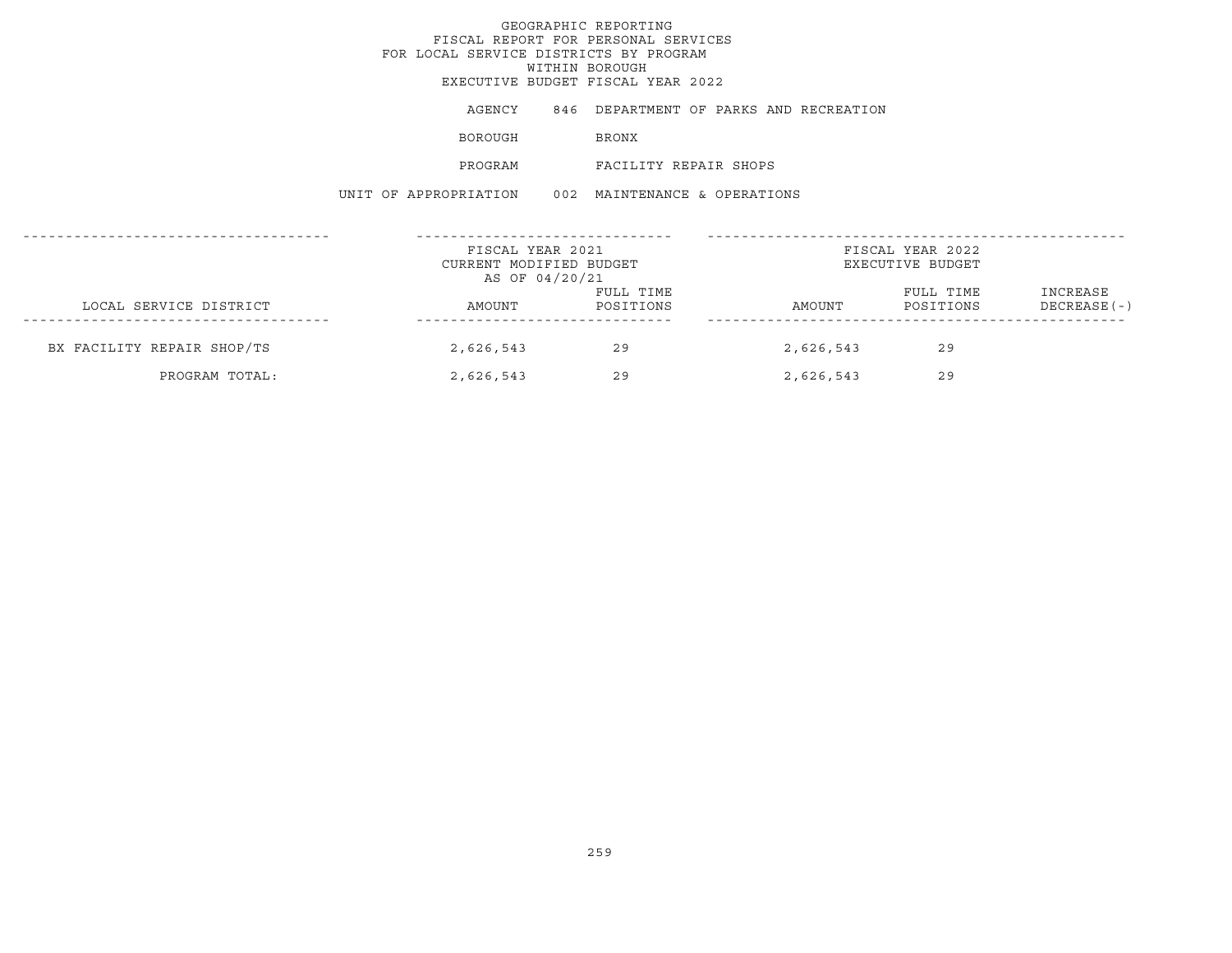# GEOGRAPHIC REPORTINGFISCAL REPORT FOR PERSONAL SERVICES FOR LOCAL SERVICE DISTRICTS BY PROGRAM WITHIN BOROUGH EXECUTIVE BUDGET FISCAL YEAR 2022AGENCY 846 DEPARTMENT OF PARKS AND RECREATION BOROUGH BRONX PROGRAM FACILITY REPAIR SHOPSUNIT OF APPROPRIATION 002 MAINTENANCE & OPERATIONS------------------------------------ ------------------------------ -------------------------------------------------FISCAL YEAR 2021 **FISCAL YEAR 2022** CURRENT MODIFIED BUDGET **EXECUTIVE BUDGET** AS OF 04/20/21 FULL TIME FULL TIME INCREASE LOCAL SERVICE DISTRICT AMOUNT POSITIONS AMOUNT POSITIONS DECREASE(-) ------------------------------------ ------------------------------ -------------------------------------------------BX FACILITY REPAIR SHOP/TS 2,626,543 29 2,626,543 29 PROGRAM TOTAL: 2,626,543 29 2,626,543 29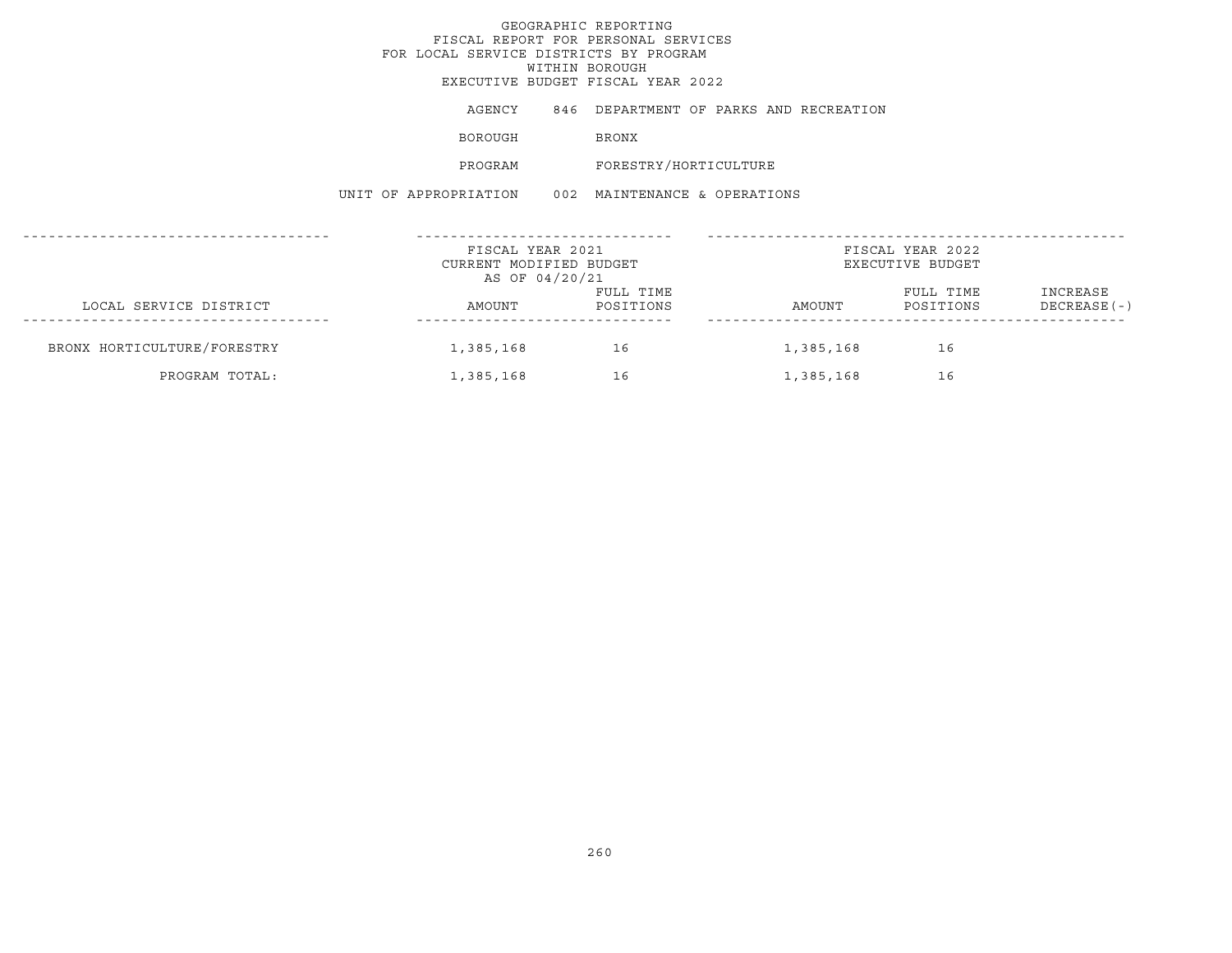# GEOGRAPHIC REPORTINGFISCAL REPORT FOR PERSONAL SERVICES FOR LOCAL SERVICE DISTRICTS BY PROGRAM WITHIN BOROUGH EXECUTIVE BUDGET FISCAL YEAR 2022AGENCY 846 DEPARTMENT OF PARKS AND RECREATION BOROUGH BRONX PROGRAM FORESTRY/HORTICULTURE UNIT OF APPROPRIATION 002 MAINTENANCE & OPERATIONS------------------------------------ ------------------------------ -------------------------------------------------FISCAL YEAR 2021 **FISCAL YEAR 2022** CURRENT MODIFIED BUDGET **EXECUTIVE BUDGET** AS OF 04/20/21 FULL TIME FULL TIME INCREASE LOCAL SERVICE DISTRICT AMOUNT POSITIONS AMOUNT POSITIONS DECREASE(-) ------------------------------------ ------------------------------ -------------------------------------------------BRONX HORTICULTURE/FORESTRY 1,385,168 16 16 16 16 16 16 16 16 PROGRAM TOTAL: 1,385,168 16 1,385,168 16 16 1,385,168 16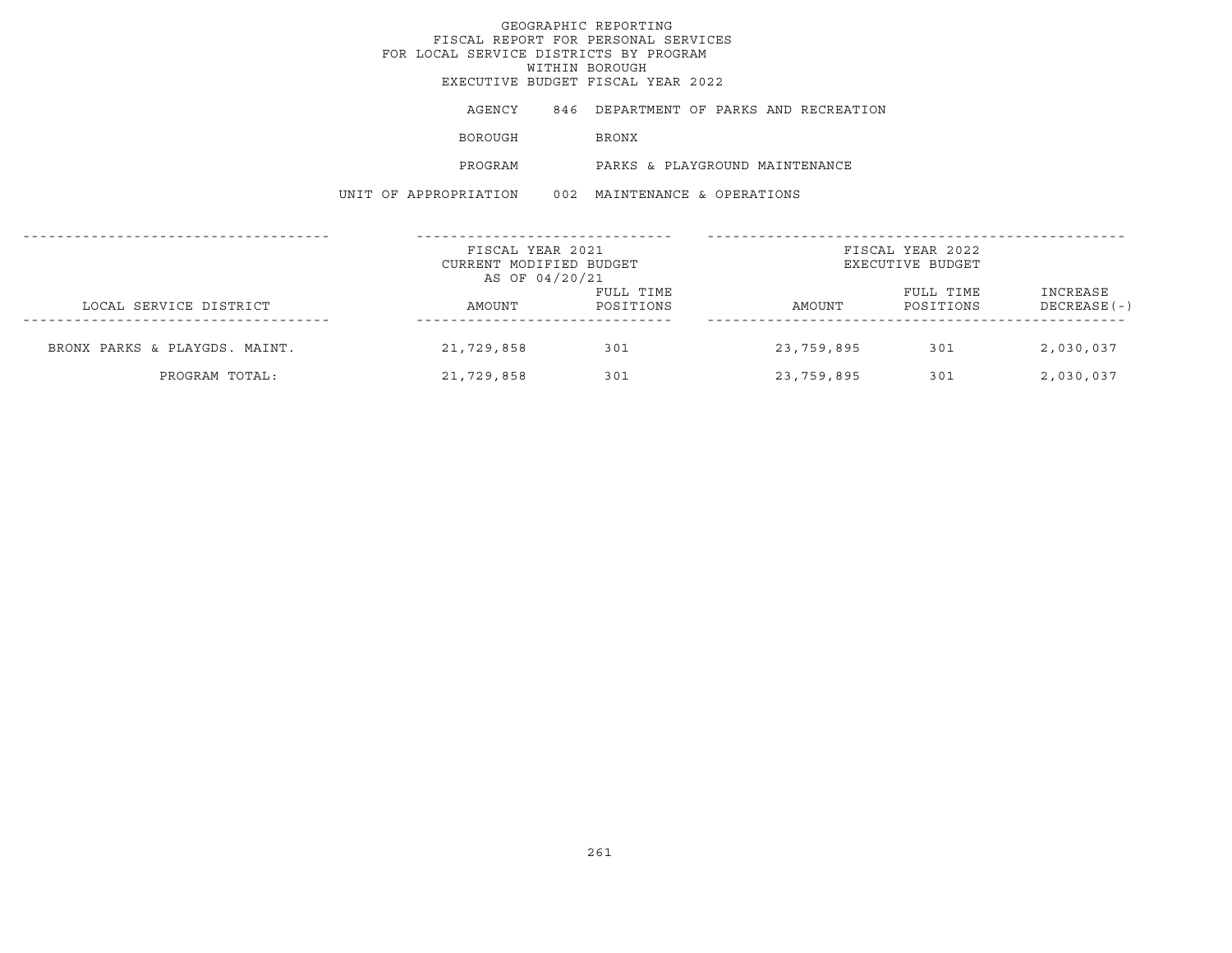## GEOGRAPHIC REPORTINGFISCAL REPORT FOR PERSONAL SERVICES FOR LOCAL SERVICE DISTRICTS BY PROGRAM WITHIN BOROUGH EXECUTIVE BUDGET FISCAL YEAR 2022AGENCY 846 DEPARTMENT OF PARKS AND RECREATION BOROUGH BRONX PROGRAM PARKS & PLAYGROUND MAINTENANCEUNIT OF APPROPRIATION 002 MAINTENANCE & OPERATIONS------------------------------------ ------------------------------ -------------------------------------------------FISCAL YEAR 2021 FISCAL YEAR 2022CURRENT MODIFIED BUDGET **EXECUTIVE BUDGET** AS OF 04/20/21 FULL TIME **FULL TIME** INCREASE LOCAL SERVICE DISTRICT CONSUMERS AMOUNT POSITIONS AMOUNT POSITIONS DECREASE(-) ------------------------------------ ------------------------------ -------------------------------------------------BRONX PARKS & PLAYGDS. MAINT. 21,729,858 301 23,759,895 301 2,030,037 PROGRAM TOTAL: 21,729,858 301 23,759,895 301 2,030,037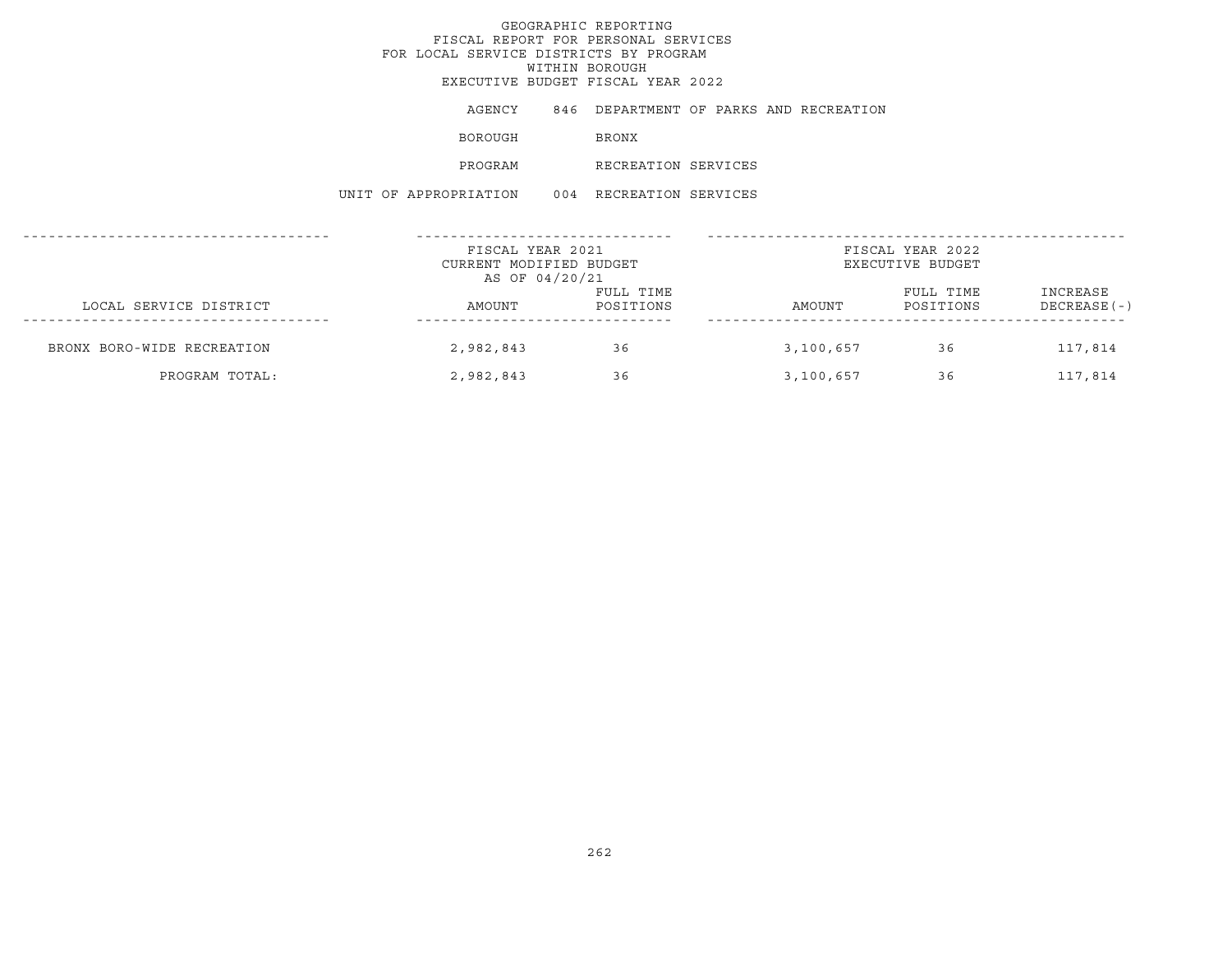AGENCY 846 DEPARTMENT OF PARKS AND RECREATION

BOROUGH BRONX

PROGRAM RECREATION SERVICES

UNIT OF APPROPRIATION 004 RECREATION SERVICES

|                            | FISCAL YEAR 2021<br>CURRENT MODIFIED BUDGET |                        |           | FISCAL YEAR 2022<br>EXECUTIVE BUDGET |                           |
|----------------------------|---------------------------------------------|------------------------|-----------|--------------------------------------|---------------------------|
|                            | AS OF 04/20/21                              |                        |           |                                      |                           |
| LOCAL SERVICE DISTRICT     | AMOUNT                                      | FULL TIME<br>POSITIONS | AMOUNT    | FULL TIME<br>POSITIONS               | INCREASE<br>$DECREASE(-)$ |
| BRONX BORO-WIDE RECREATION | 2,982,843                                   | 36                     | 3,100,657 | 36                                   | 117,814                   |
| PROGRAM TOTAL:             | 2,982,843                                   | 36                     | 3,100,657 | 36                                   | 117,814                   |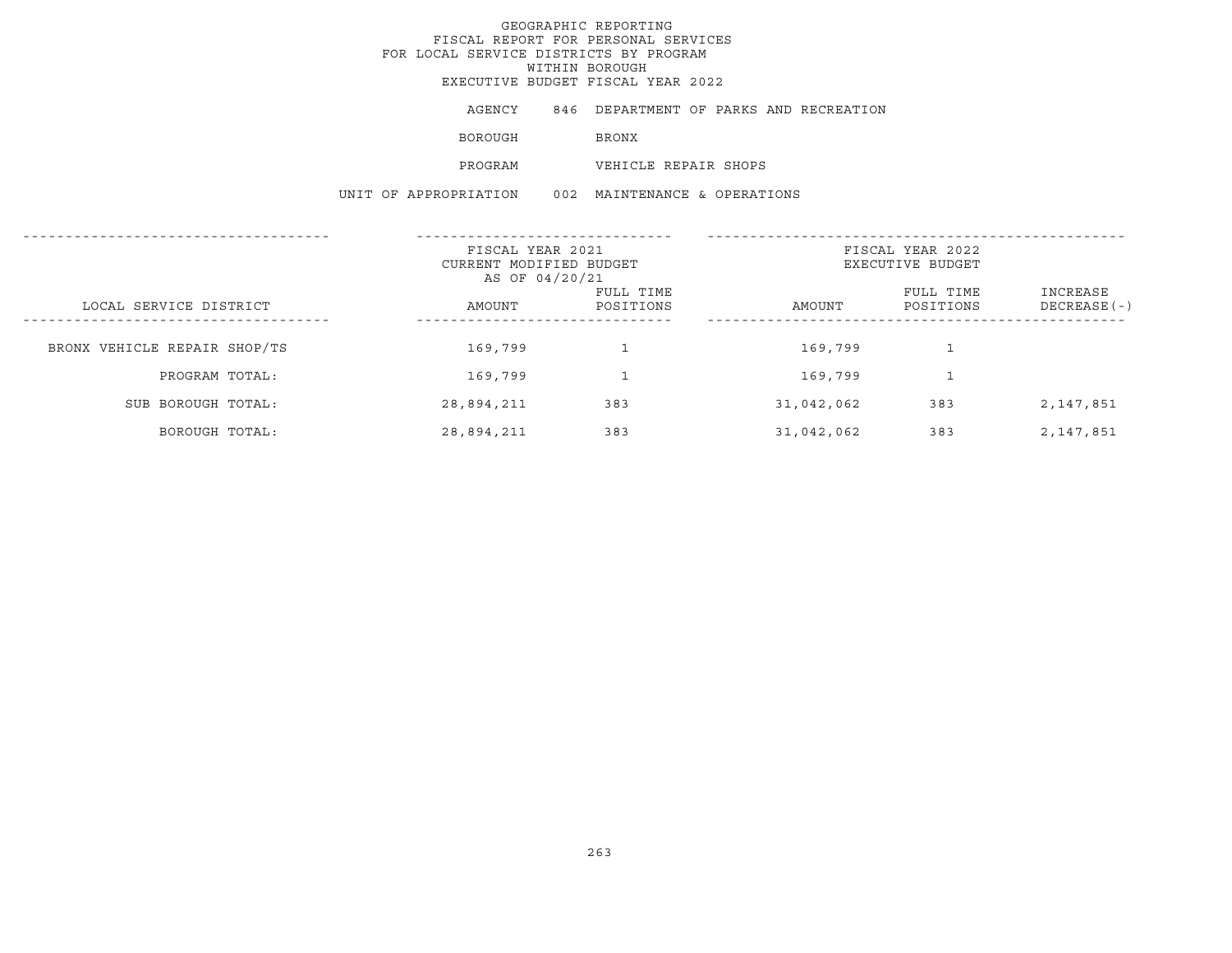AGENCY 846 DEPARTMENT OF PARKS AND RECREATION

BOROUGH BRONX

PROGRAM VEHICLE REPAIR SHOPS

UNIT OF APPROPRIATION 002 MAINTENANCE & OPERATIONS

|                              |  | FISCAL YEAR 2021<br>CURRENT MODIFIED BUDGET<br>AS OF 04/20/21 |                        | FISCAL YEAR 2022<br>EXECUTIVE BUDGET |                        |                           |
|------------------------------|--|---------------------------------------------------------------|------------------------|--------------------------------------|------------------------|---------------------------|
| LOCAL SERVICE DISTRICT       |  | AMOUNT                                                        | FULL TIME<br>POSITIONS | AMOUNT                               | FULL TIME<br>POSITIONS | INCREASE<br>$DECREASE(-)$ |
| BRONX VEHICLE REPAIR SHOP/TS |  | 169,799                                                       |                        | 169,799                              |                        |                           |
| PROGRAM TOTAL:               |  | 169,799                                                       |                        | 169,799                              |                        |                           |
| SUB BOROUGH TOTAL:           |  | 28,894,211                                                    | 383                    | 31,042,062                           | 383                    | 2,147,851                 |
| BOROUGH TOTAL:               |  | 28,894,211                                                    | 383                    | 31,042,062                           | 383                    | 2,147,851                 |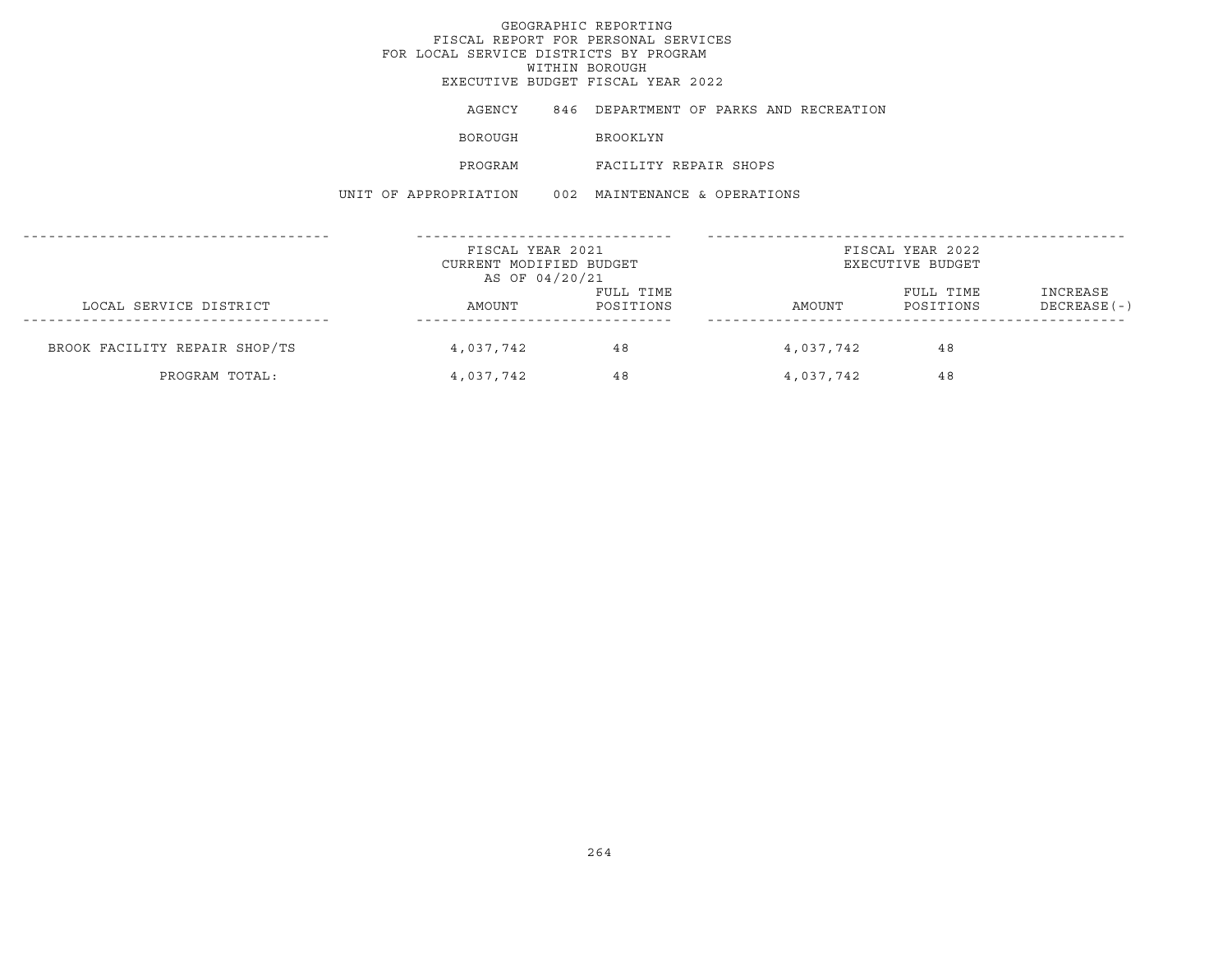## GEOGRAPHIC REPORTINGFISCAL REPORT FOR PERSONAL SERVICES FOR LOCAL SERVICE DISTRICTS BY PROGRAM WITHIN BOROUGH EXECUTIVE BUDGET FISCAL YEAR 2022AGENCY 846 DEPARTMENT OF PARKS AND RECREATION BOROUGH BROOKLYN PROGRAM FACILITY REPAIR SHOPSUNIT OF APPROPRIATION 002 MAINTENANCE & OPERATIONS------------------------------------ ------------------------------ -------------------------------------------------FISCAL YEAR 2021 **FISCAL YEAR 2022** CURRENT MODIFIED BUDGET **EXECUTIVE BUDGET** AS OF 04/20/21 FULL TIME FULL TIME INCREASE LOCAL SERVICE DISTRICT AMOUNT POSITIONS AMOUNT POSITIONS DECREASE(-) ------------------------------------ ------------------------------ -------------------------------------------------BROOK FACILITY REPAIR SHOP/TS  $4,037,742$   $48$   $4,037,742$   $48$ PROGRAM TOTAL:  $4,037,742$   $48$   $4,037,742$   $48$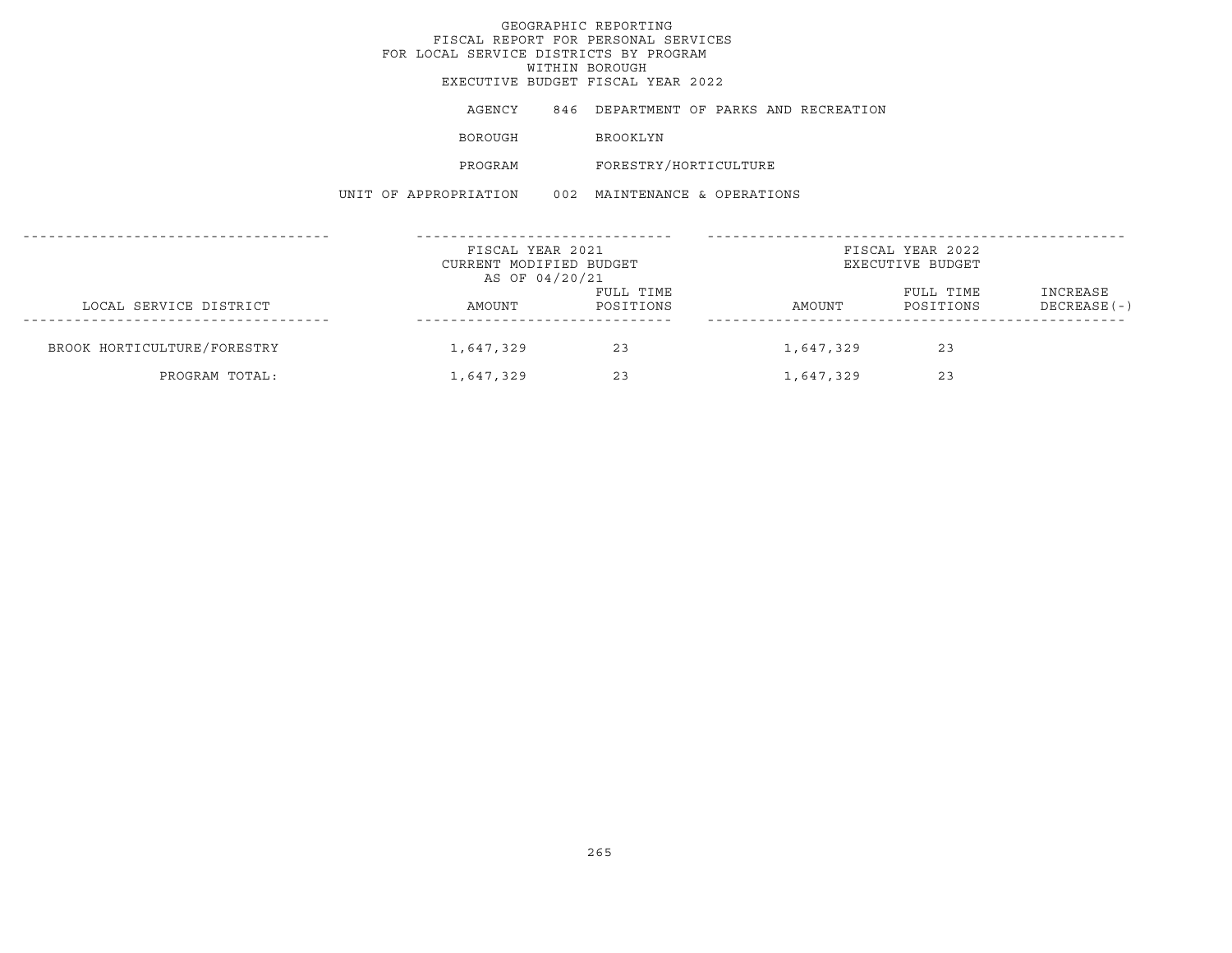## GEOGRAPHIC REPORTINGFISCAL REPORT FOR PERSONAL SERVICES FOR LOCAL SERVICE DISTRICTS BY PROGRAM WITHIN BOROUGH EXECUTIVE BUDGET FISCAL YEAR 2022AGENCY 846 DEPARTMENT OF PARKS AND RECREATION BOROUGH BROOKLYN PROGRAM FORESTRY/HORTICULTURE UNIT OF APPROPRIATION 002 MAINTENANCE & OPERATIONS------------------------------------ ------------------------------ -------------------------------------------------FISCAL YEAR 2021 **FISCAL YEAR 2022** CURRENT MODIFIED BUDGET **EXECUTIVE BUDGET** AS OF 04/20/21 FULL TIME FULL TIME INCREASE LOCAL SERVICE DISTRICT AMOUNT POSITIONS AMOUNT POSITIONS DECREASE(-) ------------------------------------ ------------------------------ -------------------------------------------------BROOK HORTICULTURE/FORESTRY 1,647,329 23 1,647,329 23 PROGRAM TOTAL: 1,647,329 23 1,647,329 23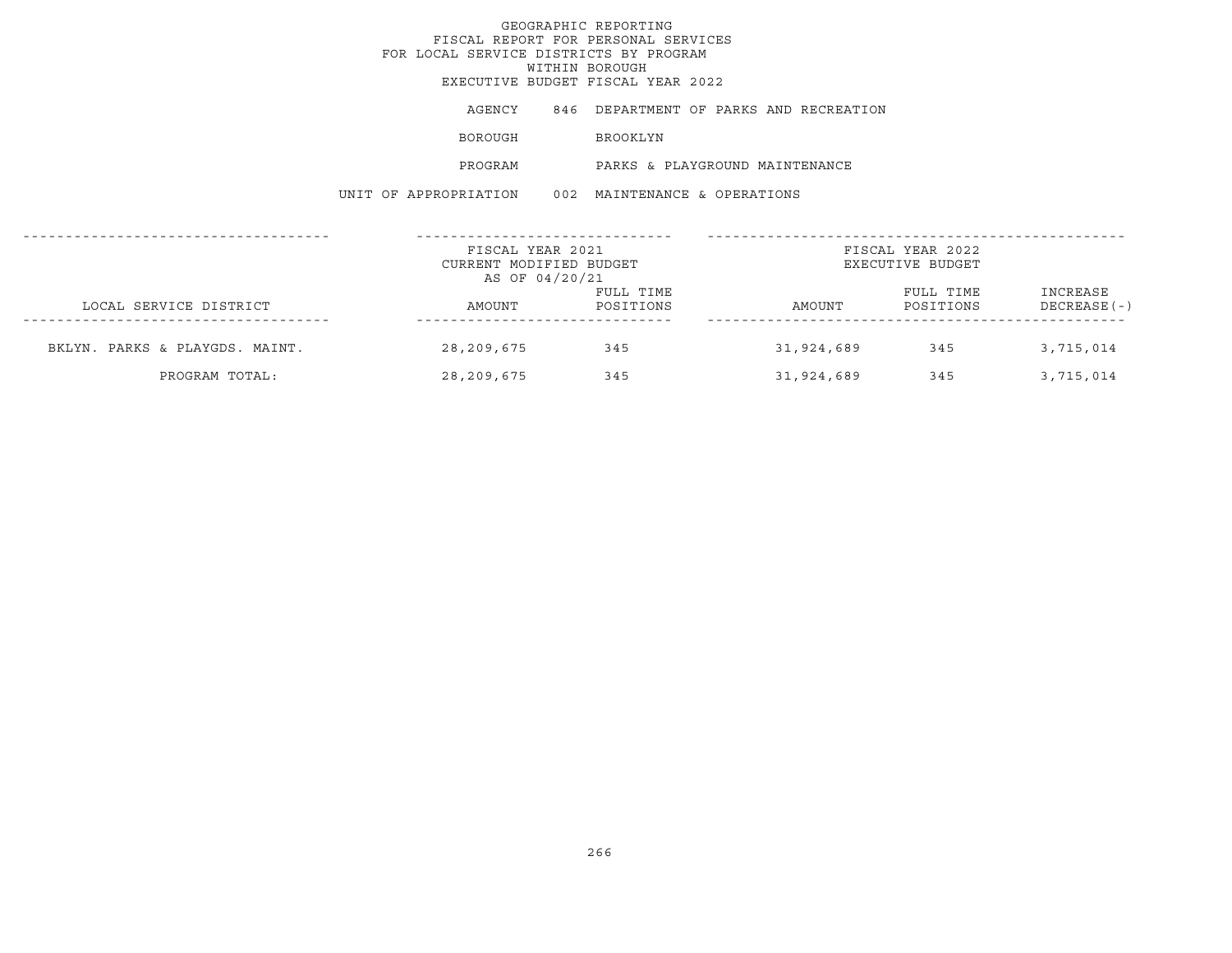## GEOGRAPHIC REPORTINGFISCAL REPORT FOR PERSONAL SERVICES FOR LOCAL SERVICE DISTRICTS BY PROGRAMWITHIN BOROUGH EXECUTIVE BUDGET FISCAL YEAR 2022AGENCY 846 DEPARTMENT OF PARKS AND RECREATION BOROUGH BROOKLYN PROGRAM PARKS & PLAYGROUND MAINTENANCEUNIT OF APPROPRIATION 002 MAINTENANCE & OPERATIONS------------------------------------ ------------------------------ -------------------------------------------------FISCAL YEAR 2021 FISCAL YEAR 2022CURRENT MODIFIED BUDGET **EXECUTIVE BUDGET** AS OF 04/20/21 FULL TIME **FULL TIME** INCREASE LOCAL SERVICE DISTRICT CONSUMERS AMOUNT POSITIONS AMOUNT POSITIONS DECREASE(-) ------------------------------------ ------------------------------ -------------------------------------------------BKLYN. PARKS & PLAYGDS. MAINT. 28,209,675 345 31,924,689 345 3,715,014 PROGRAM TOTAL: 28,209,675 345 31,924,689 345 3,715,014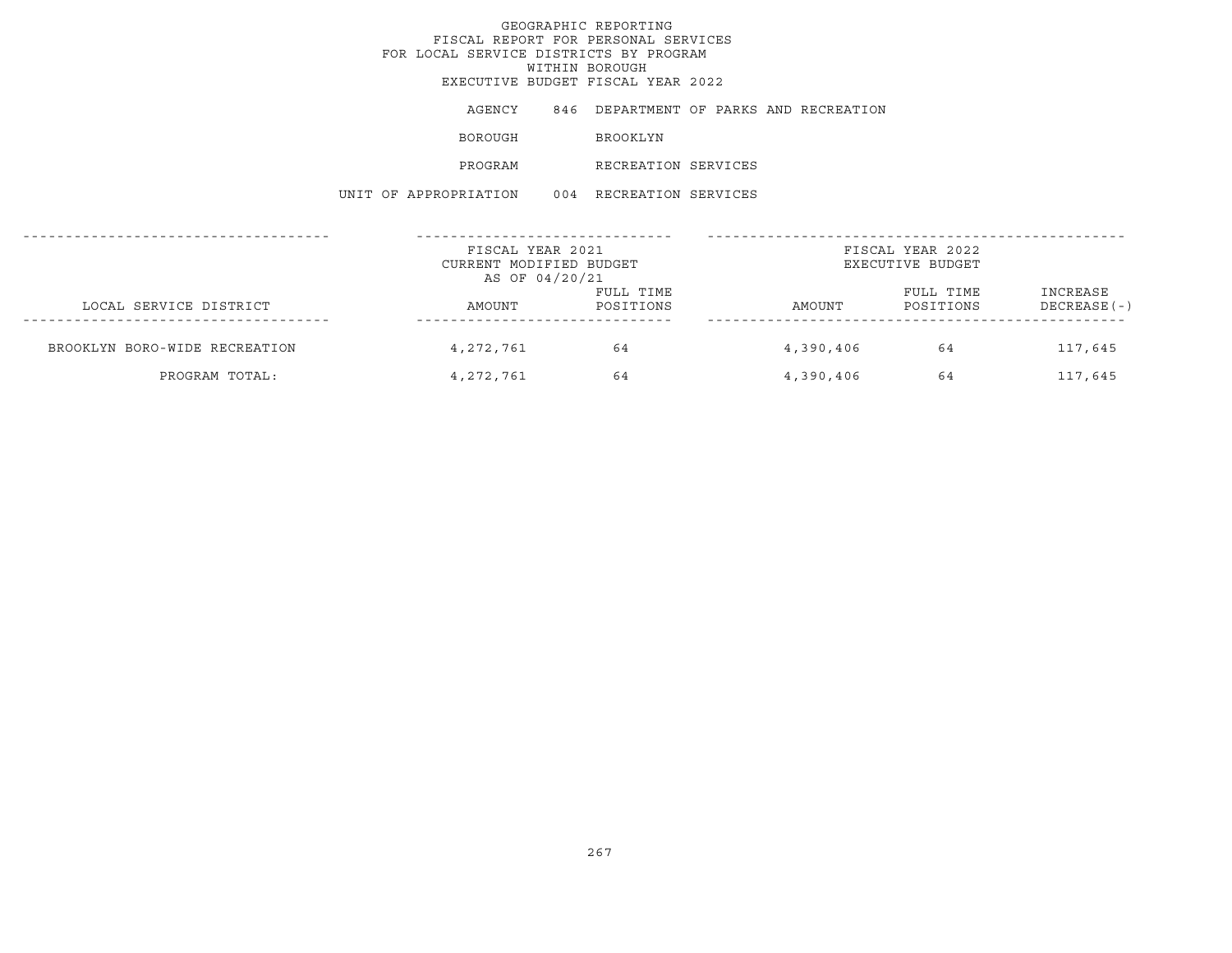AGENCY 846 DEPARTMENT OF PARKS AND RECREATION

BOROUGH BROOKLYN

PROGRAM RECREATION SERVICES

UNIT OF APPROPRIATION 004 RECREATION SERVICES

|                               | FISCAL YEAR 2021<br>CURRENT MODIFIED BUDGET |                        |           | FISCAL YEAR 2022<br>EXECUTIVE BUDGET |                           |
|-------------------------------|---------------------------------------------|------------------------|-----------|--------------------------------------|---------------------------|
| LOCAL SERVICE DISTRICT        | AS OF 04/20/21<br>AMOUNT                    | FULL TIME<br>POSITIONS | AMOUNT    | FULL TIME<br>POSITIONS               | INCREASE<br>$DECREASE(-)$ |
| BROOKLYN BORO-WIDE RECREATION | 4, 272, 761                                 | 64                     | 4,390,406 | 64                                   | 117,645                   |
| PROGRAM TOTAL:                | 4,272,761                                   | 64                     | 4,390,406 | 64                                   | 117,645                   |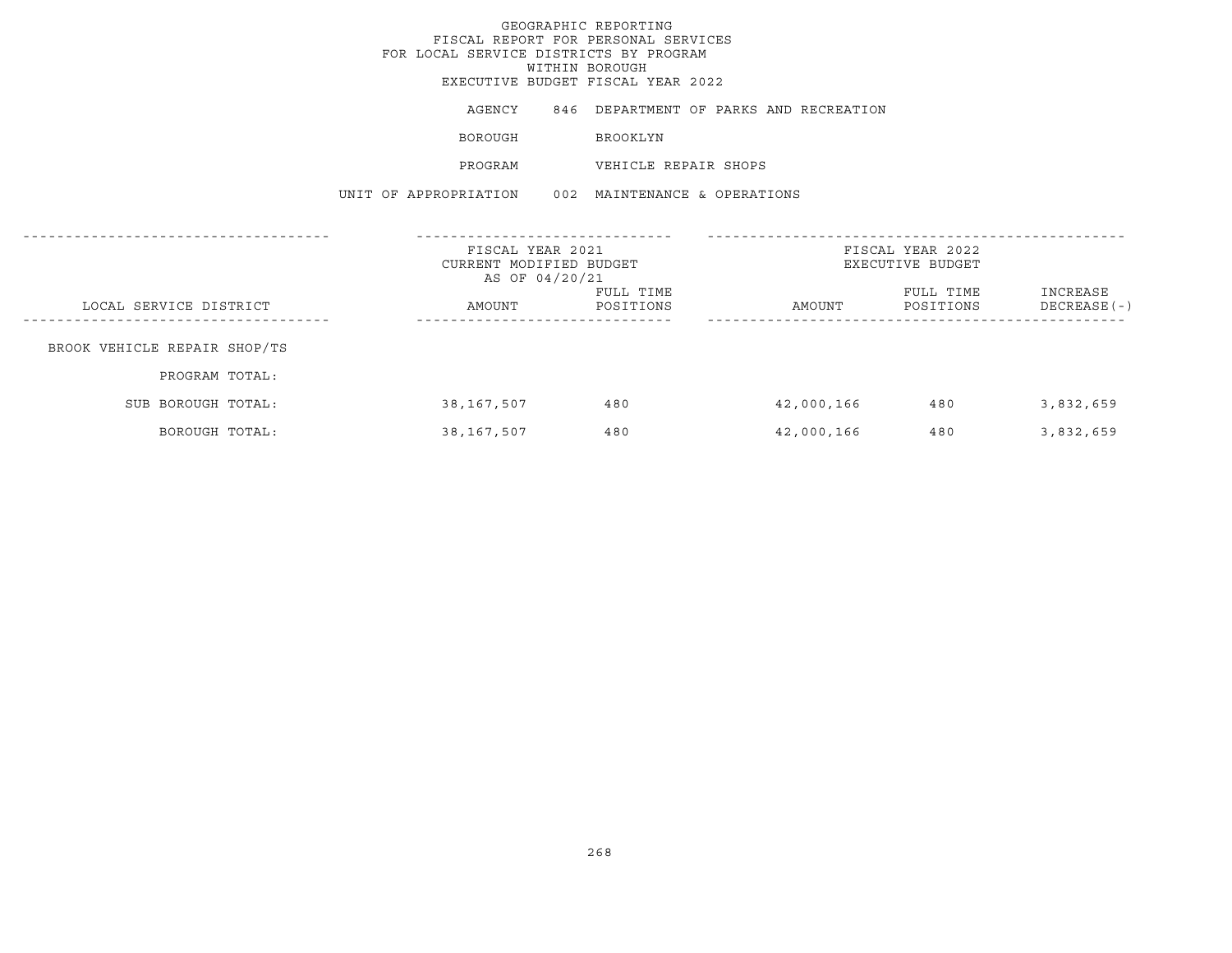## GEOGRAPHIC REPORTING FISCAL REPORT FOR PERSONAL SERVICES FOR LOCAL SERVICE DISTRICTS BY PROGRAM WITHIN BOROUGH

EXECUTIVE BUDGET FISCAL YEAR 2022

AGENCY 846 DEPARTMENT OF PARKS AND RECREATION

BOROUGH **BROOKLYN** 

PROGRAM VEHICLE REPAIR SHOPS

UNIT OF APPROPRIATION 002 MAINTENANCE & OPERATIONS

|                              | FISCAL YEAR 2021<br>CURRENT MODIFIED BUDGET<br>AS OF 04/20/21 |                        | FISCAL YEAR 2022<br>EXECUTIVE BUDGET |                        |                           |
|------------------------------|---------------------------------------------------------------|------------------------|--------------------------------------|------------------------|---------------------------|
| LOCAL SERVICE DISTRICT       | AMOUNT                                                        | FULL TIME<br>POSITIONS | AMOUNT                               | FULL TIME<br>POSITIONS | INCREASE<br>$DECREASE(-)$ |
| BROOK VEHICLE REPAIR SHOP/TS |                                                               |                        |                                      |                        |                           |
| PROGRAM TOTAL:               |                                                               |                        |                                      |                        |                           |
| SUB BOROUGH TOTAL:           | 38,167,507                                                    | 480                    | 42,000,166                           | 480                    | 3,832,659                 |
| BOROUGH TOTAL:               | 38,167,507                                                    | 480                    | 42,000,166                           | 480                    | 3,832,659                 |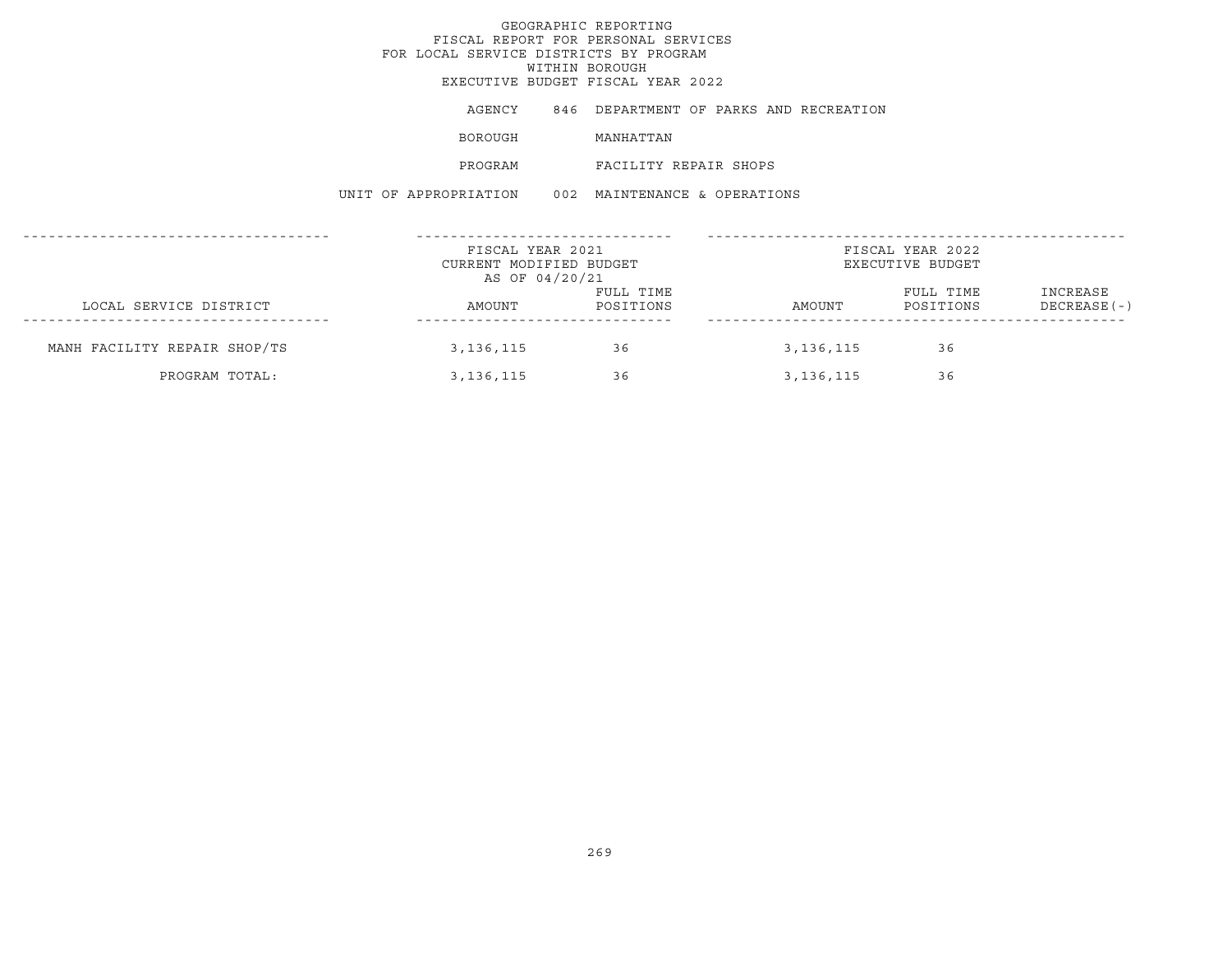## GEOGRAPHIC REPORTINGFISCAL REPORT FOR PERSONAL SERVICES FOR LOCAL SERVICE DISTRICTS BY PROGRAM WITHIN BOROUGH EXECUTIVE BUDGET FISCAL YEAR 2022AGENCY 846 DEPARTMENT OF PARKS AND RECREATION BOROUGH MANHATTAN PROGRAM FACILITY REPAIR SHOPSUNIT OF APPROPRIATION 002 MAINTENANCE & OPERATIONS------------------------------------ ------------------------------ ------------------------------------------------- FISCAL YEAR 2021 **FISCAL YEAR 2022** CURRENT MODIFIED BUDGET **EXECUTIVE BUDGET** AS OF 04/20/21 FULL TIME FULL TIME INCREASE LOCAL SERVICE DISTRICT AMOUNT POSITIONS AMOUNT POSITIONS DECREASE(-) ------------------------------------ ------------------------------ -------------------------------------------------MANH FACILITY REPAIR SHOP/TS 3,136,115 36 36 3,136,115 36 36 PROGRAM TOTAL: 3,136,115 36 36 3,136,115 36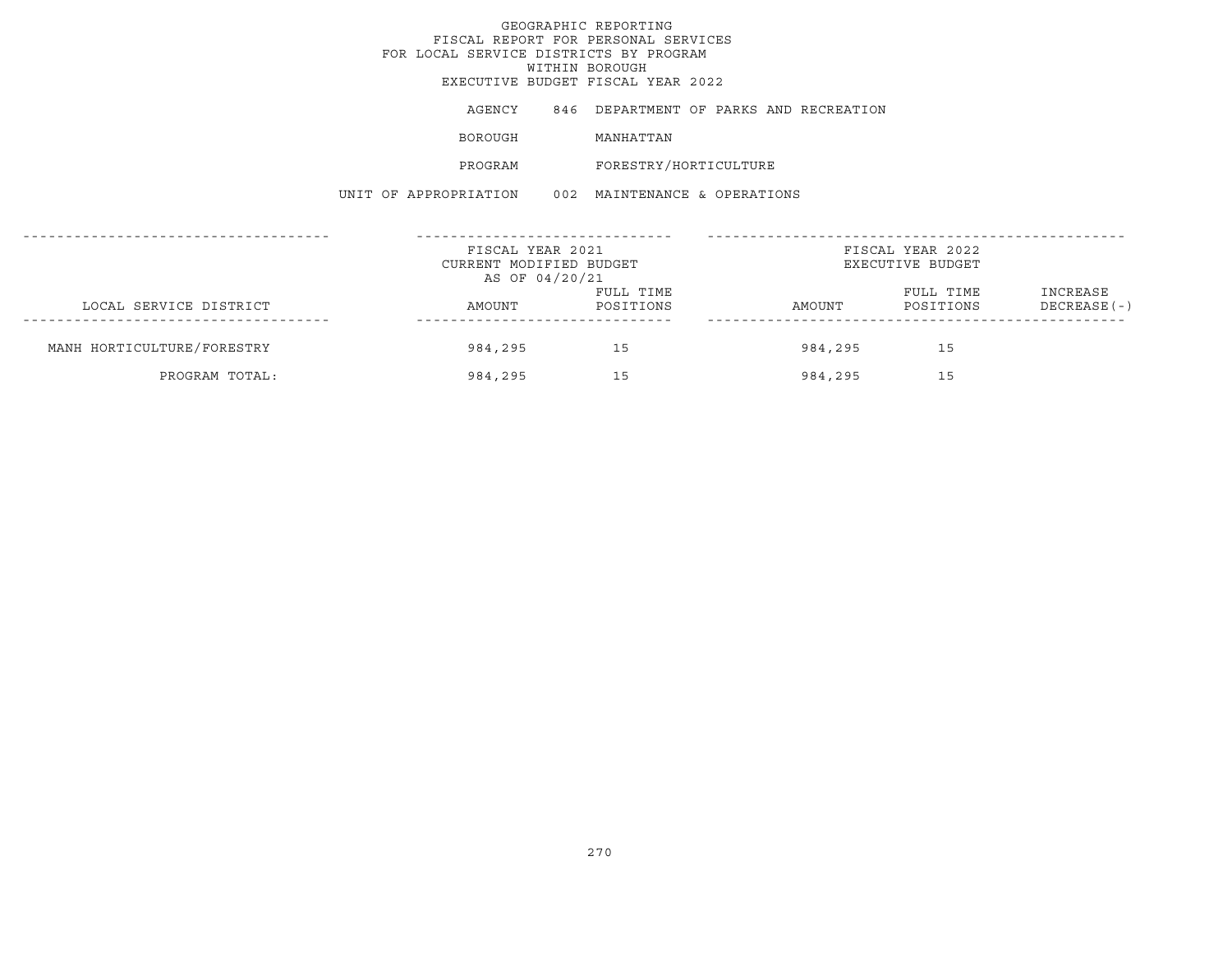## GEOGRAPHIC REPORTINGFISCAL REPORT FOR PERSONAL SERVICES FOR LOCAL SERVICE DISTRICTS BY PROGRAM WITHIN BOROUGH EXECUTIVE BUDGET FISCAL YEAR 2022AGENCY 846 DEPARTMENT OF PARKS AND RECREATION BOROUGH MANHATTAN PROGRAM FORESTRY/HORTICULTURE UNIT OF APPROPRIATION 002 MAINTENANCE & OPERATIONS------------------------------------ ------------------------------ -------------------------------------------------FISCAL YEAR 2021 FISCAL YEAR 2022CURRENT MODIFIED BUDGET **EXECUTIVE BUDGET** AS OF 04/20/21 FULL TIME FULL TIME INCREASE LOCAL SERVICE DISTRICT AMOUNT POSITIONS AMOUNT POSITIONS DECREASE(-) ------------------------------------ ------------------------------ ------------------------------------------------- MANH HORTICULTURE/FORESTRY 984,295 15 984,295 15 PROGRAM TOTAL: 984,295 15 984,295 15 984,295 15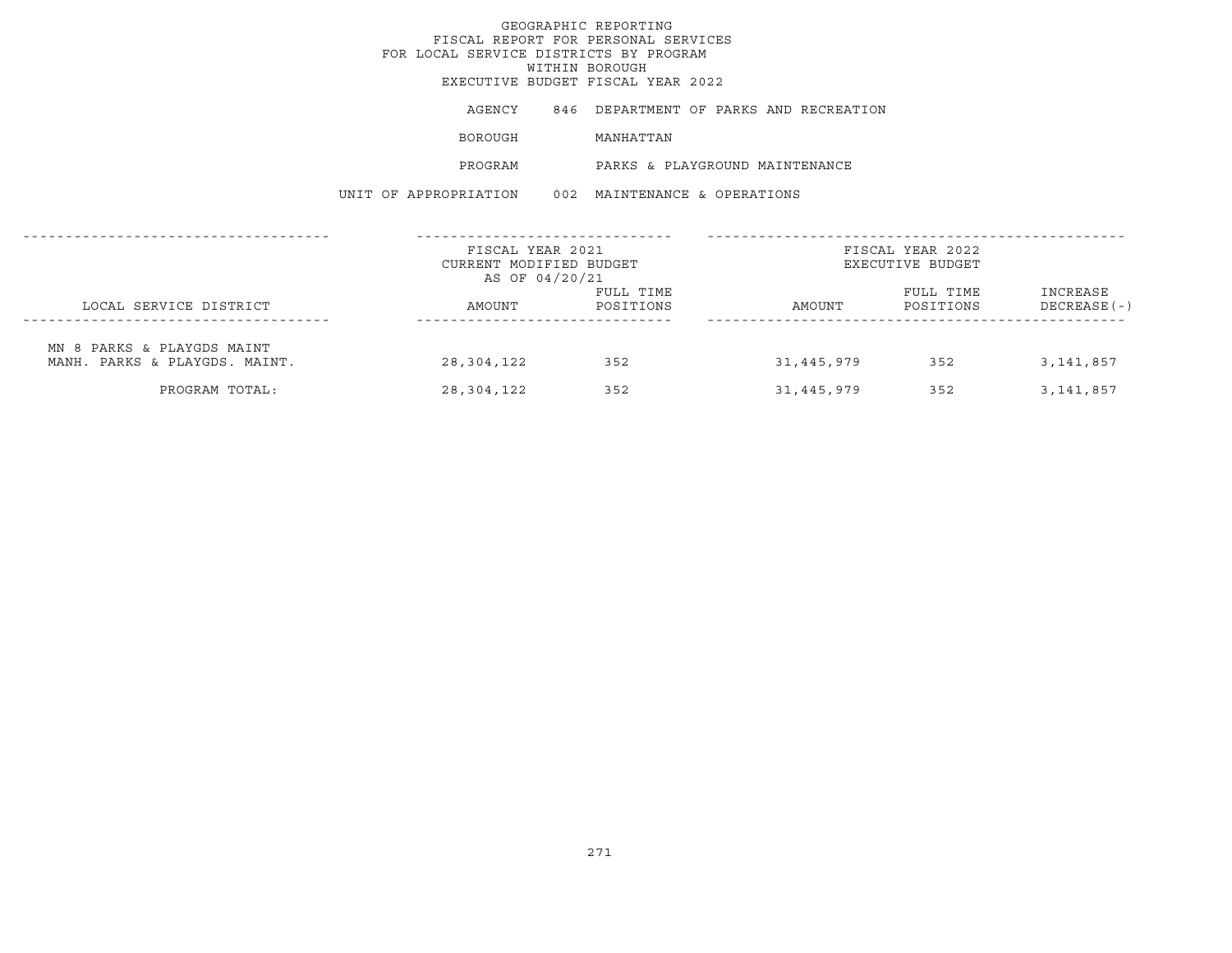## GEOGRAPHIC REPORTINGFISCAL REPORT FOR PERSONAL SERVICES FOR LOCAL SERVICE DISTRICTS BY PROGRAMWITHIN BOROUGH EXECUTIVE BUDGET FISCAL YEAR 2022AGENCY 846 DEPARTMENT OF PARKS AND RECREATION BOROUGH MANHATTAN PROGRAM PARKS & PLAYGROUND MAINTENANCEUNIT OF APPROPRIATION 002 MAINTENANCE & OPERATIONS------------------------------------ ------------------------------ -------------------------------------------------FISCAL YEAR 2021 **FISCAL YEAR 2022** CURRENT MODIFIED BUDGET **EXECUTIVE BUDGET** AS OF 04/20/21 FULL TIME FULL TIME INCREASE LOCAL SERVICE DISTRICT AMOUNT POSITIONS AMOUNT POSITIONS DECREASE(-) ------------------------------------ ------------------------------ ------------------------------------------------- MN 8 PARKS & PLAYGDS MAINT MANH. PARKS & PLAYGDS. MAINT. 28,304,122 352 31,445,979 352 3,141,857

PROGRAM TOTAL: 28,304,122 352 31,445,979 352 3,141,857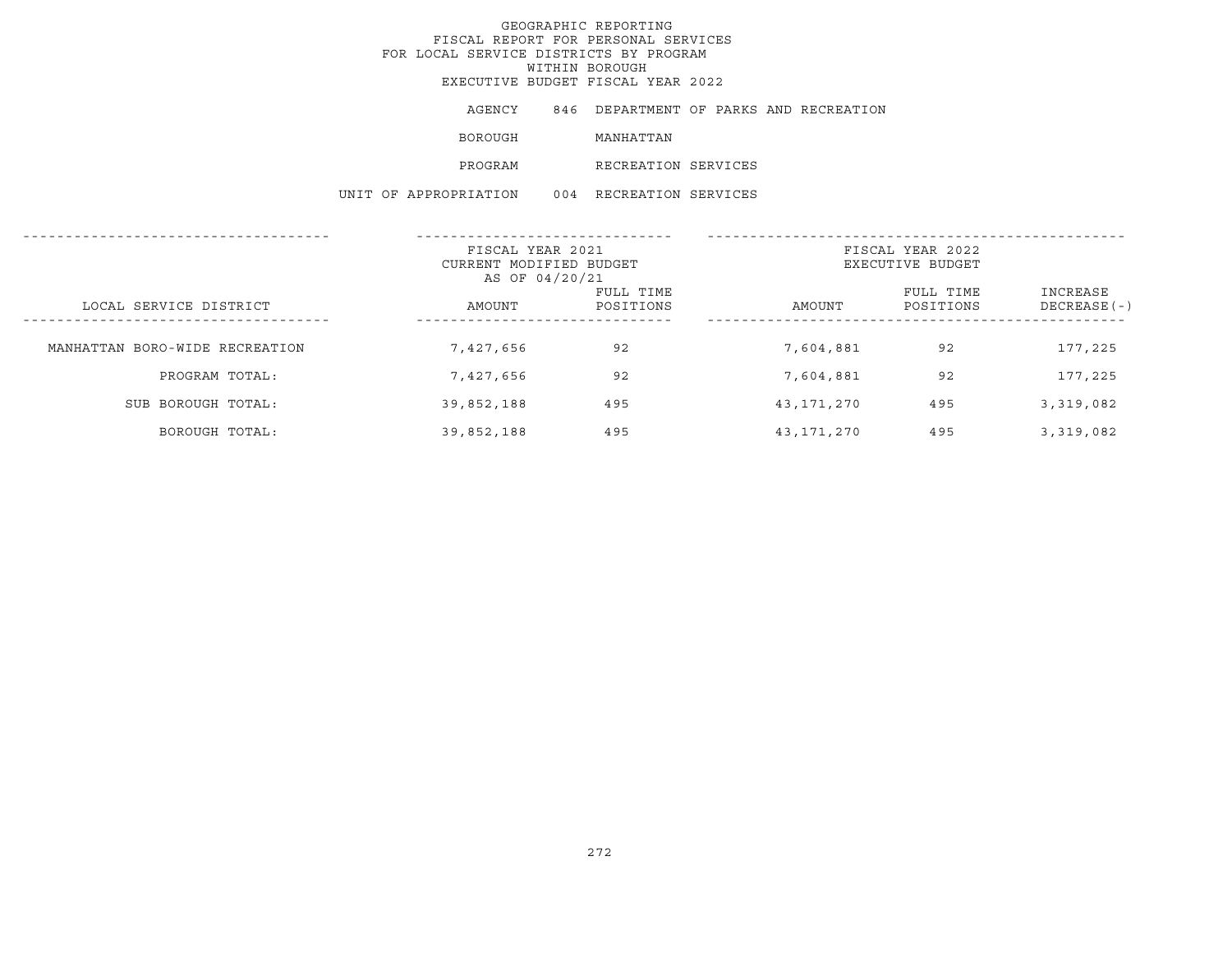|  | AGENCY                | 846 DEPARTMENT OF PARKS AND RECREATION |  |  |
|--|-----------------------|----------------------------------------|--|--|
|  | BOROUGH               | MANHATTAN                              |  |  |
|  | PROGRAM               | RECREATION SERVICES                    |  |  |
|  | UNIT OF APPROPRIATION | 004 RECREATION SERVICES                |  |  |

|                                | FISCAL YEAR 2021<br>CURRENT MODIFIED BUDGET<br>AS OF 04/20/21 |                        | FISCAL YEAR 2022<br>EXECUTIVE BUDGET |                        |                           |
|--------------------------------|---------------------------------------------------------------|------------------------|--------------------------------------|------------------------|---------------------------|
| LOCAL SERVICE DISTRICT         | AMOUNT                                                        | FULL TIME<br>POSITIONS | AMOUNT                               | FULL TIME<br>POSITIONS | INCREASE<br>$DECREASE(-)$ |
| MANHATTAN BORO-WIDE RECREATION | 7,427,656                                                     | 92                     | 7,604,881                            | 92                     | 177,225                   |
| PROGRAM TOTAL:                 | 7,427,656                                                     | 92                     | 7,604,881                            | 92                     | 177,225                   |
| SUB BOROUGH TOTAL:             | 39,852,188                                                    | 495                    | 43,171,270                           | 495                    | 3,319,082                 |
| BOROUGH TOTAL:                 | 39,852,188                                                    | 495                    | 43,171,270                           | 495                    | 3,319,082                 |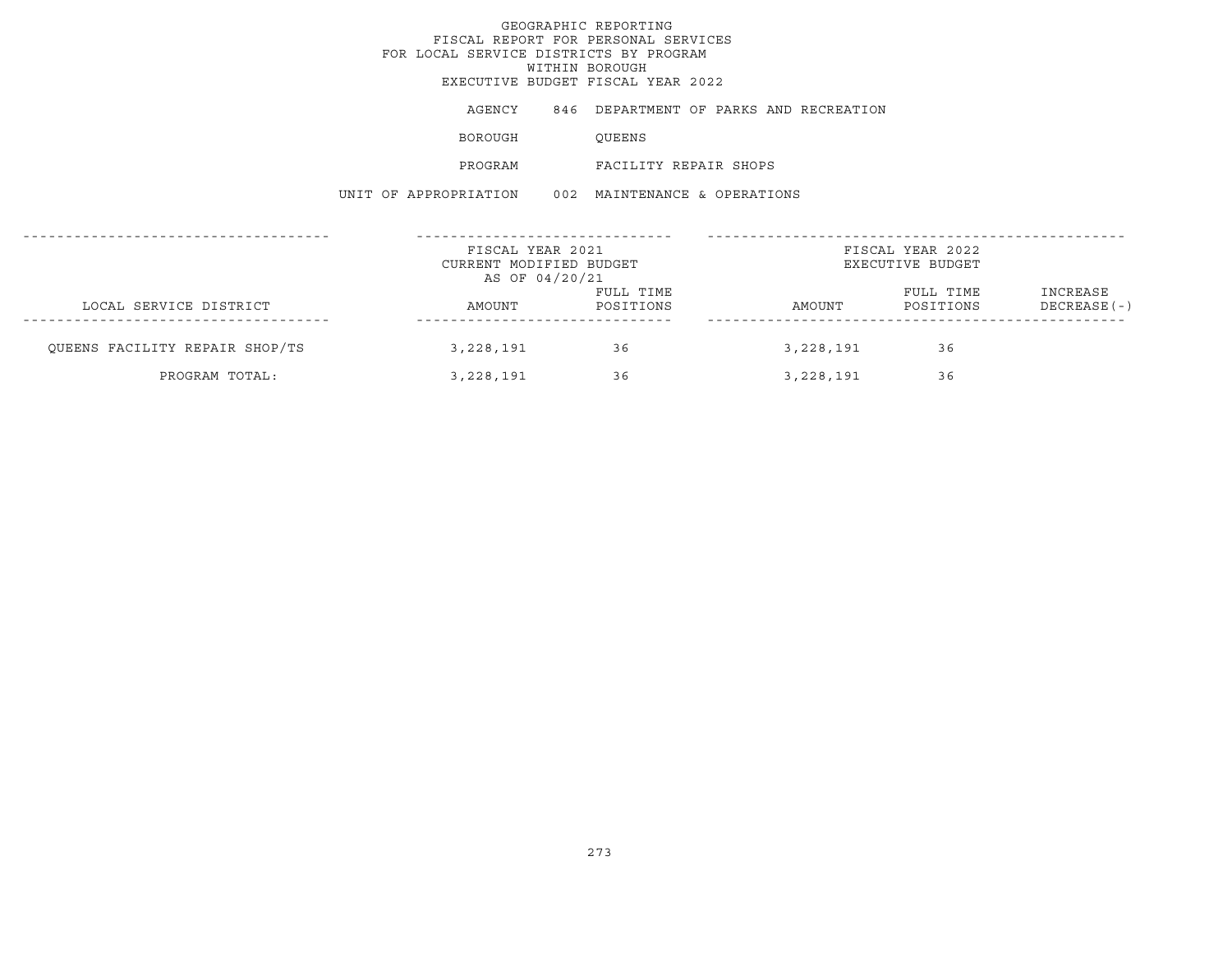# GEOGRAPHIC REPORTINGFISCAL REPORT FOR PERSONAL SERVICES FOR LOCAL SERVICE DISTRICTS BY PROGRAM WITHIN BOROUGH EXECUTIVE BUDGET FISCAL YEAR 2022AGENCY 846 DEPARTMENT OF PARKS AND RECREATION BOROUGH QUEENS PROGRAM FACILITY REPAIR SHOPSUNIT OF APPROPRIATION 002 MAINTENANCE & OPERATIONS------------------------------------ ------------------------------ -------------------------------------------------FISCAL YEAR 2021 **FISCAL YEAR 2022** CURRENT MODIFIED BUDGET **EXECUTIVE BUDGET** AS OF 04/20/21 FULL TIME FULL TIME INCREASE LOCAL SERVICE DISTRICT AMOUNT POSITIONS AMOUNT POSITIONS DECREASE(-) ------------------------------------ ------------------------------ -------------------------------------------------QUEENS FACILITY REPAIR SHOP/TS 3,228,191 36 3,228,191 36 PROGRAM TOTAL: 3,228,191 36 3,228,191 36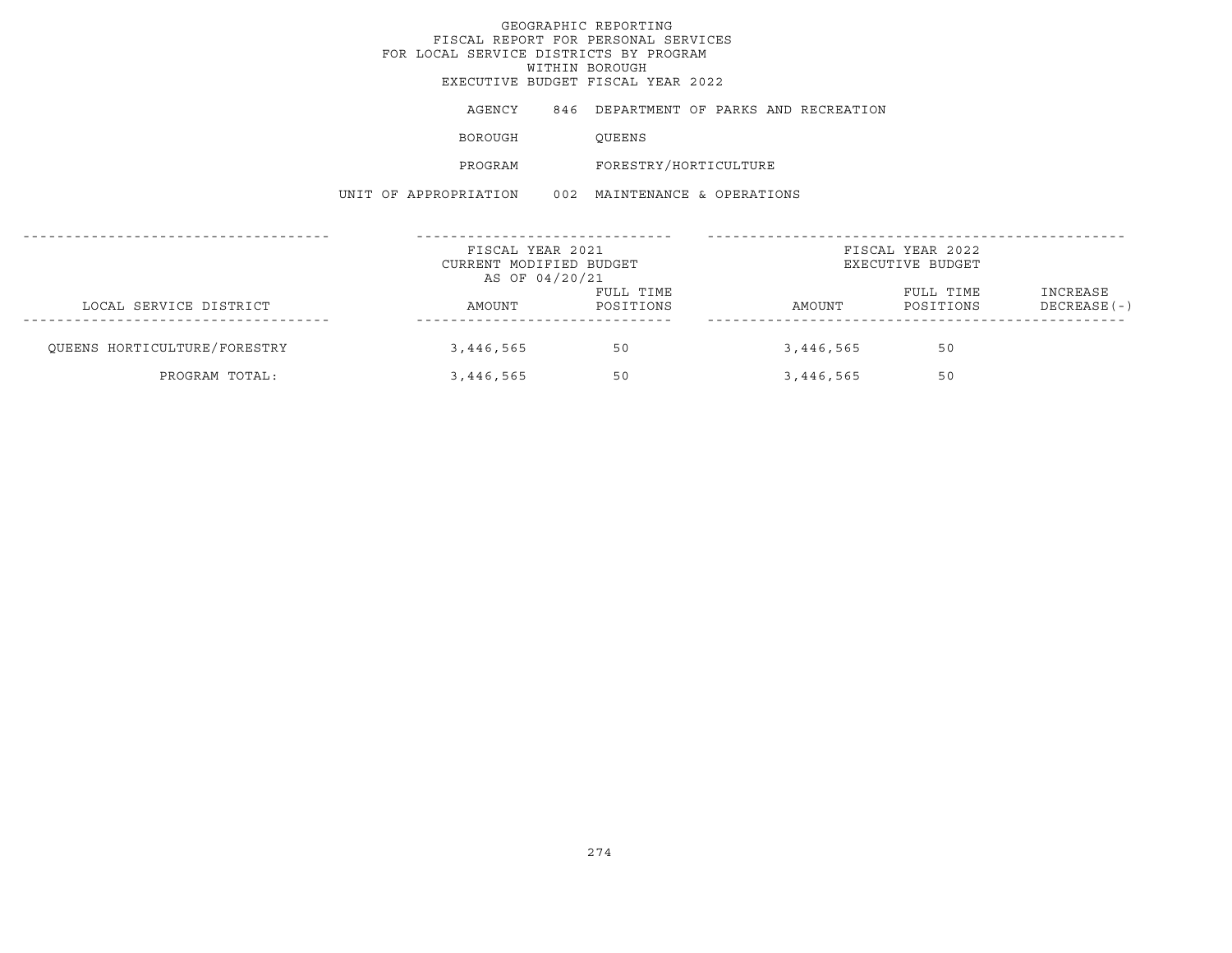# GEOGRAPHIC REPORTINGFISCAL REPORT FOR PERSONAL SERVICES FOR LOCAL SERVICE DISTRICTS BY PROGRAM WITHIN BOROUGH EXECUTIVE BUDGET FISCAL YEAR 2022AGENCY 846 DEPARTMENT OF PARKS AND RECREATION BOROUGH QUEENS PROGRAM FORESTRY/HORTICULTURE UNIT OF APPROPRIATION 002 MAINTENANCE & OPERATIONS------------------------------------ ------------------------------ -------------------------------------------------FISCAL YEAR 2021 FISCAL YEAR 2022CURRENT MODIFIED BUDGET **EXECUTIVE BUDGET** AS OF 04/20/21 FULL TIME FULL TIME INCREASE LOCAL SERVICE DISTRICT AMOUNT POSITIONS AMOUNT POSITIONS DECREASE(-) ------------------------------------ ------------------------------ -------------------------------------------------QUEENS HORTICULTURE/FORESTRY 60 3,446,565 50 50 3,446,565 50 PROGRAM TOTAL: 3,446,565 50 3,446,565 50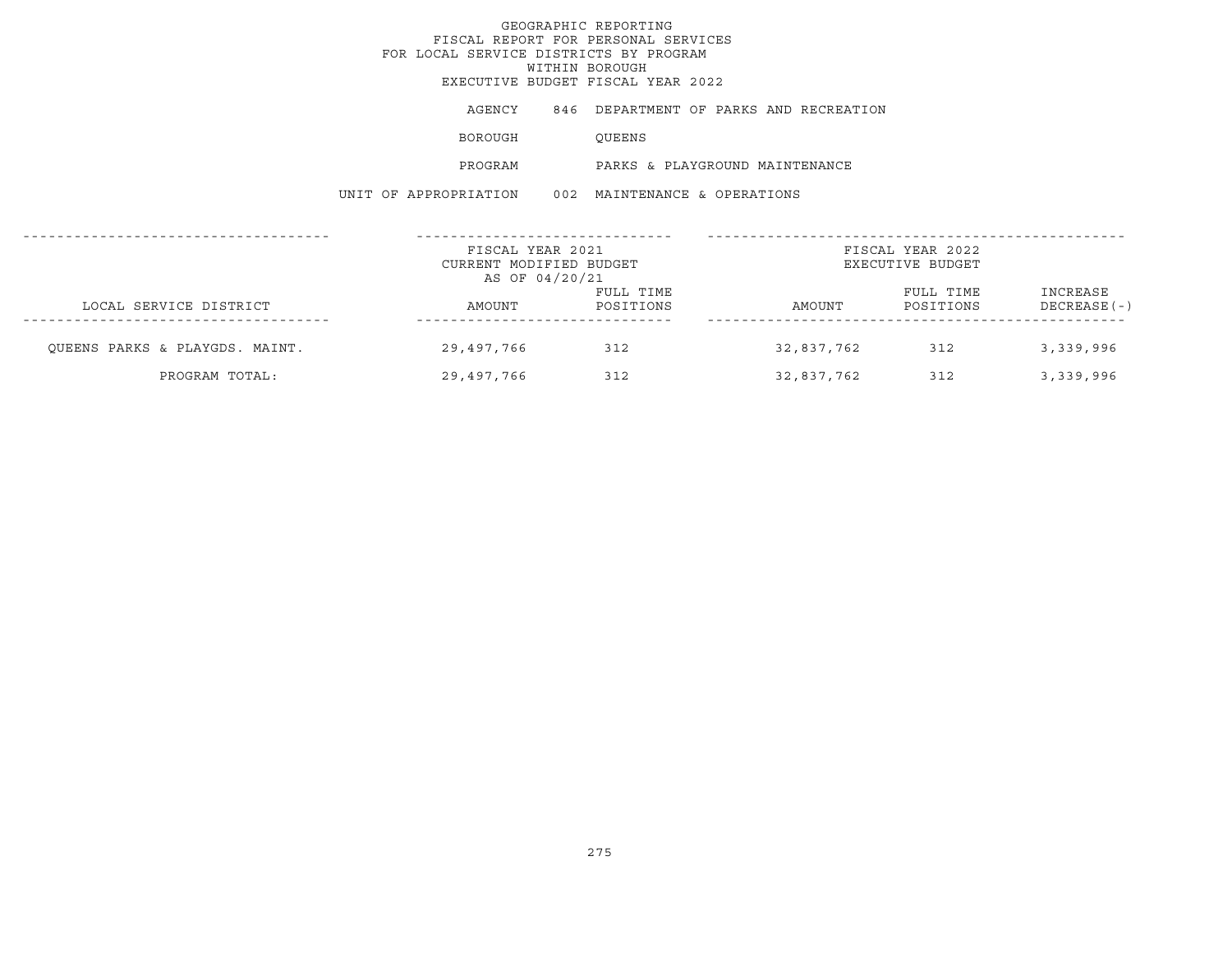## GEOGRAPHIC REPORTINGFISCAL REPORT FOR PERSONAL SERVICES FOR LOCAL SERVICE DISTRICTS BY PROGRAM WITHIN BOROUGH EXECUTIVE BUDGET FISCAL YEAR 2022AGENCY 846 DEPARTMENT OF PARKS AND RECREATION BOROUGH QUEENS PROGRAM PARKS & PLAYGROUND MAINTENANCEUNIT OF APPROPRIATION 002 MAINTENANCE & OPERATIONS------------------------------------ ------------------------------ -------------------------------------------------FISCAL YEAR 2021 FISCAL YEAR 2022CURRENT MODIFIED BUDGET **EXECUTIVE BUDGET** AS OF 04/20/21 FULL TIME **FULL TIME INCREASE** LOCAL SERVICE DISTRICT CONTROLLER AMOUNT AMOUNT POSITIONS AMOUNT POSITIONS DECREASE(-) ------------------------------------ ------------------------------ -------------------------------------------------QUEENS PARKS & PLAYGDS. MAINT. 29,497,766 312 32,837,762 312 3,339,996 PROGRAM TOTAL: 29,497,766 312 32,837,762 312 3,339,996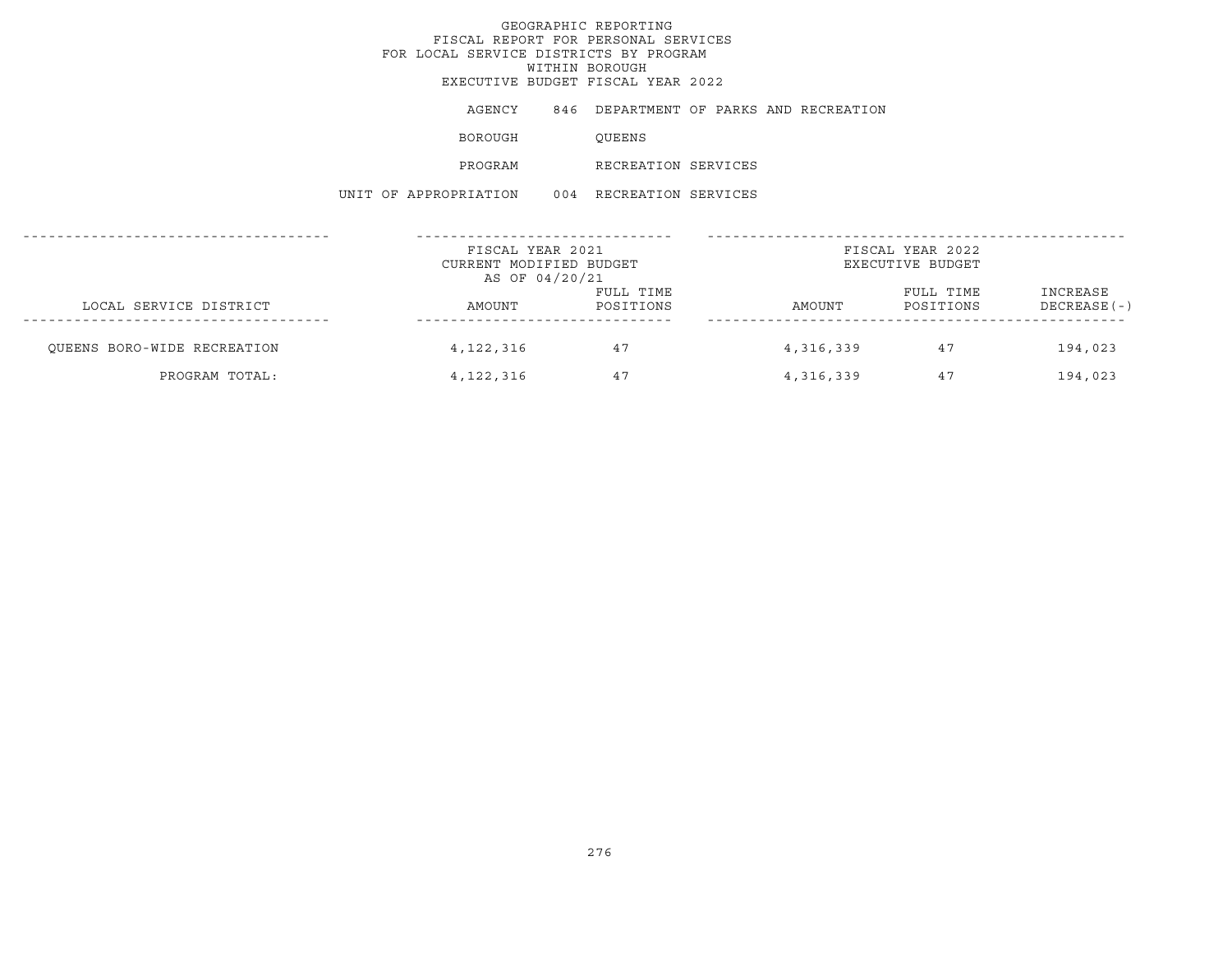AGENCY 846 DEPARTMENT OF PARKS AND RECREATION

BOROUGH QUEENS

PROGRAM RECREATION SERVICES

UNIT OF APPROPRIATION 004 RECREATION SERVICES

|                             | FISCAL YEAR 2021<br>CURRENT MODIFIED BUDGET<br>AS OF 04/20/21 |                        | FISCAL YEAR 2022<br>EXECUTIVE BUDGET |                        |                           |
|-----------------------------|---------------------------------------------------------------|------------------------|--------------------------------------|------------------------|---------------------------|
| LOCAL SERVICE DISTRICT      | AMOUNT                                                        | FULL TIME<br>POSITIONS | AMOUNT                               | FULL TIME<br>POSITIONS | INCREASE<br>$DECREASE(-)$ |
| OUEENS BORO-WIDE RECREATION | 4,122,316                                                     | 47                     | 4,316,339                            | 47                     | 194,023                   |
| PROGRAM TOTAL:              | 4, 122, 316                                                   | 47                     | 4,316,339                            | 47                     | 194,023                   |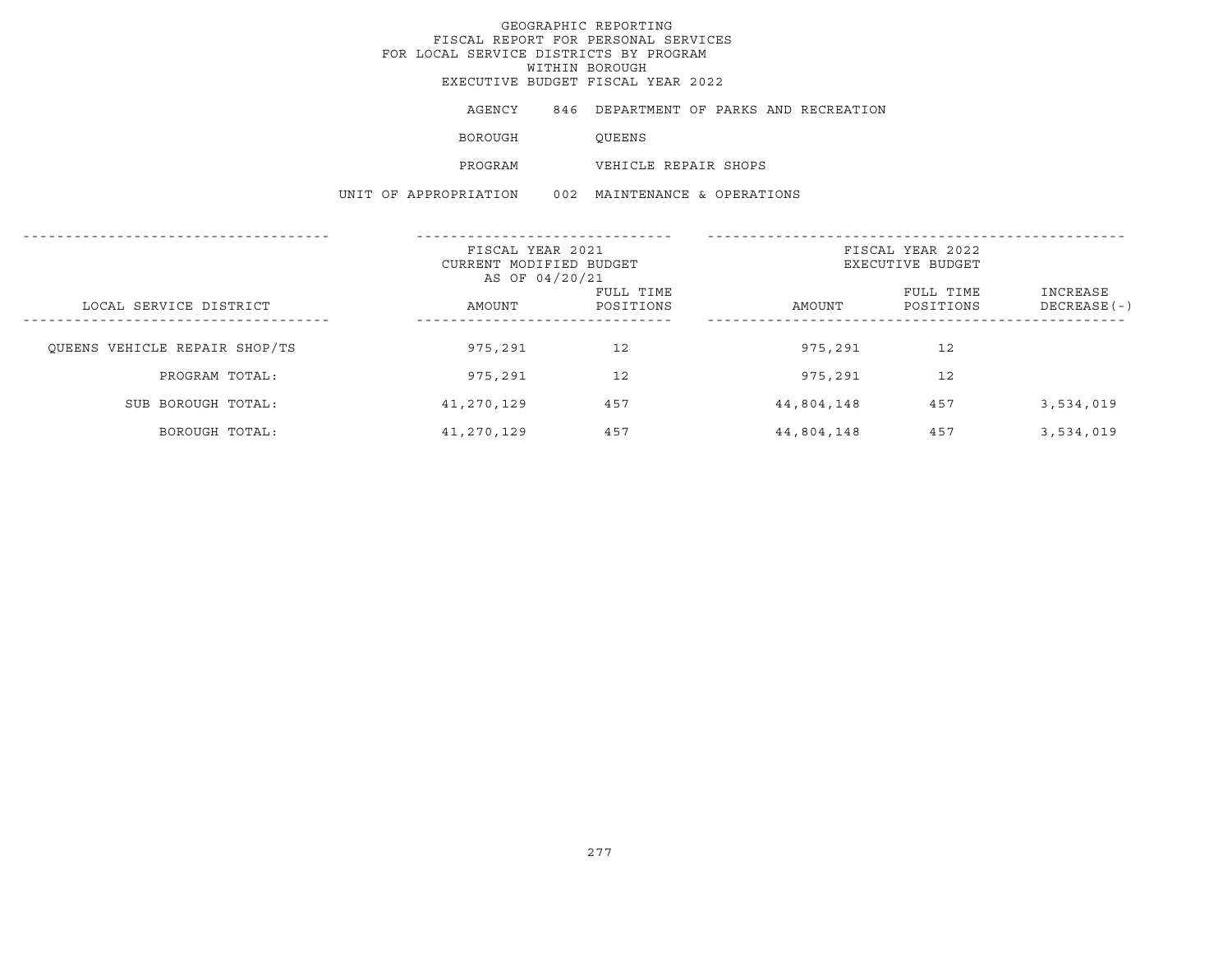AGENCY 846 DEPARTMENT OF PARKS AND RECREATION

BOROUGH QUEENS

PROGRAM VEHICLE REPAIR SHOPS

UNIT OF APPROPRIATION 002 MAINTENANCE & OPERATIONS

|                               | FISCAL YEAR 2021<br>CURRENT MODIFIED BUDGET<br>AS OF 04/20/21 |                        | FISCAL YEAR 2022<br>EXECUTIVE BUDGET |                        |                           |
|-------------------------------|---------------------------------------------------------------|------------------------|--------------------------------------|------------------------|---------------------------|
| LOCAL SERVICE DISTRICT        | AMOUNT                                                        | FULL TIME<br>POSITIONS | AMOUNT                               | FULL TIME<br>POSITIONS | INCREASE<br>$DECREASE(-)$ |
| QUEENS VEHICLE REPAIR SHOP/TS | 975,291                                                       | 12                     | 975,291                              | 12                     |                           |
| PROGRAM TOTAL:                | 975,291                                                       | 12                     | 975,291                              | 12                     |                           |
| SUB BOROUGH TOTAL:            | 41,270,129                                                    | 457                    | 44,804,148                           | 457                    | 3,534,019                 |
| BOROUGH TOTAL:                | 41,270,129                                                    | 457                    | 44,804,148                           | 457                    | 3,534,019                 |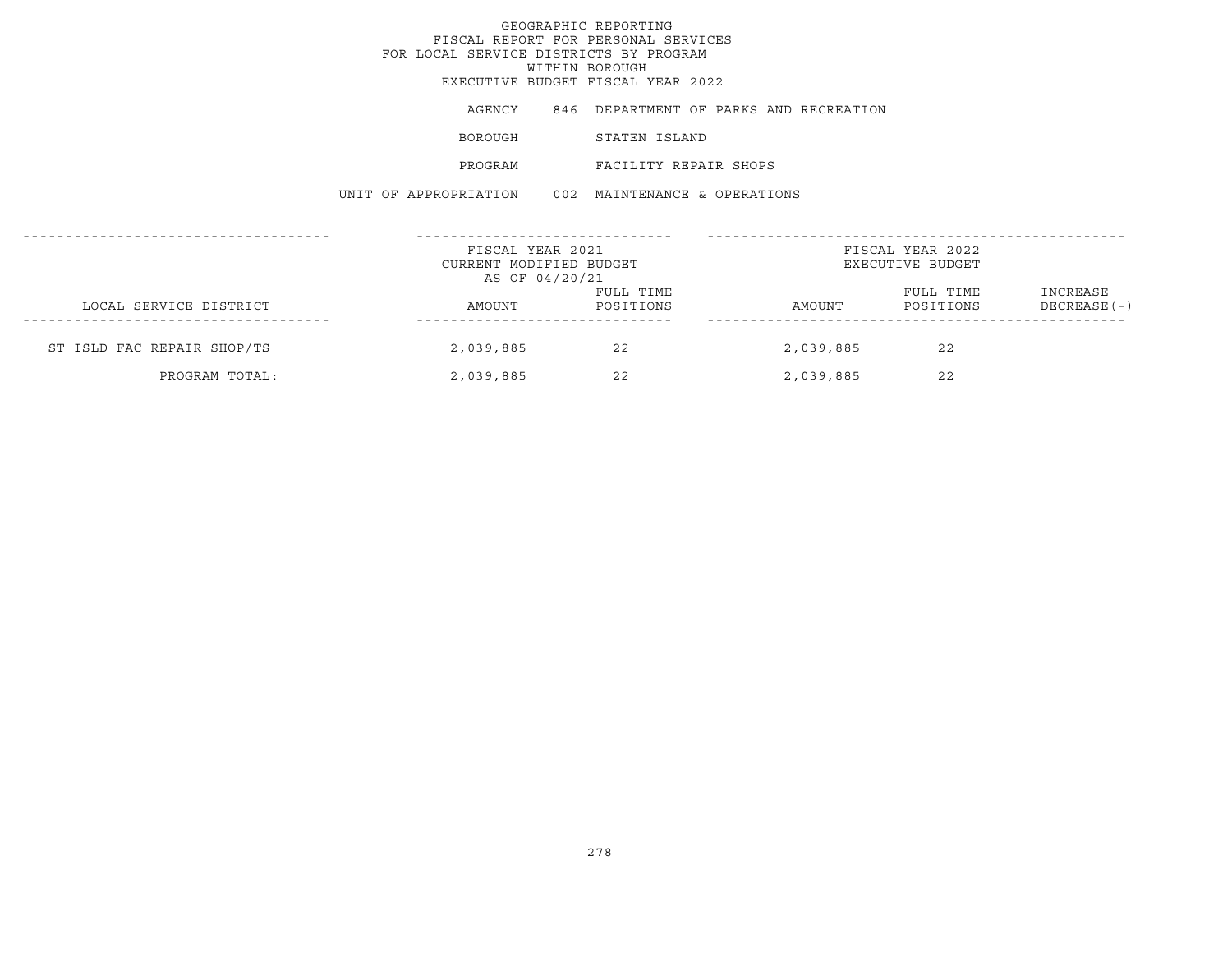# GEOGRAPHIC REPORTINGFISCAL REPORT FOR PERSONAL SERVICES FOR LOCAL SERVICE DISTRICTS BY PROGRAM WITHIN BOROUGH EXECUTIVE BUDGET FISCAL YEAR 2022AGENCY 846 DEPARTMENT OF PARKS AND RECREATION BOROUGH STATEN ISLAND PROGRAM FACILITY REPAIR SHOPSUNIT OF APPROPRIATION 002 MAINTENANCE & OPERATIONS------------------------------------ ------------------------------ -------------------------------------------------FISCAL YEAR 2021 **FISCAL YEAR 2022** CURRENT MODIFIED BUDGET **EXECUTIVE BUDGET** AS OF 04/20/21 FULL TIME FULL TIME INCREASE LOCAL SERVICE DISTRICT AMOUNT POSITIONS AMOUNT POSITIONS DECREASE(-) ------------------------------------ ------------------------------ -------------------------------------------------ST ISLD FAC REPAIR SHOP/TS 2,039,885 22 2,039,885 22 PROGRAM TOTAL: 2,039,885 22 2,039,885 22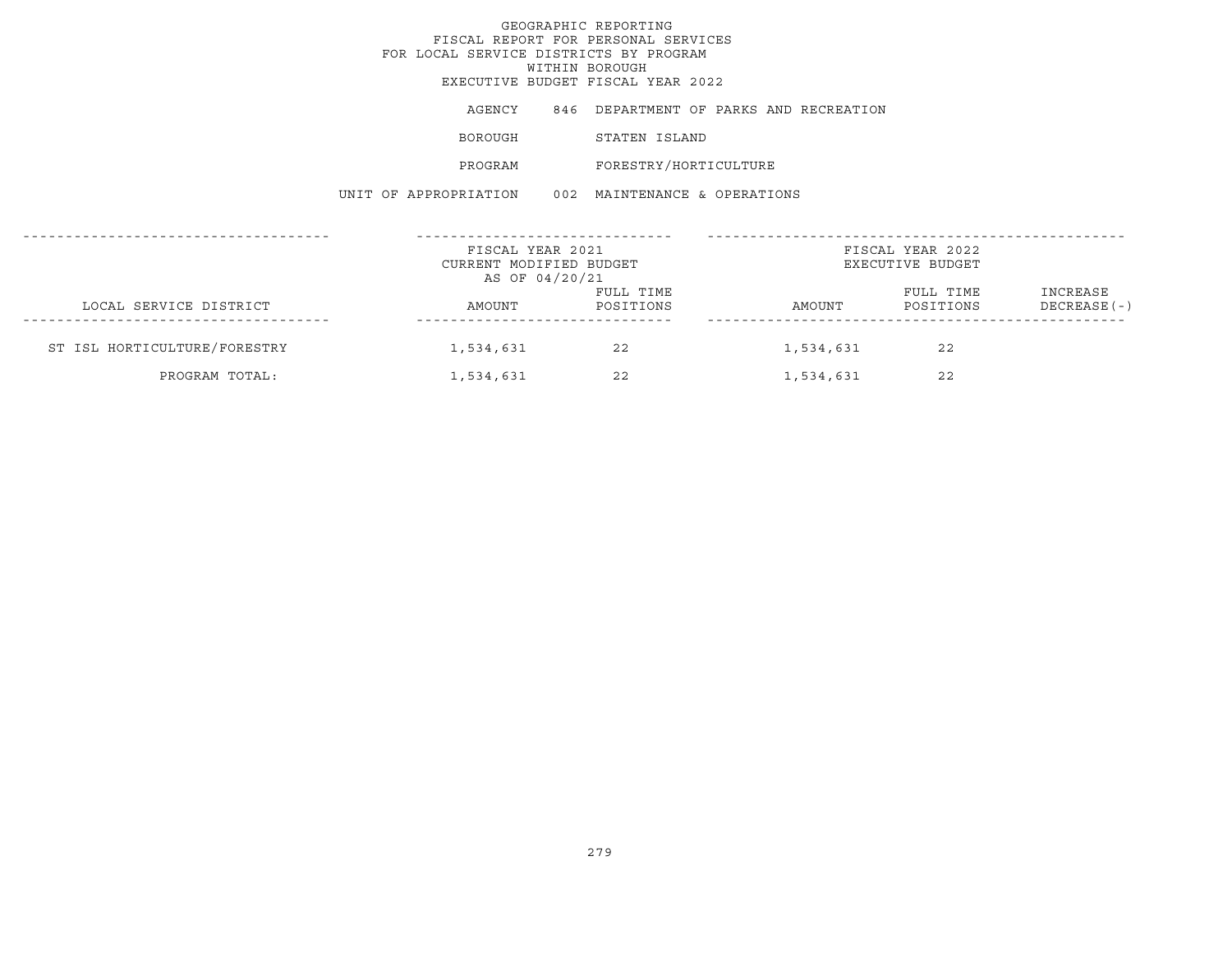# GEOGRAPHIC REPORTINGFISCAL REPORT FOR PERSONAL SERVICES FOR LOCAL SERVICE DISTRICTS BY PROGRAM WITHIN BOROUGH EXECUTIVE BUDGET FISCAL YEAR 2022AGENCY 846 DEPARTMENT OF PARKS AND RECREATION BOROUGH STATEN ISLAND PROGRAM FORESTRY/HORTICULTURE UNIT OF APPROPRIATION 002 MAINTENANCE & OPERATIONS------------------------------------ ------------------------------ -------------------------------------------------FISCAL YEAR 2021 **FISCAL YEAR 2022** CURRENT MODIFIED BUDGET **EXECUTIVE BUDGET** AS OF 04/20/21 FULL TIME FULL TIME INCREASE LOCAL SERVICE DISTRICT AMOUNT POSITIONS AMOUNT POSITIONS DECREASE(-) ------------------------------------ ------------------------------ -------------------------------------------------ST ISL HORTICULTURE/FORESTRY 1,534,631 22 1,534,631 22 PROGRAM TOTAL: 1,534,631 22 1,534,631 22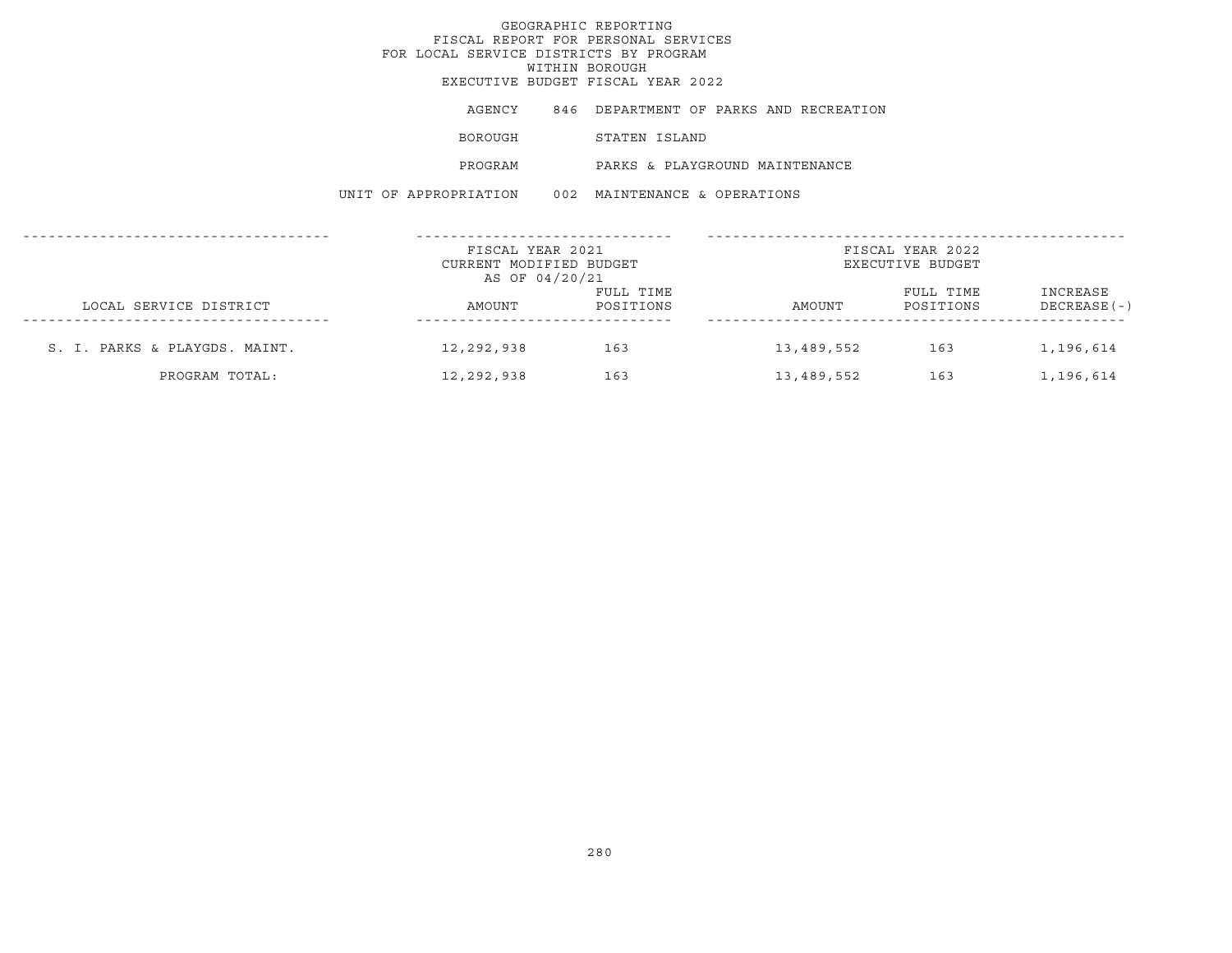## GEOGRAPHIC REPORTINGFISCAL REPORT FOR PERSONAL SERVICES FOR LOCAL SERVICE DISTRICTS BY PROGRAMWITHIN BOROUGH EXECUTIVE BUDGET FISCAL YEAR 2022AGENCY 846 DEPARTMENT OF PARKS AND RECREATION BOROUGH STATEN ISLAND PROGRAM PARKS & PLAYGROUND MAINTENANCEUNIT OF APPROPRIATION 002 MAINTENANCE & OPERATIONS------------------------------------ ------------------------------ -------------------------------------------------FISCAL YEAR 2021 FISCAL YEAR 2022CURRENT MODIFIED BUDGET **EXECUTIVE BUDGET** AS OF 04/20/21 FULL TIME **FULL TIME** INCREASE LOCAL SERVICE DISTRICT CONSUMER AMOUNT POSITIONS AMOUNT POSITIONS DECREASE(-) ------------------------------------ ------------------------------ -------------------------------------------------S. I. PARKS & PLAYGDS. MAINT. 12,292,938 163 13,489,552 163 1,196,614

PROGRAM TOTAL: 12,292,938 163 13,489,552 163 1,196,614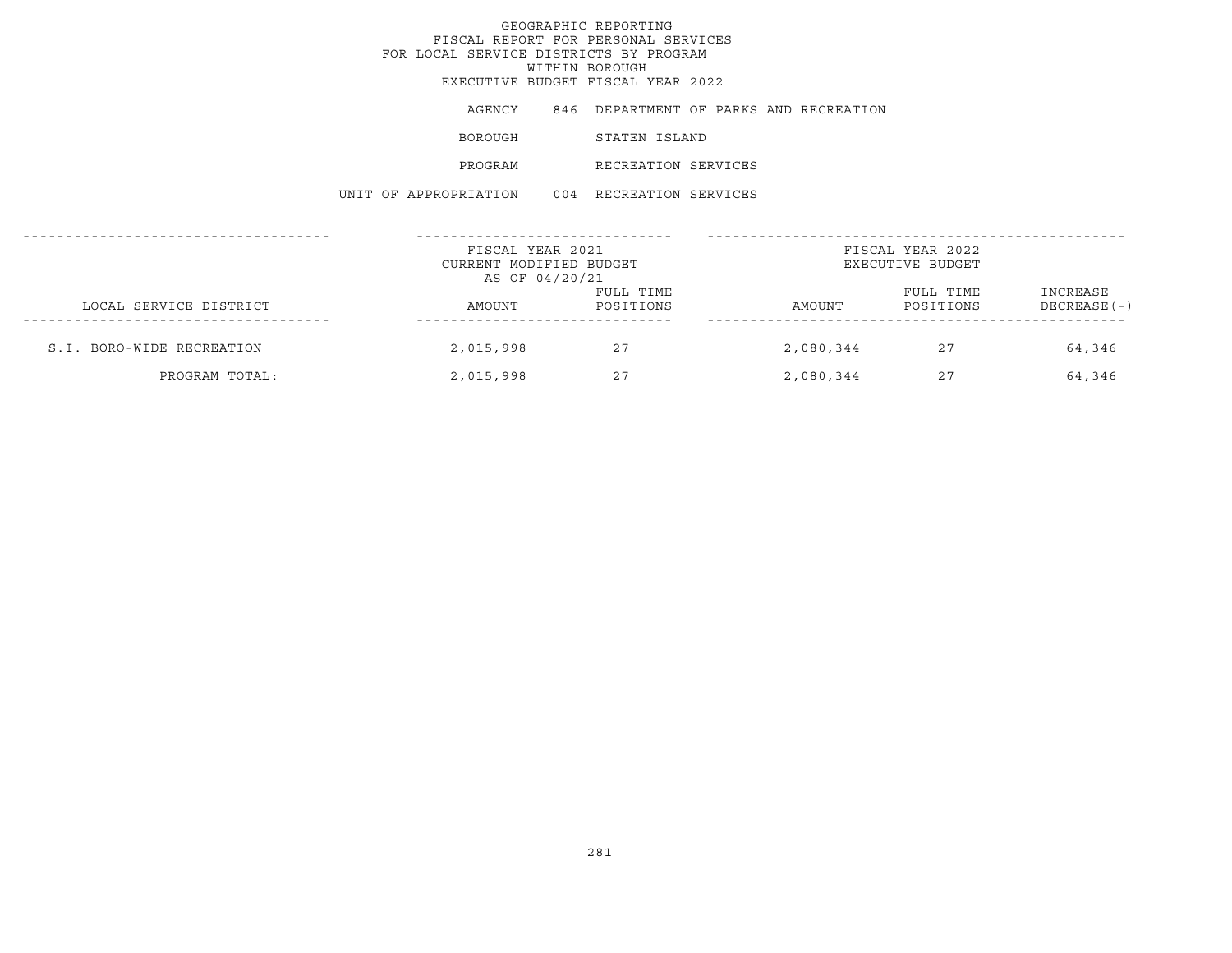| AGENCY                | 846 DEPARTMENT OF PARKS AND RECREATION |  |
|-----------------------|----------------------------------------|--|
| BOROUGH               | STATEN ISLAND                          |  |
| PROGRAM               | RECREATION SERVICES                    |  |
| UNIT OF APPROPRIATION | 004 RECREATION SERVICES                |  |

|                           | FISCAL YEAR 2021<br>CURRENT MODIFIED BUDGET<br>AS OF 04/20/21 |                        |           | FISCAL YEAR 2022<br>EXECUTIVE BUDGET |                           |
|---------------------------|---------------------------------------------------------------|------------------------|-----------|--------------------------------------|---------------------------|
| LOCAL SERVICE DISTRICT    | AMOUNT                                                        | FULL TIME<br>POSITIONS | AMOUNT    | FULL TIME<br>POSITIONS               | INCREASE<br>$DECREASE(-)$ |
| S.I. BORO-WIDE RECREATION | 2,015,998                                                     | 27                     | 2,080,344 | 27                                   | 64,346                    |
| PROGRAM TOTAL:            | 2,015,998                                                     | 27                     | 2,080,344 | 27                                   | 64,346                    |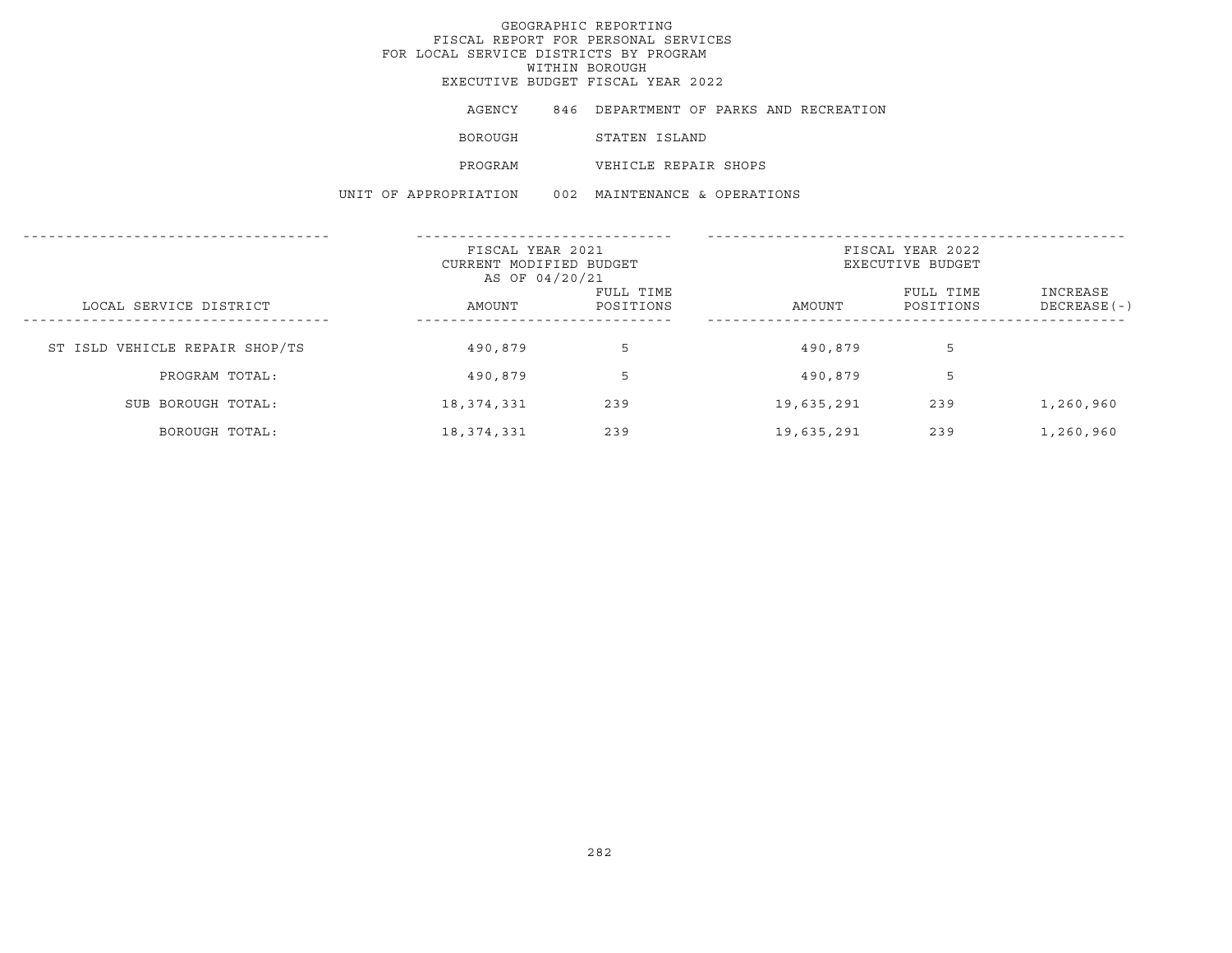| AGENCY  | 846 DEPARTMENT OF PARKS AND RECREATION |  |  |
|---------|----------------------------------------|--|--|
| BOROUGH | STATEN ISLAND                          |  |  |
| PROGRAM | VEHICLE REPAIR SHOPS                   |  |  |

UNIT OF APPROPRIATION 002 MAINTENANCE & OPERATIONS

|                                | FISCAL YEAR 2021<br>CURRENT MODIFIED BUDGET<br>AS OF 04/20/21 |                        | FISCAL YEAR 2022<br>EXECUTIVE BUDGET |                        |                           |
|--------------------------------|---------------------------------------------------------------|------------------------|--------------------------------------|------------------------|---------------------------|
| LOCAL SERVICE DISTRICT         | AMOUNT                                                        | FULL TIME<br>POSITIONS | AMOUNT                               | FULL TIME<br>POSITIONS | INCREASE<br>$DECREASE(-)$ |
| ST ISLD VEHICLE REPAIR SHOP/TS | 490,879                                                       | 5                      | 490,879                              | 5                      |                           |
| PROGRAM TOTAL:                 | 490,879                                                       | 5                      | 490,879                              | 5                      |                           |
| SUB BOROUGH TOTAL:             | 18, 374, 331                                                  | 239                    | 19,635,291                           | 239                    | 1,260,960                 |
| BOROUGH TOTAL:                 | 18,374,331                                                    | 239                    | 19,635,291                           | 239                    | 1,260,960                 |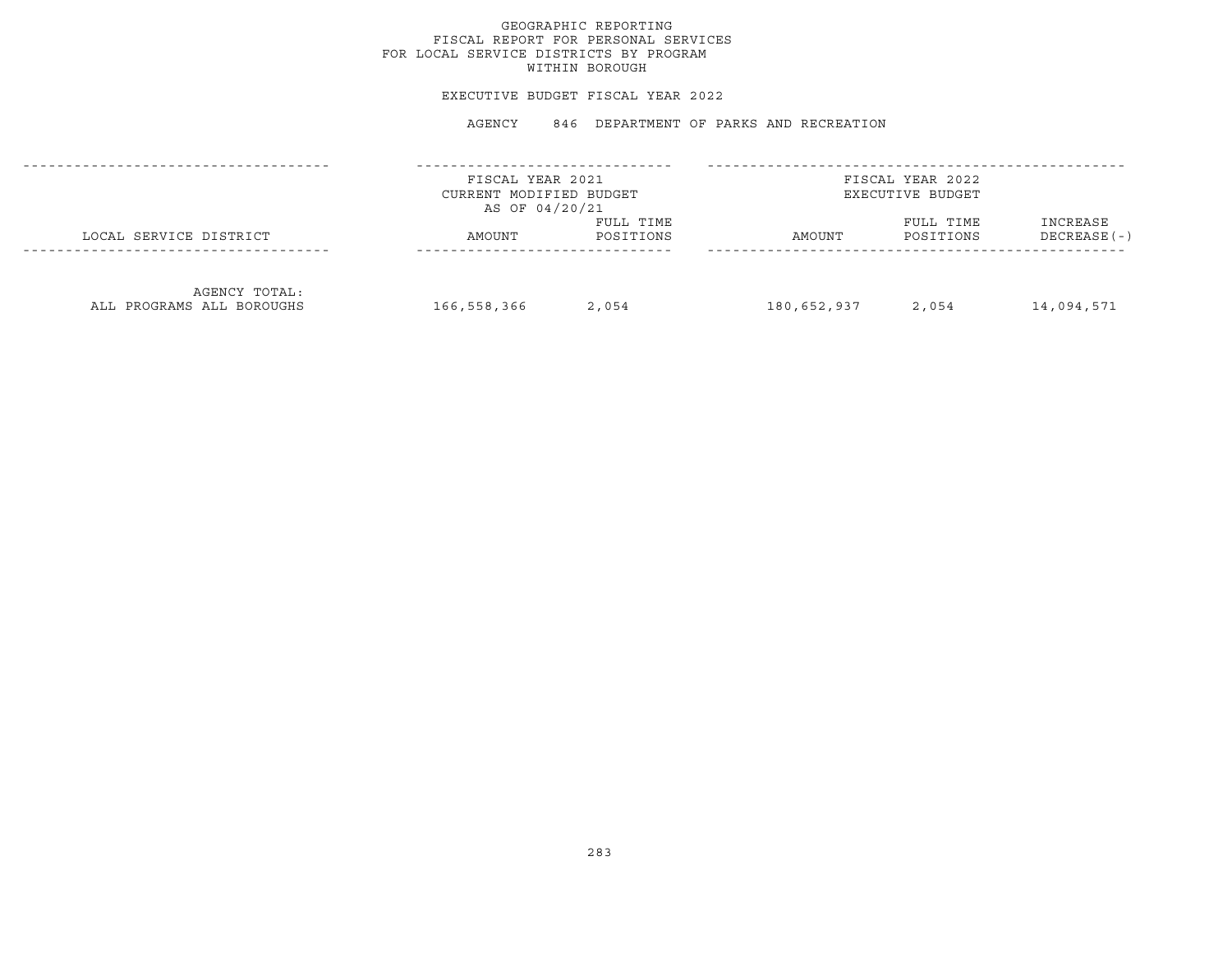## GEOGRAPHIC REPORTING FISCAL REPORT FOR PERSONAL SERVICES FOR LOCAL SERVICE DISTRICTS BY PROGRAM WITHIN BOROUGH

#### EXECUTIVE BUDGET FISCAL YEAR 2022

AGENCY 846 DEPARTMENT OF PARKS AND RECREATION

|                                            | FISCAL YEAR 2021<br>CURRENT MODIFIED BUDGET<br>AS OF 04/20/21 |                        |             | FISCAL YEAR 2022<br>EXECUTIVE BUDGET |                           |
|--------------------------------------------|---------------------------------------------------------------|------------------------|-------------|--------------------------------------|---------------------------|
| LOCAL SERVICE DISTRICT                     | AMOUNT                                                        | FULL TIME<br>POSITIONS | AMOUNT      | FULL TIME<br>POSITIONS               | INCREASE<br>$DECREASE(-)$ |
| AGENCY TOTAL:<br>ALL PROGRAMS ALL BOROUGHS | 166,558,366                                                   | 2,054                  | 180,652,937 | 2,054                                | 14,094,571                |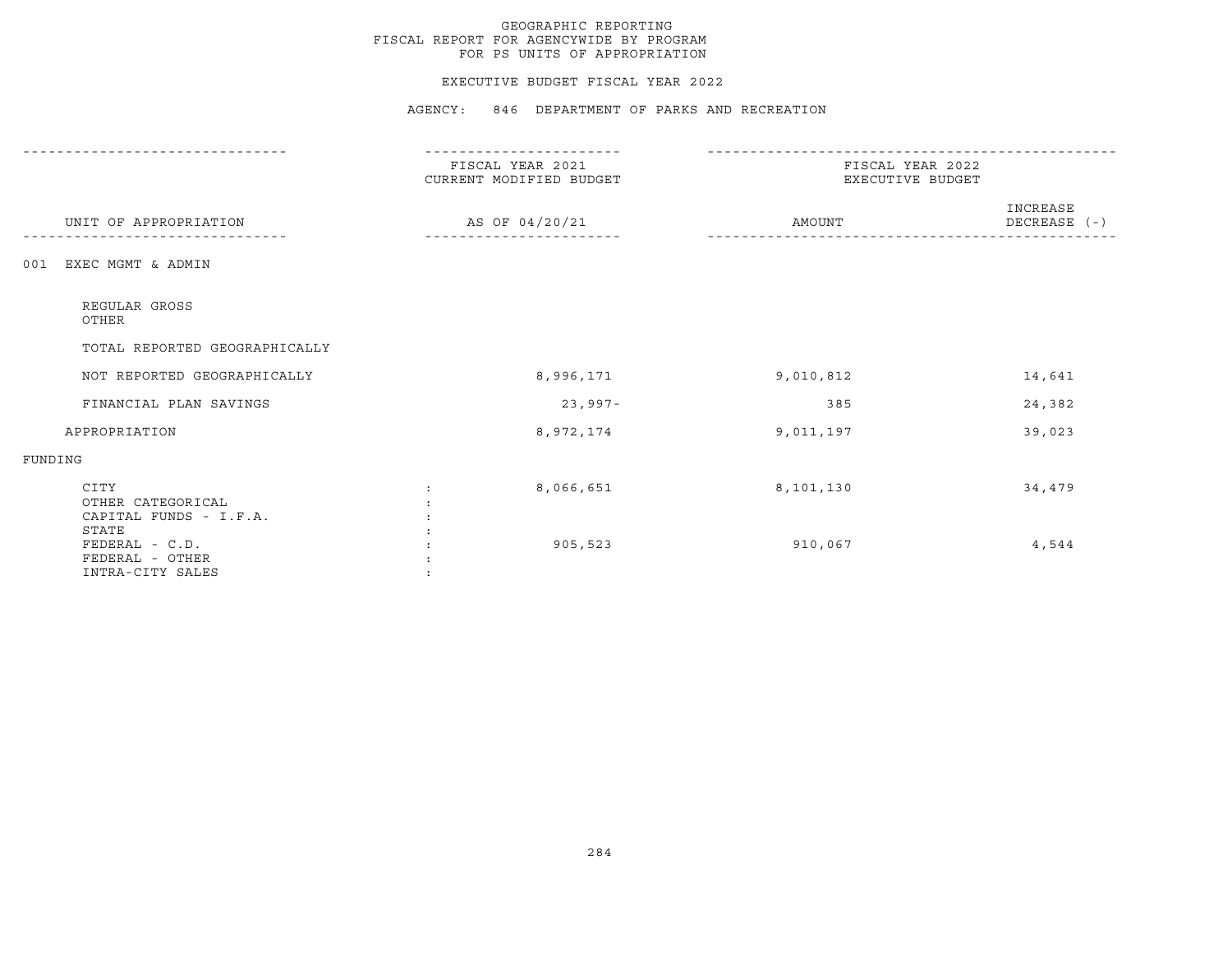### EXECUTIVE BUDGET FISCAL YEAR 2022

AGENCY: 846 DEPARTMENT OF PARKS AND RECREATION

|                                                                | FISCAL YEAR 2021<br>CURRENT MODIFIED BUDGET | FISCAL YEAR 2022<br>EXECUTIVE BUDGET |                          |  |
|----------------------------------------------------------------|---------------------------------------------|--------------------------------------|--------------------------|--|
| UNIT OF APPROPRIATION                                          | AS OF 04/20/21                              | AMOUNT                               | INCREASE<br>DECREASE (-) |  |
| EXEC MGMT & ADMIN<br>001                                       |                                             |                                      |                          |  |
| REGULAR GROSS<br>OTHER                                         |                                             |                                      |                          |  |
| TOTAL REPORTED GEOGRAPHICALLY                                  |                                             |                                      |                          |  |
| NOT REPORTED GEOGRAPHICALLY                                    | 8,996,171                                   | 9,010,812                            | 14,641                   |  |
| FINANCIAL PLAN SAVINGS                                         | $23,997-$                                   | 385                                  | 24,382                   |  |
| APPROPRIATION                                                  | 8,972,174                                   | 9,011,197                            | 39,023                   |  |
| FUNDING                                                        |                                             |                                      |                          |  |
| CITY<br>OTHER CATEGORICAL<br>CAPITAL FUNDS - I.F.A.            | 8,066,651                                   | 8,101,130                            | 34,479                   |  |
| STATE<br>FEDERAL - C.D.<br>FEDERAL - OTHER<br>INTRA-CITY SALES | 905,523                                     | 910,067                              | 4,544                    |  |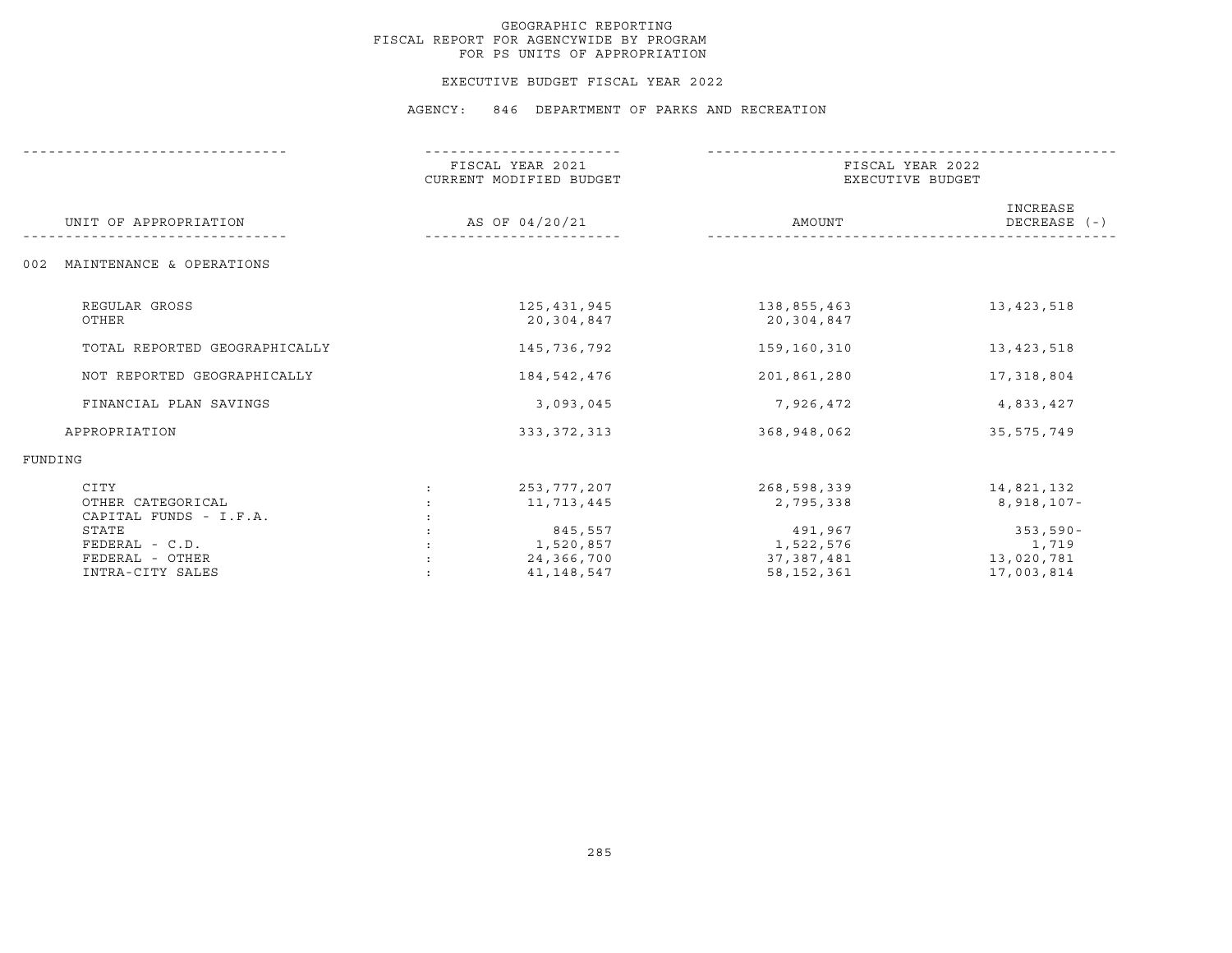# GEOGRAPHIC REPORTING FISCAL REPORT FOR AGENCYWIDE BY PROGRAM FOR PS UNITS OF APPROPRIATION

#### EXECUTIVE BUDGET FISCAL YEAR 2022

| UNIT OF APPROPRIATION                                          | FISCAL YEAR 2021<br>CURRENT MODIFIED BUDGET<br>AS OF 04/20/21 | FISCAL YEAR 2022<br>EXECUTIVE BUDGET               |                                                 |
|----------------------------------------------------------------|---------------------------------------------------------------|----------------------------------------------------|-------------------------------------------------|
|                                                                |                                                               | AMOUNT                                             | INCREASE<br>DECREASE $(-)$                      |
| MAINTENANCE & OPERATIONS<br>002                                |                                                               |                                                    |                                                 |
| REGULAR GROSS<br>OTHER                                         | 125,431,945<br>20,304,847                                     | 138,855,463<br>20,304,847                          | 13, 423, 518                                    |
| TOTAL REPORTED GEOGRAPHICALLY                                  | 145,736,792                                                   | 159,160,310                                        | 13, 423, 518                                    |
| NOT REPORTED GEOGRAPHICALLY                                    | 184, 542, 476                                                 | 201,861,280                                        | 17,318,804                                      |
| FINANCIAL PLAN SAVINGS                                         | 3,093,045                                                     | 7,926,472                                          | 4,833,427                                       |
| APPROPRIATION                                                  | 333, 372, 313                                                 | 368,948,062                                        | 35,575,749                                      |
| FUNDING                                                        |                                                               |                                                    |                                                 |
| CITY<br>OTHER CATEGORICAL<br>CAPITAL FUNDS - I.F.A.            | 253,777,207<br>11,713,445                                     | 268,598,339<br>2,795,338                           | 14,821,132<br>8,918,107-                        |
| STATE<br>FEDERAL - C.D.<br>FEDERAL - OTHER<br>INTRA-CITY SALES | 845,557<br>1,520,857<br>24,366,700<br>41, 148, 547            | 491,967<br>1,522,576<br>37,387,481<br>58, 152, 361 | $353,590-$<br>1,719<br>13,020,781<br>17,003,814 |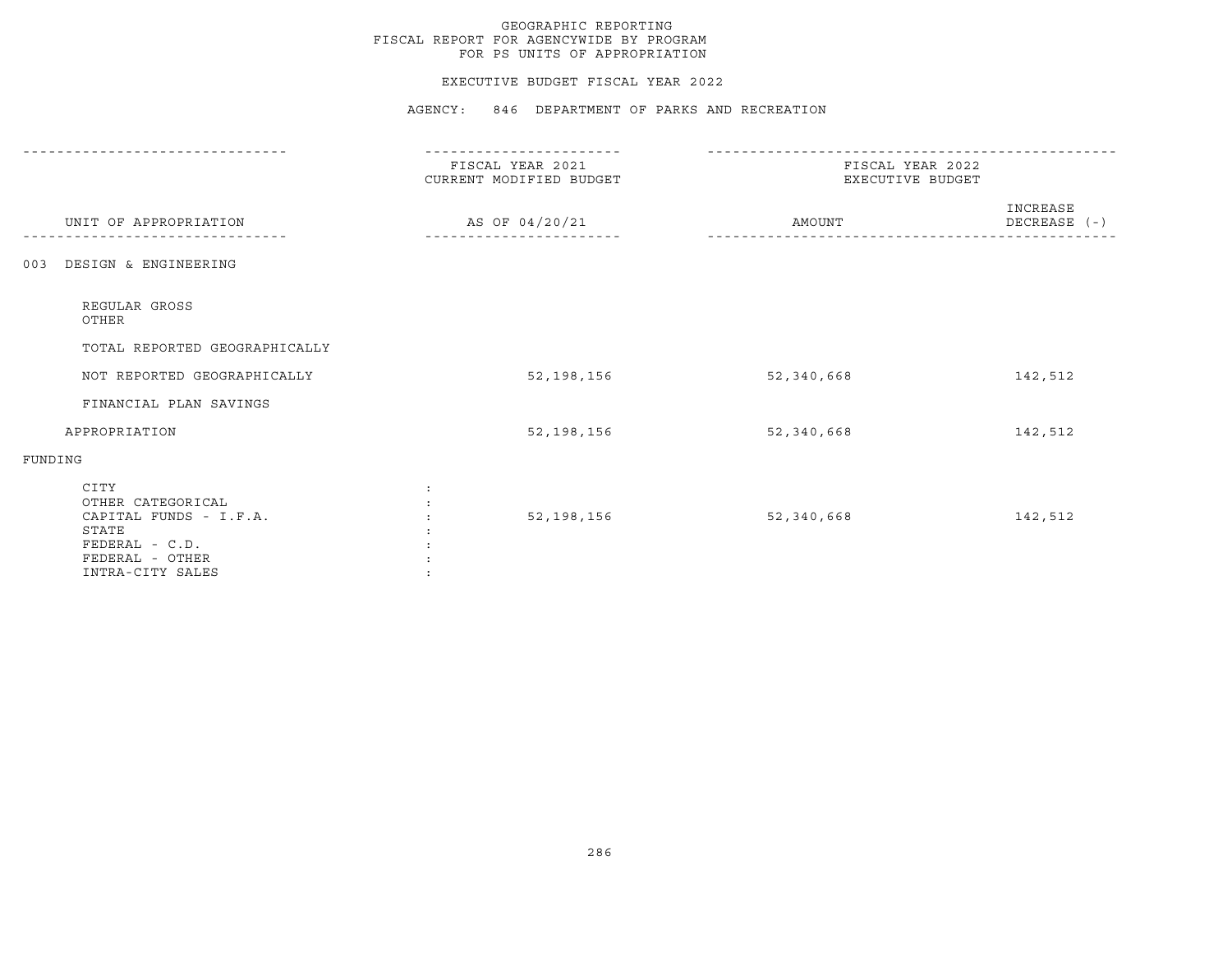# GEOGRAPHIC REPORTING FISCAL REPORT FOR AGENCYWIDE BY PROGRAM FOR PS UNITS OF APPROPRIATION

### EXECUTIVE BUDGET FISCAL YEAR 2022

| UNIT OF APPROPRIATION                                                                                                 | FISCAL YEAR 2021<br>CURRENT MODIFIED BUDGET<br>AS OF 04/20/21 | FISCAL YEAR 2022<br>EXECUTIVE BUDGET |                          |
|-----------------------------------------------------------------------------------------------------------------------|---------------------------------------------------------------|--------------------------------------|--------------------------|
|                                                                                                                       |                                                               | AMOUNT                               | INCREASE<br>DECREASE (-) |
| DESIGN & ENGINEERING<br>003                                                                                           |                                                               |                                      |                          |
| REGULAR GROSS<br>OTHER                                                                                                |                                                               |                                      |                          |
| TOTAL REPORTED GEOGRAPHICALLY                                                                                         |                                                               |                                      |                          |
| NOT REPORTED GEOGRAPHICALLY                                                                                           | 52,198,156                                                    | 52,340,668                           | 142,512                  |
| FINANCIAL PLAN SAVINGS                                                                                                |                                                               |                                      |                          |
| APPROPRIATION                                                                                                         | 52,198,156                                                    | 52,340,668                           | 142,512                  |
| FUNDING                                                                                                               |                                                               |                                      |                          |
| CITY<br>OTHER CATEGORICAL<br>CAPITAL FUNDS - I.F.A.<br>STATE<br>FEDERAL - C.D.<br>FEDERAL - OTHER<br>INTRA-CITY SALES | 52,198,156                                                    | 52,340,668                           | 142,512                  |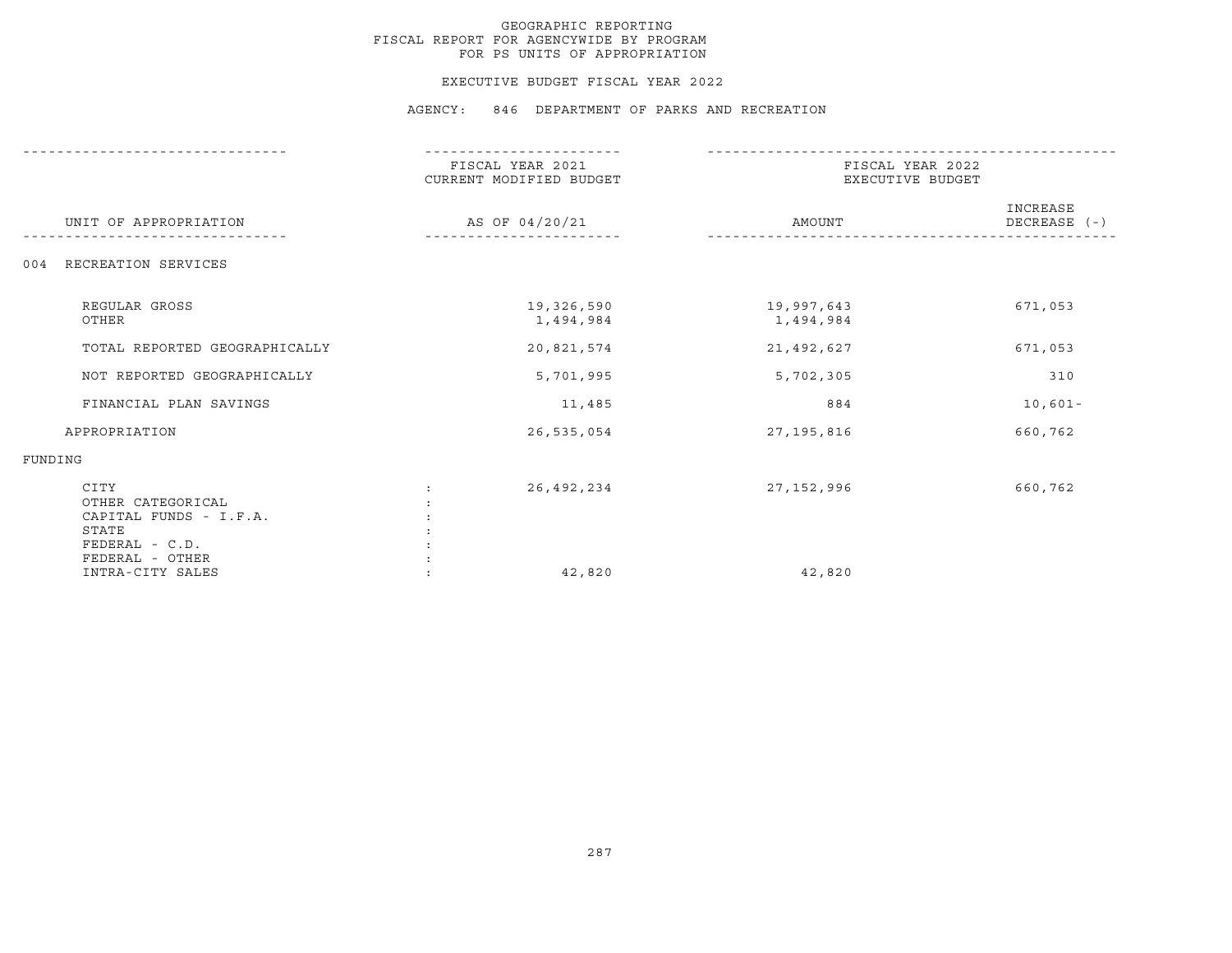# GEOGRAPHIC REPORTING FISCAL REPORT FOR AGENCYWIDE BY PROGRAM FOR PS UNITS OF APPROPRIATION

#### EXECUTIVE BUDGET FISCAL YEAR 2022

| UNIT OF APPROPRIATION                                                                             | FISCAL YEAR 2021<br>CURRENT MODIFIED BUDGET<br>AS OF 04/20/21 | FISCAL YEAR 2022<br>EXECUTIVE BUDGET |                          |
|---------------------------------------------------------------------------------------------------|---------------------------------------------------------------|--------------------------------------|--------------------------|
|                                                                                                   |                                                               | AMOUNT                               | INCREASE<br>DECREASE (-) |
| RECREATION SERVICES<br>004                                                                        |                                                               |                                      |                          |
| REGULAR GROSS<br>OTHER                                                                            | 19,326,590<br>1,494,984                                       | 19,997,643<br>1,494,984              | 671,053                  |
| TOTAL REPORTED GEOGRAPHICALLY                                                                     | 20,821,574                                                    | 21,492,627                           | 671,053                  |
| NOT REPORTED GEOGRAPHICALLY                                                                       | 5,701,995                                                     | 5,702,305                            | 310                      |
| FINANCIAL PLAN SAVINGS                                                                            | 11,485                                                        | 884                                  | $10,601-$                |
| APPROPRIATION                                                                                     | 26,535,054                                                    | 27,195,816                           | 660,762                  |
| FUNDING                                                                                           |                                                               |                                      |                          |
| CITY<br>OTHER CATEGORICAL<br>CAPITAL FUNDS - I.F.A.<br>STATE<br>FEDERAL - C.D.<br>FEDERAL - OTHER | 26,492,234                                                    | 27, 152, 996                         | 660,762                  |
| INTRA-CITY SALES                                                                                  | 42,820                                                        | 42,820                               |                          |